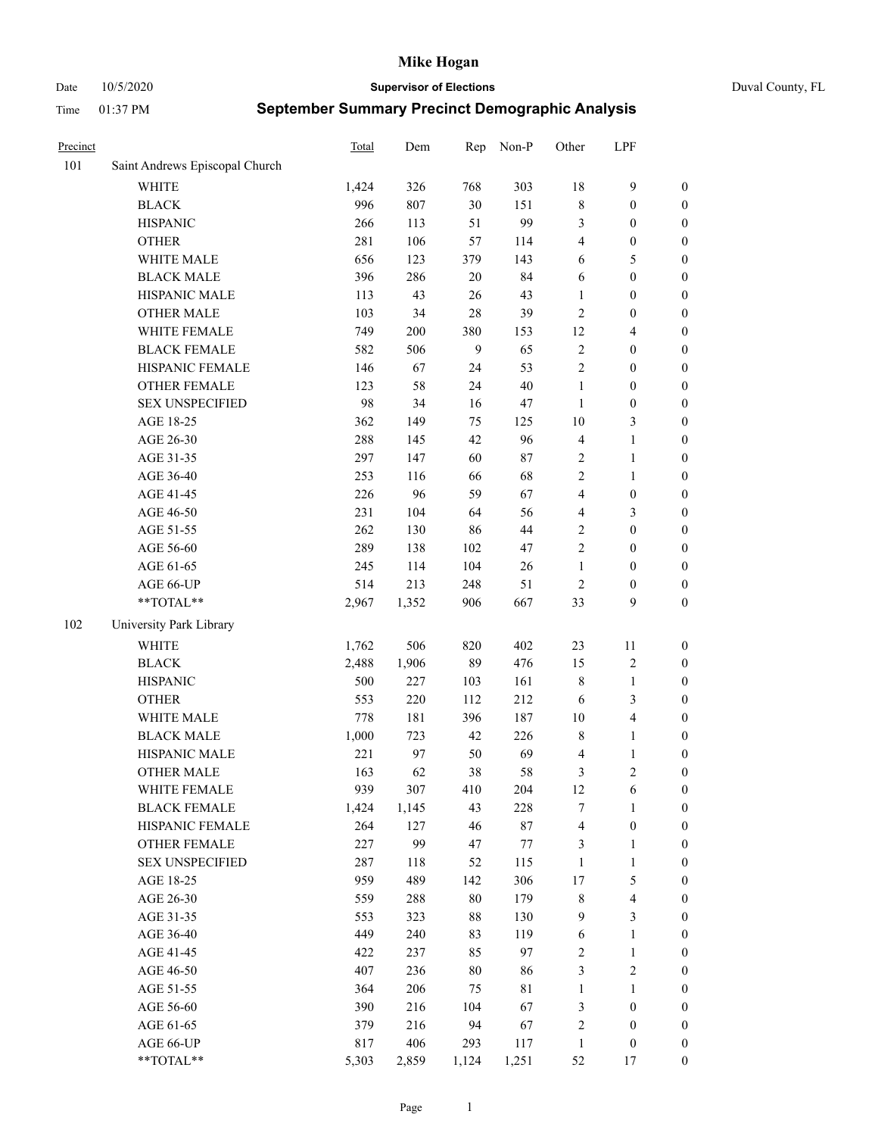Date 10/5/2020 **Supervisor of Elections** Duval County, FL

| Precinct |                                | Total | Dem   | Rep    | Non-P       | Other          | LPF                     |                  |
|----------|--------------------------------|-------|-------|--------|-------------|----------------|-------------------------|------------------|
| 101      | Saint Andrews Episcopal Church |       |       |        |             |                |                         |                  |
|          | <b>WHITE</b>                   | 1,424 | 326   | 768    | 303         | 18             | $\mathbf{9}$            | 0                |
|          | <b>BLACK</b>                   | 996   | 807   | 30     | 151         | $\,$ 8 $\,$    | $\boldsymbol{0}$        | $\boldsymbol{0}$ |
|          | <b>HISPANIC</b>                | 266   | 113   | 51     | 99          | 3              | $\boldsymbol{0}$        | $\boldsymbol{0}$ |
|          | <b>OTHER</b>                   | 281   | 106   | 57     | 114         | 4              | $\boldsymbol{0}$        | $\boldsymbol{0}$ |
|          | WHITE MALE                     | 656   | 123   | 379    | 143         | 6              | 5                       | $\boldsymbol{0}$ |
|          | <b>BLACK MALE</b>              | 396   | 286   | 20     | 84          | 6              | $\boldsymbol{0}$        | $\boldsymbol{0}$ |
|          | HISPANIC MALE                  | 113   | 43    | 26     | 43          | $\mathbf{1}$   | $\boldsymbol{0}$        | $\boldsymbol{0}$ |
|          | <b>OTHER MALE</b>              | 103   | 34    | $28\,$ | 39          | $\overline{c}$ | $\boldsymbol{0}$        | $\boldsymbol{0}$ |
|          | WHITE FEMALE                   | 749   | 200   | 380    | 153         | 12             | $\overline{\mathbf{4}}$ | $\boldsymbol{0}$ |
|          | <b>BLACK FEMALE</b>            | 582   | 506   | 9      | 65          | $\overline{c}$ | $\boldsymbol{0}$        | $\boldsymbol{0}$ |
|          | HISPANIC FEMALE                | 146   | 67    | 24     | 53          | $\mathfrak{2}$ | $\boldsymbol{0}$        | $\boldsymbol{0}$ |
|          | <b>OTHER FEMALE</b>            | 123   | 58    | 24     | $40\,$      | $\mathbf{1}$   | $\boldsymbol{0}$        | $\boldsymbol{0}$ |
|          | <b>SEX UNSPECIFIED</b>         | 98    | 34    | 16     | 47          | $\mathbf{1}$   | $\boldsymbol{0}$        | $\boldsymbol{0}$ |
|          | AGE 18-25                      | 362   | 149   | 75     | 125         | 10             | $\mathfrak{Z}$          | $\boldsymbol{0}$ |
|          | AGE 26-30                      | 288   | 145   | 42     | 96          | 4              | $\mathbf{1}$            | $\boldsymbol{0}$ |
|          | AGE 31-35                      | 297   | 147   | 60     | $87\,$      | $\overline{c}$ | $\mathbf{1}$            | $\boldsymbol{0}$ |
|          | AGE 36-40                      | 253   | 116   | 66     | 68          | $\mathfrak{2}$ | $\mathbf{1}$            | $\boldsymbol{0}$ |
|          | AGE 41-45                      | 226   | 96    | 59     | 67          | 4              | $\boldsymbol{0}$        | $\boldsymbol{0}$ |
|          | AGE 46-50                      | 231   | 104   | 64     | 56          | 4              | $\mathfrak{Z}$          | $\boldsymbol{0}$ |
|          | AGE 51-55                      | 262   | 130   | 86     | 44          | $\sqrt{2}$     | $\boldsymbol{0}$        | $\boldsymbol{0}$ |
|          | AGE 56-60                      | 289   | 138   | 102    | 47          | $\overline{c}$ | $\boldsymbol{0}$        | 0                |
|          | AGE 61-65                      | 245   | 114   | 104    | 26          | $\mathbf{1}$   | $\boldsymbol{0}$        | 0                |
|          | AGE 66-UP                      | 514   | 213   | 248    | 51          | $\sqrt{2}$     | $\boldsymbol{0}$        | $\boldsymbol{0}$ |
|          | $**TOTAL**$                    | 2,967 | 1,352 | 906    | 667         | 33             | 9                       | $\boldsymbol{0}$ |
| 102      | University Park Library        |       |       |        |             |                |                         |                  |
|          | <b>WHITE</b>                   | 1,762 | 506   | 820    | 402         | 23             | $11\,$                  | $\boldsymbol{0}$ |
|          | <b>BLACK</b>                   | 2,488 | 1,906 | 89     | 476         | 15             | $\sqrt{2}$              | $\boldsymbol{0}$ |
|          | <b>HISPANIC</b>                | 500   | 227   | 103    | 161         | 8              | $\mathbf{1}$            | $\boldsymbol{0}$ |
|          | <b>OTHER</b>                   | 553   | 220   | 112    | 212         | 6              | $\mathfrak{Z}$          | $\boldsymbol{0}$ |
|          | WHITE MALE                     | 778   | 181   | 396    | 187         | 10             | $\overline{\mathbf{4}}$ | $\boldsymbol{0}$ |
|          | <b>BLACK MALE</b>              | 1,000 | 723   | 42     | 226         | $\,$ 8 $\,$    | $\mathbf{1}$            | $\boldsymbol{0}$ |
|          | HISPANIC MALE                  | 221   | 97    | 50     | 69          | 4              | $\mathbf{1}$            | $\boldsymbol{0}$ |
|          | <b>OTHER MALE</b>              | 163   | 62    | 38     | 58          | 3              | $\overline{c}$          | $\boldsymbol{0}$ |
|          | WHITE FEMALE                   | 939   | 307   | 410    | 204         | 12             | 6                       | 0                |
|          | <b>BLACK FEMALE</b>            | 1,424 | 1,145 | 43     | 228         | 7              | $\mathbf{1}$            | $\boldsymbol{0}$ |
|          | HISPANIC FEMALE                | 264   | 127   | 46     | $87\,$      | 4              | $\boldsymbol{0}$        | $\overline{0}$   |
|          | OTHER FEMALE                   | 227   | 99    | 47     | 77          | 3              | $\mathbf{1}$            | $\overline{0}$   |
|          | <b>SEX UNSPECIFIED</b>         | 287   | 118   | 52     | 115         | $\mathbf{1}$   | $\mathbf{1}$            | 0                |
|          | AGE 18-25                      | 959   | 489   | 142    | 306         | 17             | $\mathfrak s$           | $\theta$         |
|          | AGE 26-30                      | 559   | 288   | $80\,$ | 179         | $\,$ 8 $\,$    | $\overline{\mathbf{4}}$ | 0                |
|          | AGE 31-35                      | 553   | 323   | $88\,$ | 130         | 9              | $\mathfrak{Z}$          | 0                |
|          | AGE 36-40                      | 449   | 240   | 83     | 119         | 6              | $\mathbf{1}$            | 0                |
|          | AGE 41-45                      | 422   | 237   | 85     | 97          | $\overline{c}$ | $\mathbf{1}$            | 0                |
|          | AGE 46-50                      | 407   | 236   | $80\,$ | 86          | 3              | $\sqrt{2}$              | 0                |
|          | AGE 51-55                      | 364   | 206   | 75     | $8\sqrt{1}$ | $\mathbf{1}$   | $\mathbf{1}$            | $\boldsymbol{0}$ |
|          | AGE 56-60                      | 390   | 216   | 104    | 67          | 3              | $\boldsymbol{0}$        | $\boldsymbol{0}$ |
|          | AGE 61-65                      | 379   | 216   | 94     | 67          | 2              | $\boldsymbol{0}$        | $\boldsymbol{0}$ |
|          | AGE 66-UP                      | 817   | 406   | 293    | 117         | $\mathbf{1}$   | $\boldsymbol{0}$        | 0                |
|          | **TOTAL**                      | 5,303 | 2,859 | 1,124  | 1,251       | 52             | 17                      | $\boldsymbol{0}$ |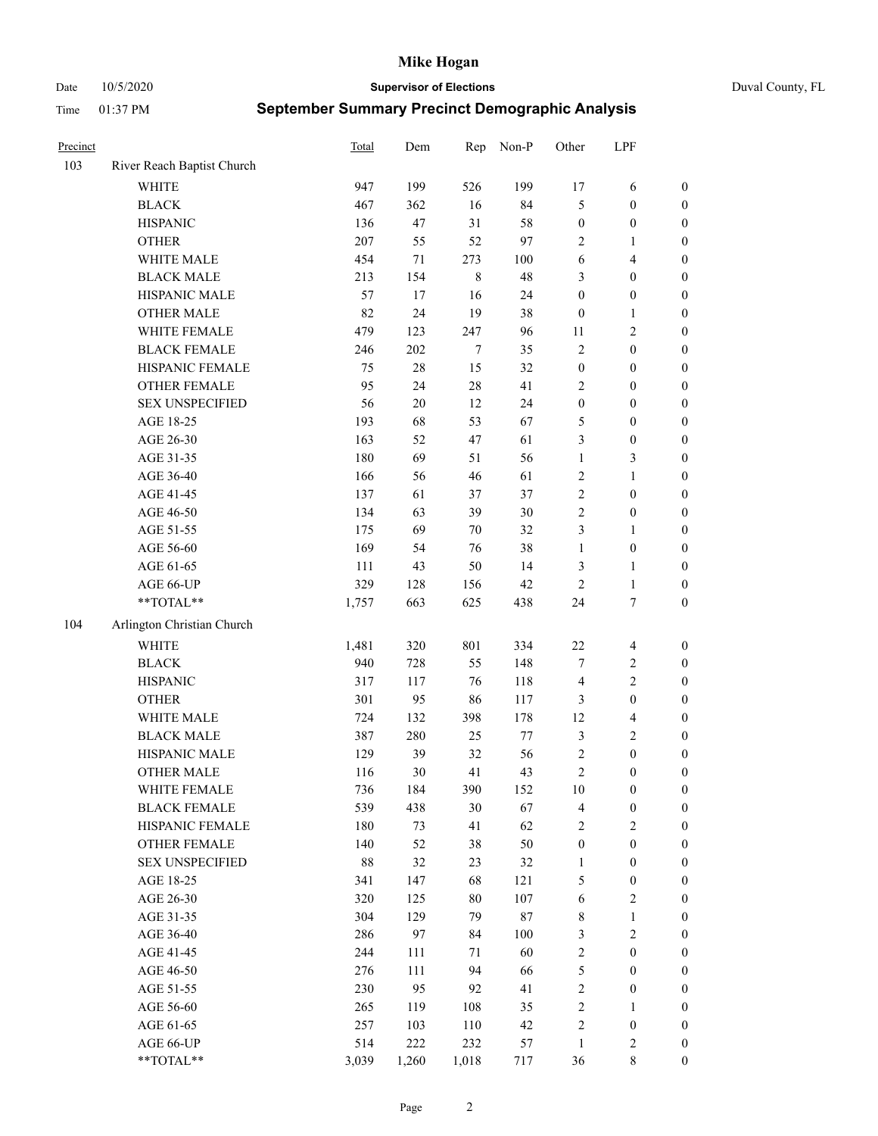Date 10/5/2020 **Supervisor of Elections** Duval County, FL

| Precinct |                            | Total  | Dem    | Rep     | Non-P  | Other            | LPF                     |                  |
|----------|----------------------------|--------|--------|---------|--------|------------------|-------------------------|------------------|
| 103      | River Reach Baptist Church |        |        |         |        |                  |                         |                  |
|          | <b>WHITE</b>               | 947    | 199    | 526     | 199    | $17$             | 6                       | 0                |
|          | <b>BLACK</b>               | 467    | 362    | 16      | 84     | 5                | $\boldsymbol{0}$        | 0                |
|          | <b>HISPANIC</b>            | 136    | 47     | 31      | 58     | $\boldsymbol{0}$ | $\boldsymbol{0}$        | $\boldsymbol{0}$ |
|          | <b>OTHER</b>               | 207    | 55     | 52      | 97     | $\overline{2}$   | 1                       | $\boldsymbol{0}$ |
|          | WHITE MALE                 | 454    | $71\,$ | 273     | 100    | 6                | $\overline{\mathbf{4}}$ | $\boldsymbol{0}$ |
|          | <b>BLACK MALE</b>          | 213    | 154    | $\,8\,$ | 48     | 3                | $\boldsymbol{0}$        | $\boldsymbol{0}$ |
|          | HISPANIC MALE              | 57     | 17     | 16      | 24     | $\boldsymbol{0}$ | $\boldsymbol{0}$        | $\boldsymbol{0}$ |
|          | <b>OTHER MALE</b>          | 82     | 24     | 19      | 38     | $\boldsymbol{0}$ | $\mathbf{1}$            | $\boldsymbol{0}$ |
|          | WHITE FEMALE               | 479    | 123    | 247     | 96     | 11               | $\sqrt{2}$              | $\boldsymbol{0}$ |
|          | <b>BLACK FEMALE</b>        | 246    | 202    | 7       | 35     | $\sqrt{2}$       | $\boldsymbol{0}$        | $\boldsymbol{0}$ |
|          | HISPANIC FEMALE            | 75     | $28\,$ | 15      | 32     | $\boldsymbol{0}$ | $\boldsymbol{0}$        | 0                |
|          | OTHER FEMALE               | 95     | 24     | 28      | 41     | $\overline{2}$   | $\boldsymbol{0}$        | $\boldsymbol{0}$ |
|          | <b>SEX UNSPECIFIED</b>     | 56     | $20\,$ | 12      | 24     | $\boldsymbol{0}$ | $\boldsymbol{0}$        | $\boldsymbol{0}$ |
|          | AGE 18-25                  | 193    | 68     | 53      | 67     | 5                | $\boldsymbol{0}$        | $\boldsymbol{0}$ |
|          | AGE 26-30                  | 163    | 52     | 47      | 61     | 3                | $\boldsymbol{0}$        | $\boldsymbol{0}$ |
|          | AGE 31-35                  | 180    | 69     | 51      | 56     | $\mathbf{1}$     | $\mathfrak{Z}$          | $\boldsymbol{0}$ |
|          | AGE 36-40                  | 166    | 56     | 46      | 61     | $\sqrt{2}$       | $\mathbf{1}$            | $\boldsymbol{0}$ |
|          | AGE 41-45                  | 137    | 61     | 37      | 37     | $\sqrt{2}$       | $\boldsymbol{0}$        | $\boldsymbol{0}$ |
|          | AGE 46-50                  | 134    | 63     | 39      | 30     | $\overline{c}$   | $\boldsymbol{0}$        | $\boldsymbol{0}$ |
|          | AGE 51-55                  | 175    | 69     | 70      | 32     | 3                | $\mathbf{1}$            | 0                |
|          | AGE 56-60                  | 169    | 54     | 76      | 38     | $\mathbf{1}$     | $\boldsymbol{0}$        | 0                |
|          | AGE 61-65                  | 111    | 43     | 50      | 14     | 3                | $\mathbf{1}$            | 0                |
|          | AGE 66-UP                  | 329    | 128    | 156     | 42     | $\sqrt{2}$       | $\mathbf{1}$            | $\boldsymbol{0}$ |
|          | **TOTAL**                  | 1,757  | 663    | 625     | 438    | 24               | $\boldsymbol{7}$        | $\boldsymbol{0}$ |
| 104      | Arlington Christian Church |        |        |         |        |                  |                         |                  |
|          | <b>WHITE</b>               | 1,481  | 320    | 801     | 334    | $22\,$           | $\overline{4}$          | $\boldsymbol{0}$ |
|          | <b>BLACK</b>               | 940    | 728    | 55      | 148    | 7                | $\sqrt{2}$              | $\boldsymbol{0}$ |
|          | <b>HISPANIC</b>            | 317    | 117    | 76      | 118    | $\overline{4}$   | $\overline{2}$          | $\boldsymbol{0}$ |
|          | <b>OTHER</b>               | 301    | 95     | 86      | 117    | 3                | $\boldsymbol{0}$        | $\boldsymbol{0}$ |
|          | WHITE MALE                 | 724    | 132    | 398     | 178    | 12               | $\overline{\mathbf{4}}$ | $\boldsymbol{0}$ |
|          | <b>BLACK MALE</b>          | 387    | 280    | 25      | $77\,$ | 3                | $\overline{2}$          | $\boldsymbol{0}$ |
|          | HISPANIC MALE              | 129    | 39     | 32      | 56     | $\sqrt{2}$       | $\boldsymbol{0}$        | $\boldsymbol{0}$ |
|          | <b>OTHER MALE</b>          | 116    | 30     | 41      | 43     | $\sqrt{2}$       | $\boldsymbol{0}$        | $\boldsymbol{0}$ |
|          | WHITE FEMALE               | 736    | 184    | 390     | 152    | 10               | $\boldsymbol{0}$        | 0                |
|          | <b>BLACK FEMALE</b>        | 539    | 438    | 30      | 67     | 4                | $\boldsymbol{0}$        | $\boldsymbol{0}$ |
|          | HISPANIC FEMALE            | 180    | 73     | 41      | 62     | $\sqrt{2}$       | $\sqrt{2}$              | $\overline{0}$   |
|          | OTHER FEMALE               | 140    | 52     | 38      | 50     | $\boldsymbol{0}$ | $\boldsymbol{0}$        | $\overline{0}$   |
|          | <b>SEX UNSPECIFIED</b>     | $88\,$ | 32     | 23      | 32     | $\mathbf{1}$     | $\boldsymbol{0}$        | 0                |
|          | AGE 18-25                  | 341    | 147    | 68      | 121    | 5                | $\boldsymbol{0}$        | 0                |
|          | AGE 26-30                  | 320    | 125    | 80      | 107    | 6                | $\overline{2}$          | 0                |
|          | AGE 31-35                  | 304    | 129    | 79      | $87\,$ | $\,$ 8 $\,$      | $\mathbf{1}$            | 0                |
|          | AGE 36-40                  | 286    | 97     | 84      | 100    | 3                | $\sqrt{2}$              | 0                |
|          | AGE 41-45                  | 244    | 111    | 71      | 60     | $\overline{c}$   | $\boldsymbol{0}$        | 0                |
|          | AGE 46-50                  | 276    | 111    | 94      | 66     | 5                | $\boldsymbol{0}$        | 0                |
|          | AGE 51-55                  | 230    | 95     | 92      | 41     | 2                | $\boldsymbol{0}$        | $\boldsymbol{0}$ |
|          | AGE 56-60                  | 265    | 119    | 108     | 35     | $\sqrt{2}$       | $\mathbf{1}$            | $\overline{0}$   |
|          | AGE 61-65                  | 257    | 103    | 110     | 42     | $\overline{c}$   | $\boldsymbol{0}$        | $\overline{0}$   |
|          | AGE 66-UP                  | 514    | 222    | 232     | 57     | $\mathbf{1}$     | $\mathfrak{2}$          | 0                |
|          | **TOTAL**                  | 3,039  | 1,260  | 1,018   | 717    | 36               | $\,$ 8 $\,$             | $\boldsymbol{0}$ |
|          |                            |        |        |         |        |                  |                         |                  |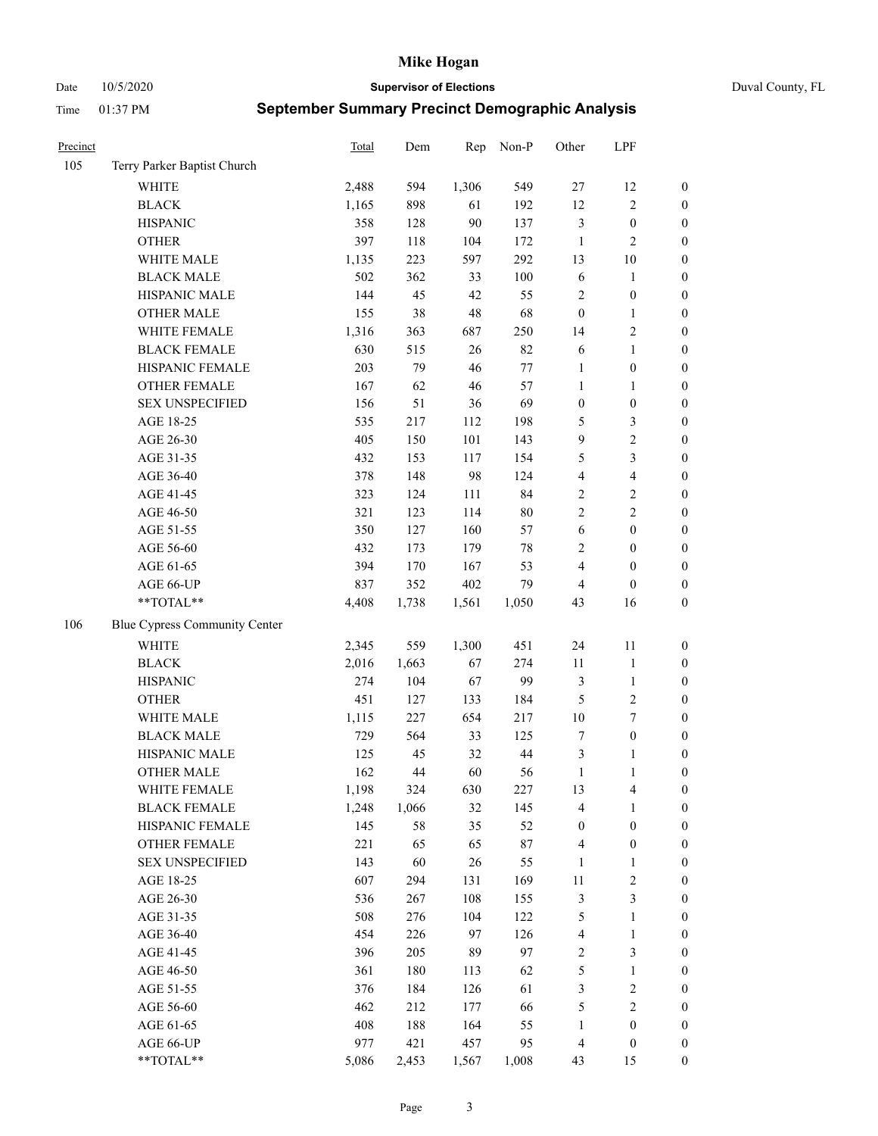Date 10/5/2020 **Supervisor of Elections** Duval County, FL

| Precinct |                               | Total | Dem   | Rep    | Non-P  | Other            | LPF                     |                  |
|----------|-------------------------------|-------|-------|--------|--------|------------------|-------------------------|------------------|
| 105      | Terry Parker Baptist Church   |       |       |        |        |                  |                         |                  |
|          | <b>WHITE</b>                  | 2,488 | 594   | 1,306  | 549    | $27\,$           | 12                      | 0                |
|          | <b>BLACK</b>                  | 1,165 | 898   | 61     | 192    | 12               | $\sqrt{2}$              | $\boldsymbol{0}$ |
|          | <b>HISPANIC</b>               | 358   | 128   | 90     | 137    | 3                | $\boldsymbol{0}$        | $\boldsymbol{0}$ |
|          | <b>OTHER</b>                  | 397   | 118   | 104    | 172    | $\mathbf{1}$     | $\mathfrak{2}$          | $\boldsymbol{0}$ |
|          | WHITE MALE                    | 1,135 | 223   | 597    | 292    | 13               | $10\,$                  | $\boldsymbol{0}$ |
|          | <b>BLACK MALE</b>             | 502   | 362   | 33     | 100    | 6                | $\mathbf{1}$            | $\boldsymbol{0}$ |
|          | HISPANIC MALE                 | 144   | 45    | 42     | 55     | $\overline{c}$   | $\boldsymbol{0}$        | $\boldsymbol{0}$ |
|          | <b>OTHER MALE</b>             | 155   | 38    | 48     | 68     | $\boldsymbol{0}$ | $\mathbf{1}$            | $\boldsymbol{0}$ |
|          | WHITE FEMALE                  | 1,316 | 363   | 687    | 250    | 14               | $\sqrt{2}$              | $\boldsymbol{0}$ |
|          | <b>BLACK FEMALE</b>           | 630   | 515   | $26\,$ | 82     | 6                | $\mathbf{1}$            | $\boldsymbol{0}$ |
|          | HISPANIC FEMALE               | 203   | 79    | 46     | $77\,$ | $\mathbf{1}$     | $\boldsymbol{0}$        | 0                |
|          | OTHER FEMALE                  | 167   | 62    | $46\,$ | 57     | $\mathbf{1}$     | $\mathbf{1}$            | 0                |
|          | <b>SEX UNSPECIFIED</b>        | 156   | 51    | 36     | 69     | $\boldsymbol{0}$ | $\boldsymbol{0}$        | $\boldsymbol{0}$ |
|          | AGE 18-25                     | 535   | 217   | 112    | 198    | 5                | $\mathfrak{Z}$          | $\boldsymbol{0}$ |
|          | AGE 26-30                     | 405   | 150   | 101    | 143    | 9                | $\sqrt{2}$              | $\boldsymbol{0}$ |
|          | AGE 31-35                     | 432   | 153   | 117    | 154    | 5                | $\mathfrak{Z}$          | $\boldsymbol{0}$ |
|          | AGE 36-40                     | 378   | 148   | 98     | 124    | 4                | $\overline{\mathbf{4}}$ | $\boldsymbol{0}$ |
|          | AGE 41-45                     | 323   | 124   | 111    | 84     | $\sqrt{2}$       | $\sqrt{2}$              | $\boldsymbol{0}$ |
|          | AGE 46-50                     | 321   | 123   | 114    | $80\,$ | $\overline{c}$   | $\overline{2}$          | $\boldsymbol{0}$ |
|          | AGE 51-55                     | 350   | 127   | 160    | 57     | 6                | $\boldsymbol{0}$        | $\boldsymbol{0}$ |
|          | AGE 56-60                     | 432   | 173   | 179    | $78\,$ | $\overline{c}$   | $\boldsymbol{0}$        | 0                |
|          | AGE 61-65                     | 394   | 170   | 167    | 53     | 4                | $\boldsymbol{0}$        | $\boldsymbol{0}$ |
|          | AGE 66-UP                     | 837   | 352   | 402    | 79     | $\overline{4}$   | $\boldsymbol{0}$        | $\boldsymbol{0}$ |
|          | $**TOTAL**$                   | 4,408 | 1,738 | 1,561  | 1,050  | 43               | 16                      | $\boldsymbol{0}$ |
| 106      | Blue Cypress Community Center |       |       |        |        |                  |                         |                  |
|          | <b>WHITE</b>                  | 2,345 | 559   | 1,300  | 451    | 24               | $11\,$                  | $\boldsymbol{0}$ |
|          | <b>BLACK</b>                  | 2,016 | 1,663 | 67     | 274    | $11\,$           | $\mathbf{1}$            | $\boldsymbol{0}$ |
|          | <b>HISPANIC</b>               | 274   | 104   | 67     | 99     | 3                | $\mathbf{1}$            | $\boldsymbol{0}$ |
|          | <b>OTHER</b>                  | 451   | 127   | 133    | 184    | 5                | $\sqrt{2}$              | $\boldsymbol{0}$ |
|          | WHITE MALE                    | 1,115 | 227   | 654    | 217    | 10               | $\boldsymbol{7}$        | $\boldsymbol{0}$ |
|          | <b>BLACK MALE</b>             | 729   | 564   | 33     | 125    | 7                | $\boldsymbol{0}$        | $\boldsymbol{0}$ |
|          | HISPANIC MALE                 | 125   | 45    | 32     | 44     | 3                | 1                       | $\boldsymbol{0}$ |
|          | <b>OTHER MALE</b>             | 162   | 44    | 60     | 56     | $\mathbf{1}$     | $\mathbf{1}$            | $\boldsymbol{0}$ |
|          | WHITE FEMALE                  | 1,198 | 324   | 630    | 227    | 13               | 4                       | 0                |
|          | <b>BLACK FEMALE</b>           | 1,248 | 1,066 | 32     | 145    | 4                | $\mathbf{1}$            | $\boldsymbol{0}$ |
|          | HISPANIC FEMALE               | 145   | 58    | 35     | 52     | $\boldsymbol{0}$ | $\boldsymbol{0}$        | $\overline{0}$   |
|          | <b>OTHER FEMALE</b>           | 221   | 65    | 65     | 87     | $\overline{4}$   | $\boldsymbol{0}$        | 0                |
|          | <b>SEX UNSPECIFIED</b>        | 143   | 60    | 26     | 55     | $\mathbf{1}$     | $\mathbf{1}$            | 0                |
|          | AGE 18-25                     | 607   | 294   | 131    | 169    | $11\,$           | $\sqrt{2}$              | 0                |
|          | AGE 26-30                     | 536   | 267   | 108    | 155    | $\mathfrak{Z}$   | $\mathfrak{Z}$          | 0                |
|          | AGE 31-35                     | 508   | 276   | 104    | 122    | 5                | $\mathbf{1}$            | 0                |
|          | AGE 36-40                     | 454   | 226   | 97     | 126    | 4                | $\mathbf{1}$            | 0                |
|          | AGE 41-45                     | 396   | 205   | 89     | 97     | $\overline{c}$   | $\mathfrak{Z}$          | 0                |
|          | AGE 46-50                     | 361   | 180   | 113    | 62     | $\mathfrak s$    | $\mathbf{1}$            | 0                |
|          | AGE 51-55                     | 376   | 184   | 126    | 61     | $\mathfrak{Z}$   | $\sqrt{2}$              | 0                |
|          | AGE 56-60                     | 462   | 212   | 177    | 66     | 5                | $\sqrt{2}$              | 0                |
|          | AGE 61-65                     | 408   | 188   | 164    | 55     | $\mathbf{1}$     | $\boldsymbol{0}$        | $\boldsymbol{0}$ |
|          | AGE 66-UP                     | 977   | 421   | 457    | 95     | $\overline{4}$   | $\boldsymbol{0}$        | 0                |
|          | **TOTAL**                     | 5,086 | 2,453 | 1,567  | 1,008  | 43               | 15                      | $\boldsymbol{0}$ |
|          |                               |       |       |        |        |                  |                         |                  |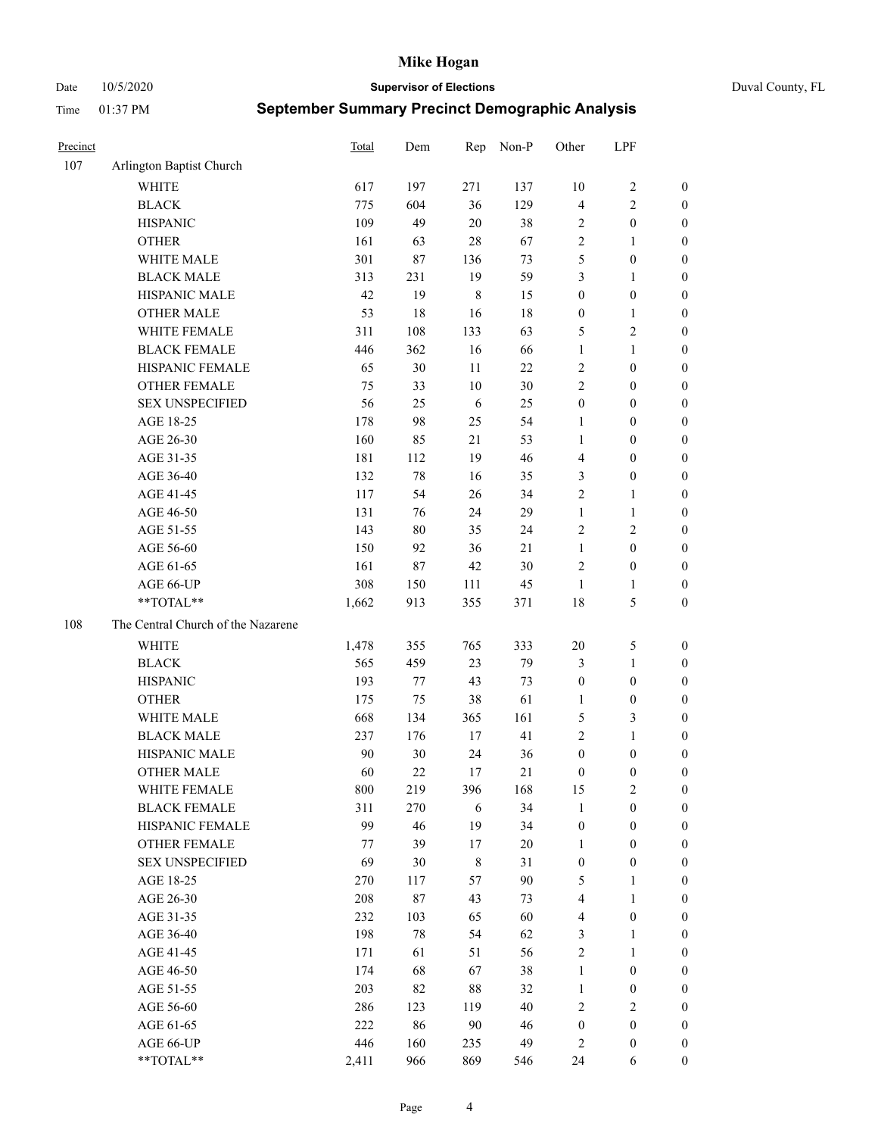Date 10/5/2020 **Supervisor of Elections** Duval County, FL

| Precinct |                                    | <b>Total</b> | Dem    | Rep         | Non-P  | Other            | LPF              |                  |
|----------|------------------------------------|--------------|--------|-------------|--------|------------------|------------------|------------------|
| 107      | Arlington Baptist Church           |              |        |             |        |                  |                  |                  |
|          | <b>WHITE</b>                       | 617          | 197    | 271         | 137    | 10               | $\sqrt{2}$       | 0                |
|          | <b>BLACK</b>                       | 775          | 604    | 36          | 129    | $\overline{4}$   | $\sqrt{2}$       | $\boldsymbol{0}$ |
|          | <b>HISPANIC</b>                    | 109          | 49     | 20          | 38     | $\overline{c}$   | $\boldsymbol{0}$ | $\boldsymbol{0}$ |
|          | <b>OTHER</b>                       | 161          | 63     | $28\,$      | 67     | $\sqrt{2}$       | $\mathbf{1}$     | $\boldsymbol{0}$ |
|          | WHITE MALE                         | 301          | 87     | 136         | 73     | 5                | $\boldsymbol{0}$ | $\boldsymbol{0}$ |
|          | <b>BLACK MALE</b>                  | 313          | 231    | 19          | 59     | 3                | $\mathbf{1}$     | $\boldsymbol{0}$ |
|          | HISPANIC MALE                      | 42           | 19     | $\,$ 8 $\,$ | 15     | $\boldsymbol{0}$ | $\boldsymbol{0}$ | $\boldsymbol{0}$ |
|          | <b>OTHER MALE</b>                  | 53           | 18     | 16          | 18     | $\boldsymbol{0}$ | $\mathbf{1}$     | $\boldsymbol{0}$ |
|          | WHITE FEMALE                       | 311          | 108    | 133         | 63     | 5                | $\overline{c}$   | $\boldsymbol{0}$ |
|          | <b>BLACK FEMALE</b>                | 446          | 362    | 16          | 66     | $\mathbf{1}$     | $\mathbf{1}$     | $\boldsymbol{0}$ |
|          | HISPANIC FEMALE                    | 65           | 30     | 11          | 22     | $\sqrt{2}$       | $\boldsymbol{0}$ | 0                |
|          | <b>OTHER FEMALE</b>                | 75           | 33     | $10\,$      | 30     | $\mathbf{2}$     | $\boldsymbol{0}$ | $\boldsymbol{0}$ |
|          | <b>SEX UNSPECIFIED</b>             | 56           | 25     | 6           | 25     | $\boldsymbol{0}$ | $\boldsymbol{0}$ | $\boldsymbol{0}$ |
|          | AGE 18-25                          | 178          | 98     | 25          | 54     | 1                | $\boldsymbol{0}$ | $\boldsymbol{0}$ |
|          | AGE 26-30                          | 160          | 85     | 21          | 53     | $\mathbf{1}$     | $\boldsymbol{0}$ | $\boldsymbol{0}$ |
|          | AGE 31-35                          | 181          | 112    | 19          | 46     | $\overline{4}$   | $\boldsymbol{0}$ | $\boldsymbol{0}$ |
|          | AGE 36-40                          | 132          | 78     | 16          | 35     | 3                | $\boldsymbol{0}$ | $\boldsymbol{0}$ |
|          | AGE 41-45                          | 117          | 54     | 26          | 34     | $\mathbf{2}$     | $\mathbf{1}$     | $\boldsymbol{0}$ |
|          | AGE 46-50                          | 131          | 76     | 24          | 29     | $\mathbf{1}$     | $\mathbf{1}$     | $\boldsymbol{0}$ |
|          | AGE 51-55                          | 143          | $80\,$ | 35          | 24     | 2                | $\sqrt{2}$       | $\boldsymbol{0}$ |
|          | AGE 56-60                          | 150          | 92     | 36          | 21     | $\mathbf{1}$     | $\boldsymbol{0}$ | 0                |
|          | AGE 61-65                          | 161          | 87     | $42\,$      | 30     | $\overline{c}$   | $\boldsymbol{0}$ | 0                |
|          | AGE 66-UP                          | 308          | 150    | 111         | 45     | $\mathbf{1}$     | $\mathbf{1}$     | $\boldsymbol{0}$ |
|          | **TOTAL**                          | 1,662        | 913    | 355         | 371    | 18               | $\mathfrak{S}$   | $\boldsymbol{0}$ |
| 108      | The Central Church of the Nazarene |              |        |             |        |                  |                  |                  |
|          | <b>WHITE</b>                       | 1,478        | 355    | 765         | 333    | $20\,$           | $\mathfrak{S}$   | $\boldsymbol{0}$ |
|          | <b>BLACK</b>                       | 565          | 459    | 23          | 79     | 3                | $\mathbf{1}$     | $\boldsymbol{0}$ |
|          | <b>HISPANIC</b>                    | 193          | 77     | 43          | 73     | $\boldsymbol{0}$ | $\boldsymbol{0}$ | $\boldsymbol{0}$ |
|          | <b>OTHER</b>                       | 175          | 75     | 38          | 61     | $\mathbf{1}$     | $\boldsymbol{0}$ | $\boldsymbol{0}$ |
|          | WHITE MALE                         | 668          | 134    | 365         | 161    | 5                | $\mathfrak{Z}$   | $\boldsymbol{0}$ |
|          | <b>BLACK MALE</b>                  | 237          | 176    | 17          | 41     | $\mathfrak{2}$   | $\mathbf{1}$     | $\boldsymbol{0}$ |
|          | HISPANIC MALE                      | 90           | 30     | 24          | 36     | $\boldsymbol{0}$ | $\boldsymbol{0}$ | 0                |
|          | <b>OTHER MALE</b>                  | 60           | 22     | 17          | 21     | $\boldsymbol{0}$ | $\boldsymbol{0}$ | $\boldsymbol{0}$ |
|          | WHITE FEMALE                       | 800          | 219    | 396         | 168    | 15               | 2                | 0                |
|          | <b>BLACK FEMALE</b>                | 311          | 270    | 6           | 34     | $\mathbf{1}$     | $\boldsymbol{0}$ | $\boldsymbol{0}$ |
|          | HISPANIC FEMALE                    | 99           | 46     | 19          | 34     | $\boldsymbol{0}$ | $\boldsymbol{0}$ | $\overline{0}$   |
|          | OTHER FEMALE                       | 77           | 39     | 17          | $20\,$ | $\mathbf{1}$     | $\boldsymbol{0}$ | $\overline{0}$   |
|          | <b>SEX UNSPECIFIED</b>             | 69           | 30     | $\,8\,$     | 31     | $\boldsymbol{0}$ | $\boldsymbol{0}$ | 0                |
|          | AGE 18-25                          | 270          | 117    | 57          | 90     | 5                | $\mathbf{1}$     | $\theta$         |
|          | AGE 26-30                          | 208          | 87     | 43          | 73     | 4                | $\mathbf{1}$     | 0                |
|          | AGE 31-35                          | 232          | 103    | 65          | 60     | 4                | $\boldsymbol{0}$ | 0                |
|          | AGE 36-40                          | 198          | 78     | 54          | 62     | 3                | $\mathbf{1}$     | 0                |
|          | AGE 41-45                          | 171          | 61     | 51          | 56     | $\sqrt{2}$       | $\mathbf{1}$     | 0                |
|          | AGE 46-50                          | 174          | 68     | 67          | 38     | $\mathbf{1}$     | $\boldsymbol{0}$ | 0                |
|          | AGE 51-55                          | 203          | 82     | $88\,$      | 32     | $\mathbf{1}$     | $\boldsymbol{0}$ | 0                |
|          | AGE 56-60                          | 286          | 123    | 119         | 40     | $\overline{c}$   | $\mathfrak{2}$   | $\overline{0}$   |
|          | AGE 61-65                          | 222          | 86     | $90\,$      | 46     | $\boldsymbol{0}$ | $\boldsymbol{0}$ | $\overline{0}$   |
|          | AGE 66-UP                          | 446          | 160    | 235         | 49     | 2                | $\boldsymbol{0}$ | $\boldsymbol{0}$ |
|          | **TOTAL**                          | 2,411        | 966    | 869         | 546    | 24               | 6                | $\boldsymbol{0}$ |
|          |                                    |              |        |             |        |                  |                  |                  |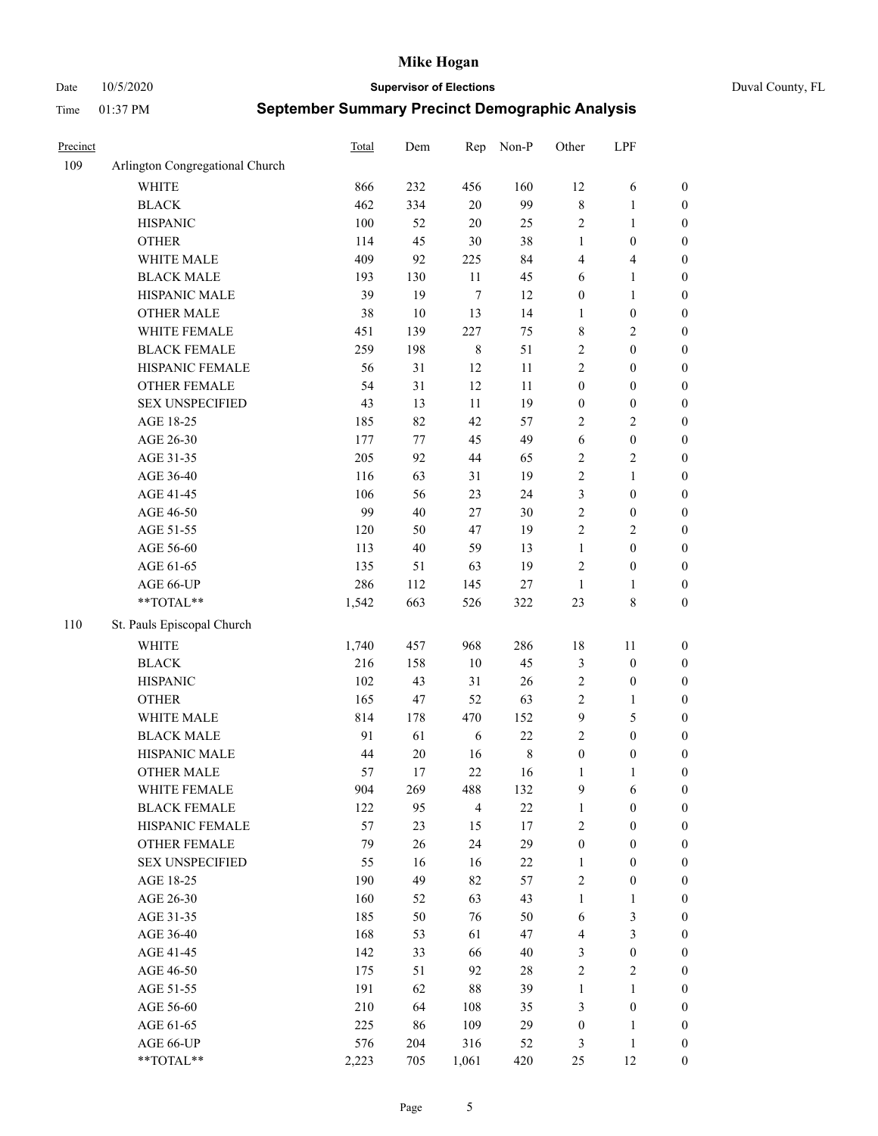Date 10/5/2020 **Supervisor of Elections** Duval County, FL

| Precinct |                                 | Total | Dem     | Rep            | Non-P       | Other            | LPF                     |                  |
|----------|---------------------------------|-------|---------|----------------|-------------|------------------|-------------------------|------------------|
| 109      | Arlington Congregational Church |       |         |                |             |                  |                         |                  |
|          | <b>WHITE</b>                    | 866   | 232     | 456            | 160         | 12               | 6                       | 0                |
|          | <b>BLACK</b>                    | 462   | 334     | $20\,$         | 99          | $\,8\,$          | $\mathbf{1}$            | $\boldsymbol{0}$ |
|          | <b>HISPANIC</b>                 | 100   | 52      | $20\,$         | 25          | $\sqrt{2}$       | $\mathbf{1}$            | $\boldsymbol{0}$ |
|          | <b>OTHER</b>                    | 114   | 45      | $30\,$         | 38          | $\mathbf{1}$     | $\boldsymbol{0}$        | $\boldsymbol{0}$ |
|          | WHITE MALE                      | 409   | 92      | 225            | 84          | 4                | $\overline{\mathbf{4}}$ | $\boldsymbol{0}$ |
|          | <b>BLACK MALE</b>               | 193   | 130     | 11             | 45          | 6                | $\mathbf{1}$            | $\boldsymbol{0}$ |
|          | HISPANIC MALE                   | 39    | 19      | 7              | 12          | $\boldsymbol{0}$ | $\mathbf{1}$            | $\boldsymbol{0}$ |
|          | <b>OTHER MALE</b>               | 38    | 10      | 13             | 14          | $\mathbf{1}$     | $\boldsymbol{0}$        | $\boldsymbol{0}$ |
|          | WHITE FEMALE                    | 451   | 139     | 227            | 75          | 8                | $\overline{2}$          | $\boldsymbol{0}$ |
|          | <b>BLACK FEMALE</b>             | 259   | 198     | $\,$ 8 $\,$    | 51          | $\sqrt{2}$       | $\boldsymbol{0}$        | $\boldsymbol{0}$ |
|          | HISPANIC FEMALE                 | 56    | 31      | 12             | 11          | $\overline{c}$   | $\boldsymbol{0}$        | $\boldsymbol{0}$ |
|          | <b>OTHER FEMALE</b>             | 54    | 31      | 12             | 11          | $\boldsymbol{0}$ | $\boldsymbol{0}$        | $\boldsymbol{0}$ |
|          | <b>SEX UNSPECIFIED</b>          | 43    | 13      | 11             | 19          | $\boldsymbol{0}$ | $\boldsymbol{0}$        | $\boldsymbol{0}$ |
|          | AGE 18-25                       | 185   | 82      | 42             | 57          | 2                | $\sqrt{2}$              | $\boldsymbol{0}$ |
|          | AGE 26-30                       | 177   | $77 \,$ | 45             | 49          | 6                | $\boldsymbol{0}$        | $\boldsymbol{0}$ |
|          | AGE 31-35                       | 205   | 92      | 44             | 65          | $\sqrt{2}$       | $\sqrt{2}$              | $\boldsymbol{0}$ |
|          | AGE 36-40                       | 116   | 63      | 31             | 19          | $\sqrt{2}$       | $\mathbf{1}$            | $\boldsymbol{0}$ |
|          | AGE 41-45                       | 106   | 56      | 23             | 24          | 3                | $\boldsymbol{0}$        | $\boldsymbol{0}$ |
|          | AGE 46-50                       | 99    | 40      | $27\,$         | 30          | $\sqrt{2}$       | $\boldsymbol{0}$        | $\boldsymbol{0}$ |
|          | AGE 51-55                       | 120   | 50      | 47             | 19          | $\sqrt{2}$       | $\sqrt{2}$              | $\boldsymbol{0}$ |
|          | AGE 56-60                       | 113   | 40      | 59             | 13          | $\mathbf{1}$     | $\boldsymbol{0}$        | 0                |
|          | AGE 61-65                       | 135   | 51      | 63             | 19          | 2                | $\boldsymbol{0}$        | 0                |
|          | AGE 66-UP                       | 286   | 112     | 145            | $27\,$      | $\mathbf{1}$     | $\mathbf{1}$            | $\boldsymbol{0}$ |
|          | $**TOTAL**$                     | 1,542 | 663     | 526            | 322         | 23               | $8\,$                   | $\boldsymbol{0}$ |
| 110      | St. Pauls Episcopal Church      |       |         |                |             |                  |                         |                  |
|          | <b>WHITE</b>                    | 1,740 | 457     | 968            | 286         | 18               | 11                      | $\boldsymbol{0}$ |
|          | <b>BLACK</b>                    | 216   | 158     | $10\,$         | 45          | 3                | $\boldsymbol{0}$        | $\boldsymbol{0}$ |
|          | <b>HISPANIC</b>                 | 102   | 43      | 31             | 26          | 2                | $\boldsymbol{0}$        | $\boldsymbol{0}$ |
|          | <b>OTHER</b>                    | 165   | 47      | 52             | 63          | 2                | $\mathbf{1}$            | $\boldsymbol{0}$ |
|          | WHITE MALE                      | 814   | 178     | 470            | 152         | 9                | $\mathfrak{S}$          | $\boldsymbol{0}$ |
|          | <b>BLACK MALE</b>               | 91    | 61      | 6              | $22\,$      | $\mathbf{2}$     | $\boldsymbol{0}$        | $\boldsymbol{0}$ |
|          | HISPANIC MALE                   | 44    | $20\,$  | 16             | $\,$ 8 $\,$ | $\boldsymbol{0}$ | $\boldsymbol{0}$        | $\boldsymbol{0}$ |
|          | <b>OTHER MALE</b>               | 57    | 17      | 22             | 16          | $\mathbf{1}$     | $\mathbf{1}$            | $\boldsymbol{0}$ |
|          | WHITE FEMALE                    | 904   | 269     | 488            | 132         | 9                | 6                       | 0                |
|          | <b>BLACK FEMALE</b>             | 122   | 95      | $\overline{4}$ | 22          | $\mathbf{1}$     | $\boldsymbol{0}$        | $\boldsymbol{0}$ |
|          | HISPANIC FEMALE                 | 57    | 23      | 15             | $17\,$      | $\mathbf{2}$     | $\boldsymbol{0}$        | $\overline{0}$   |
|          | OTHER FEMALE                    | 79    | 26      | 24             | 29          | $\boldsymbol{0}$ | $\boldsymbol{0}$        | $\overline{0}$   |
|          | <b>SEX UNSPECIFIED</b>          | 55    | 16      | 16             | 22          | $\mathbf{1}$     | $\boldsymbol{0}$        | 0                |
|          | AGE 18-25                       | 190   | 49      | 82             | 57          | $\sqrt{2}$       | $\boldsymbol{0}$        | 0                |
|          | AGE 26-30                       | 160   | 52      | 63             | 43          | $\mathbf{1}$     | $\mathbf{1}$            | 0                |
|          | AGE 31-35                       | 185   | 50      | 76             | 50          | 6                | $\mathfrak{Z}$          | 0                |
|          | AGE 36-40                       | 168   | 53      | 61             | 47          | 4                | $\mathfrak{Z}$          | 0                |
|          | AGE 41-45                       | 142   | 33      | 66             | 40          | 3                | $\boldsymbol{0}$        | 0                |
|          | AGE 46-50                       | 175   | 51      | 92             | $28\,$      | $\sqrt{2}$       | $\sqrt{2}$              | 0                |
|          | AGE 51-55                       | 191   | 62      | $88\,$         | 39          | $\mathbf{1}$     | $\mathbf{1}$            | 0                |
|          | AGE 56-60                       | 210   | 64      | 108            | 35          | 3                | $\boldsymbol{0}$        | $\overline{0}$   |
|          | AGE 61-65                       | 225   | 86      | 109            | 29          | $\boldsymbol{0}$ | $\mathbf{1}$            | $\boldsymbol{0}$ |
|          | AGE 66-UP                       | 576   | 204     | 316            | 52          | 3                | $\mathbf{1}$            | $\boldsymbol{0}$ |
|          | **TOTAL**                       | 2,223 | 705     | 1,061          | 420         | 25               | 12                      | $\boldsymbol{0}$ |
|          |                                 |       |         |                |             |                  |                         |                  |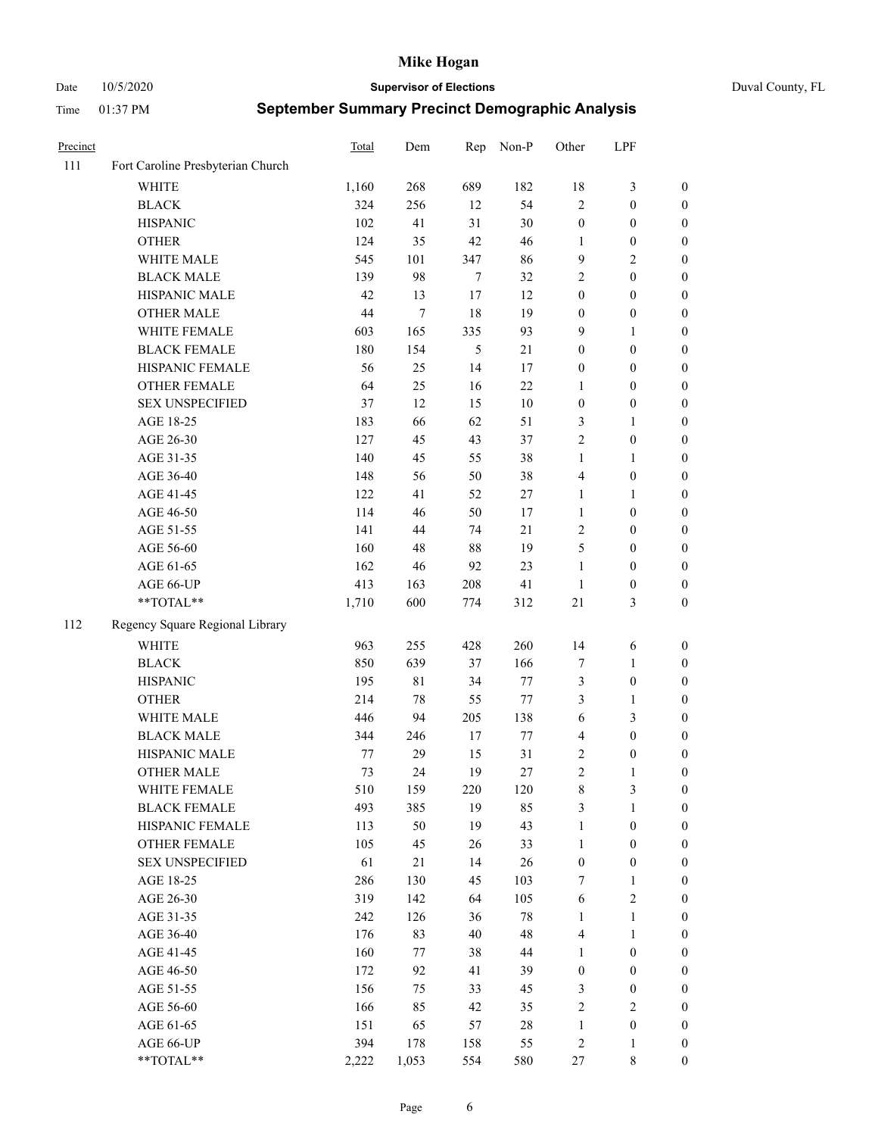Date 10/5/2020 **Supervisor of Elections** Duval County, FL

| Precinct |                                   | <b>Total</b> | Dem    | Rep    | Non-P  | Other            | LPF              |                  |
|----------|-----------------------------------|--------------|--------|--------|--------|------------------|------------------|------------------|
| 111      | Fort Caroline Presbyterian Church |              |        |        |        |                  |                  |                  |
|          | <b>WHITE</b>                      | 1,160        | 268    | 689    | 182    | 18               | $\mathfrak{Z}$   | 0                |
|          | <b>BLACK</b>                      | 324          | 256    | 12     | 54     | $\overline{2}$   | $\boldsymbol{0}$ | $\boldsymbol{0}$ |
|          | <b>HISPANIC</b>                   | 102          | 41     | 31     | $30\,$ | $\boldsymbol{0}$ | $\boldsymbol{0}$ | $\boldsymbol{0}$ |
|          | <b>OTHER</b>                      | 124          | 35     | 42     | 46     | 1                | $\boldsymbol{0}$ | $\boldsymbol{0}$ |
|          | WHITE MALE                        | 545          | 101    | 347    | 86     | 9                | $\sqrt{2}$       | $\boldsymbol{0}$ |
|          | <b>BLACK MALE</b>                 | 139          | 98     | $\tau$ | 32     | 2                | $\boldsymbol{0}$ | $\boldsymbol{0}$ |
|          | HISPANIC MALE                     | 42           | 13     | $17$   | 12     | $\boldsymbol{0}$ | $\boldsymbol{0}$ | $\boldsymbol{0}$ |
|          | <b>OTHER MALE</b>                 | 44           | $\tau$ | 18     | 19     | $\boldsymbol{0}$ | $\boldsymbol{0}$ | $\boldsymbol{0}$ |
|          | WHITE FEMALE                      | 603          | 165    | 335    | 93     | 9                | 1                | $\boldsymbol{0}$ |
|          | <b>BLACK FEMALE</b>               | 180          | 154    | 5      | 21     | $\boldsymbol{0}$ | $\boldsymbol{0}$ | 0                |
|          | HISPANIC FEMALE                   | 56           | 25     | 14     | 17     | $\boldsymbol{0}$ | $\boldsymbol{0}$ | 0                |
|          | OTHER FEMALE                      | 64           | 25     | 16     | 22     | 1                | $\boldsymbol{0}$ | $\boldsymbol{0}$ |
|          | <b>SEX UNSPECIFIED</b>            | 37           | 12     | 15     | 10     | $\boldsymbol{0}$ | $\boldsymbol{0}$ | $\boldsymbol{0}$ |
|          | AGE 18-25                         | 183          | 66     | 62     | 51     | 3                | 1                | $\boldsymbol{0}$ |
|          | AGE 26-30                         | 127          | 45     | 43     | 37     | 2                | $\boldsymbol{0}$ | $\boldsymbol{0}$ |
|          | AGE 31-35                         | 140          | 45     | 55     | 38     | $\mathbf{1}$     | $\mathbf{1}$     | $\boldsymbol{0}$ |
|          | AGE 36-40                         | 148          | 56     | 50     | 38     | 4                | $\boldsymbol{0}$ | $\boldsymbol{0}$ |
|          | AGE 41-45                         | 122          | 41     | 52     | $27\,$ | $\mathbf{1}$     | $\mathbf{1}$     | $\boldsymbol{0}$ |
|          | AGE 46-50                         | 114          | 46     | 50     | 17     | $\mathbf{1}$     | $\boldsymbol{0}$ | $\boldsymbol{0}$ |
|          | AGE 51-55                         | 141          | 44     | 74     | 21     | 2                | $\boldsymbol{0}$ | $\boldsymbol{0}$ |
|          | AGE 56-60                         | 160          | 48     | 88     | 19     | 5                | $\boldsymbol{0}$ | 0                |
|          | AGE 61-65                         | 162          | 46     | 92     | 23     | $\mathbf{1}$     | $\boldsymbol{0}$ | 0                |
|          | AGE 66-UP                         | 413          | 163    | 208    | 41     | $\mathbf{1}$     | $\boldsymbol{0}$ | $\boldsymbol{0}$ |
|          | **TOTAL**                         | 1,710        | 600    | 774    | 312    | 21               | $\mathfrak{Z}$   | $\boldsymbol{0}$ |
| 112      | Regency Square Regional Library   |              |        |        |        |                  |                  |                  |
|          | <b>WHITE</b>                      | 963          | 255    | 428    | 260    | 14               | 6                | $\boldsymbol{0}$ |
|          | <b>BLACK</b>                      | 850          | 639    | 37     | 166    | 7                | $\mathbf{1}$     | $\boldsymbol{0}$ |
|          | <b>HISPANIC</b>                   | 195          | 81     | 34     | 77     | 3                | $\boldsymbol{0}$ | $\boldsymbol{0}$ |
|          | <b>OTHER</b>                      | 214          | $78\,$ | 55     | 77     | 3                | $\mathbf{1}$     | $\boldsymbol{0}$ |
|          | WHITE MALE                        | 446          | 94     | 205    | 138    | 6                | 3                | $\boldsymbol{0}$ |
|          | <b>BLACK MALE</b>                 | 344          | 246    | $17\,$ | $77\,$ | 4                | $\boldsymbol{0}$ | $\boldsymbol{0}$ |
|          | HISPANIC MALE                     | 77           | 29     | 15     | 31     | 2                | $\boldsymbol{0}$ | 0                |
|          | OTHER MALE                        | 73           | 24     | 19     | $27\,$ | $\overline{c}$   | $\mathbf{1}$     | $\boldsymbol{0}$ |
|          | WHITE FEMALE                      | 510          | 159    | 220    | 120    | 8                | 3                | 0                |
|          | <b>BLACK FEMALE</b>               | 493          | 385    | 19     | 85     | 3                | $\mathbf{1}$     | $\boldsymbol{0}$ |
|          | HISPANIC FEMALE                   | 113          | 50     | 19     | 43     | $\mathbf{1}$     | $\boldsymbol{0}$ | $\overline{0}$   |
|          | OTHER FEMALE                      | 105          | 45     | 26     | 33     | $\mathbf{1}$     | $\boldsymbol{0}$ | $\overline{0}$   |
|          | <b>SEX UNSPECIFIED</b>            | 61           | 21     | 14     | 26     | $\boldsymbol{0}$ | $\boldsymbol{0}$ | 0                |
|          | AGE 18-25                         | 286          | 130    | 45     | 103    | 7                | $\mathbf{1}$     | 0                |
|          | AGE 26-30                         | 319          | 142    | 64     | 105    | 6                | $\mathfrak{2}$   | 0                |
|          | AGE 31-35                         | 242          | 126    | 36     | $78\,$ | $\mathbf{1}$     | $\mathbf{1}$     | 0                |
|          | AGE 36-40                         | 176          | 83     | 40     | 48     | 4                | $\mathbf{1}$     | 0                |
|          | AGE 41-45                         | 160          | 77     | 38     | $44\,$ | $\mathbf{1}$     | $\boldsymbol{0}$ | 0                |
|          | AGE 46-50                         | 172          | 92     | 41     | 39     | $\boldsymbol{0}$ | $\boldsymbol{0}$ | 0                |
|          | AGE 51-55                         | 156          | 75     | 33     | 45     | 3                | $\boldsymbol{0}$ | 0                |
|          | AGE 56-60                         | 166          | 85     | 42     | 35     | 2                | $\sqrt{2}$       | $\overline{0}$   |
|          | AGE 61-65                         | 151          | 65     | 57     | 28     | $\mathbf{1}$     | $\boldsymbol{0}$ | $\overline{0}$   |
|          | AGE 66-UP                         | 394          | 178    | 158    | 55     | $\overline{c}$   | $\mathbf{1}$     | 0                |
|          | **TOTAL**                         | 2,222        | 1,053  | 554    | 580    | 27               | 8                | $\boldsymbol{0}$ |
|          |                                   |              |        |        |        |                  |                  |                  |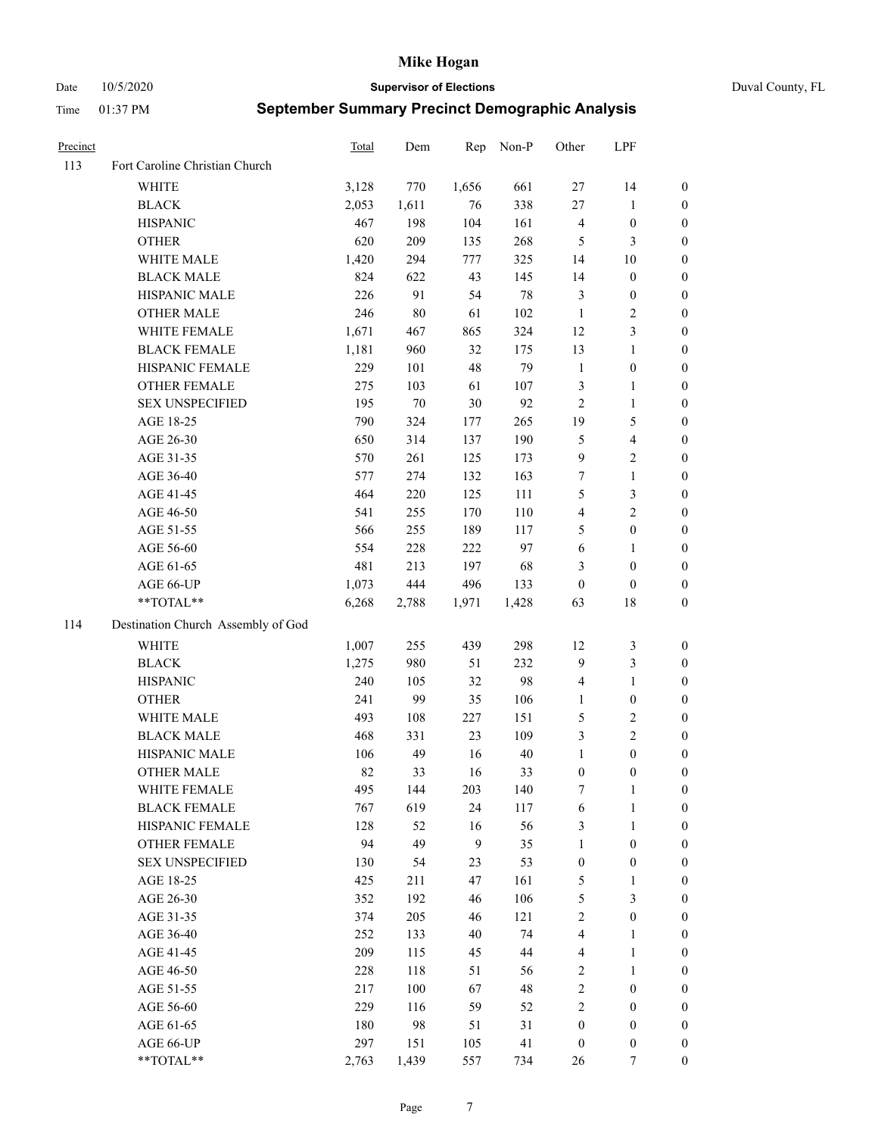Date 10/5/2020 **Supervisor of Elections** Duval County, FL

| Precinct |                                    | Total | Dem   | Rep              | Non-P | Other            | LPF              |                  |
|----------|------------------------------------|-------|-------|------------------|-------|------------------|------------------|------------------|
| 113      | Fort Caroline Christian Church     |       |       |                  |       |                  |                  |                  |
|          | <b>WHITE</b>                       | 3,128 | 770   | 1,656            | 661   | 27               | 14               | 0                |
|          | <b>BLACK</b>                       | 2,053 | 1,611 | 76               | 338   | 27               | $\mathbf{1}$     | 0                |
|          | <b>HISPANIC</b>                    | 467   | 198   | 104              | 161   | 4                | $\boldsymbol{0}$ | $\boldsymbol{0}$ |
|          | <b>OTHER</b>                       | 620   | 209   | 135              | 268   | 5                | 3                | $\boldsymbol{0}$ |
|          | WHITE MALE                         | 1,420 | 294   | 777              | 325   | 14               | 10               | $\boldsymbol{0}$ |
|          | <b>BLACK MALE</b>                  | 824   | 622   | 43               | 145   | 14               | $\boldsymbol{0}$ | $\boldsymbol{0}$ |
|          | HISPANIC MALE                      | 226   | 91    | 54               | 78    | 3                | $\boldsymbol{0}$ | $\boldsymbol{0}$ |
|          | <b>OTHER MALE</b>                  | 246   | 80    | 61               | 102   | $\mathbf{1}$     | $\mathbf{2}$     | $\boldsymbol{0}$ |
|          | WHITE FEMALE                       | 1,671 | 467   | 865              | 324   | 12               | 3                | $\boldsymbol{0}$ |
|          | <b>BLACK FEMALE</b>                | 1,181 | 960   | 32               | 175   | 13               | $\mathbf{1}$     | 0                |
|          | HISPANIC FEMALE                    | 229   | 101   | 48               | 79    | $\mathbf{1}$     | $\boldsymbol{0}$ | 0                |
|          | OTHER FEMALE                       | 275   | 103   | 61               | 107   | 3                | $\mathbf{1}$     | 0                |
|          | <b>SEX UNSPECIFIED</b>             | 195   | 70    | 30               | 92    | $\overline{c}$   | $\mathbf{1}$     | $\boldsymbol{0}$ |
|          | AGE 18-25                          | 790   | 324   | 177              | 265   | 19               | $\mathfrak s$    | $\boldsymbol{0}$ |
|          | AGE 26-30                          | 650   | 314   | 137              | 190   | 5                | $\overline{4}$   | $\boldsymbol{0}$ |
|          | AGE 31-35                          | 570   | 261   | 125              | 173   | 9                | $\sqrt{2}$       | $\boldsymbol{0}$ |
|          | AGE 36-40                          | 577   | 274   | 132              | 163   | $\boldsymbol{7}$ | $\mathbf{1}$     | $\boldsymbol{0}$ |
|          | AGE 41-45                          | 464   | 220   | 125              | 111   | 5                | 3                | $\boldsymbol{0}$ |
|          | AGE 46-50                          | 541   | 255   | 170              | 110   | 4                | $\overline{c}$   | $\boldsymbol{0}$ |
|          | AGE 51-55                          | 566   | 255   | 189              | 117   | 5                | $\boldsymbol{0}$ | 0                |
|          | AGE 56-60                          | 554   | 228   | 222              | 97    | 6                | 1                | 0                |
|          | AGE 61-65                          | 481   | 213   | 197              | 68    | 3                | $\boldsymbol{0}$ | 0                |
|          | AGE 66-UP                          | 1,073 | 444   | 496              | 133   | $\boldsymbol{0}$ | $\boldsymbol{0}$ | $\boldsymbol{0}$ |
|          | $**TOTAL**$                        | 6,268 | 2,788 | 1,971            | 1,428 | 63               | 18               | $\boldsymbol{0}$ |
| 114      | Destination Church Assembly of God |       |       |                  |       |                  |                  |                  |
|          | <b>WHITE</b>                       | 1,007 | 255   | 439              | 298   | 12               | $\mathfrak z$    | $\boldsymbol{0}$ |
|          | <b>BLACK</b>                       | 1,275 | 980   | 51               | 232   | 9                | $\mathfrak{Z}$   | $\boldsymbol{0}$ |
|          | <b>HISPANIC</b>                    | 240   | 105   | 32               | 98    | 4                | $\mathbf{1}$     | $\boldsymbol{0}$ |
|          | <b>OTHER</b>                       | 241   | 99    | 35               | 106   | $\mathbf{1}$     | $\boldsymbol{0}$ | $\boldsymbol{0}$ |
|          | WHITE MALE                         | 493   | 108   | 227              | 151   | 5                | $\sqrt{2}$       | $\overline{0}$   |
|          | <b>BLACK MALE</b>                  | 468   | 331   | 23               | 109   | 3                | $\overline{c}$   | $\boldsymbol{0}$ |
|          | HISPANIC MALE                      | 106   | 49    | 16               | 40    | $\mathbf{1}$     | $\boldsymbol{0}$ | 0                |
|          | <b>OTHER MALE</b>                  | 82    | 33    | 16               | 33    | $\boldsymbol{0}$ | $\boldsymbol{0}$ | $\boldsymbol{0}$ |
|          | WHITE FEMALE                       | 495   | 144   | 203              | 140   | 7                | 1                | 0                |
|          | <b>BLACK FEMALE</b>                | 767   | 619   | 24               | 117   | 6                | $\mathbf{1}$     | $\boldsymbol{0}$ |
|          | HISPANIC FEMALE                    | 128   | 52    | 16               | 56    | 3                | $\mathbf{1}$     | $\overline{0}$   |
|          | OTHER FEMALE                       | 94    | 49    | $\boldsymbol{9}$ | 35    | 1                | $\boldsymbol{0}$ | 0                |
|          | <b>SEX UNSPECIFIED</b>             | 130   | 54    | 23               | 53    | $\boldsymbol{0}$ | $\boldsymbol{0}$ | 0                |
|          | AGE 18-25                          | 425   | 211   | 47               | 161   | 5                | $\mathbf{1}$     | 0                |
|          | AGE 26-30                          | 352   | 192   | 46               | 106   | 5                | 3                | 0                |
|          | AGE 31-35                          | 374   | 205   | 46               | 121   | $\overline{c}$   | $\boldsymbol{0}$ | 0                |
|          | AGE 36-40                          | 252   | 133   | 40               | 74    | 4                | $\mathbf{1}$     | 0                |
|          | AGE 41-45                          | 209   | 115   | 45               | 44    | 4                | $\mathbf{1}$     | 0                |
|          | AGE 46-50                          | 228   | 118   | 51               | 56    | 2                | $\mathbf{1}$     | 0                |
|          | AGE 51-55                          | 217   | 100   | 67               | 48    | $\mathbf{2}$     | $\boldsymbol{0}$ | 0                |
|          | AGE 56-60                          | 229   | 116   | 59               | 52    | 2                | $\boldsymbol{0}$ | 0                |
|          | AGE 61-65                          | 180   | 98    | 51               | 31    | $\boldsymbol{0}$ | $\boldsymbol{0}$ | 0                |
|          | AGE 66-UP                          | 297   | 151   | 105              | 41    | $\boldsymbol{0}$ | $\boldsymbol{0}$ | 0                |
|          | **TOTAL**                          | 2,763 | 1,439 | 557              | 734   | 26               | 7                | $\boldsymbol{0}$ |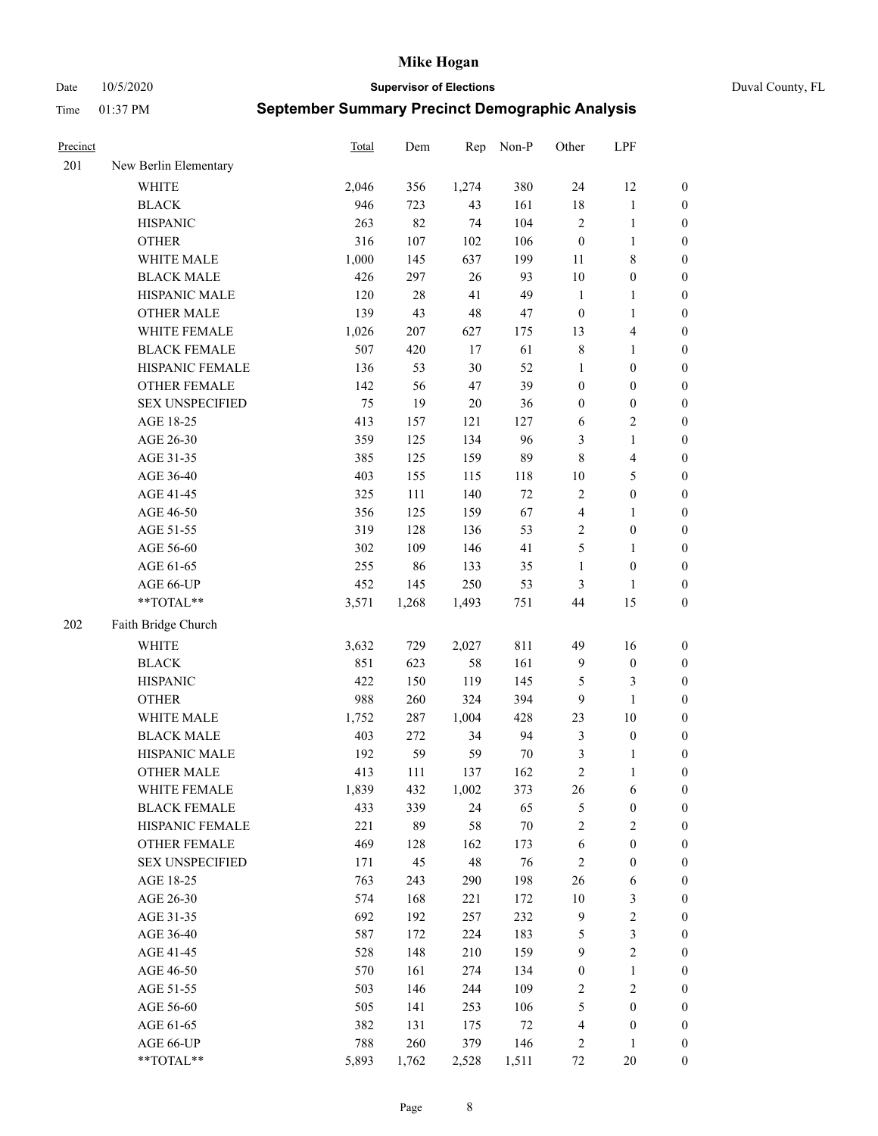Date 10/5/2020 **Supervisor of Elections** Duval County, FL

| Precinct |                        | Total | Dem     | Rep    | Non-P  | Other            | LPF                     |                  |
|----------|------------------------|-------|---------|--------|--------|------------------|-------------------------|------------------|
| 201      | New Berlin Elementary  |       |         |        |        |                  |                         |                  |
|          | <b>WHITE</b>           | 2,046 | 356     | 1,274  | 380    | 24               | 12                      | 0                |
|          | <b>BLACK</b>           | 946   | 723     | 43     | 161    | $18\,$           | $\mathbf{1}$            | 0                |
|          | <b>HISPANIC</b>        | 263   | 82      | 74     | 104    | $\sqrt{2}$       | $\mathbf{1}$            | $\boldsymbol{0}$ |
|          | <b>OTHER</b>           | 316   | 107     | 102    | 106    | $\boldsymbol{0}$ | $\mathbf{1}$            | $\boldsymbol{0}$ |
|          | WHITE MALE             | 1,000 | 145     | 637    | 199    | 11               | $8\,$                   | $\boldsymbol{0}$ |
|          | <b>BLACK MALE</b>      | 426   | 297     | 26     | 93     | $10\,$           | $\boldsymbol{0}$        | $\boldsymbol{0}$ |
|          | HISPANIC MALE          | 120   | 28      | 41     | 49     | $\mathbf{1}$     | $\mathbf{1}$            | $\boldsymbol{0}$ |
|          | <b>OTHER MALE</b>      | 139   | 43      | 48     | 47     | $\boldsymbol{0}$ | $\mathbf{1}$            | $\boldsymbol{0}$ |
|          | WHITE FEMALE           | 1,026 | $207\,$ | 627    | 175    | 13               | $\overline{\mathbf{4}}$ | $\boldsymbol{0}$ |
|          | <b>BLACK FEMALE</b>    | 507   | 420     | $17\,$ | 61     | $\,$ 8 $\,$      | $\mathbf{1}$            | 0                |
|          | HISPANIC FEMALE        | 136   | 53      | $30\,$ | 52     | $\mathbf{1}$     | $\boldsymbol{0}$        | 0                |
|          | <b>OTHER FEMALE</b>    | 142   | 56      | $47\,$ | 39     | $\boldsymbol{0}$ | $\boldsymbol{0}$        | $\boldsymbol{0}$ |
|          | <b>SEX UNSPECIFIED</b> | 75    | 19      | $20\,$ | 36     | $\boldsymbol{0}$ | $\boldsymbol{0}$        | $\boldsymbol{0}$ |
|          | AGE 18-25              | 413   | 157     | 121    | 127    | 6                | $\sqrt{2}$              | $\boldsymbol{0}$ |
|          | AGE 26-30              | 359   | 125     | 134    | 96     | 3                | $\mathbf{1}$            | $\boldsymbol{0}$ |
|          | AGE 31-35              | 385   | 125     | 159    | 89     | $\,8\,$          | $\overline{\mathbf{4}}$ | $\boldsymbol{0}$ |
|          | AGE 36-40              | 403   | 155     | 115    | 118    | 10               | $\mathfrak{S}$          | $\boldsymbol{0}$ |
|          | AGE 41-45              | 325   | 111     | 140    | 72     | $\sqrt{2}$       | $\boldsymbol{0}$        | $\boldsymbol{0}$ |
|          | AGE 46-50              | 356   | 125     | 159    | 67     | 4                | $\mathbf{1}$            | $\boldsymbol{0}$ |
|          | AGE 51-55              | 319   | 128     | 136    | 53     | $\sqrt{2}$       | $\boldsymbol{0}$        | $\boldsymbol{0}$ |
|          | AGE 56-60              | 302   | 109     | 146    | 41     | 5                | $\mathbf{1}$            | 0                |
|          | AGE 61-65              | 255   | 86      | 133    | 35     | $\mathbf{1}$     | $\boldsymbol{0}$        | $\boldsymbol{0}$ |
|          | AGE 66-UP              | 452   | 145     | 250    | 53     | 3                | $\mathbf{1}$            | $\boldsymbol{0}$ |
|          | $**TOTAL**$            | 3,571 | 1,268   | 1,493  | 751    | 44               | 15                      | $\boldsymbol{0}$ |
| 202      | Faith Bridge Church    |       |         |        |        |                  |                         |                  |
|          | <b>WHITE</b>           | 3,632 | 729     | 2,027  | 811    | 49               | 16                      | $\boldsymbol{0}$ |
|          | <b>BLACK</b>           | 851   | 623     | 58     | 161    | $\overline{9}$   | $\boldsymbol{0}$        | $\boldsymbol{0}$ |
|          | <b>HISPANIC</b>        | 422   | 150     | 119    | 145    | 5                | $\mathfrak{Z}$          | $\boldsymbol{0}$ |
|          | <b>OTHER</b>           | 988   | 260     | 324    | 394    | $\overline{9}$   | $\mathbf{1}$            | $\boldsymbol{0}$ |
|          | WHITE MALE             | 1,752 | 287     | 1,004  | 428    | 23               | $10\,$                  | $\boldsymbol{0}$ |
|          | <b>BLACK MALE</b>      | 403   | 272     | 34     | 94     | 3                | $\boldsymbol{0}$        | $\boldsymbol{0}$ |
|          | HISPANIC MALE          | 192   | 59      | 59     | $70\,$ | 3                | 1                       | $\boldsymbol{0}$ |
|          | <b>OTHER MALE</b>      | 413   | 111     | 137    | 162    | $\sqrt{2}$       | $\mathbf{1}$            | $\boldsymbol{0}$ |
|          | WHITE FEMALE           | 1,839 | 432     | 1,002  | 373    | 26               | 6                       | 0                |
|          | <b>BLACK FEMALE</b>    | 433   | 339     | 24     | 65     | 5                | $\boldsymbol{0}$        | $\boldsymbol{0}$ |
|          | HISPANIC FEMALE        | 221   | 89      | 58     | $70\,$ | $\sqrt{2}$       | $\sqrt{2}$              | $\overline{0}$   |
|          | OTHER FEMALE           | 469   | 128     | 162    | 173    | 6                | $\boldsymbol{0}$        | $\overline{0}$   |
|          | <b>SEX UNSPECIFIED</b> | 171   | 45      | 48     | 76     | $\overline{c}$   | $\boldsymbol{0}$        | 0                |
|          | AGE 18-25              | 763   | 243     | 290    | 198    | 26               | 6                       | 0                |
|          | AGE 26-30              | 574   | 168     | 221    | 172    | $10\,$           | $\mathfrak{Z}$          | 0                |
|          | AGE 31-35              | 692   | 192     | 257    | 232    | $\overline{9}$   | $\sqrt{2}$              | 0                |
|          | AGE 36-40              | 587   | 172     | 224    | 183    | 5                | $\mathfrak{Z}$          | 0                |
|          | AGE 41-45              | 528   | 148     | 210    | 159    | $\overline{9}$   | $\sqrt{2}$              | 0                |
|          | AGE 46-50              | 570   | 161     | 274    | 134    | $\boldsymbol{0}$ | $\mathbf{1}$            | 0                |
|          | AGE 51-55              | 503   | 146     | 244    | 109    | $\overline{c}$   | $\sqrt{2}$              | 0                |
|          | AGE 56-60              | 505   | 141     | 253    | 106    | 5                | $\boldsymbol{0}$        | $\boldsymbol{0}$ |
|          | AGE 61-65              | 382   | 131     | 175    | $72\,$ | 4                | $\boldsymbol{0}$        | $\boldsymbol{0}$ |
|          | AGE 66-UP              | 788   | 260     | 379    | 146    | 2                | $\mathbf{1}$            | $\boldsymbol{0}$ |
|          | **TOTAL**              | 5,893 | 1,762   | 2,528  | 1,511  | 72               | 20                      | $\boldsymbol{0}$ |
|          |                        |       |         |        |        |                  |                         |                  |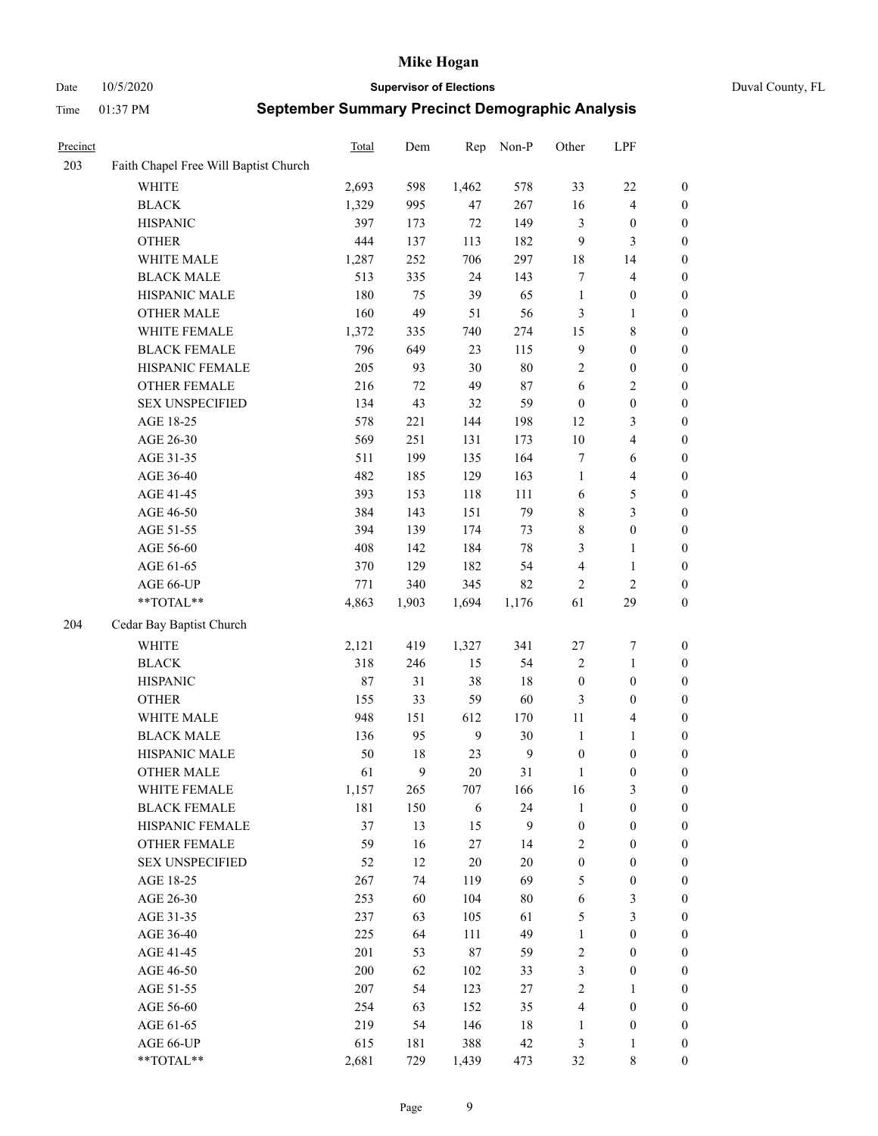Date 10/5/2020 **Supervisor of Elections** Duval County, FL

| Precinct |                                       | Total | Dem    | Rep    | Non-P        | Other            | LPF                     |                  |
|----------|---------------------------------------|-------|--------|--------|--------------|------------------|-------------------------|------------------|
| 203      | Faith Chapel Free Will Baptist Church |       |        |        |              |                  |                         |                  |
|          | <b>WHITE</b>                          | 2,693 | 598    | 1,462  | 578          | 33               | $22\,$                  | $\boldsymbol{0}$ |
|          | <b>BLACK</b>                          | 1,329 | 995    | 47     | 267          | 16               | $\overline{4}$          | $\boldsymbol{0}$ |
|          | <b>HISPANIC</b>                       | 397   | 173    | $72\,$ | 149          | 3                | $\boldsymbol{0}$        | $\boldsymbol{0}$ |
|          | <b>OTHER</b>                          | 444   | 137    | 113    | 182          | 9                | 3                       | $\boldsymbol{0}$ |
|          | WHITE MALE                            | 1,287 | 252    | 706    | 297          | 18               | 14                      | $\boldsymbol{0}$ |
|          | <b>BLACK MALE</b>                     | 513   | 335    | 24     | 143          | 7                | $\overline{4}$          | $\boldsymbol{0}$ |
|          | HISPANIC MALE                         | 180   | 75     | 39     | 65           | $\mathbf{1}$     | $\boldsymbol{0}$        | $\boldsymbol{0}$ |
|          | <b>OTHER MALE</b>                     | 160   | 49     | 51     | 56           | 3                | $\mathbf{1}$            | $\boldsymbol{0}$ |
|          | WHITE FEMALE                          | 1,372 | 335    | 740    | 274          | 15               | $\,$ 8 $\,$             | $\boldsymbol{0}$ |
|          | <b>BLACK FEMALE</b>                   | 796   | 649    | 23     | 115          | $\overline{9}$   | $\boldsymbol{0}$        | 0                |
|          | HISPANIC FEMALE                       | 205   | 93     | $30\,$ | $80\,$       | $\overline{c}$   | $\boldsymbol{0}$        | $\boldsymbol{0}$ |
|          | OTHER FEMALE                          | 216   | $72\,$ | 49     | 87           | 6                | $\sqrt{2}$              | $\boldsymbol{0}$ |
|          | <b>SEX UNSPECIFIED</b>                | 134   | 43     | 32     | 59           | $\boldsymbol{0}$ | $\boldsymbol{0}$        | $\boldsymbol{0}$ |
|          | AGE 18-25                             | 578   | 221    | 144    | 198          | 12               | $\mathfrak{Z}$          | $\boldsymbol{0}$ |
|          | AGE 26-30                             | 569   | 251    | 131    | 173          | 10               | $\overline{\mathbf{4}}$ | $\boldsymbol{0}$ |
|          | AGE 31-35                             | 511   | 199    | 135    | 164          | 7                | 6                       | $\boldsymbol{0}$ |
|          | AGE 36-40                             | 482   | 185    | 129    | 163          | $\mathbf{1}$     | $\overline{4}$          | $\boldsymbol{0}$ |
|          | AGE 41-45                             | 393   | 153    | 118    | 111          | 6                | $\mathfrak s$           | $\boldsymbol{0}$ |
|          | AGE 46-50                             | 384   | 143    | 151    | 79           | 8                | $\mathfrak{Z}$          | $\boldsymbol{0}$ |
|          | AGE 51-55                             | 394   | 139    | 174    | 73           | 8                | $\boldsymbol{0}$        | 0                |
|          | AGE 56-60                             | 408   | 142    | 184    | $78\,$       | 3                | $\mathbf{1}$            | 0                |
|          | AGE 61-65                             | 370   | 129    | 182    | 54           | 4                | $\mathbf{1}$            | $\boldsymbol{0}$ |
|          | AGE 66-UP                             | 771   | 340    | 345    | 82           | 2                | $\mathbf{2}$            | $\boldsymbol{0}$ |
|          | $**TOTAL**$                           | 4,863 | 1,903  | 1,694  | 1,176        | 61               | 29                      | $\boldsymbol{0}$ |
| 204      | Cedar Bay Baptist Church              |       |        |        |              |                  |                         |                  |
|          | <b>WHITE</b>                          | 2,121 | 419    | 1,327  | 341          | $27\,$           | 7                       | $\boldsymbol{0}$ |
|          | <b>BLACK</b>                          | 318   | 246    | 15     | 54           | $\overline{c}$   | $\mathbf{1}$            | $\boldsymbol{0}$ |
|          | <b>HISPANIC</b>                       | 87    | 31     | 38     | 18           | $\boldsymbol{0}$ | $\boldsymbol{0}$        | $\boldsymbol{0}$ |
|          | <b>OTHER</b>                          | 155   | 33     | 59     | 60           | 3                | $\boldsymbol{0}$        | $\boldsymbol{0}$ |
|          | WHITE MALE                            | 948   | 151    | 612    | 170          | $11\,$           | $\overline{\mathbf{4}}$ | $\boldsymbol{0}$ |
|          | <b>BLACK MALE</b>                     | 136   | 95     | 9      | 30           | $\mathbf{1}$     | $\mathbf{1}$            | $\boldsymbol{0}$ |
|          | HISPANIC MALE                         | 50    | 18     | 23     | $\mathbf{9}$ | $\boldsymbol{0}$ | $\boldsymbol{0}$        | 0                |
|          | <b>OTHER MALE</b>                     | 61    | 9      | $20\,$ | 31           | $\mathbf{1}$     | $\boldsymbol{0}$        | $\boldsymbol{0}$ |
|          | WHITE FEMALE                          | 1,157 | 265    | 707    | 166          | 16               | 3                       | $\overline{0}$   |
|          | <b>BLACK FEMALE</b>                   | 181   | 150    | 6      | 24           | $\mathbf{1}$     | $\boldsymbol{0}$        | $\boldsymbol{0}$ |
|          | HISPANIC FEMALE                       | 37    | 13     | 15     | 9            | $\boldsymbol{0}$ | $\boldsymbol{0}$        | $\overline{0}$   |
|          | <b>OTHER FEMALE</b>                   | 59    | 16     | $27\,$ | 14           | $\overline{c}$   | $\boldsymbol{0}$        | $\overline{0}$   |
|          | <b>SEX UNSPECIFIED</b>                | 52    | 12     | $20\,$ | $20\,$       | $\boldsymbol{0}$ | $\boldsymbol{0}$        | 0                |
|          | AGE 18-25                             | 267   | 74     | 119    | 69           | 5                | $\boldsymbol{0}$        | 0                |
|          | AGE 26-30                             | 253   | 60     | 104    | $80\,$       | 6                | $\mathfrak{Z}$          | 0                |
|          | AGE 31-35                             | 237   | 63     | 105    | 61           | 5                | $\mathfrak{Z}$          | 0                |
|          | AGE 36-40                             | 225   | 64     | 111    | 49           | $\mathbf{1}$     | $\boldsymbol{0}$        | 0                |
|          | AGE 41-45                             | 201   | 53     | $87\,$ | 59           | $\boldsymbol{2}$ | $\boldsymbol{0}$        | 0                |
|          | AGE 46-50                             | 200   | 62     | 102    | 33           | 3                | $\boldsymbol{0}$        | 0                |
|          | AGE 51-55                             | 207   | 54     | 123    | $27\,$       | $\overline{c}$   | $\mathbf{1}$            | $\boldsymbol{0}$ |
|          | AGE 56-60                             | 254   | 63     | 152    | 35           | 4                | $\boldsymbol{0}$        | $\boldsymbol{0}$ |
|          | AGE 61-65                             | 219   | 54     | 146    | 18           | $\mathbf{1}$     | $\boldsymbol{0}$        | 0                |
|          | AGE 66-UP                             | 615   | 181    | 388    | 42           | 3                | $\mathbf{1}$            | 0                |
|          | **TOTAL**                             | 2,681 | 729    | 1,439  | 473          | 32               | $8\,$                   | $\boldsymbol{0}$ |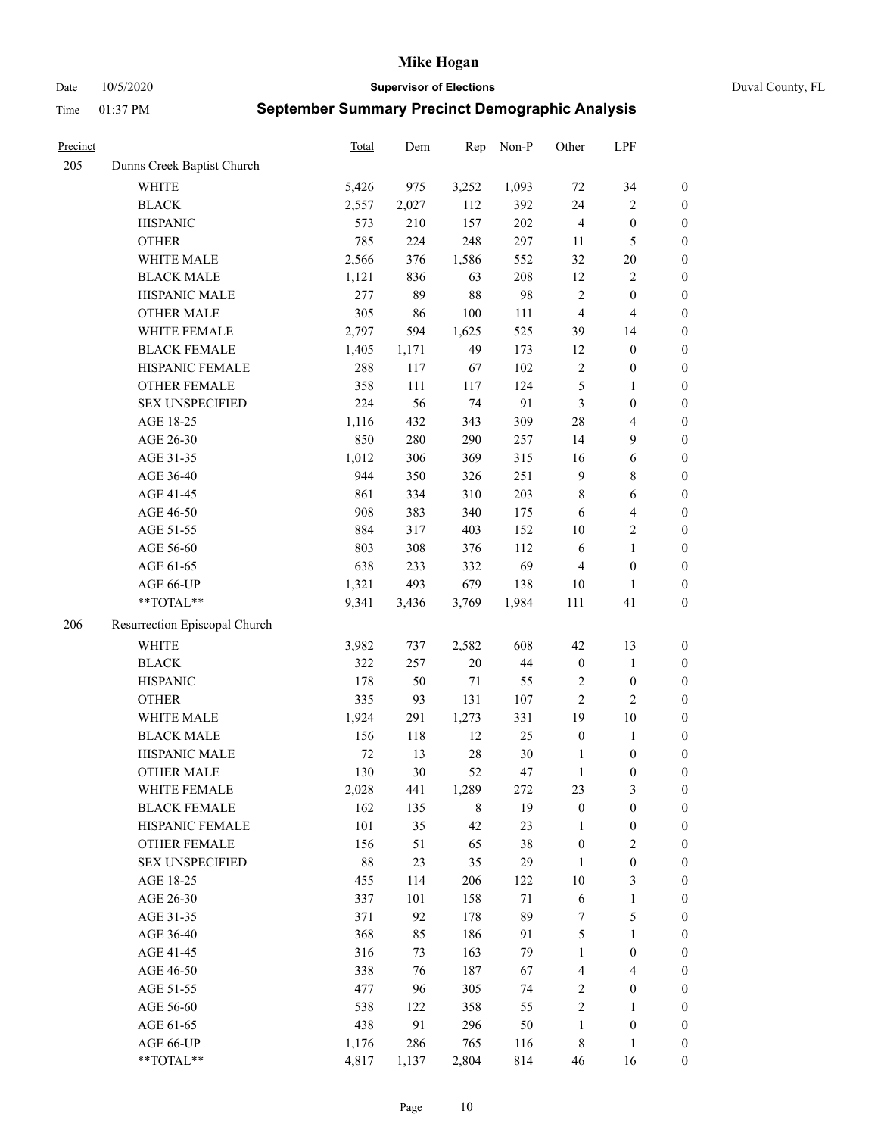Date 10/5/2020 **Supervisor of Elections** Duval County, FL

| Precinct |                               | Total  | Dem   | Rep    | Non-P  | Other            | LPF                     |                  |
|----------|-------------------------------|--------|-------|--------|--------|------------------|-------------------------|------------------|
| 205      | Dunns Creek Baptist Church    |        |       |        |        |                  |                         |                  |
|          | WHITE                         | 5,426  | 975   | 3,252  | 1,093  | 72               | 34                      | $\boldsymbol{0}$ |
|          | <b>BLACK</b>                  | 2,557  | 2,027 | 112    | 392    | 24               | $\sqrt{2}$              | $\boldsymbol{0}$ |
|          | <b>HISPANIC</b>               | 573    | 210   | 157    | 202    | $\overline{4}$   | $\boldsymbol{0}$        | $\boldsymbol{0}$ |
|          | <b>OTHER</b>                  | 785    | 224   | 248    | 297    | 11               | 5                       | $\boldsymbol{0}$ |
|          | WHITE MALE                    | 2,566  | 376   | 1,586  | 552    | 32               | $20\,$                  | $\boldsymbol{0}$ |
|          | <b>BLACK MALE</b>             | 1,121  | 836   | 63     | 208    | 12               | $\sqrt{2}$              | $\boldsymbol{0}$ |
|          | HISPANIC MALE                 | 277    | 89    | 88     | 98     | $\overline{c}$   | $\boldsymbol{0}$        | $\boldsymbol{0}$ |
|          | <b>OTHER MALE</b>             | 305    | 86    | 100    | 111    | $\overline{4}$   | $\overline{4}$          | $\boldsymbol{0}$ |
|          | WHITE FEMALE                  | 2,797  | 594   | 1,625  | 525    | 39               | 14                      | $\boldsymbol{0}$ |
|          | <b>BLACK FEMALE</b>           | 1,405  | 1,171 | 49     | 173    | 12               | $\boldsymbol{0}$        | $\boldsymbol{0}$ |
|          | HISPANIC FEMALE               | 288    | 117   | 67     | 102    | $\sqrt{2}$       | $\boldsymbol{0}$        | 0                |
|          | OTHER FEMALE                  | 358    | 111   | 117    | 124    | $\mathfrak s$    | $\mathbf{1}$            | $\boldsymbol{0}$ |
|          | <b>SEX UNSPECIFIED</b>        | 224    | 56    | 74     | 91     | 3                | $\boldsymbol{0}$        | $\boldsymbol{0}$ |
|          | AGE 18-25                     | 1,116  | 432   | 343    | 309    | 28               | $\overline{4}$          | $\boldsymbol{0}$ |
|          | AGE 26-30                     | 850    | 280   | 290    | 257    | 14               | 9                       | $\boldsymbol{0}$ |
|          | AGE 31-35                     | 1,012  | 306   | 369    | 315    | 16               | 6                       | $\boldsymbol{0}$ |
|          | AGE 36-40                     | 944    | 350   | 326    | 251    | 9                | $\,$ 8 $\,$             | $\boldsymbol{0}$ |
|          | AGE 41-45                     | 861    | 334   | 310    | 203    | 8                | $\sqrt{6}$              | $\boldsymbol{0}$ |
|          | AGE 46-50                     | 908    | 383   | 340    | 175    | 6                | $\overline{\mathbf{4}}$ | $\boldsymbol{0}$ |
|          | AGE 51-55                     | 884    | 317   | 403    | 152    | $10\,$           | $\sqrt{2}$              | $\boldsymbol{0}$ |
|          | AGE 56-60                     | 803    | 308   | 376    | 112    | 6                | $\mathbf{1}$            | 0                |
|          | AGE 61-65                     | 638    | 233   | 332    | 69     | $\overline{4}$   | $\boldsymbol{0}$        | $\boldsymbol{0}$ |
|          | AGE 66-UP                     | 1,321  | 493   | 679    | 138    | 10               | $\mathbf{1}$            | $\boldsymbol{0}$ |
|          | **TOTAL**                     | 9,341  | 3,436 | 3,769  | 1,984  | 111              | 41                      | $\boldsymbol{0}$ |
| 206      | Resurrection Episcopal Church |        |       |        |        |                  |                         |                  |
|          | <b>WHITE</b>                  | 3,982  | 737   | 2,582  | 608    | 42               | 13                      | $\boldsymbol{0}$ |
|          | <b>BLACK</b>                  | 322    | 257   | 20     | 44     | $\boldsymbol{0}$ | $\mathbf{1}$            | $\boldsymbol{0}$ |
|          | <b>HISPANIC</b>               | 178    | 50    | $71\,$ | 55     | $\sqrt{2}$       | $\boldsymbol{0}$        | $\boldsymbol{0}$ |
|          | <b>OTHER</b>                  | 335    | 93    | 131    | 107    | $\overline{c}$   | $\mathbf{2}$            | $\boldsymbol{0}$ |
|          | WHITE MALE                    | 1,924  | 291   | 1,273  | 331    | 19               | $10\,$                  | $\boldsymbol{0}$ |
|          | <b>BLACK MALE</b>             | 156    | 118   | 12     | 25     | $\boldsymbol{0}$ | $\mathbf{1}$            | $\boldsymbol{0}$ |
|          | HISPANIC MALE                 | $72\,$ | 13    | 28     | $30\,$ | 1                | $\boldsymbol{0}$        | $\boldsymbol{0}$ |
|          | <b>OTHER MALE</b>             | 130    | 30    | 52     | 47     | $\mathbf{1}$     | $\boldsymbol{0}$        | $\boldsymbol{0}$ |
|          | WHITE FEMALE                  | 2,028  | 441   | 1,289  | 272    | 23               | 3                       | 0                |
|          | <b>BLACK FEMALE</b>           | 162    | 135   | 8      | 19     | $\boldsymbol{0}$ | $\boldsymbol{0}$        | $\boldsymbol{0}$ |
|          | HISPANIC FEMALE               | 101    | 35    | 42     | 23     | 1                | $\boldsymbol{0}$        | $\overline{0}$   |
|          | OTHER FEMALE                  | 156    | 51    | 65     | 38     | $\boldsymbol{0}$ | $\sqrt{2}$              | 0                |
|          | <b>SEX UNSPECIFIED</b>        | $88\,$ | 23    | 35     | 29     | $\mathbf{1}$     | $\boldsymbol{0}$        | 0                |
|          | AGE 18-25                     | 455    | 114   | 206    | 122    | 10               | $\mathfrak{Z}$          | 0                |
|          | AGE 26-30                     | 337    | 101   | 158    | $71\,$ | 6                | $\mathbf{1}$            | 0                |
|          | AGE 31-35                     | 371    | 92    | 178    | 89     | 7                | $\mathfrak s$           | 0                |
|          | AGE 36-40                     | 368    | 85    | 186    | 91     | 5                | $\mathbf{1}$            | 0                |
|          | AGE 41-45                     | 316    | 73    | 163    | 79     | $\mathbf{1}$     | $\boldsymbol{0}$        | 0                |
|          | AGE 46-50                     | 338    | 76    | 187    | 67     | 4                | $\overline{4}$          | 0                |
|          | AGE 51-55                     | 477    | 96    | 305    | 74     | 2                | $\boldsymbol{0}$        | 0                |
|          | AGE 56-60                     | 538    | 122   | 358    | 55     | $\sqrt{2}$       | $\mathbf{1}$            | 0                |
|          | AGE 61-65                     | 438    | 91    | 296    | 50     | $\mathbf{1}$     | $\boldsymbol{0}$        | 0                |
|          | AGE 66-UP                     | 1,176  | 286   | 765    | 116    | 8                | $\mathbf{1}$            | 0                |
|          | **TOTAL**                     | 4,817  | 1,137 | 2,804  | 814    | 46               | 16                      | $\boldsymbol{0}$ |
|          |                               |        |       |        |        |                  |                         |                  |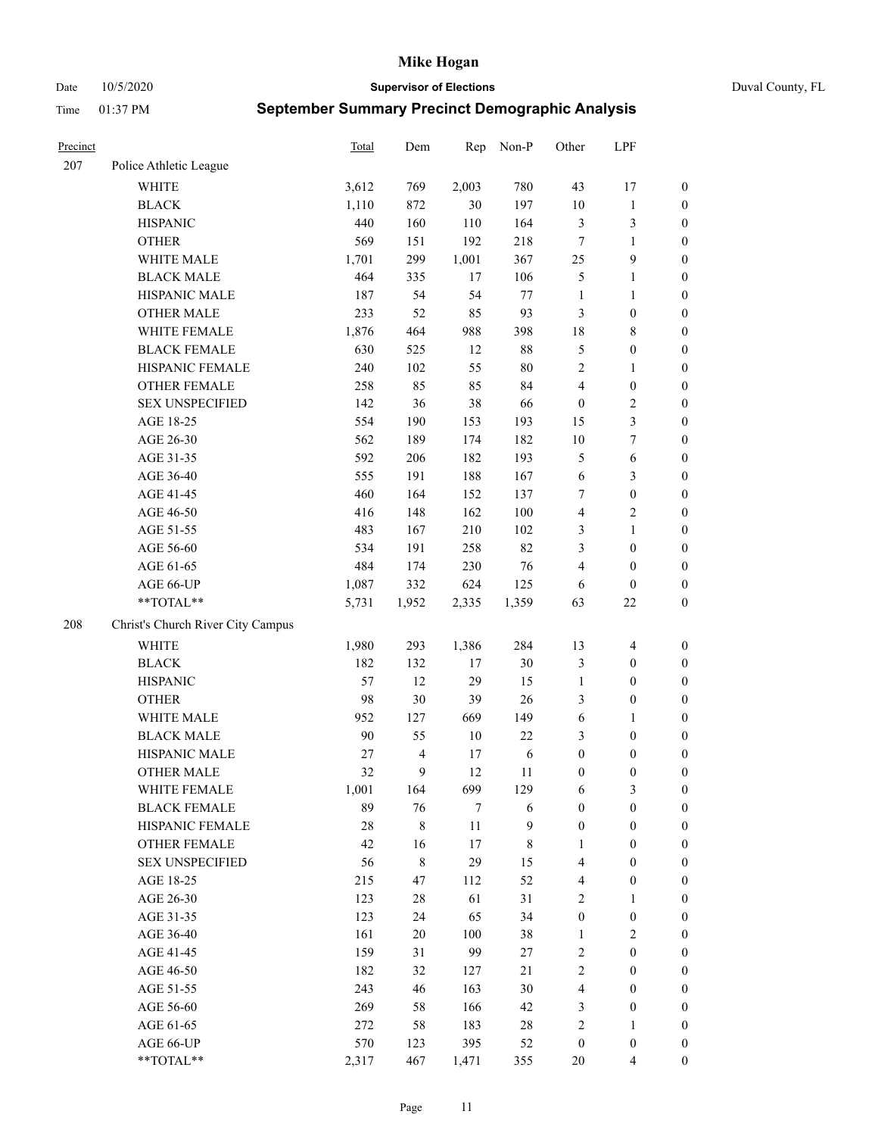Date 10/5/2020 **Supervisor of Elections** Duval County, FL

| Precinct |                                   | <b>Total</b> | Dem                      | Rep    | Non-P  | Other            | LPF              |                  |
|----------|-----------------------------------|--------------|--------------------------|--------|--------|------------------|------------------|------------------|
| 207      | Police Athletic League            |              |                          |        |        |                  |                  |                  |
|          | <b>WHITE</b>                      | 3,612        | 769                      | 2,003  | 780    | 43               | 17               | $\boldsymbol{0}$ |
|          | <b>BLACK</b>                      | 1,110        | 872                      | 30     | 197    | 10               | $\mathbf{1}$     | $\boldsymbol{0}$ |
|          | <b>HISPANIC</b>                   | 440          | 160                      | 110    | 164    | 3                | 3                | $\boldsymbol{0}$ |
|          | <b>OTHER</b>                      | 569          | 151                      | 192    | 218    | 7                | $\mathbf{1}$     | $\boldsymbol{0}$ |
|          | WHITE MALE                        | 1,701        | 299                      | 1,001  | 367    | 25               | 9                | $\boldsymbol{0}$ |
|          | <b>BLACK MALE</b>                 | 464          | 335                      | 17     | 106    | 5                | $\mathbf{1}$     | $\boldsymbol{0}$ |
|          | HISPANIC MALE                     | 187          | 54                       | 54     | 77     | $\mathbf{1}$     | $\mathbf{1}$     | $\boldsymbol{0}$ |
|          | <b>OTHER MALE</b>                 | 233          | 52                       | 85     | 93     | 3                | $\boldsymbol{0}$ | $\boldsymbol{0}$ |
|          | WHITE FEMALE                      | 1,876        | 464                      | 988    | 398    | 18               | $\,$ 8 $\,$      | $\boldsymbol{0}$ |
|          | <b>BLACK FEMALE</b>               | 630          | 525                      | 12     | $88\,$ | 5                | $\boldsymbol{0}$ | $\boldsymbol{0}$ |
|          | HISPANIC FEMALE                   | 240          | 102                      | 55     | 80     | $\overline{c}$   | $\mathbf{1}$     | 0                |
|          | <b>OTHER FEMALE</b>               | 258          | 85                       | 85     | 84     | 4                | $\boldsymbol{0}$ | $\boldsymbol{0}$ |
|          | <b>SEX UNSPECIFIED</b>            | 142          | 36                       | 38     | 66     | $\boldsymbol{0}$ | $\sqrt{2}$       | $\boldsymbol{0}$ |
|          | AGE 18-25                         | 554          | 190                      | 153    | 193    | 15               | $\mathfrak{Z}$   | $\boldsymbol{0}$ |
|          | AGE 26-30                         | 562          | 189                      | 174    | 182    | 10               | $\tau$           | $\boldsymbol{0}$ |
|          | AGE 31-35                         | 592          | 206                      | 182    | 193    | 5                | 6                | $\boldsymbol{0}$ |
|          | AGE 36-40                         | 555          | 191                      | 188    | 167    | 6                | $\mathfrak{Z}$   | $\boldsymbol{0}$ |
|          | AGE 41-45                         | 460          | 164                      | 152    | 137    | 7                | $\boldsymbol{0}$ | $\boldsymbol{0}$ |
|          | AGE 46-50                         | 416          | 148                      | 162    | 100    | 4                | $\overline{c}$   | $\boldsymbol{0}$ |
|          | AGE 51-55                         | 483          | 167                      | 210    | 102    | 3                | $\mathbf{1}$     | $\boldsymbol{0}$ |
|          | AGE 56-60                         | 534          | 191                      | 258    | 82     | 3                | $\boldsymbol{0}$ | 0                |
|          | AGE 61-65                         | 484          | 174                      | 230    | 76     | 4                | $\boldsymbol{0}$ | $\boldsymbol{0}$ |
|          | AGE 66-UP                         | 1,087        | 332                      | 624    | 125    | 6                | $\boldsymbol{0}$ | $\boldsymbol{0}$ |
|          | $**TOTAL**$                       | 5,731        | 1,952                    | 2,335  | 1,359  | 63               | $22\,$           | $\boldsymbol{0}$ |
| 208      | Christ's Church River City Campus |              |                          |        |        |                  |                  |                  |
|          | <b>WHITE</b>                      | 1,980        | 293                      | 1,386  | 284    | 13               | $\overline{4}$   | $\boldsymbol{0}$ |
|          | <b>BLACK</b>                      | 182          | 132                      | 17     | 30     | 3                | $\boldsymbol{0}$ | $\boldsymbol{0}$ |
|          | <b>HISPANIC</b>                   | 57           | 12                       | 29     | 15     | $\mathbf{1}$     | $\boldsymbol{0}$ | $\boldsymbol{0}$ |
|          | <b>OTHER</b>                      | 98           | 30                       | 39     | 26     | 3                | $\boldsymbol{0}$ | $\boldsymbol{0}$ |
|          | WHITE MALE                        | 952          | 127                      | 669    | 149    | 6                | $\mathbf{1}$     | $\boldsymbol{0}$ |
|          | <b>BLACK MALE</b>                 | $90\,$       | 55                       | $10\,$ | 22     | 3                | $\boldsymbol{0}$ | $\boldsymbol{0}$ |
|          | HISPANIC MALE                     | 27           | $\overline{\mathcal{L}}$ | 17     | 6      | $\boldsymbol{0}$ | $\boldsymbol{0}$ | $\boldsymbol{0}$ |
|          | <b>OTHER MALE</b>                 | 32           | 9                        | 12     | 11     | $\boldsymbol{0}$ | $\boldsymbol{0}$ | $\boldsymbol{0}$ |
|          | WHITE FEMALE                      | 1,001        | 164                      | 699    | 129    | 6                | 3                | 0                |
|          | <b>BLACK FEMALE</b>               | 89           | 76                       | 7      | 6      | $\boldsymbol{0}$ | $\boldsymbol{0}$ | $\boldsymbol{0}$ |
|          | HISPANIC FEMALE                   | 28           | $\,$ $\,$                | $11\,$ | 9      | $\boldsymbol{0}$ | $\boldsymbol{0}$ | $\overline{0}$   |
|          | <b>OTHER FEMALE</b>               | 42           | 16                       | 17     | 8      | $\mathbf{1}$     | $\boldsymbol{0}$ | $\overline{0}$   |
|          | <b>SEX UNSPECIFIED</b>            | 56           | 8                        | 29     | 15     | 4                | $\boldsymbol{0}$ | 0                |
|          | AGE 18-25                         | 215          | 47                       | 112    | 52     | 4                | $\boldsymbol{0}$ | $\overline{0}$   |
|          | AGE 26-30                         | 123          | 28                       | 61     | 31     | 2                | $\mathbf{1}$     | 0                |
|          | AGE 31-35                         | 123          | 24                       | 65     | 34     | $\boldsymbol{0}$ | $\boldsymbol{0}$ | 0                |
|          | AGE 36-40                         | 161          | $20\,$                   | 100    | 38     | $\mathbf{1}$     | $\sqrt{2}$       | 0                |
|          | AGE 41-45                         | 159          | 31                       | 99     | 27     | $\sqrt{2}$       | $\boldsymbol{0}$ | 0                |
|          | AGE 46-50                         | 182          | 32                       | 127    | 21     | $\mathbf{2}$     | $\boldsymbol{0}$ | 0                |
|          | AGE 51-55                         | 243          | 46                       | 163    | 30     | 4                | $\boldsymbol{0}$ | $\boldsymbol{0}$ |
|          | AGE 56-60                         | 269          | 58                       | 166    | 42     | 3                | $\boldsymbol{0}$ | $\boldsymbol{0}$ |
|          | AGE 61-65                         | 272          | 58                       | 183    | 28     | $\overline{c}$   | $\mathbf{1}$     | $\boldsymbol{0}$ |
|          | AGE 66-UP                         | 570          | 123                      | 395    | 52     | $\boldsymbol{0}$ | $\boldsymbol{0}$ | $\boldsymbol{0}$ |
|          | **TOTAL**                         | 2,317        | 467                      | 1,471  | 355    | 20               | $\overline{4}$   | $\boldsymbol{0}$ |
|          |                                   |              |                          |        |        |                  |                  |                  |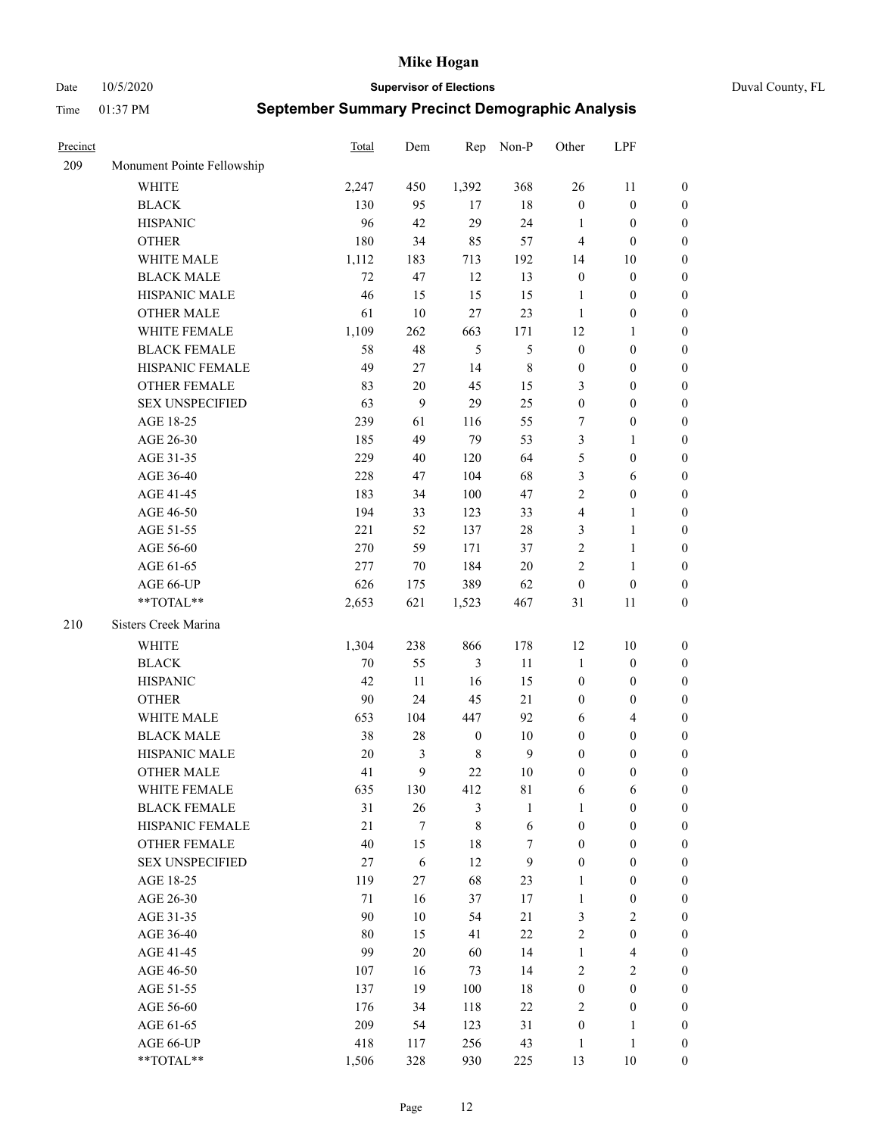Date 10/5/2020 **Supervisor of Elections** Duval County, FL

| Precinct |                            | <b>Total</b> | Dem              | Rep              | Non-P          | Other            | LPF                     |                  |
|----------|----------------------------|--------------|------------------|------------------|----------------|------------------|-------------------------|------------------|
| 209      | Monument Pointe Fellowship |              |                  |                  |                |                  |                         |                  |
|          | <b>WHITE</b>               | 2,247        | 450              | 1,392            | 368            | 26               | 11                      | 0                |
|          | <b>BLACK</b>               | 130          | 95               | 17               | $18\,$         | $\boldsymbol{0}$ | $\boldsymbol{0}$        | 0                |
|          | <b>HISPANIC</b>            | 96           | 42               | 29               | 24             | 1                | $\boldsymbol{0}$        | $\boldsymbol{0}$ |
|          | <b>OTHER</b>               | 180          | 34               | 85               | 57             | 4                | $\boldsymbol{0}$        | $\boldsymbol{0}$ |
|          | WHITE MALE                 | 1,112        | 183              | 713              | 192            | 14               | 10                      | $\boldsymbol{0}$ |
|          | <b>BLACK MALE</b>          | 72           | 47               | 12               | 13             | $\boldsymbol{0}$ | $\boldsymbol{0}$        | $\boldsymbol{0}$ |
|          | HISPANIC MALE              | 46           | 15               | 15               | 15             | $\mathbf{1}$     | $\boldsymbol{0}$        | $\boldsymbol{0}$ |
|          | <b>OTHER MALE</b>          | 61           | $10\,$           | 27               | 23             | $\mathbf{1}$     | $\boldsymbol{0}$        | $\boldsymbol{0}$ |
|          | WHITE FEMALE               | 1,109        | 262              | 663              | 171            | 12               | 1                       | $\boldsymbol{0}$ |
|          | <b>BLACK FEMALE</b>        | 58           | 48               | $\sqrt{5}$       | $\mathfrak{S}$ | $\boldsymbol{0}$ | $\boldsymbol{0}$        | 0                |
|          | HISPANIC FEMALE            | 49           | 27               | 14               | $\,8\,$        | $\boldsymbol{0}$ | $\boldsymbol{0}$        | 0                |
|          | OTHER FEMALE               | 83           | $20\,$           | 45               | 15             | 3                | $\boldsymbol{0}$        | $\boldsymbol{0}$ |
|          | <b>SEX UNSPECIFIED</b>     | 63           | 9                | 29               | 25             | $\boldsymbol{0}$ | $\boldsymbol{0}$        | $\boldsymbol{0}$ |
|          | AGE 18-25                  | 239          | 61               | 116              | 55             | 7                | $\boldsymbol{0}$        | $\boldsymbol{0}$ |
|          | AGE 26-30                  | 185          | 49               | 79               | 53             | 3                | $\mathbf{1}$            | $\boldsymbol{0}$ |
|          | AGE 31-35                  | 229          | 40               | 120              | 64             | 5                | $\boldsymbol{0}$        | $\boldsymbol{0}$ |
|          | AGE 36-40                  | 228          | 47               | 104              | 68             | 3                | 6                       | $\boldsymbol{0}$ |
|          | AGE 41-45                  | 183          | 34               | 100              | 47             | 2                | $\boldsymbol{0}$        | $\boldsymbol{0}$ |
|          | AGE 46-50                  | 194          | 33               | 123              | 33             | 4                | $\mathbf{1}$            | $\boldsymbol{0}$ |
|          | AGE 51-55                  | 221          | 52               | 137              | $28\,$         | 3                | $\mathbf{1}$            | 0                |
|          | AGE 56-60                  | 270          | 59               | 171              | 37             | $\sqrt{2}$       | $\mathbf{1}$            | 0                |
|          | AGE 61-65                  | 277          | 70               | 184              | $20\,$         | $\mathfrak{2}$   | $\mathbf{1}$            | 0                |
|          | AGE 66-UP                  | 626          | 175              | 389              | 62             | $\boldsymbol{0}$ | $\boldsymbol{0}$        | $\boldsymbol{0}$ |
|          | **TOTAL**                  | 2,653        | 621              | 1,523            | 467            | 31               | 11                      | $\boldsymbol{0}$ |
|          |                            |              |                  |                  |                |                  |                         |                  |
| 210      | Sisters Creek Marina       |              |                  |                  |                |                  |                         |                  |
|          | <b>WHITE</b>               | 1,304        | 238              | 866              | 178            | 12               | 10                      | $\boldsymbol{0}$ |
|          | <b>BLACK</b>               | $70\,$       | 55               | $\mathfrak{Z}$   | 11             | $\mathbf{1}$     | $\boldsymbol{0}$        | $\boldsymbol{0}$ |
|          | <b>HISPANIC</b>            | 42           | 11               | 16               | 15             | $\boldsymbol{0}$ | $\boldsymbol{0}$        | $\boldsymbol{0}$ |
|          | <b>OTHER</b>               | 90           | 24               | 45               | 21             | $\boldsymbol{0}$ | $\boldsymbol{0}$        | $\boldsymbol{0}$ |
|          | WHITE MALE                 | 653          | 104              | 447              | 92             | 6                | $\overline{4}$          | $\boldsymbol{0}$ |
|          | <b>BLACK MALE</b>          | 38           | $28\,$           | $\boldsymbol{0}$ | $10\,$         | $\boldsymbol{0}$ | $\boldsymbol{0}$        | $\boldsymbol{0}$ |
|          | HISPANIC MALE              | 20           | 3                | $\,$ 8 $\,$      | $\overline{9}$ | $\boldsymbol{0}$ | $\boldsymbol{0}$        | $\boldsymbol{0}$ |
|          | OTHER MALE                 | 41           | 9                | 22               | $10\,$         | $\boldsymbol{0}$ | $\boldsymbol{0}$        | $\boldsymbol{0}$ |
|          | WHITE FEMALE               | 635          | 130              | 412              | 81             | 6                | 6                       | 0                |
|          | <b>BLACK FEMALE</b>        | 31           | 26               | 3                | $\mathbf{1}$   | $\mathbf{1}$     | $\boldsymbol{0}$        | $\overline{0}$   |
|          | HISPANIC FEMALE            | 21           | $\boldsymbol{7}$ | $\,8\,$          | $\sqrt{6}$     | $\boldsymbol{0}$ | $\boldsymbol{0}$        | $\overline{0}$   |
|          | OTHER FEMALE               | 40           | 15               | 18               | 7              | $\boldsymbol{0}$ | $\boldsymbol{0}$        | $\overline{0}$   |
|          | <b>SEX UNSPECIFIED</b>     | 27           | 6                | 12               | 9              | $\boldsymbol{0}$ | $\boldsymbol{0}$        | 0                |
|          | AGE 18-25                  | 119          | 27               | 68               | 23             | $\mathbf{1}$     | $\boldsymbol{0}$        | $\theta$         |
|          | AGE 26-30                  | 71           | 16               | 37               | 17             | $\mathbf{1}$     | $\boldsymbol{0}$        | 0                |
|          | AGE 31-35                  | 90           | $10\,$           | 54               | 21             | 3                | $\overline{2}$          | 0                |
|          | AGE 36-40                  | 80           | 15               | 41               | $22\,$         | 2                | $\boldsymbol{0}$        | 0                |
|          | AGE 41-45                  | 99           | 20               | 60               | 14             | $\mathbf{1}$     | $\overline{\mathbf{4}}$ | 0                |
|          | AGE 46-50                  | 107          | 16               | 73               | 14             | 2                | $\sqrt{2}$              | 0                |
|          | AGE 51-55                  | 137          | 19               | 100              | 18             | $\boldsymbol{0}$ | $\boldsymbol{0}$        | $\overline{0}$   |
|          | AGE 56-60                  | 176          | 34               | 118              | $22\,$         | 2                | $\boldsymbol{0}$        | $\overline{0}$   |
|          | AGE 61-65                  | 209          | 54               | 123              | 31             | $\boldsymbol{0}$ | $\mathbf{1}$            | $\overline{0}$   |
|          | AGE 66-UP                  | 418          | 117              | 256              | 43             | $\mathbf{1}$     | $\mathbf{1}$            | $\boldsymbol{0}$ |
|          | **TOTAL**                  | 1,506        | 328              | 930              | 225            | 13               | $10\,$                  | $\boldsymbol{0}$ |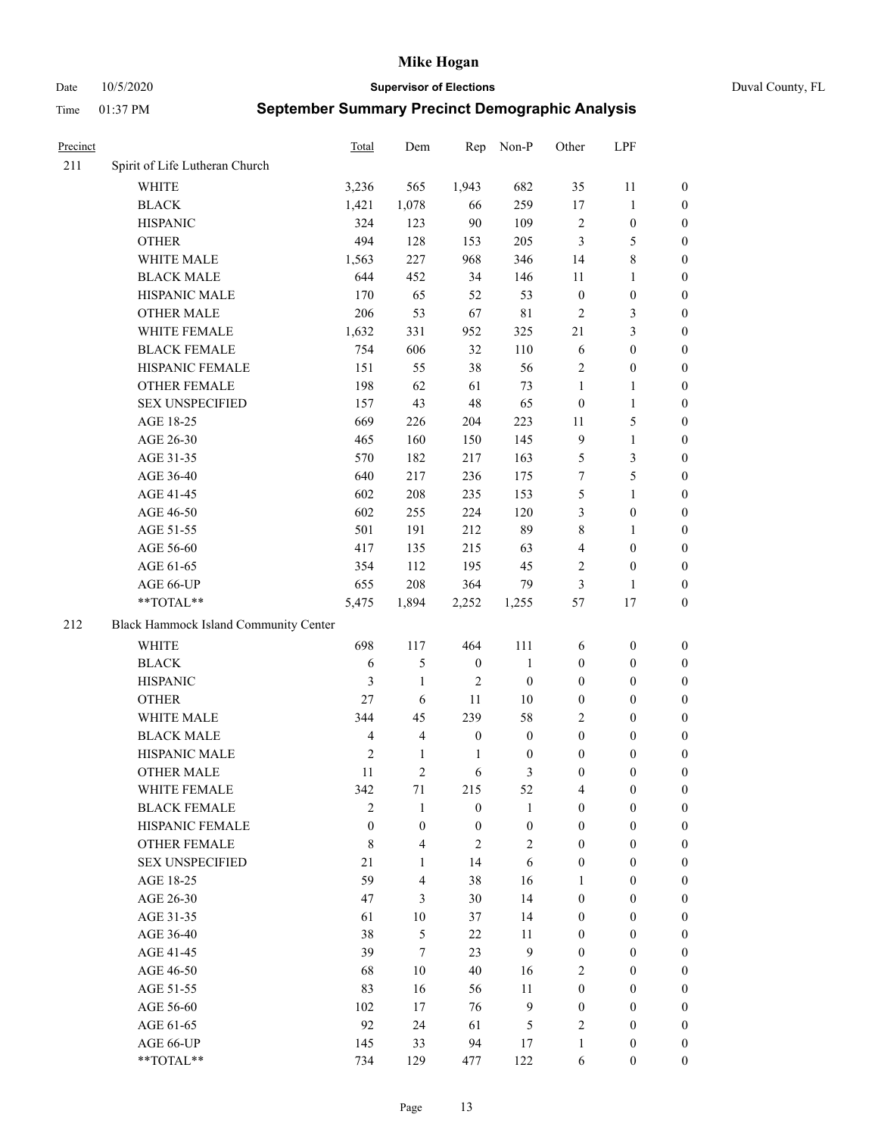Date 10/5/2020 **Supervisor of Elections** Duval County, FL

| Precinct |                                       | Total          | Dem              | Rep              | Non-P            | Other            | LPF              |                  |
|----------|---------------------------------------|----------------|------------------|------------------|------------------|------------------|------------------|------------------|
| 211      | Spirit of Life Lutheran Church        |                |                  |                  |                  |                  |                  |                  |
|          | <b>WHITE</b>                          | 3,236          | 565              | 1,943            | 682              | 35               | 11               | 0                |
|          | <b>BLACK</b>                          | 1,421          | 1,078            | 66               | 259              | $17\,$           | $\mathbf{1}$     | 0                |
|          | <b>HISPANIC</b>                       | 324            | 123              | 90               | 109              | $\sqrt{2}$       | $\boldsymbol{0}$ | 0                |
|          | <b>OTHER</b>                          | 494            | 128              | 153              | 205              | 3                | $\mathfrak{S}$   | $\boldsymbol{0}$ |
|          | WHITE MALE                            | 1,563          | 227              | 968              | 346              | 14               | $\,$ 8 $\,$      | $\boldsymbol{0}$ |
|          | <b>BLACK MALE</b>                     | 644            | 452              | 34               | 146              | 11               | 1                | $\boldsymbol{0}$ |
|          | HISPANIC MALE                         | 170            | 65               | 52               | 53               | $\boldsymbol{0}$ | $\boldsymbol{0}$ | $\boldsymbol{0}$ |
|          | <b>OTHER MALE</b>                     | 206            | 53               | 67               | $8\sqrt{1}$      | $\mathfrak{2}$   | $\mathfrak{Z}$   | $\boldsymbol{0}$ |
|          | WHITE FEMALE                          | 1,632          | 331              | 952              | 325              | 21               | $\mathfrak{Z}$   | $\boldsymbol{0}$ |
|          | <b>BLACK FEMALE</b>                   | 754            | 606              | 32               | 110              | 6                | $\boldsymbol{0}$ | 0                |
|          | HISPANIC FEMALE                       | 151            | 55               | 38               | 56               | $\mathfrak{2}$   | $\boldsymbol{0}$ | 0                |
|          | OTHER FEMALE                          | 198            | 62               | 61               | 73               | 1                | $\mathbf{1}$     | 0                |
|          | <b>SEX UNSPECIFIED</b>                | 157            | 43               | 48               | 65               | $\boldsymbol{0}$ | $\mathbf{1}$     | $\boldsymbol{0}$ |
|          | AGE 18-25                             | 669            | 226              | 204              | 223              | 11               | $\mathfrak{S}$   | $\boldsymbol{0}$ |
|          | AGE 26-30                             | 465            | 160              | 150              | 145              | 9                | $\mathbf{1}$     | $\boldsymbol{0}$ |
|          | AGE 31-35                             | 570            | 182              | 217              | 163              | 5                | $\mathfrak{Z}$   | $\boldsymbol{0}$ |
|          | AGE 36-40                             | 640            | 217              | 236              | 175              | 7                | $\mathfrak s$    | $\boldsymbol{0}$ |
|          | AGE 41-45                             | 602            | 208              | 235              | 153              | 5                | $\mathbf{1}$     | $\boldsymbol{0}$ |
|          | AGE 46-50                             | 602            | 255              | 224              | 120              | 3                | $\boldsymbol{0}$ | $\boldsymbol{0}$ |
|          | AGE 51-55                             | 501            | 191              | 212              | 89               | 8                | $\mathbf{1}$     | 0                |
|          | AGE 56-60                             | 417            | 135              | 215              | 63               | $\overline{4}$   | $\boldsymbol{0}$ | 0                |
|          | AGE 61-65                             | 354            | 112              | 195              | 45               | 2                | $\boldsymbol{0}$ | 0                |
|          | AGE 66-UP                             | 655            | 208              | 364              | 79               | 3                | $\mathbf{1}$     | $\boldsymbol{0}$ |
|          | **TOTAL**                             | 5,475          | 1,894            | 2,252            | 1,255            | 57               | 17               | $\boldsymbol{0}$ |
| 212      | Black Hammock Island Community Center |                |                  |                  |                  |                  |                  |                  |
|          | WHITE                                 | 698            | 117              | 464              | 111              | 6                | $\boldsymbol{0}$ | $\boldsymbol{0}$ |
|          | <b>BLACK</b>                          | $\sqrt{6}$     | 5                | $\boldsymbol{0}$ | $\mathbf{1}$     | $\boldsymbol{0}$ | $\boldsymbol{0}$ | $\boldsymbol{0}$ |
|          | <b>HISPANIC</b>                       | 3              | $\mathbf{1}$     | $\mathfrak{2}$   | $\boldsymbol{0}$ | $\boldsymbol{0}$ | $\boldsymbol{0}$ | $\boldsymbol{0}$ |
|          | <b>OTHER</b>                          | 27             | 6                | 11               | $10\,$           | $\boldsymbol{0}$ | $\boldsymbol{0}$ | $\boldsymbol{0}$ |
|          | WHITE MALE                            | 344            | 45               | 239              | 58               | 2                | $\boldsymbol{0}$ | $\boldsymbol{0}$ |
|          | <b>BLACK MALE</b>                     | $\overline{4}$ | $\overline{4}$   | $\boldsymbol{0}$ | $\boldsymbol{0}$ | $\boldsymbol{0}$ | $\boldsymbol{0}$ | $\boldsymbol{0}$ |
|          | HISPANIC MALE                         | $\sqrt{2}$     | $\mathbf{1}$     | 1                | $\boldsymbol{0}$ | $\boldsymbol{0}$ | $\boldsymbol{0}$ | 0                |
|          | <b>OTHER MALE</b>                     | 11             | $\overline{2}$   | 6                | 3                | $\boldsymbol{0}$ | $\boldsymbol{0}$ | $\boldsymbol{0}$ |
|          | WHITE FEMALE                          | 342            | 71               | 215              | 52               | 4                | $\boldsymbol{0}$ | 0                |
|          | <b>BLACK FEMALE</b>                   | 2              | $\mathbf{1}$     | $\boldsymbol{0}$ | 1                | $\boldsymbol{0}$ | $\boldsymbol{0}$ | $\overline{0}$   |
|          | HISPANIC FEMALE                       | $\mathbf{0}$   | $\boldsymbol{0}$ | $\boldsymbol{0}$ | $\boldsymbol{0}$ | $\boldsymbol{0}$ | $\boldsymbol{0}$ | $\overline{0}$   |
|          | <b>OTHER FEMALE</b>                   | 8              | 4                | $\mathfrak{2}$   | $\sqrt{2}$       | $\boldsymbol{0}$ | $\boldsymbol{0}$ | $\overline{0}$   |
|          | <b>SEX UNSPECIFIED</b>                | 21             | 1                | 14               | 6                | $\boldsymbol{0}$ | $\boldsymbol{0}$ | $\overline{0}$   |
|          | AGE 18-25                             | 59             | 4                | 38               | 16               | 1                | $\boldsymbol{0}$ | $\theta$         |
|          | AGE 26-30                             | 47             | 3                | 30               | 14               | $\boldsymbol{0}$ | $\boldsymbol{0}$ | $\overline{0}$   |
|          | AGE 31-35                             | 61             | $10\,$           | 37               | 14               | $\boldsymbol{0}$ | $\boldsymbol{0}$ | $\overline{0}$   |
|          | AGE 36-40                             | 38             | 5                | 22               | 11               | $\boldsymbol{0}$ | $\boldsymbol{0}$ | 0                |
|          | AGE 41-45                             | 39             | $\tau$           | 23               | 9                | $\boldsymbol{0}$ | $\boldsymbol{0}$ | 0                |
|          | AGE 46-50                             | 68             | 10               | 40               | 16               | 2                | $\boldsymbol{0}$ | $\overline{0}$   |
|          | AGE 51-55                             | 83             | 16               | 56               | 11               | $\boldsymbol{0}$ | $\boldsymbol{0}$ | $\overline{0}$   |
|          | AGE 56-60                             | 102            | 17               | 76               | $\mathbf{9}$     | $\boldsymbol{0}$ | $\boldsymbol{0}$ | $\overline{0}$   |
|          | AGE 61-65                             | 92             | 24               | 61               | 5                | $\overline{c}$   | $\boldsymbol{0}$ | $\overline{0}$   |
|          | AGE 66-UP                             | 145            | 33               | 94               | 17               | $\mathbf{1}$     | $\boldsymbol{0}$ | $\boldsymbol{0}$ |
|          | **TOTAL**                             | 734            | 129              | 477              | 122              | 6                | $\boldsymbol{0}$ | $\overline{0}$   |
|          |                                       |                |                  |                  |                  |                  |                  |                  |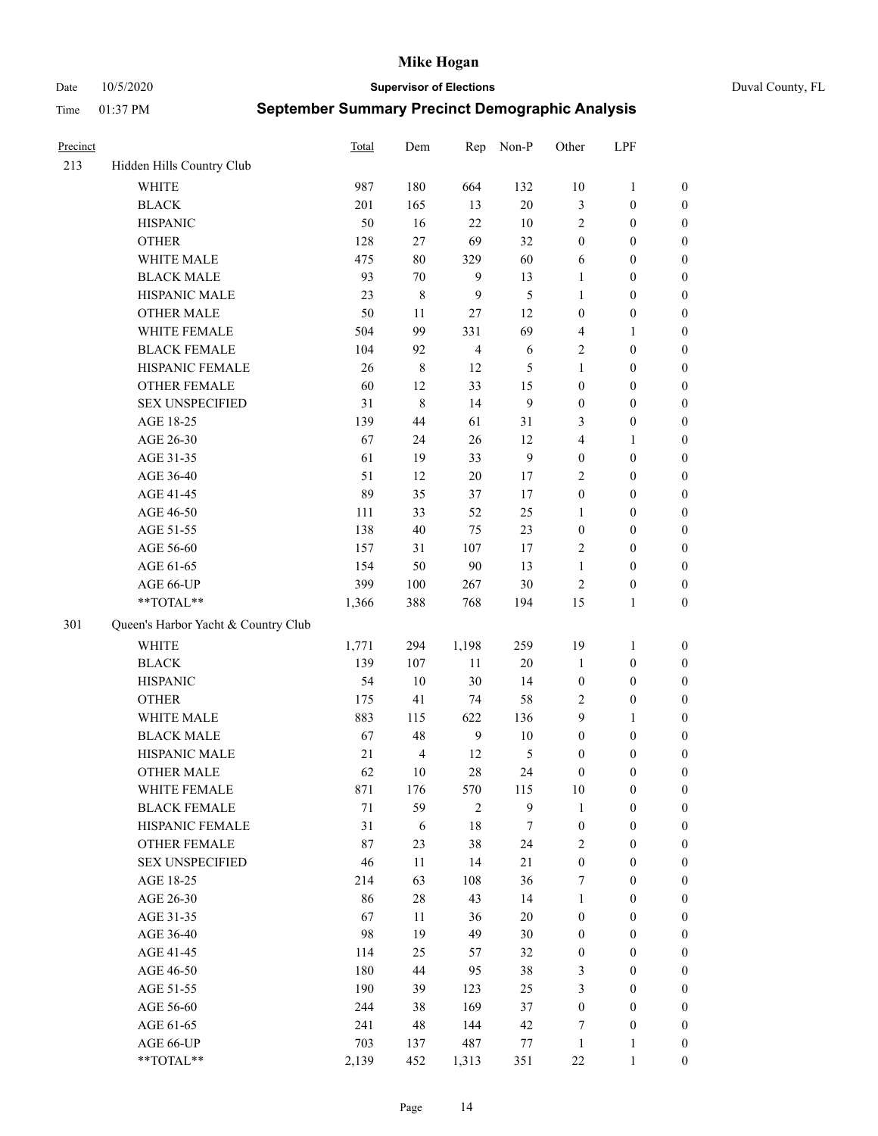Date 10/5/2020 **Supervisor of Elections** Duval County, FL

| Precinct |                                     | <b>Total</b> | Dem                     | Rep            | Non-P  | Other            | LPF              |                  |
|----------|-------------------------------------|--------------|-------------------------|----------------|--------|------------------|------------------|------------------|
| 213      | Hidden Hills Country Club           |              |                         |                |        |                  |                  |                  |
|          | <b>WHITE</b>                        | 987          | 180                     | 664            | 132    | 10               | $\mathbf{1}$     | 0                |
|          | <b>BLACK</b>                        | 201          | 165                     | 13             | $20\,$ | 3                | $\boldsymbol{0}$ | $\boldsymbol{0}$ |
|          | <b>HISPANIC</b>                     | 50           | 16                      | 22             | 10     | $\mathbf{2}$     | $\boldsymbol{0}$ | $\boldsymbol{0}$ |
|          | <b>OTHER</b>                        | 128          | 27                      | 69             | 32     | $\boldsymbol{0}$ | $\boldsymbol{0}$ | $\boldsymbol{0}$ |
|          | WHITE MALE                          | 475          | $80\,$                  | 329            | 60     | 6                | $\boldsymbol{0}$ | $\boldsymbol{0}$ |
|          | <b>BLACK MALE</b>                   | 93           | 70                      | $\mathbf{9}$   | 13     | $\mathbf{1}$     | $\boldsymbol{0}$ | $\boldsymbol{0}$ |
|          | HISPANIC MALE                       | 23           | 8                       | 9              | 5      | $\mathbf{1}$     | $\boldsymbol{0}$ | $\boldsymbol{0}$ |
|          | <b>OTHER MALE</b>                   | 50           | 11                      | 27             | 12     | $\boldsymbol{0}$ | $\boldsymbol{0}$ | $\boldsymbol{0}$ |
|          | WHITE FEMALE                        | 504          | 99                      | 331            | 69     | 4                | $\mathbf{1}$     | $\boldsymbol{0}$ |
|          | <b>BLACK FEMALE</b>                 | 104          | 92                      | $\overline{4}$ | 6      | $\overline{c}$   | $\boldsymbol{0}$ | $\boldsymbol{0}$ |
|          | HISPANIC FEMALE                     | 26           | 8                       | 12             | 5      | 1                | $\boldsymbol{0}$ | 0                |
|          | <b>OTHER FEMALE</b>                 | 60           | 12                      | 33             | 15     | $\boldsymbol{0}$ | $\boldsymbol{0}$ | $\boldsymbol{0}$ |
|          | <b>SEX UNSPECIFIED</b>              | 31           | 8                       | 14             | 9      | $\boldsymbol{0}$ | $\boldsymbol{0}$ | $\boldsymbol{0}$ |
|          | AGE 18-25                           | 139          | 44                      | 61             | 31     | 3                | $\boldsymbol{0}$ | $\boldsymbol{0}$ |
|          | AGE 26-30                           | 67           | 24                      | 26             | 12     | 4                | $\mathbf{1}$     | $\boldsymbol{0}$ |
|          | AGE 31-35                           | 61           | 19                      | 33             | 9      | $\boldsymbol{0}$ | $\boldsymbol{0}$ | $\boldsymbol{0}$ |
|          | AGE 36-40                           | 51           | 12                      | 20             | 17     | $\overline{c}$   | $\boldsymbol{0}$ | $\boldsymbol{0}$ |
|          | AGE 41-45                           | 89           | 35                      | 37             | 17     | $\boldsymbol{0}$ | $\boldsymbol{0}$ | $\boldsymbol{0}$ |
|          | AGE 46-50                           | 111          | 33                      | 52             | 25     | $\mathbf{1}$     | $\boldsymbol{0}$ | $\boldsymbol{0}$ |
|          | AGE 51-55                           | 138          | 40                      | 75             | 23     | $\boldsymbol{0}$ | $\boldsymbol{0}$ | $\boldsymbol{0}$ |
|          | AGE 56-60                           | 157          | 31                      | 107            | 17     | $\overline{c}$   | $\boldsymbol{0}$ | 0                |
|          | AGE 61-65                           | 154          | 50                      | $90\,$         | 13     | $\mathbf{1}$     | $\boldsymbol{0}$ | 0                |
|          | AGE 66-UP                           | 399          | 100                     | 267            | $30\,$ | $\sqrt{2}$       | $\boldsymbol{0}$ | $\boldsymbol{0}$ |
|          | $**TOTAL**$                         | 1,366        | 388                     | 768            | 194    | 15               | $\mathbf{1}$     | $\boldsymbol{0}$ |
| 301      | Queen's Harbor Yacht & Country Club |              |                         |                |        |                  |                  |                  |
|          | <b>WHITE</b>                        | 1,771        | 294                     | 1,198          | 259    | 19               | $\mathbf{1}$     | $\boldsymbol{0}$ |
|          | <b>BLACK</b>                        | 139          | 107                     | $11\,$         | 20     | $\mathbf{1}$     | $\boldsymbol{0}$ | $\boldsymbol{0}$ |
|          | <b>HISPANIC</b>                     | 54           | 10                      | $30\,$         | 14     | $\boldsymbol{0}$ | $\boldsymbol{0}$ | $\boldsymbol{0}$ |
|          | <b>OTHER</b>                        | 175          | 41                      | 74             | 58     | $\overline{c}$   | $\boldsymbol{0}$ | $\boldsymbol{0}$ |
|          | WHITE MALE                          | 883          | 115                     | 622            | 136    | 9                | $\mathbf{1}$     | $\boldsymbol{0}$ |
|          | <b>BLACK MALE</b>                   | 67           | 48                      | $\overline{9}$ | $10\,$ | $\boldsymbol{0}$ | $\boldsymbol{0}$ | $\boldsymbol{0}$ |
|          | HISPANIC MALE                       | 21           | $\overline{\mathbf{4}}$ | 12             | 5      | $\boldsymbol{0}$ | $\boldsymbol{0}$ | $\boldsymbol{0}$ |
|          | <b>OTHER MALE</b>                   | 62           | 10                      | 28             | 24     | $\boldsymbol{0}$ | $\boldsymbol{0}$ | $\boldsymbol{0}$ |
|          | WHITE FEMALE                        | 871          | 176                     | 570            | 115    | 10               | $\boldsymbol{0}$ | 0                |
|          | <b>BLACK FEMALE</b>                 | $71\,$       | 59                      | $\mathbf{2}$   | 9      | $\mathbf{1}$     | $\boldsymbol{0}$ | $\boldsymbol{0}$ |
|          | HISPANIC FEMALE                     | 31           | 6                       | $18\,$         | 7      | $\boldsymbol{0}$ | $\boldsymbol{0}$ | $\overline{0}$   |
|          | <b>OTHER FEMALE</b>                 | 87           | 23                      | 38             | 24     | $\overline{c}$   | $\boldsymbol{0}$ | $\overline{0}$   |
|          | <b>SEX UNSPECIFIED</b>              | 46           | 11                      | 14             | 21     | $\boldsymbol{0}$ | $\boldsymbol{0}$ | $\overline{0}$   |
|          | AGE 18-25                           | 214          | 63                      | 108            | 36     | 7                | $\boldsymbol{0}$ | $\overline{0}$   |
|          | AGE 26-30                           | 86           | 28                      | 43             | 14     | $\mathbf{1}$     | $\boldsymbol{0}$ | $\overline{0}$   |
|          | AGE 31-35                           | 67           | $11\,$                  | 36             | $20\,$ | $\boldsymbol{0}$ | $\boldsymbol{0}$ | 0                |
|          | AGE 36-40                           | 98           | 19                      | 49             | 30     | $\boldsymbol{0}$ | $\boldsymbol{0}$ | 0                |
|          | AGE 41-45                           | 114          | 25                      | 57             | 32     | $\boldsymbol{0}$ | $\boldsymbol{0}$ | 0                |
|          | AGE 46-50                           | 180          | 44                      | 95             | 38     | 3                | $\boldsymbol{0}$ | 0                |
|          | AGE 51-55                           | 190          | 39                      | 123            | 25     | 3                | $\boldsymbol{0}$ | $\overline{0}$   |
|          | AGE 56-60                           | 244          | 38                      | 169            | 37     | $\boldsymbol{0}$ | $\boldsymbol{0}$ | $\overline{0}$   |
|          | AGE 61-65                           | 241          | 48                      | 144            | 42     | 7                | $\boldsymbol{0}$ | $\overline{0}$   |
|          | AGE 66-UP                           | 703          | 137                     | 487            | 77     | $\mathbf{1}$     | $\mathbf{1}$     | $\boldsymbol{0}$ |
|          | **TOTAL**                           | 2,139        | 452                     | 1,313          | 351    | 22               | $\mathbf{1}$     | $\boldsymbol{0}$ |
|          |                                     |              |                         |                |        |                  |                  |                  |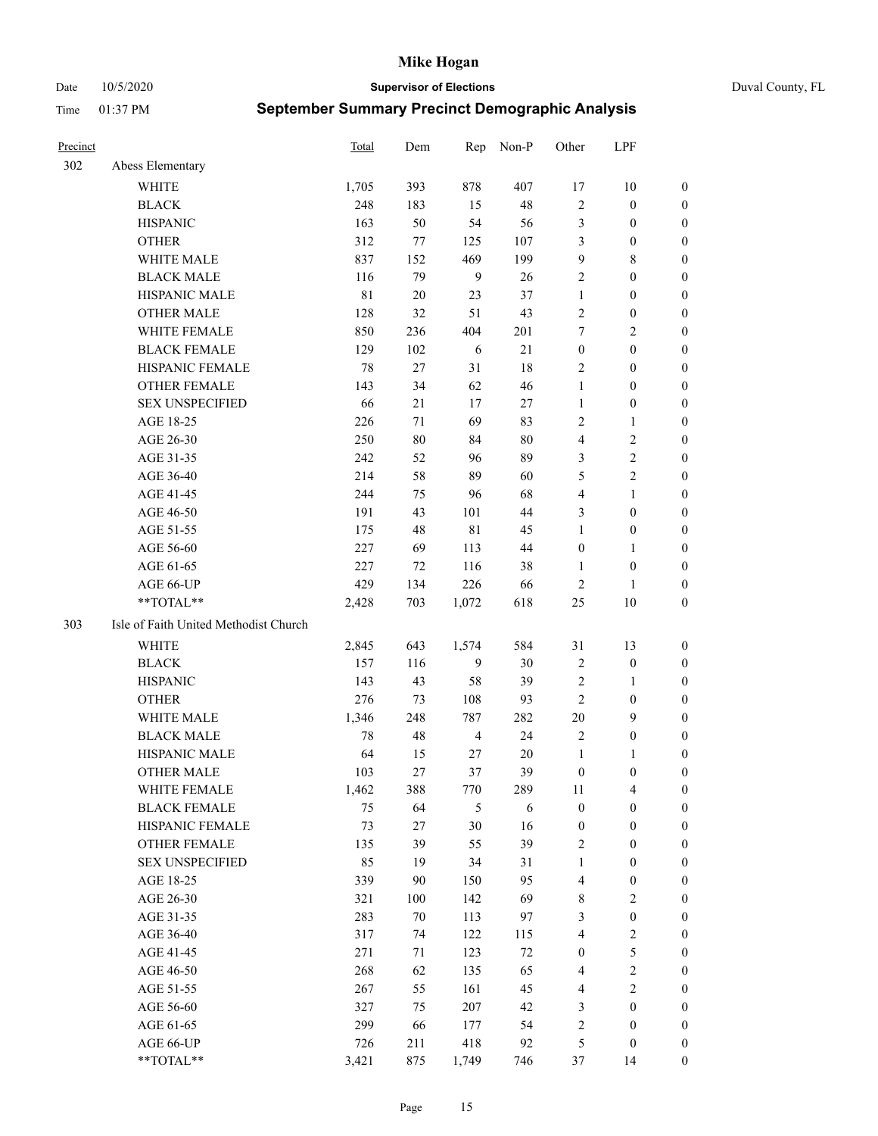Date 10/5/2020 **Supervisor of Elections** Duval County, FL

| Precinct |                                       | Total       | Dem    | Rep            | Non-P  | Other            | LPF              |                  |
|----------|---------------------------------------|-------------|--------|----------------|--------|------------------|------------------|------------------|
| 302      | Abess Elementary                      |             |        |                |        |                  |                  |                  |
|          | <b>WHITE</b>                          | 1,705       | 393    | 878            | 407    | 17               | $10\,$           | 0                |
|          | <b>BLACK</b>                          | 248         | 183    | 15             | 48     | 2                | $\boldsymbol{0}$ | 0                |
|          | <b>HISPANIC</b>                       | 163         | 50     | 54             | 56     | 3                | $\boldsymbol{0}$ | $\boldsymbol{0}$ |
|          | <b>OTHER</b>                          | 312         | 77     | 125            | 107    | 3                | $\boldsymbol{0}$ | $\boldsymbol{0}$ |
|          | WHITE MALE                            | 837         | 152    | 469            | 199    | 9                | $8\,$            | $\boldsymbol{0}$ |
|          | <b>BLACK MALE</b>                     | 116         | 79     | $\overline{9}$ | 26     | $\overline{c}$   | $\boldsymbol{0}$ | $\boldsymbol{0}$ |
|          | HISPANIC MALE                         | $8\sqrt{1}$ | $20\,$ | 23             | 37     | $\mathbf{1}$     | $\boldsymbol{0}$ | $\boldsymbol{0}$ |
|          | <b>OTHER MALE</b>                     | 128         | 32     | 51             | 43     | $\mathbf{2}$     | $\boldsymbol{0}$ | $\boldsymbol{0}$ |
|          | WHITE FEMALE                          | 850         | 236    | 404            | 201    | 7                | $\overline{2}$   | $\boldsymbol{0}$ |
|          | <b>BLACK FEMALE</b>                   | 129         | 102    | 6              | 21     | $\boldsymbol{0}$ | $\boldsymbol{0}$ | 0                |
|          | HISPANIC FEMALE                       | 78          | 27     | 31             | 18     | $\mathbf{2}$     | $\boldsymbol{0}$ | 0                |
|          | <b>OTHER FEMALE</b>                   | 143         | 34     | 62             | 46     | $\mathbf{1}$     | $\boldsymbol{0}$ | $\boldsymbol{0}$ |
|          | <b>SEX UNSPECIFIED</b>                | 66          | 21     | 17             | $27\,$ | $\mathbf{1}$     | $\boldsymbol{0}$ | $\boldsymbol{0}$ |
|          | AGE 18-25                             | 226         | 71     | 69             | 83     | $\overline{c}$   | $\mathbf{1}$     | $\boldsymbol{0}$ |
|          | AGE 26-30                             | 250         | $80\,$ | 84             | 80     | 4                | $\sqrt{2}$       | $\boldsymbol{0}$ |
|          | AGE 31-35                             | 242         | 52     | 96             | 89     | 3                | $\sqrt{2}$       | $\boldsymbol{0}$ |
|          | AGE 36-40                             | 214         | 58     | 89             | 60     | 5                | $\sqrt{2}$       | $\boldsymbol{0}$ |
|          | AGE 41-45                             | 244         | 75     | 96             | 68     | 4                | $\mathbf{1}$     | $\boldsymbol{0}$ |
|          | AGE 46-50                             | 191         | 43     | 101            | 44     | 3                | $\boldsymbol{0}$ | $\boldsymbol{0}$ |
|          | AGE 51-55                             | 175         | 48     | $8\sqrt{1}$    | 45     | $\mathbf{1}$     | $\boldsymbol{0}$ | 0                |
|          | AGE 56-60                             | 227         | 69     | 113            | 44     | $\boldsymbol{0}$ | $\mathbf{1}$     | 0                |
|          | AGE 61-65                             | 227         | 72     | 116            | 38     | $\mathbf{1}$     | $\boldsymbol{0}$ | 0                |
|          | AGE 66-UP                             | 429         | 134    | 226            | 66     | $\sqrt{2}$       | 1                | $\boldsymbol{0}$ |
|          | **TOTAL**                             | 2,428       | 703    | 1,072          | 618    | $25\,$           | $10\,$           | $\boldsymbol{0}$ |
| 303      | Isle of Faith United Methodist Church |             |        |                |        |                  |                  |                  |
|          | <b>WHITE</b>                          | 2,845       | 643    | 1,574          | 584    | 31               | 13               | $\boldsymbol{0}$ |
|          | <b>BLACK</b>                          | 157         | 116    | 9              | $30\,$ | 2                | $\boldsymbol{0}$ | $\boldsymbol{0}$ |
|          | <b>HISPANIC</b>                       | 143         | 43     | 58             | 39     | 2                | $\mathbf{1}$     | $\boldsymbol{0}$ |
|          | <b>OTHER</b>                          | 276         | 73     | 108            | 93     | $\mathfrak{2}$   | $\boldsymbol{0}$ | $\boldsymbol{0}$ |
|          | WHITE MALE                            | 1,346       | 248    | 787            | 282    | $20\,$           | 9                | $\boldsymbol{0}$ |
|          | <b>BLACK MALE</b>                     | 78          | 48     | $\overline{4}$ | 24     | $\overline{2}$   | $\boldsymbol{0}$ | $\boldsymbol{0}$ |
|          | HISPANIC MALE                         | 64          | 15     | 27             | 20     | $\mathbf{1}$     | 1                | 0                |
|          | <b>OTHER MALE</b>                     | 103         | 27     | 37             | 39     | $\boldsymbol{0}$ | $\boldsymbol{0}$ | 0                |
|          | WHITE FEMALE                          | 1,462       | 388    | 770            | 289    | 11               | 4                | 0                |
|          | <b>BLACK FEMALE</b>                   | 75          | 64     | $\mathfrak{S}$ | 6      | $\boldsymbol{0}$ | $\boldsymbol{0}$ | $\boldsymbol{0}$ |
|          | HISPANIC FEMALE                       | 73          | 27     | 30             | 16     | $\boldsymbol{0}$ | $\boldsymbol{0}$ | $\overline{0}$   |
|          | <b>OTHER FEMALE</b>                   | 135         | 39     | 55             | 39     | 2                | $\boldsymbol{0}$ | $\overline{0}$   |
|          | <b>SEX UNSPECIFIED</b>                | 85          | 19     | 34             | 31     | $\mathbf{1}$     | $\boldsymbol{0}$ | $\overline{0}$   |
|          | AGE 18-25                             | 339         | 90     | 150            | 95     | 4                | $\boldsymbol{0}$ | $\overline{0}$   |
|          | AGE 26-30                             | 321         | 100    | 142            | 69     | 8                | $\overline{2}$   | 0                |
|          | AGE 31-35                             | 283         | $70\,$ | 113            | 97     | 3                | $\boldsymbol{0}$ | 0                |
|          | AGE 36-40                             | 317         | 74     | 122            | 115    | 4                | $\sqrt{2}$       | 0                |
|          | AGE 41-45                             | 271         | 71     | 123            | 72     | $\boldsymbol{0}$ | 5                | 0                |
|          | AGE 46-50                             | 268         | 62     | 135            | 65     | 4                | $\sqrt{2}$       | 0                |
|          | AGE 51-55                             | 267         | 55     | 161            | 45     | 4                | $\overline{2}$   | $\overline{0}$   |
|          | AGE 56-60                             | 327         | 75     | 207            | 42     | 3                | $\boldsymbol{0}$ | $\overline{0}$   |
|          | AGE 61-65                             | 299         | 66     | 177            | 54     | 2                | $\boldsymbol{0}$ | $\overline{0}$   |
|          | AGE 66-UP                             | 726         | 211    | 418            | 92     | 5                | $\boldsymbol{0}$ | $\boldsymbol{0}$ |
|          | **TOTAL**                             | 3,421       | 875    | 1,749          | 746    | 37               | 14               | $\boldsymbol{0}$ |
|          |                                       |             |        |                |        |                  |                  |                  |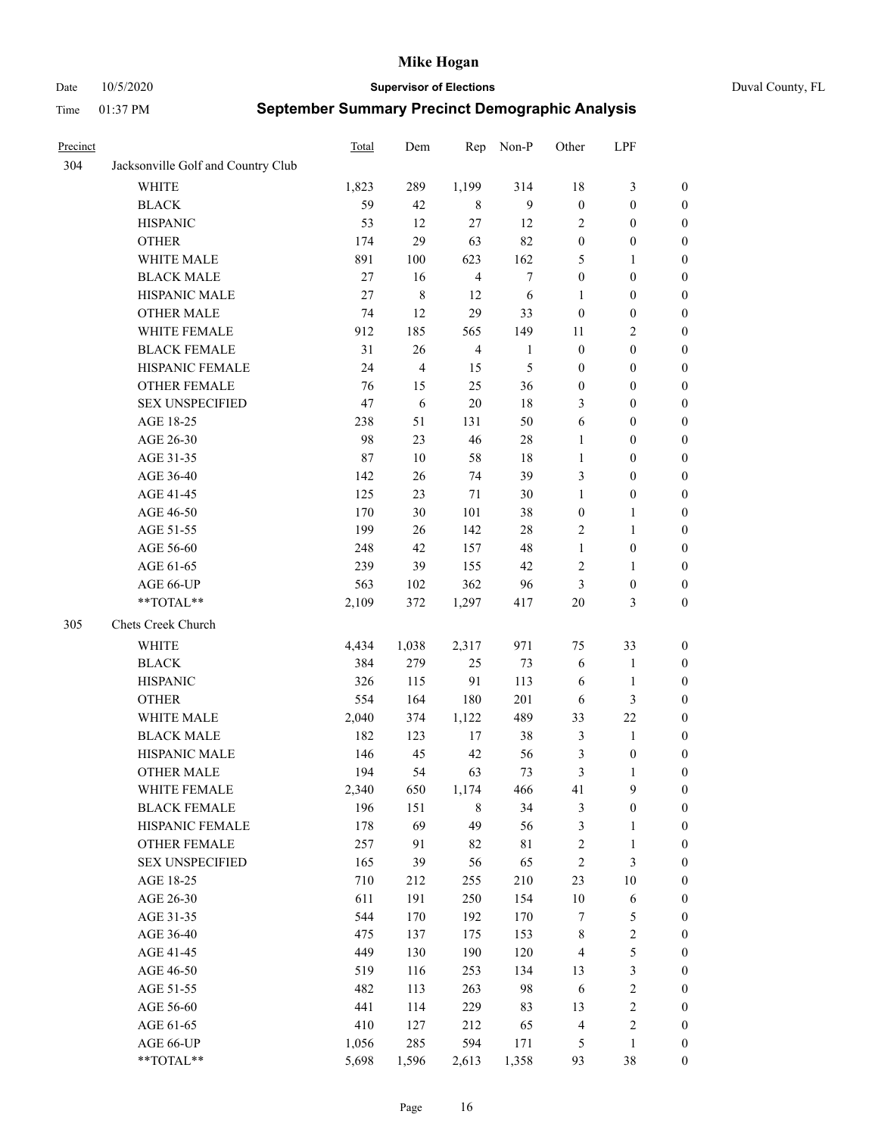Date 10/5/2020 **Supervisor of Elections** Duval County, FL

| Precinct |                                    | Total  | Dem       | Rep            | Non-P            | Other            | LPF              |                  |
|----------|------------------------------------|--------|-----------|----------------|------------------|------------------|------------------|------------------|
| 304      | Jacksonville Golf and Country Club |        |           |                |                  |                  |                  |                  |
|          | <b>WHITE</b>                       | 1,823  | 289       | 1,199          | 314              | 18               | $\mathfrak{Z}$   | 0                |
|          | <b>BLACK</b>                       | 59     | 42        | 8              | 9                | $\boldsymbol{0}$ | $\boldsymbol{0}$ | 0                |
|          | <b>HISPANIC</b>                    | 53     | 12        | 27             | 12               | $\overline{c}$   | $\boldsymbol{0}$ | $\boldsymbol{0}$ |
|          | <b>OTHER</b>                       | 174    | 29        | 63             | 82               | $\boldsymbol{0}$ | $\boldsymbol{0}$ | $\boldsymbol{0}$ |
|          | WHITE MALE                         | 891    | 100       | 623            | 162              | 5                | $\mathbf{1}$     | $\boldsymbol{0}$ |
|          | <b>BLACK MALE</b>                  | 27     | 16        | $\overline{4}$ | $\boldsymbol{7}$ | $\boldsymbol{0}$ | $\boldsymbol{0}$ | $\boldsymbol{0}$ |
|          | HISPANIC MALE                      | $27\,$ | $\,$ $\,$ | 12             | 6                | $\mathbf{1}$     | $\boldsymbol{0}$ | $\boldsymbol{0}$ |
|          | <b>OTHER MALE</b>                  | 74     | 12        | 29             | 33               | $\boldsymbol{0}$ | $\boldsymbol{0}$ | $\boldsymbol{0}$ |
|          | WHITE FEMALE                       | 912    | 185       | 565            | 149              | 11               | $\mathfrak{2}$   | $\boldsymbol{0}$ |
|          | <b>BLACK FEMALE</b>                | 31     | 26        | $\overline{4}$ | $\mathbf{1}$     | $\boldsymbol{0}$ | $\boldsymbol{0}$ | 0                |
|          | HISPANIC FEMALE                    | 24     | 4         | 15             | 5                | $\boldsymbol{0}$ | $\boldsymbol{0}$ | 0                |
|          | <b>OTHER FEMALE</b>                | 76     | 15        | 25             | 36               | $\boldsymbol{0}$ | $\boldsymbol{0}$ | 0                |
|          | <b>SEX UNSPECIFIED</b>             | 47     | 6         | $20\,$         | $18\,$           | 3                | $\boldsymbol{0}$ | $\boldsymbol{0}$ |
|          | AGE 18-25                          | 238    | 51        | 131            | 50               | 6                | $\boldsymbol{0}$ | $\boldsymbol{0}$ |
|          | AGE 26-30                          | 98     | 23        | 46             | 28               | $\mathbf{1}$     | $\boldsymbol{0}$ | $\boldsymbol{0}$ |
|          | AGE 31-35                          | 87     | 10        | 58             | 18               | $\mathbf{1}$     | $\boldsymbol{0}$ | $\boldsymbol{0}$ |
|          | AGE 36-40                          | 142    | 26        | 74             | 39               | 3                | $\boldsymbol{0}$ | $\boldsymbol{0}$ |
|          | AGE 41-45                          | 125    | 23        | 71             | 30               | $\mathbf{1}$     | $\boldsymbol{0}$ | $\boldsymbol{0}$ |
|          | AGE 46-50                          | 170    | 30        | 101            | 38               | $\boldsymbol{0}$ | $\mathbf{1}$     | $\boldsymbol{0}$ |
|          | AGE 51-55                          | 199    | 26        | 142            | $28\,$           | $\overline{c}$   | $\mathbf{1}$     | 0                |
|          | AGE 56-60                          | 248    | 42        | 157            | 48               | $\mathbf{1}$     | $\boldsymbol{0}$ | 0                |
|          | AGE 61-65                          | 239    | 39        | 155            | 42               | $\overline{c}$   | $\mathbf{1}$     | 0                |
|          | AGE 66-UP                          | 563    | 102       | 362            | 96               | 3                | $\boldsymbol{0}$ | $\boldsymbol{0}$ |
|          | **TOTAL**                          | 2,109  | 372       | 1,297          | 417              | $20\,$           | $\mathfrak{Z}$   | $\boldsymbol{0}$ |
| 305      | Chets Creek Church                 |        |           |                |                  |                  |                  |                  |
|          | <b>WHITE</b>                       | 4,434  | 1,038     | 2,317          | 971              | 75               | 33               | $\boldsymbol{0}$ |
|          | <b>BLACK</b>                       | 384    | 279       | 25             | 73               | 6                | $\mathbf{1}$     | $\boldsymbol{0}$ |
|          | <b>HISPANIC</b>                    | 326    | 115       | 91             | 113              | 6                | $\mathbf{1}$     | $\boldsymbol{0}$ |
|          | <b>OTHER</b>                       | 554    | 164       | 180            | 201              | 6                | $\mathfrak{Z}$   | $\boldsymbol{0}$ |
|          | WHITE MALE                         | 2,040  | 374       | 1,122          | 489              | 33               | 22               | $\boldsymbol{0}$ |
|          | <b>BLACK MALE</b>                  | 182    | 123       | 17             | 38               | 3                | $\mathbf{1}$     | $\boldsymbol{0}$ |
|          | HISPANIC MALE                      | 146    | 45        | 42             | 56               | 3                | $\boldsymbol{0}$ | 0                |
|          | <b>OTHER MALE</b>                  | 194    | 54        | 63             | 73               | 3                | $\mathbf{1}$     | $\boldsymbol{0}$ |
|          | WHITE FEMALE                       | 2,340  | 650       | 1,174          | 466              | 41               | 9                | 0                |
|          | <b>BLACK FEMALE</b>                | 196    | 151       | 8              | 34               | 3                | $\boldsymbol{0}$ | $\boldsymbol{0}$ |
|          | HISPANIC FEMALE                    | 178    | 69        | 49             | 56               | $\mathfrak{Z}$   | $\mathbf{1}$     | $\boldsymbol{0}$ |
|          | OTHER FEMALE                       | 257    | 91        | 82             | $8\sqrt{1}$      | $\boldsymbol{2}$ | $\mathbf{1}$     | $\overline{0}$   |
|          | <b>SEX UNSPECIFIED</b>             | 165    | 39        | 56             | 65               | $\sqrt{2}$       | $\mathfrak{Z}$   | 0                |
|          | AGE 18-25                          | 710    | 212       | 255            | 210              | 23               | $10\,$           | 0                |
|          | AGE 26-30                          | 611    | 191       | 250            | 154              | $10\,$           | $\sqrt{6}$       | 0                |
|          | AGE 31-35                          | 544    | 170       | 192            | 170              | 7                | $\mathfrak s$    | 0                |
|          | AGE 36-40                          | 475    | 137       | 175            | 153              | $\,$ 8 $\,$      | $\sqrt{2}$       | 0                |
|          | AGE 41-45                          | 449    | 130       | 190            | 120              | $\overline{4}$   | 5                | 0                |
|          | AGE 46-50                          | 519    | 116       | 253            | 134              | 13               | $\mathfrak{Z}$   | 0                |
|          | AGE 51-55                          | 482    | 113       | 263            | 98               | 6                | $\sqrt{2}$       | 0                |
|          | AGE 56-60                          | 441    | 114       | 229            | 83               | 13               | $\sqrt{2}$       | 0                |
|          | AGE 61-65                          | 410    | 127       | 212            | 65               | $\overline{4}$   | $\sqrt{2}$       | $\boldsymbol{0}$ |
|          | AGE 66-UP                          | 1,056  | 285       | 594            | 171              | 5                | $\mathbf{1}$     | $\boldsymbol{0}$ |
|          | **TOTAL**                          | 5,698  | 1,596     | 2,613          | 1,358            | 93               | 38               | $\boldsymbol{0}$ |
|          |                                    |        |           |                |                  |                  |                  |                  |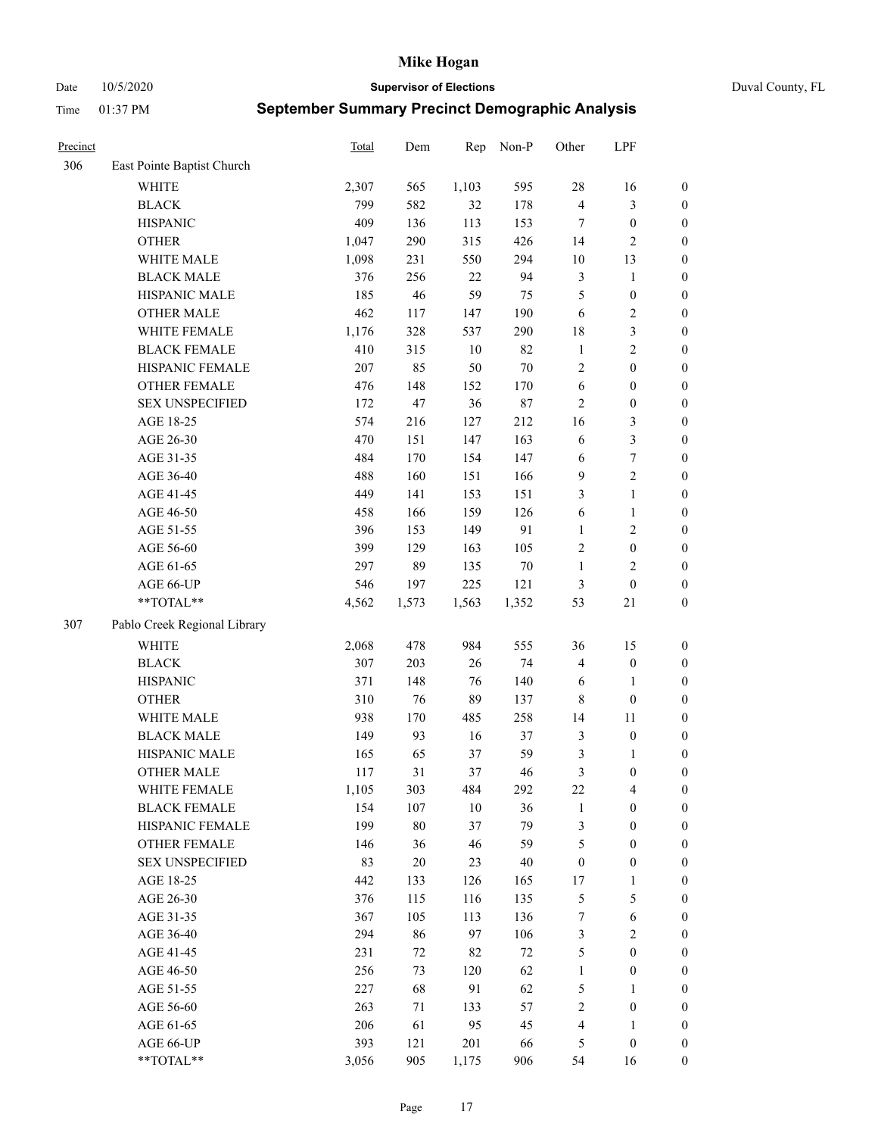Date 10/5/2020 **Supervisor of Elections** Duval County, FL

| Precinct |                              | Total | Dem    | Rep    | Non-P  | Other            | LPF              |                  |
|----------|------------------------------|-------|--------|--------|--------|------------------|------------------|------------------|
| 306      | East Pointe Baptist Church   |       |        |        |        |                  |                  |                  |
|          | <b>WHITE</b>                 | 2,307 | 565    | 1,103  | 595    | 28               | 16               | 0                |
|          | <b>BLACK</b>                 | 799   | 582    | 32     | 178    | $\overline{4}$   | $\mathfrak{Z}$   | $\boldsymbol{0}$ |
|          | <b>HISPANIC</b>              | 409   | 136    | 113    | 153    | $\tau$           | $\boldsymbol{0}$ | $\boldsymbol{0}$ |
|          | <b>OTHER</b>                 | 1,047 | 290    | 315    | 426    | 14               | $\sqrt{2}$       | $\boldsymbol{0}$ |
|          | WHITE MALE                   | 1,098 | 231    | 550    | 294    | 10               | 13               | $\boldsymbol{0}$ |
|          | <b>BLACK MALE</b>            | 376   | 256    | 22     | 94     | $\mathfrak{Z}$   | $\mathbf{1}$     | $\boldsymbol{0}$ |
|          | HISPANIC MALE                | 185   | 46     | 59     | 75     | 5                | $\boldsymbol{0}$ | $\boldsymbol{0}$ |
|          | <b>OTHER MALE</b>            | 462   | 117    | 147    | 190    | 6                | $\overline{2}$   | $\boldsymbol{0}$ |
|          | WHITE FEMALE                 | 1,176 | 328    | 537    | 290    | 18               | $\mathfrak{Z}$   | $\boldsymbol{0}$ |
|          | <b>BLACK FEMALE</b>          | 410   | 315    | $10\,$ | 82     | $\mathbf{1}$     | $\sqrt{2}$       | $\boldsymbol{0}$ |
|          | HISPANIC FEMALE              | 207   | 85     | 50     | $70\,$ | 2                | $\boldsymbol{0}$ | 0                |
|          | OTHER FEMALE                 | 476   | 148    | 152    | 170    | $\sqrt{6}$       | $\boldsymbol{0}$ | $\boldsymbol{0}$ |
|          | <b>SEX UNSPECIFIED</b>       | 172   | 47     | 36     | $87\,$ | $\mathbf{2}$     | $\boldsymbol{0}$ | $\boldsymbol{0}$ |
|          | AGE 18-25                    | 574   | 216    | 127    | 212    | 16               | $\mathfrak{Z}$   | $\boldsymbol{0}$ |
|          | AGE 26-30                    | 470   | 151    | 147    | 163    | 6                | $\mathfrak{Z}$   | $\boldsymbol{0}$ |
|          | AGE 31-35                    | 484   | 170    | 154    | 147    | 6                | $\boldsymbol{7}$ | $\boldsymbol{0}$ |
|          | AGE 36-40                    | 488   | 160    | 151    | 166    | 9                | $\sqrt{2}$       | $\boldsymbol{0}$ |
|          | AGE 41-45                    | 449   | 141    | 153    | 151    | 3                | $\mathbf{1}$     | $\boldsymbol{0}$ |
|          | AGE 46-50                    | 458   | 166    | 159    | 126    | 6                | $\mathbf{1}$     | $\boldsymbol{0}$ |
|          | AGE 51-55                    | 396   | 153    | 149    | 91     | $\mathbf{1}$     | $\sqrt{2}$       | $\boldsymbol{0}$ |
|          | AGE 56-60                    | 399   | 129    | 163    | 105    | $\overline{c}$   | $\boldsymbol{0}$ | 0                |
|          | AGE 61-65                    | 297   | 89     | 135    | $70\,$ | $\mathbf{1}$     | $\mathbf{2}$     | 0                |
|          | AGE 66-UP                    | 546   | 197    | 225    | 121    | $\mathfrak{Z}$   | $\boldsymbol{0}$ | $\boldsymbol{0}$ |
|          | $**TOTAL**$                  | 4,562 | 1,573  | 1,563  | 1,352  | 53               | 21               | $\boldsymbol{0}$ |
| 307      | Pablo Creek Regional Library |       |        |        |        |                  |                  |                  |
|          | <b>WHITE</b>                 | 2,068 | 478    | 984    | 555    | 36               | 15               | $\boldsymbol{0}$ |
|          | <b>BLACK</b>                 | 307   | 203    | 26     | 74     | 4                | $\boldsymbol{0}$ | $\boldsymbol{0}$ |
|          | <b>HISPANIC</b>              | 371   | 148    | 76     | 140    | 6                | $\mathbf{1}$     | $\boldsymbol{0}$ |
|          | <b>OTHER</b>                 | 310   | 76     | 89     | 137    | $\,$ 8 $\,$      | $\boldsymbol{0}$ | $\boldsymbol{0}$ |
|          | WHITE MALE                   | 938   | 170    | 485    | 258    | 14               | 11               | $\boldsymbol{0}$ |
|          | <b>BLACK MALE</b>            | 149   | 93     | 16     | 37     | 3                | $\boldsymbol{0}$ | $\boldsymbol{0}$ |
|          | HISPANIC MALE                | 165   | 65     | 37     | 59     | 3                | 1                | $\boldsymbol{0}$ |
|          | <b>OTHER MALE</b>            | 117   | 31     | 37     | 46     | $\mathfrak{Z}$   | $\boldsymbol{0}$ | $\boldsymbol{0}$ |
|          | WHITE FEMALE                 | 1,105 | 303    | 484    | 292    | 22               | 4                | 0                |
|          | <b>BLACK FEMALE</b>          | 154   | 107    | 10     | 36     | $\mathbf{1}$     | $\boldsymbol{0}$ | $\overline{0}$   |
|          | HISPANIC FEMALE              | 199   | $80\,$ | 37     | 79     | 3                | $\boldsymbol{0}$ | $\overline{0}$   |
|          | <b>OTHER FEMALE</b>          | 146   | 36     | 46     | 59     | 5                | $\boldsymbol{0}$ | $\overline{0}$   |
|          | <b>SEX UNSPECIFIED</b>       | 83    | $20\,$ | 23     | 40     | $\boldsymbol{0}$ | $\boldsymbol{0}$ | 0                |
|          | AGE 18-25                    | 442   | 133    | 126    | 165    | 17               | $\mathbf{1}$     | 0                |
|          | AGE 26-30                    | 376   | 115    | 116    | 135    | 5                | $\mathfrak{S}$   | 0                |
|          | AGE 31-35                    | 367   | 105    | 113    | 136    | 7                | 6                | 0                |
|          | AGE 36-40                    | 294   | 86     | 97     | 106    | 3                | $\sqrt{2}$       | 0                |
|          | AGE 41-45                    | 231   | 72     | 82     | 72     | $\mathfrak{S}$   | $\boldsymbol{0}$ | 0                |
|          | AGE 46-50                    | 256   | 73     | 120    | 62     | $\mathbf{1}$     | $\boldsymbol{0}$ | 0                |
|          | AGE 51-55                    | 227   | 68     | 91     | 62     | 5                | $\mathbf{1}$     | 0                |
|          | AGE 56-60                    | 263   | 71     | 133    | 57     | $\overline{c}$   | $\boldsymbol{0}$ | 0                |
|          | AGE 61-65                    | 206   | 61     | 95     | 45     | 4                | $\mathbf{1}$     | 0                |
|          | AGE 66-UP                    | 393   | 121    | 201    | 66     | 5                | $\boldsymbol{0}$ | 0                |
|          | **TOTAL**                    | 3,056 | 905    | 1,175  | 906    | 54               | 16               | $\boldsymbol{0}$ |
|          |                              |       |        |        |        |                  |                  |                  |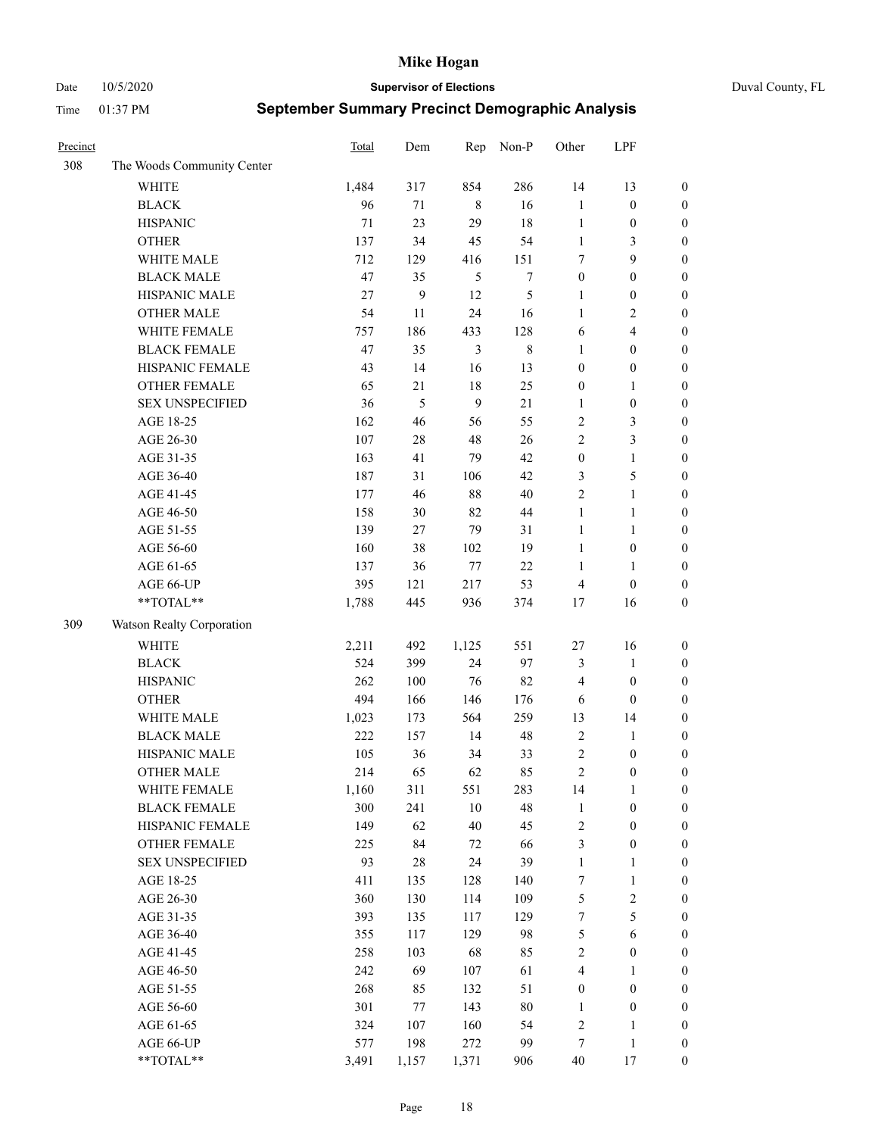Date 10/5/2020 **Supervisor of Elections** Duval County, FL

| Precinct |                            | Total | Dem   | Rep            | Non-P            | Other            | LPF                     |                  |
|----------|----------------------------|-------|-------|----------------|------------------|------------------|-------------------------|------------------|
| 308      | The Woods Community Center |       |       |                |                  |                  |                         |                  |
|          | <b>WHITE</b>               | 1,484 | 317   | 854            | 286              | 14               | 13                      | $\boldsymbol{0}$ |
|          | <b>BLACK</b>               | 96    | 71    | $\,8\,$        | 16               | $\mathbf{1}$     | $\boldsymbol{0}$        | $\boldsymbol{0}$ |
|          | <b>HISPANIC</b>            | 71    | 23    | 29             | 18               | $\mathbf{1}$     | $\boldsymbol{0}$        | $\boldsymbol{0}$ |
|          | <b>OTHER</b>               | 137   | 34    | 45             | 54               | $\mathbf{1}$     | 3                       | $\boldsymbol{0}$ |
|          | WHITE MALE                 | 712   | 129   | 416            | 151              | 7                | 9                       | $\boldsymbol{0}$ |
|          | <b>BLACK MALE</b>          | 47    | 35    | 5              | $\boldsymbol{7}$ | $\boldsymbol{0}$ | $\boldsymbol{0}$        | $\boldsymbol{0}$ |
|          | HISPANIC MALE              | 27    | 9     | 12             | 5                | $\mathbf{1}$     | $\boldsymbol{0}$        | $\boldsymbol{0}$ |
|          | <b>OTHER MALE</b>          | 54    | 11    | 24             | 16               | $\mathbf{1}$     | $\overline{2}$          | $\boldsymbol{0}$ |
|          | WHITE FEMALE               | 757   | 186   | 433            | 128              | 6                | $\overline{\mathbf{4}}$ | $\boldsymbol{0}$ |
|          | <b>BLACK FEMALE</b>        | 47    | 35    | $\mathfrak{Z}$ | $\,$ 8 $\,$      | 1                | $\boldsymbol{0}$        | $\boldsymbol{0}$ |
|          | HISPANIC FEMALE            | 43    | 14    | 16             | 13               | $\boldsymbol{0}$ | $\boldsymbol{0}$        | 0                |
|          | <b>OTHER FEMALE</b>        | 65    | 21    | $18\,$         | 25               | $\boldsymbol{0}$ | $\mathbf{1}$            | $\boldsymbol{0}$ |
|          | <b>SEX UNSPECIFIED</b>     | 36    | 5     | 9              | 21               | $\mathbf{1}$     | $\boldsymbol{0}$        | $\boldsymbol{0}$ |
|          | AGE 18-25                  | 162   | 46    | 56             | 55               | $\overline{c}$   | $\mathfrak{Z}$          | $\boldsymbol{0}$ |
|          | AGE 26-30                  | 107   | 28    | 48             | 26               | $\overline{c}$   | $\mathfrak{Z}$          | $\boldsymbol{0}$ |
|          | AGE 31-35                  | 163   | 41    | 79             | 42               | $\boldsymbol{0}$ | $\mathbf{1}$            | $\boldsymbol{0}$ |
|          | AGE 36-40                  | 187   | 31    | 106            | 42               | 3                | 5                       | $\boldsymbol{0}$ |
|          | AGE 41-45                  | 177   | 46    | $88\,$         | $40\,$           | $\overline{c}$   | $\mathbf{1}$            | $\boldsymbol{0}$ |
|          | AGE 46-50                  | 158   | 30    | 82             | $44\,$           | $\mathbf{1}$     | $\mathbf{1}$            | $\boldsymbol{0}$ |
|          | AGE 51-55                  | 139   | 27    | 79             | 31               | $\mathbf{1}$     | $\mathbf{1}$            | $\boldsymbol{0}$ |
|          | AGE 56-60                  | 160   | 38    | 102            | 19               | $\mathbf{1}$     | $\boldsymbol{0}$        | 0                |
|          | AGE 61-65                  | 137   | 36    | $77\,$         | 22               | 1                | $\mathbf{1}$            | 0                |
|          | AGE 66-UP                  | 395   | 121   | 217            | 53               | $\overline{4}$   | $\boldsymbol{0}$        | $\boldsymbol{0}$ |
|          | $**TOTAL**$                | 1,788 | 445   | 936            | 374              | $17$             | 16                      | $\boldsymbol{0}$ |
| 309      | Watson Realty Corporation  |       |       |                |                  |                  |                         |                  |
|          | <b>WHITE</b>               | 2,211 | 492   | 1,125          | 551              | $27\,$           | 16                      | $\boldsymbol{0}$ |
|          | <b>BLACK</b>               | 524   | 399   | 24             | 97               | 3                | $\mathbf{1}$            | $\boldsymbol{0}$ |
|          | <b>HISPANIC</b>            | 262   | 100   | 76             | 82               | 4                | $\boldsymbol{0}$        | $\boldsymbol{0}$ |
|          | <b>OTHER</b>               | 494   | 166   | 146            | 176              | 6                | $\boldsymbol{0}$        | $\boldsymbol{0}$ |
|          | WHITE MALE                 | 1,023 | 173   | 564            | 259              | 13               | 14                      | $\boldsymbol{0}$ |
|          | <b>BLACK MALE</b>          | 222   | 157   | 14             | 48               | $\overline{2}$   | $\mathbf{1}$            | $\boldsymbol{0}$ |
|          | HISPANIC MALE              | 105   | 36    | 34             | 33               | $\overline{c}$   | $\boldsymbol{0}$        | $\boldsymbol{0}$ |
|          | <b>OTHER MALE</b>          | 214   | 65    | 62             | 85               | $\overline{c}$   | $\boldsymbol{0}$        | $\boldsymbol{0}$ |
|          | WHITE FEMALE               | 1,160 | 311   | 551            | 283              | 14               | 1                       | 0                |
|          | <b>BLACK FEMALE</b>        | 300   | 241   | 10             | 48               | $\mathbf{1}$     | $\boldsymbol{0}$        | $\boldsymbol{0}$ |
|          | HISPANIC FEMALE            | 149   | 62    | $40\,$         | 45               | $\sqrt{2}$       | $\boldsymbol{0}$        | $\overline{0}$   |
|          | OTHER FEMALE               | 225   | 84    | $72\,$         | 66               | 3                | $\boldsymbol{0}$        | $\overline{0}$   |
|          | <b>SEX UNSPECIFIED</b>     | 93    | 28    | 24             | 39               | $\mathbf{1}$     | $\mathbf{1}$            | 0                |
|          | AGE 18-25                  | 411   | 135   | 128            | 140              | 7                | $\mathbf{1}$            | $\theta$         |
|          | AGE 26-30                  | 360   | 130   | 114            | 109              | 5                | $\sqrt{2}$              | 0                |
|          | AGE 31-35                  | 393   | 135   | 117            | 129              | 7                | $\mathfrak s$           | 0                |
|          | AGE 36-40                  | 355   | 117   | 129            | 98               | 5                | $\sqrt{6}$              | 0                |
|          | AGE 41-45                  | 258   | 103   | 68             | 85               | $\sqrt{2}$       | $\boldsymbol{0}$        | 0                |
|          | AGE 46-50                  | 242   | 69    | 107            | 61               | 4                | $\mathbf{1}$            | 0                |
|          | AGE 51-55                  | 268   | 85    | 132            | 51               | $\boldsymbol{0}$ | $\boldsymbol{0}$        | $\overline{0}$   |
|          | AGE 56-60                  | 301   | 77    | 143            | $80\,$           | 1                | $\boldsymbol{0}$        | $\boldsymbol{0}$ |
|          | AGE 61-65                  | 324   | 107   | 160            | 54               | $\overline{c}$   | $\mathbf{1}$            | $\boldsymbol{0}$ |
|          | AGE 66-UP                  | 577   | 198   | 272            | 99               | 7                | $\mathbf{1}$            | $\boldsymbol{0}$ |
|          | **TOTAL**                  | 3,491 | 1,157 | 1,371          | 906              | 40               | 17                      | $\boldsymbol{0}$ |
|          |                            |       |       |                |                  |                  |                         |                  |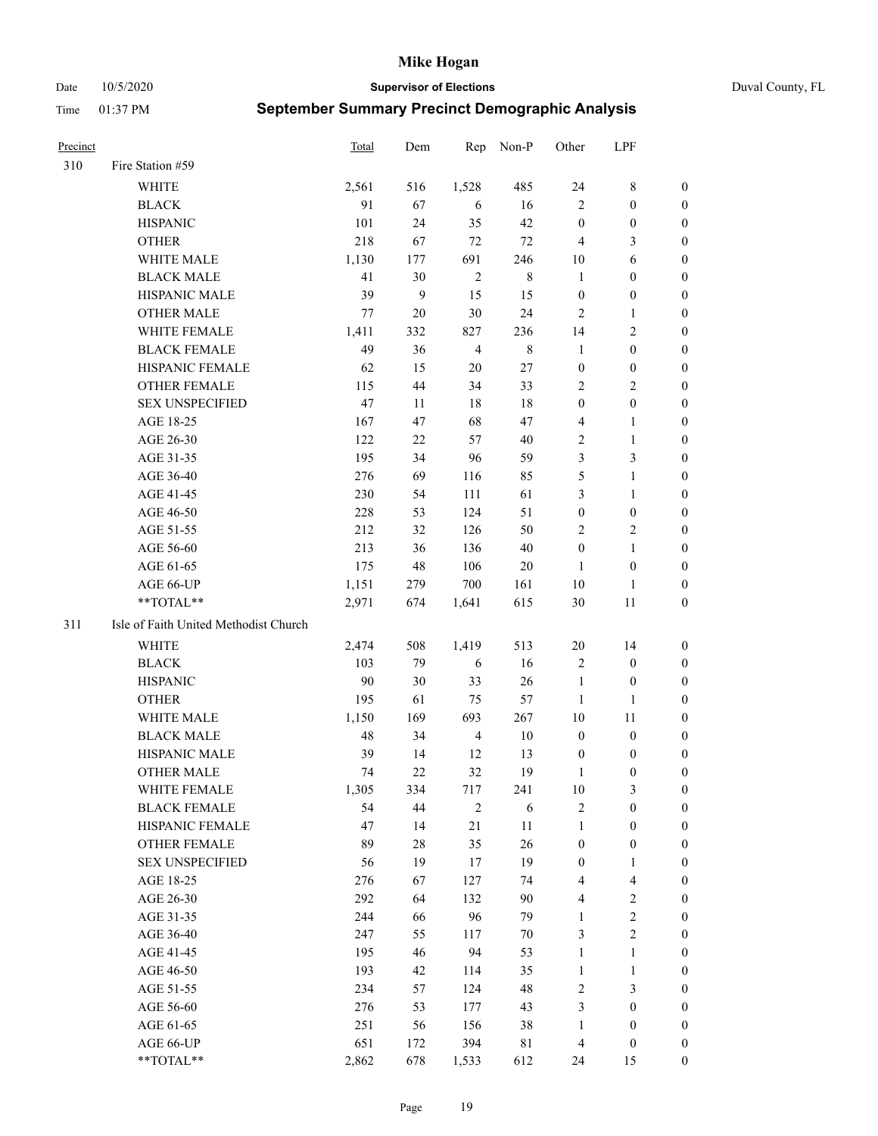#### Date 10/5/2020 **Supervisor of Elections** Duval County, FL

| Precinct |                                       | Total | Dem          | Rep            | Non-P       | Other            | LPF                     |                  |
|----------|---------------------------------------|-------|--------------|----------------|-------------|------------------|-------------------------|------------------|
| 310      | Fire Station #59                      |       |              |                |             |                  |                         |                  |
|          | WHITE                                 | 2,561 | 516          | 1,528          | 485         | 24               | $8\,$                   | 0                |
|          | <b>BLACK</b>                          | 91    | 67           | 6              | 16          | $\overline{2}$   | $\boldsymbol{0}$        | 0                |
|          | <b>HISPANIC</b>                       | 101   | 24           | 35             | 42          | $\boldsymbol{0}$ | $\boldsymbol{0}$        | 0                |
|          | <b>OTHER</b>                          | 218   | 67           | $72\,$         | 72          | $\overline{4}$   | $\mathfrak{Z}$          | $\boldsymbol{0}$ |
|          | WHITE MALE                            | 1,130 | 177          | 691            | 246         | 10               | 6                       | $\boldsymbol{0}$ |
|          | <b>BLACK MALE</b>                     | 41    | 30           | $\overline{2}$ | $\,8\,$     | $\mathbf{1}$     | $\boldsymbol{0}$        | 0                |
|          | HISPANIC MALE                         | 39    | $\mathbf{9}$ | 15             | 15          | $\boldsymbol{0}$ | $\boldsymbol{0}$        | 0                |
|          | <b>OTHER MALE</b>                     | 77    | 20           | $30\,$         | 24          | $\mathfrak{2}$   | $\mathbf{1}$            | $\boldsymbol{0}$ |
|          | WHITE FEMALE                          | 1,411 | 332          | 827            | 236         | 14               | $\sqrt{2}$              | 0                |
|          | <b>BLACK FEMALE</b>                   | 49    | 36           | $\overline{4}$ | $\,$ 8 $\,$ | $\mathbf{1}$     | $\boldsymbol{0}$        | 0                |
|          | HISPANIC FEMALE                       | 62    | 15           | 20             | 27          | $\boldsymbol{0}$ | $\boldsymbol{0}$        | 0                |
|          | OTHER FEMALE                          | 115   | 44           | 34             | 33          | $\overline{2}$   | $\sqrt{2}$              | 0                |
|          | <b>SEX UNSPECIFIED</b>                | 47    | 11           | 18             | $18\,$      | $\boldsymbol{0}$ | $\boldsymbol{0}$        | $\boldsymbol{0}$ |
|          | AGE 18-25                             | 167   | 47           | 68             | 47          | 4                | $\mathbf{1}$            | $\boldsymbol{0}$ |
|          | AGE 26-30                             | 122   | $22\,$       | 57             | 40          | $\overline{c}$   | $\mathbf{1}$            | $\boldsymbol{0}$ |
|          | AGE 31-35                             | 195   | 34           | 96             | 59          | 3                | $\mathfrak{Z}$          | $\boldsymbol{0}$ |
|          | AGE 36-40                             | 276   | 69           | 116            | 85          | 5                | $\mathbf{1}$            | $\boldsymbol{0}$ |
|          | AGE 41-45                             | 230   | 54           | 111            | 61          | 3                | $\mathbf{1}$            | $\boldsymbol{0}$ |
|          | AGE 46-50                             | 228   | 53           | 124            | 51          | $\boldsymbol{0}$ | $\boldsymbol{0}$        | 0                |
|          | AGE 51-55                             | 212   | 32           | 126            | 50          | $\overline{c}$   | $\sqrt{2}$              | 0                |
|          | AGE 56-60                             | 213   | 36           | 136            | 40          | $\boldsymbol{0}$ | $\mathbf{1}$            | 0                |
|          | AGE 61-65                             | 175   | 48           | 106            | 20          | $\mathbf{1}$     | $\boldsymbol{0}$        | 0                |
|          | AGE 66-UP                             | 1,151 | 279          | 700            | 161         | 10               | $\mathbf{1}$            | 0                |
|          | $**TOTAL**$                           | 2,971 | 674          | 1,641          | 615         | 30               | 11                      | $\boldsymbol{0}$ |
| 311      | Isle of Faith United Methodist Church |       |              |                |             |                  |                         |                  |
|          | <b>WHITE</b>                          | 2,474 | 508          | 1,419          | 513         | $20\,$           | 14                      | $\boldsymbol{0}$ |
|          | <b>BLACK</b>                          | 103   | 79           | 6              | 16          | 2                | $\boldsymbol{0}$        | $\boldsymbol{0}$ |
|          | <b>HISPANIC</b>                       | 90    | 30           | 33             | 26          | $\mathbf{1}$     | $\boldsymbol{0}$        | 0                |
|          | <b>OTHER</b>                          | 195   | 61           | 75             | 57          | $\mathbf{1}$     | $\mathbf{1}$            | $\boldsymbol{0}$ |
|          | WHITE MALE                            | 1,150 | 169          | 693            | 267         | 10               | $11\,$                  | $\boldsymbol{0}$ |
|          | <b>BLACK MALE</b>                     | 48    | 34           | $\overline{4}$ | $10\,$      | $\boldsymbol{0}$ | $\boldsymbol{0}$        | 0                |
|          | HISPANIC MALE                         | 39    | 14           | 12             | 13          | $\boldsymbol{0}$ | $\boldsymbol{0}$        | 0                |
|          | <b>OTHER MALE</b>                     | 74    | 22           | 32             | 19          | 1                | $\boldsymbol{0}$        | 0                |
|          | WHITE FEMALE                          | 1,305 | 334          | 717            | 241         | 10               | 3                       | 0                |
|          | <b>BLACK FEMALE</b>                   | 54    | 44           | $\sqrt{2}$     | 6           | $\sqrt{2}$       | $\boldsymbol{0}$        | $\boldsymbol{0}$ |
|          | HISPANIC FEMALE                       | 47    | 14           | 21             | $11\,$      | $\mathbf{1}$     | $\boldsymbol{0}$        | $\overline{0}$   |
|          | OTHER FEMALE                          | 89    | $28\,$       | 35             | 26          | $\boldsymbol{0}$ | $\boldsymbol{0}$        | $\overline{0}$   |
|          | <b>SEX UNSPECIFIED</b>                | 56    | 19           | 17             | 19          | $\boldsymbol{0}$ | $\mathbf{1}$            | 0                |
|          | AGE 18-25                             | 276   | 67           | 127            | 74          | 4                | $\overline{\mathbf{4}}$ | 0                |
|          | AGE 26-30                             | 292   | 64           | 132            | 90          | 4                | $\sqrt{2}$              | 0                |
|          | AGE 31-35                             | 244   | 66           | 96             | 79          | $\mathbf{1}$     | $\sqrt{2}$              | 0                |
|          | AGE 36-40                             | 247   | 55           | 117            | 70          | 3                | $\sqrt{2}$              | 0                |
|          | AGE 41-45                             | 195   | 46           | 94             | 53          | $\mathbf{1}$     | $\mathbf{1}$            | 0                |
|          | AGE 46-50                             | 193   | 42           | 114            | 35          | $\mathbf{1}$     | $\mathbf{1}$            | 0                |
|          | AGE 51-55                             | 234   | 57           | 124            | 48          | $\sqrt{2}$       | $\mathfrak{Z}$          | 0                |
|          | AGE 56-60                             | 276   | 53           | 177            | 43          | 3                | $\boldsymbol{0}$        | 0                |
|          | AGE 61-65                             | 251   | 56           | 156            | 38          | $\mathbf{1}$     | $\boldsymbol{0}$        | $\boldsymbol{0}$ |
|          | AGE 66-UP                             | 651   | 172          | 394            | 81          | $\overline{4}$   | $\boldsymbol{0}$        | 0                |
|          | **TOTAL**                             | 2,862 | 678          | 1,533          | 612         | 24               | 15                      | $\boldsymbol{0}$ |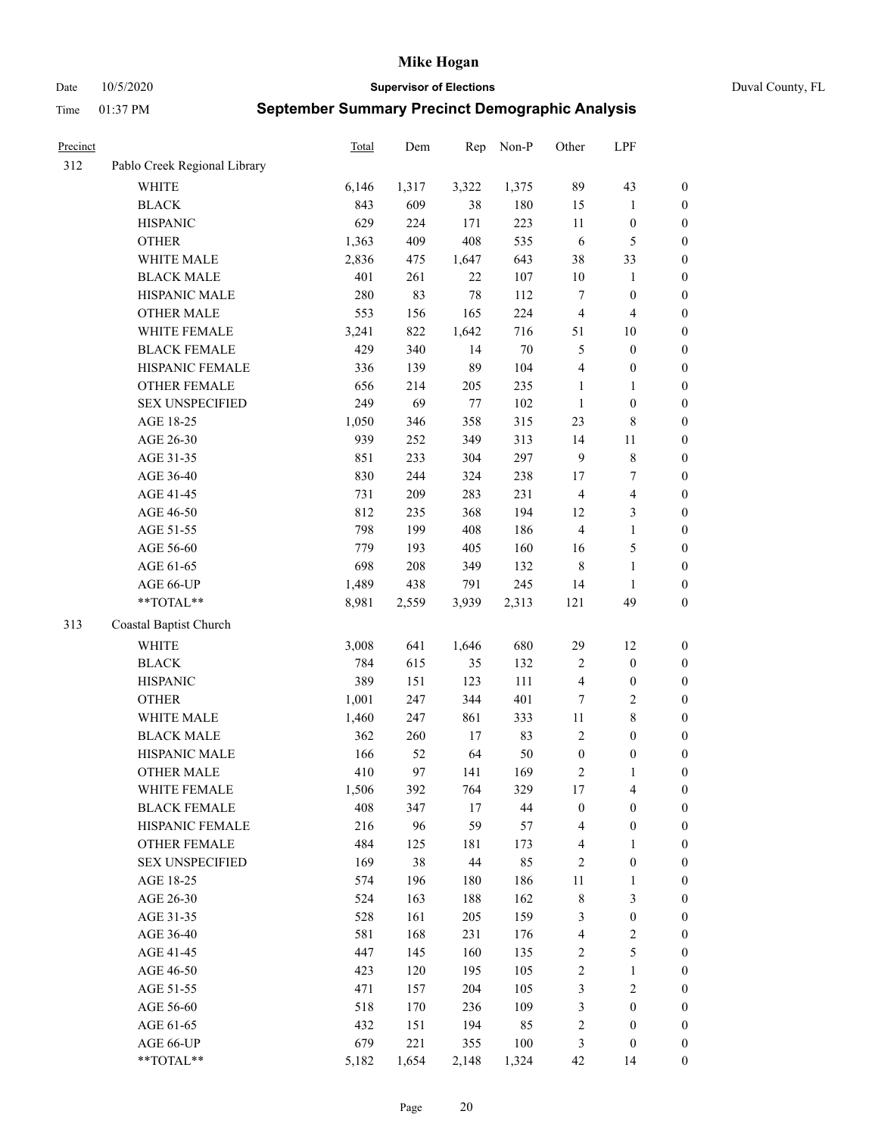Date 10/5/2020 **Supervisor of Elections** Duval County, FL

| <b>Precinct</b> |                              | Total | Dem   | Rep    | Non-P  | Other            | LPF                     |                  |
|-----------------|------------------------------|-------|-------|--------|--------|------------------|-------------------------|------------------|
| 312             | Pablo Creek Regional Library |       |       |        |        |                  |                         |                  |
|                 | <b>WHITE</b>                 | 6,146 | 1,317 | 3,322  | 1,375  | 89               | 43                      | 0                |
|                 | <b>BLACK</b>                 | 843   | 609   | 38     | 180    | 15               | $\mathbf{1}$            | $\boldsymbol{0}$ |
|                 | <b>HISPANIC</b>              | 629   | 224   | 171    | 223    | $11\,$           | $\boldsymbol{0}$        | $\boldsymbol{0}$ |
|                 | <b>OTHER</b>                 | 1,363 | 409   | 408    | 535    | 6                | $\mathfrak{S}$          | $\boldsymbol{0}$ |
|                 | WHITE MALE                   | 2,836 | 475   | 1,647  | 643    | 38               | 33                      | $\boldsymbol{0}$ |
|                 | <b>BLACK MALE</b>            | 401   | 261   | 22     | 107    | $10\,$           | $\mathbf{1}$            | $\boldsymbol{0}$ |
|                 | HISPANIC MALE                | 280   | 83    | $78\,$ | 112    | 7                | $\boldsymbol{0}$        | $\boldsymbol{0}$ |
|                 | <b>OTHER MALE</b>            | 553   | 156   | 165    | 224    | $\overline{4}$   | $\overline{\mathbf{4}}$ | $\boldsymbol{0}$ |
|                 | WHITE FEMALE                 | 3,241 | 822   | 1,642  | 716    | 51               | $10\,$                  | $\boldsymbol{0}$ |
|                 | <b>BLACK FEMALE</b>          | 429   | 340   | 14     | $70\,$ | 5                | $\boldsymbol{0}$        | $\boldsymbol{0}$ |
|                 | HISPANIC FEMALE              | 336   | 139   | 89     | 104    | $\overline{4}$   | $\boldsymbol{0}$        | 0                |
|                 | OTHER FEMALE                 | 656   | 214   | 205    | 235    | $\mathbf{1}$     | $\mathbf{1}$            | $\boldsymbol{0}$ |
|                 | <b>SEX UNSPECIFIED</b>       | 249   | 69    | $77\,$ | 102    | $\mathbf{1}$     | $\boldsymbol{0}$        | $\boldsymbol{0}$ |
|                 | AGE 18-25                    | 1,050 | 346   | 358    | 315    | 23               | $\,$ 8 $\,$             | $\boldsymbol{0}$ |
|                 | AGE 26-30                    | 939   | 252   | 349    | 313    | 14               | $11\,$                  | $\boldsymbol{0}$ |
|                 | AGE 31-35                    | 851   | 233   | 304    | 297    | $\overline{9}$   | $\,8\,$                 | $\boldsymbol{0}$ |
|                 | AGE 36-40                    | 830   | 244   | 324    | 238    | 17               | 7                       | $\boldsymbol{0}$ |
|                 | AGE 41-45                    | 731   | 209   | 283    | 231    | $\overline{4}$   | $\overline{4}$          | $\boldsymbol{0}$ |
|                 | AGE 46-50                    | 812   | 235   | 368    | 194    | 12               | $\mathfrak{Z}$          | $\boldsymbol{0}$ |
|                 | AGE 51-55                    | 798   | 199   | 408    | 186    | $\overline{4}$   | $\mathbf{1}$            | $\boldsymbol{0}$ |
|                 | AGE 56-60                    | 779   | 193   | 405    | 160    | 16               | $\mathfrak{S}$          | 0                |
|                 | AGE 61-65                    | 698   | 208   | 349    | 132    | $\,$ 8 $\,$      | $\mathbf{1}$            | 0                |
|                 | AGE 66-UP                    | 1,489 | 438   | 791    | 245    | 14               | $\mathbf{1}$            | $\boldsymbol{0}$ |
|                 | $**TOTAL**$                  | 8,981 | 2,559 | 3,939  | 2,313  | 121              | 49                      | $\boldsymbol{0}$ |
| 313             | Coastal Baptist Church       |       |       |        |        |                  |                         |                  |
|                 | <b>WHITE</b>                 | 3,008 | 641   | 1,646  | 680    | 29               | 12                      | $\boldsymbol{0}$ |
|                 | <b>BLACK</b>                 | 784   | 615   | 35     | 132    | 2                | $\boldsymbol{0}$        | $\boldsymbol{0}$ |
|                 | <b>HISPANIC</b>              | 389   | 151   | 123    | 111    | 4                | $\boldsymbol{0}$        | $\boldsymbol{0}$ |
|                 | <b>OTHER</b>                 | 1,001 | 247   | 344    | 401    | 7                | $\sqrt{2}$              | $\boldsymbol{0}$ |
|                 | WHITE MALE                   | 1,460 | 247   | 861    | 333    | $11\,$           | $\,$ 8 $\,$             | $\boldsymbol{0}$ |
|                 | <b>BLACK MALE</b>            | 362   | 260   | 17     | 83     | $\mathfrak{2}$   | $\boldsymbol{0}$        | $\boldsymbol{0}$ |
|                 | HISPANIC MALE                | 166   | 52    | 64     | 50     | $\boldsymbol{0}$ | $\boldsymbol{0}$        | $\boldsymbol{0}$ |
|                 | <b>OTHER MALE</b>            | 410   | 97    | 141    | 169    | 2                | $\mathbf{1}$            | $\boldsymbol{0}$ |
|                 | WHITE FEMALE                 | 1,506 | 392   | 764    | 329    | 17               | 4                       | 0                |
|                 | <b>BLACK FEMALE</b>          | 408   | 347   | 17     | 44     | $\boldsymbol{0}$ | $\boldsymbol{0}$        | $\boldsymbol{0}$ |
|                 | HISPANIC FEMALE              | 216   | 96    | 59     | 57     | 4                | $\boldsymbol{0}$        | $\boldsymbol{0}$ |
|                 | <b>OTHER FEMALE</b>          | 484   | 125   | 181    | 173    | $\overline{4}$   | $\mathbf{1}$            | $\overline{0}$   |
|                 | <b>SEX UNSPECIFIED</b>       | 169   | 38    | $44\,$ | 85     | 2                | $\boldsymbol{0}$        | 0                |
|                 | AGE 18-25                    | 574   | 196   | 180    | 186    | $11\,$           | $\mathbf{1}$            | $\overline{0}$   |
|                 | AGE 26-30                    | 524   | 163   | 188    | 162    | $\,$ 8 $\,$      | $\mathfrak{Z}$          | 0                |
|                 | AGE 31-35                    | 528   | 161   | 205    | 159    | 3                | $\boldsymbol{0}$        | 0                |
|                 | AGE 36-40                    | 581   | 168   | 231    | 176    | 4                | $\sqrt{2}$              | 0                |
|                 | AGE 41-45                    | 447   | 145   | 160    | 135    | $\sqrt{2}$       | $\mathfrak{S}$          | 0                |
|                 | AGE 46-50                    | 423   | 120   | 195    | 105    | $\sqrt{2}$       | $\mathbf{1}$            | 0                |
|                 | AGE 51-55                    | 471   | 157   | 204    | 105    | $\mathfrak{Z}$   | $\sqrt{2}$              | $\boldsymbol{0}$ |
|                 | AGE 56-60                    | 518   | 170   | 236    | 109    | 3                | $\boldsymbol{0}$        | $\boldsymbol{0}$ |
|                 | AGE 61-65                    | 432   | 151   | 194    | 85     | 2                | $\boldsymbol{0}$        | $\boldsymbol{0}$ |
|                 | AGE 66-UP                    | 679   | 221   | 355    | 100    | 3                | $\boldsymbol{0}$        | $\boldsymbol{0}$ |
|                 | **TOTAL**                    | 5,182 | 1,654 | 2,148  | 1,324  | 42               | 14                      | $\boldsymbol{0}$ |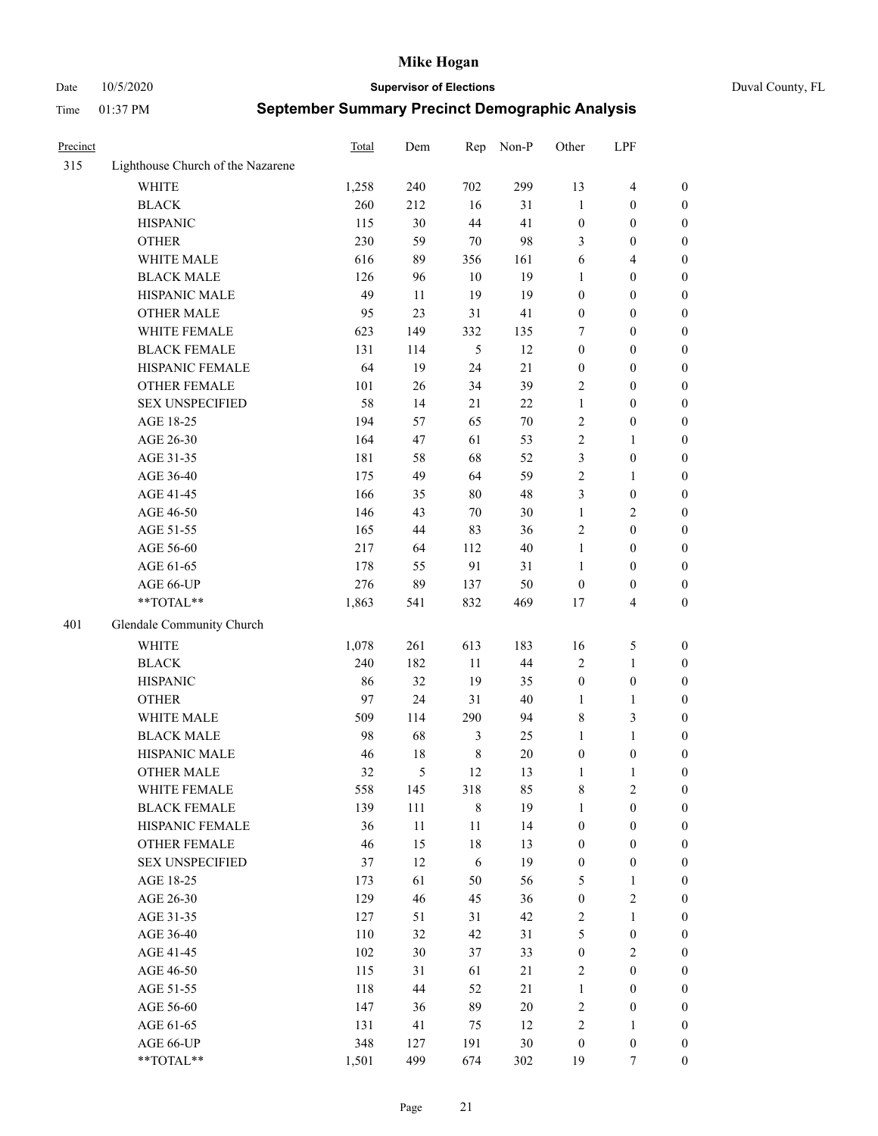Date 10/5/2020 **Supervisor of Elections** Duval County, FL

| Precinct |                                   | Total | Dem    | Rep         | Non-P  | Other            | LPF                     |                  |
|----------|-----------------------------------|-------|--------|-------------|--------|------------------|-------------------------|------------------|
| 315      | Lighthouse Church of the Nazarene |       |        |             |        |                  |                         |                  |
|          | <b>WHITE</b>                      | 1,258 | 240    | 702         | 299    | 13               | $\overline{\mathbf{4}}$ | 0                |
|          | <b>BLACK</b>                      | 260   | 212    | 16          | 31     | $\mathbf{1}$     | $\boldsymbol{0}$        | 0                |
|          | <b>HISPANIC</b>                   | 115   | 30     | 44          | 41     | $\boldsymbol{0}$ | $\boldsymbol{0}$        | $\boldsymbol{0}$ |
|          | <b>OTHER</b>                      | 230   | 59     | $70\,$      | 98     | 3                | $\boldsymbol{0}$        | $\boldsymbol{0}$ |
|          | WHITE MALE                        | 616   | 89     | 356         | 161    | 6                | $\overline{4}$          | $\boldsymbol{0}$ |
|          | <b>BLACK MALE</b>                 | 126   | 96     | 10          | 19     | 1                | $\boldsymbol{0}$        | $\boldsymbol{0}$ |
|          | HISPANIC MALE                     | 49    | 11     | 19          | 19     | $\boldsymbol{0}$ | $\boldsymbol{0}$        | $\boldsymbol{0}$ |
|          | <b>OTHER MALE</b>                 | 95    | 23     | 31          | 41     | $\boldsymbol{0}$ | $\boldsymbol{0}$        | $\boldsymbol{0}$ |
|          | WHITE FEMALE                      | 623   | 149    | 332         | 135    | 7                | $\boldsymbol{0}$        | $\boldsymbol{0}$ |
|          | <b>BLACK FEMALE</b>               | 131   | 114    | 5           | 12     | $\boldsymbol{0}$ | $\boldsymbol{0}$        | 0                |
|          | HISPANIC FEMALE                   | 64    | 19     | 24          | 21     | $\boldsymbol{0}$ | $\boldsymbol{0}$        | 0                |
|          | OTHER FEMALE                      | 101   | 26     | 34          | 39     | 2                | $\boldsymbol{0}$        | $\boldsymbol{0}$ |
|          | <b>SEX UNSPECIFIED</b>            | 58    | 14     | 21          | 22     | $\mathbf{1}$     | $\boldsymbol{0}$        | $\boldsymbol{0}$ |
|          | AGE 18-25                         | 194   | 57     | 65          | $70\,$ | 2                | $\boldsymbol{0}$        | $\boldsymbol{0}$ |
|          | AGE 26-30                         | 164   | 47     | 61          | 53     | 2                | $\mathbf{1}$            | $\boldsymbol{0}$ |
|          | AGE 31-35                         | 181   | 58     | 68          | 52     | 3                | $\boldsymbol{0}$        | $\boldsymbol{0}$ |
|          | AGE 36-40                         | 175   | 49     | 64          | 59     | $\overline{c}$   | $\mathbf{1}$            | $\boldsymbol{0}$ |
|          | AGE 41-45                         | 166   | 35     | 80          | 48     | 3                | $\boldsymbol{0}$        | $\boldsymbol{0}$ |
|          | AGE 46-50                         | 146   | 43     | 70          | 30     | $\mathbf{1}$     | $\overline{2}$          | $\boldsymbol{0}$ |
|          | AGE 51-55                         | 165   | 44     | 83          | 36     | $\sqrt{2}$       | $\boldsymbol{0}$        | 0                |
|          | AGE 56-60                         | 217   | 64     | 112         | 40     | $\mathbf{1}$     | $\boldsymbol{0}$        | 0                |
|          | AGE 61-65                         | 178   | 55     | 91          | 31     | $\mathbf{1}$     | $\boldsymbol{0}$        | 0                |
|          | AGE 66-UP                         | 276   | 89     | 137         | 50     | $\boldsymbol{0}$ | $\boldsymbol{0}$        | $\boldsymbol{0}$ |
|          | **TOTAL**                         | 1,863 | 541    | 832         | 469    | $17$             | $\overline{\mathbf{4}}$ | $\boldsymbol{0}$ |
|          |                                   |       |        |             |        |                  |                         |                  |
| 401      | Glendale Community Church         |       |        |             |        |                  |                         |                  |
|          | <b>WHITE</b>                      | 1,078 | 261    | 613         | 183    | 16               | $\mathfrak{S}$          | $\boldsymbol{0}$ |
|          | <b>BLACK</b>                      | 240   | 182    | 11          | 44     | 2                | $\mathbf{1}$            | $\boldsymbol{0}$ |
|          | <b>HISPANIC</b>                   | 86    | 32     | 19          | 35     | $\boldsymbol{0}$ | $\boldsymbol{0}$        | $\boldsymbol{0}$ |
|          | <b>OTHER</b>                      | 97    | 24     | 31          | $40\,$ | $\mathbf{1}$     | $\mathbf{1}$            | $\boldsymbol{0}$ |
|          | WHITE MALE                        | 509   | 114    | 290         | 94     | 8                | 3                       | $\boldsymbol{0}$ |
|          | <b>BLACK MALE</b>                 | 98    | 68     | 3           | 25     | $\mathbf{1}$     | $\mathbf{1}$            | $\boldsymbol{0}$ |
|          | HISPANIC MALE                     | 46    | $18\,$ | $\,$ 8 $\,$ | $20\,$ | $\boldsymbol{0}$ | $\boldsymbol{0}$        | 0                |
|          | <b>OTHER MALE</b>                 | 32    | 5      | 12          | 13     | $\mathbf{1}$     | $\mathbf{1}$            | 0                |
|          | WHITE FEMALE                      | 558   | 145    | 318         | 85     | 8                | 2                       | 0                |
|          | <b>BLACK FEMALE</b>               | 139   | 111    | $\,$ 8 $\,$ | 19     | $\mathbf{1}$     | $\boldsymbol{0}$        | $\boldsymbol{0}$ |
|          | HISPANIC FEMALE                   | 36    | $11\,$ | $11\,$      | 14     | $\boldsymbol{0}$ | $\boldsymbol{0}$        | $\overline{0}$   |
|          | OTHER FEMALE                      | 46    | 15     | 18          | 13     | $\boldsymbol{0}$ | $\boldsymbol{0}$        | $\overline{0}$   |
|          | <b>SEX UNSPECIFIED</b>            | 37    | 12     | 6           | 19     | $\boldsymbol{0}$ | $\boldsymbol{0}$        | $\overline{0}$   |
|          | AGE 18-25                         | 173   | 61     | 50          | 56     | 5                | $\mathbf{1}$            | $\theta$         |
|          | AGE 26-30                         | 129   | 46     | 45          | 36     | $\boldsymbol{0}$ | $\mathfrak{2}$          | 0                |
|          | AGE 31-35                         | 127   | 51     | 31          | 42     | 2                | $\mathbf{1}$            | 0                |
|          | AGE 36-40                         | 110   | 32     | 42          | 31     | 5                | $\boldsymbol{0}$        | 0                |
|          | AGE 41-45                         | 102   | 30     | 37          | 33     | $\boldsymbol{0}$ | $\overline{2}$          | 0                |
|          | AGE 46-50                         | 115   | 31     | 61          | 21     | $\overline{2}$   | $\boldsymbol{0}$        | 0                |
|          | AGE 51-55                         | 118   | 44     | 52          | 21     | $\mathbf{1}$     | $\boldsymbol{0}$        | $\overline{0}$   |
|          | AGE 56-60                         | 147   | 36     | 89          | $20\,$ | $\sqrt{2}$       | $\boldsymbol{0}$        | $\overline{0}$   |
|          | AGE 61-65                         | 131   | 41     | 75          | 12     | $\overline{c}$   | $\mathbf{1}$            | $\overline{0}$   |
|          | AGE 66-UP                         | 348   | 127    | 191         | 30     | $\boldsymbol{0}$ | $\boldsymbol{0}$        | 0                |
|          | **TOTAL**                         | 1,501 | 499    | 674         | 302    | 19               | $\tau$                  | $\boldsymbol{0}$ |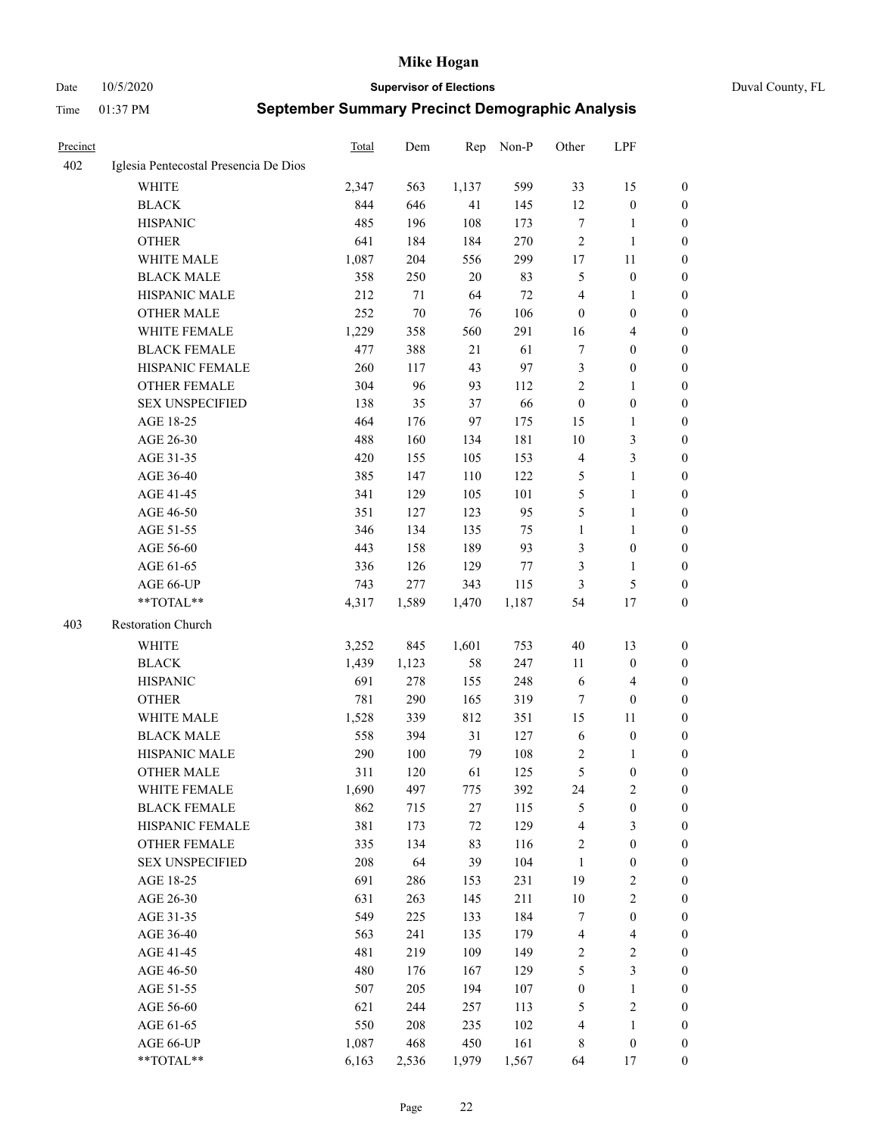#### Date 10/5/2020 **Supervisor of Elections** Duval County, FL

| <b>Precinct</b> |                                       | Total | Dem    | Rep    | Non-P | Other            | LPF                     |                  |
|-----------------|---------------------------------------|-------|--------|--------|-------|------------------|-------------------------|------------------|
| 402             | Iglesia Pentecostal Presencia De Dios |       |        |        |       |                  |                         |                  |
|                 | <b>WHITE</b>                          | 2,347 | 563    | 1,137  | 599   | 33               | 15                      | 0                |
|                 | <b>BLACK</b>                          | 844   | 646    | 41     | 145   | 12               | $\boldsymbol{0}$        | 0                |
|                 | <b>HISPANIC</b>                       | 485   | 196    | 108    | 173   | $\tau$           | $\mathbf{1}$            | $\boldsymbol{0}$ |
|                 | <b>OTHER</b>                          | 641   | 184    | 184    | 270   | $\overline{c}$   | $\mathbf{1}$            | $\boldsymbol{0}$ |
|                 | WHITE MALE                            | 1,087 | 204    | 556    | 299   | 17               | 11                      | $\boldsymbol{0}$ |
|                 | <b>BLACK MALE</b>                     | 358   | 250    | 20     | 83    | 5                | $\boldsymbol{0}$        | $\boldsymbol{0}$ |
|                 | HISPANIC MALE                         | 212   | 71     | 64     | 72    | 4                | $\mathbf{1}$            | $\boldsymbol{0}$ |
|                 | <b>OTHER MALE</b>                     | 252   | $70\,$ | 76     | 106   | $\boldsymbol{0}$ | $\boldsymbol{0}$        | $\boldsymbol{0}$ |
|                 | WHITE FEMALE                          | 1,229 | 358    | 560    | 291   | 16               | $\overline{\mathbf{4}}$ | 0                |
|                 | <b>BLACK FEMALE</b>                   | 477   | 388    | 21     | 61    | 7                | $\boldsymbol{0}$        | 0                |
|                 | HISPANIC FEMALE                       | 260   | 117    | 43     | 97    | 3                | $\boldsymbol{0}$        | 0                |
|                 | <b>OTHER FEMALE</b>                   | 304   | 96     | 93     | 112   | $\overline{c}$   | $\mathbf{1}$            | 0                |
|                 | <b>SEX UNSPECIFIED</b>                | 138   | 35     | 37     | 66    | $\boldsymbol{0}$ | $\boldsymbol{0}$        | $\boldsymbol{0}$ |
|                 | AGE 18-25                             | 464   | 176    | 97     | 175   | 15               | $\mathbf{1}$            | $\boldsymbol{0}$ |
|                 | AGE 26-30                             | 488   | 160    | 134    | 181   | 10               | $\mathfrak{Z}$          | $\boldsymbol{0}$ |
|                 | AGE 31-35                             | 420   | 155    | 105    | 153   | 4                | $\mathfrak{Z}$          | $\boldsymbol{0}$ |
|                 | AGE 36-40                             | 385   | 147    | 110    | 122   | 5                | $\mathbf{1}$            | $\boldsymbol{0}$ |
|                 | AGE 41-45                             | 341   | 129    | 105    | 101   | 5                | $\mathbf{1}$            | $\boldsymbol{0}$ |
|                 | AGE 46-50                             | 351   | 127    | 123    | 95    | 5                | $\mathbf{1}$            | $\boldsymbol{0}$ |
|                 | AGE 51-55                             | 346   | 134    | 135    | 75    | $\mathbf{1}$     | $\mathbf{1}$            | 0                |
|                 | AGE 56-60                             | 443   | 158    | 189    | 93    | 3                | $\boldsymbol{0}$        | 0                |
|                 | AGE 61-65                             | 336   | 126    | 129    | 77    | 3                | $\mathbf{1}$            | 0                |
|                 | AGE 66-UP                             | 743   | 277    | 343    | 115   | 3                | $\mathfrak{S}$          | 0                |
|                 | $**TOTAL**$                           | 4,317 | 1,589  | 1,470  | 1,187 | 54               | 17                      | $\boldsymbol{0}$ |
| 403             | Restoration Church                    |       |        |        |       |                  |                         |                  |
|                 | <b>WHITE</b>                          | 3,252 | 845    | 1,601  | 753   | 40               | 13                      | $\boldsymbol{0}$ |
|                 | <b>BLACK</b>                          | 1,439 | 1,123  | 58     | 247   | 11               | $\boldsymbol{0}$        | $\boldsymbol{0}$ |
|                 | <b>HISPANIC</b>                       | 691   | 278    | 155    | 248   | 6                | $\overline{\mathbf{4}}$ | $\boldsymbol{0}$ |
|                 | <b>OTHER</b>                          | 781   | 290    | 165    | 319   | 7                | $\boldsymbol{0}$        | $\boldsymbol{0}$ |
|                 | WHITE MALE                            | 1,528 | 339    | 812    | 351   | 15               | 11                      | $\boldsymbol{0}$ |
|                 | <b>BLACK MALE</b>                     | 558   | 394    | 31     | 127   | 6                | $\boldsymbol{0}$        | 0                |
|                 | HISPANIC MALE                         | 290   | 100    | 79     | 108   | 2                | 1                       | 0                |
|                 | <b>OTHER MALE</b>                     | 311   | 120    | 61     | 125   | 5                | $\boldsymbol{0}$        | 0                |
|                 | WHITE FEMALE                          | 1,690 | 497    | 775    | 392   | 24               | 2                       | 0                |
|                 | <b>BLACK FEMALE</b>                   | 862   | 715    | $27\,$ | 115   | 5                | $\boldsymbol{0}$        | $\boldsymbol{0}$ |
|                 | HISPANIC FEMALE                       | 381   | 173    | $72\,$ | 129   | 4                | $\mathfrak{Z}$          | $\overline{0}$   |
|                 | OTHER FEMALE                          | 335   | 134    | 83     | 116   | $\boldsymbol{2}$ | $\boldsymbol{0}$        | $\overline{0}$   |
|                 | <b>SEX UNSPECIFIED</b>                | 208   | 64     | 39     | 104   | $\mathbf{1}$     | $\boldsymbol{0}$        | 0                |
|                 | AGE 18-25                             | 691   | 286    | 153    | 231   | 19               | $\sqrt{2}$              | 0                |
|                 | AGE 26-30                             | 631   | 263    | 145    | 211   | $10\,$           | $\sqrt{2}$              | 0                |
|                 | AGE 31-35                             | 549   | 225    | 133    | 184   | 7                | $\boldsymbol{0}$        | 0                |
|                 | AGE 36-40                             | 563   | 241    | 135    | 179   | 4                | $\overline{4}$          | 0                |
|                 | AGE 41-45                             | 481   | 219    | 109    | 149   | $\overline{c}$   | $\sqrt{2}$              | 0                |
|                 | AGE 46-50                             | 480   | 176    | 167    | 129   | 5                | $\mathfrak{Z}$          | 0                |
|                 | AGE 51-55                             | 507   | 205    | 194    | 107   | $\boldsymbol{0}$ | $\mathbf{1}$            | 0                |
|                 | AGE 56-60                             | 621   | 244    | 257    | 113   | 5                | $\sqrt{2}$              | 0                |
|                 | AGE 61-65                             | 550   | 208    | 235    | 102   | 4                | $\mathbf{1}$            | $\boldsymbol{0}$ |
|                 | AGE 66-UP                             | 1,087 | 468    | 450    | 161   | 8                | $\boldsymbol{0}$        | $\boldsymbol{0}$ |
|                 | **TOTAL**                             | 6,163 | 2,536  | 1,979  | 1,567 | 64               | 17                      | $\boldsymbol{0}$ |
|                 |                                       |       |        |        |       |                  |                         |                  |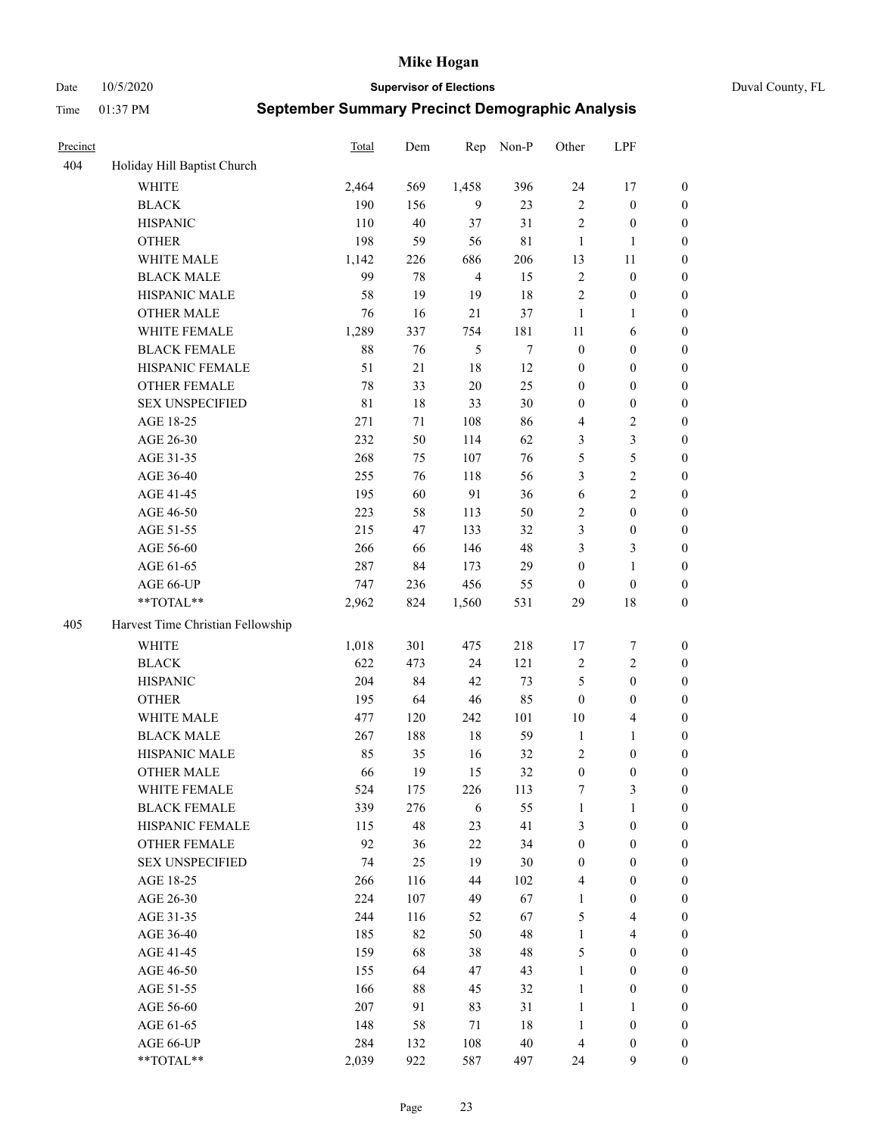Date 10/5/2020 **Supervisor of Elections** Duval County, FL

| Precinct |                                   | <b>Total</b> | Dem    | Rep            | Non-P       | Other            | LPF                     |                  |
|----------|-----------------------------------|--------------|--------|----------------|-------------|------------------|-------------------------|------------------|
| 404      | Holiday Hill Baptist Church       |              |        |                |             |                  |                         |                  |
|          | <b>WHITE</b>                      | 2,464        | 569    | 1,458          | 396         | 24               | 17                      | 0                |
|          | <b>BLACK</b>                      | 190          | 156    | 9              | 23          | $\sqrt{2}$       | $\boldsymbol{0}$        | 0                |
|          | <b>HISPANIC</b>                   | 110          | 40     | 37             | 31          | $\sqrt{2}$       | $\boldsymbol{0}$        | $\boldsymbol{0}$ |
|          | <b>OTHER</b>                      | 198          | 59     | 56             | $8\sqrt{1}$ | $\mathbf{1}$     | 1                       | $\boldsymbol{0}$ |
|          | WHITE MALE                        | 1,142        | 226    | 686            | 206         | 13               | 11                      | $\boldsymbol{0}$ |
|          | <b>BLACK MALE</b>                 | 99           | 78     | $\overline{4}$ | 15          | $\sqrt{2}$       | $\boldsymbol{0}$        | $\boldsymbol{0}$ |
|          | HISPANIC MALE                     | 58           | 19     | 19             | 18          | $\mathfrak{2}$   | $\boldsymbol{0}$        | $\boldsymbol{0}$ |
|          | <b>OTHER MALE</b>                 | 76           | 16     | 21             | 37          | $\mathbf{1}$     | $\mathbf{1}$            | $\boldsymbol{0}$ |
|          | WHITE FEMALE                      | 1,289        | 337    | 754            | 181         | 11               | 6                       | $\boldsymbol{0}$ |
|          | <b>BLACK FEMALE</b>               | 88           | 76     | 5              | $\tau$      | $\boldsymbol{0}$ | $\boldsymbol{0}$        | $\boldsymbol{0}$ |
|          | HISPANIC FEMALE                   | 51           | 21     | 18             | 12          | $\boldsymbol{0}$ | $\boldsymbol{0}$        | 0                |
|          | <b>OTHER FEMALE</b>               | 78           | 33     | $20\,$         | 25          | $\boldsymbol{0}$ | $\boldsymbol{0}$        | $\boldsymbol{0}$ |
|          | <b>SEX UNSPECIFIED</b>            | 81           | 18     | 33             | 30          | $\boldsymbol{0}$ | $\boldsymbol{0}$        | $\boldsymbol{0}$ |
|          | AGE 18-25                         | 271          | $71\,$ | 108            | 86          | 4                | $\sqrt{2}$              | $\boldsymbol{0}$ |
|          | AGE 26-30                         | 232          | 50     | 114            | 62          | 3                | $\mathfrak{Z}$          | $\boldsymbol{0}$ |
|          | AGE 31-35                         | 268          | 75     | 107            | 76          | 5                | $\mathfrak s$           | $\boldsymbol{0}$ |
|          | AGE 36-40                         | 255          | 76     | 118            | 56          | 3                | $\sqrt{2}$              | $\boldsymbol{0}$ |
|          | AGE 41-45                         | 195          | 60     | 91             | 36          | 6                | $\overline{2}$          | $\boldsymbol{0}$ |
|          | AGE 46-50                         | 223          | 58     | 113            | 50          | $\overline{c}$   | $\boldsymbol{0}$        | $\boldsymbol{0}$ |
|          | AGE 51-55                         | 215          | 47     | 133            | 32          | 3                | $\boldsymbol{0}$        | $\boldsymbol{0}$ |
|          | AGE 56-60                         | 266          | 66     | 146            | 48          | 3                | $\mathfrak{Z}$          | 0                |
|          | AGE 61-65                         | 287          | 84     | 173            | 29          | $\boldsymbol{0}$ | $\mathbf{1}$            | 0                |
|          | AGE 66-UP                         | 747          | 236    | 456            | 55          | $\boldsymbol{0}$ | $\boldsymbol{0}$        | $\boldsymbol{0}$ |
|          | **TOTAL**                         | 2,962        | 824    | 1,560          | 531         | 29               | $18\,$                  | $\boldsymbol{0}$ |
| 405      | Harvest Time Christian Fellowship |              |        |                |             |                  |                         |                  |
|          | <b>WHITE</b>                      | 1,018        | 301    | 475            | 218         | 17               | $\boldsymbol{7}$        | $\boldsymbol{0}$ |
|          | <b>BLACK</b>                      | 622          | 473    | 24             | 121         | $\overline{c}$   | $\sqrt{2}$              | $\boldsymbol{0}$ |
|          | <b>HISPANIC</b>                   | 204          | 84     | 42             | 73          | 5                | $\boldsymbol{0}$        | $\boldsymbol{0}$ |
|          | <b>OTHER</b>                      | 195          | 64     | $46\,$         | 85          | $\boldsymbol{0}$ | $\boldsymbol{0}$        | $\boldsymbol{0}$ |
|          | WHITE MALE                        | 477          | 120    | 242            | 101         | 10               | $\overline{\mathbf{4}}$ | $\boldsymbol{0}$ |
|          | <b>BLACK MALE</b>                 | 267          | 188    | 18             | 59          | $\mathbf{1}$     | $\mathbf{1}$            | $\boldsymbol{0}$ |
|          | HISPANIC MALE                     | 85           | 35     | 16             | 32          | 2                | $\boldsymbol{0}$        | $\boldsymbol{0}$ |
|          | <b>OTHER MALE</b>                 | 66           | 19     | 15             | 32          | $\boldsymbol{0}$ | $\boldsymbol{0}$        | $\boldsymbol{0}$ |
|          | WHITE FEMALE                      | 524          | 175    | 226            | 113         | 7                | 3                       | 0                |
|          | <b>BLACK FEMALE</b>               | 339          | 276    | 6              | 55          | $\mathbf{1}$     | $\mathbf{1}$            | $\boldsymbol{0}$ |
|          | HISPANIC FEMALE                   | 115          | 48     | 23             | 41          | 3                | $\boldsymbol{0}$        | $\overline{0}$   |
|          | OTHER FEMALE                      | 92           | 36     | $22\,$         | 34          | $\boldsymbol{0}$ | $\boldsymbol{0}$        | $\overline{0}$   |
|          | <b>SEX UNSPECIFIED</b>            | 74           | 25     | 19             | 30          | $\boldsymbol{0}$ | $\boldsymbol{0}$        | 0                |
|          | AGE 18-25                         | 266          | 116    | 44             | 102         | 4                | $\boldsymbol{0}$        | 0                |
|          | AGE 26-30                         | 224          | 107    | 49             | 67          | $\mathbf{1}$     | $\boldsymbol{0}$        | 0                |
|          | AGE 31-35                         | 244          | 116    | 52             | 67          | 5                | $\overline{\mathbf{4}}$ | 0                |
|          | AGE 36-40                         | 185          | 82     | 50             | 48          | $\mathbf{1}$     | $\overline{\mathbf{4}}$ | 0                |
|          | AGE 41-45                         | 159          | 68     | 38             | 48          | 5                | $\boldsymbol{0}$        | 0                |
|          | AGE 46-50                         | 155          | 64     | 47             | 43          | $\mathbf{1}$     | $\boldsymbol{0}$        | 0                |
|          | AGE 51-55                         | 166          | 88     | 45             | 32          | $\mathbf{1}$     | $\boldsymbol{0}$        | 0                |
|          | AGE 56-60                         | 207          | 91     | 83             | 31          | $\mathbf{1}$     | $\mathbf{1}$            | $\boldsymbol{0}$ |
|          | AGE 61-65                         | 148          | 58     | 71             | 18          | $\mathbf{1}$     | $\boldsymbol{0}$        | $\boldsymbol{0}$ |
|          | AGE 66-UP                         | 284          | 132    | 108            | $40\,$      | $\overline{4}$   | $\boldsymbol{0}$        | 0                |
|          | **TOTAL**                         | 2,039        | 922    | 587            | 497         | 24               | 9                       | $\boldsymbol{0}$ |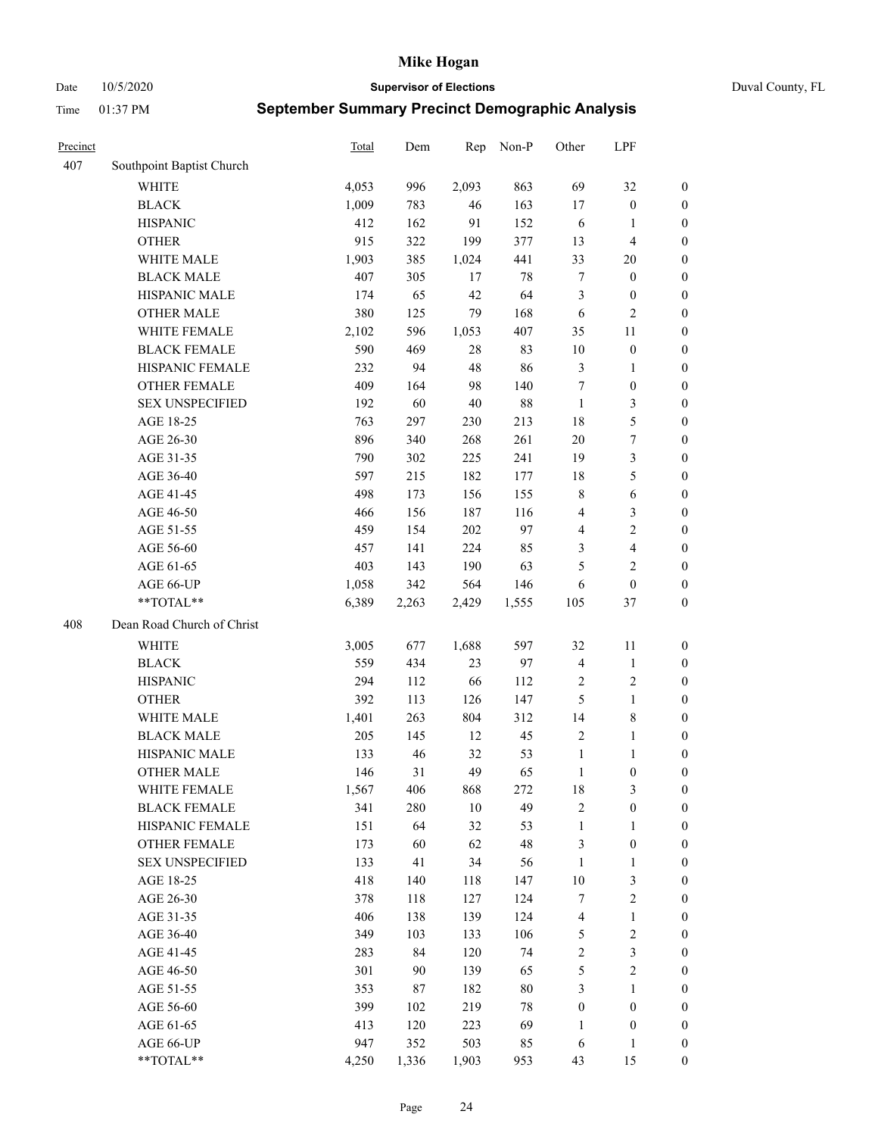Date 10/5/2020 **Supervisor of Elections** Duval County, FL

| Precinct |                            | Total | Dem   | Rep    | Non-P  | Other            | LPF                     |                  |
|----------|----------------------------|-------|-------|--------|--------|------------------|-------------------------|------------------|
| 407      | Southpoint Baptist Church  |       |       |        |        |                  |                         |                  |
|          | <b>WHITE</b>               | 4,053 | 996   | 2,093  | 863    | 69               | 32                      | 0                |
|          | <b>BLACK</b>               | 1,009 | 783   | 46     | 163    | 17               | $\boldsymbol{0}$        | 0                |
|          | <b>HISPANIC</b>            | 412   | 162   | 91     | 152    | 6                | $\mathbf{1}$            | $\boldsymbol{0}$ |
|          | <b>OTHER</b>               | 915   | 322   | 199    | 377    | 13               | $\overline{\mathbf{4}}$ | $\boldsymbol{0}$ |
|          | WHITE MALE                 | 1,903 | 385   | 1,024  | 441    | 33               | $20\,$                  | $\boldsymbol{0}$ |
|          | <b>BLACK MALE</b>          | 407   | 305   | 17     | $78\,$ | 7                | $\boldsymbol{0}$        | $\boldsymbol{0}$ |
|          | HISPANIC MALE              | 174   | 65    | 42     | 64     | 3                | $\boldsymbol{0}$        | $\boldsymbol{0}$ |
|          | <b>OTHER MALE</b>          | 380   | 125   | 79     | 168    | 6                | $\mathbf{2}$            | $\boldsymbol{0}$ |
|          | WHITE FEMALE               | 2,102 | 596   | 1,053  | 407    | 35               | 11                      | $\boldsymbol{0}$ |
|          | <b>BLACK FEMALE</b>        | 590   | 469   | $28\,$ | 83     | 10               | $\boldsymbol{0}$        | 0                |
|          | HISPANIC FEMALE            | 232   | 94    | 48     | 86     | 3                | $\mathbf{1}$            | 0                |
|          | <b>OTHER FEMALE</b>        | 409   | 164   | 98     | 140    | $\tau$           | $\boldsymbol{0}$        | $\boldsymbol{0}$ |
|          | <b>SEX UNSPECIFIED</b>     | 192   | 60    | $40\,$ | 88     | $\mathbf{1}$     | 3                       | $\boldsymbol{0}$ |
|          | AGE 18-25                  | 763   | 297   | 230    | 213    | 18               | $\mathfrak s$           | $\boldsymbol{0}$ |
|          | AGE 26-30                  | 896   | 340   | 268    | 261    | 20               | $\boldsymbol{7}$        | $\boldsymbol{0}$ |
|          | AGE 31-35                  | 790   | 302   | 225    | 241    | 19               | $\mathfrak{Z}$          | $\boldsymbol{0}$ |
|          | AGE 36-40                  | 597   | 215   | 182    | 177    | 18               | $\mathfrak{S}$          | $\boldsymbol{0}$ |
|          | AGE 41-45                  | 498   | 173   | 156    | 155    | 8                | $\sqrt{6}$              | $\boldsymbol{0}$ |
|          | AGE 46-50                  | 466   | 156   | 187    | 116    | 4                | $\mathfrak{Z}$          | $\boldsymbol{0}$ |
|          | AGE 51-55                  | 459   | 154   | 202    | 97     | 4                | $\sqrt{2}$              | $\boldsymbol{0}$ |
|          | AGE 56-60                  | 457   | 141   | 224    | 85     | 3                | $\overline{\mathbf{4}}$ | 0                |
|          | AGE 61-65                  | 403   | 143   | 190    | 63     | 5                | $\mathbf{2}$            | $\boldsymbol{0}$ |
|          | AGE 66-UP                  | 1,058 | 342   | 564    | 146    | 6                | $\boldsymbol{0}$        | $\boldsymbol{0}$ |
|          | **TOTAL**                  | 6,389 | 2,263 | 2,429  | 1,555  | $105\,$          | $37\,$                  | $\boldsymbol{0}$ |
| 408      | Dean Road Church of Christ |       |       |        |        |                  |                         |                  |
|          | <b>WHITE</b>               | 3,005 | 677   | 1,688  | 597    | 32               | 11                      | $\boldsymbol{0}$ |
|          | <b>BLACK</b>               | 559   | 434   | 23     | 97     | 4                | $\mathbf{1}$            | $\boldsymbol{0}$ |
|          | <b>HISPANIC</b>            | 294   | 112   | 66     | 112    | $\overline{c}$   | $\sqrt{2}$              | $\boldsymbol{0}$ |
|          | <b>OTHER</b>               | 392   | 113   | 126    | 147    | 5                | $\mathbf{1}$            | $\boldsymbol{0}$ |
|          | WHITE MALE                 | 1,401 | 263   | 804    | 312    | 14               | $8\,$                   | $\boldsymbol{0}$ |
|          | <b>BLACK MALE</b>          | 205   | 145   | 12     | 45     | $\overline{2}$   | $\mathbf{1}$            | $\boldsymbol{0}$ |
|          | HISPANIC MALE              | 133   | 46    | 32     | 53     | $\mathbf{1}$     | 1                       | 0                |
|          | <b>OTHER MALE</b>          | 146   | 31    | 49     | 65     | $\mathbf{1}$     | $\boldsymbol{0}$        | $\boldsymbol{0}$ |
|          | WHITE FEMALE               | 1,567 | 406   | 868    | 272    | 18               | 3                       | 0                |
|          | <b>BLACK FEMALE</b>        | 341   | 280   | $10\,$ | 49     | $\sqrt{2}$       | $\boldsymbol{0}$        | $\boldsymbol{0}$ |
|          | HISPANIC FEMALE            | 151   | 64    | 32     | 53     | $\mathbf{1}$     | $\mathbf{1}$            | $\overline{0}$   |
|          | OTHER FEMALE               | 173   | 60    | 62     | 48     | 3                | $\boldsymbol{0}$        | $\overline{0}$   |
|          | <b>SEX UNSPECIFIED</b>     | 133   | 41    | 34     | 56     | $\mathbf{1}$     | $\mathbf{1}$            | 0                |
|          | AGE 18-25                  | 418   | 140   | 118    | 147    | $10\,$           | $\mathfrak{Z}$          | 0                |
|          | AGE 26-30                  | 378   | 118   | 127    | 124    | $\boldsymbol{7}$ | $\sqrt{2}$              | 0                |
|          | AGE 31-35                  | 406   | 138   | 139    | 124    | 4                | $\mathbf{1}$            | 0                |
|          | AGE 36-40                  | 349   | 103   | 133    | 106    | 5                | $\sqrt{2}$              | 0                |
|          | AGE 41-45                  | 283   | 84    | 120    | 74     | $\sqrt{2}$       | $\mathfrak{Z}$          | 0                |
|          | AGE 46-50                  | 301   | 90    | 139    | 65     | $\mathfrak s$    | $\sqrt{2}$              | 0                |
|          | AGE 51-55                  | 353   | 87    | 182    | $80\,$ | 3                | $\mathbf{1}$            | 0                |
|          | AGE 56-60                  | 399   | 102   | 219    | 78     | $\boldsymbol{0}$ | $\boldsymbol{0}$        | $\boldsymbol{0}$ |
|          | AGE 61-65                  | 413   | 120   | 223    | 69     | 1                | $\boldsymbol{0}$        | $\boldsymbol{0}$ |
|          | AGE 66-UP                  | 947   | 352   | 503    | 85     | 6                | $\mathbf{1}$            | $\boldsymbol{0}$ |
|          | **TOTAL**                  | 4,250 | 1,336 | 1,903  | 953    | 43               | 15                      | $\boldsymbol{0}$ |
|          |                            |       |       |        |        |                  |                         |                  |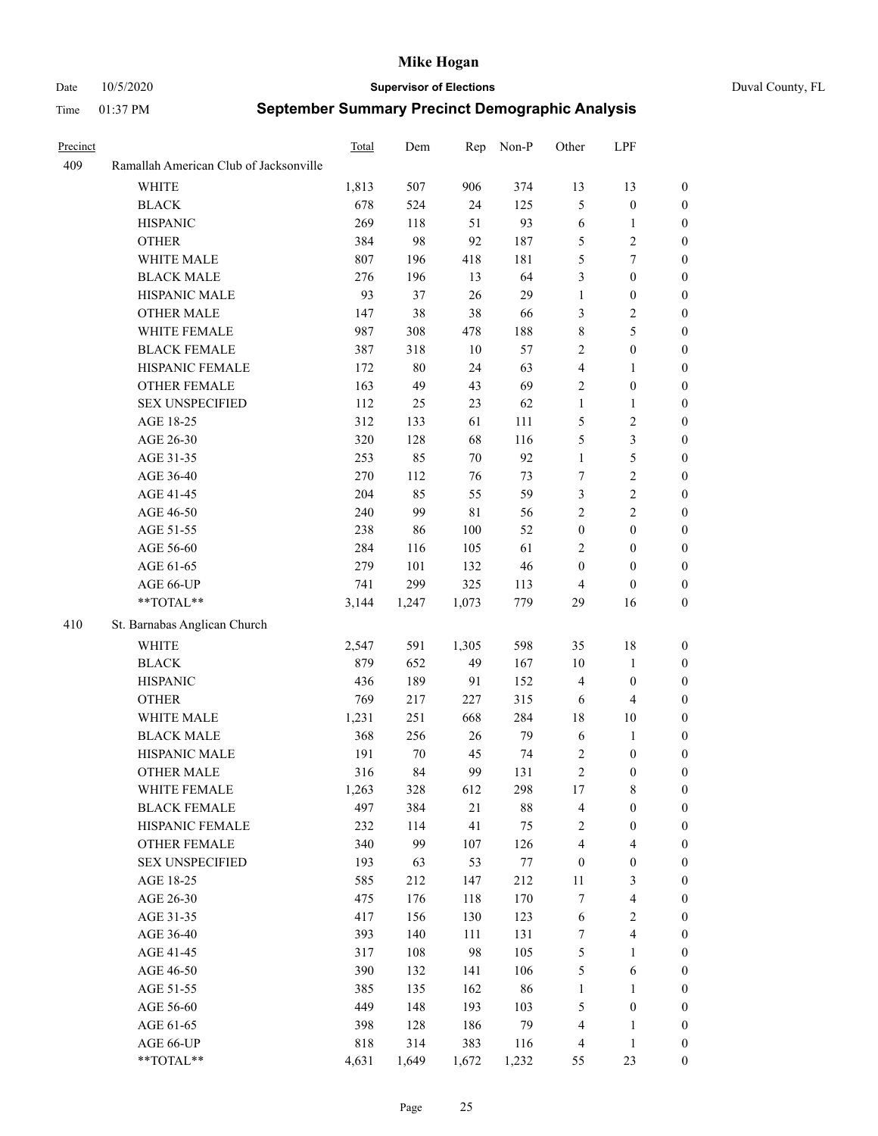Date 10/5/2020 **Supervisor of Elections** Duval County, FL

| Precinct |                                        | Total | Dem    | Rep         | Non-P  | Other            | LPF                     |                  |
|----------|----------------------------------------|-------|--------|-------------|--------|------------------|-------------------------|------------------|
| 409      | Ramallah American Club of Jacksonville |       |        |             |        |                  |                         |                  |
|          | <b>WHITE</b>                           | 1,813 | 507    | 906         | 374    | 13               | 13                      | $\boldsymbol{0}$ |
|          | <b>BLACK</b>                           | 678   | 524    | 24          | 125    | 5                | $\boldsymbol{0}$        | $\boldsymbol{0}$ |
|          | <b>HISPANIC</b>                        | 269   | 118    | 51          | 93     | 6                | $\mathbf{1}$            | $\boldsymbol{0}$ |
|          | <b>OTHER</b>                           | 384   | 98     | 92          | 187    | 5                | $\sqrt{2}$              | $\boldsymbol{0}$ |
|          | WHITE MALE                             | 807   | 196    | 418         | 181    | 5                | $\boldsymbol{7}$        | $\boldsymbol{0}$ |
|          | <b>BLACK MALE</b>                      | 276   | 196    | 13          | 64     | 3                | $\boldsymbol{0}$        | $\boldsymbol{0}$ |
|          | HISPANIC MALE                          | 93    | 37     | 26          | 29     | $\mathbf{1}$     | $\boldsymbol{0}$        | $\boldsymbol{0}$ |
|          | <b>OTHER MALE</b>                      | 147   | 38     | 38          | 66     | 3                | $\sqrt{2}$              | $\boldsymbol{0}$ |
|          | WHITE FEMALE                           | 987   | 308    | 478         | 188    | $\,$ $\,$        | 5                       | 0                |
|          | <b>BLACK FEMALE</b>                    | 387   | 318    | 10          | 57     | $\mathbf{2}$     | $\boldsymbol{0}$        | 0                |
|          | HISPANIC FEMALE                        | 172   | $80\,$ | 24          | 63     | $\overline{4}$   | $\mathbf{1}$            | $\boldsymbol{0}$ |
|          | OTHER FEMALE                           | 163   | 49     | 43          | 69     | $\sqrt{2}$       | $\boldsymbol{0}$        | $\boldsymbol{0}$ |
|          | <b>SEX UNSPECIFIED</b>                 | 112   | 25     | 23          | 62     | $\mathbf{1}$     | $\mathbf{1}$            | $\boldsymbol{0}$ |
|          | AGE 18-25                              | 312   | 133    | 61          | 111    | 5                | $\sqrt{2}$              | $\boldsymbol{0}$ |
|          | AGE 26-30                              | 320   | 128    | 68          | 116    | 5                | $\mathfrak{Z}$          | $\boldsymbol{0}$ |
|          | AGE 31-35                              | 253   | 85     | 70          | 92     | $\mathbf{1}$     | $\mathfrak{S}$          | $\boldsymbol{0}$ |
|          | AGE 36-40                              | 270   | 112    | 76          | 73     | 7                | $\overline{2}$          | $\boldsymbol{0}$ |
|          | AGE 41-45                              | 204   | 85     | 55          | 59     | 3                | $\sqrt{2}$              | $\boldsymbol{0}$ |
|          | AGE 46-50                              | 240   | 99     | $8\sqrt{1}$ | 56     | $\overline{c}$   | $\sqrt{2}$              | $\boldsymbol{0}$ |
|          | AGE 51-55                              | 238   | 86     | 100         | 52     | $\boldsymbol{0}$ | $\boldsymbol{0}$        | 0                |
|          | AGE 56-60                              | 284   | 116    | 105         | 61     | $\overline{2}$   | $\boldsymbol{0}$        | $\boldsymbol{0}$ |
|          | AGE 61-65                              | 279   | 101    | 132         | 46     | $\boldsymbol{0}$ | $\boldsymbol{0}$        | $\boldsymbol{0}$ |
|          | AGE 66-UP                              | 741   | 299    | 325         | 113    | 4                | $\boldsymbol{0}$        | $\boldsymbol{0}$ |
|          | **TOTAL**                              | 3,144 | 1,247  | 1,073       | 779    | 29               | 16                      | $\boldsymbol{0}$ |
| 410      | St. Barnabas Anglican Church           |       |        |             |        |                  |                         |                  |
|          | <b>WHITE</b>                           | 2,547 | 591    | 1,305       | 598    | 35               | $18\,$                  | $\boldsymbol{0}$ |
|          | <b>BLACK</b>                           | 879   | 652    | 49          | 167    | $10\,$           | $\mathbf{1}$            | $\boldsymbol{0}$ |
|          | <b>HISPANIC</b>                        | 436   | 189    | 91          | 152    | 4                | $\boldsymbol{0}$        | $\boldsymbol{0}$ |
|          | <b>OTHER</b>                           | 769   | 217    | 227         | 315    | 6                | $\overline{4}$          | $\overline{0}$   |
|          | WHITE MALE                             | 1,231 | 251    | 668         | 284    | 18               | $10\,$                  | 0                |
|          | <b>BLACK MALE</b>                      | 368   | 256    | 26          | 79     | 6                | $\mathbf{1}$            | 0                |
|          | HISPANIC MALE                          | 191   | 70     | 45          | 74     | $\overline{c}$   | $\boldsymbol{0}$        | 0                |
|          | <b>OTHER MALE</b>                      | 316   | 84     | 99          | 131    | $\overline{c}$   | $\boldsymbol{0}$        | $\boldsymbol{0}$ |
|          | WHITE FEMALE                           | 1,263 | 328    | 612         | 298    | $17\,$           | $8\,$                   | 0                |
|          | <b>BLACK FEMALE</b>                    | 497   | 384    | $21\,$      | $88\,$ | 4                | $\boldsymbol{0}$        | $\overline{0}$   |
|          | HISPANIC FEMALE                        | 232   | 114    | 41          | 75     | 2                | $\boldsymbol{0}$        | $\overline{0}$   |
|          | <b>OTHER FEMALE</b>                    | 340   | 99     | 107         | 126    | 4                | $\overline{\mathbf{4}}$ | 0                |
|          | <b>SEX UNSPECIFIED</b>                 | 193   | 63     | 53          | 77     | $\boldsymbol{0}$ | $\boldsymbol{0}$        | 0                |
|          | AGE 18-25                              | 585   | 212    | 147         | 212    | $11\,$           | $\mathfrak{Z}$          | 0                |
|          | AGE 26-30                              | 475   | 176    | 118         | 170    | 7                | $\overline{\mathbf{4}}$ | 0                |
|          | AGE 31-35                              | 417   | 156    | 130         | 123    | 6                | $\sqrt{2}$              | 0                |
|          | AGE 36-40                              | 393   | 140    | 111         | 131    | 7                | $\overline{\mathbf{4}}$ | 0                |
|          | AGE 41-45                              | 317   | 108    | 98          | 105    | 5                | $\mathbf{1}$            | 0                |
|          | AGE 46-50                              | 390   | 132    | 141         | 106    | 5                | 6                       | 0                |
|          | AGE 51-55                              | 385   | 135    | 162         | 86     | $\mathbf{1}$     | $\mathbf{1}$            | $\boldsymbol{0}$ |
|          | AGE 56-60                              | 449   | 148    | 193         | 103    | 5                | $\boldsymbol{0}$        | $\overline{0}$   |
|          | AGE 61-65                              | 398   | 128    | 186         | 79     | 4                | $\mathbf{1}$            | 0                |
|          | AGE 66-UP                              | 818   | 314    | 383         | 116    | 4                | $\mathbf{1}$            | $\boldsymbol{0}$ |
|          | **TOTAL**                              | 4,631 | 1,649  | 1,672       | 1,232  | 55               | 23                      | $\boldsymbol{0}$ |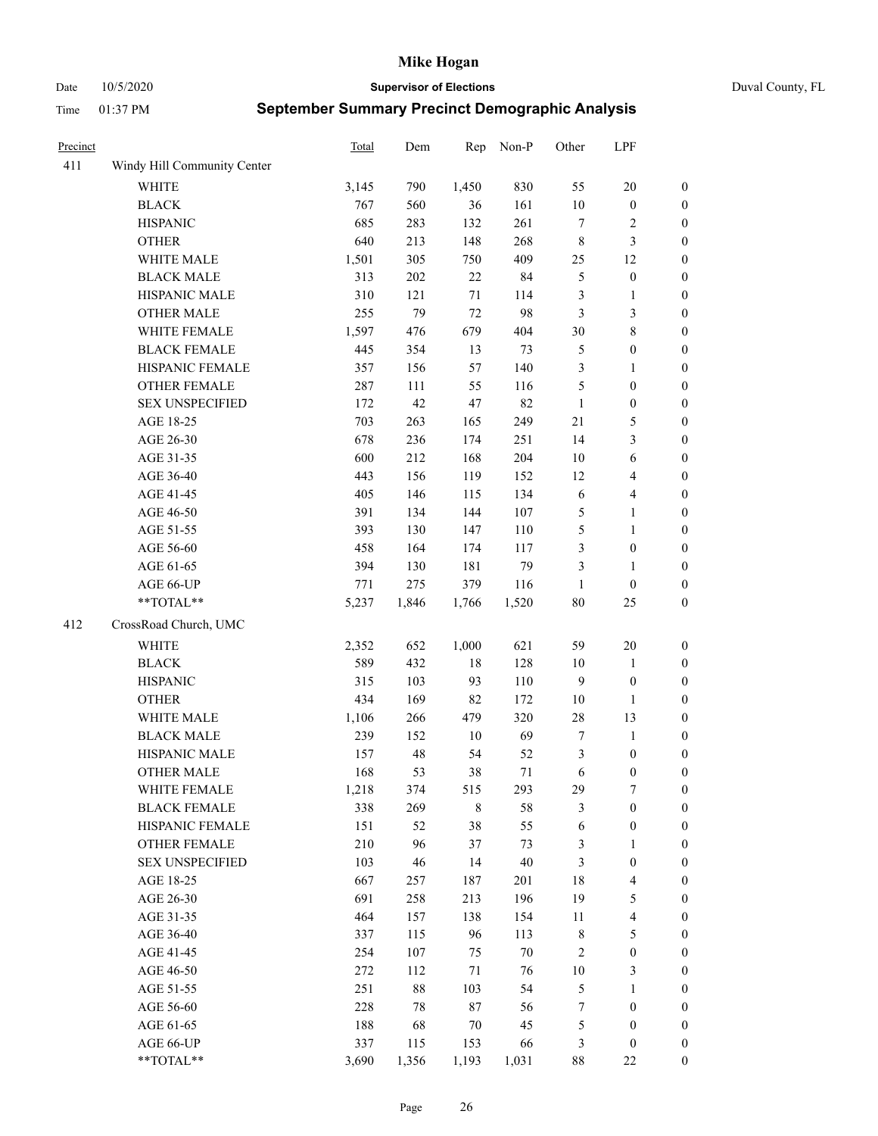Date 10/5/2020 **Supervisor of Elections** Duval County, FL

| Precinct |                             | <b>Total</b> | Dem    | Rep    | Non-P  | Other          | LPF                     |                  |
|----------|-----------------------------|--------------|--------|--------|--------|----------------|-------------------------|------------------|
| 411      | Windy Hill Community Center |              |        |        |        |                |                         |                  |
|          | <b>WHITE</b>                | 3,145        | 790    | 1,450  | 830    | 55             | $20\,$                  | 0                |
|          | <b>BLACK</b>                | 767          | 560    | 36     | 161    | $10\,$         | $\boldsymbol{0}$        | $\boldsymbol{0}$ |
|          | <b>HISPANIC</b>             | 685          | 283    | 132    | 261    | $\tau$         | $\overline{c}$          | $\boldsymbol{0}$ |
|          | <b>OTHER</b>                | 640          | 213    | 148    | 268    | 8              | $\mathfrak{Z}$          | $\boldsymbol{0}$ |
|          | WHITE MALE                  | 1,501        | 305    | 750    | 409    | 25             | 12                      | $\boldsymbol{0}$ |
|          | <b>BLACK MALE</b>           | 313          | 202    | 22     | 84     | 5              | $\boldsymbol{0}$        | $\boldsymbol{0}$ |
|          | HISPANIC MALE               | 310          | 121    | 71     | 114    | 3              | $\mathbf{1}$            | $\boldsymbol{0}$ |
|          | <b>OTHER MALE</b>           | 255          | 79     | 72     | 98     | 3              | $\mathfrak{Z}$          | $\boldsymbol{0}$ |
|          | WHITE FEMALE                | 1,597        | 476    | 679    | 404    | 30             | $\,8\,$                 | $\boldsymbol{0}$ |
|          | <b>BLACK FEMALE</b>         | 445          | 354    | 13     | 73     | $\mathfrak{S}$ | $\boldsymbol{0}$        | $\boldsymbol{0}$ |
|          | HISPANIC FEMALE             | 357          | 156    | 57     | 140    | 3              | $\mathbf{1}$            | $\boldsymbol{0}$ |
|          | OTHER FEMALE                | 287          | 111    | 55     | 116    | 5              | $\boldsymbol{0}$        | $\boldsymbol{0}$ |
|          | <b>SEX UNSPECIFIED</b>      | 172          | 42     | 47     | 82     | $\mathbf{1}$   | $\boldsymbol{0}$        | $\boldsymbol{0}$ |
|          | AGE 18-25                   | 703          | 263    | 165    | 249    | 21             | $\mathfrak{S}$          | $\boldsymbol{0}$ |
|          | AGE 26-30                   | 678          | 236    | 174    | 251    | 14             | $\mathfrak{Z}$          | $\boldsymbol{0}$ |
|          | AGE 31-35                   | 600          | 212    | 168    | 204    | $10\,$         | 6                       | $\boldsymbol{0}$ |
|          | AGE 36-40                   | 443          | 156    | 119    | 152    | 12             | $\overline{\mathbf{4}}$ | $\boldsymbol{0}$ |
|          | AGE 41-45                   | 405          | 146    | 115    | 134    | $\sqrt{6}$     | $\overline{\mathbf{4}}$ | $\boldsymbol{0}$ |
|          | AGE 46-50                   | 391          | 134    | 144    | 107    | 5              | $\mathbf{1}$            | $\boldsymbol{0}$ |
|          | AGE 51-55                   | 393          | 130    | 147    | 110    | 5              | $\mathbf{1}$            | $\boldsymbol{0}$ |
|          | AGE 56-60                   | 458          | 164    | 174    | 117    | 3              | $\boldsymbol{0}$        | 0                |
|          | AGE 61-65                   | 394          | 130    | 181    | 79     | 3              | $\mathbf{1}$            | $\boldsymbol{0}$ |
|          | AGE 66-UP                   | 771          | 275    | 379    | 116    | $\mathbf{1}$   | $\boldsymbol{0}$        | $\boldsymbol{0}$ |
|          | **TOTAL**                   | 5,237        | 1,846  | 1,766  | 1,520  | $80\,$         | 25                      | $\boldsymbol{0}$ |
| 412      | CrossRoad Church, UMC       |              |        |        |        |                |                         |                  |
|          | <b>WHITE</b>                | 2,352        | 652    | 1,000  | 621    | 59             | $20\,$                  | $\boldsymbol{0}$ |
|          | <b>BLACK</b>                | 589          | 432    | $18\,$ | 128    | 10             | $\mathbf{1}$            | $\boldsymbol{0}$ |
|          | <b>HISPANIC</b>             | 315          | 103    | 93     | 110    | 9              | $\boldsymbol{0}$        | $\boldsymbol{0}$ |
|          | <b>OTHER</b>                | 434          | 169    | 82     | 172    | $10\,$         | $\mathbf{1}$            | $\boldsymbol{0}$ |
|          | WHITE MALE                  | 1,106        | 266    | 479    | 320    | 28             | 13                      | $\boldsymbol{0}$ |
|          | <b>BLACK MALE</b>           | 239          | 152    | $10\,$ | 69     | $\tau$         | $\mathbf{1}$            | $\boldsymbol{0}$ |
|          | HISPANIC MALE               | 157          | 48     | 54     | 52     | 3              | $\boldsymbol{0}$        | 0                |
|          | OTHER MALE                  | 168          | 53     | 38     | 71     | 6              | $\boldsymbol{0}$        | $\boldsymbol{0}$ |
|          | WHITE FEMALE                | 1,218        | 374    | 515    | 293    | 29             | 7                       | 0                |
|          | <b>BLACK FEMALE</b>         | 338          | 269    | 8      | 58     | 3              | $\boldsymbol{0}$        | $\overline{0}$   |
|          | HISPANIC FEMALE             | 151          | 52     | 38     | 55     | 6              | $\boldsymbol{0}$        | $\overline{0}$   |
|          | <b>OTHER FEMALE</b>         | 210          | 96     | 37     | 73     | 3              | $\mathbf{1}$            | $\overline{0}$   |
|          | <b>SEX UNSPECIFIED</b>      | 103          | 46     | 14     | 40     | 3              | $\boldsymbol{0}$        | 0                |
|          | AGE 18-25                   | 667          | 257    | 187    | 201    | 18             | $\overline{\mathbf{4}}$ | 0                |
|          | AGE 26-30                   | 691          | 258    | 213    | 196    | 19             | $\mathfrak{S}$          | 0                |
|          | AGE 31-35                   | 464          | 157    | 138    | 154    | 11             | $\overline{\mathbf{4}}$ | 0                |
|          | AGE 36-40                   | 337          | 115    | 96     | 113    | $\,$ 8 $\,$    | $\mathfrak{S}$          | 0                |
|          | AGE 41-45                   | 254          | 107    | 75     | $70\,$ | 2              | $\boldsymbol{0}$        | 0                |
|          | AGE 46-50                   | 272          | 112    | 71     | 76     | $10\,$         | 3                       | 0                |
|          | AGE 51-55                   | 251          | $88\,$ | 103    | 54     | 5              | $\mathbf{1}$            | 0                |
|          | AGE 56-60                   | 228          | 78     | 87     | 56     | 7              | $\boldsymbol{0}$        | 0                |
|          | AGE 61-65                   | 188          | 68     | 70     | 45     | 5              | $\boldsymbol{0}$        | 0                |
|          | AGE 66-UP                   | 337          | 115    | 153    | 66     | 3              | $\boldsymbol{0}$        | 0                |
|          | $**TOTAL**$                 | 3,690        | 1,356  | 1,193  | 1,031  | 88             | $22\,$                  | $\boldsymbol{0}$ |
|          |                             |              |        |        |        |                |                         |                  |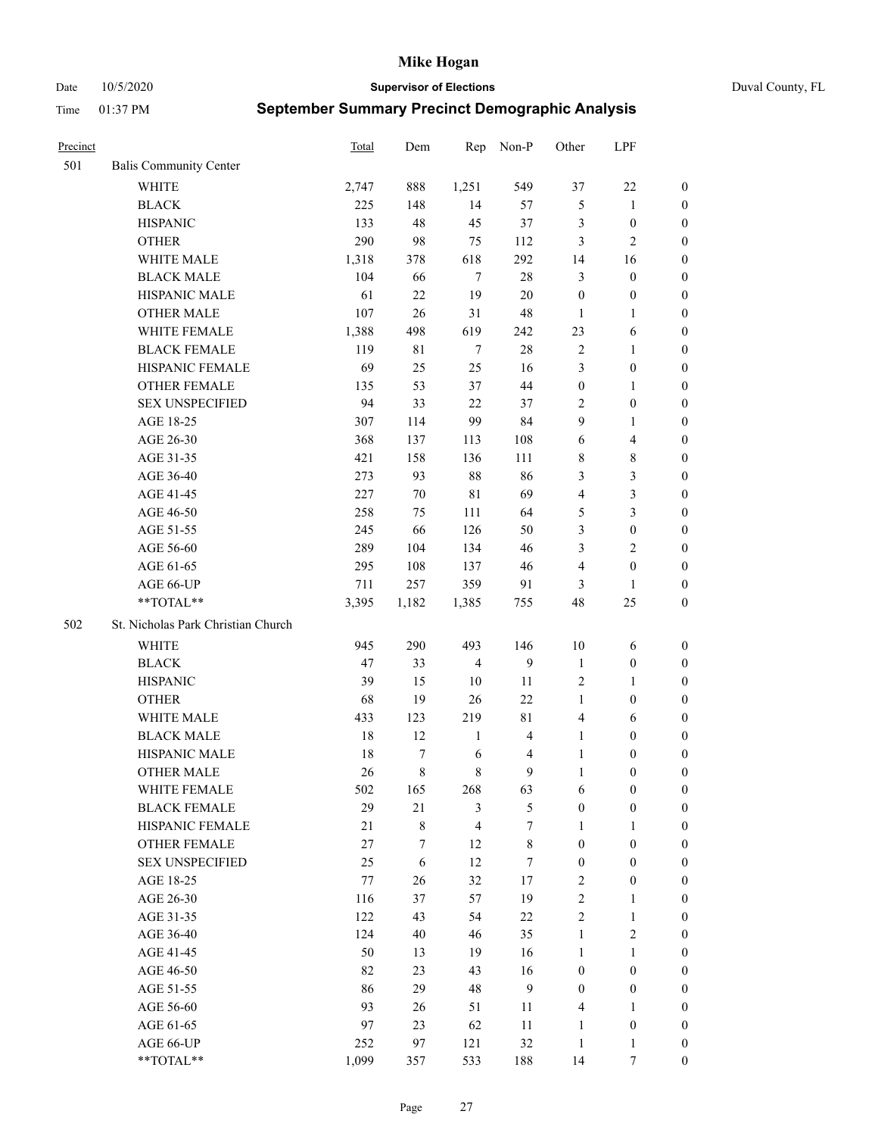Date 10/5/2020 **Supervisor of Elections** Duval County, FL

| Precinct |                                    | Total  | Dem    | Rep            | Non-P            | Other            | LPF                     |                  |
|----------|------------------------------------|--------|--------|----------------|------------------|------------------|-------------------------|------------------|
| 501      | <b>Balis Community Center</b>      |        |        |                |                  |                  |                         |                  |
|          | <b>WHITE</b>                       | 2,747  | 888    | 1,251          | 549              | 37               | $22\,$                  | 0                |
|          | <b>BLACK</b>                       | 225    | 148    | 14             | 57               | $\mathfrak{S}$   | $\mathbf{1}$            | 0                |
|          | <b>HISPANIC</b>                    | 133    | 48     | 45             | 37               | 3                | $\boldsymbol{0}$        | $\boldsymbol{0}$ |
|          | <b>OTHER</b>                       | 290    | 98     | 75             | 112              | 3                | $\mathbf{2}$            | $\boldsymbol{0}$ |
|          | WHITE MALE                         | 1,318  | 378    | 618            | 292              | 14               | 16                      | $\boldsymbol{0}$ |
|          | <b>BLACK MALE</b>                  | 104    | 66     | $\tau$         | $28\,$           | 3                | $\boldsymbol{0}$        | $\boldsymbol{0}$ |
|          | HISPANIC MALE                      | 61     | 22     | 19             | $20\,$           | $\boldsymbol{0}$ | $\boldsymbol{0}$        | $\boldsymbol{0}$ |
|          | <b>OTHER MALE</b>                  | 107    | 26     | 31             | 48               | $\mathbf{1}$     | $\mathbf{1}$            | $\boldsymbol{0}$ |
|          | WHITE FEMALE                       | 1,388  | 498    | 619            | 242              | 23               | 6                       | $\boldsymbol{0}$ |
|          | <b>BLACK FEMALE</b>                | 119    | 81     | $\tau$         | $28\,$           | $\sqrt{2}$       | $\mathbf{1}$            | 0                |
|          | HISPANIC FEMALE                    | 69     | 25     | 25             | 16               | 3                | $\boldsymbol{0}$        | 0                |
|          | OTHER FEMALE                       | 135    | 53     | 37             | 44               | $\boldsymbol{0}$ | $\mathbf{1}$            | 0                |
|          | <b>SEX UNSPECIFIED</b>             | 94     | 33     | 22             | 37               | $\overline{c}$   | $\boldsymbol{0}$        | $\boldsymbol{0}$ |
|          | AGE 18-25                          | 307    | 114    | 99             | 84               | 9                | $\mathbf{1}$            | $\boldsymbol{0}$ |
|          | AGE 26-30                          | 368    | 137    | 113            | 108              | 6                | $\overline{\mathbf{4}}$ | $\boldsymbol{0}$ |
|          | AGE 31-35                          | 421    | 158    | 136            | 111              | 8                | $\,8\,$                 | $\boldsymbol{0}$ |
|          | AGE 36-40                          | 273    | 93     | $88\,$         | 86               | 3                | $\mathfrak{Z}$          | $\boldsymbol{0}$ |
|          | AGE 41-45                          | 227    | $70\,$ | $8\sqrt{1}$    | 69               | $\overline{4}$   | $\mathfrak{Z}$          | $\boldsymbol{0}$ |
|          | AGE 46-50                          | 258    | 75     | 111            | 64               | 5                | $\mathfrak{Z}$          | $\boldsymbol{0}$ |
|          | AGE 51-55                          | 245    | 66     | 126            | 50               | 3                | $\boldsymbol{0}$        | $\boldsymbol{0}$ |
|          | AGE 56-60                          | 289    | 104    | 134            | 46               | 3                | $\overline{2}$          | 0                |
|          | AGE 61-65                          | 295    | 108    | 137            | 46               | 4                | $\boldsymbol{0}$        | 0                |
|          | AGE 66-UP                          | 711    | 257    | 359            | 91               | 3                | $\mathbf{1}$            | $\boldsymbol{0}$ |
|          | **TOTAL**                          | 3,395  | 1,182  | 1,385          | 755              | 48               | 25                      | $\boldsymbol{0}$ |
| 502      | St. Nicholas Park Christian Church |        |        |                |                  |                  |                         |                  |
|          | <b>WHITE</b>                       | 945    | 290    | 493            | 146              | $10\,$           | 6                       | $\boldsymbol{0}$ |
|          | <b>BLACK</b>                       | 47     | 33     | $\overline{4}$ | 9                | $\mathbf{1}$     | $\boldsymbol{0}$        | $\boldsymbol{0}$ |
|          | <b>HISPANIC</b>                    | 39     | 15     | 10             | 11               | $\overline{c}$   | $\mathbf{1}$            | $\boldsymbol{0}$ |
|          | <b>OTHER</b>                       | 68     | 19     | 26             | 22               | $\mathbf{1}$     | $\boldsymbol{0}$        | $\boldsymbol{0}$ |
|          | WHITE MALE                         | 433    | 123    | 219            | 81               | $\overline{4}$   | 6                       | $\boldsymbol{0}$ |
|          | <b>BLACK MALE</b>                  | $18\,$ | 12     | $\mathbf{1}$   | $\overline{4}$   | $\mathbf{1}$     | $\boldsymbol{0}$        | $\boldsymbol{0}$ |
|          | HISPANIC MALE                      | 18     | $\tau$ | 6              | $\overline{4}$   | $\mathbf{1}$     | $\boldsymbol{0}$        | 0                |
|          | <b>OTHER MALE</b>                  | 26     | 8      | 8              | 9                | $\mathbf{1}$     | $\boldsymbol{0}$        | $\boldsymbol{0}$ |
|          | WHITE FEMALE                       | 502    | 165    | 268            | 63               | 6                | $\boldsymbol{0}$        | 0                |
|          | <b>BLACK FEMALE</b>                | 29     | 21     | 3              | $\mathfrak{S}$   | $\boldsymbol{0}$ | $\boldsymbol{0}$        | $\overline{0}$   |
|          | HISPANIC FEMALE                    | 21     | 8      | $\overline{4}$ | $\boldsymbol{7}$ | 1                | $\mathbf{1}$            | $\overline{0}$   |
|          | OTHER FEMALE                       | 27     | 7      | 12             | $8\,$            | $\boldsymbol{0}$ | $\boldsymbol{0}$        | $\overline{0}$   |
|          | <b>SEX UNSPECIFIED</b>             | 25     | 6      | 12             | $\tau$           | $\boldsymbol{0}$ | $\boldsymbol{0}$        | 0                |
|          | AGE 18-25                          | 77     | 26     | 32             | 17               | 2                | $\boldsymbol{0}$        | 0                |
|          | AGE 26-30                          | 116    | 37     | 57             | 19               | $\overline{c}$   | $\mathbf{1}$            | 0                |
|          | AGE 31-35                          | 122    | 43     | 54             | $22\,$           | $\overline{c}$   | $\mathbf{1}$            | 0                |
|          | AGE 36-40                          | 124    | 40     | 46             | 35               | $\mathbf{1}$     | $\sqrt{2}$              | 0                |
|          | AGE 41-45                          | 50     | 13     | 19             | 16               | $\mathbf{1}$     | $\mathbf{1}$            | 0                |
|          | AGE 46-50                          | 82     | 23     | 43             | 16               | $\boldsymbol{0}$ | $\boldsymbol{0}$        | 0                |
|          | AGE 51-55                          | 86     | 29     | 48             | 9                | $\boldsymbol{0}$ | $\boldsymbol{0}$        | $\overline{0}$   |
|          | AGE 56-60                          | 93     | 26     | 51             | 11               | 4                | $\mathbf{1}$            | $\overline{0}$   |
|          | AGE 61-65                          | 97     | 23     | 62             | 11               | $\mathbf{1}$     | $\boldsymbol{0}$        | $\overline{0}$   |
|          | AGE 66-UP                          | 252    | 97     | 121            | 32               | $\mathbf{1}$     | $\mathbf{1}$            | $\boldsymbol{0}$ |
|          | **TOTAL**                          | 1,099  | 357    | 533            | 188              | 14               | 7                       | $\boldsymbol{0}$ |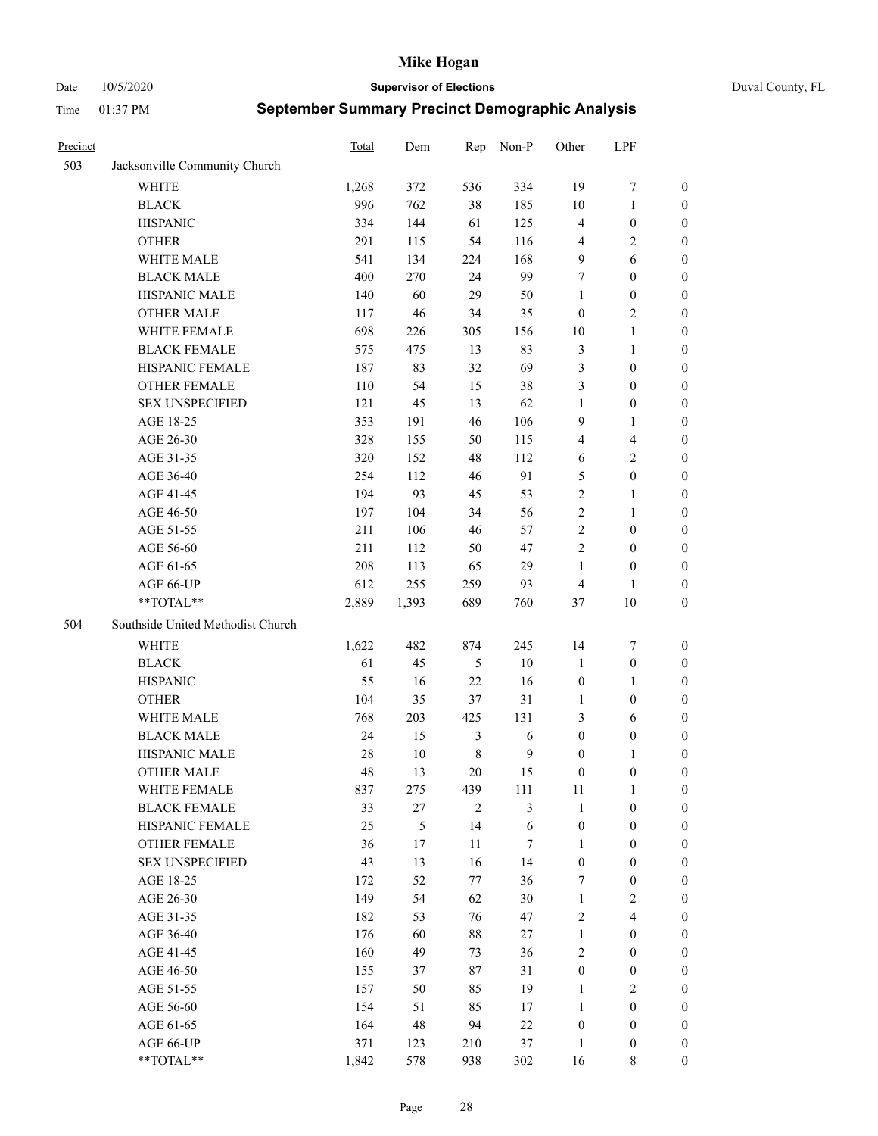Date 10/5/2020 **Supervisor of Elections** Duval County, FL

| Precinct |                                   | Total | Dem    | Rep            | Non-P        | Other            | LPF                     |                  |
|----------|-----------------------------------|-------|--------|----------------|--------------|------------------|-------------------------|------------------|
| 503      | Jacksonville Community Church     |       |        |                |              |                  |                         |                  |
|          | <b>WHITE</b>                      | 1,268 | 372    | 536            | 334          | 19               | $\boldsymbol{7}$        | 0                |
|          | <b>BLACK</b>                      | 996   | 762    | 38             | 185          | 10               | $\mathbf{1}$            | 0                |
|          | <b>HISPANIC</b>                   | 334   | 144    | 61             | 125          | 4                | $\boldsymbol{0}$        | $\boldsymbol{0}$ |
|          | <b>OTHER</b>                      | 291   | 115    | 54             | 116          | 4                | $\sqrt{2}$              | $\boldsymbol{0}$ |
|          | WHITE MALE                        | 541   | 134    | 224            | 168          | 9                | 6                       | $\boldsymbol{0}$ |
|          | <b>BLACK MALE</b>                 | 400   | 270    | 24             | 99           | 7                | $\boldsymbol{0}$        | $\boldsymbol{0}$ |
|          | HISPANIC MALE                     | 140   | 60     | 29             | 50           | $\mathbf{1}$     | $\boldsymbol{0}$        | $\boldsymbol{0}$ |
|          | <b>OTHER MALE</b>                 | 117   | 46     | 34             | 35           | $\boldsymbol{0}$ | $\overline{2}$          | $\boldsymbol{0}$ |
|          | WHITE FEMALE                      | 698   | 226    | 305            | 156          | 10               | $\mathbf{1}$            | $\boldsymbol{0}$ |
|          | <b>BLACK FEMALE</b>               | 575   | 475    | 13             | 83           | 3                | $\mathbf{1}$            | 0                |
|          | HISPANIC FEMALE                   | 187   | 83     | 32             | 69           | 3                | $\boldsymbol{0}$        | 0                |
|          | <b>OTHER FEMALE</b>               | 110   | 54     | 15             | 38           | 3                | $\boldsymbol{0}$        | 0                |
|          | <b>SEX UNSPECIFIED</b>            | 121   | 45     | 13             | 62           | $\mathbf{1}$     | $\boldsymbol{0}$        | $\boldsymbol{0}$ |
|          | AGE 18-25                         | 353   | 191    | 46             | 106          | 9                | $\mathbf{1}$            | $\boldsymbol{0}$ |
|          | AGE 26-30                         | 328   | 155    | 50             | 115          | 4                | $\overline{\mathbf{4}}$ | $\boldsymbol{0}$ |
|          | AGE 31-35                         | 320   | 152    | 48             | 112          | 6                | $\sqrt{2}$              | $\boldsymbol{0}$ |
|          | AGE 36-40                         | 254   | 112    | 46             | 91           | 5                | $\boldsymbol{0}$        | $\boldsymbol{0}$ |
|          | AGE 41-45                         | 194   | 93     | 45             | 53           | $\mathbf{2}$     | $\mathbf{1}$            | $\boldsymbol{0}$ |
|          | AGE 46-50                         | 197   | 104    | 34             | 56           | $\overline{c}$   | $\mathbf{1}$            | $\boldsymbol{0}$ |
|          | AGE 51-55                         | 211   | 106    | 46             | 57           | $\sqrt{2}$       | $\boldsymbol{0}$        | 0                |
|          | AGE 56-60                         | 211   | 112    | 50             | 47           | $\overline{c}$   | $\boldsymbol{0}$        | 0                |
|          | AGE 61-65                         | 208   | 113    | 65             | 29           | 1                | $\boldsymbol{0}$        | 0                |
|          | AGE 66-UP                         | 612   | 255    | 259            | 93           | $\overline{4}$   | 1                       | $\boldsymbol{0}$ |
|          | **TOTAL**                         | 2,889 | 1,393  | 689            | 760          | 37               | $10\,$                  | $\boldsymbol{0}$ |
| 504      | Southside United Methodist Church |       |        |                |              |                  |                         |                  |
|          | <b>WHITE</b>                      | 1,622 | 482    | 874            | 245          | 14               | $\boldsymbol{7}$        | $\boldsymbol{0}$ |
|          | <b>BLACK</b>                      | 61    | 45     | $\mathfrak{S}$ | $10\,$       | $\mathbf{1}$     | $\boldsymbol{0}$        | $\boldsymbol{0}$ |
|          | <b>HISPANIC</b>                   | 55    | 16     | $22\,$         | 16           | $\boldsymbol{0}$ | $\mathbf{1}$            | $\boldsymbol{0}$ |
|          | <b>OTHER</b>                      | 104   | 35     | 37             | 31           | $\mathbf{1}$     | $\boldsymbol{0}$        | $\boldsymbol{0}$ |
|          | <b>WHITE MALE</b>                 | 768   | 203    | 425            | 131          | 3                | 6                       | $\boldsymbol{0}$ |
|          | <b>BLACK MALE</b>                 | 24    | 15     | $\mathfrak{Z}$ | 6            | $\boldsymbol{0}$ | $\boldsymbol{0}$        | $\boldsymbol{0}$ |
|          | HISPANIC MALE                     | 28    | $10\,$ | $\,$ 8 $\,$    | $\mathbf{9}$ | $\boldsymbol{0}$ | 1                       | 0                |
|          | <b>OTHER MALE</b>                 | 48    | 13     | $20\,$         | 15           | $\boldsymbol{0}$ | $\boldsymbol{0}$        | 0                |
|          | WHITE FEMALE                      | 837   | 275    | 439            | 111          | 11               | 1                       | 0                |
|          | <b>BLACK FEMALE</b>               | 33    | 27     | $\overline{2}$ | 3            | $\mathbf{1}$     | $\boldsymbol{0}$        | $\overline{0}$   |
|          | HISPANIC FEMALE                   | 25    | 5      | 14             | $\sqrt{6}$   | $\boldsymbol{0}$ | $\boldsymbol{0}$        | $\overline{0}$   |
|          | <b>OTHER FEMALE</b>               | 36    | 17     | 11             | 7            | 1                | $\boldsymbol{0}$        | $\overline{0}$   |
|          | <b>SEX UNSPECIFIED</b>            | 43    | 13     | 16             | 14           | $\boldsymbol{0}$ | $\boldsymbol{0}$        | $\overline{0}$   |
|          | AGE 18-25                         | 172   | 52     | 77             | 36           | 7                | $\boldsymbol{0}$        | $\theta$         |
|          | AGE 26-30                         | 149   | 54     | 62             | 30           | $\mathbf{1}$     | $\overline{2}$          | 0                |
|          | AGE 31-35                         | 182   | 53     | 76             | 47           | $\mathfrak{2}$   | $\overline{\mathbf{4}}$ | 0                |
|          | AGE 36-40                         | 176   | 60     | 88             | 27           | $\mathbf{1}$     | $\boldsymbol{0}$        | 0                |
|          | AGE 41-45                         | 160   | 49     | 73             | 36           | $\mathfrak{2}$   | $\boldsymbol{0}$        | 0                |
|          | AGE 46-50                         | 155   | 37     | $87\,$         | 31           | $\boldsymbol{0}$ | $\boldsymbol{0}$        | 0                |
|          | AGE 51-55                         | 157   | 50     | 85             | 19           | $\mathbf{1}$     | $\overline{2}$          | $\overline{0}$   |
|          | AGE 56-60                         | 154   | 51     | 85             | 17           | $\mathbf{1}$     | $\boldsymbol{0}$        | $\overline{0}$   |
|          | AGE 61-65                         | 164   | 48     | 94             | 22           | $\boldsymbol{0}$ | $\boldsymbol{0}$        | $\overline{0}$   |
|          | AGE 66-UP                         | 371   | 123    | 210            | 37           | $\mathbf{1}$     | $\boldsymbol{0}$        | 0                |
|          | **TOTAL**                         | 1,842 | 578    | 938            | 302          | 16               | 8                       | $\boldsymbol{0}$ |
|          |                                   |       |        |                |              |                  |                         |                  |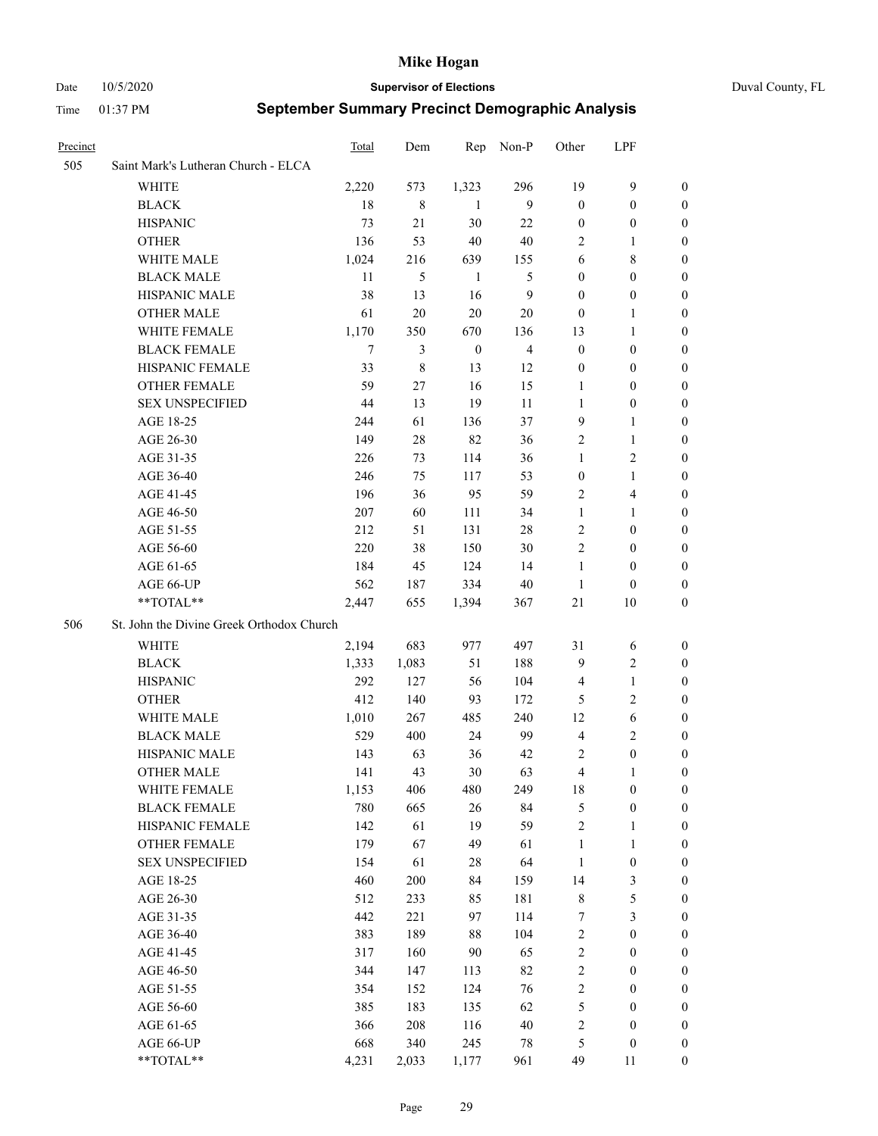Date 10/5/2020 **Supervisor of Elections** Duval County, FL

| Precinct |                                           | Total | Dem   | Rep              | Non-P          | Other            | LPF                     |                  |
|----------|-------------------------------------------|-------|-------|------------------|----------------|------------------|-------------------------|------------------|
| 505      | Saint Mark's Lutheran Church - ELCA       |       |       |                  |                |                  |                         |                  |
|          | <b>WHITE</b>                              | 2,220 | 573   | 1,323            | 296            | 19               | 9                       | $\boldsymbol{0}$ |
|          | <b>BLACK</b>                              | 18    | 8     | -1               | 9              | $\boldsymbol{0}$ | $\boldsymbol{0}$        | 0                |
|          | <b>HISPANIC</b>                           | 73    | 21    | 30               | 22             | $\boldsymbol{0}$ | $\boldsymbol{0}$        | 0                |
|          | <b>OTHER</b>                              | 136   | 53    | 40               | $40\,$         | 2                | $\mathbf{1}$            | $\boldsymbol{0}$ |
|          | WHITE MALE                                | 1,024 | 216   | 639              | 155            | 6                | $\,8\,$                 | $\boldsymbol{0}$ |
|          | <b>BLACK MALE</b>                         | 11    | 5     | $\mathbf{1}$     | 5              | $\boldsymbol{0}$ | $\boldsymbol{0}$        | 0                |
|          | HISPANIC MALE                             | 38    | 13    | 16               | $\mathbf{9}$   | $\boldsymbol{0}$ | $\boldsymbol{0}$        | 0                |
|          | <b>OTHER MALE</b>                         | 61    | 20    | $20\,$           | 20             | $\boldsymbol{0}$ | 1                       | 0                |
|          | WHITE FEMALE                              | 1,170 | 350   | 670              | 136            | 13               | $\mathbf{1}$            | 0                |
|          | <b>BLACK FEMALE</b>                       | 7     | 3     | $\boldsymbol{0}$ | $\overline{4}$ | $\boldsymbol{0}$ | $\boldsymbol{0}$        | 0                |
|          | HISPANIC FEMALE                           | 33    | 8     | 13               | 12             | $\boldsymbol{0}$ | $\boldsymbol{0}$        | 0                |
|          | OTHER FEMALE                              | 59    | 27    | 16               | 15             | 1                | $\boldsymbol{0}$        | 0                |
|          | <b>SEX UNSPECIFIED</b>                    | 44    | 13    | 19               | 11             | 1                | $\boldsymbol{0}$        | 0                |
|          | AGE 18-25                                 | 244   | 61    | 136              | 37             | 9                | $\mathbf{1}$            | $\boldsymbol{0}$ |
|          | AGE 26-30                                 | 149   | 28    | 82               | 36             | $\overline{c}$   | $\mathbf{1}$            | $\boldsymbol{0}$ |
|          | AGE 31-35                                 | 226   | 73    | 114              | 36             | $\mathbf{1}$     | $\sqrt{2}$              | $\boldsymbol{0}$ |
|          | AGE 36-40                                 | 246   | 75    | 117              | 53             | $\boldsymbol{0}$ | $\mathbf{1}$            | $\boldsymbol{0}$ |
|          | AGE 41-45                                 | 196   | 36    | 95               | 59             | $\overline{c}$   | $\overline{\mathbf{4}}$ | 0                |
|          | AGE 46-50                                 | 207   | 60    | 111              | 34             | $\mathbf{1}$     | $\mathbf{1}$            | 0                |
|          | AGE 51-55                                 | 212   | 51    | 131              | 28             | $\mathfrak{2}$   | $\boldsymbol{0}$        | 0                |
|          | AGE 56-60                                 | 220   | 38    | 150              | 30             | $\mathfrak{2}$   | $\boldsymbol{0}$        | 0                |
|          | AGE 61-65                                 | 184   | 45    | 124              | 14             | $\mathbf{1}$     | $\boldsymbol{0}$        | 0                |
|          | AGE 66-UP                                 | 562   | 187   | 334              | 40             | 1                | $\boldsymbol{0}$        | 0                |
|          | **TOTAL**                                 | 2,447 | 655   | 1,394            | 367            | $21\,$           | 10                      | $\boldsymbol{0}$ |
| 506      | St. John the Divine Greek Orthodox Church |       |       |                  |                |                  |                         |                  |
|          | WHITE                                     | 2,194 | 683   | 977              | 497            | 31               | 6                       | $\boldsymbol{0}$ |
|          | <b>BLACK</b>                              | 1,333 | 1,083 | 51               | 188            | 9                | $\mathfrak{2}$          | $\boldsymbol{0}$ |
|          | <b>HISPANIC</b>                           | 292   | 127   | 56               | 104            | $\overline{4}$   | $\mathbf{1}$            | $\boldsymbol{0}$ |
|          | <b>OTHER</b>                              | 412   | 140   | 93               | 172            | 5                | $\sqrt{2}$              | $\overline{0}$   |
|          | WHITE MALE                                | 1,010 | 267   | 485              | 240            | 12               | $\sqrt{6}$              | 0                |
|          | <b>BLACK MALE</b>                         | 529   | 400   | 24               | 99             | $\overline{4}$   | $\mathbf{2}$            | 0                |
|          | HISPANIC MALE                             | 143   | 63    | 36               | 42             | 2                | $\boldsymbol{0}$        | 0                |
|          | <b>OTHER MALE</b>                         | 141   | 43    | 30               | 63             | 4                | 1                       | 0                |
|          | WHITE FEMALE                              | 1,153 | 406   | 480              | 249            | 18               | $\boldsymbol{0}$        | $\boldsymbol{0}$ |
|          | <b>BLACK FEMALE</b>                       | 780   | 665   | 26               | 84             | 5                | $\boldsymbol{0}$        | $\boldsymbol{0}$ |
|          | HISPANIC FEMALE                           | 142   | 61    | 19               | 59             | $\sqrt{2}$       | $\mathbf{1}$            | $\boldsymbol{0}$ |
|          | <b>OTHER FEMALE</b>                       | 179   | 67    | 49               | 61             | $\mathbf{1}$     | $\mathbf{1}$            | $\overline{0}$   |
|          | <b>SEX UNSPECIFIED</b>                    | 154   | 61    | 28               | 64             | $\mathbf{1}$     | $\boldsymbol{0}$        | 0                |
|          | AGE 18-25                                 | 460   | 200   | 84               | 159            | 14               | $\mathfrak{Z}$          | 0                |
|          | AGE 26-30                                 | 512   | 233   | 85               | 181            | $\,$ $\,$        | $\mathfrak s$           | 0                |
|          | AGE 31-35                                 | 442   | 221   | 97               | 114            | 7                | $\mathfrak{Z}$          | 0                |
|          | AGE 36-40                                 | 383   | 189   | $88\,$           | 104            | $\sqrt{2}$       | $\boldsymbol{0}$        | 0                |
|          | AGE 41-45                                 | 317   | 160   | 90               | 65             | $\sqrt{2}$       | $\boldsymbol{0}$        | 0                |
|          | AGE 46-50                                 | 344   | 147   | 113              | 82             | $\sqrt{2}$       | $\boldsymbol{0}$        | 0                |
|          | AGE 51-55                                 | 354   | 152   | 124              | 76             | $\sqrt{2}$       | $\boldsymbol{0}$        | $\boldsymbol{0}$ |
|          | AGE 56-60                                 | 385   | 183   | 135              | 62             | 5                | $\boldsymbol{0}$        | $\boldsymbol{0}$ |
|          | AGE 61-65                                 | 366   | 208   | 116              | 40             | 2                | $\boldsymbol{0}$        | $\boldsymbol{0}$ |
|          | AGE 66-UP                                 | 668   | 340   | 245              | 78             | 5                | $\boldsymbol{0}$        | 0                |
|          | **TOTAL**                                 | 4,231 | 2,033 | 1,177            | 961            | 49               | 11                      | $\overline{0}$   |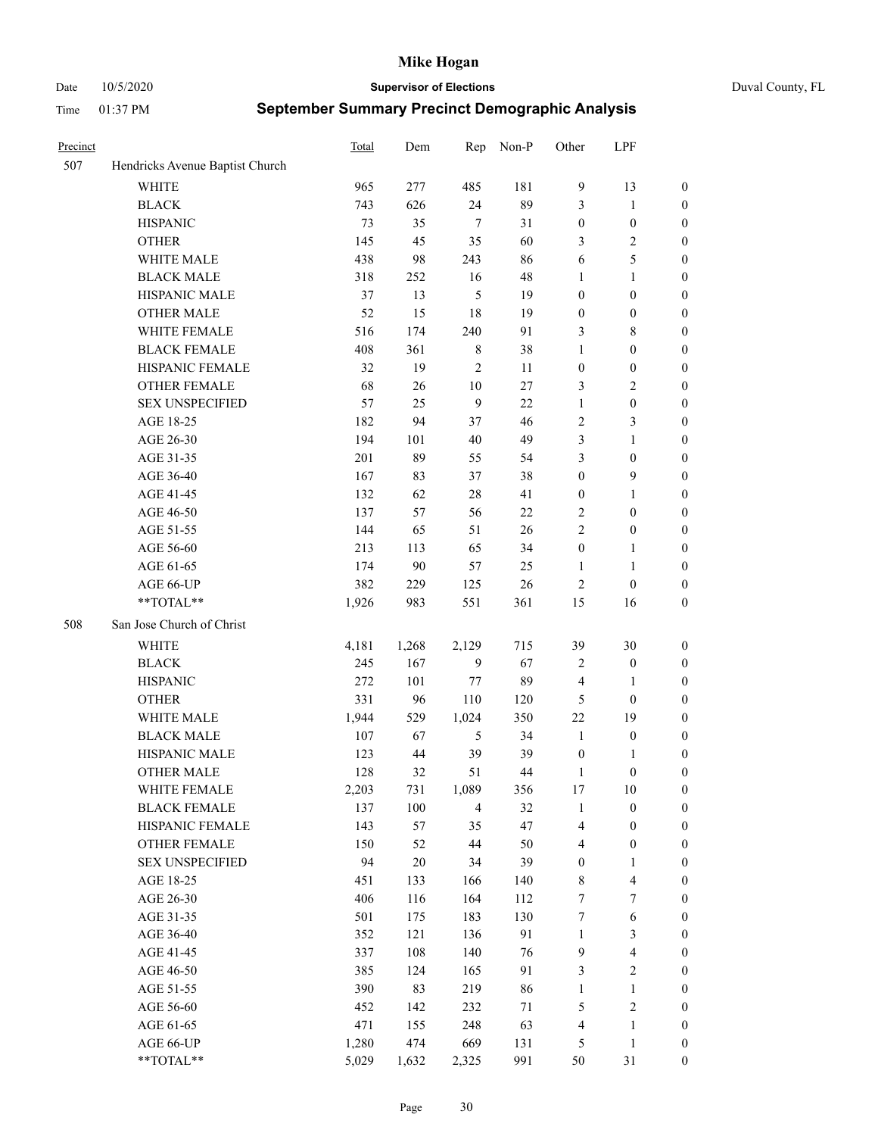Date 10/5/2020 **Supervisor of Elections** Duval County, FL

| Precinct |                                 | Total | Dem    | Rep            | Non-P | Other            | LPF                     |                  |
|----------|---------------------------------|-------|--------|----------------|-------|------------------|-------------------------|------------------|
| 507      | Hendricks Avenue Baptist Church |       |        |                |       |                  |                         |                  |
|          | <b>WHITE</b>                    | 965   | 277    | 485            | 181   | 9                | 13                      | $\boldsymbol{0}$ |
|          | <b>BLACK</b>                    | 743   | 626    | 24             | 89    | 3                | $\mathbf{1}$            | $\boldsymbol{0}$ |
|          | <b>HISPANIC</b>                 | 73    | 35     | $\tau$         | 31    | $\boldsymbol{0}$ | $\boldsymbol{0}$        | $\boldsymbol{0}$ |
|          | <b>OTHER</b>                    | 145   | 45     | 35             | 60    | 3                | $\sqrt{2}$              | $\boldsymbol{0}$ |
|          | WHITE MALE                      | 438   | 98     | 243            | 86    | 6                | $\mathfrak{S}$          | $\boldsymbol{0}$ |
|          | <b>BLACK MALE</b>               | 318   | 252    | 16             | 48    | 1                | $\mathbf{1}$            | $\boldsymbol{0}$ |
|          | HISPANIC MALE                   | 37    | 13     | 5              | 19    | $\boldsymbol{0}$ | $\boldsymbol{0}$        | $\boldsymbol{0}$ |
|          | <b>OTHER MALE</b>               | 52    | 15     | 18             | 19    | $\boldsymbol{0}$ | $\boldsymbol{0}$        | $\boldsymbol{0}$ |
|          | WHITE FEMALE                    | 516   | 174    | 240            | 91    | 3                | $8\,$                   | $\boldsymbol{0}$ |
|          | <b>BLACK FEMALE</b>             | 408   | 361    | 8              | 38    | $\mathbf{1}$     | $\boldsymbol{0}$        | $\boldsymbol{0}$ |
|          | HISPANIC FEMALE                 | 32    | 19     | $\overline{2}$ | 11    | $\boldsymbol{0}$ | $\boldsymbol{0}$        | 0                |
|          | <b>OTHER FEMALE</b>             | 68    | 26     | $10\,$         | 27    | 3                | $\sqrt{2}$              | $\boldsymbol{0}$ |
|          | <b>SEX UNSPECIFIED</b>          | 57    | 25     | 9              | 22    | $\mathbf{1}$     | $\boldsymbol{0}$        | $\boldsymbol{0}$ |
|          | AGE 18-25                       | 182   | 94     | 37             | 46    | 2                | $\mathfrak{Z}$          | $\boldsymbol{0}$ |
|          | AGE 26-30                       | 194   | 101    | 40             | 49    | 3                | $\mathbf{1}$            | $\boldsymbol{0}$ |
|          | AGE 31-35                       | 201   | 89     | 55             | 54    | 3                | $\boldsymbol{0}$        | $\boldsymbol{0}$ |
|          | AGE 36-40                       | 167   | 83     | 37             | 38    | $\boldsymbol{0}$ | $\mathbf{9}$            | $\boldsymbol{0}$ |
|          | AGE 41-45                       | 132   | 62     | $28\,$         | 41    | $\boldsymbol{0}$ | $\mathbf{1}$            | $\boldsymbol{0}$ |
|          | AGE 46-50                       | 137   | 57     | 56             | 22    | $\mathbf{2}$     | $\boldsymbol{0}$        | $\boldsymbol{0}$ |
|          | AGE 51-55                       | 144   | 65     | 51             | 26    | $\overline{c}$   | $\boldsymbol{0}$        | $\boldsymbol{0}$ |
|          | AGE 56-60                       | 213   | 113    | 65             | 34    | $\boldsymbol{0}$ | $\mathbf{1}$            | 0                |
|          | AGE 61-65                       | 174   | 90     | 57             | 25    | 1                | $\mathbf{1}$            | 0                |
|          | AGE 66-UP                       | 382   | 229    | 125            | 26    | $\mathbf{2}$     | $\boldsymbol{0}$        | $\boldsymbol{0}$ |
|          | $**TOTAL**$                     | 1,926 | 983    | 551            | 361   | 15               | 16                      | $\boldsymbol{0}$ |
| 508      | San Jose Church of Christ       |       |        |                |       |                  |                         |                  |
|          | <b>WHITE</b>                    | 4,181 | 1,268  | 2,129          | 715   | 39               | $30\,$                  | $\boldsymbol{0}$ |
|          | <b>BLACK</b>                    | 245   | 167    | 9              | 67    | 2                | $\boldsymbol{0}$        | $\boldsymbol{0}$ |
|          | <b>HISPANIC</b>                 | 272   | 101    | 77             | 89    | 4                | $\mathbf{1}$            | $\boldsymbol{0}$ |
|          | <b>OTHER</b>                    | 331   | 96     | 110            | 120   | $\mathfrak{S}$   | $\boldsymbol{0}$        | $\boldsymbol{0}$ |
|          | WHITE MALE                      | 1,944 | 529    | 1,024          | 350   | 22               | 19                      | $\boldsymbol{0}$ |
|          | <b>BLACK MALE</b>               | 107   | 67     | 5              | 34    | $\mathbf{1}$     | $\boldsymbol{0}$        | $\boldsymbol{0}$ |
|          | HISPANIC MALE                   | 123   | 44     | 39             | 39    | $\boldsymbol{0}$ | 1                       | 0                |
|          | <b>OTHER MALE</b>               | 128   | 32     | 51             | 44    | $\mathbf{1}$     | $\boldsymbol{0}$        | $\boldsymbol{0}$ |
|          | WHITE FEMALE                    | 2,203 | 731    | 1,089          | 356   | 17               | 10                      | 0                |
|          | <b>BLACK FEMALE</b>             | 137   | 100    | $\overline{4}$ | 32    | $\mathbf{1}$     | $\boldsymbol{0}$        | $\boldsymbol{0}$ |
|          | HISPANIC FEMALE                 | 143   | 57     | 35             | 47    | 4                | $\boldsymbol{0}$        | $\boldsymbol{0}$ |
|          | OTHER FEMALE                    | 150   | 52     | 44             | 50    | 4                | $\boldsymbol{0}$        | $\overline{0}$   |
|          | <b>SEX UNSPECIFIED</b>          | 94    | $20\,$ | 34             | 39    | $\boldsymbol{0}$ | $\mathbf{1}$            | 0                |
|          | AGE 18-25                       | 451   | 133    | 166            | 140   | $\,$ 8 $\,$      | $\overline{\mathbf{4}}$ | 0                |
|          | AGE 26-30                       | 406   | 116    | 164            | 112   | 7                | $\boldsymbol{7}$        | 0                |
|          | AGE 31-35                       | 501   | 175    | 183            | 130   | 7                | $\sqrt{6}$              | 0                |
|          | AGE 36-40                       | 352   | 121    | 136            | 91    | $\mathbf{1}$     | $\mathfrak{Z}$          | 0                |
|          | AGE 41-45                       | 337   | 108    | 140            | 76    | $\overline{9}$   | $\overline{\mathbf{4}}$ | 0                |
|          | AGE 46-50                       | 385   | 124    | 165            | 91    | 3                | $\sqrt{2}$              | 0                |
|          | AGE 51-55                       | 390   | 83     | 219            | 86    | $\mathbf{1}$     | $\mathbf{1}$            | $\boldsymbol{0}$ |
|          | AGE 56-60                       | 452   | 142    | 232            | 71    | 5                | $\sqrt{2}$              | $\boldsymbol{0}$ |
|          | AGE 61-65                       | 471   | 155    | 248            | 63    | 4                | $\mathbf{1}$            | $\boldsymbol{0}$ |
|          | AGE 66-UP                       | 1,280 | 474    | 669            | 131   | 5                | $\mathbf{1}$            | $\boldsymbol{0}$ |
|          | **TOTAL**                       | 5,029 | 1,632  | 2,325          | 991   | 50               | 31                      | $\boldsymbol{0}$ |
|          |                                 |       |        |                |       |                  |                         |                  |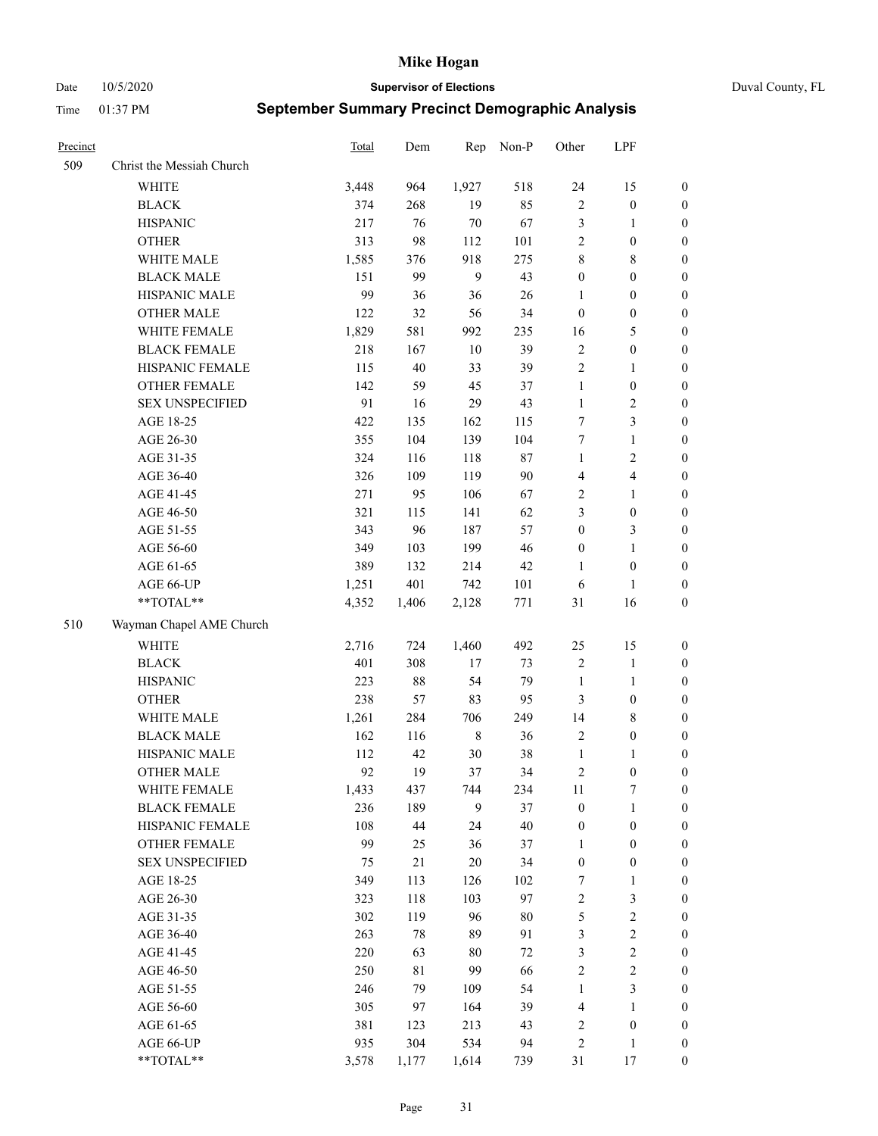Date 10/5/2020 **Supervisor of Elections** Duval County, FL

| Precinct |                           | Total | Dem    | Rep         | Non-P  | Other            | LPF                     |                  |
|----------|---------------------------|-------|--------|-------------|--------|------------------|-------------------------|------------------|
| 509      | Christ the Messiah Church |       |        |             |        |                  |                         |                  |
|          | WHITE                     | 3,448 | 964    | 1,927       | 518    | 24               | 15                      | 0                |
|          | <b>BLACK</b>              | 374   | 268    | 19          | 85     | $\sqrt{2}$       | $\boldsymbol{0}$        | 0                |
|          | <b>HISPANIC</b>           | 217   | 76     | 70          | 67     | 3                | $\mathbf{1}$            | $\boldsymbol{0}$ |
|          | <b>OTHER</b>              | 313   | 98     | 112         | 101    | $\sqrt{2}$       | $\boldsymbol{0}$        | $\boldsymbol{0}$ |
|          | WHITE MALE                | 1,585 | 376    | 918         | 275    | 8                | $8\,$                   | $\boldsymbol{0}$ |
|          | <b>BLACK MALE</b>         | 151   | 99     | 9           | 43     | $\boldsymbol{0}$ | $\boldsymbol{0}$        | $\boldsymbol{0}$ |
|          | HISPANIC MALE             | 99    | 36     | 36          | 26     | 1                | $\boldsymbol{0}$        | $\boldsymbol{0}$ |
|          | <b>OTHER MALE</b>         | 122   | 32     | 56          | 34     | $\boldsymbol{0}$ | $\boldsymbol{0}$        | $\boldsymbol{0}$ |
|          | WHITE FEMALE              | 1,829 | 581    | 992         | 235    | 16               | $\mathfrak{S}$          | $\boldsymbol{0}$ |
|          | <b>BLACK FEMALE</b>       | 218   | 167    | 10          | 39     | $\sqrt{2}$       | $\boldsymbol{0}$        | 0                |
|          | HISPANIC FEMALE           | 115   | 40     | 33          | 39     | $\sqrt{2}$       | $\mathbf{1}$            | 0                |
|          | OTHER FEMALE              | 142   | 59     | 45          | 37     | $\mathbf{1}$     | $\boldsymbol{0}$        | 0                |
|          | <b>SEX UNSPECIFIED</b>    | 91    | 16     | 29          | 43     | $\mathbf{1}$     | $\sqrt{2}$              | $\boldsymbol{0}$ |
|          | AGE 18-25                 | 422   | 135    | 162         | 115    | 7                | $\mathfrak{Z}$          | $\boldsymbol{0}$ |
|          | AGE 26-30                 | 355   | 104    | 139         | 104    | 7                | $\mathbf{1}$            | $\boldsymbol{0}$ |
|          | AGE 31-35                 | 324   | 116    | 118         | $87\,$ | $\mathbf{1}$     | $\sqrt{2}$              | $\boldsymbol{0}$ |
|          | AGE 36-40                 | 326   | 109    | 119         | 90     | 4                | $\overline{\mathbf{4}}$ | $\boldsymbol{0}$ |
|          | AGE 41-45                 | 271   | 95     | 106         | 67     | $\overline{c}$   | $\mathbf{1}$            | $\boldsymbol{0}$ |
|          | AGE 46-50                 | 321   | 115    | 141         | 62     | 3                | $\boldsymbol{0}$        | $\boldsymbol{0}$ |
|          | AGE 51-55                 | 343   | 96     | 187         | 57     | $\boldsymbol{0}$ | $\mathfrak{Z}$          | 0                |
|          | AGE 56-60                 | 349   | 103    | 199         | 46     | $\boldsymbol{0}$ | $\mathbf{1}$            | 0                |
|          | AGE 61-65                 | 389   | 132    | 214         | 42     | 1                | $\boldsymbol{0}$        | 0                |
|          | AGE 66-UP                 | 1,251 | 401    | 742         | 101    | 6                | $\mathbf{1}$            | $\boldsymbol{0}$ |
|          | **TOTAL**                 | 4,352 | 1,406  | 2,128       | 771    | 31               | 16                      | $\boldsymbol{0}$ |
| 510      | Wayman Chapel AME Church  |       |        |             |        |                  |                         |                  |
|          | <b>WHITE</b>              | 2,716 | 724    | 1,460       | 492    | 25               | 15                      | $\boldsymbol{0}$ |
|          | <b>BLACK</b>              | 401   | 308    | 17          | 73     | $\sqrt{2}$       | $\mathbf{1}$            | $\boldsymbol{0}$ |
|          | <b>HISPANIC</b>           | 223   | 88     | 54          | 79     | $\mathbf{1}$     | $\mathbf{1}$            | $\boldsymbol{0}$ |
|          | <b>OTHER</b>              | 238   | 57     | 83          | 95     | 3                | $\boldsymbol{0}$        | $\boldsymbol{0}$ |
|          | WHITE MALE                | 1,261 | 284    | 706         | 249    | 14               | $8\,$                   | $\boldsymbol{0}$ |
|          | <b>BLACK MALE</b>         | 162   | 116    | $\,$ 8 $\,$ | 36     | $\overline{2}$   | $\boldsymbol{0}$        | $\boldsymbol{0}$ |
|          | HISPANIC MALE             | 112   | 42     | 30          | 38     | $\mathbf{1}$     | $\mathbf{1}$            | $\boldsymbol{0}$ |
|          | <b>OTHER MALE</b>         | 92    | 19     | 37          | 34     | 2                | $\boldsymbol{0}$        | $\boldsymbol{0}$ |
|          | WHITE FEMALE              | 1,433 | 437    | 744         | 234    | 11               | 7                       | 0                |
|          | <b>BLACK FEMALE</b>       | 236   | 189    | 9           | 37     | $\boldsymbol{0}$ | $\mathbf{1}$            | $\boldsymbol{0}$ |
|          | HISPANIC FEMALE           | 108   | 44     | 24          | 40     | $\boldsymbol{0}$ | $\boldsymbol{0}$        | $\overline{0}$   |
|          | OTHER FEMALE              | 99    | 25     | 36          | 37     | $\mathbf{1}$     | $\boldsymbol{0}$        | $\overline{0}$   |
|          | <b>SEX UNSPECIFIED</b>    | 75    | $21\,$ | 20          | 34     | $\boldsymbol{0}$ | $\boldsymbol{0}$        | 0                |
|          | AGE 18-25                 | 349   | 113    | 126         | 102    | 7                | $\mathbf{1}$            | 0                |
|          | AGE 26-30                 | 323   | 118    | 103         | 97     | $\overline{c}$   | $\mathfrak{Z}$          | 0                |
|          | AGE 31-35                 | 302   | 119    | 96          | $80\,$ | 5                | $\sqrt{2}$              | 0                |
|          | AGE 36-40                 | 263   | 78     | 89          | 91     | 3                | $\sqrt{2}$              | 0                |
|          | AGE 41-45                 | 220   | 63     | 80          | $72\,$ | 3                | $\sqrt{2}$              | 0                |
|          | AGE 46-50                 | 250   | 81     | 99          | 66     | $\sqrt{2}$       | $\sqrt{2}$              | 0                |
|          | AGE 51-55                 | 246   | 79     | 109         | 54     | $\mathbf{1}$     | $\mathfrak{Z}$          | $\boldsymbol{0}$ |
|          | AGE 56-60                 | 305   | 97     | 164         | 39     | 4                | 1                       | $\boldsymbol{0}$ |
|          | AGE 61-65                 | 381   | 123    | 213         | 43     | 2                | $\boldsymbol{0}$        | $\overline{0}$   |
|          | AGE 66-UP                 | 935   | 304    | 534         | 94     | 2                | $\mathbf{1}$            | 0                |
|          | **TOTAL**                 | 3,578 | 1,177  | 1,614       | 739    | 31               | 17                      | $\boldsymbol{0}$ |
|          |                           |       |        |             |        |                  |                         |                  |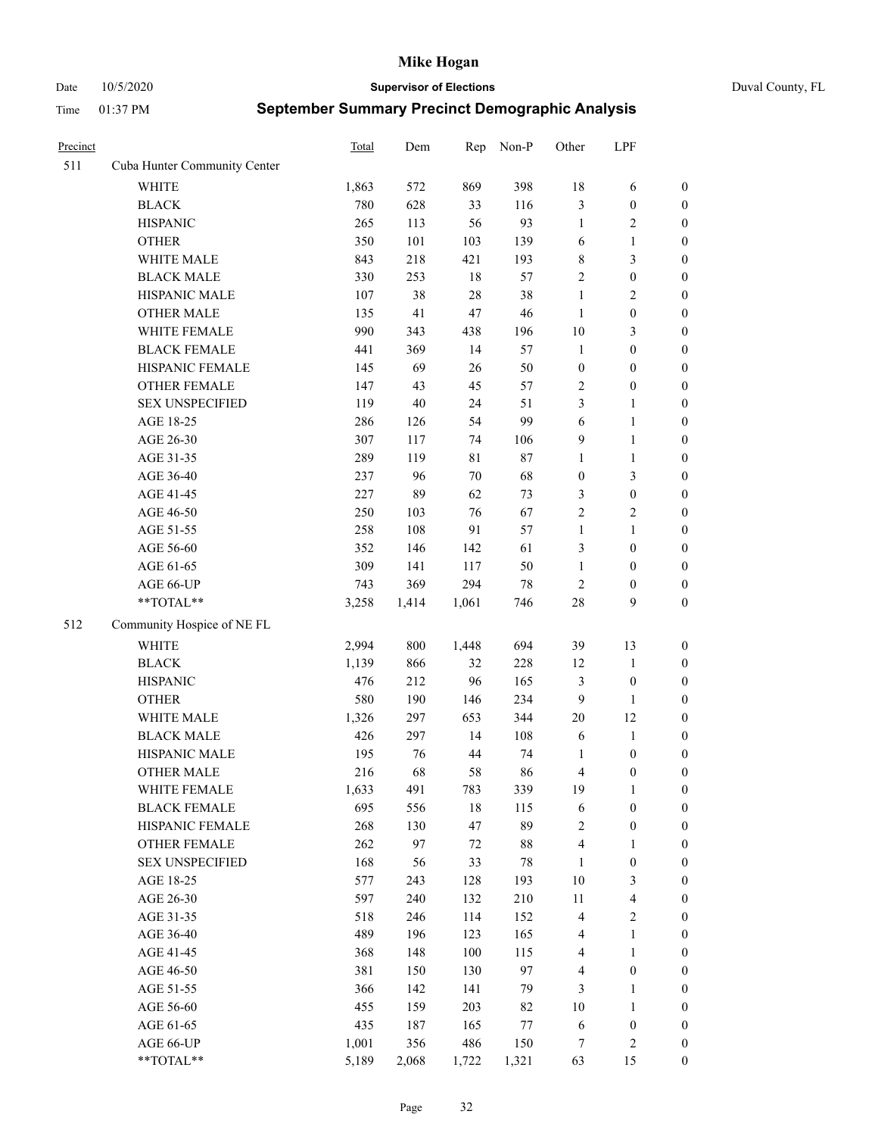Date 10/5/2020 **Supervisor of Elections** Duval County, FL

| Precinct |                              | <b>Total</b> | Dem    | Rep    | Non-P  | Other            | LPF                     |                  |
|----------|------------------------------|--------------|--------|--------|--------|------------------|-------------------------|------------------|
| 511      | Cuba Hunter Community Center |              |        |        |        |                  |                         |                  |
|          | <b>WHITE</b>                 | 1,863        | 572    | 869    | 398    | 18               | 6                       | 0                |
|          | <b>BLACK</b>                 | 780          | 628    | 33     | 116    | 3                | $\boldsymbol{0}$        | 0                |
|          | <b>HISPANIC</b>              | 265          | 113    | 56     | 93     | $\mathbf{1}$     | $\overline{2}$          | $\boldsymbol{0}$ |
|          | <b>OTHER</b>                 | 350          | 101    | 103    | 139    | 6                | 1                       | $\boldsymbol{0}$ |
|          | WHITE MALE                   | 843          | 218    | 421    | 193    | 8                | $\mathfrak{Z}$          | $\boldsymbol{0}$ |
|          | <b>BLACK MALE</b>            | 330          | 253    | 18     | 57     | $\overline{c}$   | $\boldsymbol{0}$        | $\boldsymbol{0}$ |
|          | HISPANIC MALE                | 107          | 38     | $28\,$ | 38     | $\mathbf{1}$     | $\sqrt{2}$              | $\boldsymbol{0}$ |
|          | <b>OTHER MALE</b>            | 135          | 41     | 47     | 46     | $\mathbf{1}$     | $\boldsymbol{0}$        | $\boldsymbol{0}$ |
|          | WHITE FEMALE                 | 990          | 343    | 438    | 196    | $10\,$           | $\mathfrak{Z}$          | $\boldsymbol{0}$ |
|          | <b>BLACK FEMALE</b>          | 441          | 369    | 14     | 57     | $\mathbf{1}$     | $\boldsymbol{0}$        | $\boldsymbol{0}$ |
|          | HISPANIC FEMALE              | 145          | 69     | 26     | 50     | $\boldsymbol{0}$ | $\boldsymbol{0}$        | $\boldsymbol{0}$ |
|          | OTHER FEMALE                 | 147          | 43     | 45     | 57     | 2                | $\boldsymbol{0}$        | $\boldsymbol{0}$ |
|          | <b>SEX UNSPECIFIED</b>       | 119          | $40\,$ | 24     | 51     | 3                | $\mathbf{1}$            | $\boldsymbol{0}$ |
|          | AGE 18-25                    | 286          | 126    | 54     | 99     | 6                | $\mathbf{1}$            | $\boldsymbol{0}$ |
|          | AGE 26-30                    | 307          | 117    | 74     | 106    | 9                | $\mathbf{1}$            | $\boldsymbol{0}$ |
|          | AGE 31-35                    | 289          | 119    | 81     | $87\,$ | $\mathbf{1}$     | $\mathbf{1}$            | $\boldsymbol{0}$ |
|          | AGE 36-40                    | 237          | 96     | $70\,$ | 68     | $\boldsymbol{0}$ | $\mathfrak{Z}$          | $\boldsymbol{0}$ |
|          | AGE 41-45                    | 227          | 89     | 62     | 73     | 3                | $\boldsymbol{0}$        | $\boldsymbol{0}$ |
|          | AGE 46-50                    | 250          | 103    | 76     | 67     | $\overline{c}$   | $\overline{2}$          | $\boldsymbol{0}$ |
|          | AGE 51-55                    | 258          | 108    | 91     | 57     | $\mathbf{1}$     | $\mathbf{1}$            | $\boldsymbol{0}$ |
|          | AGE 56-60                    | 352          | 146    | 142    | 61     | 3                | $\boldsymbol{0}$        | 0                |
|          | AGE 61-65                    | 309          | 141    | 117    | 50     | $\mathbf{1}$     | $\boldsymbol{0}$        | 0                |
|          | AGE 66-UP                    | 743          | 369    | 294    | $78\,$ | $\sqrt{2}$       | $\boldsymbol{0}$        | $\boldsymbol{0}$ |
|          | **TOTAL**                    | 3,258        | 1,414  | 1,061  | 746    | $28\,$           | 9                       | $\boldsymbol{0}$ |
| 512      | Community Hospice of NE FL   |              |        |        |        |                  |                         |                  |
|          | <b>WHITE</b>                 | 2,994        | 800    | 1,448  | 694    | 39               | 13                      | $\boldsymbol{0}$ |
|          | <b>BLACK</b>                 | 1,139        | 866    | 32     | 228    | 12               | $\mathbf{1}$            | $\boldsymbol{0}$ |
|          | <b>HISPANIC</b>              | 476          | 212    | 96     | 165    | 3                | $\boldsymbol{0}$        | $\boldsymbol{0}$ |
|          | <b>OTHER</b>                 | 580          | 190    | 146    | 234    | 9                | $\mathbf{1}$            | $\boldsymbol{0}$ |
|          | WHITE MALE                   | 1,326        | 297    | 653    | 344    | $20\,$           | 12                      | $\boldsymbol{0}$ |
|          | <b>BLACK MALE</b>            | 426          | 297    | 14     | 108    | 6                | $\mathbf{1}$            | $\boldsymbol{0}$ |
|          | HISPANIC MALE                | 195          | 76     | 44     | 74     | 1                | $\boldsymbol{0}$        | 0                |
|          | OTHER MALE                   | 216          | 68     | 58     | 86     | 4                | $\boldsymbol{0}$        | $\boldsymbol{0}$ |
|          | WHITE FEMALE                 | 1,633        | 491    | 783    | 339    | 19               | 1                       | 0                |
|          | <b>BLACK FEMALE</b>          | 695          | 556    | 18     | 115    | 6                | $\boldsymbol{0}$        | $\boldsymbol{0}$ |
|          | HISPANIC FEMALE              | 268          | 130    | 47     | 89     | $\overline{c}$   | $\boldsymbol{0}$        | $\overline{0}$   |
|          | <b>OTHER FEMALE</b>          | 262          | 97     | 72     | $88\,$ | 4                | $\mathbf{1}$            | $\overline{0}$   |
|          | <b>SEX UNSPECIFIED</b>       | 168          | 56     | 33     | $78\,$ | $\mathbf{1}$     | $\boldsymbol{0}$        | 0                |
|          | AGE 18-25                    | 577          | 243    | 128    | 193    | 10               | $\mathfrak{Z}$          | 0                |
|          | AGE 26-30                    | 597          | 240    | 132    | 210    | $11\,$           | $\overline{\mathbf{4}}$ | 0                |
|          | AGE 31-35                    | 518          | 246    | 114    | 152    | 4                | $\sqrt{2}$              | 0                |
|          | AGE 36-40                    | 489          | 196    | 123    | 165    | 4                | $\mathbf{1}$            | 0                |
|          | AGE 41-45                    | 368          | 148    | 100    | 115    | $\overline{4}$   | $\mathbf{1}$            | 0                |
|          | AGE 46-50                    | 381          | 150    | 130    | 97     | 4                | $\boldsymbol{0}$        | 0                |
|          | AGE 51-55                    | 366          | 142    | 141    | 79     | 3                | $\mathbf{1}$            | 0                |
|          | AGE 56-60                    | 455          | 159    | 203    | 82     | 10               | $\mathbf{1}$            | 0                |
|          | AGE 61-65                    | 435          | 187    | 165    | 77     | 6                | $\boldsymbol{0}$        | 0                |
|          | AGE 66-UP                    | 1,001        | 356    | 486    | 150    | 7                | $\sqrt{2}$              | 0                |
|          | **TOTAL**                    | 5,189        | 2,068  | 1,722  | 1,321  | 63               | 15                      | $\boldsymbol{0}$ |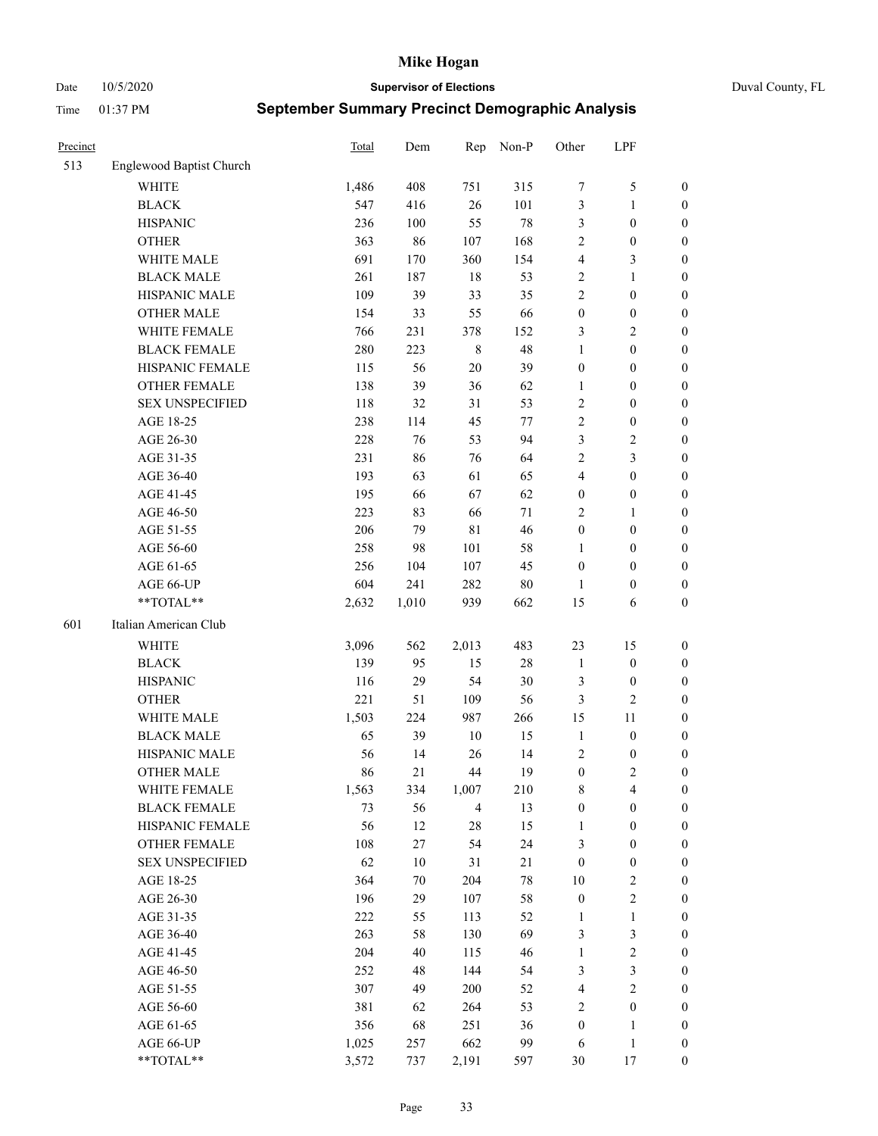Date 10/5/2020 **Supervisor of Elections** Duval County, FL

| Precinct |                          | Total | Dem    | Rep            | Non-P  | Other            | LPF              |                  |
|----------|--------------------------|-------|--------|----------------|--------|------------------|------------------|------------------|
| 513      | Englewood Baptist Church |       |        |                |        |                  |                  |                  |
|          | <b>WHITE</b>             | 1,486 | 408    | 751            | 315    | 7                | $\mathfrak{S}$   | 0                |
|          | <b>BLACK</b>             | 547   | 416    | 26             | 101    | 3                | $\mathbf{1}$     | 0                |
|          | <b>HISPANIC</b>          | 236   | 100    | 55             | $78\,$ | 3                | $\boldsymbol{0}$ | $\boldsymbol{0}$ |
|          | <b>OTHER</b>             | 363   | 86     | 107            | 168    | 2                | $\boldsymbol{0}$ | $\boldsymbol{0}$ |
|          | WHITE MALE               | 691   | 170    | 360            | 154    | 4                | $\mathfrak{Z}$   | $\boldsymbol{0}$ |
|          | <b>BLACK MALE</b>        | 261   | 187    | 18             | 53     | $\overline{c}$   | $\mathbf{1}$     | $\boldsymbol{0}$ |
|          | HISPANIC MALE            | 109   | 39     | 33             | 35     | $\overline{c}$   | $\boldsymbol{0}$ | $\boldsymbol{0}$ |
|          | <b>OTHER MALE</b>        | 154   | 33     | 55             | 66     | $\boldsymbol{0}$ | $\boldsymbol{0}$ | $\boldsymbol{0}$ |
|          | WHITE FEMALE             | 766   | 231    | 378            | 152    | 3                | $\overline{2}$   | $\boldsymbol{0}$ |
|          | <b>BLACK FEMALE</b>      | 280   | 223    | $\,$ 8 $\,$    | 48     | $\mathbf{1}$     | $\boldsymbol{0}$ | $\boldsymbol{0}$ |
|          | HISPANIC FEMALE          | 115   | 56     | 20             | 39     | $\boldsymbol{0}$ | $\boldsymbol{0}$ | $\boldsymbol{0}$ |
|          | <b>OTHER FEMALE</b>      | 138   | 39     | 36             | 62     | $\mathbf{1}$     | $\boldsymbol{0}$ | $\boldsymbol{0}$ |
|          | <b>SEX UNSPECIFIED</b>   | 118   | 32     | 31             | 53     | $\sqrt{2}$       | $\boldsymbol{0}$ | $\boldsymbol{0}$ |
|          | AGE 18-25                | 238   | 114    | 45             | 77     | $\sqrt{2}$       | $\boldsymbol{0}$ | $\boldsymbol{0}$ |
|          | AGE 26-30                | 228   | 76     | 53             | 94     | 3                | $\sqrt{2}$       | $\boldsymbol{0}$ |
|          | AGE 31-35                | 231   | 86     | 76             | 64     | $\overline{c}$   | $\mathfrak{Z}$   | $\boldsymbol{0}$ |
|          | AGE 36-40                | 193   | 63     | 61             | 65     | 4                | $\boldsymbol{0}$ | $\boldsymbol{0}$ |
|          | AGE 41-45                | 195   | 66     | 67             | 62     | $\boldsymbol{0}$ | $\boldsymbol{0}$ | $\boldsymbol{0}$ |
|          | AGE 46-50                | 223   | 83     | 66             | $71\,$ | 2                | 1                | $\boldsymbol{0}$ |
|          | AGE 51-55                | 206   | 79     | $8\sqrt{1}$    | 46     | $\boldsymbol{0}$ | $\boldsymbol{0}$ | 0                |
|          | AGE 56-60                | 258   | 98     | 101            | 58     | 1                | $\boldsymbol{0}$ | 0                |
|          | AGE 61-65                | 256   | 104    | 107            | 45     | $\boldsymbol{0}$ | $\boldsymbol{0}$ | 0                |
|          | AGE 66-UP                | 604   | 241    | 282            | $80\,$ | 1                | $\boldsymbol{0}$ | $\boldsymbol{0}$ |
|          | **TOTAL**                | 2,632 | 1,010  | 939            | 662    | 15               | 6                | $\boldsymbol{0}$ |
| 601      | Italian American Club    |       |        |                |        |                  |                  |                  |
|          | <b>WHITE</b>             | 3,096 | 562    | 2,013          | 483    | 23               | 15               | $\boldsymbol{0}$ |
|          | <b>BLACK</b>             | 139   | 95     | 15             | $28\,$ | $\mathbf{1}$     | $\boldsymbol{0}$ | $\boldsymbol{0}$ |
|          | <b>HISPANIC</b>          | 116   | 29     | 54             | 30     | 3                | $\boldsymbol{0}$ | $\boldsymbol{0}$ |
|          | <b>OTHER</b>             | 221   | 51     | 109            | 56     | 3                | $\overline{c}$   | $\boldsymbol{0}$ |
|          | WHITE MALE               | 1,503 | 224    | 987            | 266    | 15               | $11\,$           | $\boldsymbol{0}$ |
|          | <b>BLACK MALE</b>        | 65    | 39     | $10\,$         | 15     | $\mathbf{1}$     | $\boldsymbol{0}$ | $\boldsymbol{0}$ |
|          | HISPANIC MALE            | 56    | 14     | 26             | 14     | $\overline{c}$   | $\boldsymbol{0}$ | 0                |
|          | <b>OTHER MALE</b>        | 86    | 21     | 44             | 19     | $\boldsymbol{0}$ | $\mathbf{2}$     | $\boldsymbol{0}$ |
|          | WHITE FEMALE             | 1,563 | 334    | 1,007          | 210    | 8                | 4                | 0                |
|          | <b>BLACK FEMALE</b>      | 73    | 56     | $\overline{4}$ | 13     | $\boldsymbol{0}$ | $\boldsymbol{0}$ | $\boldsymbol{0}$ |
|          | HISPANIC FEMALE          | 56    | 12     | 28             | 15     | 1                | $\boldsymbol{0}$ | $\overline{0}$   |
|          | OTHER FEMALE             | 108   | 27     | 54             | 24     | 3                | $\boldsymbol{0}$ | $\overline{0}$   |
|          | <b>SEX UNSPECIFIED</b>   | 62    | $10\,$ | 31             | 21     | $\boldsymbol{0}$ | $\boldsymbol{0}$ | 0                |
|          | AGE 18-25                | 364   | 70     | 204            | 78     | 10               | $\sqrt{2}$       | 0                |
|          | AGE 26-30                | 196   | 29     | 107            | 58     | $\boldsymbol{0}$ | $\sqrt{2}$       | 0                |
|          | AGE 31-35                | 222   | 55     | 113            | 52     | 1                | $\mathbf{1}$     | 0                |
|          | AGE 36-40                | 263   | 58     | 130            | 69     | 3                | $\mathfrak{Z}$   | 0                |
|          | AGE 41-45                | 204   | 40     | 115            | 46     | $\mathbf{1}$     | $\sqrt{2}$       | 0                |
|          | AGE 46-50                | 252   | 48     | 144            | 54     | 3                | $\mathfrak{Z}$   | 0                |
|          | AGE 51-55                | 307   | 49     | 200            | 52     | $\overline{4}$   | $\sqrt{2}$       | 0                |
|          | AGE 56-60                | 381   | 62     | 264            | 53     | 2                | $\boldsymbol{0}$ | $\boldsymbol{0}$ |
|          | AGE 61-65                | 356   | 68     | 251            | 36     | $\boldsymbol{0}$ | $\mathbf{1}$     | $\boldsymbol{0}$ |
|          | AGE 66-UP                | 1,025 | 257    | 662            | 99     | 6                | $\mathbf{1}$     | 0                |
|          | **TOTAL**                | 3,572 | 737    | 2,191          | 597    | 30               | 17               | $\boldsymbol{0}$ |
|          |                          |       |        |                |        |                  |                  |                  |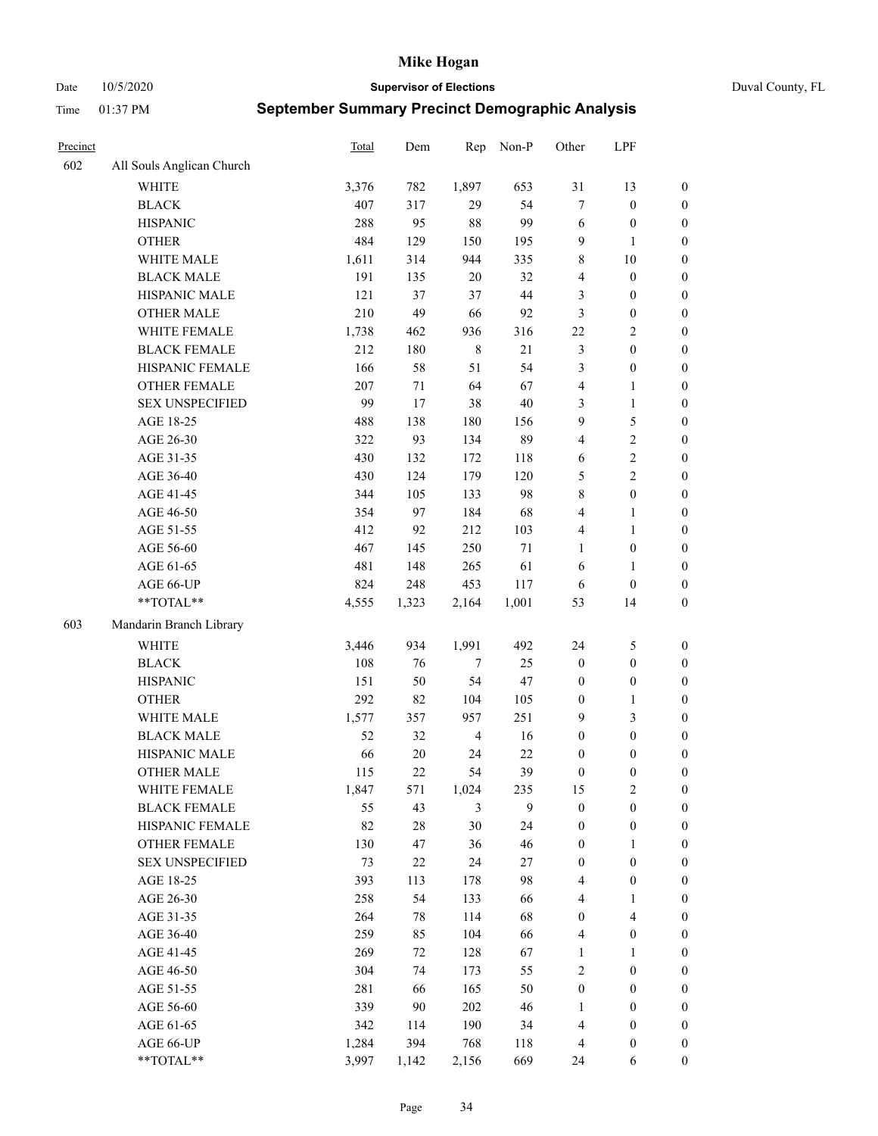Date 10/5/2020 **Supervisor of Elections** Duval County, FL

| Precinct |                           | Total | Dem    | Rep            | Non-P  | Other            | LPF                     |                  |
|----------|---------------------------|-------|--------|----------------|--------|------------------|-------------------------|------------------|
| 602      | All Souls Anglican Church |       |        |                |        |                  |                         |                  |
|          | <b>WHITE</b>              | 3,376 | 782    | 1,897          | 653    | 31               | 13                      | 0                |
|          | <b>BLACK</b>              | 407   | 317    | 29             | 54     | $\tau$           | $\boldsymbol{0}$        | 0                |
|          | <b>HISPANIC</b>           | 288   | 95     | 88             | 99     | 6                | $\boldsymbol{0}$        | $\boldsymbol{0}$ |
|          | <b>OTHER</b>              | 484   | 129    | 150            | 195    | 9                | $\mathbf{1}$            | $\boldsymbol{0}$ |
|          | WHITE MALE                | 1,611 | 314    | 944            | 335    | 8                | $10\,$                  | $\boldsymbol{0}$ |
|          | <b>BLACK MALE</b>         | 191   | 135    | 20             | 32     | 4                | $\boldsymbol{0}$        | $\boldsymbol{0}$ |
|          | HISPANIC MALE             | 121   | 37     | 37             | $44\,$ | 3                | $\boldsymbol{0}$        | $\boldsymbol{0}$ |
|          | <b>OTHER MALE</b>         | 210   | 49     | 66             | 92     | 3                | $\boldsymbol{0}$        | $\boldsymbol{0}$ |
|          | WHITE FEMALE              | 1,738 | 462    | 936            | 316    | 22               | $\overline{2}$          | $\boldsymbol{0}$ |
|          | <b>BLACK FEMALE</b>       | 212   | 180    | $\,$ 8 $\,$    | $21\,$ | 3                | $\boldsymbol{0}$        | 0                |
|          | HISPANIC FEMALE           | 166   | 58     | 51             | 54     | 3                | $\boldsymbol{0}$        | 0                |
|          | <b>OTHER FEMALE</b>       | 207   | 71     | 64             | 67     | 4                | $\mathbf{1}$            | $\boldsymbol{0}$ |
|          | <b>SEX UNSPECIFIED</b>    | 99    | 17     | 38             | 40     | 3                | $\mathbf{1}$            | $\boldsymbol{0}$ |
|          | AGE 18-25                 | 488   | 138    | 180            | 156    | 9                | $\mathfrak{S}$          | $\boldsymbol{0}$ |
|          | AGE 26-30                 | 322   | 93     | 134            | 89     | 4                | $\sqrt{2}$              | $\boldsymbol{0}$ |
|          | AGE 31-35                 | 430   | 132    | 172            | 118    | 6                | $\sqrt{2}$              | $\boldsymbol{0}$ |
|          | AGE 36-40                 | 430   | 124    | 179            | 120    | 5                | $\overline{c}$          | $\boldsymbol{0}$ |
|          | AGE 41-45                 | 344   | 105    | 133            | 98     | 8                | $\boldsymbol{0}$        | $\boldsymbol{0}$ |
|          | AGE 46-50                 | 354   | 97     | 184            | 68     | 4                | $\mathbf{1}$            | $\boldsymbol{0}$ |
|          | AGE 51-55                 | 412   | 92     | 212            | 103    | 4                | $\mathbf{1}$            | $\boldsymbol{0}$ |
|          | AGE 56-60                 | 467   | 145    | 250            | 71     | 1                | $\boldsymbol{0}$        | 0                |
|          | AGE 61-65                 | 481   | 148    | 265            | 61     | 6                | $\mathbf{1}$            | 0                |
|          | AGE 66-UP                 | 824   | 248    | 453            | 117    | 6                | $\boldsymbol{0}$        | $\boldsymbol{0}$ |
|          | $**TOTAL**$               | 4,555 | 1,323  | 2,164          | 1,001  | 53               | 14                      | $\boldsymbol{0}$ |
| 603      | Mandarin Branch Library   |       |        |                |        |                  |                         |                  |
|          | WHITE                     | 3,446 | 934    | 1,991          | 492    | 24               | $\mathfrak{S}$          | $\boldsymbol{0}$ |
|          | <b>BLACK</b>              | 108   | 76     | $\tau$         | 25     | $\boldsymbol{0}$ | $\boldsymbol{0}$        | $\boldsymbol{0}$ |
|          | <b>HISPANIC</b>           | 151   | 50     | 54             | 47     | $\boldsymbol{0}$ | $\boldsymbol{0}$        | $\boldsymbol{0}$ |
|          | <b>OTHER</b>              | 292   | 82     | 104            | 105    | $\boldsymbol{0}$ | $\mathbf{1}$            | $\boldsymbol{0}$ |
|          | WHITE MALE                | 1,577 | 357    | 957            | 251    | 9                | $\mathfrak{Z}$          | $\boldsymbol{0}$ |
|          | <b>BLACK MALE</b>         | 52    | 32     | $\overline{4}$ | 16     | $\boldsymbol{0}$ | $\boldsymbol{0}$        | $\boldsymbol{0}$ |
|          | HISPANIC MALE             | 66    | $20\,$ | 24             | 22     | $\boldsymbol{0}$ | $\boldsymbol{0}$        | $\boldsymbol{0}$ |
|          | <b>OTHER MALE</b>         | 115   | 22     | 54             | 39     | $\boldsymbol{0}$ | $\boldsymbol{0}$        | $\boldsymbol{0}$ |
|          | WHITE FEMALE              | 1,847 | 571    | 1,024          | 235    | 15               | 2                       | 0                |
|          | <b>BLACK FEMALE</b>       | 55    | 43     | 3              | 9      | $\boldsymbol{0}$ | $\boldsymbol{0}$        | $\boldsymbol{0}$ |
|          | HISPANIC FEMALE           | 82    | 28     | 30             | 24     | $\boldsymbol{0}$ | $\boldsymbol{0}$        | $\overline{0}$   |
|          | <b>OTHER FEMALE</b>       | 130   | 47     | 36             | 46     | $\boldsymbol{0}$ | $\mathbf{1}$            | $\overline{0}$   |
|          | <b>SEX UNSPECIFIED</b>    | 73    | 22     | 24             | 27     | $\boldsymbol{0}$ | $\boldsymbol{0}$        | $\overline{0}$   |
|          | AGE 18-25                 | 393   | 113    | 178            | 98     | 4                | $\boldsymbol{0}$        | $\overline{0}$   |
|          | AGE 26-30                 | 258   | 54     | 133            | 66     | 4                | $\mathbf{1}$            | 0                |
|          | AGE 31-35                 | 264   | 78     | 114            | 68     | $\boldsymbol{0}$ | $\overline{\mathbf{4}}$ | 0                |
|          | AGE 36-40                 | 259   | 85     | 104            | 66     | 4                | $\boldsymbol{0}$        | 0                |
|          | AGE 41-45                 | 269   | 72     | 128            | 67     | $\mathbf{1}$     | $\mathbf{1}$            | 0                |
|          | AGE 46-50                 | 304   | 74     | 173            | 55     | $\mathfrak{2}$   | $\boldsymbol{0}$        | 0                |
|          | AGE 51-55                 | 281   | 66     | 165            | 50     | $\boldsymbol{0}$ | $\boldsymbol{0}$        | $\boldsymbol{0}$ |
|          | AGE 56-60                 | 339   | 90     | 202            | 46     | 1                | $\boldsymbol{0}$        | $\boldsymbol{0}$ |
|          | AGE 61-65                 | 342   | 114    | 190            | 34     | 4                | $\boldsymbol{0}$        | $\boldsymbol{0}$ |
|          | AGE 66-UP                 | 1,284 | 394    | 768            | 118    | $\overline{4}$   | $\boldsymbol{0}$        | $\boldsymbol{0}$ |
|          | **TOTAL**                 | 3,997 | 1,142  | 2,156          | 669    | 24               | 6                       | $\boldsymbol{0}$ |
|          |                           |       |        |                |        |                  |                         |                  |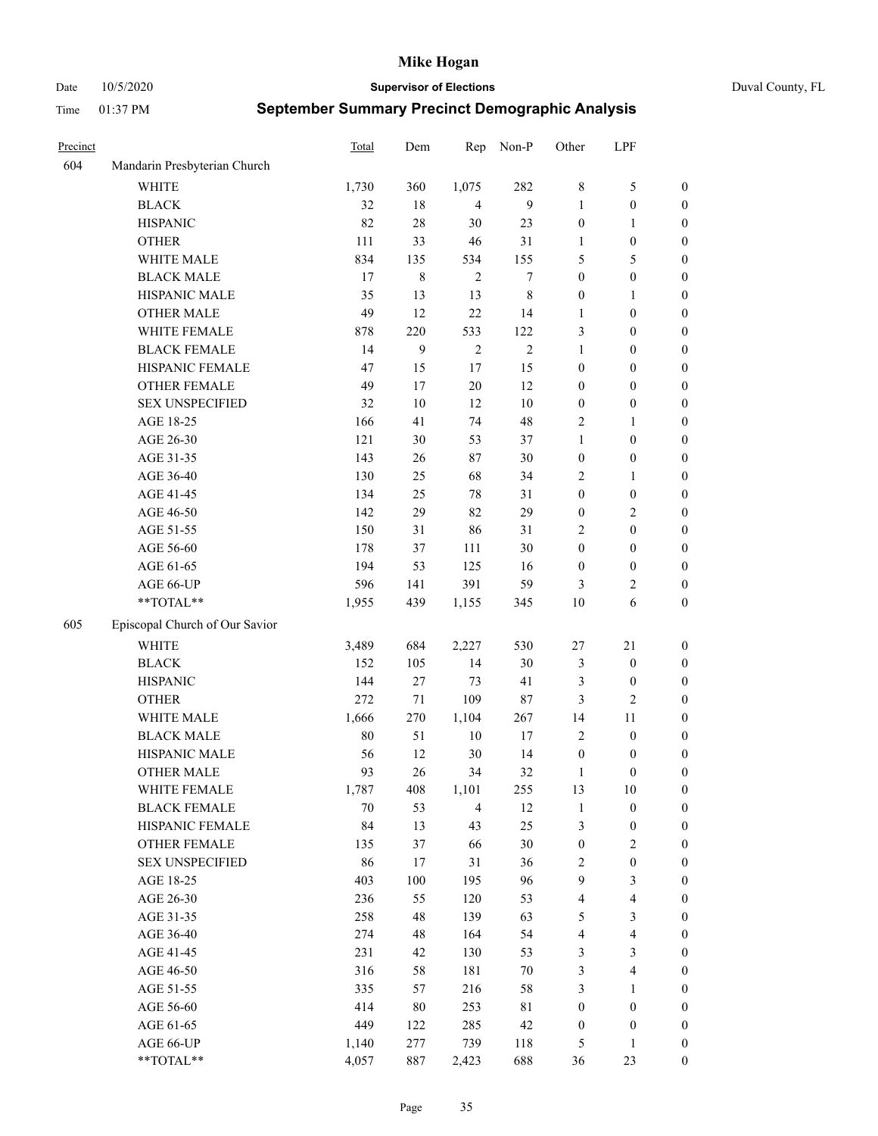Date 10/5/2020 **Supervisor of Elections** Duval County, FL

| Precinct |                                | Total | Dem    | Rep            | Non-P      | Other                   | LPF                     |                  |
|----------|--------------------------------|-------|--------|----------------|------------|-------------------------|-------------------------|------------------|
| 604      | Mandarin Presbyterian Church   |       |        |                |            |                         |                         |                  |
|          | <b>WHITE</b>                   | 1,730 | 360    | 1,075          | 282        | $\,$ 8 $\,$             | $\mathfrak{S}$          | 0                |
|          | <b>BLACK</b>                   | 32    | 18     | $\overline{4}$ | 9          | 1                       | $\boldsymbol{0}$        | 0                |
|          | <b>HISPANIC</b>                | 82    | 28     | 30             | 23         | $\boldsymbol{0}$        | $\mathbf{1}$            | $\boldsymbol{0}$ |
|          | <b>OTHER</b>                   | 111   | 33     | $46\,$         | 31         | 1                       | $\boldsymbol{0}$        | $\boldsymbol{0}$ |
|          | WHITE MALE                     | 834   | 135    | 534            | 155        | 5                       | 5                       | $\boldsymbol{0}$ |
|          | <b>BLACK MALE</b>              | 17    | 8      | $\overline{2}$ | 7          | $\boldsymbol{0}$        | $\boldsymbol{0}$        | $\boldsymbol{0}$ |
|          | HISPANIC MALE                  | 35    | 13     | 13             | 8          | $\boldsymbol{0}$        | $\mathbf{1}$            | $\boldsymbol{0}$ |
|          | <b>OTHER MALE</b>              | 49    | 12     | 22             | 14         | $\mathbf{1}$            | $\boldsymbol{0}$        | $\boldsymbol{0}$ |
|          | WHITE FEMALE                   | 878   | 220    | 533            | 122        | 3                       | $\boldsymbol{0}$        | $\boldsymbol{0}$ |
|          | <b>BLACK FEMALE</b>            | 14    | 9      | $\sqrt{2}$     | $\sqrt{2}$ | $\mathbf{1}$            | $\boldsymbol{0}$        | 0                |
|          | HISPANIC FEMALE                | 47    | 15     | 17             | 15         | $\boldsymbol{0}$        | $\boldsymbol{0}$        | 0                |
|          | <b>OTHER FEMALE</b>            | 49    | 17     | $20\,$         | 12         | $\boldsymbol{0}$        | $\boldsymbol{0}$        | 0                |
|          | <b>SEX UNSPECIFIED</b>         | 32    | $10\,$ | 12             | $10\,$     | $\boldsymbol{0}$        | $\boldsymbol{0}$        | $\boldsymbol{0}$ |
|          | AGE 18-25                      | 166   | 41     | 74             | 48         | 2                       | $\mathbf{1}$            | $\boldsymbol{0}$ |
|          | AGE 26-30                      | 121   | 30     | 53             | 37         | $\mathbf{1}$            | $\boldsymbol{0}$        | $\boldsymbol{0}$ |
|          | AGE 31-35                      | 143   | 26     | $87\,$         | 30         | $\boldsymbol{0}$        | $\boldsymbol{0}$        | $\boldsymbol{0}$ |
|          | AGE 36-40                      | 130   | 25     | 68             | 34         | $\overline{c}$          | $\mathbf{1}$            | $\boldsymbol{0}$ |
|          | AGE 41-45                      | 134   | 25     | $78\,$         | 31         | $\boldsymbol{0}$        | $\boldsymbol{0}$        | $\boldsymbol{0}$ |
|          | AGE 46-50                      | 142   | 29     | 82             | 29         | $\boldsymbol{0}$        | $\mathbf{2}$            | $\boldsymbol{0}$ |
|          | AGE 51-55                      | 150   | 31     | 86             | 31         | 2                       | $\boldsymbol{0}$        | $\boldsymbol{0}$ |
|          | AGE 56-60                      | 178   | 37     | 111            | 30         | $\boldsymbol{0}$        | $\boldsymbol{0}$        | 0                |
|          | AGE 61-65                      | 194   | 53     | 125            | 16         | $\boldsymbol{0}$        | $\boldsymbol{0}$        | 0                |
|          | AGE 66-UP                      | 596   | 141    | 391            | 59         | 3                       | $\overline{c}$          | $\boldsymbol{0}$ |
|          | **TOTAL**                      | 1,955 | 439    | 1,155          | 345        | 10                      | 6                       | $\boldsymbol{0}$ |
| 605      | Episcopal Church of Our Savior |       |        |                |            |                         |                         |                  |
|          | <b>WHITE</b>                   | 3,489 | 684    | 2,227          | 530        | $27\,$                  | $21\,$                  | $\boldsymbol{0}$ |
|          | <b>BLACK</b>                   | 152   | 105    | 14             | 30         | 3                       | $\boldsymbol{0}$        | $\boldsymbol{0}$ |
|          | <b>HISPANIC</b>                | 144   | 27     | 73             | 41         | 3                       | $\boldsymbol{0}$        | $\boldsymbol{0}$ |
|          | <b>OTHER</b>                   | 272   | $71\,$ | 109            | 87         | 3                       | $\mathbf{2}$            | $\boldsymbol{0}$ |
|          | WHITE MALE                     | 1,666 | 270    | 1,104          | 267        | 14                      | $11\,$                  | $\boldsymbol{0}$ |
|          | <b>BLACK MALE</b>              | 80    | 51     | $10\,$         | $17\,$     | $\overline{2}$          | $\boldsymbol{0}$        | $\boldsymbol{0}$ |
|          | HISPANIC MALE                  | 56    | 12     | 30             | 14         | $\boldsymbol{0}$        | $\boldsymbol{0}$        | 0                |
|          | <b>OTHER MALE</b>              | 93    | 26     | 34             | 32         | 1                       | $\boldsymbol{0}$        | $\boldsymbol{0}$ |
|          | WHITE FEMALE                   | 1,787 | 408    | 1,101          | 255        | 13                      | 10                      | 0                |
|          | <b>BLACK FEMALE</b>            | 70    | 53     | $\overline{4}$ | 12         | $\mathbf{1}$            | $\boldsymbol{0}$        | $\boldsymbol{0}$ |
|          | HISPANIC FEMALE                | 84    | 13     | 43             | 25         | 3                       | $\boldsymbol{0}$        | $\boldsymbol{0}$ |
|          | OTHER FEMALE                   | 135   | 37     | 66             | 30         | $\boldsymbol{0}$        | $\sqrt{2}$              | $\overline{0}$   |
|          | <b>SEX UNSPECIFIED</b>         | 86    | 17     | 31             | 36         | 2                       | $\boldsymbol{0}$        | 0                |
|          | AGE 18-25                      | 403   | 100    | 195            | 96         | 9                       | $\mathfrak{Z}$          | $\overline{0}$   |
|          | AGE 26-30                      | 236   | 55     | 120            | 53         | $\overline{\mathbf{4}}$ | $\overline{\mathbf{4}}$ | 0                |
|          | AGE 31-35                      | 258   | 48     | 139            | 63         | 5                       | $\mathfrak{Z}$          | 0                |
|          | AGE 36-40                      | 274   | 48     | 164            | 54         | 4                       | $\overline{\mathbf{4}}$ | 0                |
|          | AGE 41-45                      | 231   | 42     | 130            | 53         | 3                       | $\mathfrak{Z}$          | 0                |
|          | AGE 46-50                      | 316   | 58     | 181            | $70\,$     | $\mathfrak{Z}$          | $\overline{\mathbf{4}}$ | 0                |
|          | AGE 51-55                      | 335   | 57     | 216            | 58         | 3                       | $\mathbf{1}$            | $\boldsymbol{0}$ |
|          | AGE 56-60                      | 414   | 80     | 253            | 81         | $\boldsymbol{0}$        | $\boldsymbol{0}$        | $\boldsymbol{0}$ |
|          | AGE 61-65                      | 449   | 122    | 285            | 42         | $\boldsymbol{0}$        | $\boldsymbol{0}$        | $\boldsymbol{0}$ |
|          | AGE 66-UP                      | 1,140 | 277    | 739            | 118        | 5                       | $\mathbf{1}$            | $\boldsymbol{0}$ |
|          | **TOTAL**                      | 4,057 | 887    | 2,423          | 688        | 36                      | 23                      | $\boldsymbol{0}$ |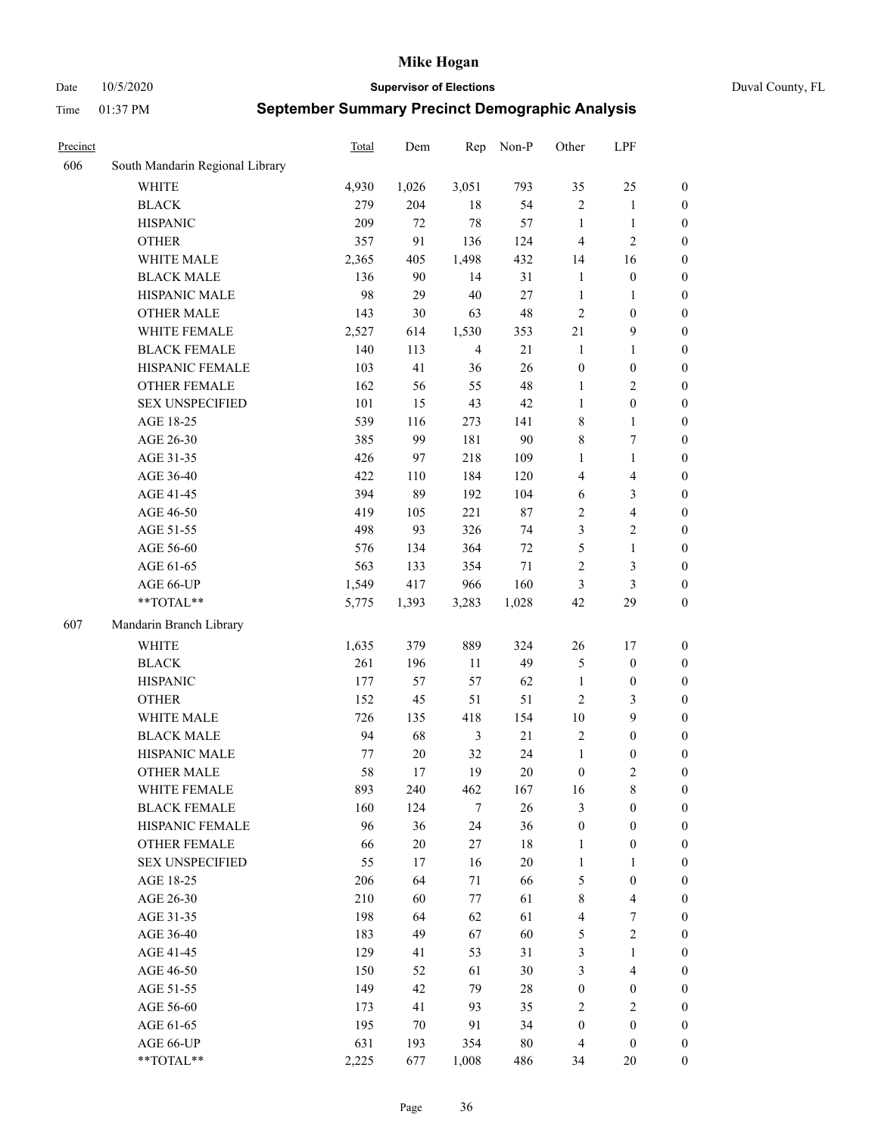Date 10/5/2020 **Supervisor of Elections** Duval County, FL

| Precinct |                                 | Total | Dem    | Rep            | Non-P  | Other            | LPF                     |                  |
|----------|---------------------------------|-------|--------|----------------|--------|------------------|-------------------------|------------------|
| 606      | South Mandarin Regional Library |       |        |                |        |                  |                         |                  |
|          | <b>WHITE</b>                    | 4,930 | 1,026  | 3,051          | 793    | 35               | 25                      | 0                |
|          | <b>BLACK</b>                    | 279   | 204    | 18             | 54     | $\mathbf{2}$     | $\mathbf{1}$            | 0                |
|          | <b>HISPANIC</b>                 | 209   | 72     | 78             | 57     | $\mathbf{1}$     | $\mathbf{1}$            | $\boldsymbol{0}$ |
|          | <b>OTHER</b>                    | 357   | 91     | 136            | 124    | 4                | $\mathbf{2}$            | $\boldsymbol{0}$ |
|          | WHITE MALE                      | 2,365 | 405    | 1,498          | 432    | 14               | 16                      | $\boldsymbol{0}$ |
|          | <b>BLACK MALE</b>               | 136   | 90     | 14             | 31     | $\mathbf{1}$     | $\boldsymbol{0}$        | $\boldsymbol{0}$ |
|          | HISPANIC MALE                   | 98    | 29     | 40             | 27     | $\mathbf{1}$     | $\mathbf{1}$            | $\boldsymbol{0}$ |
|          | <b>OTHER MALE</b>               | 143   | 30     | 63             | 48     | $\overline{c}$   | $\boldsymbol{0}$        | $\boldsymbol{0}$ |
|          | WHITE FEMALE                    | 2,527 | 614    | 1,530          | 353    | 21               | $\mathbf{9}$            | $\boldsymbol{0}$ |
|          | <b>BLACK FEMALE</b>             | 140   | 113    | $\overline{4}$ | 21     | $\mathbf{1}$     | $\mathbf{1}$            | 0                |
|          | HISPANIC FEMALE                 | 103   | 41     | 36             | 26     | $\boldsymbol{0}$ | $\boldsymbol{0}$        | 0                |
|          | <b>OTHER FEMALE</b>             | 162   | 56     | 55             | 48     | $\mathbf{1}$     | $\sqrt{2}$              | $\boldsymbol{0}$ |
|          | <b>SEX UNSPECIFIED</b>          | 101   | 15     | 43             | 42     | $\mathbf{1}$     | $\boldsymbol{0}$        | $\boldsymbol{0}$ |
|          | AGE 18-25                       | 539   | 116    | 273            | 141    | 8                | $\mathbf{1}$            | $\boldsymbol{0}$ |
|          | AGE 26-30                       | 385   | 99     | 181            | 90     | 8                | $\tau$                  | $\boldsymbol{0}$ |
|          | AGE 31-35                       | 426   | 97     | 218            | 109    | 1                | $\mathbf{1}$            | $\boldsymbol{0}$ |
|          | AGE 36-40                       | 422   | 110    | 184            | 120    | 4                | $\overline{\mathbf{4}}$ | $\boldsymbol{0}$ |
|          | AGE 41-45                       | 394   | 89     | 192            | 104    | 6                | $\mathfrak{Z}$          | $\boldsymbol{0}$ |
|          | AGE 46-50                       | 419   | 105    | 221            | $87\,$ | $\overline{c}$   | $\overline{\mathbf{4}}$ | $\boldsymbol{0}$ |
|          | AGE 51-55                       | 498   | 93     | 326            | 74     | 3                | $\sqrt{2}$              | $\boldsymbol{0}$ |
|          | AGE 56-60                       | 576   | 134    | 364            | 72     | 5                | $\mathbf{1}$            | 0                |
|          | AGE 61-65                       | 563   | 133    | 354            | 71     | $\overline{c}$   | $\mathfrak{Z}$          | $\boldsymbol{0}$ |
|          | AGE 66-UP                       | 1,549 | 417    | 966            | 160    | 3                | $\mathfrak{Z}$          | $\boldsymbol{0}$ |
|          | $**TOTAL**$                     | 5,775 | 1,393  | 3,283          | 1,028  | 42               | 29                      | $\boldsymbol{0}$ |
| 607      | Mandarin Branch Library         |       |        |                |        |                  |                         |                  |
|          | <b>WHITE</b>                    | 1,635 | 379    | 889            | 324    | 26               | 17                      | $\boldsymbol{0}$ |
|          | <b>BLACK</b>                    | 261   | 196    | 11             | 49     | 5                | $\boldsymbol{0}$        | $\boldsymbol{0}$ |
|          | <b>HISPANIC</b>                 | 177   | 57     | 57             | 62     | $\mathbf{1}$     | $\boldsymbol{0}$        | $\boldsymbol{0}$ |
|          | <b>OTHER</b>                    | 152   | 45     | 51             | 51     | $\overline{c}$   | $\mathfrak{Z}$          | $\boldsymbol{0}$ |
|          | WHITE MALE                      | 726   | 135    | 418            | 154    | $10\,$           | 9                       | $\boldsymbol{0}$ |
|          | <b>BLACK MALE</b>               | 94    | 68     | $\mathfrak{Z}$ | 21     | $\mathfrak{2}$   | $\boldsymbol{0}$        | $\boldsymbol{0}$ |
|          | HISPANIC MALE                   | 77    | $20\,$ | 32             | 24     | $\mathbf{1}$     | $\boldsymbol{0}$        | $\boldsymbol{0}$ |
|          | <b>OTHER MALE</b>               | 58    | 17     | 19             | 20     | $\boldsymbol{0}$ | $\mathbf{2}$            | $\boldsymbol{0}$ |
|          | WHITE FEMALE                    | 893   | 240    | 462            | 167    | 16               | 8                       | 0                |
|          | <b>BLACK FEMALE</b>             | 160   | 124    | $\tau$         | 26     | 3                | $\boldsymbol{0}$        | $\boldsymbol{0}$ |
|          | HISPANIC FEMALE                 | 96    | 36     | 24             | 36     | $\boldsymbol{0}$ | $\boldsymbol{0}$        | $\overline{0}$   |
|          | <b>OTHER FEMALE</b>             | 66    | $20\,$ | $27\,$         | $18\,$ | $\mathbf{1}$     | $\boldsymbol{0}$        | $\overline{0}$   |
|          | <b>SEX UNSPECIFIED</b>          | 55    | 17     | 16             | $20\,$ | $\mathbf{1}$     | $\mathbf{1}$            | 0                |
|          | AGE 18-25                       | 206   | 64     | 71             | 66     | 5                | $\boldsymbol{0}$        | $\theta$         |
|          | AGE 26-30                       | 210   | 60     | 77             | 61     | 8                | $\overline{\mathbf{4}}$ | 0                |
|          | AGE 31-35                       | 198   | 64     | 62             | 61     | 4                | $\boldsymbol{7}$        | 0                |
|          | AGE 36-40                       | 183   | 49     | 67             | 60     | 5                | $\sqrt{2}$              | 0                |
|          | AGE 41-45                       | 129   | 41     | 53             | 31     | 3                | $\mathbf{1}$            | 0                |
|          | AGE 46-50                       | 150   | 52     | 61             | 30     | 3                | $\overline{\mathbf{4}}$ | 0                |
|          | AGE 51-55                       | 149   | 42     | 79             | $28\,$ | $\boldsymbol{0}$ | $\boldsymbol{0}$        | 0                |
|          | AGE 56-60                       | 173   | 41     | 93             | 35     | 2                | $\mathbf{2}$            | $\overline{0}$   |
|          | AGE 61-65                       | 195   | 70     | 91             | 34     | $\boldsymbol{0}$ | $\boldsymbol{0}$        | $\overline{0}$   |
|          | AGE 66-UP                       | 631   | 193    | 354            | $80\,$ | $\overline{4}$   | $\boldsymbol{0}$        | $\boldsymbol{0}$ |
|          | **TOTAL**                       | 2,225 | 677    | 1,008          | 486    | 34               | 20                      | $\boldsymbol{0}$ |
|          |                                 |       |        |                |        |                  |                         |                  |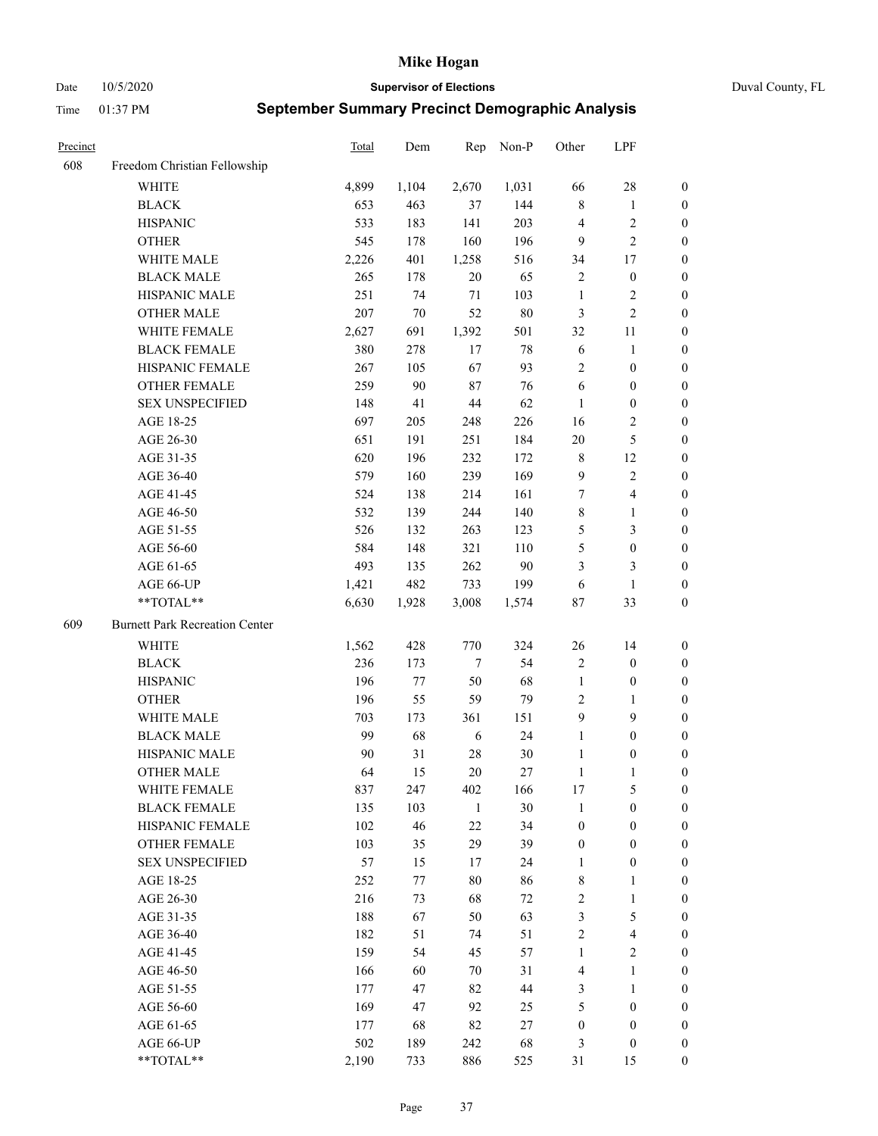Date 10/5/2020 **Supervisor of Elections** Duval County, FL

| Precinct |                                       | <b>Total</b> | Dem   | Rep    | Non-P  | Other            | LPF                     |                  |
|----------|---------------------------------------|--------------|-------|--------|--------|------------------|-------------------------|------------------|
| 608      | Freedom Christian Fellowship          |              |       |        |        |                  |                         |                  |
|          | <b>WHITE</b>                          | 4,899        | 1,104 | 2,670  | 1,031  | 66               | $28\,$                  | 0                |
|          | <b>BLACK</b>                          | 653          | 463   | 37     | 144    | $\,$ 8 $\,$      | $\mathbf{1}$            | 0                |
|          | <b>HISPANIC</b>                       | 533          | 183   | 141    | 203    | $\overline{4}$   | $\sqrt{2}$              | $\boldsymbol{0}$ |
|          | <b>OTHER</b>                          | 545          | 178   | 160    | 196    | 9                | $\overline{c}$          | $\boldsymbol{0}$ |
|          | WHITE MALE                            | 2,226        | 401   | 1,258  | 516    | 34               | 17                      | $\boldsymbol{0}$ |
|          | <b>BLACK MALE</b>                     | 265          | 178   | 20     | 65     | 2                | $\boldsymbol{0}$        | $\boldsymbol{0}$ |
|          | HISPANIC MALE                         | 251          | 74    | 71     | 103    | $\mathbf{1}$     | $\sqrt{2}$              | $\boldsymbol{0}$ |
|          | <b>OTHER MALE</b>                     | 207          | 70    | 52     | $80\,$ | 3                | $\mathbf{2}$            | $\boldsymbol{0}$ |
|          | WHITE FEMALE                          | 2,627        | 691   | 1,392  | 501    | 32               | 11                      | 0                |
|          | <b>BLACK FEMALE</b>                   | 380          | 278   | 17     | $78\,$ | 6                | $\mathbf{1}$            | 0                |
|          | HISPANIC FEMALE                       | 267          | 105   | 67     | 93     | 2                | $\boldsymbol{0}$        | 0                |
|          | OTHER FEMALE                          | 259          | 90    | $87\,$ | 76     | 6                | $\boldsymbol{0}$        | 0                |
|          | <b>SEX UNSPECIFIED</b>                | 148          | 41    | $44\,$ | 62     | $\mathbf{1}$     | $\boldsymbol{0}$        | $\boldsymbol{0}$ |
|          | AGE 18-25                             | 697          | 205   | 248    | 226    | 16               | $\sqrt{2}$              | $\boldsymbol{0}$ |
|          | AGE 26-30                             | 651          | 191   | 251    | 184    | 20               | $\mathfrak{S}$          | $\boldsymbol{0}$ |
|          | AGE 31-35                             | 620          | 196   | 232    | 172    | $\,$ 8 $\,$      | 12                      | $\boldsymbol{0}$ |
|          | AGE 36-40                             | 579          | 160   | 239    | 169    | 9                | $\sqrt{2}$              | $\boldsymbol{0}$ |
|          | AGE 41-45                             | 524          | 138   | 214    | 161    | $\boldsymbol{7}$ | $\overline{4}$          | $\boldsymbol{0}$ |
|          | AGE 46-50                             | 532          | 139   | 244    | 140    | 8                | $\mathbf{1}$            | $\boldsymbol{0}$ |
|          | AGE 51-55                             | 526          | 132   | 263    | 123    | 5                | $\mathfrak{Z}$          | 0                |
|          | AGE 56-60                             | 584          | 148   | 321    | 110    | 5                | $\boldsymbol{0}$        | 0                |
|          | AGE 61-65                             | 493          | 135   | 262    | 90     | 3                | 3                       | 0                |
|          | AGE 66-UP                             | 1,421        | 482   | 733    | 199    | 6                | $\mathbf{1}$            | $\boldsymbol{0}$ |
|          | $**TOTAL**$                           | 6,630        | 1,928 | 3,008  | 1,574  | $87\,$           | 33                      | $\boldsymbol{0}$ |
| 609      | <b>Burnett Park Recreation Center</b> |              |       |        |        |                  |                         |                  |
|          | <b>WHITE</b>                          | 1,562        | 428   | 770    | 324    | 26               | 14                      | $\boldsymbol{0}$ |
|          | <b>BLACK</b>                          | 236          | 173   | $\tau$ | 54     | 2                | $\boldsymbol{0}$        | $\boldsymbol{0}$ |
|          | <b>HISPANIC</b>                       | 196          | 77    | 50     | 68     | $\mathbf{1}$     | $\boldsymbol{0}$        | $\boldsymbol{0}$ |
|          | <b>OTHER</b>                          | 196          | 55    | 59     | 79     | $\overline{c}$   | $\mathbf{1}$            | $\boldsymbol{0}$ |
|          | WHITE MALE                            | 703          | 173   | 361    | 151    | 9                | 9                       | $\boldsymbol{0}$ |
|          | <b>BLACK MALE</b>                     | 99           | 68    | 6      | 24     | $\mathbf{1}$     | $\boldsymbol{0}$        | $\boldsymbol{0}$ |
|          | HISPANIC MALE                         | 90           | 31    | $28\,$ | 30     | $\mathbf{1}$     | $\boldsymbol{0}$        | 0                |
|          | <b>OTHER MALE</b>                     | 64           | 15    | 20     | 27     | $\mathbf{1}$     | 1                       | 0                |
|          | WHITE FEMALE                          | 837          | 247   | 402    | 166    | 17               | 5                       | 0                |
|          | <b>BLACK FEMALE</b>                   | 135          | 103   | 1      | 30     | $\mathbf{1}$     | $\boldsymbol{0}$        | $\overline{0}$   |
|          | HISPANIC FEMALE                       | 102          | 46    | $22\,$ | 34     | $\boldsymbol{0}$ | $\boldsymbol{0}$        | $\overline{0}$   |
|          | <b>OTHER FEMALE</b>                   | 103          | 35    | 29     | 39     | $\boldsymbol{0}$ | $\boldsymbol{0}$        | $\overline{0}$   |
|          | <b>SEX UNSPECIFIED</b>                | 57           | 15    | 17     | 24     | $\mathbf{1}$     | $\boldsymbol{0}$        | 0                |
|          | AGE 18-25                             | 252          | 77    | $80\,$ | 86     | $\,$ 8 $\,$      | $\mathbf{1}$            | 0                |
|          | AGE 26-30                             | 216          | 73    | 68     | 72     | 2                | $\mathbf{1}$            | 0                |
|          | AGE 31-35                             | 188          | 67    | 50     | 63     | 3                | $\mathfrak{S}$          | 0                |
|          | AGE 36-40                             | 182          | 51    | 74     | 51     | 2                | $\overline{\mathbf{4}}$ | 0                |
|          | AGE 41-45                             | 159          | 54    | 45     | 57     | $\mathbf{1}$     | $\overline{2}$          | 0                |
|          | AGE 46-50                             | 166          | 60    | 70     | 31     | $\overline{4}$   | $\mathbf{1}$            | 0                |
|          | AGE 51-55                             | 177          | 47    | 82     | 44     | 3                | $\mathbf{1}$            | 0                |
|          | AGE 56-60                             | 169          | 47    | 92     | 25     | 5                | $\boldsymbol{0}$        | 0                |
|          | AGE 61-65                             | 177          | 68    | 82     | 27     | $\boldsymbol{0}$ | $\boldsymbol{0}$        | $\overline{0}$   |
|          | AGE 66-UP                             | 502          | 189   | 242    | 68     | 3                | $\boldsymbol{0}$        | 0                |
|          | **TOTAL**                             | 2,190        | 733   | 886    | 525    | 31               | 15                      | $\boldsymbol{0}$ |
|          |                                       |              |       |        |        |                  |                         |                  |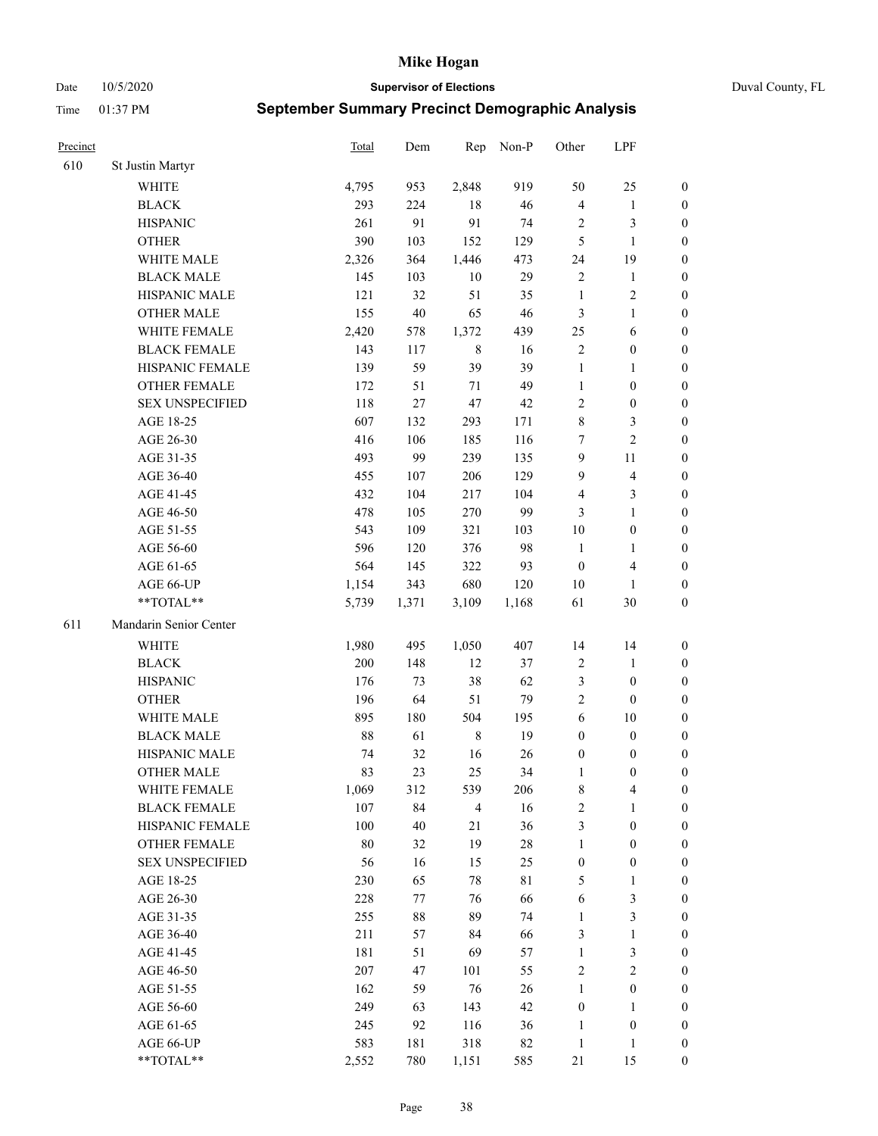Date 10/5/2020 **Supervisor of Elections** Duval County, FL

| Precinct |                        | Total  | Dem    | Rep            | Non-P       | Other            | LPF              |                  |
|----------|------------------------|--------|--------|----------------|-------------|------------------|------------------|------------------|
| 610      | St Justin Martyr       |        |        |                |             |                  |                  |                  |
|          | <b>WHITE</b>           | 4,795  | 953    | 2,848          | 919         | 50               | 25               | 0                |
|          | <b>BLACK</b>           | 293    | 224    | 18             | 46          | 4                | $\mathbf{1}$     | 0                |
|          | <b>HISPANIC</b>        | 261    | 91     | 91             | 74          | 2                | 3                | $\boldsymbol{0}$ |
|          | <b>OTHER</b>           | 390    | 103    | 152            | 129         | 5                | $\mathbf{1}$     | $\boldsymbol{0}$ |
|          | WHITE MALE             | 2,326  | 364    | 1,446          | 473         | 24               | 19               | $\boldsymbol{0}$ |
|          | <b>BLACK MALE</b>      | 145    | 103    | $10\,$         | 29          | $\overline{c}$   | $\mathbf{1}$     | $\boldsymbol{0}$ |
|          | HISPANIC MALE          | 121    | 32     | 51             | 35          | $\mathbf{1}$     | $\sqrt{2}$       | $\boldsymbol{0}$ |
|          | <b>OTHER MALE</b>      | 155    | $40\,$ | 65             | 46          | 3                | $\mathbf{1}$     | $\boldsymbol{0}$ |
|          | WHITE FEMALE           | 2,420  | 578    | 1,372          | 439         | 25               | 6                | $\boldsymbol{0}$ |
|          | <b>BLACK FEMALE</b>    | 143    | 117    | $\,$ 8 $\,$    | 16          | 2                | $\boldsymbol{0}$ | 0                |
|          | HISPANIC FEMALE        | 139    | 59     | 39             | 39          | $\mathbf{1}$     | $\mathbf{1}$     | 0                |
|          | <b>OTHER FEMALE</b>    | 172    | 51     | 71             | 49          | $\mathbf{1}$     | $\boldsymbol{0}$ | $\boldsymbol{0}$ |
|          | <b>SEX UNSPECIFIED</b> | 118    | 27     | 47             | $42\,$      | $\overline{c}$   | $\boldsymbol{0}$ | $\boldsymbol{0}$ |
|          | AGE 18-25              | 607    | 132    | 293            | 171         | 8                | $\mathfrak{Z}$   | $\boldsymbol{0}$ |
|          | AGE 26-30              | 416    | 106    | 185            | 116         | 7                | $\overline{2}$   | $\boldsymbol{0}$ |
|          | AGE 31-35              | 493    | 99     | 239            | 135         | 9                | 11               | $\boldsymbol{0}$ |
|          | AGE 36-40              | 455    | 107    | 206            | 129         | 9                | $\overline{4}$   | $\boldsymbol{0}$ |
|          | AGE 41-45              | 432    | 104    | 217            | 104         | 4                | 3                | $\boldsymbol{0}$ |
|          | AGE 46-50              | 478    | 105    | 270            | 99          | 3                | $\mathbf{1}$     | $\boldsymbol{0}$ |
|          | AGE 51-55              | 543    | 109    | 321            | 103         | $10\,$           | $\boldsymbol{0}$ | 0                |
|          | AGE 56-60              | 596    | 120    | 376            | 98          | $\mathbf{1}$     | 1                | 0                |
|          | AGE 61-65              | 564    | 145    | 322            | 93          | $\boldsymbol{0}$ | $\overline{4}$   | 0                |
|          | AGE 66-UP              | 1,154  | 343    | 680            | 120         | $10\,$           | $\mathbf{1}$     | $\boldsymbol{0}$ |
|          | $**TOTAL**$            | 5,739  | 1,371  | 3,109          | 1,168       | 61               | 30               | $\boldsymbol{0}$ |
| 611      | Mandarin Senior Center |        |        |                |             |                  |                  |                  |
|          | <b>WHITE</b>           | 1,980  | 495    | 1,050          | 407         | 14               | 14               | $\boldsymbol{0}$ |
|          | <b>BLACK</b>           | 200    | 148    | 12             | 37          | 2                | $\mathbf{1}$     | $\boldsymbol{0}$ |
|          | <b>HISPANIC</b>        | 176    | 73     | 38             | 62          | 3                | $\boldsymbol{0}$ | $\boldsymbol{0}$ |
|          | <b>OTHER</b>           | 196    | 64     | 51             | 79          | $\overline{c}$   | $\boldsymbol{0}$ | $\boldsymbol{0}$ |
|          | WHITE MALE             | 895    | 180    | 504            | 195         | $\sqrt{6}$       | 10               | $\boldsymbol{0}$ |
|          | <b>BLACK MALE</b>      | 88     | 61     | $\,$ 8 $\,$    | 19          | $\boldsymbol{0}$ | $\boldsymbol{0}$ | $\boldsymbol{0}$ |
|          | HISPANIC MALE          | 74     | 32     | 16             | 26          | $\boldsymbol{0}$ | $\boldsymbol{0}$ | 0                |
|          | <b>OTHER MALE</b>      | 83     | 23     | 25             | 34          | $\mathbf{1}$     | $\boldsymbol{0}$ | $\boldsymbol{0}$ |
|          | WHITE FEMALE           | 1,069  | 312    | 539            | 206         | 8                | 4                | 0                |
|          | <b>BLACK FEMALE</b>    | 107    | 84     | $\overline{4}$ | 16          | $\overline{c}$   | $\mathbf{1}$     | 0                |
|          | HISPANIC FEMALE        | 100    | $40\,$ | 21             | 36          | 3                | $\boldsymbol{0}$ | 0                |
|          | <b>OTHER FEMALE</b>    | $80\,$ | 32     | 19             | $28\,$      | $\mathbf{1}$     | $\boldsymbol{0}$ | 0                |
|          | <b>SEX UNSPECIFIED</b> | 56     | 16     | 15             | 25          | $\boldsymbol{0}$ | $\boldsymbol{0}$ | 0                |
|          | AGE 18-25              | 230    | 65     | 78             | $8\sqrt{1}$ | 5                | $\mathbf{1}$     | 0                |
|          | AGE 26-30              | 228    | 77     | 76             | 66          | 6                | 3                | 0                |
|          | AGE 31-35              | 255    | $88\,$ | 89             | 74          | $\mathbf{1}$     | $\mathfrak{Z}$   | 0                |
|          | AGE 36-40              | 211    | 57     | 84             | 66          | 3                | $\mathbf{1}$     | 0                |
|          | AGE 41-45              | 181    | 51     | 69             | 57          | $\mathbf{1}$     | $\mathfrak{Z}$   | 0                |
|          | AGE 46-50              | 207    | 47     | 101            | 55          | 2                | $\sqrt{2}$       | 0                |
|          | AGE 51-55              | 162    | 59     | 76             | 26          | $\mathbf{1}$     | $\boldsymbol{0}$ | 0                |
|          | AGE 56-60              | 249    | 63     | 143            | 42          | $\boldsymbol{0}$ | 1                | 0                |
|          | AGE 61-65              | 245    | 92     | 116            | 36          | 1                | $\boldsymbol{0}$ | 0                |
|          | AGE 66-UP              | 583    | 181    | 318            | 82          | $\mathbf{1}$     | $\mathbf{1}$     | 0                |
|          | **TOTAL**              | 2,552  | 780    | 1,151          | 585         | 21               | 15               | $\boldsymbol{0}$ |
|          |                        |        |        |                |             |                  |                  |                  |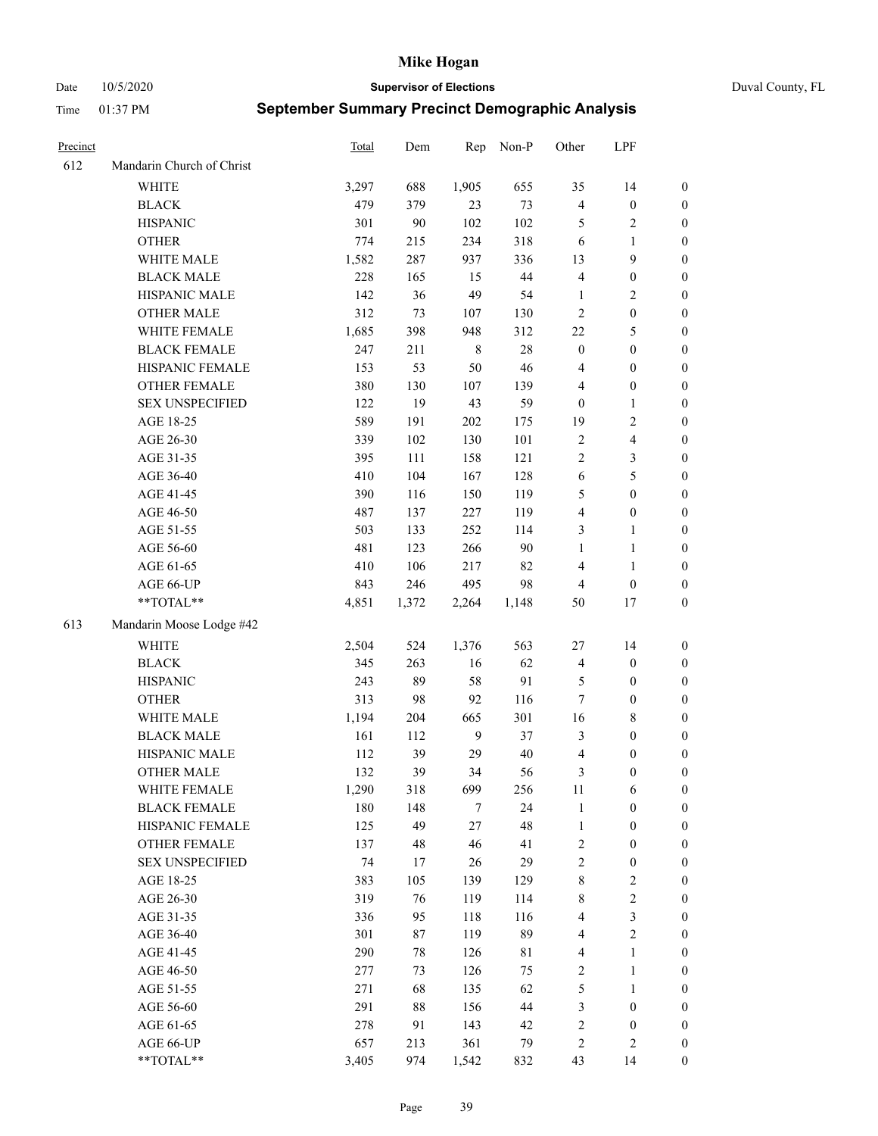Date 10/5/2020 **Supervisor of Elections** Duval County, FL

| Precinct |                                 | Total | Dem   | Rep         | Non-P     | Other            | LPF                       |                                      |
|----------|---------------------------------|-------|-------|-------------|-----------|------------------|---------------------------|--------------------------------------|
| 612      | Mandarin Church of Christ       |       |       |             |           |                  |                           |                                      |
|          | <b>WHITE</b>                    | 3,297 | 688   | 1,905       | 655       | 35               | 14                        | 0                                    |
|          | <b>BLACK</b>                    | 479   | 379   | 23          | 73        | $\overline{4}$   | $\boldsymbol{0}$          | 0                                    |
|          | <b>HISPANIC</b>                 | 301   | 90    | 102         | 102       | 5                | $\sqrt{2}$                | $\boldsymbol{0}$                     |
|          | <b>OTHER</b>                    | 774   | 215   | 234         | 318       | 6                | 1                         | $\boldsymbol{0}$                     |
|          | WHITE MALE                      | 1,582 | 287   | 937         | 336       | 13               | 9                         | $\boldsymbol{0}$                     |
|          | <b>BLACK MALE</b>               | 228   | 165   | 15          | $44\,$    | 4                | $\boldsymbol{0}$          | $\boldsymbol{0}$                     |
|          | HISPANIC MALE                   | 142   | 36    | 49          | 54        | $\mathbf{1}$     | $\sqrt{2}$                | $\boldsymbol{0}$                     |
|          | <b>OTHER MALE</b>               | 312   | 73    | 107         | 130       | $\mathbf{2}$     | $\boldsymbol{0}$          | $\boldsymbol{0}$                     |
|          | WHITE FEMALE                    | 1,685 | 398   | 948         | 312       | $22\,$           | $\mathfrak{S}$            | $\boldsymbol{0}$                     |
|          | <b>BLACK FEMALE</b>             | 247   | 211   | $\,$ 8 $\,$ | $28\,$    | $\boldsymbol{0}$ | $\boldsymbol{0}$          | 0                                    |
|          | HISPANIC FEMALE                 | 153   | 53    | 50          | 46        | $\overline{4}$   | $\boldsymbol{0}$          | 0                                    |
|          | OTHER FEMALE                    | 380   | 130   | 107         | 139       | 4                | $\boldsymbol{0}$          | 0                                    |
|          | <b>SEX UNSPECIFIED</b>          | 122   | 19    | 43          | 59        | $\boldsymbol{0}$ | $\mathbf{1}$              | $\boldsymbol{0}$                     |
|          | AGE 18-25                       | 589   | 191   | 202         | 175       | 19               | $\sqrt{2}$                | $\boldsymbol{0}$                     |
|          | AGE 26-30                       | 339   | 102   | 130         | 101       | $\overline{c}$   | $\overline{\mathbf{4}}$   | $\boldsymbol{0}$                     |
|          | AGE 31-35                       | 395   | 111   | 158         | 121       | $\sqrt{2}$       | $\mathfrak{Z}$            | $\boldsymbol{0}$                     |
|          | AGE 36-40                       | 410   | 104   | 167         | 128       | $\sqrt{6}$       | $\mathfrak s$             | $\boldsymbol{0}$                     |
|          | AGE 41-45                       | 390   | 116   | 150         | 119       | 5                | $\boldsymbol{0}$          | $\boldsymbol{0}$                     |
|          | AGE 46-50                       | 487   | 137   | 227         | 119       | 4                | $\boldsymbol{0}$          | $\boldsymbol{0}$                     |
|          | AGE 51-55                       | 503   | 133   | 252         | 114       | 3                | $\mathbf{1}$              | $\boldsymbol{0}$                     |
|          | AGE 56-60                       | 481   | 123   | 266         | 90        | $\mathbf{1}$     | $\mathbf{1}$              | 0                                    |
|          | AGE 61-65                       | 410   | 106   | 217         | 82        | 4                | $\mathbf{1}$              | 0                                    |
|          | AGE 66-UP                       | 843   | 246   | 495         | 98        | $\overline{4}$   | $\boldsymbol{0}$          | $\boldsymbol{0}$                     |
|          | $**TOTAL**$                     | 4,851 | 1,372 | 2,264       | 1,148     | 50               | $17\,$                    | $\boldsymbol{0}$                     |
| 613      | Mandarin Moose Lodge #42        |       |       |             |           |                  |                           |                                      |
|          | <b>WHITE</b>                    | 2,504 | 524   | 1,376       | 563       | $27\,$           | 14                        | $\boldsymbol{0}$                     |
|          | <b>BLACK</b>                    | 345   | 263   |             | 62        |                  | $\boldsymbol{0}$          |                                      |
|          | <b>HISPANIC</b>                 | 243   | 89    | 16<br>58    | 91        | 4<br>5           | $\boldsymbol{0}$          | $\boldsymbol{0}$<br>$\boldsymbol{0}$ |
|          |                                 | 313   |       | 92          | 116       | 7                | $\boldsymbol{0}$          |                                      |
|          | <b>OTHER</b>                    |       | 98    |             |           |                  |                           | $\boldsymbol{0}$                     |
|          | WHITE MALE<br><b>BLACK MALE</b> | 1,194 | 204   | 665<br>9    | 301<br>37 | 16               | $8\,$<br>$\boldsymbol{0}$ | $\boldsymbol{0}$                     |
|          | HISPANIC MALE                   | 161   | 112   |             |           | 3                |                           | $\boldsymbol{0}$                     |
|          |                                 | 112   | 39    | 29          | 40        | $\overline{4}$   | $\boldsymbol{0}$          | $\boldsymbol{0}$                     |
|          | <b>OTHER MALE</b>               | 132   | 39    | 34          | 56        | 3                | $\boldsymbol{0}$          | $\boldsymbol{0}$                     |
|          | WHITE FEMALE                    | 1,290 | 318   | 699         | 256       | 11               | 6                         | 0                                    |
|          | <b>BLACK FEMALE</b>             | 180   | 148   | 7           | 24<br>48  | $\mathbf{1}$     | $\boldsymbol{0}$          | $\boldsymbol{0}$                     |
|          | HISPANIC FEMALE                 | 125   | 49    | $27\,$      |           | $\mathbf{1}$     | $\boldsymbol{0}$          | $\overline{0}$                       |
|          | <b>OTHER FEMALE</b>             | 137   | 48    | 46          | 41        | 2                | $\boldsymbol{0}$          | $\overline{0}$                       |
|          | <b>SEX UNSPECIFIED</b>          | 74    | 17    | 26          | 29        | 2                | $\boldsymbol{0}$          | 0                                    |
|          | AGE 18-25                       | 383   | 105   | 139         | 129       | 8                | $\sqrt{2}$                | 0                                    |
|          | AGE 26-30                       | 319   | 76    | 119         | 114       | 8                | $\sqrt{2}$                | 0                                    |
|          | AGE 31-35                       | 336   | 95    | 118         | 116       | 4                | $\mathfrak{Z}$            | 0                                    |
|          | AGE 36-40                       | 301   | 87    | 119         | 89        | 4                | $\sqrt{2}$                | 0                                    |
|          | AGE 41-45                       | 290   | 78    | 126         | 81        | $\overline{4}$   | $\mathbf{1}$              | 0                                    |
|          | AGE 46-50                       | 277   | 73    | 126         | 75        | $\overline{c}$   | $\mathbf{1}$              | 0                                    |
|          | AGE 51-55                       | 271   | 68    | 135         | 62        | 5                | $\mathbf{1}$              | 0                                    |
|          | AGE 56-60                       | 291   | 88    | 156         | 44        | 3                | $\boldsymbol{0}$          | 0                                    |
|          | AGE 61-65                       | 278   | 91    | 143         | 42        | 2                | $\boldsymbol{0}$          | $\overline{0}$                       |
|          | AGE 66-UP                       | 657   | 213   | 361         | 79        | 2                | $\mathfrak{2}$            | $\boldsymbol{0}$                     |
|          | **TOTAL**                       | 3,405 | 974   | 1,542       | 832       | 43               | 14                        | $\boldsymbol{0}$                     |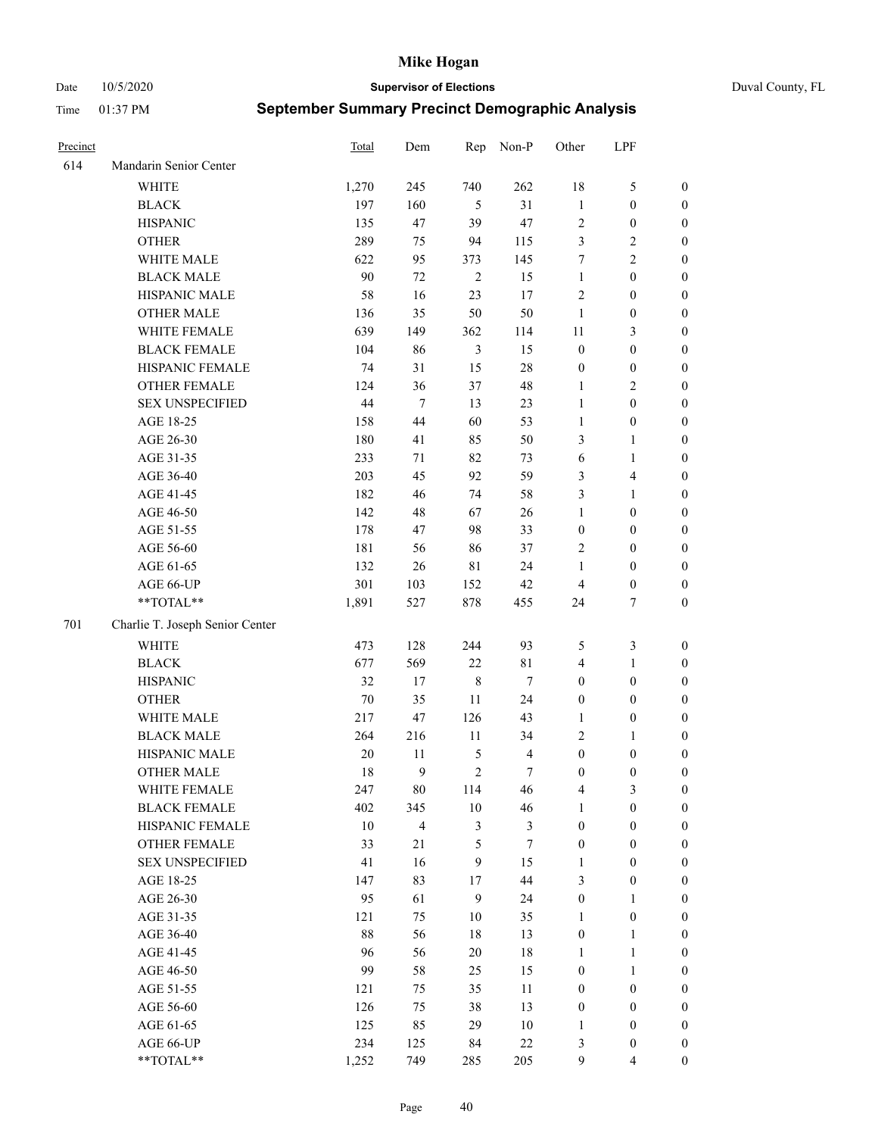Date 10/5/2020 **Supervisor of Elections** Duval County, FL

| Precinct |                                 | Total  | Dem            | Rep            | Non-P                   | Other            | LPF                     |                  |
|----------|---------------------------------|--------|----------------|----------------|-------------------------|------------------|-------------------------|------------------|
| 614      | Mandarin Senior Center          |        |                |                |                         |                  |                         |                  |
|          | WHITE                           | 1,270  | 245            | 740            | 262                     | 18               | $\mathfrak{S}$          | 0                |
|          | <b>BLACK</b>                    | 197    | 160            | 5              | 31                      | $\mathbf{1}$     | $\boldsymbol{0}$        | 0                |
|          | <b>HISPANIC</b>                 | 135    | 47             | 39             | 47                      | $\sqrt{2}$       | $\boldsymbol{0}$        | $\boldsymbol{0}$ |
|          | <b>OTHER</b>                    | 289    | 75             | 94             | 115                     | 3                | $\sqrt{2}$              | $\boldsymbol{0}$ |
|          | WHITE MALE                      | 622    | 95             | 373            | 145                     | 7                | $\sqrt{2}$              | $\boldsymbol{0}$ |
|          | <b>BLACK MALE</b>               | 90     | 72             | $\overline{2}$ | 15                      | $\mathbf{1}$     | $\boldsymbol{0}$        | $\boldsymbol{0}$ |
|          | HISPANIC MALE                   | 58     | 16             | 23             | 17                      | $\overline{c}$   | $\boldsymbol{0}$        | $\boldsymbol{0}$ |
|          | <b>OTHER MALE</b>               | 136    | 35             | 50             | 50                      | $\mathbf{1}$     | $\boldsymbol{0}$        | $\boldsymbol{0}$ |
|          | WHITE FEMALE                    | 639    | 149            | 362            | 114                     | 11               | $\mathfrak{Z}$          | $\boldsymbol{0}$ |
|          | <b>BLACK FEMALE</b>             | 104    | 86             | $\mathfrak{Z}$ | 15                      | $\boldsymbol{0}$ | $\boldsymbol{0}$        | 0                |
|          | HISPANIC FEMALE                 | 74     | 31             | 15             | $28\,$                  | $\boldsymbol{0}$ | $\boldsymbol{0}$        | 0                |
|          | OTHER FEMALE                    | 124    | 36             | 37             | 48                      | $\mathbf{1}$     | $\sqrt{2}$              | 0                |
|          | <b>SEX UNSPECIFIED</b>          | 44     | $\tau$         | 13             | 23                      | $\mathbf{1}$     | $\boldsymbol{0}$        | $\boldsymbol{0}$ |
|          | AGE 18-25                       | 158    | 44             | 60             | 53                      | $\mathbf{1}$     | $\boldsymbol{0}$        | $\boldsymbol{0}$ |
|          | AGE 26-30                       | 180    | 41             | 85             | 50                      | 3                | $\mathbf{1}$            | $\boldsymbol{0}$ |
|          | AGE 31-35                       | 233    | 71             | 82             | 73                      | 6                | $\mathbf{1}$            | $\boldsymbol{0}$ |
|          | AGE 36-40                       | 203    | 45             | 92             | 59                      | 3                | $\overline{\mathbf{4}}$ | $\boldsymbol{0}$ |
|          | AGE 41-45                       | 182    | 46             | 74             | 58                      | 3                | $\mathbf{1}$            | $\boldsymbol{0}$ |
|          | AGE 46-50                       | 142    | 48             | 67             | 26                      | $\mathbf{1}$     | $\boldsymbol{0}$        | $\boldsymbol{0}$ |
|          | AGE 51-55                       | 178    | 47             | 98             | 33                      | $\boldsymbol{0}$ | $\boldsymbol{0}$        | $\boldsymbol{0}$ |
|          | AGE 56-60                       | 181    | 56             | 86             | 37                      | $\overline{c}$   | $\boldsymbol{0}$        | 0                |
|          | AGE 61-65                       | 132    | 26             | $8\sqrt{1}$    | 24                      | 1                | $\boldsymbol{0}$        | 0                |
|          | AGE 66-UP                       | 301    | 103            | 152            | 42                      | $\overline{4}$   | $\boldsymbol{0}$        | $\boldsymbol{0}$ |
|          | **TOTAL**                       | 1,891  | 527            | 878            | 455                     | 24               | $\boldsymbol{7}$        | $\boldsymbol{0}$ |
| 701      | Charlie T. Joseph Senior Center |        |                |                |                         |                  |                         |                  |
|          | <b>WHITE</b>                    | 473    | 128            | 244            | 93                      | 5                | $\mathfrak{Z}$          | $\boldsymbol{0}$ |
|          | <b>BLACK</b>                    | 677    | 569            | $22\,$         | 81                      | 4                | $\mathbf{1}$            | $\boldsymbol{0}$ |
|          | <b>HISPANIC</b>                 | 32     | 17             | $\,$ 8 $\,$    | $\tau$                  | $\boldsymbol{0}$ | $\boldsymbol{0}$        | $\boldsymbol{0}$ |
|          | <b>OTHER</b>                    | $70\,$ | 35             | 11             | 24                      | $\boldsymbol{0}$ | $\boldsymbol{0}$        | $\boldsymbol{0}$ |
|          | WHITE MALE                      | 217    | 47             | 126            | 43                      | $\mathbf{1}$     | $\boldsymbol{0}$        | $\boldsymbol{0}$ |
|          | <b>BLACK MALE</b>               | 264    | 216            | $11\,$         | 34                      | $\mathbf{2}$     | $\mathbf{1}$            | $\boldsymbol{0}$ |
|          | HISPANIC MALE                   | $20\,$ | 11             | $\mathfrak s$  | $\overline{\mathbf{4}}$ | $\boldsymbol{0}$ | $\boldsymbol{0}$        | 0                |
|          | <b>OTHER MALE</b>               | 18     | 9              | $\mathfrak{2}$ | 7                       | $\boldsymbol{0}$ | $\boldsymbol{0}$        | $\boldsymbol{0}$ |
|          | WHITE FEMALE                    | 247    | 80             | 114            | 46                      | 4                | 3                       | 0                |
|          | <b>BLACK FEMALE</b>             | 402    | 345            | 10             | 46                      | 1                | $\boldsymbol{0}$        | $\overline{0}$   |
|          | HISPANIC FEMALE                 | $10\,$ | $\overline{4}$ | $\mathfrak{Z}$ | $\mathfrak{Z}$          | $\boldsymbol{0}$ | $\boldsymbol{0}$        | $\overline{0}$   |
|          | <b>OTHER FEMALE</b>             | 33     | 21             | 5              | 7                       | $\boldsymbol{0}$ | $\boldsymbol{0}$        | $\overline{0}$   |
|          | <b>SEX UNSPECIFIED</b>          | 41     | 16             | 9              | 15                      | $\mathbf{1}$     | $\boldsymbol{0}$        | $\overline{0}$   |
|          | AGE 18-25                       | 147    | 83             | 17             | 44                      | 3                | $\boldsymbol{0}$        | $\theta$         |
|          | AGE 26-30                       | 95     | 61             | 9              | 24                      | $\boldsymbol{0}$ | $\mathbf{1}$            | 0                |
|          | AGE 31-35                       | 121    | 75             | 10             | 35                      | $\mathbf{1}$     | $\boldsymbol{0}$        | 0                |
|          | AGE 36-40                       | $88\,$ | 56             | 18             | 13                      | $\boldsymbol{0}$ | $\mathbf{1}$            | 0                |
|          | AGE 41-45                       | 96     | 56             | 20             | $18\,$                  | $\mathbf{1}$     | $\mathbf{1}$            | 0                |
|          | AGE 46-50                       | 99     | 58             | 25             | 15                      | $\boldsymbol{0}$ | $\mathbf{1}$            | 0                |
|          | AGE 51-55                       | 121    | 75             | 35             | 11                      | $\boldsymbol{0}$ | $\boldsymbol{0}$        | 0                |
|          | AGE 56-60                       | 126    | 75             | 38             | 13                      | $\boldsymbol{0}$ | $\boldsymbol{0}$        | $\overline{0}$   |
|          | AGE 61-65                       | 125    | 85             | 29             | $10\,$                  | 1                | $\boldsymbol{0}$        | $\overline{0}$   |
|          | AGE 66-UP                       | 234    | 125            | 84             | $22\,$                  | 3                | $\boldsymbol{0}$        | 0                |
|          | **TOTAL**                       | 1,252  | 749            | 285            | 205                     | 9                | $\overline{4}$          | $\boldsymbol{0}$ |
|          |                                 |        |                |                |                         |                  |                         |                  |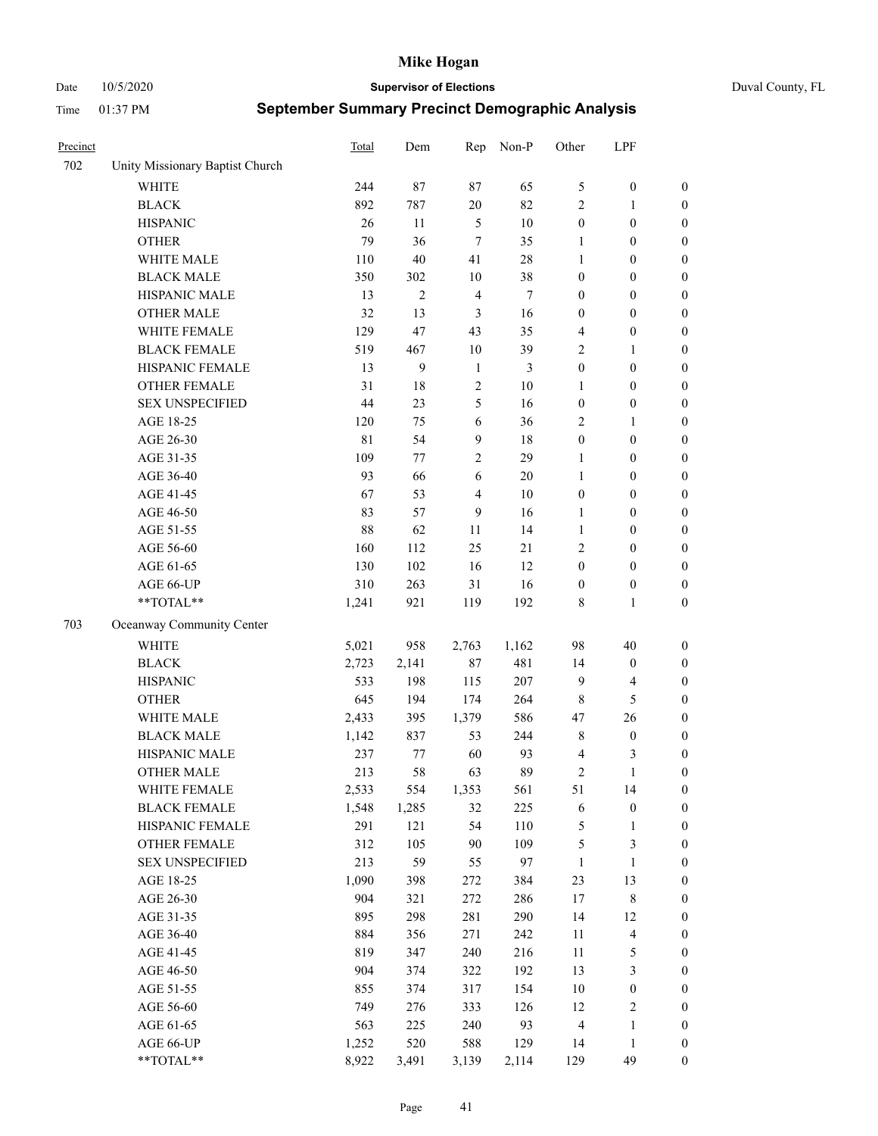Date 10/5/2020 **Supervisor of Elections** Duval County, FL

| Precinct |                                 | <b>Total</b> | Dem            | Rep                     | Non-P  | Other            | LPF                     |                  |
|----------|---------------------------------|--------------|----------------|-------------------------|--------|------------------|-------------------------|------------------|
| 702      | Unity Missionary Baptist Church |              |                |                         |        |                  |                         |                  |
|          | <b>WHITE</b>                    | 244          | 87             | 87                      | 65     | 5                | $\boldsymbol{0}$        | 0                |
|          | <b>BLACK</b>                    | 892          | 787            | 20                      | 82     | $\mathbf{2}$     | $\mathbf{1}$            | $\boldsymbol{0}$ |
|          | <b>HISPANIC</b>                 | 26           | 11             | $\sqrt{5}$              | 10     | $\boldsymbol{0}$ | $\boldsymbol{0}$        | $\boldsymbol{0}$ |
|          | <b>OTHER</b>                    | 79           | 36             | $\overline{7}$          | 35     | 1                | $\boldsymbol{0}$        | $\boldsymbol{0}$ |
|          | WHITE MALE                      | 110          | 40             | 41                      | 28     | $\mathbf{1}$     | $\boldsymbol{0}$        | $\boldsymbol{0}$ |
|          | <b>BLACK MALE</b>               | 350          | 302            | $10\,$                  | 38     | $\boldsymbol{0}$ | $\boldsymbol{0}$        | $\boldsymbol{0}$ |
|          | HISPANIC MALE                   | 13           | $\overline{c}$ | $\overline{4}$          | $\tau$ | $\boldsymbol{0}$ | $\boldsymbol{0}$        | $\boldsymbol{0}$ |
|          | <b>OTHER MALE</b>               | 32           | 13             | $\mathfrak{Z}$          | 16     | $\boldsymbol{0}$ | $\boldsymbol{0}$        | $\boldsymbol{0}$ |
|          | WHITE FEMALE                    | 129          | 47             | 43                      | 35     | 4                | $\boldsymbol{0}$        | $\boldsymbol{0}$ |
|          | <b>BLACK FEMALE</b>             | 519          | 467            | $10\,$                  | 39     | $\sqrt{2}$       | $\mathbf{1}$            | $\boldsymbol{0}$ |
|          | HISPANIC FEMALE                 | 13           | 9              | $\mathbf{1}$            | 3      | $\boldsymbol{0}$ | $\boldsymbol{0}$        | $\boldsymbol{0}$ |
|          | <b>OTHER FEMALE</b>             | 31           | 18             | $\sqrt{2}$              | $10\,$ | 1                | $\boldsymbol{0}$        | $\boldsymbol{0}$ |
|          | <b>SEX UNSPECIFIED</b>          | 44           | 23             | $\mathfrak{S}$          | 16     | $\boldsymbol{0}$ | $\boldsymbol{0}$        | $\boldsymbol{0}$ |
|          | AGE 18-25                       | 120          | 75             | 6                       | 36     | $\mathbf{2}$     | $\mathbf{1}$            | $\boldsymbol{0}$ |
|          | AGE 26-30                       | 81           | 54             | $\overline{9}$          | 18     | $\boldsymbol{0}$ | $\boldsymbol{0}$        | $\boldsymbol{0}$ |
|          | AGE 31-35                       | 109          | 77             | $\sqrt{2}$              | 29     | $\mathbf{1}$     | $\boldsymbol{0}$        | $\boldsymbol{0}$ |
|          | AGE 36-40                       | 93           | 66             | 6                       | $20\,$ | $\mathbf{1}$     | $\boldsymbol{0}$        | $\boldsymbol{0}$ |
|          | AGE 41-45                       | 67           | 53             | $\overline{\mathbf{4}}$ | $10\,$ | $\boldsymbol{0}$ | $\boldsymbol{0}$        | $\boldsymbol{0}$ |
|          | AGE 46-50                       | 83           | 57             | 9                       | 16     | $\mathbf{1}$     | $\boldsymbol{0}$        | $\boldsymbol{0}$ |
|          | AGE 51-55                       | 88           | 62             | 11                      | 14     | $\mathbf{1}$     | $\boldsymbol{0}$        | $\boldsymbol{0}$ |
|          | AGE 56-60                       | 160          | 112            | 25                      | 21     | $\overline{c}$   | $\boldsymbol{0}$        | 0                |
|          | AGE 61-65                       | 130          | 102            | 16                      | 12     | $\boldsymbol{0}$ | $\boldsymbol{0}$        | $\boldsymbol{0}$ |
|          | AGE 66-UP                       | 310          | 263            | 31                      | 16     | $\boldsymbol{0}$ | $\boldsymbol{0}$        | $\boldsymbol{0}$ |
|          | **TOTAL**                       | 1,241        | 921            | 119                     | 192    | 8                | $\mathbf{1}$            | $\boldsymbol{0}$ |
| 703      | Oceanway Community Center       |              |                |                         |        |                  |                         |                  |
|          | <b>WHITE</b>                    | 5,021        | 958            | 2,763                   | 1,162  | 98               | 40                      | $\boldsymbol{0}$ |
|          | <b>BLACK</b>                    | 2,723        | 2,141          | $87\,$                  | 481    | 14               | $\boldsymbol{0}$        | $\boldsymbol{0}$ |
|          | <b>HISPANIC</b>                 | 533          | 198            | 115                     | 207    | 9                | $\overline{\mathbf{4}}$ | $\boldsymbol{0}$ |
|          | <b>OTHER</b>                    | 645          | 194            | 174                     | 264    | $\,$ 8 $\,$      | $\mathfrak{S}$          | $\boldsymbol{0}$ |
|          | WHITE MALE                      | 2,433        | 395            | 1,379                   | 586    | 47               | 26                      | $\boldsymbol{0}$ |
|          | <b>BLACK MALE</b>               | 1,142        | 837            | 53                      | 244    | $\,$ 8 $\,$      | $\boldsymbol{0}$        | $\boldsymbol{0}$ |
|          | HISPANIC MALE                   | 237          | 77             | 60                      | 93     | $\overline{4}$   | 3                       | $\boldsymbol{0}$ |
|          | <b>OTHER MALE</b>               | 213          | 58             | 63                      | 89     | $\overline{c}$   | $\mathbf{1}$            | $\boldsymbol{0}$ |
|          | WHITE FEMALE                    | 2,533        | 554            | 1,353                   | 561    | 51               | 14                      | 0                |
|          | <b>BLACK FEMALE</b>             | 1,548        | 1,285          | 32                      | 225    | 6                | $\boldsymbol{0}$        | $\boldsymbol{0}$ |
|          | HISPANIC FEMALE                 | 291          | 121            | 54                      | 110    | 5                | $\mathbf{1}$            | $\boldsymbol{0}$ |
|          | OTHER FEMALE                    | 312          | 105            | $90\,$                  | 109    | 5                | $\mathfrak{Z}$          | $\overline{0}$   |
|          | <b>SEX UNSPECIFIED</b>          | 213          | 59             | 55                      | 97     | $\mathbf{1}$     | $\mathbf{1}$            | 0                |
|          | AGE 18-25                       | 1,090        | 398            | 272                     | 384    | 23               | 13                      | $\overline{0}$   |
|          | AGE 26-30                       | 904          | 321            | 272                     | 286    | $17$             | $8\,$                   | 0                |
|          | AGE 31-35                       | 895          | 298            | 281                     | 290    | 14               | 12                      | 0                |
|          | AGE 36-40                       | 884          | 356            | 271                     | 242    | $11\,$           | $\overline{\mathbf{4}}$ | 0                |
|          | AGE 41-45                       | 819          | 347            | 240                     | 216    | $11\,$           | $\mathfrak{S}$          | 0                |
|          | AGE 46-50                       | 904          | 374            | 322                     | 192    | 13               | $\mathfrak{Z}$          | 0                |
|          | AGE 51-55                       | 855          | 374            | 317                     | 154    | 10               | $\boldsymbol{0}$        | $\boldsymbol{0}$ |
|          | AGE 56-60                       | 749          | 276            | 333                     | 126    | 12               | $\sqrt{2}$              | $\boldsymbol{0}$ |
|          | AGE 61-65                       | 563          | 225            | 240                     | 93     | $\overline{4}$   | $\mathbf{1}$            | $\boldsymbol{0}$ |
|          | AGE 66-UP                       | 1,252        | 520            | 588                     | 129    | 14               | $\mathbf{1}$            | $\boldsymbol{0}$ |
|          | **TOTAL**                       | 8,922        | 3,491          | 3,139                   | 2,114  | 129              | 49                      | $\boldsymbol{0}$ |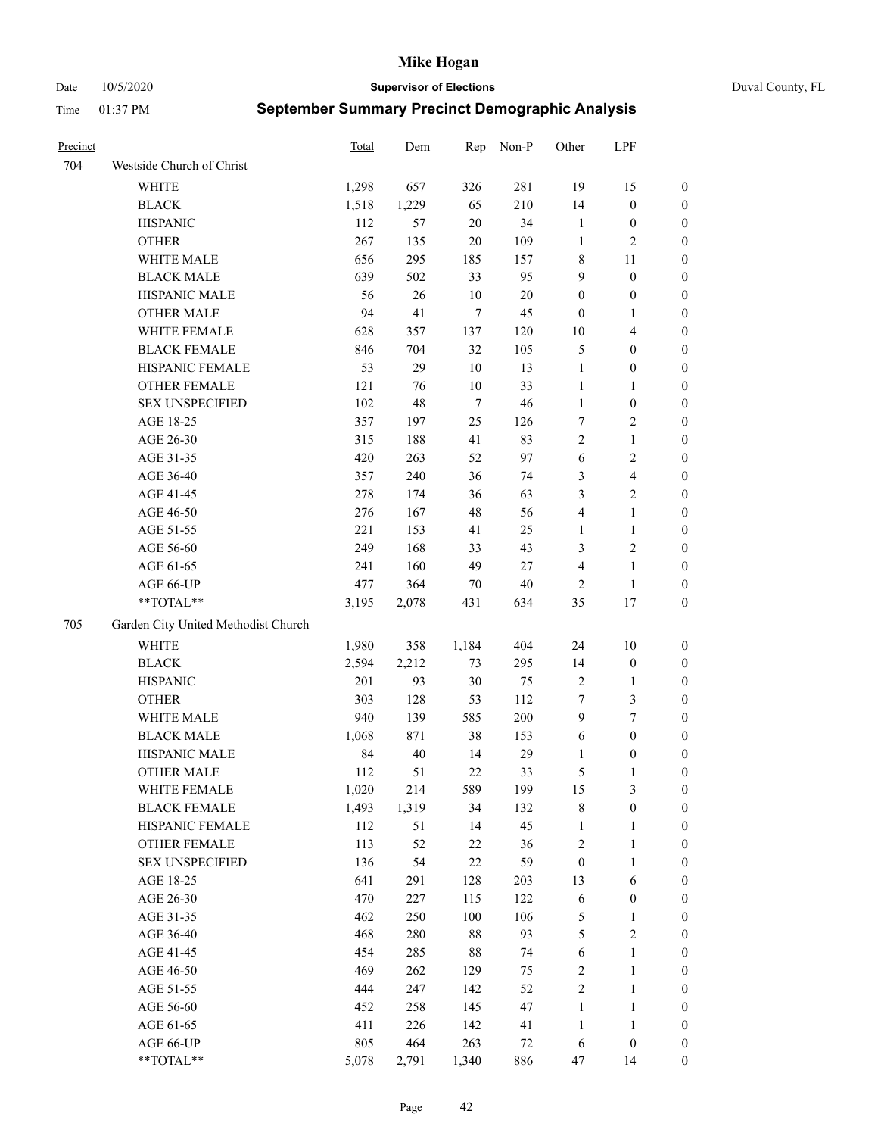Date 10/5/2020 **Supervisor of Elections** Duval County, FL

| Precinct |                                     | Total | Dem   | Rep    | Non-P  | Other            | LPF                     |                  |
|----------|-------------------------------------|-------|-------|--------|--------|------------------|-------------------------|------------------|
| 704      | Westside Church of Christ           |       |       |        |        |                  |                         |                  |
|          | WHITE                               | 1,298 | 657   | 326    | 281    | 19               | 15                      | 0                |
|          | <b>BLACK</b>                        | 1,518 | 1,229 | 65     | 210    | 14               | $\boldsymbol{0}$        | 0                |
|          | <b>HISPANIC</b>                     | 112   | 57    | $20\,$ | 34     | $\mathbf{1}$     | $\boldsymbol{0}$        | 0                |
|          | <b>OTHER</b>                        | 267   | 135   | $20\,$ | 109    | 1                | $\sqrt{2}$              | $\boldsymbol{0}$ |
|          | WHITE MALE                          | 656   | 295   | 185    | 157    | 8                | 11                      | $\boldsymbol{0}$ |
|          | <b>BLACK MALE</b>                   | 639   | 502   | 33     | 95     | 9                | $\boldsymbol{0}$        | $\boldsymbol{0}$ |
|          | HISPANIC MALE                       | 56    | 26    | 10     | $20\,$ | $\boldsymbol{0}$ | $\boldsymbol{0}$        | $\boldsymbol{0}$ |
|          | <b>OTHER MALE</b>                   | 94    | 41    | 7      | 45     | $\boldsymbol{0}$ | $\mathbf{1}$            | $\boldsymbol{0}$ |
|          | WHITE FEMALE                        | 628   | 357   | 137    | 120    | $10\,$           | $\overline{\mathbf{4}}$ | $\boldsymbol{0}$ |
|          | <b>BLACK FEMALE</b>                 | 846   | 704   | 32     | 105    | 5                | $\boldsymbol{0}$        | 0                |
|          | HISPANIC FEMALE                     | 53    | 29    | $10\,$ | 13     | $\mathbf{1}$     | $\boldsymbol{0}$        | 0                |
|          | OTHER FEMALE                        | 121   | 76    | 10     | 33     | $\mathbf{1}$     | $\mathbf{1}$            | 0                |
|          | <b>SEX UNSPECIFIED</b>              | 102   | 48    | $\tau$ | 46     | $\mathbf{1}$     | $\boldsymbol{0}$        | $\boldsymbol{0}$ |
|          | AGE 18-25                           | 357   | 197   | 25     | 126    | 7                | $\sqrt{2}$              | $\boldsymbol{0}$ |
|          | AGE 26-30                           | 315   | 188   | 41     | 83     | 2                | $\mathbf{1}$            | $\boldsymbol{0}$ |
|          | AGE 31-35                           | 420   | 263   | 52     | 97     | 6                | $\sqrt{2}$              | $\boldsymbol{0}$ |
|          | AGE 36-40                           | 357   | 240   | 36     | 74     | 3                | $\overline{\mathbf{4}}$ | $\boldsymbol{0}$ |
|          | AGE 41-45                           | 278   | 174   | 36     | 63     | 3                | $\overline{2}$          | $\boldsymbol{0}$ |
|          | AGE 46-50                           | 276   | 167   | 48     | 56     | $\overline{4}$   | $\mathbf{1}$            | $\boldsymbol{0}$ |
|          | AGE 51-55                           | 221   | 153   | 41     | 25     | 1                | $\mathbf{1}$            | 0                |
|          | AGE 56-60                           | 249   | 168   | 33     | 43     | 3                | $\sqrt{2}$              | 0                |
|          | AGE 61-65                           | 241   | 160   | 49     | 27     | 4                | $\mathbf{1}$            | 0                |
|          | AGE 66-UP                           | 477   | 364   | 70     | $40\,$ | $\overline{2}$   | $\mathbf{1}$            | 0                |
|          | $**TOTAL**$                         | 3,195 | 2,078 | 431    | 634    | 35               | $17\,$                  | $\boldsymbol{0}$ |
|          |                                     |       |       |        |        |                  |                         |                  |
| 705      | Garden City United Methodist Church |       |       |        |        |                  |                         |                  |
|          | <b>WHITE</b>                        | 1,980 | 358   | 1,184  | 404    | 24               | $10\,$                  | $\boldsymbol{0}$ |
|          | <b>BLACK</b>                        | 2,594 | 2,212 | 73     | 295    | 14               | $\boldsymbol{0}$        | $\boldsymbol{0}$ |
|          | <b>HISPANIC</b>                     | 201   | 93    | $30\,$ | 75     | $\sqrt{2}$       | $\mathbf{1}$            | $\boldsymbol{0}$ |
|          | <b>OTHER</b>                        | 303   | 128   | 53     | 112    | 7                | $\mathfrak{Z}$          | $\boldsymbol{0}$ |
|          | WHITE MALE                          | 940   | 139   | 585    | 200    | 9                | $\tau$                  | $\boldsymbol{0}$ |
|          | <b>BLACK MALE</b>                   | 1,068 | 871   | 38     | 153    | 6                | $\boldsymbol{0}$        | $\boldsymbol{0}$ |
|          | HISPANIC MALE                       | 84    | 40    | 14     | 29     | 1                | $\boldsymbol{0}$        | 0                |
|          | <b>OTHER MALE</b>                   | 112   | 51    | $22\,$ | 33     | 5                | 1                       | 0                |
|          | WHITE FEMALE                        | 1,020 | 214   | 589    | 199    | 15               | 3                       | 0                |
|          | <b>BLACK FEMALE</b>                 | 1,493 | 1,319 | 34     | 132    | 8                | $\boldsymbol{0}$        | $\boldsymbol{0}$ |
|          | HISPANIC FEMALE                     | 112   | 51    | 14     | 45     | $\mathbf{1}$     | $\mathbf{1}$            | $\boldsymbol{0}$ |
|          | <b>OTHER FEMALE</b>                 | 113   | 52    | $22\,$ | 36     | $\sqrt{2}$       | $\mathbf{1}$            | $\overline{0}$   |
|          | <b>SEX UNSPECIFIED</b>              | 136   | 54    | $22\,$ | 59     | $\boldsymbol{0}$ | $\mathbf{1}$            | 0                |
|          | AGE 18-25                           | 641   | 291   | 128    | 203    | 13               | 6                       | 0                |
|          | AGE 26-30                           | 470   | 227   | 115    | 122    | 6                | $\boldsymbol{0}$        | 0                |
|          | AGE 31-35                           | 462   | 250   | 100    | 106    | 5                | $\mathbf{1}$            | 0                |
|          | AGE 36-40                           | 468   | 280   | $88\,$ | 93     | 5                | $\sqrt{2}$              | 0                |
|          | AGE 41-45                           | 454   | 285   | $88\,$ | 74     | 6                | $\mathbf{1}$            | 0                |
|          | AGE 46-50                           | 469   | 262   | 129    | 75     | 2                | $\mathbf{1}$            | 0                |
|          | AGE 51-55                           | 444   | 247   | 142    | 52     | $\sqrt{2}$       | $\mathbf{1}$            | 0                |
|          | AGE 56-60                           | 452   | 258   | 145    | 47     | $\mathbf{1}$     | $\mathbf{1}$            | 0                |
|          | AGE 61-65                           | 411   | 226   | 142    | 41     | $\mathbf{1}$     | $\mathbf{1}$            | $\boldsymbol{0}$ |
|          | AGE 66-UP                           | 805   | 464   | 263    | 72     | 6                | $\boldsymbol{0}$        | $\boldsymbol{0}$ |
|          | **TOTAL**                           | 5,078 | 2,791 | 1,340  | 886    | 47               | 14                      | $\boldsymbol{0}$ |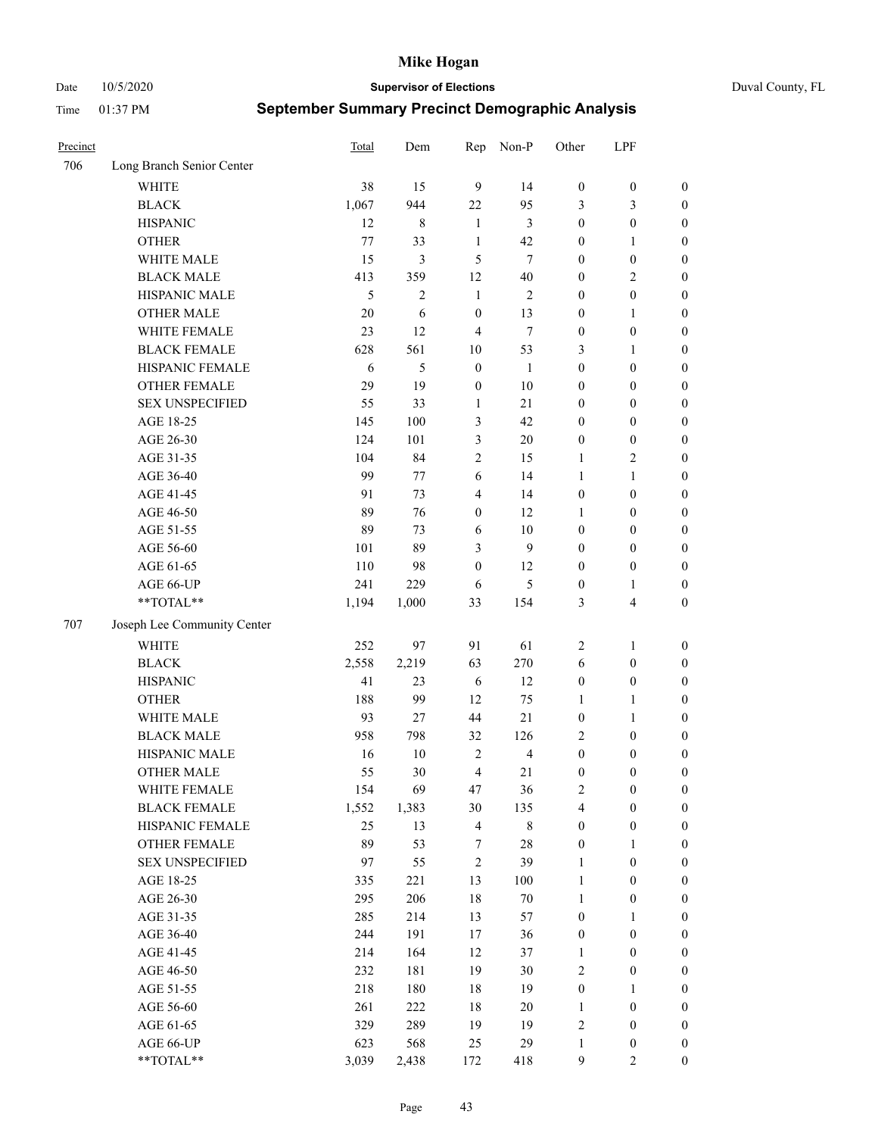Date 10/5/2020 **Supervisor of Elections** Duval County, FL

| Precinct |                             | <b>Total</b> | Dem            | Rep              | Non-P          | Other            | LPF                     |                  |
|----------|-----------------------------|--------------|----------------|------------------|----------------|------------------|-------------------------|------------------|
| 706      | Long Branch Senior Center   |              |                |                  |                |                  |                         |                  |
|          | <b>WHITE</b>                | 38           | 15             | 9                | 14             | $\boldsymbol{0}$ | $\boldsymbol{0}$        | $\boldsymbol{0}$ |
|          | <b>BLACK</b>                | 1,067        | 944            | 22               | 95             | 3                | 3                       | $\boldsymbol{0}$ |
|          | <b>HISPANIC</b>             | 12           | 8              | $\mathbf{1}$     | 3              | $\boldsymbol{0}$ | $\boldsymbol{0}$        | $\boldsymbol{0}$ |
|          | <b>OTHER</b>                | $77 \,$      | 33             | $\mathbf{1}$     | 42             | $\boldsymbol{0}$ | $\mathbf{1}$            | $\boldsymbol{0}$ |
|          | WHITE MALE                  | 15           | 3              | 5                | $\overline{7}$ | $\boldsymbol{0}$ | $\boldsymbol{0}$        | $\boldsymbol{0}$ |
|          | <b>BLACK MALE</b>           | 413          | 359            | 12               | 40             | $\boldsymbol{0}$ | $\overline{c}$          | $\boldsymbol{0}$ |
|          | HISPANIC MALE               | 5            | $\overline{2}$ | $\mathbf{1}$     | 2              | $\boldsymbol{0}$ | $\boldsymbol{0}$        | $\boldsymbol{0}$ |
|          | <b>OTHER MALE</b>           | 20           | 6              | $\boldsymbol{0}$ | 13             | $\boldsymbol{0}$ | $\mathbf{1}$            | $\boldsymbol{0}$ |
|          | WHITE FEMALE                | 23           | 12             | $\overline{4}$   | $\tau$         | $\boldsymbol{0}$ | $\boldsymbol{0}$        | $\boldsymbol{0}$ |
|          | <b>BLACK FEMALE</b>         | 628          | 561            | $10\,$           | 53             | 3                | $\mathbf{1}$            | $\boldsymbol{0}$ |
|          | HISPANIC FEMALE             | 6            | 5              | $\boldsymbol{0}$ | $\mathbf{1}$   | $\boldsymbol{0}$ | $\boldsymbol{0}$        | 0                |
|          | <b>OTHER FEMALE</b>         | 29           | 19             | $\boldsymbol{0}$ | 10             | $\boldsymbol{0}$ | $\boldsymbol{0}$        | $\boldsymbol{0}$ |
|          | <b>SEX UNSPECIFIED</b>      | 55           | 33             | $\mathbf{1}$     | 21             | $\boldsymbol{0}$ | $\boldsymbol{0}$        | $\boldsymbol{0}$ |
|          | AGE 18-25                   | 145          | 100            | 3                | 42             | $\boldsymbol{0}$ | $\boldsymbol{0}$        | $\boldsymbol{0}$ |
|          | AGE 26-30                   | 124          | 101            | 3                | 20             | $\boldsymbol{0}$ | $\boldsymbol{0}$        | $\boldsymbol{0}$ |
|          | AGE 31-35                   | 104          | 84             | $\sqrt{2}$       | 15             | $\mathbf{1}$     | $\sqrt{2}$              | $\boldsymbol{0}$ |
|          | AGE 36-40                   | 99           | 77             | 6                | 14             | $\mathbf{1}$     | $\mathbf{1}$            | $\boldsymbol{0}$ |
|          | AGE 41-45                   | 91           | 73             | $\overline{4}$   | 14             | $\boldsymbol{0}$ | $\boldsymbol{0}$        | $\boldsymbol{0}$ |
|          | AGE 46-50                   | 89           | 76             | $\boldsymbol{0}$ | 12             | 1                | $\boldsymbol{0}$        | $\boldsymbol{0}$ |
|          | AGE 51-55                   | 89           | 73             | 6                | $10\,$         | $\boldsymbol{0}$ | $\boldsymbol{0}$        | $\boldsymbol{0}$ |
|          | AGE 56-60                   | 101          | 89             | 3                | 9              | $\boldsymbol{0}$ | $\boldsymbol{0}$        | 0                |
|          | AGE 61-65                   | 110          | 98             | $\mathbf{0}$     | 12             | $\boldsymbol{0}$ | $\boldsymbol{0}$        | 0                |
|          | AGE 66-UP                   | 241          | 229            | 6                | 5              | $\boldsymbol{0}$ | $\mathbf{1}$            | $\boldsymbol{0}$ |
|          | $**TOTAL**$                 | 1,194        | 1,000          | 33               | 154            | 3                | $\overline{\mathbf{4}}$ | $\boldsymbol{0}$ |
| 707      | Joseph Lee Community Center |              |                |                  |                |                  |                         |                  |
|          | <b>WHITE</b>                | 252          | 97             | 91               | 61             | $\overline{c}$   | $\mathbf{1}$            | $\boldsymbol{0}$ |
|          | <b>BLACK</b>                | 2,558        | 2,219          | 63               | 270            | 6                | $\boldsymbol{0}$        | $\boldsymbol{0}$ |
|          | <b>HISPANIC</b>             | 41           | 23             | 6                | 12             | $\boldsymbol{0}$ | $\boldsymbol{0}$        | $\boldsymbol{0}$ |
|          | <b>OTHER</b>                | 188          | 99             | 12               | 75             | $\mathbf{1}$     | $\mathbf{1}$            | $\boldsymbol{0}$ |
|          | WHITE MALE                  | 93           | 27             | 44               | 21             | $\boldsymbol{0}$ | $\mathbf{1}$            | $\boldsymbol{0}$ |
|          | <b>BLACK MALE</b>           | 958          | 798            | 32               | 126            | $\overline{c}$   | $\boldsymbol{0}$        | $\boldsymbol{0}$ |
|          | HISPANIC MALE               | 16           | $10\,$         | $\overline{2}$   | $\overline{4}$ | $\boldsymbol{0}$ | $\boldsymbol{0}$        | $\boldsymbol{0}$ |
|          | <b>OTHER MALE</b>           | 55           | 30             | $\overline{4}$   | 21             | $\boldsymbol{0}$ | $\boldsymbol{0}$        | $\boldsymbol{0}$ |
|          | WHITE FEMALE                | 154          | 69             | 47               | 36             | 2                | $\boldsymbol{0}$        | 0                |
|          | <b>BLACK FEMALE</b>         | 1,552        | 1,383          | 30               | 135            | 4                | $\boldsymbol{0}$        | $\boldsymbol{0}$ |
|          | HISPANIC FEMALE             | 25           | 13             | $\overline{4}$   | 8              | $\boldsymbol{0}$ | $\boldsymbol{0}$        | $\overline{0}$   |
|          | OTHER FEMALE                | 89           | 53             | 7                | $28\,$         | $\boldsymbol{0}$ | $\mathbf{1}$            | $\overline{0}$   |
|          | <b>SEX UNSPECIFIED</b>      | 97           | 55             | $\overline{2}$   | 39             | $\mathbf{1}$     | $\boldsymbol{0}$        | $\overline{0}$   |
|          | AGE 18-25                   | 335          | 221            | 13               | 100            | $\mathbf{1}$     | $\boldsymbol{0}$        | $\overline{0}$   |
|          | AGE 26-30                   | 295          | 206            | 18               | $70\,$         | $\mathbf{1}$     | $\boldsymbol{0}$        | 0                |
|          | AGE 31-35                   | 285          | 214            | 13               | 57             | $\boldsymbol{0}$ | $\mathbf{1}$            | 0                |
|          | AGE 36-40                   | 244          | 191            | 17               | 36             | $\boldsymbol{0}$ | $\boldsymbol{0}$        | 0                |
|          | AGE 41-45                   | 214          | 164            | 12               | 37             | 1                | $\boldsymbol{0}$        | 0                |
|          | AGE 46-50                   | 232          | 181            | 19               | 30             | $\mathbf{2}$     | $\boldsymbol{0}$        | 0                |
|          | AGE 51-55                   | 218          | 180            | 18               | 19             | $\boldsymbol{0}$ | $\mathbf{1}$            | $\boldsymbol{0}$ |
|          | AGE 56-60                   | 261          | 222            | $18\,$           | 20             | 1                | $\boldsymbol{0}$        | $\boldsymbol{0}$ |
|          | AGE 61-65                   | 329          | 289            | 19               | 19             | $\overline{c}$   | $\boldsymbol{0}$        | $\boldsymbol{0}$ |
|          | AGE 66-UP                   | 623          | 568            | 25               | 29             | $\mathbf{1}$     | $\boldsymbol{0}$        | $\boldsymbol{0}$ |
|          | **TOTAL**                   | 3,039        | 2,438          | 172              | 418            | 9                | $\mathbf{2}$            | $\boldsymbol{0}$ |
|          |                             |              |                |                  |                |                  |                         |                  |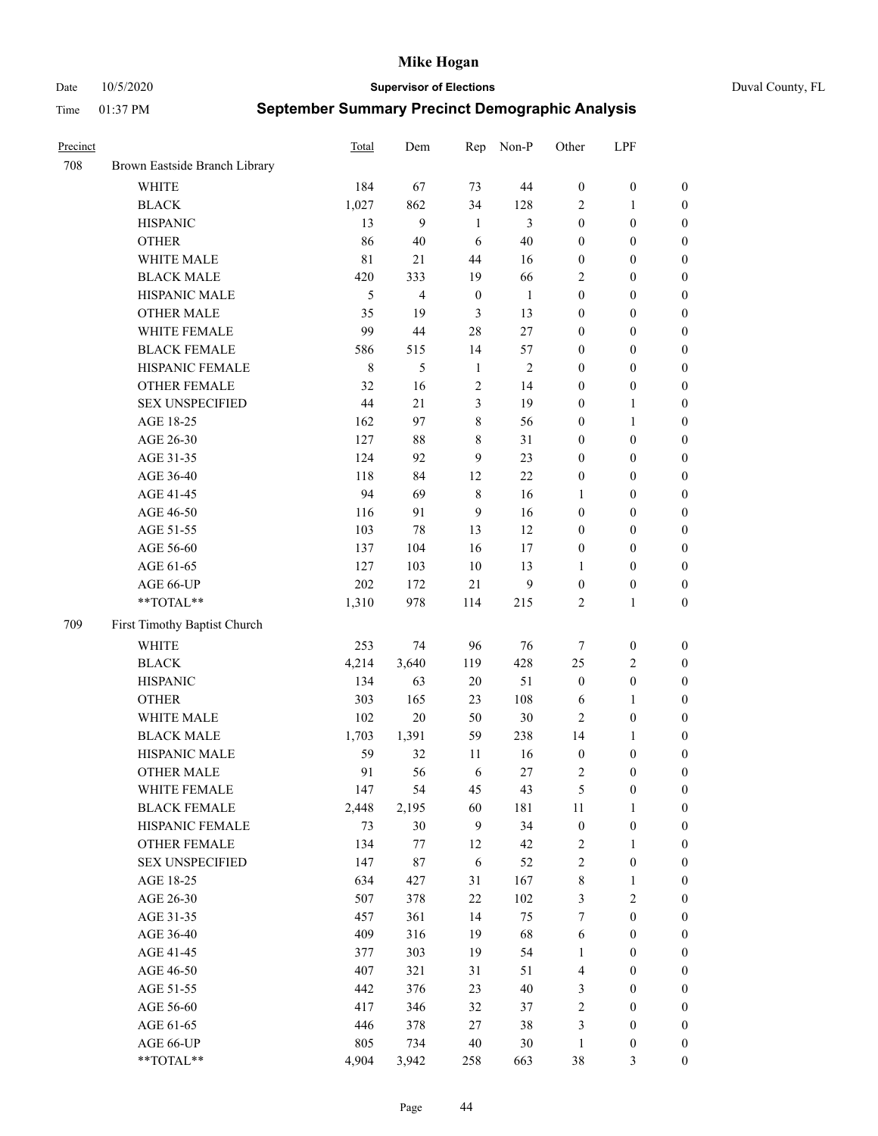Date 10/5/2020 **Supervisor of Elections** Duval County, FL

| Precinct |                               | Total   | Dem            | Rep              | Non-P          | Other            | LPF              |                  |
|----------|-------------------------------|---------|----------------|------------------|----------------|------------------|------------------|------------------|
| 708      | Brown Eastside Branch Library |         |                |                  |                |                  |                  |                  |
|          | <b>WHITE</b>                  | 184     | 67             | 73               | 44             | $\boldsymbol{0}$ | $\boldsymbol{0}$ | 0                |
|          | <b>BLACK</b>                  | 1,027   | 862            | 34               | 128            | 2                | $\mathbf{1}$     | $\boldsymbol{0}$ |
|          | <b>HISPANIC</b>               | 13      | 9              | $\mathbf{1}$     | 3              | $\boldsymbol{0}$ | $\boldsymbol{0}$ | $\boldsymbol{0}$ |
|          | <b>OTHER</b>                  | 86      | 40             | 6                | 40             | $\boldsymbol{0}$ | $\boldsymbol{0}$ | $\boldsymbol{0}$ |
|          | WHITE MALE                    | 81      | 21             | 44               | 16             | $\boldsymbol{0}$ | $\boldsymbol{0}$ | $\boldsymbol{0}$ |
|          | <b>BLACK MALE</b>             | 420     | 333            | 19               | 66             | 2                | $\boldsymbol{0}$ | $\boldsymbol{0}$ |
|          | HISPANIC MALE                 | 5       | $\overline{4}$ | $\boldsymbol{0}$ | $\mathbf{1}$   | $\boldsymbol{0}$ | $\boldsymbol{0}$ | $\boldsymbol{0}$ |
|          | <b>OTHER MALE</b>             | 35      | 19             | 3                | 13             | $\boldsymbol{0}$ | $\boldsymbol{0}$ | $\boldsymbol{0}$ |
|          | WHITE FEMALE                  | 99      | 44             | 28               | 27             | $\boldsymbol{0}$ | $\boldsymbol{0}$ | $\boldsymbol{0}$ |
|          | <b>BLACK FEMALE</b>           | 586     | 515            | 14               | 57             | $\boldsymbol{0}$ | $\boldsymbol{0}$ | $\boldsymbol{0}$ |
|          | HISPANIC FEMALE               | $\,8\,$ | 5              | $\mathbf{1}$     | $\overline{2}$ | $\boldsymbol{0}$ | $\boldsymbol{0}$ | 0                |
|          | OTHER FEMALE                  | 32      | 16             | $\mathfrak{2}$   | 14             | $\boldsymbol{0}$ | $\boldsymbol{0}$ | $\boldsymbol{0}$ |
|          | <b>SEX UNSPECIFIED</b>        | 44      | 21             | $\mathfrak{Z}$   | 19             | $\boldsymbol{0}$ | $\mathbf{1}$     | $\boldsymbol{0}$ |
|          | AGE 18-25                     | 162     | 97             | $\,$ $\,$        | 56             | $\boldsymbol{0}$ | $\mathbf{1}$     | $\boldsymbol{0}$ |
|          | AGE 26-30                     | 127     | $88\,$         | $\,$ 8 $\,$      | 31             | $\boldsymbol{0}$ | $\boldsymbol{0}$ | $\boldsymbol{0}$ |
|          | AGE 31-35                     | 124     | 92             | 9                | 23             | $\boldsymbol{0}$ | $\boldsymbol{0}$ | $\boldsymbol{0}$ |
|          | AGE 36-40                     | 118     | 84             | 12               | 22             | $\boldsymbol{0}$ | $\boldsymbol{0}$ | $\boldsymbol{0}$ |
|          | AGE 41-45                     | 94      | 69             | $\,$ 8 $\,$      | 16             | $\mathbf{1}$     | $\boldsymbol{0}$ | $\boldsymbol{0}$ |
|          | AGE 46-50                     | 116     | 91             | $\mathbf{9}$     | 16             | $\boldsymbol{0}$ | $\boldsymbol{0}$ | $\boldsymbol{0}$ |
|          | AGE 51-55                     | 103     | 78             | 13               | 12             | $\boldsymbol{0}$ | $\boldsymbol{0}$ | $\boldsymbol{0}$ |
|          | AGE 56-60                     | 137     | 104            | 16               | 17             | $\boldsymbol{0}$ | $\boldsymbol{0}$ | 0                |
|          | AGE 61-65                     | 127     | 103            | 10               | 13             | 1                | $\boldsymbol{0}$ | 0                |
|          | AGE 66-UP                     | 202     | 172            | 21               | 9              | $\boldsymbol{0}$ | $\boldsymbol{0}$ | $\boldsymbol{0}$ |
|          | **TOTAL**                     | 1,310   | 978            | 114              | 215            | $\sqrt{2}$       | $\mathbf{1}$     | $\boldsymbol{0}$ |
| 709      | First Timothy Baptist Church  |         |                |                  |                |                  |                  |                  |
|          | WHITE                         | 253     | 74             | 96               | 76             | 7                | $\boldsymbol{0}$ | $\boldsymbol{0}$ |
|          | <b>BLACK</b>                  | 4,214   | 3,640          | 119              | 428            | 25               | $\sqrt{2}$       | $\boldsymbol{0}$ |
|          | <b>HISPANIC</b>               | 134     | 63             | 20               | 51             | $\boldsymbol{0}$ | $\boldsymbol{0}$ | $\boldsymbol{0}$ |
|          | <b>OTHER</b>                  | 303     | 165            | 23               | 108            | 6                | $\mathbf{1}$     | $\boldsymbol{0}$ |
|          | WHITE MALE                    | 102     | $20\,$         | 50               | 30             | $\mathbf{2}$     | $\boldsymbol{0}$ | $\boldsymbol{0}$ |
|          | <b>BLACK MALE</b>             | 1,703   | 1,391          | 59               | 238            | 14               | $\mathbf{1}$     | $\boldsymbol{0}$ |
|          | HISPANIC MALE                 | 59      | 32             | 11               | 16             | $\boldsymbol{0}$ | $\boldsymbol{0}$ | $\boldsymbol{0}$ |
|          | <b>OTHER MALE</b>             | 91      | 56             | 6                | 27             | $\overline{c}$   | $\boldsymbol{0}$ | $\boldsymbol{0}$ |
|          | WHITE FEMALE                  | 147     | 54             | 45               | 43             | 5                | $\boldsymbol{0}$ | 0                |
|          | <b>BLACK FEMALE</b>           | 2,448   | 2,195          | 60               | 181            | 11               | $\mathbf{1}$     | $\boldsymbol{0}$ |
|          | HISPANIC FEMALE               | 73      | 30             | 9                | 34             | $\boldsymbol{0}$ | $\boldsymbol{0}$ | $\overline{0}$   |
|          | OTHER FEMALE                  | 134     | 77             | 12               | 42             | $\boldsymbol{2}$ | $\mathbf{1}$     | $\overline{0}$   |
|          | <b>SEX UNSPECIFIED</b>        | 147     | 87             | 6                | 52             | 2                | $\boldsymbol{0}$ | 0                |
|          | AGE 18-25                     | 634     | 427            | 31               | 167            | $\,$ 8 $\,$      | $\mathbf{1}$     | $\overline{0}$   |
|          | AGE 26-30                     | 507     | 378            | 22               | 102            | 3                | $\overline{2}$   | 0                |
|          | AGE 31-35                     | 457     | 361            | 14               | 75             | 7                | $\boldsymbol{0}$ | 0                |
|          | AGE 36-40                     | 409     | 316            | 19               | 68             | 6                | $\boldsymbol{0}$ | 0                |
|          | AGE 41-45                     | 377     | 303            | 19               | 54             | $\mathbf{1}$     | $\boldsymbol{0}$ | 0                |
|          | AGE 46-50                     | 407     | 321            | 31               | 51             | 4                | $\boldsymbol{0}$ | 0                |
|          | AGE 51-55                     | 442     | 376            | 23               | 40             | 3                | $\boldsymbol{0}$ | $\boldsymbol{0}$ |
|          | AGE 56-60                     | 417     | 346            | 32               | 37             | $\sqrt{2}$       | $\boldsymbol{0}$ | $\boldsymbol{0}$ |
|          | AGE 61-65                     | 446     | 378            | 27               | 38             | 3                | $\boldsymbol{0}$ | $\boldsymbol{0}$ |
|          | AGE 66-UP                     | 805     | 734            | 40               | 30             | $\mathbf{1}$     | $\boldsymbol{0}$ | $\boldsymbol{0}$ |
|          | **TOTAL**                     | 4,904   | 3,942          | 258              | 663            | 38               | $\mathfrak{Z}$   | $\boldsymbol{0}$ |
|          |                               |         |                |                  |                |                  |                  |                  |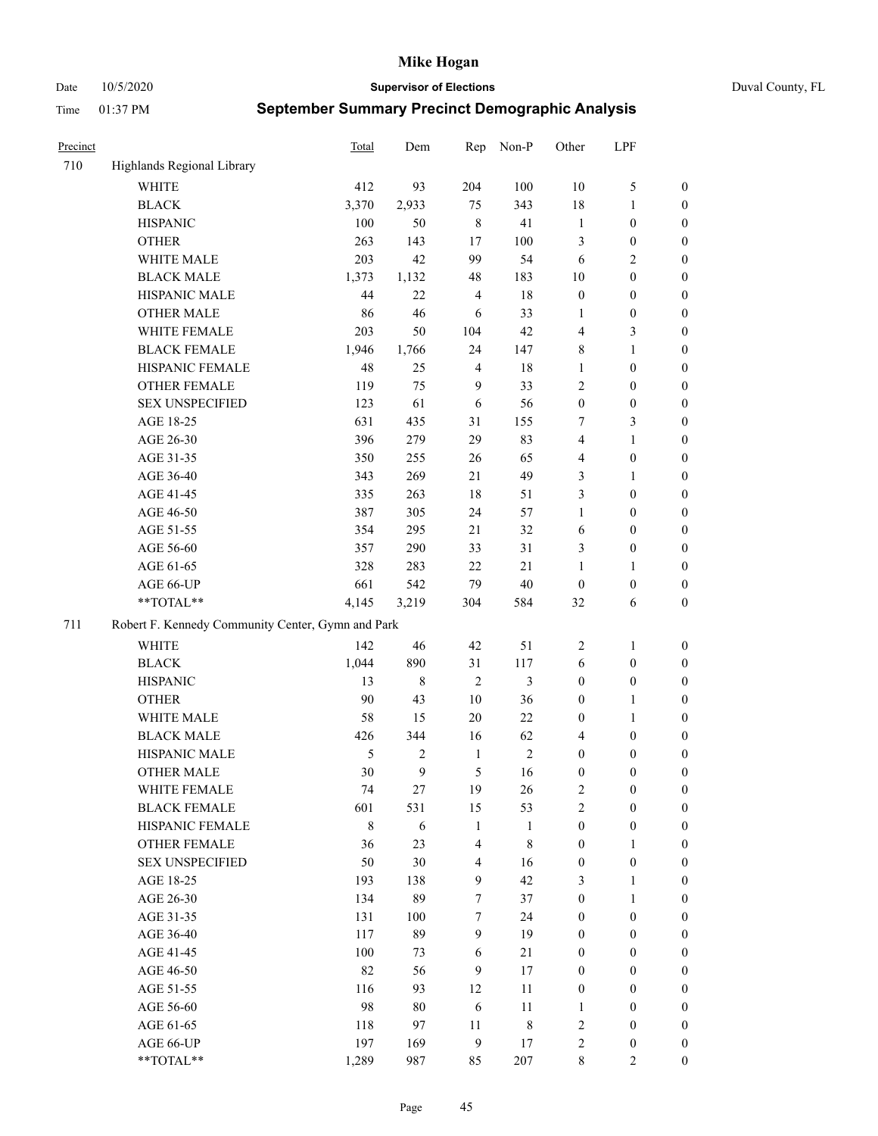Date 10/5/2020 **Supervisor of Elections** Duval County, FL

| Precinct |                                                   | <b>Total</b> | Dem    | Rep                     | Non-P        | Other            | LPF              |                  |
|----------|---------------------------------------------------|--------------|--------|-------------------------|--------------|------------------|------------------|------------------|
| 710      | Highlands Regional Library                        |              |        |                         |              |                  |                  |                  |
|          | <b>WHITE</b>                                      | 412          | 93     | 204                     | 100          | 10               | $\mathfrak{S}$   | 0                |
|          | <b>BLACK</b>                                      | 3,370        | 2,933  | 75                      | 343          | 18               | $\mathbf{1}$     | 0                |
|          | <b>HISPANIC</b>                                   | 100          | 50     | $\,8\,$                 | 41           | $\mathbf{1}$     | $\boldsymbol{0}$ | $\boldsymbol{0}$ |
|          | <b>OTHER</b>                                      | 263          | 143    | 17                      | 100          | 3                | $\boldsymbol{0}$ | $\boldsymbol{0}$ |
|          | WHITE MALE                                        | 203          | 42     | 99                      | 54           | 6                | $\sqrt{2}$       | $\boldsymbol{0}$ |
|          | <b>BLACK MALE</b>                                 | 1,373        | 1,132  | 48                      | 183          | 10               | $\boldsymbol{0}$ | $\boldsymbol{0}$ |
|          | HISPANIC MALE                                     | 44           | 22     | $\overline{4}$          | $18\,$       | $\boldsymbol{0}$ | $\boldsymbol{0}$ | $\boldsymbol{0}$ |
|          | <b>OTHER MALE</b>                                 | 86           | 46     | 6                       | 33           | $\mathbf{1}$     | $\boldsymbol{0}$ | $\boldsymbol{0}$ |
|          | WHITE FEMALE                                      | 203          | 50     | 104                     | 42           | 4                | 3                | $\boldsymbol{0}$ |
|          | <b>BLACK FEMALE</b>                               | 1,946        | 1,766  | 24                      | 147          | 8                | $\mathbf{1}$     | $\boldsymbol{0}$ |
|          | HISPANIC FEMALE                                   | 48           | 25     | $\overline{4}$          | 18           | $\mathbf{1}$     | $\boldsymbol{0}$ | 0                |
|          | <b>OTHER FEMALE</b>                               | 119          | 75     | 9                       | 33           | $\mathbf{2}$     | $\boldsymbol{0}$ | 0                |
|          | <b>SEX UNSPECIFIED</b>                            | 123          | 61     | 6                       | 56           | $\boldsymbol{0}$ | $\boldsymbol{0}$ | $\boldsymbol{0}$ |
|          | AGE 18-25                                         | 631          | 435    | 31                      | 155          | 7                | $\mathfrak{Z}$   | $\boldsymbol{0}$ |
|          | AGE 26-30                                         | 396          | 279    | 29                      | 83           | 4                | $\mathbf{1}$     | $\boldsymbol{0}$ |
|          | AGE 31-35                                         | 350          | 255    | 26                      | 65           | 4                | $\boldsymbol{0}$ | $\boldsymbol{0}$ |
|          | AGE 36-40                                         | 343          | 269    | 21                      | 49           | 3                | $\mathbf{1}$     | $\boldsymbol{0}$ |
|          | AGE 41-45                                         | 335          | 263    | 18                      | 51           | 3                | $\boldsymbol{0}$ | $\boldsymbol{0}$ |
|          | AGE 46-50                                         | 387          | 305    | 24                      | 57           | $\mathbf{1}$     | $\boldsymbol{0}$ | $\boldsymbol{0}$ |
|          | AGE 51-55                                         | 354          | 295    | 21                      | 32           | 6                | $\boldsymbol{0}$ | $\boldsymbol{0}$ |
|          | AGE 56-60                                         | 357          | 290    | 33                      | 31           | 3                | $\boldsymbol{0}$ | 0                |
|          | AGE 61-65                                         | 328          | 283    | 22                      | 21           | 1                | $\mathbf{1}$     | 0                |
|          | AGE 66-UP                                         | 661          | 542    | 79                      | 40           | $\boldsymbol{0}$ | $\boldsymbol{0}$ | $\boldsymbol{0}$ |
|          | $**TOTAL**$                                       | 4,145        | 3,219  | 304                     | 584          | 32               | 6                | $\boldsymbol{0}$ |
| 711      | Robert F. Kennedy Community Center, Gymn and Park |              |        |                         |              |                  |                  |                  |
|          | WHITE                                             | 142          | 46     | 42                      | 51           | $\overline{c}$   | $\mathbf{1}$     | $\boldsymbol{0}$ |
|          | <b>BLACK</b>                                      | 1,044        | 890    | 31                      | 117          | 6                | $\boldsymbol{0}$ | $\boldsymbol{0}$ |
|          | <b>HISPANIC</b>                                   | 13           | 8      | $\overline{2}$          | 3            | $\boldsymbol{0}$ | $\boldsymbol{0}$ | $\boldsymbol{0}$ |
|          | <b>OTHER</b>                                      | 90           | 43     | $10\,$                  | 36           | $\boldsymbol{0}$ | $\mathbf{1}$     | $\boldsymbol{0}$ |
|          | WHITE MALE                                        | 58           | 15     | $20\,$                  | 22           | $\boldsymbol{0}$ | $\mathbf{1}$     | $\boldsymbol{0}$ |
|          | <b>BLACK MALE</b>                                 | 426          | 344    | 16                      | 62           | 4                | $\boldsymbol{0}$ | $\boldsymbol{0}$ |
|          | HISPANIC MALE                                     | 5            | 2      | $\mathbf{1}$            | $\sqrt{2}$   | $\boldsymbol{0}$ | $\boldsymbol{0}$ | $\boldsymbol{0}$ |
|          | <b>OTHER MALE</b>                                 | 30           | 9      | 5                       | 16           | $\boldsymbol{0}$ | $\boldsymbol{0}$ | $\boldsymbol{0}$ |
|          | WHITE FEMALE                                      | 74           | 27     | 19                      | 26           | 2                | $\boldsymbol{0}$ | 0                |
|          | <b>BLACK FEMALE</b>                               | 601          | 531    | 15                      | 53           | $\overline{2}$   | $\boldsymbol{0}$ | $\overline{0}$   |
|          | HISPANIC FEMALE                                   | $\,$ 8 $\,$  | 6      | $\mathbf{1}$            | $\mathbf{1}$ | $\boldsymbol{0}$ | $\boldsymbol{0}$ | $\overline{0}$   |
|          | OTHER FEMALE                                      | 36           | 23     | $\overline{4}$          | $\,$ 8 $\,$  | $\boldsymbol{0}$ | $\mathbf{1}$     | $\overline{0}$   |
|          | <b>SEX UNSPECIFIED</b>                            | 50           | 30     | $\overline{\mathbf{4}}$ | 16           | $\boldsymbol{0}$ | $\boldsymbol{0}$ | 0                |
|          | AGE 18-25                                         | 193          | 138    | $\mathbf{9}$            | 42           | 3                | $\mathbf{1}$     | $\overline{0}$   |
|          | AGE 26-30                                         | 134          | 89     | 7                       | 37           | $\boldsymbol{0}$ | $\mathbf{1}$     | $\overline{0}$   |
|          | AGE 31-35                                         | 131          | 100    | $\boldsymbol{7}$        | 24           | $\boldsymbol{0}$ | $\boldsymbol{0}$ | 0                |
|          | AGE 36-40                                         | 117          | 89     | 9                       | 19           | $\boldsymbol{0}$ | $\boldsymbol{0}$ | 0                |
|          | AGE 41-45                                         | 100          | 73     | 6                       | 21           | $\boldsymbol{0}$ | $\boldsymbol{0}$ | 0                |
|          | AGE 46-50                                         | 82           | 56     | 9                       | 17           | $\boldsymbol{0}$ | $\boldsymbol{0}$ | 0                |
|          | AGE 51-55                                         | 116          | 93     | 12                      | 11           | $\boldsymbol{0}$ | $\boldsymbol{0}$ | $\boldsymbol{0}$ |
|          | AGE 56-60                                         | 98           | $80\,$ | 6                       | 11           | 1                | $\boldsymbol{0}$ | $\boldsymbol{0}$ |
|          | AGE 61-65                                         | 118          | 97     | 11                      | $\,$ 8 $\,$  | $\overline{c}$   | $\boldsymbol{0}$ | $\boldsymbol{0}$ |
|          | AGE 66-UP                                         | 197          | 169    | $\boldsymbol{9}$        | 17           | $\overline{c}$   | $\boldsymbol{0}$ | $\boldsymbol{0}$ |
|          | $**TOTAL**$                                       | 1,289        | 987    | 85                      | 207          | 8                | $\mathbf{2}$     | $\boldsymbol{0}$ |
|          |                                                   |              |        |                         |              |                  |                  |                  |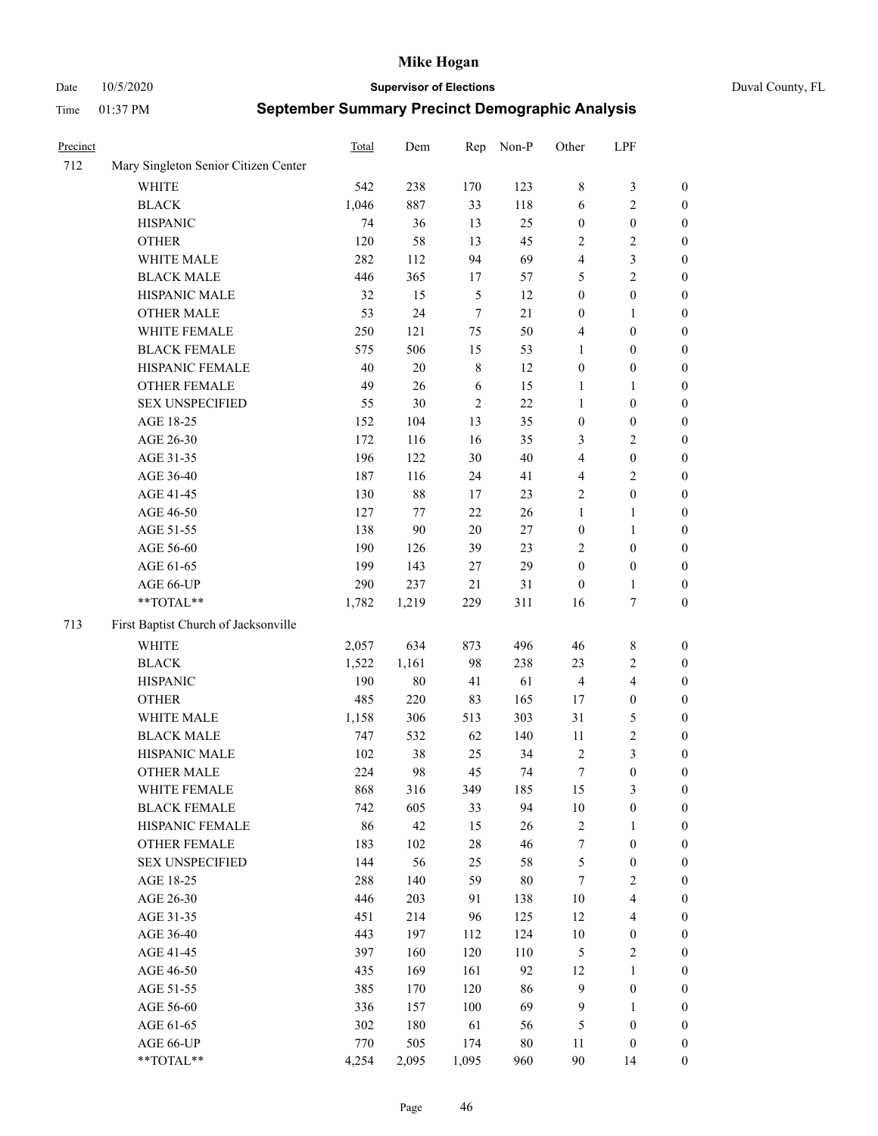Date 10/5/2020 **Supervisor of Elections** Duval County, FL

| Precinct |                                      | <b>Total</b> | Dem    | Rep            | Non-P  | Other            | LPF                     |                  |
|----------|--------------------------------------|--------------|--------|----------------|--------|------------------|-------------------------|------------------|
| 712      | Mary Singleton Senior Citizen Center |              |        |                |        |                  |                         |                  |
|          | <b>WHITE</b>                         | 542          | 238    | 170            | 123    | 8                | $\mathfrak{Z}$          | 0                |
|          | <b>BLACK</b>                         | 1,046        | 887    | 33             | 118    | 6                | $\sqrt{2}$              | 0                |
|          | <b>HISPANIC</b>                      | 74           | 36     | 13             | 25     | $\boldsymbol{0}$ | $\boldsymbol{0}$        | $\boldsymbol{0}$ |
|          | <b>OTHER</b>                         | 120          | 58     | 13             | 45     | 2                | $\sqrt{2}$              | $\boldsymbol{0}$ |
|          | WHITE MALE                           | 282          | 112    | 94             | 69     | 4                | $\mathfrak{Z}$          | $\boldsymbol{0}$ |
|          | <b>BLACK MALE</b>                    | 446          | 365    | 17             | 57     | 5                | $\sqrt{2}$              | $\boldsymbol{0}$ |
|          | HISPANIC MALE                        | 32           | 15     | $\mathfrak{S}$ | 12     | $\boldsymbol{0}$ | $\boldsymbol{0}$        | $\boldsymbol{0}$ |
|          | <b>OTHER MALE</b>                    | 53           | 24     | $\tau$         | 21     | $\boldsymbol{0}$ | $\mathbf{1}$            | $\boldsymbol{0}$ |
|          | WHITE FEMALE                         | 250          | 121    | 75             | 50     | 4                | $\boldsymbol{0}$        | $\boldsymbol{0}$ |
|          | <b>BLACK FEMALE</b>                  | 575          | 506    | 15             | 53     | 1                | $\boldsymbol{0}$        | 0                |
|          | HISPANIC FEMALE                      | 40           | $20\,$ | $\,$ 8 $\,$    | 12     | $\boldsymbol{0}$ | $\boldsymbol{0}$        | 0                |
|          | OTHER FEMALE                         | 49           | 26     | 6              | 15     | 1                | $\mathbf{1}$            | 0                |
|          | <b>SEX UNSPECIFIED</b>               | 55           | 30     | $\sqrt{2}$     | 22     | $\mathbf{1}$     | $\boldsymbol{0}$        | $\boldsymbol{0}$ |
|          | AGE 18-25                            | 152          | 104    | 13             | 35     | $\boldsymbol{0}$ | $\boldsymbol{0}$        | $\boldsymbol{0}$ |
|          | AGE 26-30                            | 172          | 116    | 16             | 35     | 3                | $\sqrt{2}$              | $\boldsymbol{0}$ |
|          | AGE 31-35                            | 196          | 122    | 30             | 40     | 4                | $\boldsymbol{0}$        | $\boldsymbol{0}$ |
|          | AGE 36-40                            | 187          | 116    | 24             | 41     | 4                | $\sqrt{2}$              | $\boldsymbol{0}$ |
|          | AGE 41-45                            | 130          | 88     | 17             | 23     | $\mathbf{2}$     | $\boldsymbol{0}$        | $\boldsymbol{0}$ |
|          | AGE 46-50                            | 127          | 77     | 22             | 26     | $\mathbf{1}$     | $\mathbf{1}$            | $\boldsymbol{0}$ |
|          | AGE 51-55                            | 138          | 90     | $20\,$         | $27\,$ | $\boldsymbol{0}$ | $\mathbf{1}$            | 0                |
|          | AGE 56-60                            | 190          | 126    | 39             | 23     | $\overline{2}$   | $\boldsymbol{0}$        | 0                |
|          | AGE 61-65                            | 199          | 143    | 27             | 29     | $\boldsymbol{0}$ | $\boldsymbol{0}$        | 0                |
|          | AGE 66-UP                            | 290          | 237    | 21             | 31     | $\boldsymbol{0}$ | $\mathbf{1}$            | 0                |
|          | **TOTAL**                            | 1,782        | 1,219  | 229            | 311    | 16               | $\boldsymbol{7}$        | $\boldsymbol{0}$ |
| 713      | First Baptist Church of Jacksonville |              |        |                |        |                  |                         |                  |
|          | <b>WHITE</b>                         | 2,057        | 634    | 873            | 496    | 46               | $\,$ 8 $\,$             | $\boldsymbol{0}$ |
|          | <b>BLACK</b>                         | 1,522        | 1,161  | 98             | 238    | 23               | $\sqrt{2}$              | $\boldsymbol{0}$ |
|          | <b>HISPANIC</b>                      | 190          | $80\,$ | 41             | 61     | $\overline{4}$   | $\overline{\mathbf{4}}$ | $\boldsymbol{0}$ |
|          | <b>OTHER</b>                         | 485          | 220    | 83             | 165    | 17               | $\boldsymbol{0}$        | $\boldsymbol{0}$ |
|          | WHITE MALE                           | 1,158        | 306    | 513            | 303    | 31               | $\mathfrak{S}$          | $\boldsymbol{0}$ |
|          | <b>BLACK MALE</b>                    | 747          | 532    | 62             | 140    | 11               | $\sqrt{2}$              | $\boldsymbol{0}$ |
|          | HISPANIC MALE                        | 102          | 38     | 25             | 34     | $\sqrt{2}$       | $\mathfrak{Z}$          | $\boldsymbol{0}$ |
|          | <b>OTHER MALE</b>                    | 224          | 98     | 45             | 74     | $\boldsymbol{7}$ | $\boldsymbol{0}$        | 0                |
|          | WHITE FEMALE                         | 868          | 316    | 349            | 185    | 15               | 3                       | 0                |
|          | <b>BLACK FEMALE</b>                  | 742          | 605    | 33             | 94     | $10\,$           | $\boldsymbol{0}$        | $\boldsymbol{0}$ |
|          | HISPANIC FEMALE                      | 86           | 42     | 15             | 26     | $\sqrt{2}$       | $\mathbf{1}$            | $\overline{0}$   |
|          | OTHER FEMALE                         | 183          | 102    | $28\,$         | 46     | 7                | $\boldsymbol{0}$        | $\overline{0}$   |
|          | <b>SEX UNSPECIFIED</b>               | 144          | 56     | 25             | 58     | $\mathfrak{S}$   | $\boldsymbol{0}$        | 0                |
|          | AGE 18-25                            | 288          | 140    | 59             | $80\,$ | $\tau$           | $\sqrt{2}$              | $\theta$         |
|          | AGE 26-30                            | 446          | 203    | 91             | 138    | $10\,$           | $\overline{\mathbf{4}}$ | 0                |
|          | AGE 31-35                            | 451          | 214    | 96             | 125    | 12               | $\overline{\mathbf{4}}$ | 0                |
|          | AGE 36-40                            | 443          | 197    | 112            | 124    | $10\,$           | $\boldsymbol{0}$        | 0                |
|          | AGE 41-45                            | 397          | 160    | 120            | 110    | $\mathfrak{S}$   | $\sqrt{2}$              | 0                |
|          | AGE 46-50                            | 435          | 169    | 161            | 92     | 12               | $\mathbf{1}$            | 0                |
|          | AGE 51-55                            | 385          | 170    | 120            | 86     | 9                | $\boldsymbol{0}$        | 0                |
|          | AGE 56-60                            | 336          | 157    | 100            | 69     | 9                | $\mathbf{1}$            | $\boldsymbol{0}$ |
|          | AGE 61-65                            | 302          | 180    | 61             | 56     | 5                | $\boldsymbol{0}$        | $\overline{0}$   |
|          | AGE 66-UP                            | 770          | 505    | 174            | $80\,$ | 11               | $\boldsymbol{0}$        | $\boldsymbol{0}$ |
|          | **TOTAL**                            | 4,254        | 2,095  | 1,095          | 960    | $90\,$           | 14                      | $\boldsymbol{0}$ |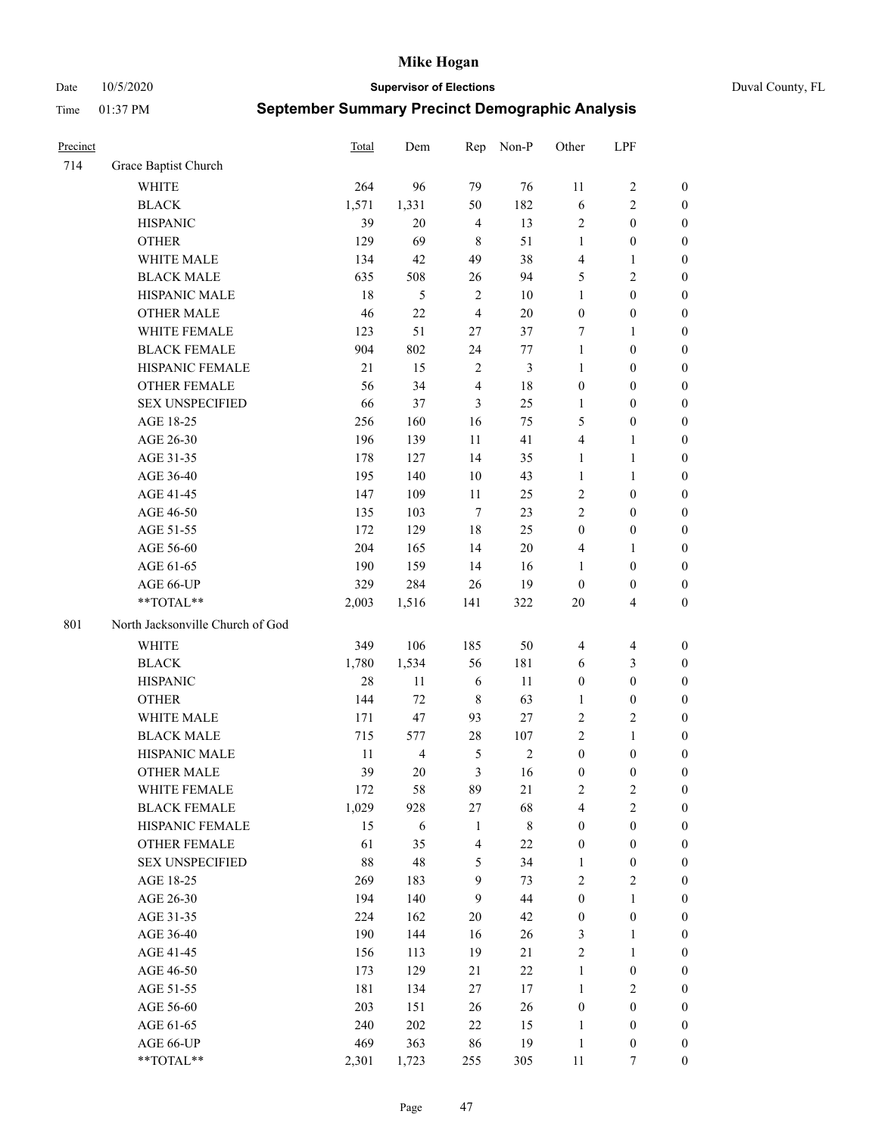Date 10/5/2020 **Supervisor of Elections** Duval County, FL

| Precinct |                                  | Total  | Dem            | Rep                     | Non-P          | Other            | LPF              |                  |
|----------|----------------------------------|--------|----------------|-------------------------|----------------|------------------|------------------|------------------|
| 714      | Grace Baptist Church             |        |                |                         |                |                  |                  |                  |
|          | <b>WHITE</b>                     | 264    | 96             | 79                      | 76             | 11               | $\sqrt{2}$       | 0                |
|          | <b>BLACK</b>                     | 1,571  | 1,331          | 50                      | 182            | 6                | $\sqrt{2}$       | 0                |
|          | <b>HISPANIC</b>                  | 39     | 20             | $\overline{4}$          | 13             | 2                | $\boldsymbol{0}$ | $\boldsymbol{0}$ |
|          | <b>OTHER</b>                     | 129    | 69             | 8                       | 51             | $\mathbf{1}$     | $\boldsymbol{0}$ | $\boldsymbol{0}$ |
|          | WHITE MALE                       | 134    | 42             | 49                      | 38             | 4                | $\mathbf{1}$     | $\boldsymbol{0}$ |
|          | <b>BLACK MALE</b>                | 635    | 508            | 26                      | 94             | 5                | $\sqrt{2}$       | $\boldsymbol{0}$ |
|          | HISPANIC MALE                    | 18     | 5              | 2                       | 10             | 1                | $\boldsymbol{0}$ | $\boldsymbol{0}$ |
|          | <b>OTHER MALE</b>                | 46     | 22             | $\overline{4}$          | 20             | $\boldsymbol{0}$ | $\boldsymbol{0}$ | $\boldsymbol{0}$ |
|          | WHITE FEMALE                     | 123    | 51             | 27                      | 37             | 7                | 1                | $\boldsymbol{0}$ |
|          | <b>BLACK FEMALE</b>              | 904    | 802            | 24                      | 77             | $\mathbf{1}$     | $\boldsymbol{0}$ | $\boldsymbol{0}$ |
|          | HISPANIC FEMALE                  | $21\,$ | 15             | $\overline{\mathbf{c}}$ | $\mathfrak{Z}$ | $\mathbf{1}$     | $\boldsymbol{0}$ | 0                |
|          | OTHER FEMALE                     | 56     | 34             | $\overline{4}$          | 18             | $\boldsymbol{0}$ | $\boldsymbol{0}$ | $\boldsymbol{0}$ |
|          | <b>SEX UNSPECIFIED</b>           | 66     | 37             | 3                       | 25             | $\mathbf{1}$     | $\boldsymbol{0}$ | $\boldsymbol{0}$ |
|          | AGE 18-25                        | 256    | 160            | 16                      | 75             | 5                | $\boldsymbol{0}$ | $\boldsymbol{0}$ |
|          | AGE 26-30                        | 196    | 139            | 11                      | 41             | 4                | $\mathbf{1}$     | $\boldsymbol{0}$ |
|          | AGE 31-35                        | 178    | 127            | 14                      | 35             | $\mathbf{1}$     | $\mathbf{1}$     | $\boldsymbol{0}$ |
|          | AGE 36-40                        | 195    | 140            | 10                      | 43             | $\mathbf{1}$     | $\mathbf{1}$     | $\boldsymbol{0}$ |
|          | AGE 41-45                        | 147    | 109            | $11\,$                  | 25             | 2                | $\boldsymbol{0}$ | $\boldsymbol{0}$ |
|          | AGE 46-50                        | 135    | 103            | $\tau$                  | 23             | $\overline{c}$   | $\boldsymbol{0}$ | $\boldsymbol{0}$ |
|          | AGE 51-55                        | 172    | 129            | 18                      | 25             | $\boldsymbol{0}$ | $\boldsymbol{0}$ | $\boldsymbol{0}$ |
|          | AGE 56-60                        | 204    | 165            | 14                      | 20             | 4                | 1                | 0                |
|          | AGE 61-65                        | 190    | 159            | 14                      | 16             | $\mathbf{1}$     | $\boldsymbol{0}$ | $\boldsymbol{0}$ |
|          | AGE 66-UP                        | 329    | 284            | 26                      | 19             | $\boldsymbol{0}$ | $\boldsymbol{0}$ | $\boldsymbol{0}$ |
|          | $**TOTAL**$                      | 2,003  | 1,516          | 141                     | 322            | $20\,$           | $\overline{4}$   | $\boldsymbol{0}$ |
| 801      | North Jacksonville Church of God |        |                |                         |                |                  |                  |                  |
|          | <b>WHITE</b>                     | 349    | 106            | 185                     | 50             | 4                | $\overline{4}$   | $\boldsymbol{0}$ |
|          | <b>BLACK</b>                     | 1,780  | 1,534          | 56                      | 181            | 6                | $\mathfrak{Z}$   | $\boldsymbol{0}$ |
|          | <b>HISPANIC</b>                  | 28     | 11             | 6                       | 11             | $\boldsymbol{0}$ | $\boldsymbol{0}$ | $\boldsymbol{0}$ |
|          | <b>OTHER</b>                     | 144    | 72             | $\,8\,$                 | 63             | $\mathbf{1}$     | $\boldsymbol{0}$ | $\boldsymbol{0}$ |
|          | WHITE MALE                       | 171    | 47             | 93                      | $27\,$         | $\overline{c}$   | $\mathbf{2}$     | $\boldsymbol{0}$ |
|          | <b>BLACK MALE</b>                | 715    | 577            | 28                      | 107            | $\overline{c}$   | $\mathbf{1}$     | $\boldsymbol{0}$ |
|          | HISPANIC MALE                    | 11     | $\overline{4}$ | 5                       | $\sqrt{2}$     | $\boldsymbol{0}$ | $\boldsymbol{0}$ | 0                |
|          | <b>OTHER MALE</b>                | 39     | 20             | 3                       | 16             | $\boldsymbol{0}$ | $\boldsymbol{0}$ | $\boldsymbol{0}$ |
|          | WHITE FEMALE                     | 172    | 58             | 89                      | 21             | 2                | $\overline{c}$   | 0                |
|          | <b>BLACK FEMALE</b>              | 1,029  | 928            | 27                      | 68             | 4                | $\sqrt{2}$       | $\overline{0}$   |
|          | HISPANIC FEMALE                  | 15     | 6              | $\mathbf{1}$            | $\,$ 8 $\,$    | $\boldsymbol{0}$ | $\boldsymbol{0}$ | $\overline{0}$   |
|          | OTHER FEMALE                     | 61     | 35             | 4                       | $22\,$         | $\boldsymbol{0}$ | $\boldsymbol{0}$ | $\overline{0}$   |
|          | <b>SEX UNSPECIFIED</b>           | 88     | 48             | 5                       | 34             | 1                | $\boldsymbol{0}$ | 0                |
|          | AGE 18-25                        | 269    | 183            | 9                       | 73             | 2                | $\sqrt{2}$       | 0                |
|          | AGE 26-30                        | 194    | 140            | $\mathbf{9}$            | 44             | $\boldsymbol{0}$ | $\mathbf{1}$     | 0                |
|          | AGE 31-35                        | 224    | 162            | $20\,$                  | 42             | 0                | $\boldsymbol{0}$ | 0                |
|          | AGE 36-40                        | 190    | 144            | 16                      | 26             | 3                | $\mathbf{1}$     | 0                |
|          | AGE 41-45                        | 156    | 113            | 19                      | 21             | 2                | $\mathbf{1}$     | 0                |
|          | AGE 46-50                        | 173    | 129            | 21                      | $22\,$         | $\mathbf{1}$     | $\boldsymbol{0}$ | 0                |
|          | AGE 51-55                        | 181    | 134            | 27                      | 17             | $\mathbf{1}$     | $\mathfrak{2}$   | 0                |
|          | AGE 56-60                        | 203    | 151            | 26                      | 26             | $\boldsymbol{0}$ | $\boldsymbol{0}$ | $\overline{0}$   |
|          | AGE 61-65                        | 240    | 202            | 22                      | 15             | 1                | $\boldsymbol{0}$ | $\overline{0}$   |
|          | AGE 66-UP                        | 469    | 363            | 86                      | 19             | $\,1$            | $\boldsymbol{0}$ | 0                |
|          | **TOTAL**                        | 2,301  | 1,723          | 255                     | 305            | 11               | 7                | $\boldsymbol{0}$ |
|          |                                  |        |                |                         |                |                  |                  |                  |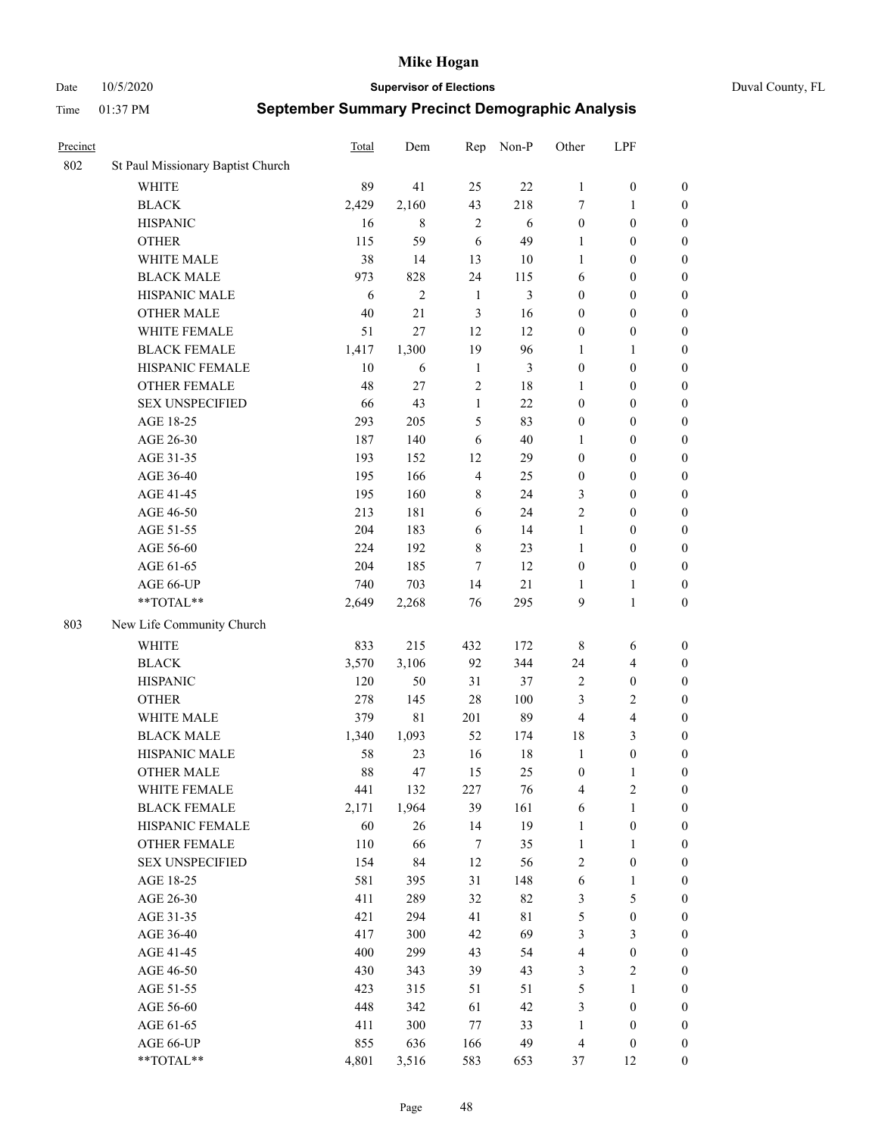Date 10/5/2020 **Supervisor of Elections** Duval County, FL

| Precinct |                                   | <b>Total</b> | Dem            | Rep            | Non-P  | Other            | LPF                     |                  |
|----------|-----------------------------------|--------------|----------------|----------------|--------|------------------|-------------------------|------------------|
| 802      | St Paul Missionary Baptist Church |              |                |                |        |                  |                         |                  |
|          | <b>WHITE</b>                      | 89           | 41             | 25             | 22     | 1                | $\boldsymbol{0}$        | 0                |
|          | <b>BLACK</b>                      | 2,429        | 2,160          | 43             | 218    | 7                | $\mathbf{1}$            | $\boldsymbol{0}$ |
|          | <b>HISPANIC</b>                   | 16           | 8              | $\overline{2}$ | 6      | $\boldsymbol{0}$ | $\boldsymbol{0}$        | $\boldsymbol{0}$ |
|          | <b>OTHER</b>                      | 115          | 59             | 6              | 49     | 1                | $\boldsymbol{0}$        | $\boldsymbol{0}$ |
|          | WHITE MALE                        | 38           | 14             | 13             | 10     | $\mathbf{1}$     | $\boldsymbol{0}$        | $\boldsymbol{0}$ |
|          | <b>BLACK MALE</b>                 | 973          | 828            | 24             | 115    | 6                | $\boldsymbol{0}$        | $\boldsymbol{0}$ |
|          | HISPANIC MALE                     | 6            | $\overline{2}$ | $\mathbf{1}$   | 3      | $\boldsymbol{0}$ | $\boldsymbol{0}$        | $\boldsymbol{0}$ |
|          | <b>OTHER MALE</b>                 | 40           | 21             | 3              | 16     | $\boldsymbol{0}$ | $\boldsymbol{0}$        | $\boldsymbol{0}$ |
|          | WHITE FEMALE                      | 51           | 27             | 12             | 12     | $\boldsymbol{0}$ | $\boldsymbol{0}$        | $\boldsymbol{0}$ |
|          | <b>BLACK FEMALE</b>               | 1,417        | 1,300          | 19             | 96     | 1                | $\mathbf{1}$            | $\boldsymbol{0}$ |
|          | HISPANIC FEMALE                   | 10           | 6              | $\mathbf{1}$   | 3      | $\boldsymbol{0}$ | $\boldsymbol{0}$        | 0                |
|          | <b>OTHER FEMALE</b>               | 48           | 27             | $\overline{2}$ | $18\,$ | 1                | $\boldsymbol{0}$        | $\boldsymbol{0}$ |
|          | <b>SEX UNSPECIFIED</b>            | 66           | 43             | $\mathbf{1}$   | 22     | $\boldsymbol{0}$ | $\boldsymbol{0}$        | $\boldsymbol{0}$ |
|          | AGE 18-25                         | 293          | 205            | 5              | 83     | $\boldsymbol{0}$ | $\boldsymbol{0}$        | $\boldsymbol{0}$ |
|          | AGE 26-30                         | 187          | 140            | 6              | 40     | $\mathbf{1}$     | $\boldsymbol{0}$        | $\boldsymbol{0}$ |
|          | AGE 31-35                         | 193          | 152            | 12             | 29     | $\boldsymbol{0}$ | $\boldsymbol{0}$        | $\boldsymbol{0}$ |
|          | AGE 36-40                         | 195          | 166            | $\overline{4}$ | 25     | $\boldsymbol{0}$ | $\boldsymbol{0}$        | $\boldsymbol{0}$ |
|          | AGE 41-45                         | 195          | 160            | $8\,$          | 24     | 3                | $\boldsymbol{0}$        | $\boldsymbol{0}$ |
|          | AGE 46-50                         | 213          | 181            | 6              | 24     | $\mathfrak{2}$   | $\boldsymbol{0}$        | $\boldsymbol{0}$ |
|          | AGE 51-55                         | 204          | 183            | 6              | 14     | $\mathbf{1}$     | $\boldsymbol{0}$        | $\boldsymbol{0}$ |
|          | AGE 56-60                         | 224          | 192            | $\,8\,$        | 23     | 1                | $\boldsymbol{0}$        | 0                |
|          | AGE 61-65                         | 204          | 185            | 7              | 12     | $\boldsymbol{0}$ | $\boldsymbol{0}$        | $\boldsymbol{0}$ |
|          | AGE 66-UP                         | 740          | 703            | 14             | 21     | 1                | $\mathbf{1}$            | $\boldsymbol{0}$ |
|          | **TOTAL**                         | 2,649        | 2,268          | 76             | 295    | 9                | $\mathbf{1}$            | $\boldsymbol{0}$ |
| 803      | New Life Community Church         |              |                |                |        |                  |                         |                  |
|          | <b>WHITE</b>                      | 833          | 215            | 432            | 172    | 8                | 6                       | $\boldsymbol{0}$ |
|          | <b>BLACK</b>                      | 3,570        | 3,106          | 92             | 344    | 24               | $\overline{\mathbf{4}}$ | $\boldsymbol{0}$ |
|          | <b>HISPANIC</b>                   | 120          | 50             | 31             | 37     | $\overline{c}$   | $\boldsymbol{0}$        | $\boldsymbol{0}$ |
|          | <b>OTHER</b>                      | 278          | 145            | 28             | 100    | 3                | $\sqrt{2}$              | $\boldsymbol{0}$ |
|          | WHITE MALE                        | 379          | $8\sqrt{1}$    | 201            | 89     | $\overline{4}$   | $\overline{4}$          | $\boldsymbol{0}$ |
|          | <b>BLACK MALE</b>                 | 1,340        | 1,093          | 52             | 174    | 18               | 3                       | $\boldsymbol{0}$ |
|          | HISPANIC MALE                     | 58           | 23             | 16             | 18     | $\mathbf{1}$     | $\boldsymbol{0}$        | $\boldsymbol{0}$ |
|          | <b>OTHER MALE</b>                 | 88           | 47             | 15             | 25     | $\boldsymbol{0}$ | $\mathbf{1}$            | $\boldsymbol{0}$ |
|          | WHITE FEMALE                      | 441          | 132            | 227            | 76     | 4                | 2                       | 0                |
|          | <b>BLACK FEMALE</b>               | 2,171        | 1,964          | 39             | 161    | 6                | $\mathbf{1}$            | $\boldsymbol{0}$ |
|          | HISPANIC FEMALE                   | 60           | 26             | 14             | 19     | $\mathbf{1}$     | $\boldsymbol{0}$        | $\boldsymbol{0}$ |
|          | OTHER FEMALE                      | 110          | 66             | 7              | 35     | $\mathbf{1}$     | $\mathbf{1}$            | $\overline{0}$   |
|          | <b>SEX UNSPECIFIED</b>            | 154          | 84             | 12             | 56     | 2                | $\boldsymbol{0}$        | 0                |
|          | AGE 18-25                         | 581          | 395            | 31             | 148    | 6                | $\mathbf{1}$            | 0                |
|          | AGE 26-30                         | 411          | 289            | 32             | 82     | 3                | $\mathfrak{S}$          | 0                |
|          | AGE 31-35                         | 421          | 294            | 41             | 81     | 5                | $\boldsymbol{0}$        | 0                |
|          | AGE 36-40                         | 417          | 300            | 42             | 69     | 3                | $\mathfrak{Z}$          | 0                |
|          | AGE 41-45                         | 400          | 299            | 43             | 54     | $\overline{4}$   | $\boldsymbol{0}$        | 0                |
|          | AGE 46-50                         | 430          | 343            | 39             | 43     | 3                | $\sqrt{2}$              | 0                |
|          | AGE 51-55                         | 423          | 315            | 51             | 51     | 5                | $\mathbf{1}$            | $\boldsymbol{0}$ |
|          | AGE 56-60                         | 448          | 342            | 61             | 42     | 3                | $\boldsymbol{0}$        | $\boldsymbol{0}$ |
|          | AGE 61-65                         | 411          | 300            | 77             | 33     | $\mathbf{1}$     | $\boldsymbol{0}$        | $\boldsymbol{0}$ |
|          | AGE 66-UP                         | 855          | 636            | 166            | 49     | $\overline{4}$   | $\boldsymbol{0}$        | 0                |
|          | **TOTAL**                         | 4,801        | 3,516          | 583            | 653    | 37               | 12                      | $\boldsymbol{0}$ |
|          |                                   |              |                |                |        |                  |                         |                  |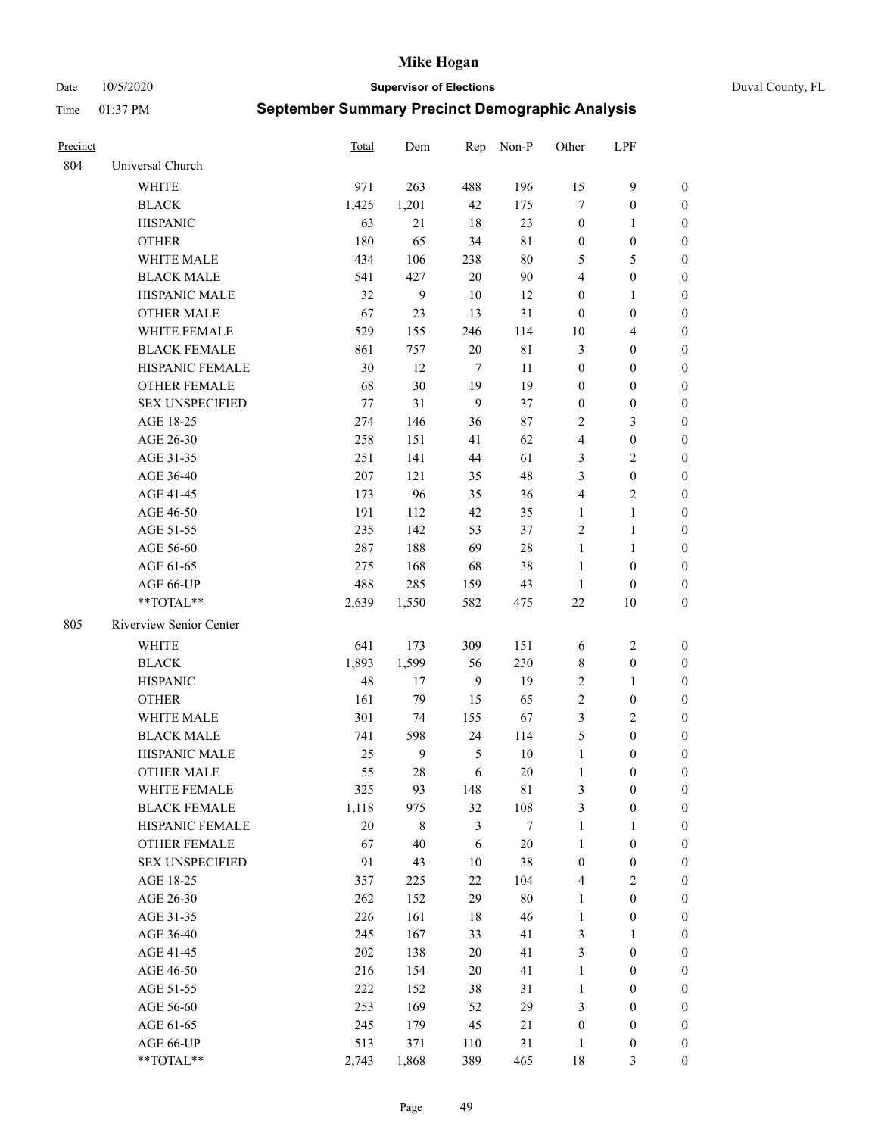Date 10/5/2020 **Supervisor of Elections** Duval County, FL

| Precinct |                         | Total   | Dem   |                | Rep Non-P   | Other            | LPF              |                  |
|----------|-------------------------|---------|-------|----------------|-------------|------------------|------------------|------------------|
| 804      | Universal Church        |         |       |                |             |                  |                  |                  |
|          | <b>WHITE</b>            | 971     | 263   | 488            | 196         | 15               | 9                | $\boldsymbol{0}$ |
|          | <b>BLACK</b>            | 1,425   | 1,201 | 42             | 175         | $\tau$           | $\boldsymbol{0}$ | $\boldsymbol{0}$ |
|          | <b>HISPANIC</b>         | 63      | 21    | 18             | 23          | $\boldsymbol{0}$ | $\mathbf{1}$     | $\boldsymbol{0}$ |
|          | <b>OTHER</b>            | 180     | 65    | 34             | $8\sqrt{1}$ | $\boldsymbol{0}$ | $\boldsymbol{0}$ | $\boldsymbol{0}$ |
|          | WHITE MALE              | 434     | 106   | 238            | $80\,$      | 5                | 5                | $\boldsymbol{0}$ |
|          | <b>BLACK MALE</b>       | 541     | 427   | 20             | $90\,$      | 4                | $\boldsymbol{0}$ | $\boldsymbol{0}$ |
|          | HISPANIC MALE           | 32      | 9     | 10             | 12          | $\boldsymbol{0}$ | $\mathbf{1}$     | $\boldsymbol{0}$ |
|          | <b>OTHER MALE</b>       | 67      | 23    | 13             | 31          | $\boldsymbol{0}$ | $\boldsymbol{0}$ | $\boldsymbol{0}$ |
|          | WHITE FEMALE            | 529     | 155   | 246            | 114         | 10               | $\overline{4}$   | 0                |
|          | <b>BLACK FEMALE</b>     | 861     | 757   | 20             | 81          | 3                | $\boldsymbol{0}$ | 0                |
|          | HISPANIC FEMALE         | 30      | 12    | $\tau$         | 11          | $\boldsymbol{0}$ | $\boldsymbol{0}$ | $\boldsymbol{0}$ |
|          | OTHER FEMALE            | 68      | 30    | 19             | 19          | $\boldsymbol{0}$ | $\boldsymbol{0}$ | $\boldsymbol{0}$ |
|          | <b>SEX UNSPECIFIED</b>  | $77 \,$ | 31    | 9              | 37          | $\boldsymbol{0}$ | $\boldsymbol{0}$ | $\boldsymbol{0}$ |
|          | AGE 18-25               | 274     | 146   | 36             | 87          | 2                | $\mathfrak{Z}$   | $\boldsymbol{0}$ |
|          | AGE 26-30               | 258     | 151   | 41             | 62          | 4                | $\boldsymbol{0}$ | $\boldsymbol{0}$ |
|          | AGE 31-35               | 251     | 141   | 44             | 61          | 3                | $\sqrt{2}$       | $\boldsymbol{0}$ |
|          | AGE 36-40               | 207     | 121   | 35             | 48          | 3                | $\boldsymbol{0}$ | $\overline{0}$   |
|          | AGE 41-45               | 173     | 96    | 35             | 36          | 4                | $\overline{c}$   | $\boldsymbol{0}$ |
|          | AGE 46-50               | 191     | 112   | 42             | 35          | $\mathbf{1}$     | $\mathbf{1}$     | $\boldsymbol{0}$ |
|          | AGE 51-55               | 235     | 142   | 53             | 37          | $\mathbf{2}$     | $\mathbf{1}$     | 0                |
|          | AGE 56-60               | 287     | 188   | 69             | $28\,$      | $\mathbf{1}$     | $\mathbf{1}$     | 0                |
|          | AGE 61-65               | 275     | 168   | 68             | 38          | $\mathbf{1}$     | $\boldsymbol{0}$ | 0                |
|          | AGE 66-UP               | 488     | 285   | 159            | 43          | $\mathbf{1}$     | $\boldsymbol{0}$ | $\boldsymbol{0}$ |
|          | **TOTAL**               | 2,639   | 1,550 | 582            | 475         | $22\,$           | 10               | $\boldsymbol{0}$ |
| 805      | Riverview Senior Center |         |       |                |             |                  |                  |                  |
|          | WHITE                   | 641     | 173   | 309            | 151         | 6                | $\sqrt{2}$       | $\boldsymbol{0}$ |
|          | <b>BLACK</b>            | 1,893   | 1,599 | 56             | 230         | 8                | $\boldsymbol{0}$ | $\boldsymbol{0}$ |
|          | <b>HISPANIC</b>         | 48      | 17    | 9              | 19          | $\sqrt{2}$       | $\mathbf{1}$     | $\boldsymbol{0}$ |
|          | <b>OTHER</b>            | 161     | 79    | 15             | 65          | $\sqrt{2}$       | $\boldsymbol{0}$ | $\boldsymbol{0}$ |
|          | WHITE MALE              | 301     | 74    | 155            | 67          | 3                | $\overline{2}$   | $\boldsymbol{0}$ |
|          | <b>BLACK MALE</b>       | 741     | 598   | 24             | 114         | 5                | $\boldsymbol{0}$ | $\boldsymbol{0}$ |
|          | HISPANIC MALE           | 25      | 9     | 5              | $10\,$      | $\mathbf{1}$     | $\boldsymbol{0}$ | 0                |
|          | <b>OTHER MALE</b>       | 55      | 28    | 6              | 20          | $\mathbf{1}$     | $\boldsymbol{0}$ | $\boldsymbol{0}$ |
|          | WHITE FEMALE            | 325     | 93    | 148            | 81          | 3                | $\boldsymbol{0}$ | $\boldsymbol{0}$ |
|          | <b>BLACK FEMALE</b>     | 1,118   | 975   | 32             | 108         | 3                | $\boldsymbol{0}$ | $\boldsymbol{0}$ |
|          | HISPANIC FEMALE         | $20\,$  | 8     | $\mathfrak{Z}$ | $\tau$      | $\mathbf{1}$     | $\mathbf{1}$     | $\overline{0}$   |
|          | <b>OTHER FEMALE</b>     | 67      | 40    | 6              | $20\,$      | $\mathbf{1}$     | $\boldsymbol{0}$ | 0                |
|          | <b>SEX UNSPECIFIED</b>  | 91      | 43    | 10             | 38          | $\boldsymbol{0}$ | $\boldsymbol{0}$ | 0                |
|          | AGE 18-25               | 357     | 225   | 22             | 104         | 4                | $\sqrt{2}$       | $\theta$         |
|          | AGE 26-30               | 262     | 152   | 29             | $80\,$      | $\mathbf{1}$     | $\boldsymbol{0}$ | 0                |
|          | AGE 31-35               | 226     | 161   | 18             | 46          | $\mathbf{1}$     | $\boldsymbol{0}$ | 0                |
|          | AGE 36-40               | 245     | 167   | 33             | 41          | 3                | $\mathbf{1}$     | 0                |
|          | AGE 41-45               | 202     | 138   | 20             | 41          | 3                | $\boldsymbol{0}$ | 0                |
|          | AGE 46-50               | 216     | 154   | 20             | 41          | $\mathbf{1}$     | $\boldsymbol{0}$ | 0                |
|          | AGE 51-55               | 222     | 152   | 38             | 31          | 1                | $\boldsymbol{0}$ | $\boldsymbol{0}$ |
|          | AGE 56-60               | 253     | 169   | 52             | 29          | 3                | $\boldsymbol{0}$ | $\boldsymbol{0}$ |
|          | AGE 61-65               | 245     | 179   | 45             | 21          | $\boldsymbol{0}$ | $\boldsymbol{0}$ | 0                |
|          | AGE 66-UP               | 513     | 371   | 110            | 31          | $\mathbf{1}$     | $\boldsymbol{0}$ | 0                |
|          | **TOTAL**               | 2,743   | 1,868 | 389            | 465         | $18\,$           | 3                | $\boldsymbol{0}$ |
|          |                         |         |       |                |             |                  |                  |                  |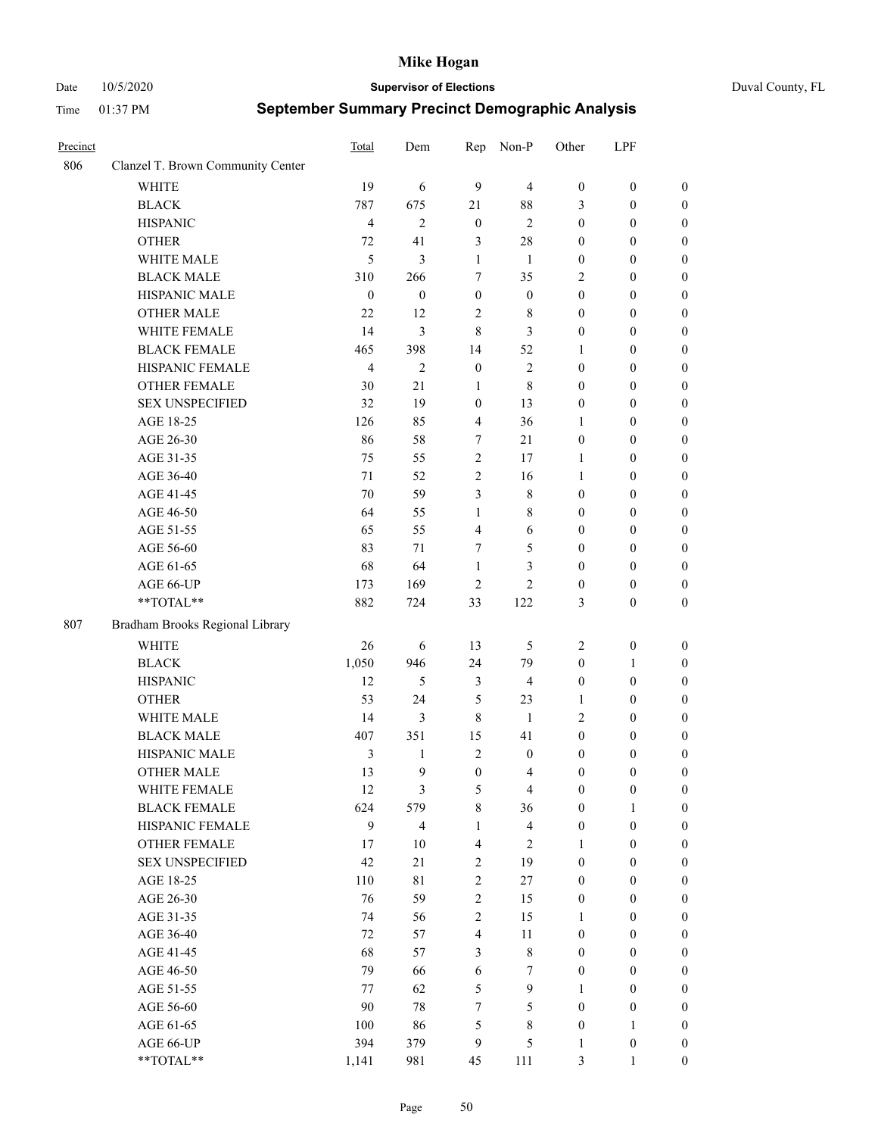#### Date 10/5/2020 **Supervisor of Elections** Duval County, FL

| Precinct |                                   | Total            | Dem                     | Rep              | Non-P                   | Other            | LPF              |                  |
|----------|-----------------------------------|------------------|-------------------------|------------------|-------------------------|------------------|------------------|------------------|
| 806      | Clanzel T. Brown Community Center |                  |                         |                  |                         |                  |                  |                  |
|          | <b>WHITE</b>                      | 19               | 6                       | 9                | $\overline{4}$          | $\boldsymbol{0}$ | $\boldsymbol{0}$ | $\boldsymbol{0}$ |
|          | <b>BLACK</b>                      | 787              | 675                     | 21               | 88                      | 3                | $\boldsymbol{0}$ | $\boldsymbol{0}$ |
|          | <b>HISPANIC</b>                   | $\overline{4}$   | $\overline{2}$          | $\boldsymbol{0}$ | $\mathbf{2}$            | $\boldsymbol{0}$ | $\boldsymbol{0}$ | $\boldsymbol{0}$ |
|          | <b>OTHER</b>                      | 72               | 41                      | $\mathfrak{Z}$   | 28                      | $\boldsymbol{0}$ | $\boldsymbol{0}$ | $\boldsymbol{0}$ |
|          | WHITE MALE                        | 5                | 3                       | 1                | 1                       | $\boldsymbol{0}$ | $\boldsymbol{0}$ | $\boldsymbol{0}$ |
|          | <b>BLACK MALE</b>                 | 310              | 266                     | 7                | 35                      | $\overline{c}$   | $\boldsymbol{0}$ | $\boldsymbol{0}$ |
|          | HISPANIC MALE                     | $\boldsymbol{0}$ | $\boldsymbol{0}$        | $\boldsymbol{0}$ | $\boldsymbol{0}$        | $\boldsymbol{0}$ | $\boldsymbol{0}$ | $\boldsymbol{0}$ |
|          | <b>OTHER MALE</b>                 | 22               | 12                      | $\overline{2}$   | $\,$ 8 $\,$             | $\boldsymbol{0}$ | $\boldsymbol{0}$ | $\boldsymbol{0}$ |
|          | WHITE FEMALE                      | 14               | 3                       | 8                | 3                       | $\boldsymbol{0}$ | $\boldsymbol{0}$ | $\boldsymbol{0}$ |
|          | <b>BLACK FEMALE</b>               | 465              | 398                     | 14               | 52                      | 1                | $\boldsymbol{0}$ | 0                |
|          | HISPANIC FEMALE                   | $\overline{4}$   | $\overline{c}$          | $\boldsymbol{0}$ | 2                       | $\boldsymbol{0}$ | $\boldsymbol{0}$ | $\boldsymbol{0}$ |
|          | <b>OTHER FEMALE</b>               | 30               | 21                      | $\mathbf{1}$     | 8                       | $\boldsymbol{0}$ | $\boldsymbol{0}$ | $\boldsymbol{0}$ |
|          | <b>SEX UNSPECIFIED</b>            | 32               | 19                      | $\boldsymbol{0}$ | 13                      | $\boldsymbol{0}$ | $\boldsymbol{0}$ | $\boldsymbol{0}$ |
|          | AGE 18-25                         | 126              | 85                      | $\overline{4}$   | 36                      | $\mathbf{1}$     | $\boldsymbol{0}$ | $\boldsymbol{0}$ |
|          | AGE 26-30                         | 86               | 58                      | 7                | 21                      | $\boldsymbol{0}$ | $\boldsymbol{0}$ | $\boldsymbol{0}$ |
|          | AGE 31-35                         | 75               | 55                      | $\sqrt{2}$       | 17                      | $\mathbf{1}$     | $\boldsymbol{0}$ | $\boldsymbol{0}$ |
|          | AGE 36-40                         | 71               | 52                      | $\mathbf{2}$     | 16                      | $\mathbf{1}$     | $\boldsymbol{0}$ | $\boldsymbol{0}$ |
|          | AGE 41-45                         | 70               | 59                      | 3                | $\,$ 8 $\,$             | $\boldsymbol{0}$ | $\boldsymbol{0}$ | $\boldsymbol{0}$ |
|          | AGE 46-50                         | 64               | 55                      | $\mathbf{1}$     | 8                       | $\boldsymbol{0}$ | $\boldsymbol{0}$ | $\boldsymbol{0}$ |
|          | AGE 51-55                         | 65               | 55                      | $\overline{4}$   | 6                       | $\boldsymbol{0}$ | $\boldsymbol{0}$ | 0                |
|          | AGE 56-60                         | 83               | 71                      | 7                | 5                       | $\boldsymbol{0}$ | $\boldsymbol{0}$ | $\boldsymbol{0}$ |
|          | AGE 61-65                         | 68               | 64                      | $\mathbf{1}$     | 3                       | $\boldsymbol{0}$ | $\boldsymbol{0}$ | $\boldsymbol{0}$ |
|          | AGE 66-UP                         | 173              | 169                     | $\overline{2}$   | $\overline{c}$          | $\boldsymbol{0}$ | $\boldsymbol{0}$ | $\boldsymbol{0}$ |
|          | **TOTAL**                         | 882              | 724                     | 33               | 122                     | 3                | $\boldsymbol{0}$ | $\boldsymbol{0}$ |
| 807      | Bradham Brooks Regional Library   |                  |                         |                  |                         |                  |                  |                  |
|          | <b>WHITE</b>                      | 26               | 6                       | 13               | 5                       | $\sqrt{2}$       | $\boldsymbol{0}$ | $\boldsymbol{0}$ |
|          | <b>BLACK</b>                      | 1,050            | 946                     | 24               | 79                      | $\boldsymbol{0}$ | $\mathbf{1}$     | $\boldsymbol{0}$ |
|          | <b>HISPANIC</b>                   | 12               | 5                       | $\mathfrak{Z}$   | $\overline{4}$          | $\boldsymbol{0}$ | $\boldsymbol{0}$ | $\boldsymbol{0}$ |
|          | <b>OTHER</b>                      | 53               | 24                      | $\mathfrak{S}$   | 23                      | $\mathbf{1}$     | $\boldsymbol{0}$ | $\boldsymbol{0}$ |
|          | WHITE MALE                        | 14               | 3                       | $\,8\,$          | -1                      | $\overline{c}$   | $\boldsymbol{0}$ | $\boldsymbol{0}$ |
|          | <b>BLACK MALE</b>                 | 407              | 351                     | 15               | 41                      | $\boldsymbol{0}$ | $\boldsymbol{0}$ | $\boldsymbol{0}$ |
|          | HISPANIC MALE                     | $\mathfrak{Z}$   | 1                       | $\sqrt{2}$       | $\boldsymbol{0}$        | $\boldsymbol{0}$ | $\boldsymbol{0}$ | 0                |
|          | <b>OTHER MALE</b>                 | 13               | 9                       | $\boldsymbol{0}$ | $\overline{4}$          | $\boldsymbol{0}$ | $\boldsymbol{0}$ | $\boldsymbol{0}$ |
|          | WHITE FEMALE                      | 12               | 3                       | $\mathfrak{S}$   | $\overline{\mathbf{4}}$ | $\boldsymbol{0}$ | $\boldsymbol{0}$ | $\boldsymbol{0}$ |
|          | <b>BLACK FEMALE</b>               | 624              | 579                     | $\,$ $\,$        | 36                      | $\boldsymbol{0}$ | $\mathbf{1}$     | $\overline{0}$   |
|          | HISPANIC FEMALE                   | 9                | $\overline{\mathbf{4}}$ | $\mathbf{1}$     | $\overline{\mathbf{4}}$ | $\boldsymbol{0}$ | $\boldsymbol{0}$ | $\overline{0}$   |
|          | <b>OTHER FEMALE</b>               | 17               | 10                      | $\overline{4}$   | $\sqrt{2}$              | $\mathbf{1}$     | $\boldsymbol{0}$ | $\overline{0}$   |
|          | <b>SEX UNSPECIFIED</b>            | 42               | 21                      | $\sqrt{2}$       | 19                      | $\boldsymbol{0}$ | $\boldsymbol{0}$ | $\overline{0}$   |
|          | AGE 18-25                         | 110              | 81                      | $\sqrt{2}$       | 27                      | $\boldsymbol{0}$ | $\boldsymbol{0}$ | $\overline{0}$   |
|          | AGE 26-30                         | 76               | 59                      | $\sqrt{2}$       | 15                      | $\boldsymbol{0}$ | $\boldsymbol{0}$ | $\overline{0}$   |
|          | AGE 31-35                         | 74               | 56                      | $\sqrt{2}$       | 15                      | $\mathbf{1}$     | $\boldsymbol{0}$ | 0                |
|          | AGE 36-40                         | 72               | 57                      | $\overline{4}$   | 11                      | $\boldsymbol{0}$ | $\boldsymbol{0}$ | 0                |
|          | AGE 41-45                         | 68               | 57                      | $\mathfrak{Z}$   | $8\,$                   | $\boldsymbol{0}$ | $\boldsymbol{0}$ | $\boldsymbol{0}$ |
|          | AGE 46-50                         | 79               | 66                      | $\sqrt{6}$       | $\tau$                  | $\boldsymbol{0}$ | $\boldsymbol{0}$ | $\boldsymbol{0}$ |
|          | AGE 51-55                         | 77               | 62                      | $\mathfrak s$    | $\boldsymbol{9}$        | 1                | $\boldsymbol{0}$ | $\boldsymbol{0}$ |
|          | AGE 56-60                         | 90               | 78                      | $\tau$           | 5                       | $\boldsymbol{0}$ | $\boldsymbol{0}$ | $\boldsymbol{0}$ |
|          | AGE 61-65                         | 100              | 86                      | 5                | 8                       | $\boldsymbol{0}$ | $\mathbf{1}$     | $\boldsymbol{0}$ |
|          | AGE 66-UP                         | 394              | 379                     | 9                | 5                       | $\mathbf{1}$     | $\boldsymbol{0}$ | $\boldsymbol{0}$ |
|          | **TOTAL**                         | 1,141            | 981                     | 45               | 111                     | 3                | $\mathbf{1}$     | $\boldsymbol{0}$ |
|          |                                   |                  |                         |                  |                         |                  |                  |                  |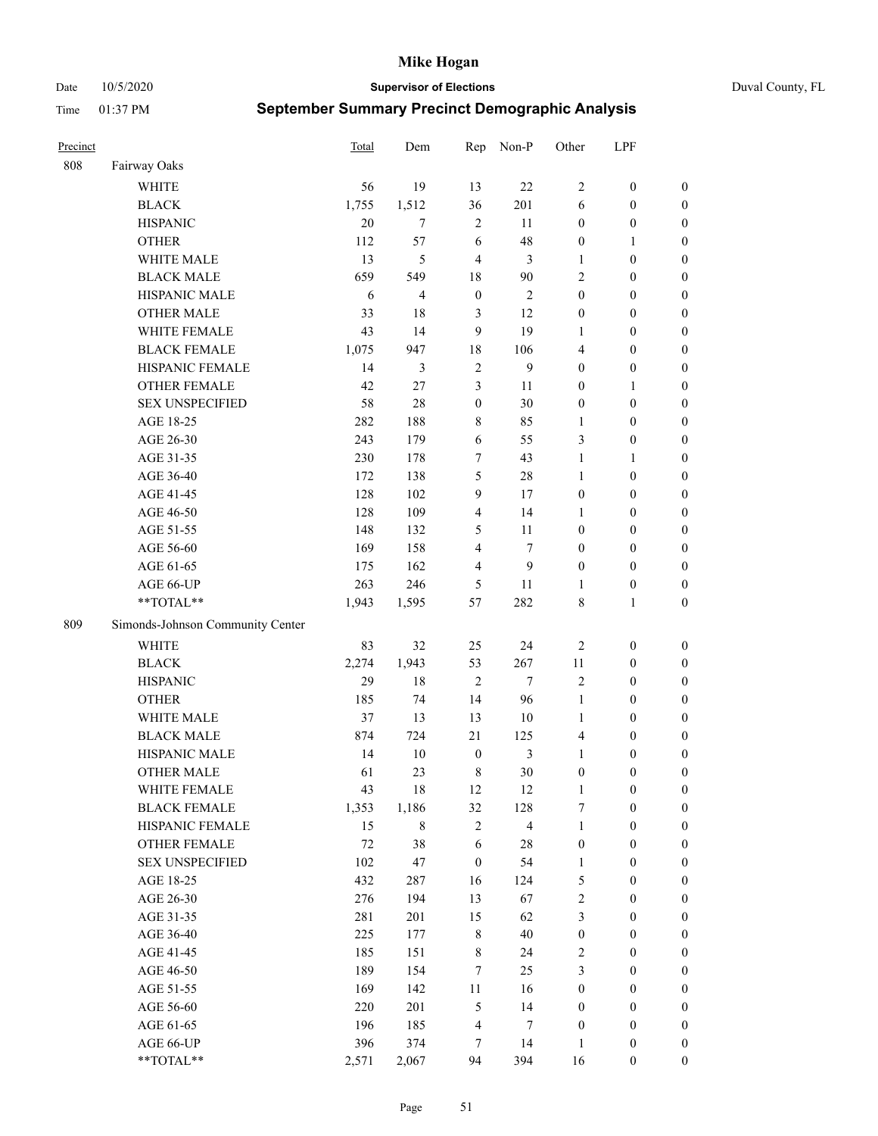Date 10/5/2020 **Supervisor of Elections** Duval County, FL

| Precinct |                                  | Total       | Dem                     | Rep                     | Non-P                   | Other            | LPF                                  |                  |
|----------|----------------------------------|-------------|-------------------------|-------------------------|-------------------------|------------------|--------------------------------------|------------------|
| 808      | Fairway Oaks                     |             |                         |                         |                         |                  |                                      |                  |
|          | <b>WHITE</b>                     | 56          | 19                      | 13                      | 22                      | $\overline{2}$   | $\boldsymbol{0}$                     | $\boldsymbol{0}$ |
|          | <b>BLACK</b>                     | 1,755       | 1,512                   | 36                      | 201                     | 6                | $\boldsymbol{0}$                     | $\boldsymbol{0}$ |
|          | <b>HISPANIC</b>                  | 20          | $\tau$                  | $\sqrt{2}$              | 11                      | $\boldsymbol{0}$ | $\boldsymbol{0}$                     | $\boldsymbol{0}$ |
|          | <b>OTHER</b>                     | 112         | 57                      | 6                       | 48                      | $\boldsymbol{0}$ | $\mathbf{1}$                         | $\boldsymbol{0}$ |
|          | WHITE MALE                       | 13          | 5                       | $\overline{4}$          | 3                       | $\mathbf{1}$     | $\boldsymbol{0}$                     | $\boldsymbol{0}$ |
|          | <b>BLACK MALE</b>                | 659         | 549                     | 18                      | 90                      | $\overline{c}$   | $\boldsymbol{0}$                     | $\boldsymbol{0}$ |
|          | HISPANIC MALE                    | 6           | $\overline{\mathbf{4}}$ | $\boldsymbol{0}$        | $\mathfrak{2}$          | $\boldsymbol{0}$ | $\boldsymbol{0}$                     | $\boldsymbol{0}$ |
|          | <b>OTHER MALE</b>                | 33          | 18                      | 3                       | 12                      | $\boldsymbol{0}$ | $\boldsymbol{0}$                     | $\boldsymbol{0}$ |
|          | WHITE FEMALE                     | 43          | 14                      | 9                       | 19                      | 1                | $\boldsymbol{0}$                     | $\boldsymbol{0}$ |
|          | <b>BLACK FEMALE</b>              | 1,075       | 947                     | 18                      | 106                     | 4                | $\boldsymbol{0}$                     | 0                |
|          | HISPANIC FEMALE                  | 14          | 3                       | $\overline{2}$          | 9                       | $\boldsymbol{0}$ | $\boldsymbol{0}$                     | $\boldsymbol{0}$ |
|          | <b>OTHER FEMALE</b>              | 42          | 27                      | $\mathfrak{Z}$          | 11                      | $\boldsymbol{0}$ | $\mathbf{1}$                         | $\boldsymbol{0}$ |
|          | <b>SEX UNSPECIFIED</b>           | 58          | 28                      | $\boldsymbol{0}$        | 30                      | $\boldsymbol{0}$ | $\boldsymbol{0}$                     | $\boldsymbol{0}$ |
|          | AGE 18-25                        | 282         | 188                     | $\,$ 8 $\,$             | 85                      | $\mathbf{1}$     | $\boldsymbol{0}$                     | $\boldsymbol{0}$ |
|          | AGE 26-30                        | 243         | 179                     | 6                       | 55                      | 3                | $\boldsymbol{0}$                     | $\boldsymbol{0}$ |
|          | AGE 31-35                        | 230         | 178                     | $\tau$                  | 43                      | $\mathbf{1}$     | $\mathbf{1}$                         | $\boldsymbol{0}$ |
|          | AGE 36-40                        | 172         | 138                     | $\mathfrak{S}$          | 28                      | $\mathbf{1}$     | $\boldsymbol{0}$                     | $\boldsymbol{0}$ |
|          | AGE 41-45                        | 128         | 102                     | $\mathbf{9}$            | 17                      | $\boldsymbol{0}$ | $\boldsymbol{0}$                     | $\boldsymbol{0}$ |
|          | AGE 46-50                        | 128         | 109                     | $\overline{4}$          | 14                      | 1                | $\boldsymbol{0}$                     | $\boldsymbol{0}$ |
|          | AGE 51-55                        | 148         | 132                     | 5                       | 11                      | $\boldsymbol{0}$ | $\boldsymbol{0}$                     | 0                |
|          | AGE 56-60                        | 169         | 158                     | $\overline{4}$          | $\tau$                  | $\boldsymbol{0}$ | $\boldsymbol{0}$                     | $\boldsymbol{0}$ |
|          | AGE 61-65                        | 175         | 162                     | 4                       | 9                       | $\boldsymbol{0}$ | $\boldsymbol{0}$                     | $\boldsymbol{0}$ |
|          | AGE 66-UP                        | 263         | 246                     | 5                       | 11                      | 1                | $\boldsymbol{0}$                     | $\boldsymbol{0}$ |
|          | **TOTAL**                        | 1,943       | 1,595                   | 57                      | 282                     | 8                | $\mathbf{1}$                         | $\boldsymbol{0}$ |
| 809      | Simonds-Johnson Community Center |             |                         |                         |                         |                  |                                      |                  |
|          |                                  |             |                         |                         |                         |                  |                                      |                  |
|          | <b>WHITE</b><br><b>BLACK</b>     | 83          | 32<br>1,943             | 25<br>53                | 24<br>267               | $\sqrt{2}$<br>11 | $\boldsymbol{0}$<br>$\boldsymbol{0}$ | $\boldsymbol{0}$ |
|          |                                  | 2,274<br>29 | 18                      | $\overline{2}$          | $\tau$                  | $\mathfrak{2}$   | $\boldsymbol{0}$                     | $\boldsymbol{0}$ |
|          | <b>HISPANIC</b>                  |             |                         |                         |                         |                  |                                      | $\boldsymbol{0}$ |
|          | <b>OTHER</b>                     | 185         | 74                      | 14                      | 96                      | $\mathbf{1}$     | $\boldsymbol{0}$                     | $\boldsymbol{0}$ |
|          | WHITE MALE<br><b>BLACK MALE</b>  | 37          | 13                      | 13                      | $10\,$                  | $\mathbf{1}$     | $\boldsymbol{0}$                     | $\boldsymbol{0}$ |
|          |                                  | 874         | 724                     | 21                      | 125                     | 4                | $\boldsymbol{0}$                     | $\boldsymbol{0}$ |
|          | HISPANIC MALE                    | 14          | 10                      | $\boldsymbol{0}$        | $\mathfrak{Z}$          | $\mathbf{1}$     | $\boldsymbol{0}$                     | 0                |
|          | <b>OTHER MALE</b>                | 61          | 23                      | $\,8\,$                 | 30                      | $\boldsymbol{0}$ | $\boldsymbol{0}$                     | $\boldsymbol{0}$ |
|          | WHITE FEMALE                     | 43          | 18                      | 12                      | 12                      | $\mathbf{1}$     | $\boldsymbol{0}$                     | $\boldsymbol{0}$ |
|          | <b>BLACK FEMALE</b>              | 1,353       | 1,186                   | 32                      | 128                     | 7                | $\boldsymbol{0}$                     | $\boldsymbol{0}$ |
|          | HISPANIC FEMALE                  | 15          | 8                       | $\sqrt{2}$              | $\overline{\mathbf{4}}$ | $\mathbf{1}$     | $\boldsymbol{0}$                     | $\boldsymbol{0}$ |
|          | <b>OTHER FEMALE</b>              | 72          | 38                      | 6                       | $28\,$                  | $\boldsymbol{0}$ | $\boldsymbol{0}$                     | $\overline{0}$   |
|          | <b>SEX UNSPECIFIED</b>           | 102         | 47                      | $\boldsymbol{0}$        | 54                      | $\mathbf{1}$     | $\boldsymbol{0}$                     | $\boldsymbol{0}$ |
|          | AGE 18-25                        | 432         | 287                     | 16                      | 124                     | 5                | $\boldsymbol{0}$                     | $\overline{0}$   |
|          | AGE 26-30                        | 276         | 194                     | 13                      | 67                      | $\sqrt{2}$       | $\boldsymbol{0}$                     | 0                |
|          | AGE 31-35                        | 281         | 201                     | 15                      | 62                      | $\mathfrak{Z}$   | $\boldsymbol{0}$                     | 0                |
|          | AGE 36-40                        | 225         | 177                     | $\,$ 8 $\,$             | 40                      | $\boldsymbol{0}$ | $\boldsymbol{0}$                     | 0                |
|          | AGE 41-45                        | 185         | 151                     | $\,$ 8 $\,$             | 24                      | $\sqrt{2}$       | $\boldsymbol{0}$                     | 0                |
|          | AGE 46-50                        | 189         | 154                     | $\tau$                  | 25                      | 3                | $\boldsymbol{0}$                     | $\boldsymbol{0}$ |
|          | AGE 51-55                        | 169         | 142                     | 11                      | 16                      | $\boldsymbol{0}$ | $\boldsymbol{0}$                     | $\boldsymbol{0}$ |
|          | AGE 56-60                        | 220         | 201                     | $\mathfrak s$           | 14                      | $\boldsymbol{0}$ | $\boldsymbol{0}$                     | $\boldsymbol{0}$ |
|          | AGE 61-65                        | 196         | 185                     | $\overline{\mathbf{4}}$ | 7                       | $\boldsymbol{0}$ | $\boldsymbol{0}$                     | $\boldsymbol{0}$ |
|          | AGE 66-UP                        | 396         | 374                     | 7                       | 14                      | $\mathbf{1}$     | $\boldsymbol{0}$                     | $\boldsymbol{0}$ |
|          | **TOTAL**                        | 2,571       | 2,067                   | 94                      | 394                     | 16               | $\boldsymbol{0}$                     | $\boldsymbol{0}$ |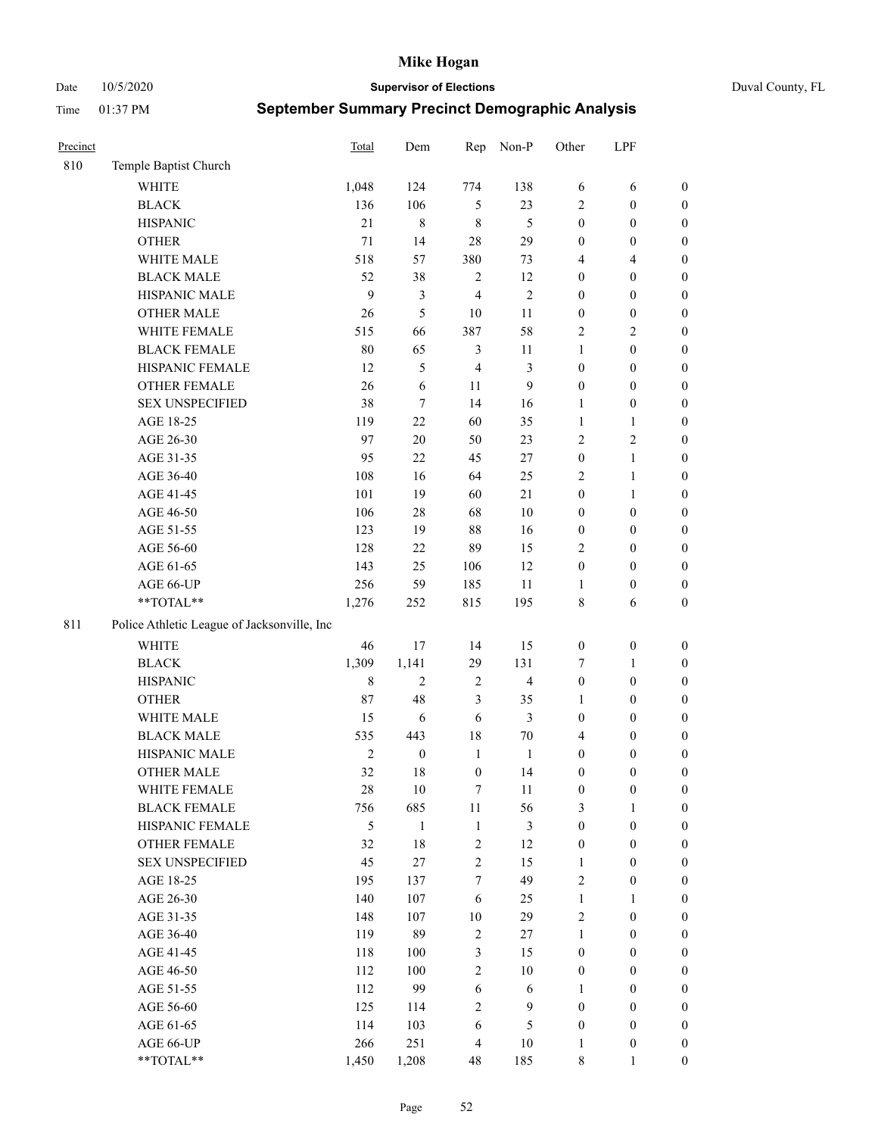Date 10/5/2020 **Supervisor of Elections** Duval County, FL

| Precinct |                                             | Total          | Dem              | Rep              | Non-P          | Other            | LPF              |                  |
|----------|---------------------------------------------|----------------|------------------|------------------|----------------|------------------|------------------|------------------|
| 810      | Temple Baptist Church                       |                |                  |                  |                |                  |                  |                  |
|          | <b>WHITE</b>                                | 1,048          | 124              | 774              | 138            | 6                | 6                | 0                |
|          | <b>BLACK</b>                                | 136            | 106              | 5                | 23             | 2                | $\boldsymbol{0}$ | $\boldsymbol{0}$ |
|          | <b>HISPANIC</b>                             | 21             | 8                | $\,$ 8 $\,$      | $\mathfrak{H}$ | $\boldsymbol{0}$ | $\boldsymbol{0}$ | $\boldsymbol{0}$ |
|          | <b>OTHER</b>                                | $71\,$         | 14               | 28               | 29             | $\boldsymbol{0}$ | $\boldsymbol{0}$ | $\boldsymbol{0}$ |
|          | WHITE MALE                                  | 518            | 57               | 380              | 73             | 4                | $\overline{4}$   | $\boldsymbol{0}$ |
|          | <b>BLACK MALE</b>                           | 52             | 38               | $\sqrt{2}$       | 12             | $\boldsymbol{0}$ | $\boldsymbol{0}$ | $\boldsymbol{0}$ |
|          | HISPANIC MALE                               | 9              | 3                | $\overline{4}$   | $\mathfrak{2}$ | $\boldsymbol{0}$ | $\boldsymbol{0}$ | $\boldsymbol{0}$ |
|          | <b>OTHER MALE</b>                           | 26             | $\mathfrak s$    | 10               | 11             | $\boldsymbol{0}$ | $\boldsymbol{0}$ | $\boldsymbol{0}$ |
|          | WHITE FEMALE                                | 515            | 66               | 387              | 58             | 2                | $\mathbf{2}$     | $\boldsymbol{0}$ |
|          | <b>BLACK FEMALE</b>                         | $80\,$         | 65               | $\mathfrak{Z}$   | 11             | $\mathbf{1}$     | $\boldsymbol{0}$ | $\boldsymbol{0}$ |
|          | HISPANIC FEMALE                             | 12             | 5                | $\overline{4}$   | 3              | $\boldsymbol{0}$ | $\boldsymbol{0}$ | $\boldsymbol{0}$ |
|          | OTHER FEMALE                                | 26             | $\sqrt{6}$       | 11               | 9              | $\boldsymbol{0}$ | $\boldsymbol{0}$ | $\boldsymbol{0}$ |
|          | <b>SEX UNSPECIFIED</b>                      | 38             | $\tau$           | 14               | 16             | $\mathbf{1}$     | $\boldsymbol{0}$ | $\boldsymbol{0}$ |
|          | AGE 18-25                                   | 119            | 22               | 60               | 35             | $\mathbf{1}$     | $\mathbf{1}$     | $\boldsymbol{0}$ |
|          | AGE 26-30                                   | 97             | $20\,$           | 50               | 23             | $\overline{c}$   | $\sqrt{2}$       | $\boldsymbol{0}$ |
|          | AGE 31-35                                   | 95             | 22               | 45               | 27             | $\boldsymbol{0}$ | $\mathbf{1}$     | $\boldsymbol{0}$ |
|          | AGE 36-40                                   | 108            | 16               | 64               | 25             | 2                | $\mathbf{1}$     | $\boldsymbol{0}$ |
|          | AGE 41-45                                   | 101            | 19               | 60               | 21             | $\boldsymbol{0}$ | $\mathbf{1}$     | $\boldsymbol{0}$ |
|          | AGE 46-50                                   | 106            | $28\,$           | 68               | $10\,$         | $\boldsymbol{0}$ | $\boldsymbol{0}$ | $\boldsymbol{0}$ |
|          | AGE 51-55                                   | 123            | 19               | 88               | 16             | $\boldsymbol{0}$ | $\boldsymbol{0}$ | $\boldsymbol{0}$ |
|          | AGE 56-60                                   | 128            | 22               | 89               | 15             | $\overline{2}$   | $\boldsymbol{0}$ | 0                |
|          | AGE 61-65                                   | 143            | 25               | 106              | 12             | $\boldsymbol{0}$ | $\boldsymbol{0}$ | 0                |
|          | AGE 66-UP                                   | 256            | 59               | 185              | 11             | 1                | $\boldsymbol{0}$ | $\boldsymbol{0}$ |
|          | **TOTAL**                                   | 1,276          | 252              | 815              | 195            | 8                | 6                | $\boldsymbol{0}$ |
| 811      | Police Athletic League of Jacksonville, Inc |                |                  |                  |                |                  |                  |                  |
|          | WHITE                                       | 46             | 17               | 14               | 15             | $\boldsymbol{0}$ | $\boldsymbol{0}$ | $\boldsymbol{0}$ |
|          | <b>BLACK</b>                                | 1,309          | 1,141            | 29               | 131            | 7                | $\mathbf{1}$     | $\boldsymbol{0}$ |
|          | <b>HISPANIC</b>                             | $\,8\,$        | $\mathfrak{2}$   | $\sqrt{2}$       | $\overline{4}$ | $\boldsymbol{0}$ | $\boldsymbol{0}$ | $\boldsymbol{0}$ |
|          | <b>OTHER</b>                                | $87\,$         | 48               | $\mathfrak{Z}$   | 35             | 1                | $\boldsymbol{0}$ | $\boldsymbol{0}$ |
|          | WHITE MALE                                  | 15             | $\sqrt{6}$       | 6                | 3              | $\boldsymbol{0}$ | $\boldsymbol{0}$ | $\boldsymbol{0}$ |
|          | <b>BLACK MALE</b>                           | 535            | 443              | 18               | $70\,$         | 4                | $\boldsymbol{0}$ | $\boldsymbol{0}$ |
|          | HISPANIC MALE                               | $\sqrt{2}$     | $\boldsymbol{0}$ | $\mathbf{1}$     | $\mathbf{1}$   | $\boldsymbol{0}$ | $\boldsymbol{0}$ | $\boldsymbol{0}$ |
|          | <b>OTHER MALE</b>                           | 32             | 18               | $\boldsymbol{0}$ | 14             | $\boldsymbol{0}$ | $\boldsymbol{0}$ | $\boldsymbol{0}$ |
|          | WHITE FEMALE                                | 28             | 10               | 7                | 11             | $\boldsymbol{0}$ | $\boldsymbol{0}$ | 0                |
|          | <b>BLACK FEMALE</b>                         | 756            | 685              | $11\,$           | 56             | 3                | $\mathbf{1}$     | $\boldsymbol{0}$ |
|          | HISPANIC FEMALE                             | $\mathfrak{S}$ | $\mathbf{1}$     | $\mathbf{1}$     | 3              | $\boldsymbol{0}$ | $\boldsymbol{0}$ | $\overline{0}$   |
|          | OTHER FEMALE                                | 32             | $18\,$           | $\sqrt{2}$       | 12             | $\boldsymbol{0}$ | $\boldsymbol{0}$ | $\overline{0}$   |
|          | <b>SEX UNSPECIFIED</b>                      | 45             | 27               | $\overline{2}$   | 15             | $\mathbf{1}$     | $\boldsymbol{0}$ | $\overline{0}$   |
|          | AGE 18-25                                   | 195            | 137              | 7                | 49             | $\overline{c}$   | $\boldsymbol{0}$ | $\overline{0}$   |
|          | AGE 26-30                                   | 140            | 107              | 6                | 25             | $\mathbf{1}$     | $\mathbf{1}$     | $\overline{0}$   |
|          | AGE 31-35                                   | 148            | 107              | 10               | 29             | $\overline{c}$   | $\boldsymbol{0}$ | $\overline{0}$   |
|          | AGE 36-40                                   | 119            | 89               | $\sqrt{2}$       | 27             | $\mathbf{1}$     | $\boldsymbol{0}$ | 0                |
|          | AGE 41-45                                   | 118            | 100              | 3                | 15             | $\boldsymbol{0}$ | $\boldsymbol{0}$ | 0                |
|          | AGE 46-50                                   | 112            | 100              | $\mathbf{2}$     | $10\,$         | $\boldsymbol{0}$ | $\boldsymbol{0}$ | $\boldsymbol{0}$ |
|          | AGE 51-55                                   | 112            | 99               | 6                | 6              | $\mathbf{1}$     | $\boldsymbol{0}$ | $\boldsymbol{0}$ |
|          | AGE 56-60                                   | 125            | 114              | $\sqrt{2}$       | 9              | $\boldsymbol{0}$ | $\boldsymbol{0}$ | $\overline{0}$   |
|          | AGE 61-65                                   | 114            | 103              | 6                | 5              | $\boldsymbol{0}$ | $\boldsymbol{0}$ | $\overline{0}$   |
|          | AGE 66-UP                                   | 266            | 251              | $\overline{4}$   | $10\,$         | $\mathbf{1}$     | $\boldsymbol{0}$ | $\boldsymbol{0}$ |
|          | **TOTAL**                                   | 1,450          | 1,208            | 48               | 185            | $8\,$            | $\mathbf{1}$     | $\boldsymbol{0}$ |
|          |                                             |                |                  |                  |                |                  |                  |                  |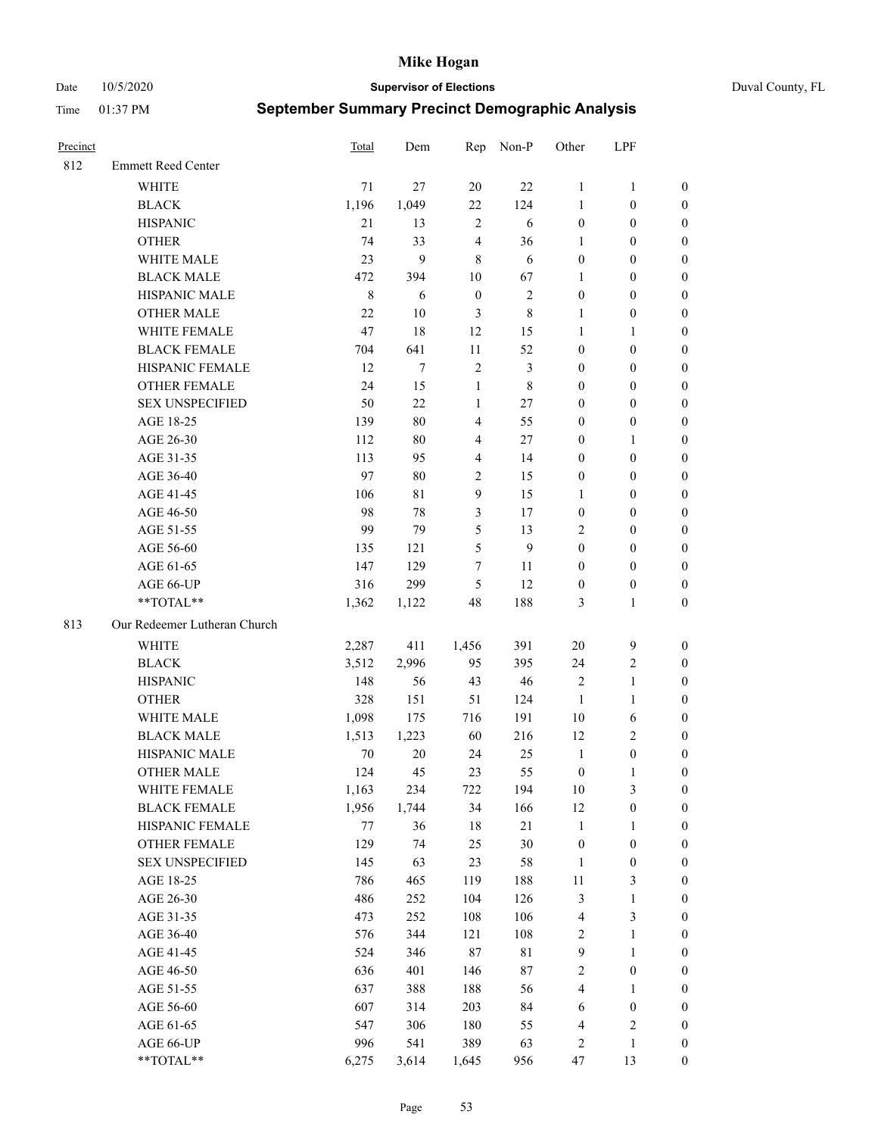Date 10/5/2020 **Supervisor of Elections** Duval County, FL

| Precinct |                              | <b>Total</b> | Dem    |                  | Rep Non-P      | Other            | LPF              |                  |
|----------|------------------------------|--------------|--------|------------------|----------------|------------------|------------------|------------------|
| 812      | <b>Emmett Reed Center</b>    |              |        |                  |                |                  |                  |                  |
|          | <b>WHITE</b>                 | 71           | 27     | 20               | 22             | $\mathbf{1}$     | $\mathbf{1}$     | 0                |
|          | <b>BLACK</b>                 | 1,196        | 1,049  | 22               | 124            | 1                | $\boldsymbol{0}$ | 0                |
|          | <b>HISPANIC</b>              | 21           | 13     | $\sqrt{2}$       | 6              | $\boldsymbol{0}$ | $\boldsymbol{0}$ | $\boldsymbol{0}$ |
|          | <b>OTHER</b>                 | 74           | 33     | $\overline{4}$   | 36             | 1                | $\boldsymbol{0}$ | $\boldsymbol{0}$ |
|          | WHITE MALE                   | 23           | 9      | 8                | 6              | $\boldsymbol{0}$ | $\boldsymbol{0}$ | $\boldsymbol{0}$ |
|          | <b>BLACK MALE</b>            | 472          | 394    | 10               | 67             | 1                | $\boldsymbol{0}$ | $\boldsymbol{0}$ |
|          | HISPANIC MALE                | $\,$ 8 $\,$  | 6      | $\boldsymbol{0}$ | $\sqrt{2}$     | $\boldsymbol{0}$ | $\boldsymbol{0}$ | $\boldsymbol{0}$ |
|          | <b>OTHER MALE</b>            | 22           | 10     | $\mathfrak{Z}$   | $8\,$          | $\mathbf{1}$     | $\boldsymbol{0}$ | $\boldsymbol{0}$ |
|          | WHITE FEMALE                 | 47           | 18     | 12               | 15             | $\mathbf{1}$     | $\mathbf{1}$     | $\boldsymbol{0}$ |
|          | <b>BLACK FEMALE</b>          | 704          | 641    | $11\,$           | 52             | $\boldsymbol{0}$ | $\boldsymbol{0}$ | 0                |
|          | HISPANIC FEMALE              | 12           | $\tau$ | $\sqrt{2}$       | $\mathfrak{Z}$ | $\boldsymbol{0}$ | $\boldsymbol{0}$ | 0                |
|          | <b>OTHER FEMALE</b>          | 24           | 15     | $\mathbf{1}$     | $\,$ 8 $\,$    | $\boldsymbol{0}$ | $\boldsymbol{0}$ | $\boldsymbol{0}$ |
|          | <b>SEX UNSPECIFIED</b>       | 50           | 22     | $\mathbf{1}$     | $27\,$         | $\boldsymbol{0}$ | $\boldsymbol{0}$ | $\boldsymbol{0}$ |
|          | AGE 18-25                    | 139          | $80\,$ | $\overline{4}$   | 55             | $\boldsymbol{0}$ | $\boldsymbol{0}$ | $\boldsymbol{0}$ |
|          | AGE 26-30                    | 112          | $80\,$ | 4                | $27\,$         | $\boldsymbol{0}$ | $\mathbf{1}$     | $\boldsymbol{0}$ |
|          | AGE 31-35                    | 113          | 95     | $\overline{4}$   | 14             | $\boldsymbol{0}$ | $\boldsymbol{0}$ | $\boldsymbol{0}$ |
|          | AGE 36-40                    | 97           | $80\,$ | $\sqrt{2}$       | 15             | $\boldsymbol{0}$ | $\boldsymbol{0}$ | $\boldsymbol{0}$ |
|          | AGE 41-45                    | 106          | 81     | $\overline{9}$   | 15             | $\mathbf{1}$     | $\boldsymbol{0}$ | $\boldsymbol{0}$ |
|          | AGE 46-50                    | 98           | 78     | $\mathfrak{Z}$   | 17             | $\boldsymbol{0}$ | $\boldsymbol{0}$ | $\boldsymbol{0}$ |
|          | AGE 51-55                    | 99           | 79     | 5                | 13             | 2                | $\boldsymbol{0}$ | $\boldsymbol{0}$ |
|          | AGE 56-60                    | 135          | 121    | 5                | $\overline{9}$ | $\boldsymbol{0}$ | $\boldsymbol{0}$ | 0                |
|          | AGE 61-65                    | 147          | 129    | 7                | 11             | $\boldsymbol{0}$ | $\boldsymbol{0}$ | 0                |
|          | AGE 66-UP                    | 316          | 299    | 5                | 12             | $\boldsymbol{0}$ | $\boldsymbol{0}$ | $\boldsymbol{0}$ |
|          | **TOTAL**                    | 1,362        | 1,122  | 48               | 188            | 3                | $\mathbf{1}$     | $\boldsymbol{0}$ |
| 813      | Our Redeemer Lutheran Church |              |        |                  |                |                  |                  |                  |
|          | <b>WHITE</b>                 | 2,287        | 411    | 1,456            | 391            | $20\,$           | $\mathbf{9}$     | $\boldsymbol{0}$ |
|          | <b>BLACK</b>                 | 3,512        | 2,996  | 95               | 395            | 24               | $\sqrt{2}$       | $\boldsymbol{0}$ |
|          | <b>HISPANIC</b>              | 148          | 56     | 43               | $46\,$         | 2                | $\mathbf{1}$     | $\boldsymbol{0}$ |
|          | <b>OTHER</b>                 | 328          | 151    | 51               | 124            | $\mathbf{1}$     | $\mathbf{1}$     | $\boldsymbol{0}$ |
|          | WHITE MALE                   | 1,098        | 175    | 716              | 191            | $10\,$           | 6                | $\boldsymbol{0}$ |
|          | <b>BLACK MALE</b>            | 1,513        | 1,223  | 60               | 216            | 12               | $\overline{2}$   | $\boldsymbol{0}$ |
|          | HISPANIC MALE                | 70           | $20\,$ | 24               | 25             | $\mathbf{1}$     | $\boldsymbol{0}$ | 0                |
|          | <b>OTHER MALE</b>            | 124          | 45     | 23               | 55             | $\boldsymbol{0}$ | 1                | 0                |
|          | WHITE FEMALE                 | 1,163        | 234    | 722              | 194            | 10               | 3                | 0                |
|          | <b>BLACK FEMALE</b>          | 1,956        | 1,744  | 34               | 166            | 12               | $\boldsymbol{0}$ | $\boldsymbol{0}$ |
|          | HISPANIC FEMALE              | $77 \,$      | 36     | 18               | 21             | $\mathbf{1}$     | 1                | $\overline{0}$   |
|          | <b>OTHER FEMALE</b>          | 129          | 74     | 25               | 30             | $\boldsymbol{0}$ | $\boldsymbol{0}$ | $\overline{0}$   |
|          | <b>SEX UNSPECIFIED</b>       | 145          | 63     | 23               | 58             | $\mathbf{1}$     | $\boldsymbol{0}$ | 0                |
|          | AGE 18-25                    | 786          | 465    | 119              | 188            | $11\,$           | $\mathfrak{Z}$   | 0                |
|          | AGE 26-30                    | 486          | 252    | 104              | 126            | 3                | $\mathbf{1}$     | 0                |
|          | AGE 31-35                    | 473          | 252    | 108              | 106            | 4                | $\mathfrak{Z}$   | 0                |
|          | AGE 36-40                    | 576          | 344    | 121              | 108            | 2                | $\mathbf{1}$     | 0                |
|          | AGE 41-45                    | 524          | 346    | 87               | $8\sqrt{1}$    | $\mathbf{9}$     | $\mathbf{1}$     | 0                |
|          | AGE 46-50                    | 636          | 401    | 146              | $87\,$         | 2                | $\boldsymbol{0}$ | 0                |
|          | AGE 51-55                    | 637          | 388    | 188              | 56             | 4                | 1                | 0                |
|          | AGE 56-60                    | 607          | 314    | 203              | 84             | 6                | $\boldsymbol{0}$ | 0                |
|          | AGE 61-65                    | 547          | 306    | 180              | 55             | 4                | $\sqrt{2}$       | 0                |
|          | AGE 66-UP                    | 996          | 541    | 389              | 63             | 2                | $\mathbf{1}$     | 0                |
|          | **TOTAL**                    | 6,275        | 3,614  | 1,645            | 956            | 47               | 13               | $\boldsymbol{0}$ |
|          |                              |              |        |                  |                |                  |                  |                  |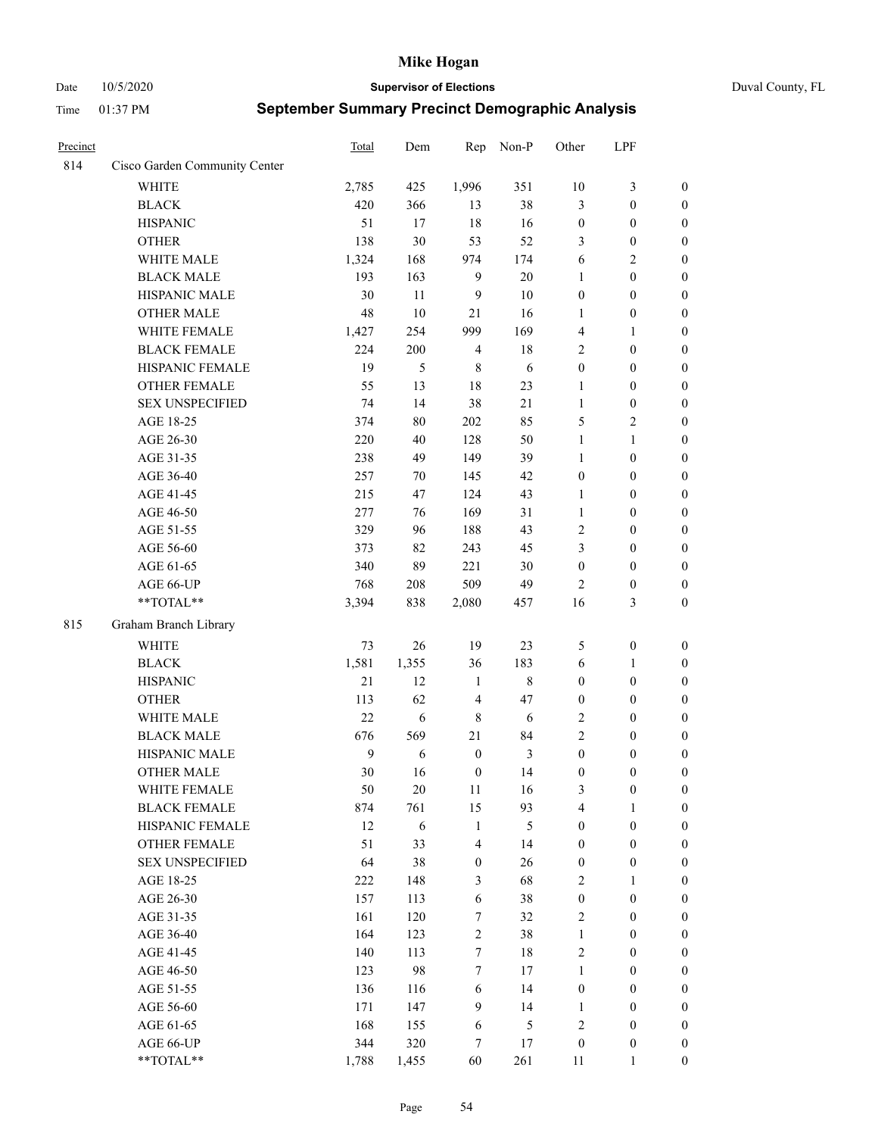Date 10/5/2020 **Supervisor of Elections** Duval County, FL

| Precinct |                                                             | Total | Dem    | Rep                     | Non-P   | Other            | LPF              |                  |
|----------|-------------------------------------------------------------|-------|--------|-------------------------|---------|------------------|------------------|------------------|
| 814      | Cisco Garden Community Center                               |       |        |                         |         |                  |                  |                  |
|          | <b>WHITE</b>                                                | 2,785 | 425    | 1,996                   | 351     | 10               | 3                | $\boldsymbol{0}$ |
|          | <b>BLACK</b>                                                | 420   | 366    | 13                      | 38      | 3                | $\boldsymbol{0}$ | $\boldsymbol{0}$ |
|          | <b>HISPANIC</b>                                             | 51    | 17     | 18                      | 16      | $\boldsymbol{0}$ | $\boldsymbol{0}$ | $\boldsymbol{0}$ |
|          | <b>OTHER</b>                                                | 138   | 30     | 53                      | 52      | 3                | $\boldsymbol{0}$ | $\boldsymbol{0}$ |
|          | WHITE MALE                                                  | 1,324 | 168    | 974                     | 174     | 6                | $\mathfrak{2}$   | $\boldsymbol{0}$ |
|          | <b>BLACK MALE</b>                                           | 193   | 163    | 9                       | $20\,$  | $\mathbf{1}$     | $\boldsymbol{0}$ | $\boldsymbol{0}$ |
|          | HISPANIC MALE                                               | 30    | 11     | 9                       | 10      | $\boldsymbol{0}$ | $\boldsymbol{0}$ | $\boldsymbol{0}$ |
|          | <b>OTHER MALE</b>                                           | 48    | 10     | 21                      | 16      | 1                | $\boldsymbol{0}$ | $\boldsymbol{0}$ |
|          | WHITE FEMALE                                                | 1,427 | 254    | 999                     | 169     | 4                | $\mathbf{1}$     | $\boldsymbol{0}$ |
|          | <b>BLACK FEMALE</b>                                         | 224   | 200    | $\overline{4}$          | 18      | $\mathfrak{2}$   | $\boldsymbol{0}$ | 0                |
|          | HISPANIC FEMALE                                             | 19    | 5      | $\,8\,$                 | 6       | $\boldsymbol{0}$ | $\boldsymbol{0}$ | $\boldsymbol{0}$ |
|          | OTHER FEMALE                                                | 55    | 13     | $18\,$                  | 23      | $\mathbf{1}$     | $\boldsymbol{0}$ | $\boldsymbol{0}$ |
|          | <b>SEX UNSPECIFIED</b>                                      | 74    | 14     | 38                      | $21\,$  | $\mathbf{1}$     | $\boldsymbol{0}$ | $\boldsymbol{0}$ |
|          | AGE 18-25                                                   | 374   | $80\,$ | 202                     | 85      | 5                | $\sqrt{2}$       | $\boldsymbol{0}$ |
|          | AGE 26-30                                                   | 220   | 40     | 128                     | 50      | $\mathbf{1}$     | $\mathbf{1}$     | $\boldsymbol{0}$ |
|          | AGE 31-35                                                   | 238   | 49     | 149                     | 39      | $\mathbf{1}$     | $\boldsymbol{0}$ | $\boldsymbol{0}$ |
|          | AGE 36-40                                                   | 257   | 70     | 145                     | 42      | $\boldsymbol{0}$ | $\boldsymbol{0}$ | $\boldsymbol{0}$ |
|          | AGE 41-45                                                   | 215   | 47     | 124                     | 43      | $\mathbf{1}$     | $\boldsymbol{0}$ | $\boldsymbol{0}$ |
|          | AGE 46-50                                                   | 277   | 76     | 169                     | 31      | $\mathbf{1}$     | $\boldsymbol{0}$ | $\boldsymbol{0}$ |
|          | AGE 51-55                                                   | 329   | 96     | 188                     | 43      | $\mathbf{2}$     | $\boldsymbol{0}$ | 0                |
|          | AGE 56-60                                                   | 373   | 82     | 243                     | 45      | 3                | $\boldsymbol{0}$ | $\boldsymbol{0}$ |
|          | AGE 61-65                                                   | 340   | 89     | 221                     | 30      | $\boldsymbol{0}$ | $\boldsymbol{0}$ | $\boldsymbol{0}$ |
|          | AGE 66-UP                                                   | 768   | 208    | 509                     | 49      | 2                | $\boldsymbol{0}$ | $\boldsymbol{0}$ |
|          | **TOTAL**                                                   | 3,394 | 838    | 2,080                   | 457     | 16               | $\mathfrak{Z}$   | $\boldsymbol{0}$ |
| 815      | Graham Branch Library                                       |       |        |                         |         |                  |                  |                  |
|          | <b>WHITE</b>                                                | 73    | 26     | 19                      | 23      | 5                | $\boldsymbol{0}$ | $\boldsymbol{0}$ |
|          | <b>BLACK</b>                                                | 1,581 | 1,355  | 36                      | 183     | 6                | $\mathbf{1}$     | $\boldsymbol{0}$ |
|          | <b>HISPANIC</b>                                             | 21    | 12     | $\mathbf{1}$            | $\,8\,$ | $\boldsymbol{0}$ | $\boldsymbol{0}$ | $\boldsymbol{0}$ |
|          | <b>OTHER</b>                                                | 113   | 62     | $\overline{4}$          | 47      | $\boldsymbol{0}$ | $\boldsymbol{0}$ | $\boldsymbol{0}$ |
|          | WHITE MALE                                                  | 22    | 6      | $\,8\,$                 | 6       | $\sqrt{2}$       | $\boldsymbol{0}$ | $\boldsymbol{0}$ |
|          | <b>BLACK MALE</b>                                           | 676   | 569    | 21                      | 84      | $\overline{c}$   | $\boldsymbol{0}$ | $\boldsymbol{0}$ |
|          | HISPANIC MALE                                               | 9     | 6      | $\boldsymbol{0}$        | 3       | $\boldsymbol{0}$ | $\boldsymbol{0}$ | 0                |
|          | <b>OTHER MALE</b>                                           | 30    | 16     | $\boldsymbol{0}$        | 14      | $\boldsymbol{0}$ | $\boldsymbol{0}$ | $\boldsymbol{0}$ |
|          | WHITE FEMALE                                                | 50    | 20     | 11                      | 16      | 3                | $\boldsymbol{0}$ | $\boldsymbol{0}$ |
|          | <b>BLACK FEMALE</b>                                         | 874   | 761    | 15                      | 93      | 4                | $\mathbf{1}$     | $\boldsymbol{0}$ |
|          | HISPANIC FEMALE                                             | 12    | 6      | $\mathbf{1}$            | 5       | $\boldsymbol{0}$ | $\boldsymbol{0}$ | $\overline{0}$   |
|          | <b>OTHER FEMALE</b>                                         | 51    | 33     | $\overline{\mathbf{4}}$ | 14      | $\boldsymbol{0}$ | $\boldsymbol{0}$ | $\overline{0}$   |
|          | <b>SEX UNSPECIFIED</b>                                      | 64    | 38     | $\boldsymbol{0}$        | 26      | $\boldsymbol{0}$ | $\boldsymbol{0}$ | $\overline{0}$   |
|          | AGE 18-25                                                   | 222   | 148    | $\mathfrak{Z}$          | 68      | 2                | $\mathbf{1}$     | $\overline{0}$   |
|          | AGE 26-30                                                   | 157   | 113    | $\sqrt{6}$              | 38      | $\boldsymbol{0}$ | $\boldsymbol{0}$ | 0                |
|          | AGE 31-35                                                   | 161   | 120    | 7                       | 32      | $\mathbf{2}$     | $\boldsymbol{0}$ | 0                |
|          | AGE 36-40                                                   | 164   | 123    | $\sqrt{2}$              | 38      | $\mathbf{1}$     | $\boldsymbol{0}$ | 0                |
|          | AGE 41-45                                                   | 140   | 113    | $\tau$                  | $18\,$  | $\sqrt{2}$       | $\boldsymbol{0}$ | 0                |
|          | AGE 46-50                                                   | 123   | 98     | $\tau$                  | 17      | $\mathbf{1}$     | $\boldsymbol{0}$ | $\boldsymbol{0}$ |
|          | AGE 51-55                                                   | 136   | 116    | 6                       | 14      | $\boldsymbol{0}$ | $\boldsymbol{0}$ | $\boldsymbol{0}$ |
|          | AGE 56-60                                                   | 171   | 147    | 9                       | 14      | $\mathbf{1}$     | $\boldsymbol{0}$ | $\boldsymbol{0}$ |
|          | AGE 61-65                                                   | 168   | 155    | 6                       | 5       | $\overline{c}$   | $\boldsymbol{0}$ | $\boldsymbol{0}$ |
|          | AGE 66-UP                                                   | 344   | 320    | 7                       | 17      | $\boldsymbol{0}$ | $\boldsymbol{0}$ | $\boldsymbol{0}$ |
|          | $\mathrm{*}\mathrm{*} \mathrm{TOTAL} \mathrm{*} \mathrm{*}$ | 1,788 | 1,455  | 60                      | 261     | 11               | $\mathbf{1}$     | $\boldsymbol{0}$ |
|          |                                                             |       |        |                         |         |                  |                  |                  |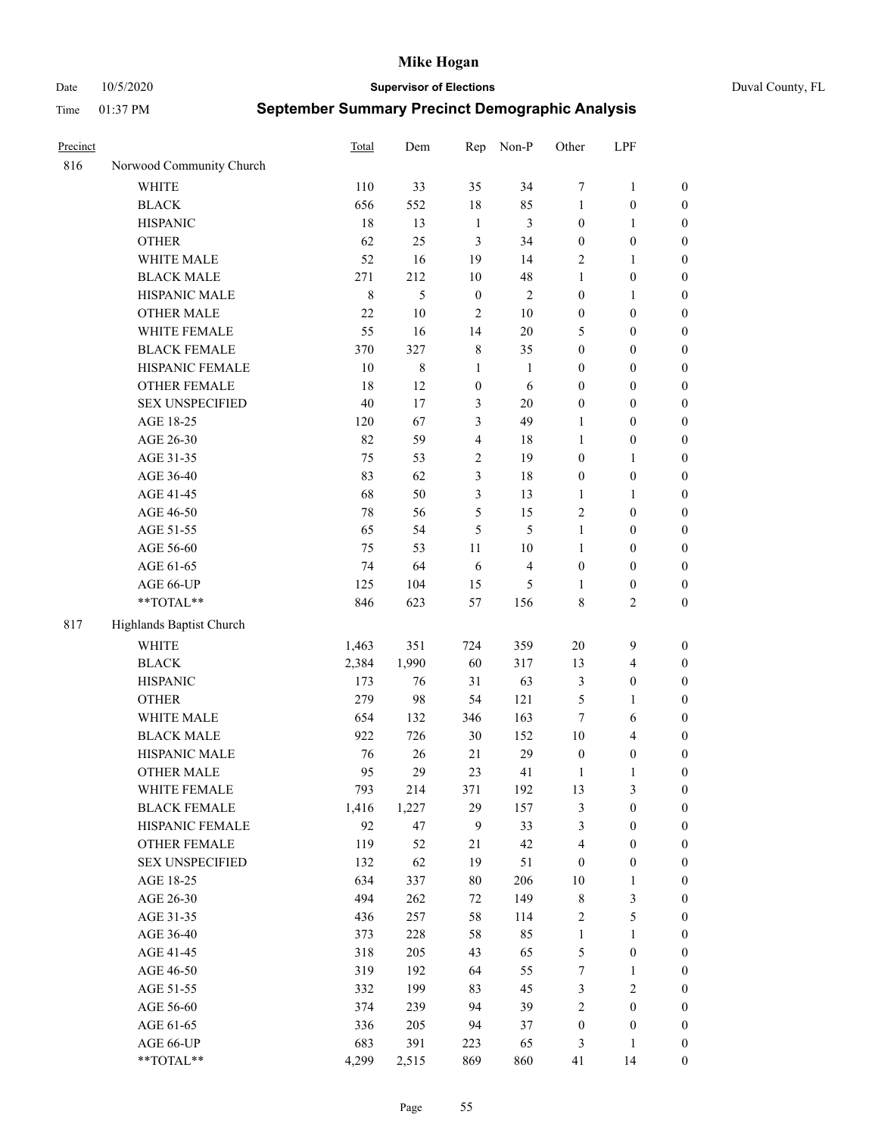Date 10/5/2020 **Supervisor of Elections** Duval County, FL

| Precinct |                                     | Total        | Dem         | Rep              | Non-P          | Other            | LPF                                  |                                    |
|----------|-------------------------------------|--------------|-------------|------------------|----------------|------------------|--------------------------------------|------------------------------------|
| 816      | Norwood Community Church            |              |             |                  |                |                  |                                      |                                    |
|          | <b>WHITE</b>                        | 110          | 33          | 35               | 34             | 7                | $\mathbf{1}$                         | 0                                  |
|          | <b>BLACK</b>                        | 656          | 552         | 18               | 85             | $\mathbf{1}$     | $\boldsymbol{0}$                     | $\boldsymbol{0}$                   |
|          | <b>HISPANIC</b>                     | 18           | 13          | $\mathbf{1}$     | $\mathfrak{Z}$ | $\boldsymbol{0}$ | $\mathbf{1}$                         | $\boldsymbol{0}$                   |
|          | <b>OTHER</b>                        | 62           | 25          | 3                | 34             | $\boldsymbol{0}$ | $\boldsymbol{0}$                     | $\boldsymbol{0}$                   |
|          | WHITE MALE                          | 52           | 16          | 19               | 14             | 2                | $\mathbf{1}$                         | $\boldsymbol{0}$                   |
|          | <b>BLACK MALE</b>                   | 271          | 212         | 10               | 48             | $\mathbf{1}$     | $\boldsymbol{0}$                     | $\boldsymbol{0}$                   |
|          | HISPANIC MALE                       | $\,8\,$      | 5           | $\boldsymbol{0}$ | $\sqrt{2}$     | $\boldsymbol{0}$ | $\mathbf{1}$                         | $\boldsymbol{0}$                   |
|          | <b>OTHER MALE</b>                   | 22           | $10\,$      | $\mathfrak{2}$   | $10\,$         | $\boldsymbol{0}$ | $\boldsymbol{0}$                     | $\boldsymbol{0}$                   |
|          | WHITE FEMALE                        | 55           | 16          | 14               | $20\,$         | 5                | $\boldsymbol{0}$                     | $\boldsymbol{0}$                   |
|          | <b>BLACK FEMALE</b>                 | 370          | 327         | $\,$ 8 $\,$      | 35             | $\boldsymbol{0}$ | $\boldsymbol{0}$                     | $\boldsymbol{0}$                   |
|          | HISPANIC FEMALE                     | 10           | 8           | $\mathbf{1}$     | 1              | $\boldsymbol{0}$ | $\boldsymbol{0}$                     | 0                                  |
|          | OTHER FEMALE                        | 18           | 12          | $\boldsymbol{0}$ | 6              | $\boldsymbol{0}$ | $\boldsymbol{0}$                     | $\boldsymbol{0}$                   |
|          | <b>SEX UNSPECIFIED</b>              | 40           | 17          | $\mathfrak{Z}$   | $20\,$         | $\boldsymbol{0}$ | $\boldsymbol{0}$                     | $\boldsymbol{0}$                   |
|          | AGE 18-25                           | 120          | 67          | 3                | 49             | 1                | $\boldsymbol{0}$                     | $\boldsymbol{0}$                   |
|          | AGE 26-30                           | 82           | 59          | $\overline{4}$   | 18             | $\mathbf{1}$     | $\boldsymbol{0}$                     | $\boldsymbol{0}$                   |
|          | AGE 31-35                           | 75           | 53          | $\sqrt{2}$       | 19             | $\boldsymbol{0}$ | $\mathbf{1}$                         | $\boldsymbol{0}$                   |
|          | AGE 36-40                           | 83           | 62          | 3                | $18\,$         | $\boldsymbol{0}$ | $\boldsymbol{0}$                     | $\boldsymbol{0}$                   |
|          | AGE 41-45                           | 68           | 50          | $\mathfrak{Z}$   | 13             | $\mathbf{1}$     | $\mathbf{1}$                         | $\boldsymbol{0}$                   |
|          | AGE 46-50                           | $78\,$       | 56          | 5                | 15             | $\mathfrak{2}$   | $\boldsymbol{0}$                     | $\boldsymbol{0}$                   |
|          | AGE 51-55                           | 65           | 54          | 5                | 5              | $\mathbf{1}$     | $\boldsymbol{0}$                     | $\boldsymbol{0}$                   |
|          | AGE 56-60                           | 75           | 53          | 11               | 10             | 1                | $\boldsymbol{0}$                     | 0                                  |
|          | AGE 61-65                           | 74           | 64          | 6                | $\overline{4}$ | $\boldsymbol{0}$ | $\boldsymbol{0}$                     | 0                                  |
|          | AGE 66-UP                           | 125          | 104         | 15               | 5              | 1                | $\boldsymbol{0}$                     | $\boldsymbol{0}$                   |
|          | **TOTAL**                           | 846          | 623         | 57               | 156            | 8                | $\sqrt{2}$                           | $\boldsymbol{0}$                   |
| 817      | Highlands Baptist Church            |              |             |                  |                |                  |                                      |                                    |
|          | <b>WHITE</b>                        |              | 351         | 724              | 359            | $20\,$           | $\mathbf{9}$                         |                                    |
|          |                                     | 1,463        | 1,990       |                  |                |                  |                                      | $\boldsymbol{0}$                   |
|          | <b>BLACK</b><br><b>HISPANIC</b>     | 2,384<br>173 | 76          | 60<br>31         | 317<br>63      | 13               | $\overline{\mathbf{4}}$              | $\boldsymbol{0}$                   |
|          |                                     |              |             |                  | 121            | 3                | $\boldsymbol{0}$                     | $\boldsymbol{0}$                   |
|          | <b>OTHER</b>                        | 279          | 98          | 54               |                | 5                | $\mathbf{1}$                         | $\boldsymbol{0}$                   |
|          | WHITE MALE                          | 654          | 132         | 346              | 163            | $\tau$           | 6                                    | $\boldsymbol{0}$                   |
|          | <b>BLACK MALE</b><br>HISPANIC MALE  | 922          | 726         | $30\,$           | 152            | $10\,$           | $\overline{4}$                       | $\boldsymbol{0}$                   |
|          |                                     | 76           | 26          | 21               | 29             | $\boldsymbol{0}$ | $\boldsymbol{0}$                     | $\boldsymbol{0}$                   |
|          | <b>OTHER MALE</b>                   | 95           | 29          | 23               | 41             | $\mathbf{1}$     | $\mathbf{1}$                         | $\boldsymbol{0}$                   |
|          | WHITE FEMALE<br><b>BLACK FEMALE</b> | 793          | 214         | 371              | 192            | 13               | 3                                    | 0                                  |
|          | HISPANIC FEMALE                     | 1,416<br>92  | 1,227<br>47 | 29<br>9          | 157<br>33      | 3<br>3           | $\boldsymbol{0}$<br>$\boldsymbol{0}$ | $\boldsymbol{0}$<br>$\overline{0}$ |
|          |                                     |              |             |                  |                |                  |                                      |                                    |
|          | OTHER FEMALE                        | 119          | 52          | $21\,$           | 42             | 4                | $\boldsymbol{0}$                     | $\overline{0}$                     |
|          | <b>SEX UNSPECIFIED</b>              | 132          | 62          | 19               | 51             | $\boldsymbol{0}$ | $\boldsymbol{0}$                     | 0                                  |
|          | AGE 18-25                           | 634          | 337         | 80               | 206            | 10               | $\mathbf{1}$                         | 0                                  |
|          | AGE 26-30                           | 494          | 262         | 72               | 149            | $\,$ 8 $\,$      | $\mathfrak{Z}$                       | 0                                  |
|          | AGE 31-35                           | 436          | 257         | 58               | 114            | $\overline{c}$   | $\mathfrak s$                        | 0                                  |
|          | AGE 36-40                           | 373          | 228         | 58               | 85             | $\mathbf{1}$     | $\mathbf{1}$                         | 0                                  |
|          | AGE 41-45                           | 318          | 205         | 43               | 65             | 5                | $\boldsymbol{0}$                     | 0                                  |
|          | AGE 46-50                           | 319          | 192         | 64               | 55             | 7                | $\mathbf{1}$                         | 0                                  |
|          | AGE 51-55                           | 332          | 199         | 83               | 45             | 3                | $\sqrt{2}$                           | 0                                  |
|          | AGE 56-60                           | 374          | 239         | 94               | 39             | 2                | $\boldsymbol{0}$                     | $\boldsymbol{0}$                   |
|          | AGE 61-65                           | 336          | 205         | 94               | 37             | $\boldsymbol{0}$ | $\boldsymbol{0}$                     | $\boldsymbol{0}$                   |
|          | AGE 66-UP                           | 683          | 391         | 223              | 65             | 3                | $\mathbf{1}$                         | $\boldsymbol{0}$                   |
|          | **TOTAL**                           | 4,299        | 2,515       | 869              | 860            | 41               | 14                                   | $\boldsymbol{0}$                   |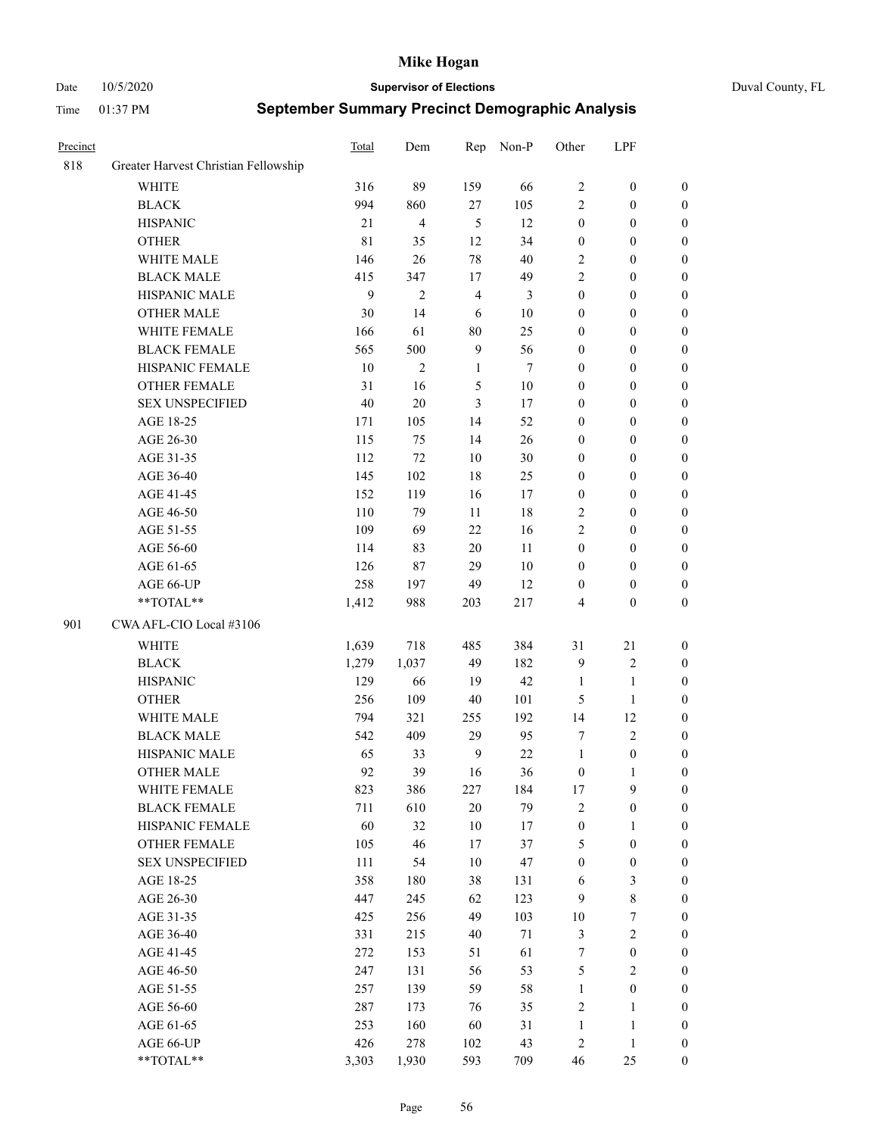Date 10/5/2020 **Supervisor of Elections** Duval County, FL

| Precinct |                                      | Total | Dem            | Rep            | Non-P  | Other            | LPF              |                  |
|----------|--------------------------------------|-------|----------------|----------------|--------|------------------|------------------|------------------|
| 818      | Greater Harvest Christian Fellowship |       |                |                |        |                  |                  |                  |
|          | <b>WHITE</b>                         | 316   | 89             | 159            | 66     | $\sqrt{2}$       | $\boldsymbol{0}$ | 0                |
|          | <b>BLACK</b>                         | 994   | 860            | 27             | 105    | $\mathbf{2}$     | $\boldsymbol{0}$ | $\boldsymbol{0}$ |
|          | <b>HISPANIC</b>                      | 21    | 4              | $\mathfrak{H}$ | 12     | $\boldsymbol{0}$ | $\boldsymbol{0}$ | $\boldsymbol{0}$ |
|          | <b>OTHER</b>                         | 81    | 35             | 12             | 34     | $\boldsymbol{0}$ | $\boldsymbol{0}$ | $\boldsymbol{0}$ |
|          | WHITE MALE                           | 146   | 26             | 78             | 40     | 2                | $\boldsymbol{0}$ | $\boldsymbol{0}$ |
|          | <b>BLACK MALE</b>                    | 415   | 347            | 17             | 49     | $\mathfrak{2}$   | $\boldsymbol{0}$ | $\boldsymbol{0}$ |
|          | HISPANIC MALE                        | 9     | $\overline{c}$ | $\overline{4}$ | 3      | $\boldsymbol{0}$ | $\boldsymbol{0}$ | $\boldsymbol{0}$ |
|          | <b>OTHER MALE</b>                    | 30    | 14             | 6              | $10\,$ | $\boldsymbol{0}$ | $\boldsymbol{0}$ | $\boldsymbol{0}$ |
|          | WHITE FEMALE                         | 166   | 61             | $80\,$         | 25     | $\boldsymbol{0}$ | $\boldsymbol{0}$ | $\boldsymbol{0}$ |
|          | <b>BLACK FEMALE</b>                  | 565   | 500            | $\overline{9}$ | 56     | $\boldsymbol{0}$ | $\boldsymbol{0}$ | $\boldsymbol{0}$ |
|          | HISPANIC FEMALE                      | 10    | $\overline{c}$ | $\mathbf{1}$   | 7      | $\boldsymbol{0}$ | $\boldsymbol{0}$ | 0                |
|          | <b>OTHER FEMALE</b>                  | 31    | 16             | $\sqrt{5}$     | $10\,$ | $\boldsymbol{0}$ | $\boldsymbol{0}$ | $\boldsymbol{0}$ |
|          | <b>SEX UNSPECIFIED</b>               | 40    | 20             | 3              | 17     | $\boldsymbol{0}$ | $\boldsymbol{0}$ | $\boldsymbol{0}$ |
|          | AGE 18-25                            | 171   | 105            | 14             | 52     | $\boldsymbol{0}$ | $\boldsymbol{0}$ | $\boldsymbol{0}$ |
|          | AGE 26-30                            | 115   | 75             | 14             | 26     | $\boldsymbol{0}$ | $\boldsymbol{0}$ | $\boldsymbol{0}$ |
|          | AGE 31-35                            | 112   | $72\,$         | 10             | 30     | $\boldsymbol{0}$ | $\boldsymbol{0}$ | $\boldsymbol{0}$ |
|          | AGE 36-40                            | 145   | 102            | $18\,$         | 25     | $\boldsymbol{0}$ | $\boldsymbol{0}$ | $\boldsymbol{0}$ |
|          | AGE 41-45                            | 152   | 119            | 16             | 17     | $\boldsymbol{0}$ | $\boldsymbol{0}$ | $\boldsymbol{0}$ |
|          | AGE 46-50                            | 110   | 79             | 11             | $18\,$ | $\mathfrak{2}$   | $\boldsymbol{0}$ | $\boldsymbol{0}$ |
|          | AGE 51-55                            | 109   | 69             | $22\,$         | 16     | $\overline{c}$   | $\boldsymbol{0}$ | $\boldsymbol{0}$ |
|          | AGE 56-60                            | 114   | 83             | 20             | 11     | $\boldsymbol{0}$ | $\boldsymbol{0}$ | 0                |
|          | AGE 61-65                            | 126   | 87             | 29             | $10\,$ | $\boldsymbol{0}$ | $\boldsymbol{0}$ | 0                |
|          | AGE 66-UP                            | 258   | 197            | 49             | 12     | $\boldsymbol{0}$ | $\boldsymbol{0}$ | $\boldsymbol{0}$ |
|          | $**TOTAL**$                          | 1,412 | 988            | 203            | 217    | 4                | $\boldsymbol{0}$ | $\boldsymbol{0}$ |
| 901      | CWA AFL-CIO Local #3106              |       |                |                |        |                  |                  |                  |
|          | <b>WHITE</b>                         | 1,639 | 718            | 485            | 384    | 31               | 21               | $\boldsymbol{0}$ |
|          | <b>BLACK</b>                         | 1,279 | 1,037          | 49             | 182    | 9                | $\sqrt{2}$       | $\boldsymbol{0}$ |
|          | <b>HISPANIC</b>                      | 129   | 66             | 19             | 42     | $\mathbf{1}$     | $\mathbf{1}$     | $\boldsymbol{0}$ |
|          | <b>OTHER</b>                         | 256   | 109            | $40\,$         | 101    | 5                | $\mathbf{1}$     | $\boldsymbol{0}$ |
|          | WHITE MALE                           | 794   | 321            | 255            | 192    | 14               | 12               | $\boldsymbol{0}$ |
|          | <b>BLACK MALE</b>                    | 542   | 409            | 29             | 95     | 7                | $\overline{c}$   | $\boldsymbol{0}$ |
|          | HISPANIC MALE                        | 65    | 33             | $\mathbf{9}$   | $22\,$ | $\mathbf{1}$     | $\boldsymbol{0}$ | 0                |
|          | <b>OTHER MALE</b>                    | 92    | 39             | 16             | 36     | $\boldsymbol{0}$ | $\mathbf{1}$     | $\boldsymbol{0}$ |
|          | WHITE FEMALE                         | 823   | 386            | 227            | 184    | 17               | 9                | 0                |
|          | <b>BLACK FEMALE</b>                  | 711   | 610            | $20\,$         | 79     | $\mathfrak{2}$   | $\boldsymbol{0}$ | $\boldsymbol{0}$ |
|          | HISPANIC FEMALE                      | 60    | 32             | $10\,$         | 17     | $\boldsymbol{0}$ | $\mathbf{1}$     | $\overline{0}$   |
|          | OTHER FEMALE                         | 105   | 46             | $17\,$         | 37     | 5                | $\boldsymbol{0}$ | $\overline{0}$   |
|          | <b>SEX UNSPECIFIED</b>               | 111   | 54             | $10\,$         | 47     | $\boldsymbol{0}$ | $\boldsymbol{0}$ | 0                |
|          | AGE 18-25                            | 358   | 180            | 38             | 131    | 6                | $\mathfrak{Z}$   | 0                |
|          | AGE 26-30                            | 447   | 245            | 62             | 123    | 9                | $8\,$            | 0                |
|          | AGE 31-35                            | 425   | 256            | 49             | 103    | $10\,$           | $\boldsymbol{7}$ | 0                |
|          | AGE 36-40                            | 331   | 215            | 40             | $71\,$ | 3                | $\sqrt{2}$       | 0                |
|          | AGE 41-45                            | 272   | 153            | 51             | 61     | 7                | $\boldsymbol{0}$ | 0                |
|          | AGE 46-50                            | 247   | 131            | 56             | 53     | $\mathfrak{S}$   | $\sqrt{2}$       | 0                |
|          | AGE 51-55                            | 257   | 139            | 59             | 58     | $\mathbf{1}$     | $\boldsymbol{0}$ | $\overline{0}$   |
|          | AGE 56-60                            | 287   | 173            | 76             | 35     | $\overline{c}$   | $\mathbf{1}$     | $\boldsymbol{0}$ |
|          | AGE 61-65                            | 253   | 160            | 60             | 31     | $\mathbf{1}$     | $\mathbf{1}$     | $\boldsymbol{0}$ |
|          | AGE 66-UP                            | 426   | 278            | 102            | 43     | $\overline{c}$   | $\mathbf{1}$     | $\boldsymbol{0}$ |
|          | **TOTAL**                            | 3,303 | 1,930          | 593            | 709    | 46               | 25               | $\boldsymbol{0}$ |
|          |                                      |       |                |                |        |                  |                  |                  |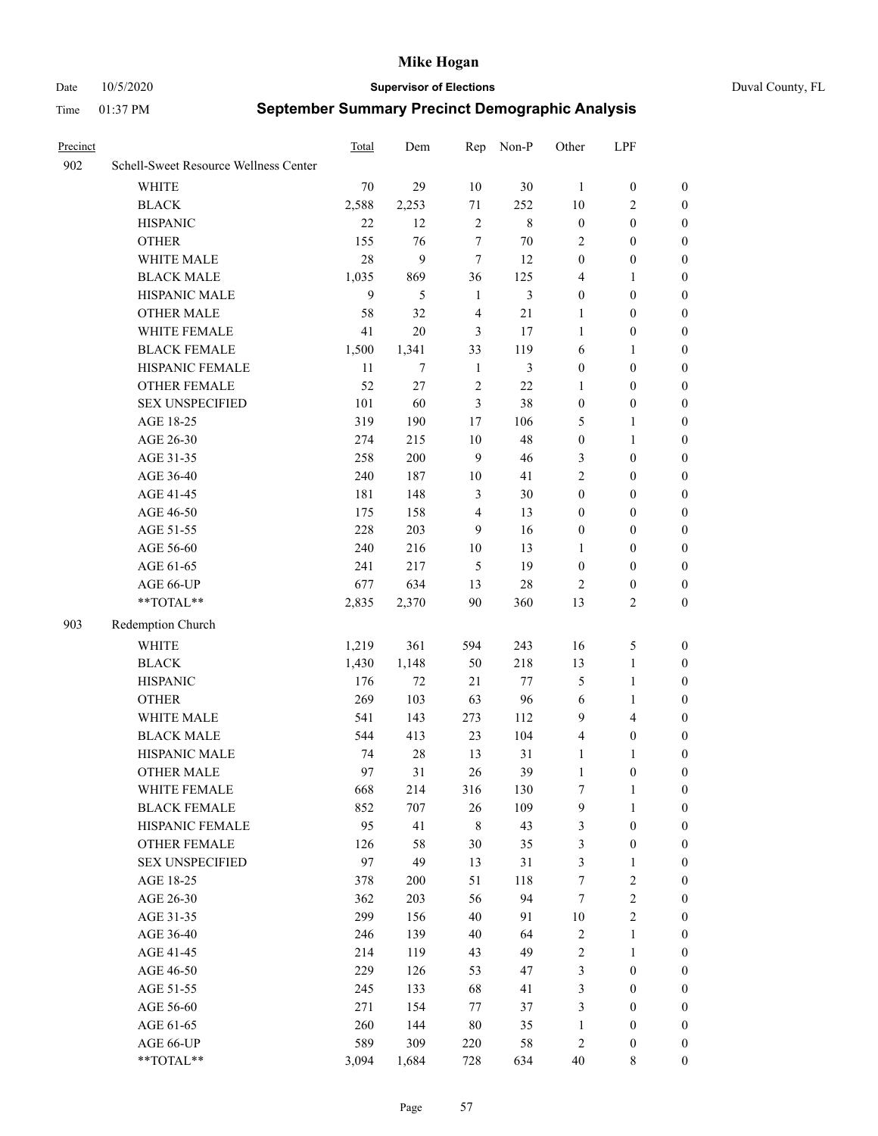#### Date 10/5/2020 **Supervisor of Elections** Duval County, FL

| Precinct |                                                           | Total        | Dem    | Rep            | Non-P   | Other            | LPF                     |                  |
|----------|-----------------------------------------------------------|--------------|--------|----------------|---------|------------------|-------------------------|------------------|
| 902      | Schell-Sweet Resource Wellness Center                     |              |        |                |         |                  |                         |                  |
|          | <b>WHITE</b>                                              | $70\,$       | 29     | 10             | 30      | $\mathbf{1}$     | $\boldsymbol{0}$        | $\boldsymbol{0}$ |
|          | <b>BLACK</b>                                              | 2,588        | 2,253  | $71\,$         | 252     | 10               | $\sqrt{2}$              | $\boldsymbol{0}$ |
|          | <b>HISPANIC</b>                                           | 22           | 12     | $\mathfrak{2}$ | $\,8\,$ | $\boldsymbol{0}$ | $\boldsymbol{0}$        | $\boldsymbol{0}$ |
|          | <b>OTHER</b>                                              | 155          | 76     | $\tau$         | 70      | $\overline{c}$   | $\boldsymbol{0}$        | $\boldsymbol{0}$ |
|          | WHITE MALE                                                | $28\,$       | 9      | $\tau$         | 12      | $\boldsymbol{0}$ | $\boldsymbol{0}$        | $\boldsymbol{0}$ |
|          | <b>BLACK MALE</b>                                         | 1,035        | 869    | 36             | 125     | 4                | $\mathbf{1}$            | $\boldsymbol{0}$ |
|          | HISPANIC MALE                                             | $\mathbf{9}$ | 5      | $\mathbf{1}$   | 3       | $\boldsymbol{0}$ | $\boldsymbol{0}$        | $\boldsymbol{0}$ |
|          | <b>OTHER MALE</b>                                         | 58           | 32     | $\overline{4}$ | 21      | 1                | $\boldsymbol{0}$        | 0                |
|          | WHITE FEMALE                                              | 41           | 20     | 3              | 17      | $\mathbf{1}$     | $\boldsymbol{0}$        | 0                |
|          | <b>BLACK FEMALE</b>                                       | 1,500        | 1,341  | 33             | 119     | 6                | $\mathbf{1}$            | $\boldsymbol{0}$ |
|          | HISPANIC FEMALE                                           | $11\,$       | $\tau$ | $\mathbf{1}$   | 3       | $\boldsymbol{0}$ | $\boldsymbol{0}$        | $\boldsymbol{0}$ |
|          | OTHER FEMALE                                              | 52           | 27     | $\sqrt{2}$     | 22      | $\mathbf{1}$     | $\boldsymbol{0}$        | $\boldsymbol{0}$ |
|          | <b>SEX UNSPECIFIED</b>                                    | 101          | 60     | $\mathfrak{Z}$ | 38      | $\boldsymbol{0}$ | $\boldsymbol{0}$        | $\boldsymbol{0}$ |
|          | AGE 18-25                                                 | 319          | 190    | 17             | 106     | 5                | $\mathbf{1}$            | $\boldsymbol{0}$ |
|          | AGE 26-30                                                 | 274          | 215    | 10             | 48      | $\boldsymbol{0}$ | $\mathbf{1}$            | $\boldsymbol{0}$ |
|          | AGE 31-35                                                 | 258          | 200    | 9              | 46      | 3                | $\boldsymbol{0}$        | $\boldsymbol{0}$ |
|          | AGE 36-40                                                 | 240          | 187    | 10             | 41      | $\overline{c}$   | $\boldsymbol{0}$        | $\boldsymbol{0}$ |
|          | AGE 41-45                                                 | 181          | 148    | 3              | 30      | $\boldsymbol{0}$ | $\boldsymbol{0}$        | 0                |
|          | AGE 46-50                                                 | 175          | 158    | $\overline{4}$ | 13      | 0                | $\boldsymbol{0}$        | 0                |
|          | AGE 51-55                                                 | 228          | 203    | 9              | 16      | $\boldsymbol{0}$ | $\boldsymbol{0}$        | $\boldsymbol{0}$ |
|          | AGE 56-60                                                 | 240          | 216    | 10             | 13      | 1                | $\boldsymbol{0}$        | $\boldsymbol{0}$ |
|          | AGE 61-65                                                 | 241          | 217    | 5              | 19      | $\boldsymbol{0}$ | $\boldsymbol{0}$        | $\boldsymbol{0}$ |
|          | AGE 66-UP                                                 | 677          | 634    | 13             | 28      | 2                | $\boldsymbol{0}$        | $\boldsymbol{0}$ |
|          | $\mathrm{*}\mathrm{*}\mathrm{TOTAL} \mathrm{*}\mathrm{*}$ | 2,835        | 2,370  | 90             | 360     | 13               | $\overline{c}$          | $\boldsymbol{0}$ |
| 903      | Redemption Church                                         |              |        |                |         |                  |                         |                  |
|          | <b>WHITE</b>                                              |              | 361    |                | 243     | 16               | $\mathfrak{S}$          |                  |
|          |                                                           | 1,219        |        | 594            |         |                  |                         | $\boldsymbol{0}$ |
|          | <b>BLACK</b>                                              | 1,430        | 1,148  | 50             | 218     | 13               | $\mathbf{1}$            | $\boldsymbol{0}$ |
|          | <b>HISPANIC</b>                                           | 176          | $72\,$ | 21             | 77      | 5                | $\mathbf{1}$            | $\boldsymbol{0}$ |
|          | <b>OTHER</b>                                              | 269          | 103    | 63             | 96      | 6                | $\mathbf{1}$            | $\boldsymbol{0}$ |
|          | WHITE MALE                                                | 541          | 143    | 273            | 112     | 9                | $\overline{\mathbf{4}}$ | 0                |
|          | <b>BLACK MALE</b>                                         | 544          | 413    | 23             | 104     | 4                | $\boldsymbol{0}$        | 0                |
|          | HISPANIC MALE<br><b>OTHER MALE</b>                        | 74           | $28\,$ | 13             | 31      | 1                | 1                       | 0                |
|          |                                                           | 97           | 31     | 26             | 39      | $\mathbf{1}$     | $\boldsymbol{0}$        | $\boldsymbol{0}$ |
|          | WHITE FEMALE                                              | 668          | 214    | 316            | 130     | 7                | $\mathbf{1}$            | $\boldsymbol{0}$ |
|          | <b>BLACK FEMALE</b>                                       | 852          | 707    | 26             | 109     | 9                | $\mathbf{1}$            | $\boldsymbol{0}$ |
|          | HISPANIC FEMALE                                           | 95           | 41     | $\,$ 8 $\,$    | 43      | 3                | $\boldsymbol{0}$        | $\overline{0}$   |
|          | <b>OTHER FEMALE</b>                                       | 126          | 58     | 30             | 35      | 3                | $\boldsymbol{0}$        | $\theta$         |
|          | <b>SEX UNSPECIFIED</b>                                    | 97           | 49     | 13             | 31      | 3                | $\mathbf{1}$            | $\overline{0}$   |
|          | AGE 18-25                                                 | 378          | 200    | 51             | 118     | 7                | $\sqrt{2}$              | 0                |
|          | AGE 26-30                                                 | 362          | 203    | 56             | 94      | $\tau$           | $\sqrt{2}$              | 0                |
|          | AGE 31-35                                                 | 299          | 156    | 40             | 91      | $10\,$           | $\sqrt{2}$              | 0                |
|          | AGE 36-40                                                 | 246          | 139    | 40             | 64      | $\sqrt{2}$       | $\mathbf{1}$            | $\boldsymbol{0}$ |
|          | AGE 41-45                                                 | 214          | 119    | 43             | 49      | $\sqrt{2}$       | $\mathbf{1}$            | $\overline{0}$   |
|          | AGE 46-50                                                 | 229          | 126    | 53             | 47      | 3                | $\boldsymbol{0}$        | $\boldsymbol{0}$ |
|          | AGE 51-55                                                 | 245          | 133    | 68             | 41      | 3                | $\boldsymbol{0}$        | $\overline{0}$   |
|          | AGE 56-60                                                 | 271          | 154    | 77             | 37      | 3                | $\boldsymbol{0}$        | $\overline{0}$   |
|          | AGE 61-65                                                 | 260          | 144    | 80             | 35      | $\mathbf{1}$     | $\boldsymbol{0}$        | $\overline{0}$   |
|          | AGE 66-UP                                                 | 589          | 309    | 220            | 58      | $\sqrt{2}$       | $\boldsymbol{0}$        | $\overline{0}$   |
|          | **TOTAL**                                                 | 3,094        | 1,684  | 728            | 634     | 40               | $8\,$                   | $\boldsymbol{0}$ |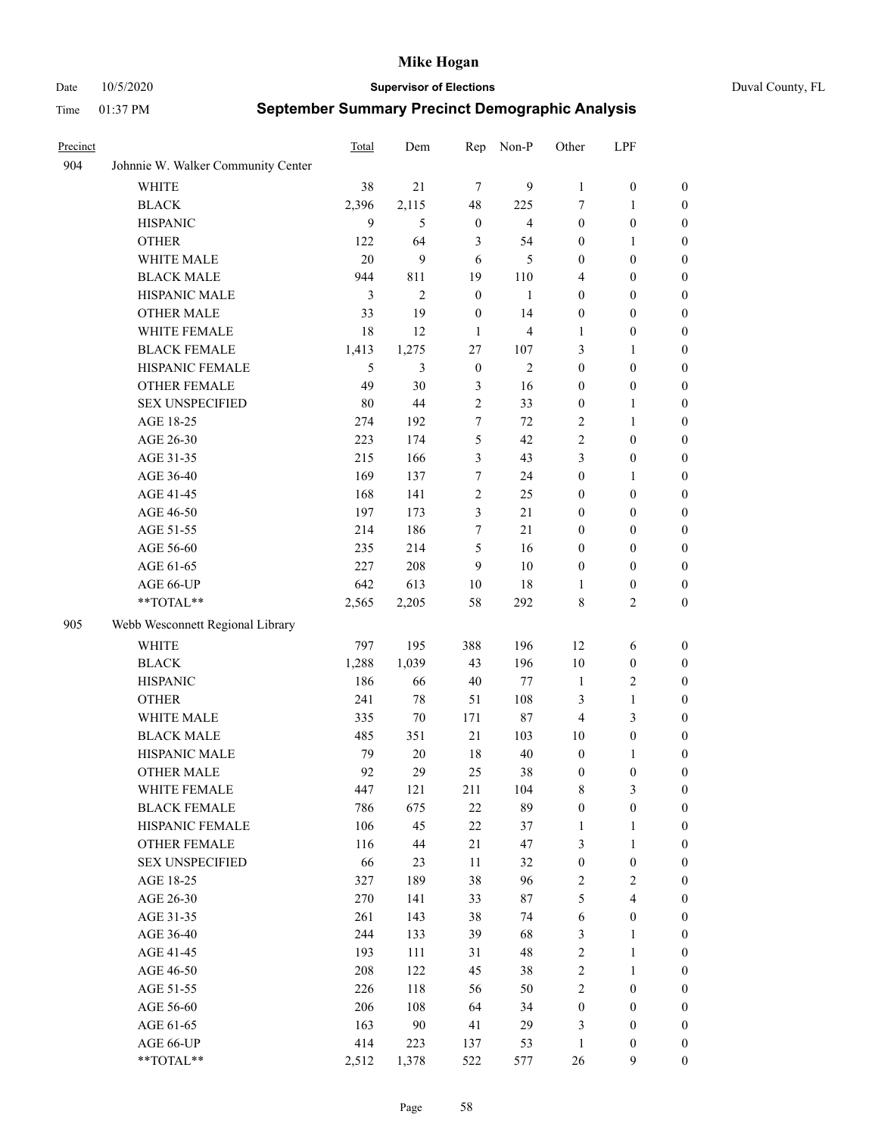#### Date 10/5/2020 **Supervisor of Elections** Duval County, FL

| Precinct |                                    | Total | Dem            | Rep              | Non-P          | Other            | LPF              |                  |
|----------|------------------------------------|-------|----------------|------------------|----------------|------------------|------------------|------------------|
| 904      | Johnnie W. Walker Community Center |       |                |                  |                |                  |                  |                  |
|          | <b>WHITE</b>                       | 38    | 21             | $\tau$           | 9              | $\mathbf{1}$     | $\boldsymbol{0}$ | $\boldsymbol{0}$ |
|          | <b>BLACK</b>                       | 2,396 | 2,115          | 48               | 225            | 7                | $\mathbf{1}$     | $\boldsymbol{0}$ |
|          | <b>HISPANIC</b>                    | 9     | 5              | $\boldsymbol{0}$ | $\overline{4}$ | $\boldsymbol{0}$ | $\boldsymbol{0}$ | $\boldsymbol{0}$ |
|          | <b>OTHER</b>                       | 122   | 64             | 3                | 54             | $\boldsymbol{0}$ | 1                | $\boldsymbol{0}$ |
|          | WHITE MALE                         | 20    | 9              | 6                | 5              | $\boldsymbol{0}$ | $\boldsymbol{0}$ | $\boldsymbol{0}$ |
|          | <b>BLACK MALE</b>                  | 944   | 811            | 19               | 110            | 4                | $\boldsymbol{0}$ | $\boldsymbol{0}$ |
|          | HISPANIC MALE                      | 3     | $\overline{2}$ | $\boldsymbol{0}$ | 1              | $\boldsymbol{0}$ | $\boldsymbol{0}$ | $\boldsymbol{0}$ |
|          | <b>OTHER MALE</b>                  | 33    | 19             | $\boldsymbol{0}$ | 14             | $\boldsymbol{0}$ | $\boldsymbol{0}$ | $\boldsymbol{0}$ |
|          | WHITE FEMALE                       | 18    | 12             | 1                | $\overline{4}$ | 1                | $\boldsymbol{0}$ | 0                |
|          | <b>BLACK FEMALE</b>                | 1,413 | 1,275          | 27               | 107            | 3                | $\mathbf{1}$     | 0                |
|          | HISPANIC FEMALE                    | 5     | 3              | $\boldsymbol{0}$ | 2              | $\boldsymbol{0}$ | $\boldsymbol{0}$ | $\boldsymbol{0}$ |
|          | OTHER FEMALE                       | 49    | 30             | $\mathfrak{Z}$   | 16             | $\boldsymbol{0}$ | $\boldsymbol{0}$ | $\boldsymbol{0}$ |
|          | <b>SEX UNSPECIFIED</b>             | 80    | 44             | $\sqrt{2}$       | 33             | $\boldsymbol{0}$ | $\mathbf{1}$     | $\boldsymbol{0}$ |
|          | AGE 18-25                          | 274   | 192            | 7                | 72             | $\overline{c}$   | $\mathbf{1}$     | $\boldsymbol{0}$ |
|          | AGE 26-30                          | 223   | 174            | 5                | 42             | $\sqrt{2}$       | $\boldsymbol{0}$ | $\boldsymbol{0}$ |
|          | AGE 31-35                          | 215   | 166            | $\mathfrak{Z}$   | 43             | 3                | $\boldsymbol{0}$ | $\boldsymbol{0}$ |
|          | AGE 36-40                          | 169   | 137            | $\tau$           | 24             | $\boldsymbol{0}$ | $\mathbf{1}$     | $\boldsymbol{0}$ |
|          | AGE 41-45                          | 168   | 141            | $\overline{2}$   | 25             | $\boldsymbol{0}$ | $\boldsymbol{0}$ | $\boldsymbol{0}$ |
|          | AGE 46-50                          | 197   | 173            | 3                | 21             | $\boldsymbol{0}$ | $\boldsymbol{0}$ | $\boldsymbol{0}$ |
|          | AGE 51-55                          | 214   | 186            | $\tau$           | 21             | $\boldsymbol{0}$ | $\boldsymbol{0}$ | 0                |
|          | AGE 56-60                          | 235   | 214            | 5                | 16             | $\boldsymbol{0}$ | $\boldsymbol{0}$ | $\boldsymbol{0}$ |
|          | AGE 61-65                          | 227   | 208            | 9                | 10             | $\boldsymbol{0}$ | $\boldsymbol{0}$ | $\boldsymbol{0}$ |
|          | AGE 66-UP                          | 642   | 613            | 10               | 18             | 1                | $\boldsymbol{0}$ | $\boldsymbol{0}$ |
|          | **TOTAL**                          | 2,565 | 2,205          | 58               | 292            | 8                | $\mathbf{2}$     | $\boldsymbol{0}$ |
| 905      | Webb Wesconnett Regional Library   |       |                |                  |                |                  |                  |                  |
|          | <b>WHITE</b>                       | 797   | 195            | 388              | 196            | 12               | 6                | $\boldsymbol{0}$ |
|          | <b>BLACK</b>                       | 1,288 | 1,039          | 43               | 196            | 10               | $\boldsymbol{0}$ | $\boldsymbol{0}$ |
|          | <b>HISPANIC</b>                    | 186   | 66             | 40               | 77             | $\mathbf{1}$     | $\sqrt{2}$       | $\boldsymbol{0}$ |
|          | <b>OTHER</b>                       | 241   | 78             | 51               | 108            | 3                | $\mathbf{1}$     | $\boldsymbol{0}$ |
|          | WHITE MALE                         | 335   | $70\,$         | 171              | $87\,$         | $\overline{4}$   | $\mathfrak{Z}$   | $\boldsymbol{0}$ |
|          | <b>BLACK MALE</b>                  | 485   | 351            | 21               | 103            | 10               | $\boldsymbol{0}$ | $\boldsymbol{0}$ |
|          | HISPANIC MALE                      | 79    | 20             | 18               | 40             | $\boldsymbol{0}$ | 1                | 0                |
|          | <b>OTHER MALE</b>                  | 92    | 29             | 25               | 38             | $\boldsymbol{0}$ | $\boldsymbol{0}$ | $\boldsymbol{0}$ |
|          | WHITE FEMALE                       | 447   | 121            | 211              | 104            | 8                | $\mathfrak{Z}$   | $\boldsymbol{0}$ |
|          | <b>BLACK FEMALE</b>                | 786   | 675            | 22               | 89             | $\boldsymbol{0}$ | $\boldsymbol{0}$ | $\overline{0}$   |
|          | HISPANIC FEMALE                    | 106   | 45             | $22\,$           | 37             | $\mathbf{1}$     | $\mathbf{1}$     | $\overline{0}$   |
|          | <b>OTHER FEMALE</b>                | 116   | 44             | 21               | 47             | 3                | $\mathbf{1}$     | 0                |
|          | <b>SEX UNSPECIFIED</b>             | 66    | 23             | $11\,$           | 32             | $\boldsymbol{0}$ | $\boldsymbol{0}$ | $\theta$         |
|          | AGE 18-25                          | 327   | 189            | 38               | 96             | $\sqrt{2}$       | $\sqrt{2}$       | 0                |
|          | AGE 26-30                          | 270   | 141            | 33               | $87\,$         | $\mathfrak s$    | $\overline{4}$   | 0                |
|          | AGE 31-35                          | 261   | 143            | 38               | 74             | 6                | $\boldsymbol{0}$ | 0                |
|          | AGE 36-40                          | 244   | 133            | 39               | 68             | 3                | $\mathbf{1}$     | 0                |
|          | AGE 41-45                          | 193   | 111            | 31               | 48             | $\sqrt{2}$       | $\mathbf{1}$     | 0                |
|          | AGE 46-50                          | 208   | 122            | 45               | 38             | $\sqrt{2}$       | $\mathbf{1}$     | 0                |
|          | AGE 51-55                          | 226   | 118            | 56               | 50             | $\sqrt{2}$       | $\boldsymbol{0}$ | $\boldsymbol{0}$ |
|          | AGE 56-60                          | 206   | 108            | 64               | 34             | $\boldsymbol{0}$ | $\boldsymbol{0}$ | $\overline{0}$   |
|          | AGE 61-65                          | 163   | 90             | 41               | 29             | 3                | $\boldsymbol{0}$ | $\boldsymbol{0}$ |
|          | AGE 66-UP                          | 414   | 223            | 137              | 53             | $\mathbf{1}$     | $\boldsymbol{0}$ | 0                |
|          | **TOTAL**                          | 2,512 | 1,378          | 522              | 577            | 26               | 9                | $\boldsymbol{0}$ |
|          |                                    |       |                |                  |                |                  |                  |                  |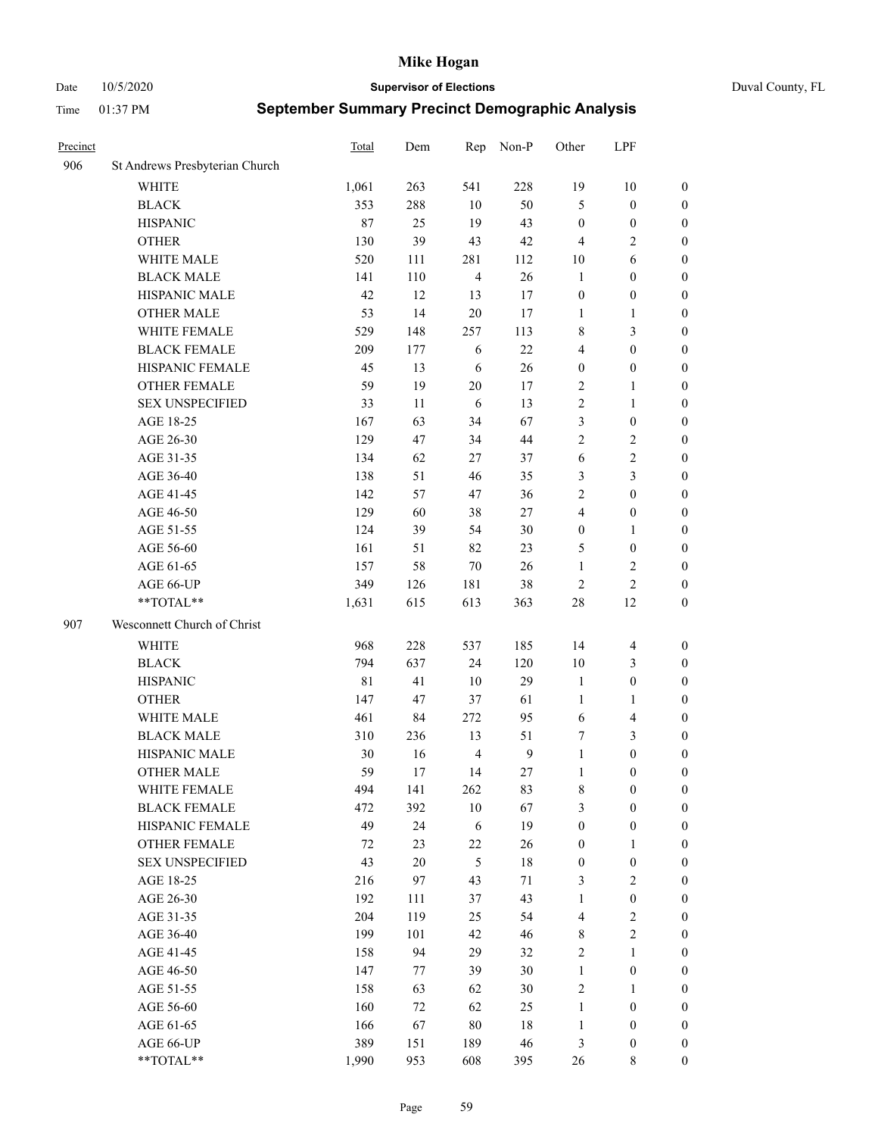Date 10/5/2020 **Supervisor of Elections** Duval County, FL

| Precinct |                                | Total       | Dem      | Rep            | Non-P    | Other                      | LPF                                  |                                    |
|----------|--------------------------------|-------------|----------|----------------|----------|----------------------------|--------------------------------------|------------------------------------|
| 906      | St Andrews Presbyterian Church |             |          |                |          |                            |                                      |                                    |
|          | <b>WHITE</b>                   | 1,061       | 263      | 541            | 228      | 19                         | $10\,$                               | 0                                  |
|          | <b>BLACK</b>                   | 353         | 288      | 10             | 50       | 5                          | $\boldsymbol{0}$                     | $\boldsymbol{0}$                   |
|          | <b>HISPANIC</b>                | 87          | 25       | 19             | 43       | $\boldsymbol{0}$           | $\boldsymbol{0}$                     | $\boldsymbol{0}$                   |
|          | <b>OTHER</b>                   | 130         | 39       | 43             | 42       | $\overline{4}$             | $\mathfrak{2}$                       | $\boldsymbol{0}$                   |
|          | WHITE MALE                     | 520         | 111      | 281            | 112      | 10                         | 6                                    | $\boldsymbol{0}$                   |
|          | <b>BLACK MALE</b>              | 141         | 110      | $\overline{4}$ | 26       | $\mathbf{1}$               | $\boldsymbol{0}$                     | $\boldsymbol{0}$                   |
|          | HISPANIC MALE                  | 42          | 12       | 13             | 17       | $\boldsymbol{0}$           | $\boldsymbol{0}$                     | $\boldsymbol{0}$                   |
|          | <b>OTHER MALE</b>              | 53          | 14       | $20\,$         | 17       | $\mathbf{1}$               | $\mathbf{1}$                         | $\boldsymbol{0}$                   |
|          | WHITE FEMALE                   | 529         | 148      | 257            | 113      | 8                          | $\mathfrak{Z}$                       | $\boldsymbol{0}$                   |
|          | <b>BLACK FEMALE</b>            | 209         | 177      | 6              | $22\,$   | 4                          | $\boldsymbol{0}$                     | 0                                  |
|          | HISPANIC FEMALE                | 45          | 13       | 6              | 26       | $\boldsymbol{0}$           | $\boldsymbol{0}$                     | 0                                  |
|          | OTHER FEMALE                   | 59          | 19       | 20             | 17       | $\overline{2}$             | $\mathbf{1}$                         | 0                                  |
|          | <b>SEX UNSPECIFIED</b>         | 33          | 11       | 6              | 13       | $\sqrt{2}$                 | $\mathbf{1}$                         | $\boldsymbol{0}$                   |
|          | AGE 18-25                      | 167         | 63       | 34             | 67       | 3                          | $\boldsymbol{0}$                     | $\boldsymbol{0}$                   |
|          | AGE 26-30                      | 129         | 47       | 34             | $44\,$   | 2                          | $\sqrt{2}$                           | $\boldsymbol{0}$                   |
|          | AGE 31-35                      | 134         | 62       | 27             | 37       | 6                          | $\sqrt{2}$                           | $\boldsymbol{0}$                   |
|          | AGE 36-40                      | 138         | 51       | 46             | 35       | 3                          | $\mathfrak{Z}$                       | $\boldsymbol{0}$                   |
|          | AGE 41-45                      | 142         | 57       | 47             | 36       | $\mathbf{2}$               | $\boldsymbol{0}$                     | $\boldsymbol{0}$                   |
|          | AGE 46-50                      | 129         | 60       | 38             | 27       | 4                          | $\boldsymbol{0}$                     | $\boldsymbol{0}$                   |
|          | AGE 51-55                      | 124         | 39       | 54             | $30\,$   | $\boldsymbol{0}$           | $\mathbf{1}$                         | $\boldsymbol{0}$                   |
|          | AGE 56-60                      | 161         | 51       | 82             | 23       | 5                          | $\boldsymbol{0}$                     | 0                                  |
|          | AGE 61-65                      | 157         | 58       | $70\,$         | 26       | $\mathbf{1}$               | $\overline{c}$                       | 0                                  |
|          | AGE 66-UP                      | 349         | 126      | 181            | 38       | $\sqrt{2}$                 | $\overline{2}$                       | $\boldsymbol{0}$                   |
|          | $**TOTAL**$                    | 1,631       | 615      | 613            | 363      | $28\,$                     | 12                                   | $\boldsymbol{0}$                   |
| 907      | Wesconnett Church of Christ    |             |          |                |          |                            |                                      |                                    |
|          | <b>WHITE</b>                   | 968         | 228      | 537            | 185      | 14                         | $\overline{\mathbf{4}}$              | $\boldsymbol{0}$                   |
|          | <b>BLACK</b>                   | 794         | 637      | 24             | 120      | 10                         | $\mathfrak{Z}$                       | $\boldsymbol{0}$                   |
|          | <b>HISPANIC</b>                | $8\sqrt{1}$ | 41       | $10\,$         | 29       | $\mathbf{1}$               | $\boldsymbol{0}$                     | $\boldsymbol{0}$                   |
|          | <b>OTHER</b>                   | 147         | 47       | 37             | 61       | $\mathbf{1}$               | $\mathbf{1}$                         | $\boldsymbol{0}$                   |
|          | WHITE MALE                     | 461         | 84       | 272            | 95       | 6                          | $\overline{\mathbf{4}}$              | $\boldsymbol{0}$                   |
|          | <b>BLACK MALE</b>              | 310         | 236      | 13             | 51       | 7                          | 3                                    | $\boldsymbol{0}$                   |
|          | HISPANIC MALE                  | 30          | 16       | $\overline{4}$ | 9        | $\mathbf{1}$               | $\boldsymbol{0}$                     | $\boldsymbol{0}$                   |
|          | <b>OTHER MALE</b>              | 59          | 17       | 14             | 27       | $\mathbf{1}$               | $\boldsymbol{0}$                     | $\boldsymbol{0}$                   |
|          | WHITE FEMALE                   | 494         | 141      | 262            | 83       | 8                          | $\boldsymbol{0}$                     | 0                                  |
|          | <b>BLACK FEMALE</b>            | 472         | 392      | $10\,$         | 67       | 3                          | $\boldsymbol{0}$                     | $\boldsymbol{0}$                   |
|          | HISPANIC FEMALE                | 49          | 24       | 6              | 19       | $\boldsymbol{0}$           | $\boldsymbol{0}$                     | $\overline{0}$                     |
|          | <b>OTHER FEMALE</b>            | 72          | 23       | $22\,$         | 26       | $\boldsymbol{0}$           | $\mathbf{1}$                         | $\overline{0}$                     |
|          | <b>SEX UNSPECIFIED</b>         | 43          | 20       | $\mathfrak{H}$ | 18       | $\boldsymbol{0}$           | $\boldsymbol{0}$                     | 0                                  |
|          | AGE 18-25                      | 216         | 97       | 43             | 71       | 3                          | $\sqrt{2}$                           | 0                                  |
|          | AGE 26-30                      | 192         | 111      | 37             | 43       | $\mathbf{1}$               | $\boldsymbol{0}$                     | 0                                  |
|          | AGE 31-35                      | 204         | 119      | 25             | 54       | 4                          | $\sqrt{2}$                           | 0                                  |
|          | AGE 36-40                      | 199         | 101      | 42             | 46       | 8                          | $\sqrt{2}$                           | 0                                  |
|          | AGE 41-45                      | 158         | 94       | 29             | 32       | $\sqrt{2}$                 | $\mathbf{1}$                         | 0                                  |
|          | AGE 46-50                      | 147         |          | 39             | 30       |                            |                                      |                                    |
|          | AGE 51-55                      | 158         | 77<br>63 | 62             | 30       | $\mathbf{1}$<br>$\sqrt{2}$ | $\boldsymbol{0}$                     | 0                                  |
|          |                                | 160         | 72       | 62             |          | $\mathbf{1}$               | $\mathbf{1}$                         | $\boldsymbol{0}$<br>$\overline{0}$ |
|          | AGE 56-60<br>AGE 61-65         | 166         | 67       | $80\,$         | 25<br>18 |                            | $\boldsymbol{0}$<br>$\boldsymbol{0}$ | $\overline{0}$                     |
|          | AGE 66-UP                      | 389         |          |                |          | $\mathbf{1}$               | $\boldsymbol{0}$                     |                                    |
|          | **TOTAL**                      |             | 151      | 189            | 46       | 3                          |                                      | 0                                  |
|          |                                | 1,990       | 953      | 608            | 395      | 26                         | 8                                    | $\boldsymbol{0}$                   |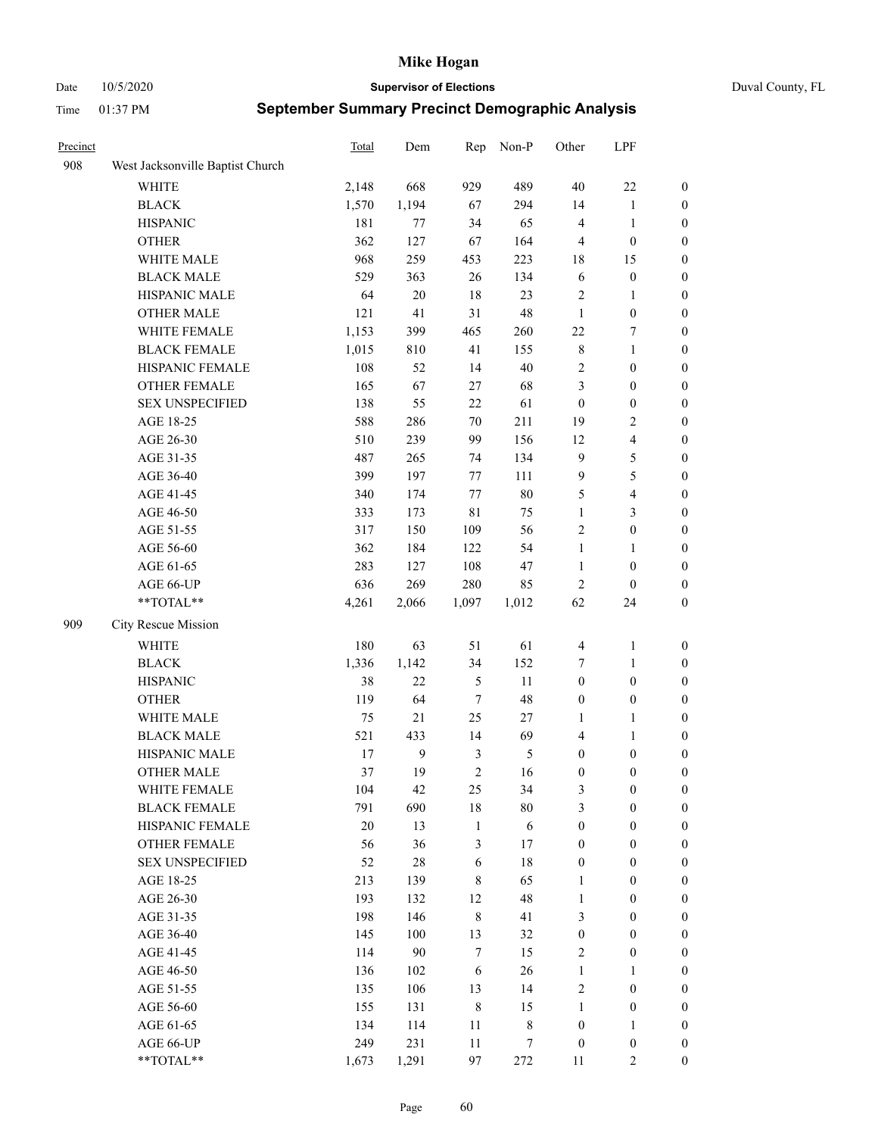Date 10/5/2020 **Supervisor of Elections** Duval County, FL

| Precinct |                                  | Total | Dem    | Rep            | Non-P      | Other            | LPF                     |                  |
|----------|----------------------------------|-------|--------|----------------|------------|------------------|-------------------------|------------------|
| 908      | West Jacksonville Baptist Church |       |        |                |            |                  |                         |                  |
|          | <b>WHITE</b>                     | 2,148 | 668    | 929            | 489        | $40\,$           | $22\,$                  | 0                |
|          | <b>BLACK</b>                     | 1,570 | 1,194  | 67             | 294        | 14               | $\mathbf{1}$            | 0                |
|          | <b>HISPANIC</b>                  | 181   | 77     | 34             | 65         | $\overline{4}$   | $\mathbf{1}$            | 0                |
|          | <b>OTHER</b>                     | 362   | 127    | 67             | 164        | 4                | $\boldsymbol{0}$        | $\boldsymbol{0}$ |
|          | WHITE MALE                       | 968   | 259    | 453            | 223        | 18               | 15                      | $\boldsymbol{0}$ |
|          | <b>BLACK MALE</b>                | 529   | 363    | 26             | 134        | 6                | $\boldsymbol{0}$        | $\boldsymbol{0}$ |
|          | HISPANIC MALE                    | 64    | $20\,$ | $18\,$         | 23         | 2                | $\mathbf{1}$            | $\boldsymbol{0}$ |
|          | <b>OTHER MALE</b>                | 121   | 41     | 31             | 48         | $\mathbf{1}$     | $\boldsymbol{0}$        | $\boldsymbol{0}$ |
|          | WHITE FEMALE                     | 1,153 | 399    | 465            | 260        | 22               | $\boldsymbol{7}$        | $\boldsymbol{0}$ |
|          | <b>BLACK FEMALE</b>              | 1,015 | 810    | 41             | 155        | 8                | $\mathbf{1}$            | 0                |
|          | HISPANIC FEMALE                  | 108   | 52     | 14             | $40\,$     | 2                | $\boldsymbol{0}$        | 0                |
|          | <b>OTHER FEMALE</b>              | 165   | 67     | $27\,$         | 68         | 3                | $\boldsymbol{0}$        | 0                |
|          | <b>SEX UNSPECIFIED</b>           | 138   | 55     | 22             | 61         | $\boldsymbol{0}$ | $\boldsymbol{0}$        | $\boldsymbol{0}$ |
|          | AGE 18-25                        | 588   | 286    | 70             | 211        | 19               | $\sqrt{2}$              | $\boldsymbol{0}$ |
|          | AGE 26-30                        | 510   | 239    | 99             | 156        | 12               | $\overline{\mathbf{4}}$ | $\boldsymbol{0}$ |
|          | AGE 31-35                        | 487   | 265    | 74             | 134        | $\mathbf{9}$     | $\mathfrak{S}$          | $\boldsymbol{0}$ |
|          | AGE 36-40                        | 399   | 197    | 77             | 111        | 9                | $\mathfrak s$           | $\boldsymbol{0}$ |
|          | AGE 41-45                        | 340   | 174    | 77             | $80\,$     | 5                | $\overline{\mathbf{4}}$ | $\boldsymbol{0}$ |
|          | AGE 46-50                        | 333   | 173    | $8\sqrt{1}$    | 75         | $\mathbf{1}$     | $\mathfrak{Z}$          | $\boldsymbol{0}$ |
|          | AGE 51-55                        | 317   | 150    | 109            | 56         | 2                | $\boldsymbol{0}$        | $\boldsymbol{0}$ |
|          | AGE 56-60                        | 362   | 184    | 122            | 54         | $\mathbf{1}$     | $\mathbf{1}$            | 0                |
|          | AGE 61-65                        | 283   | 127    | 108            | 47         | $\mathbf{1}$     | $\boldsymbol{0}$        | 0                |
|          | AGE 66-UP                        | 636   | 269    | 280            | 85         | $\sqrt{2}$       | $\boldsymbol{0}$        | $\boldsymbol{0}$ |
|          | $**TOTAL**$                      | 4,261 | 2,066  | 1,097          | 1,012      | 62               | 24                      | $\boldsymbol{0}$ |
| 909      | City Rescue Mission              |       |        |                |            |                  |                         |                  |
|          | <b>WHITE</b>                     | 180   | 63     | 51             | 61         | $\overline{4}$   | $\mathbf{1}$            | $\boldsymbol{0}$ |
|          | <b>BLACK</b>                     | 1,336 | 1,142  | 34             | 152        | 7                | $\mathbf{1}$            | $\boldsymbol{0}$ |
|          | <b>HISPANIC</b>                  | 38    | 22     | $\mathfrak{S}$ | 11         | $\boldsymbol{0}$ | $\boldsymbol{0}$        | $\boldsymbol{0}$ |
|          | <b>OTHER</b>                     | 119   | 64     | $\tau$         | 48         | $\boldsymbol{0}$ | $\boldsymbol{0}$        | $\boldsymbol{0}$ |
|          | WHITE MALE                       | 75    | 21     | 25             | 27         | $\mathbf{1}$     | $\mathbf{1}$            | $\boldsymbol{0}$ |
|          | <b>BLACK MALE</b>                | 521   | 433    | 14             | 69         | 4                | $\mathbf{1}$            | $\boldsymbol{0}$ |
|          | HISPANIC MALE                    | 17    | 9      | $\mathfrak{Z}$ | 5          | $\boldsymbol{0}$ | $\boldsymbol{0}$        | 0                |
|          | <b>OTHER MALE</b>                | 37    | 19     | $\overline{2}$ | 16         | $\boldsymbol{0}$ | $\boldsymbol{0}$        | $\boldsymbol{0}$ |
|          | WHITE FEMALE                     | 104   | 42     | 25             | 34         | 3                | $\boldsymbol{0}$        | 0                |
|          | <b>BLACK FEMALE</b>              | 791   | 690    | 18             | $80\,$     | 3                | $\boldsymbol{0}$        | $\boldsymbol{0}$ |
|          | HISPANIC FEMALE                  | 20    | 13     | $\mathbf{1}$   | $\sqrt{6}$ | $\boldsymbol{0}$ | $\boldsymbol{0}$        | $\overline{0}$   |
|          | OTHER FEMALE                     | 56    | 36     | $\mathfrak{Z}$ | 17         | $\boldsymbol{0}$ | $\boldsymbol{0}$        | $\overline{0}$   |
|          | <b>SEX UNSPECIFIED</b>           | 52    | 28     | 6              | 18         | $\boldsymbol{0}$ | $\boldsymbol{0}$        | $\overline{0}$   |
|          | AGE 18-25                        | 213   | 139    | $\,$ 8 $\,$    | 65         | $\mathbf{1}$     | $\boldsymbol{0}$        | $\overline{0}$   |
|          | AGE 26-30                        | 193   | 132    | 12             | 48         | $\mathbf{1}$     | $\boldsymbol{0}$        | $\overline{0}$   |
|          | AGE 31-35                        | 198   | 146    | $\,8\,$        | 41         | 3                | $\boldsymbol{0}$        | 0                |
|          | AGE 36-40                        | 145   | 100    | 13             | 32         | $\boldsymbol{0}$ | $\boldsymbol{0}$        | 0                |
|          | AGE 41-45                        | 114   | 90     | $\tau$         | 15         | $\mathbf{2}$     | $\boldsymbol{0}$        | 0                |
|          | AGE 46-50                        | 136   | 102    | 6              | 26         | $\mathbf{1}$     | $\mathbf{1}$            | 0                |
|          | AGE 51-55                        | 135   | 106    | 13             | 14         | $\sqrt{2}$       | $\boldsymbol{0}$        | $\overline{0}$   |
|          | AGE 56-60                        | 155   | 131    | $\,8\,$        | 15         | 1                | $\boldsymbol{0}$        | $\boldsymbol{0}$ |
|          | AGE 61-65                        | 134   | 114    | 11             | 8          | $\boldsymbol{0}$ | $\mathbf{1}$            | $\boldsymbol{0}$ |
|          | AGE 66-UP                        | 249   | 231    | 11             | 7          | $\boldsymbol{0}$ | $\boldsymbol{0}$        | $\boldsymbol{0}$ |
|          | **TOTAL**                        | 1,673 | 1,291  | 97             | 272        | 11               | $\overline{2}$          | $\boldsymbol{0}$ |
|          |                                  |       |        |                |            |                  |                         |                  |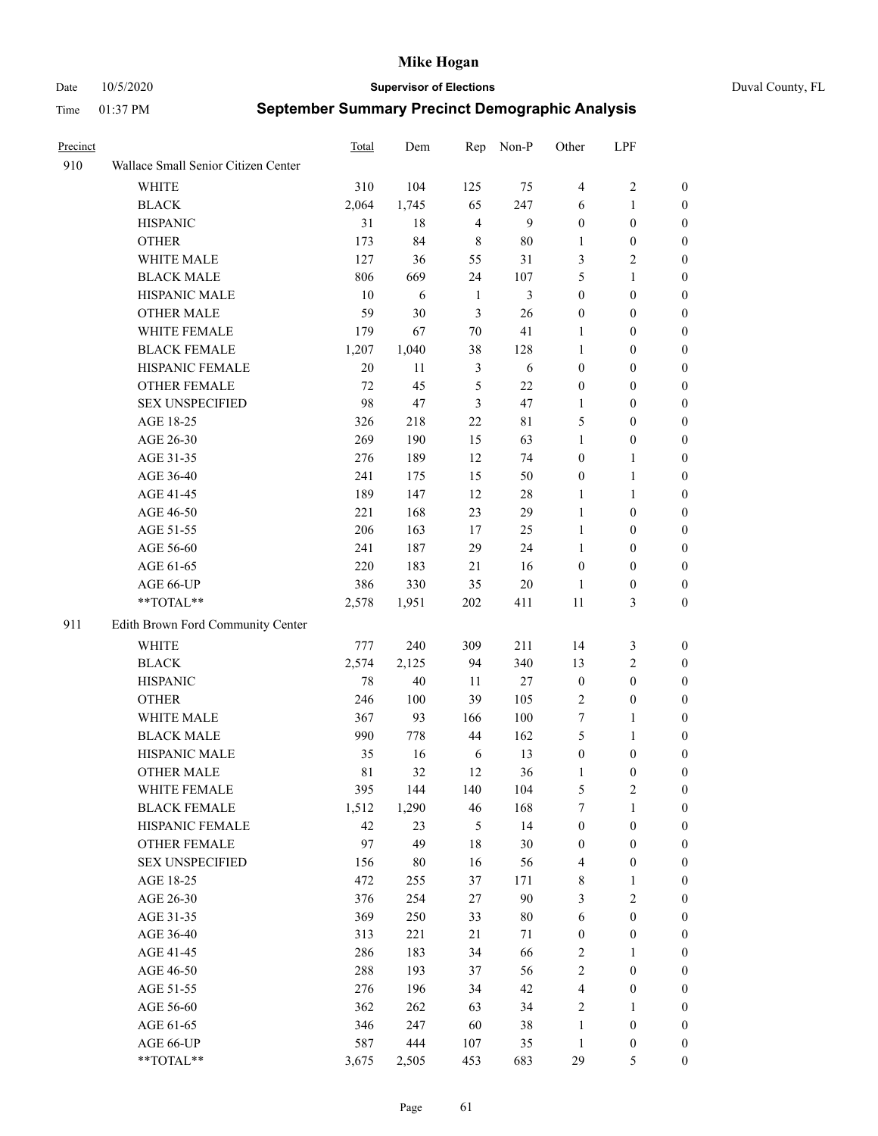Date 10/5/2020 **Supervisor of Elections** Duval County, FL

| Precinct |                                     | <b>Total</b>      | Dem         | Rep            | Non-P          | Other                            | LPF                              |                                      |
|----------|-------------------------------------|-------------------|-------------|----------------|----------------|----------------------------------|----------------------------------|--------------------------------------|
| 910      | Wallace Small Senior Citizen Center |                   |             |                |                |                                  |                                  |                                      |
|          | <b>WHITE</b>                        | 310               | 104         | 125            | 75             | $\overline{4}$                   | $\sqrt{2}$                       | 0                                    |
|          | <b>BLACK</b>                        | 2,064             | 1,745       | 65             | 247            | 6                                | $\mathbf{1}$                     | 0                                    |
|          | <b>HISPANIC</b>                     | 31                | 18          | $\overline{4}$ | 9              | $\boldsymbol{0}$                 | $\boldsymbol{0}$                 | 0                                    |
|          | <b>OTHER</b>                        | 173               | 84          | 8              | 80             | 1                                | $\boldsymbol{0}$                 | $\boldsymbol{0}$                     |
|          | WHITE MALE                          | 127               | 36          | 55             | 31             | 3                                | $\sqrt{2}$                       | $\boldsymbol{0}$                     |
|          | <b>BLACK MALE</b>                   | 806               | 669         | 24             | 107            | 5                                | $\mathbf{1}$                     | $\boldsymbol{0}$                     |
|          | HISPANIC MALE                       | 10                | 6           | $\mathbf{1}$   | $\mathfrak{Z}$ | $\boldsymbol{0}$                 | $\boldsymbol{0}$                 | $\boldsymbol{0}$                     |
|          | <b>OTHER MALE</b>                   | 59                | 30          | 3              | 26             | $\boldsymbol{0}$                 | $\boldsymbol{0}$                 | $\boldsymbol{0}$                     |
|          | WHITE FEMALE                        | 179               | 67          | $70\,$         | 41             | 1                                | $\boldsymbol{0}$                 | $\boldsymbol{0}$                     |
|          | <b>BLACK FEMALE</b>                 | 1,207             | 1,040       | 38             | 128            | $\mathbf{1}$                     | $\boldsymbol{0}$                 | 0                                    |
|          | HISPANIC FEMALE                     | 20                | 11          | $\mathfrak{Z}$ | 6              | $\boldsymbol{0}$                 | $\boldsymbol{0}$                 | 0                                    |
|          | <b>OTHER FEMALE</b>                 | 72                | 45          | 5              | 22             | $\boldsymbol{0}$                 | $\boldsymbol{0}$                 | 0                                    |
|          | <b>SEX UNSPECIFIED</b>              | 98                | 47          | 3              | 47             | $\mathbf{1}$                     | $\boldsymbol{0}$                 | $\boldsymbol{0}$                     |
|          | AGE 18-25                           | 326               | 218         | 22             | 81             | 5                                | $\boldsymbol{0}$                 | $\boldsymbol{0}$                     |
|          | AGE 26-30                           | 269               | 190         | 15             | 63             | $\mathbf{1}$                     | $\boldsymbol{0}$                 | $\boldsymbol{0}$                     |
|          | AGE 31-35                           | 276               | 189         | 12             | 74             | $\boldsymbol{0}$                 | $\mathbf{1}$                     | $\boldsymbol{0}$                     |
|          | AGE 36-40                           | 241               | 175         | 15             | 50             | $\boldsymbol{0}$                 | $\mathbf{1}$                     | $\boldsymbol{0}$                     |
|          | AGE 41-45                           | 189               | 147         | 12             | $28\,$         | $\mathbf{1}$                     | $\mathbf{1}$                     | $\boldsymbol{0}$                     |
|          | AGE 46-50                           | 221               | 168         | 23             | 29             | $\mathbf{1}$                     | $\boldsymbol{0}$                 | $\boldsymbol{0}$                     |
|          | AGE 51-55                           | 206               | 163         | 17             | 25             | $\mathbf{1}$                     | $\boldsymbol{0}$                 | 0                                    |
|          | AGE 56-60                           | 241               | 187         | 29             | 24             | 1                                | $\boldsymbol{0}$                 | 0                                    |
|          | AGE 61-65                           | 220               | 183         | 21             | 16             | $\boldsymbol{0}$                 | $\boldsymbol{0}$                 | 0                                    |
|          | AGE 66-UP                           | 386               | 330         | 35             | $20\,$         | $\mathbf{1}$                     | $\boldsymbol{0}$                 | $\boldsymbol{0}$                     |
|          | **TOTAL**                           | 2,578             | 1,951       | 202            | 411            | $11\,$                           | $\mathfrak{Z}$                   | $\boldsymbol{0}$                     |
| 911      | Edith Brown Ford Community Center   |                   |             |                |                |                                  |                                  |                                      |
|          | <b>WHITE</b>                        | 777               | 240         | 309            | 211            |                                  |                                  |                                      |
|          | <b>BLACK</b>                        | 2,574             | 2,125       | 94             | 340            | 14<br>13                         | 3<br>$\sqrt{2}$                  | $\boldsymbol{0}$                     |
|          | <b>HISPANIC</b>                     | 78                | $40\,$      | 11             | 27             | $\boldsymbol{0}$                 | $\boldsymbol{0}$                 | $\boldsymbol{0}$<br>$\boldsymbol{0}$ |
|          |                                     | 246               | 100         | 39             | 105            | $\mathbf{2}$                     | $\boldsymbol{0}$                 | $\boldsymbol{0}$                     |
|          | <b>OTHER</b>                        |                   |             |                |                |                                  |                                  |                                      |
|          | WHITE MALE<br><b>BLACK MALE</b>     | 367<br>990        | 93<br>778   | 166<br>44      | 100<br>162     | $\tau$<br>5                      | $\mathbf{1}$<br>$\mathbf{1}$     | $\boldsymbol{0}$<br>$\boldsymbol{0}$ |
|          | HISPANIC MALE                       |                   | 16          |                |                |                                  |                                  |                                      |
|          |                                     | 35<br>$8\sqrt{1}$ | 32          | 6<br>12        | 13<br>36       | $\boldsymbol{0}$                 | $\boldsymbol{0}$                 | 0                                    |
|          | <b>OTHER MALE</b>                   |                   |             |                |                | 1                                | $\boldsymbol{0}$                 | 0                                    |
|          | WHITE FEMALE<br><b>BLACK FEMALE</b> | 395               | 144         | 140            | 104<br>168     | 5<br>7                           | 2                                | 0                                    |
|          | HISPANIC FEMALE                     | 1,512<br>42       | 1,290<br>23 | 46<br>5        | 14             | $\boldsymbol{0}$                 | $\mathbf{1}$<br>$\boldsymbol{0}$ | $\boldsymbol{0}$<br>$\overline{0}$   |
|          | OTHER FEMALE                        | 97                | 49          | 18             | 30             |                                  | $\boldsymbol{0}$                 | $\overline{0}$                       |
|          | <b>SEX UNSPECIFIED</b>              | 156               | $80\,$      | 16             | 56             | $\boldsymbol{0}$<br>4            | $\boldsymbol{0}$                 | 0                                    |
|          | AGE 18-25                           | 472               | 255         | 37             | 171            | $\,$ 8 $\,$                      | $\mathbf{1}$                     | $\theta$                             |
|          | AGE 26-30                           | 376               | 254         | 27             | 90             | 3                                | $\overline{2}$                   | 0                                    |
|          | AGE 31-35                           | 369               | 250         | 33             | $80\,$         | 6                                | $\boldsymbol{0}$                 | 0                                    |
|          | AGE 36-40                           | 313               | 221         | $21\,$         | 71             | $\boldsymbol{0}$                 | $\boldsymbol{0}$                 | 0                                    |
|          | AGE 41-45                           | 286               | 183         | 34             | 66             | 2                                | $\mathbf{1}$                     | 0                                    |
|          | AGE 46-50                           | 288               | 193         | 37             | 56             | 2                                | $\boldsymbol{0}$                 | 0                                    |
|          |                                     |                   |             |                |                |                                  |                                  |                                      |
|          | AGE 51-55<br>AGE 56-60              | 276<br>362        | 196<br>262  | 34<br>63       | 42<br>34       | $\overline{4}$<br>$\overline{2}$ | $\boldsymbol{0}$<br>1            | 0<br>$\overline{0}$                  |
|          | AGE 61-65                           | 346               | 247         | 60             | 38             | $\mathbf{1}$                     | $\boldsymbol{0}$                 | $\overline{0}$                       |
|          | AGE 66-UP                           | 587               | 444         | 107            | 35             | $\mathbf{1}$                     | $\boldsymbol{0}$                 | 0                                    |
|          | **TOTAL**                           | 3,675             | 2,505       | 453            | 683            | 29                               | 5                                | $\boldsymbol{0}$                     |
|          |                                     |                   |             |                |                |                                  |                                  |                                      |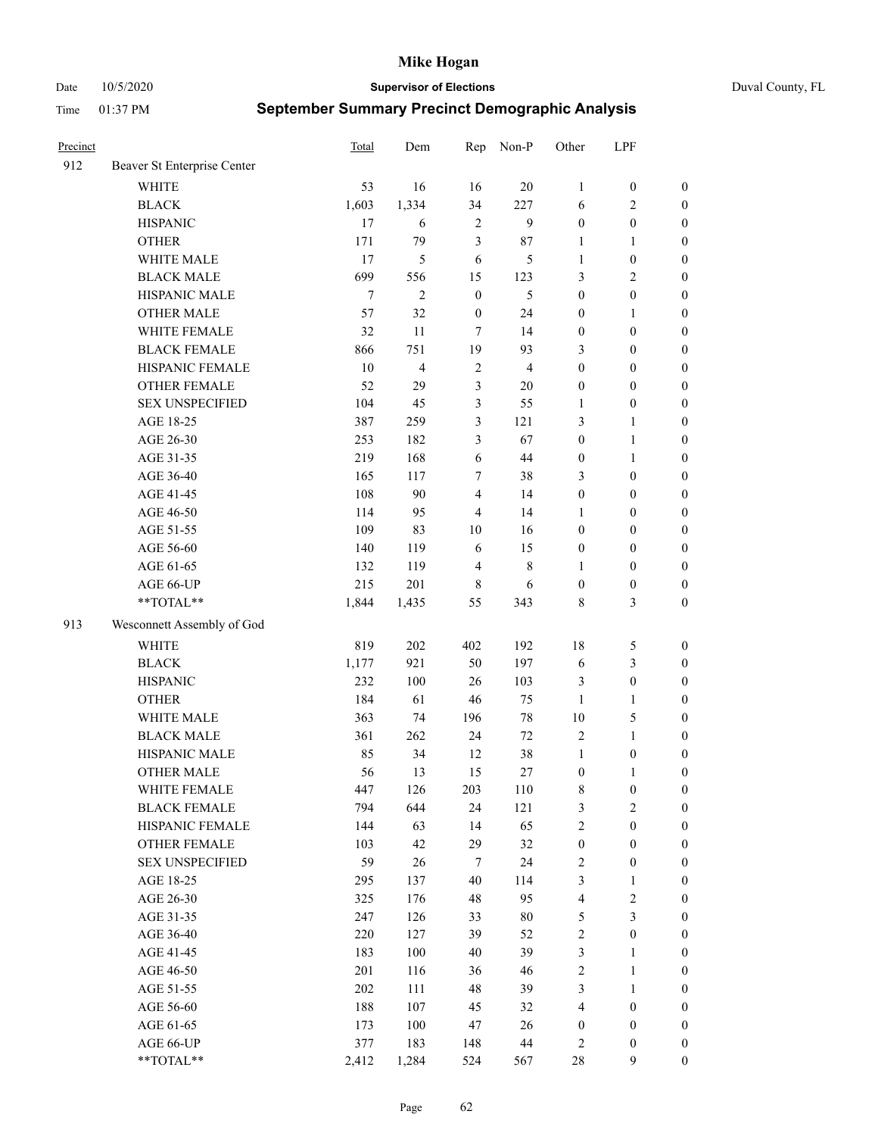Date 10/5/2020 **Supervisor of Elections** Duval County, FL

| Precinct |                             | Total  | Dem            | Rep              | Non-P          | Other            | LPF              |                  |
|----------|-----------------------------|--------|----------------|------------------|----------------|------------------|------------------|------------------|
| 912      | Beaver St Enterprise Center |        |                |                  |                |                  |                  |                  |
|          | <b>WHITE</b>                | 53     | 16             | 16               | 20             | 1                | $\boldsymbol{0}$ | $\boldsymbol{0}$ |
|          | <b>BLACK</b>                | 1,603  | 1,334          | 34               | 227            | 6                | $\sqrt{2}$       | $\boldsymbol{0}$ |
|          | <b>HISPANIC</b>             | 17     | 6              | $\sqrt{2}$       | 9              | $\boldsymbol{0}$ | $\boldsymbol{0}$ | $\boldsymbol{0}$ |
|          | <b>OTHER</b>                | 171    | 79             | 3                | 87             | 1                | $\mathbf{1}$     | $\boldsymbol{0}$ |
|          | WHITE MALE                  | 17     | 5              | 6                | 5              | $\mathbf{1}$     | $\boldsymbol{0}$ | $\boldsymbol{0}$ |
|          | <b>BLACK MALE</b>           | 699    | 556            | 15               | 123            | 3                | $\mathbf{2}$     | $\boldsymbol{0}$ |
|          | HISPANIC MALE               | $\tau$ | $\overline{2}$ | $\boldsymbol{0}$ | 5              | $\boldsymbol{0}$ | $\boldsymbol{0}$ | $\boldsymbol{0}$ |
|          | <b>OTHER MALE</b>           | 57     | 32             | $\boldsymbol{0}$ | 24             | $\boldsymbol{0}$ | $\mathbf{1}$     | $\boldsymbol{0}$ |
|          | WHITE FEMALE                | 32     | 11             | 7                | 14             | $\boldsymbol{0}$ | $\boldsymbol{0}$ | $\boldsymbol{0}$ |
|          | <b>BLACK FEMALE</b>         | 866    | 751            | 19               | 93             | 3                | $\boldsymbol{0}$ | $\boldsymbol{0}$ |
|          | HISPANIC FEMALE             | 10     | $\overline{4}$ | $\sqrt{2}$       | $\overline{4}$ | $\boldsymbol{0}$ | $\boldsymbol{0}$ | $\boldsymbol{0}$ |
|          | <b>OTHER FEMALE</b>         | 52     | 29             | $\mathfrak{Z}$   | $20\,$         | $\boldsymbol{0}$ | $\boldsymbol{0}$ | $\boldsymbol{0}$ |
|          | <b>SEX UNSPECIFIED</b>      | 104    | 45             | $\mathfrak{Z}$   | 55             | $\mathbf{1}$     | $\boldsymbol{0}$ | $\boldsymbol{0}$ |
|          | AGE 18-25                   | 387    | 259            | $\mathfrak{Z}$   | 121            | 3                | $\mathbf{1}$     | $\boldsymbol{0}$ |
|          | AGE 26-30                   | 253    | 182            | 3                | 67             | $\boldsymbol{0}$ | $\mathbf{1}$     | $\boldsymbol{0}$ |
|          | AGE 31-35                   | 219    | 168            | 6                | 44             | $\boldsymbol{0}$ | $\mathbf{1}$     | $\boldsymbol{0}$ |
|          | AGE 36-40                   | 165    | 117            | 7                | 38             | 3                | $\boldsymbol{0}$ | $\boldsymbol{0}$ |
|          | AGE 41-45                   | 108    | 90             | $\overline{4}$   | 14             | $\boldsymbol{0}$ | $\boldsymbol{0}$ | $\boldsymbol{0}$ |
|          | AGE 46-50                   | 114    | 95             | $\overline{4}$   | 14             | 1                | $\boldsymbol{0}$ | $\boldsymbol{0}$ |
|          | AGE 51-55                   | 109    | 83             | 10               | 16             | $\boldsymbol{0}$ | $\boldsymbol{0}$ | $\boldsymbol{0}$ |
|          | AGE 56-60                   | 140    | 119            | 6                | 15             | $\boldsymbol{0}$ | $\boldsymbol{0}$ | 0                |
|          | AGE 61-65                   | 132    | 119            | $\overline{4}$   | $\,$ 8 $\,$    | 1                | $\boldsymbol{0}$ | $\boldsymbol{0}$ |
|          | AGE 66-UP                   | 215    | 201            | $\,$ 8 $\,$      | 6              | $\boldsymbol{0}$ | $\boldsymbol{0}$ | $\boldsymbol{0}$ |
|          | **TOTAL**                   | 1,844  | 1,435          | 55               | 343            | 8                | $\mathfrak{Z}$   | $\boldsymbol{0}$ |
|          |                             |        |                |                  |                |                  |                  |                  |
| 913      | Wesconnett Assembly of God  |        |                |                  |                |                  |                  |                  |
|          | WHITE                       | 819    | 202            | 402              | 192            | 18               | 5                | $\boldsymbol{0}$ |
|          | <b>BLACK</b>                | 1,177  | 921            | 50               | 197            | 6                | $\mathfrak{Z}$   | $\boldsymbol{0}$ |
|          | <b>HISPANIC</b>             | 232    | 100            | 26               | 103            | 3                | $\boldsymbol{0}$ | $\boldsymbol{0}$ |
|          | <b>OTHER</b>                | 184    | 61             | 46               | 75             | $\mathbf{1}$     | $\mathbf{1}$     | $\boldsymbol{0}$ |
|          | WHITE MALE                  | 363    | 74             | 196              | $78\,$         | 10               | $\mathfrak{S}$   | $\boldsymbol{0}$ |
|          | <b>BLACK MALE</b>           | 361    | 262            | 24               | 72             | $\mathbf{2}$     | $\mathbf{1}$     | $\boldsymbol{0}$ |
|          | HISPANIC MALE               | 85     | 34             | 12               | 38             | $\mathbf{1}$     | $\boldsymbol{0}$ | $\boldsymbol{0}$ |
|          | <b>OTHER MALE</b>           | 56     | 13             | 15               | 27             | $\boldsymbol{0}$ | $\mathbf{1}$     | $\boldsymbol{0}$ |
|          | WHITE FEMALE                | 447    | 126            | 203              | 110            | 8                | $\boldsymbol{0}$ | 0                |
|          | <b>BLACK FEMALE</b>         | 794    | 644            | 24               | 121            | 3                | $\sqrt{2}$       | $\boldsymbol{0}$ |
|          | HISPANIC FEMALE             | 144    | 63             | 14               | 65             | $\overline{c}$   | $\boldsymbol{0}$ | $\overline{0}$   |
|          | OTHER FEMALE                | 103    | 42             | 29               | 32             | $\boldsymbol{0}$ | $\boldsymbol{0}$ | $\overline{0}$   |
|          | <b>SEX UNSPECIFIED</b>      | 59     | 26             | 7                | 24             | 2                | $\boldsymbol{0}$ | 0                |
|          | AGE 18-25                   | 295    | 137            | 40               | 114            | 3                | $\mathbf{1}$     | $\theta$         |
|          | AGE 26-30                   | 325    | 176            | 48               | 95             | $\overline{4}$   | $\sqrt{2}$       | 0                |
|          | AGE 31-35                   | 247    | 126            | 33               | $80\,$         | 5                | $\mathfrak{Z}$   | 0                |
|          | AGE 36-40                   | 220    | 127            | 39               | 52             | 2                | $\boldsymbol{0}$ | 0                |
|          | AGE 41-45                   | 183    | 100            | 40               | 39             | 3                | $\mathbf{1}$     | 0                |
|          | AGE 46-50                   | 201    | 116            | 36               | 46             | 2                | $\mathbf{1}$     | 0                |
|          | AGE 51-55                   | 202    | 111            | 48               | 39             | 3                | $\mathbf{1}$     | 0                |
|          | AGE 56-60                   | 188    | 107            | 45               | 32             | 4                | $\boldsymbol{0}$ | $\overline{0}$   |
|          | AGE 61-65                   | 173    | 100            | 47               | 26             | $\boldsymbol{0}$ | $\boldsymbol{0}$ | $\overline{0}$   |
|          | AGE 66-UP                   | 377    | 183            | 148              | 44             | 2                | $\boldsymbol{0}$ | $\boldsymbol{0}$ |
|          | **TOTAL**                   | 2,412  | 1,284          | 524              | 567            | $28\,$           | 9                | $\boldsymbol{0}$ |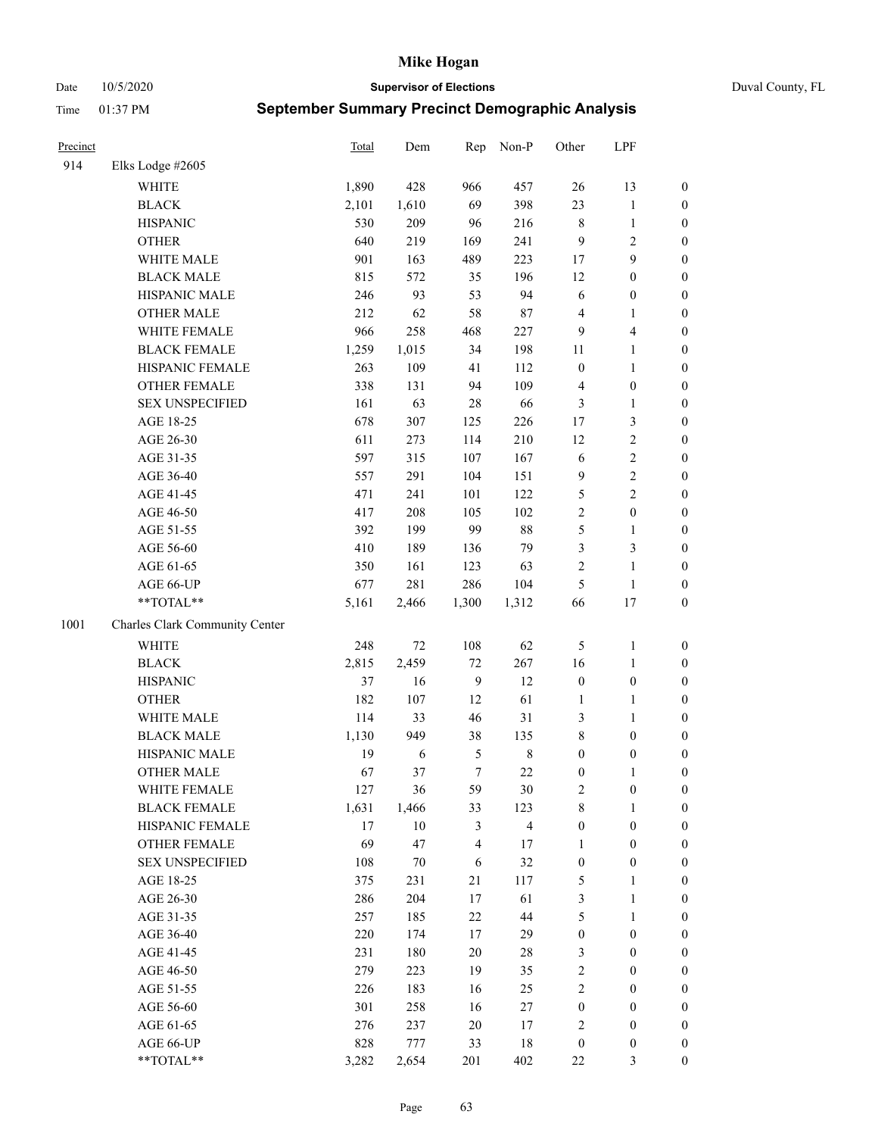### Date 10/5/2020 **Supervisor of Elections** Duval County, FL

| Precinct |                                | Total | Dem    | Rep              | Non-P                   | Other            | LPF              |                  |
|----------|--------------------------------|-------|--------|------------------|-------------------------|------------------|------------------|------------------|
| 914      | Elks Lodge #2605               |       |        |                  |                         |                  |                  |                  |
|          | <b>WHITE</b>                   | 1,890 | 428    | 966              | 457                     | 26               | 13               | 0                |
|          | <b>BLACK</b>                   | 2,101 | 1,610  | 69               | 398                     | 23               | $\mathbf{1}$     | 0                |
|          | <b>HISPANIC</b>                | 530   | 209    | 96               | 216                     | 8                | $\mathbf{1}$     | $\boldsymbol{0}$ |
|          | <b>OTHER</b>                   | 640   | 219    | 169              | 241                     | 9                | $\mathbf{2}$     | $\boldsymbol{0}$ |
|          | WHITE MALE                     | 901   | 163    | 489              | 223                     | 17               | 9                | $\boldsymbol{0}$ |
|          | <b>BLACK MALE</b>              | 815   | 572    | 35               | 196                     | 12               | $\boldsymbol{0}$ | $\boldsymbol{0}$ |
|          | HISPANIC MALE                  | 246   | 93     | 53               | 94                      | 6                | $\boldsymbol{0}$ | $\boldsymbol{0}$ |
|          | <b>OTHER MALE</b>              | 212   | 62     | 58               | $87\,$                  | 4                | $\mathbf{1}$     | $\boldsymbol{0}$ |
|          | WHITE FEMALE                   | 966   | 258    | 468              | 227                     | 9                | $\overline{4}$   | $\boldsymbol{0}$ |
|          | <b>BLACK FEMALE</b>            | 1,259 | 1,015  | 34               | 198                     | 11               | $\mathbf{1}$     | 0                |
|          | HISPANIC FEMALE                | 263   | 109    | 41               | 112                     | $\boldsymbol{0}$ | $\mathbf{1}$     | 0                |
|          | OTHER FEMALE                   | 338   | 131    | 94               | 109                     | 4                | $\boldsymbol{0}$ | $\boldsymbol{0}$ |
|          | <b>SEX UNSPECIFIED</b>         | 161   | 63     | 28               | 66                      | 3                | $\mathbf{1}$     | $\boldsymbol{0}$ |
|          | AGE 18-25                      | 678   | 307    | 125              | 226                     | 17               | $\mathfrak{Z}$   | $\boldsymbol{0}$ |
|          | AGE 26-30                      | 611   | 273    | 114              | 210                     | 12               | $\sqrt{2}$       | $\boldsymbol{0}$ |
|          | AGE 31-35                      | 597   | 315    | 107              | 167                     | 6                | $\sqrt{2}$       | $\boldsymbol{0}$ |
|          | AGE 36-40                      | 557   | 291    | 104              | 151                     | 9                | $\sqrt{2}$       | $\boldsymbol{0}$ |
|          | AGE 41-45                      | 471   | 241    | 101              | 122                     | 5                | $\overline{2}$   | $\boldsymbol{0}$ |
|          | AGE 46-50                      | 417   | 208    | 105              | 102                     | $\overline{2}$   | $\boldsymbol{0}$ | $\boldsymbol{0}$ |
|          | AGE 51-55                      | 392   | 199    | 99               | $88\,$                  | 5                | $\mathbf{1}$     | 0                |
|          | AGE 56-60                      | 410   | 189    | 136              | 79                      | 3                | $\mathfrak{Z}$   | 0                |
|          | AGE 61-65                      | 350   | 161    | 123              | 63                      | 2                | $\mathbf{1}$     | $\boldsymbol{0}$ |
|          | AGE 66-UP                      | 677   | 281    | 286              | 104                     | 5                | $\mathbf{1}$     | $\boldsymbol{0}$ |
|          | **TOTAL**                      | 5,161 | 2,466  | 1,300            | 1,312                   | 66               | 17               | $\boldsymbol{0}$ |
| 1001     | Charles Clark Community Center |       |        |                  |                         |                  |                  |                  |
|          | WHITE                          | 248   | 72     | 108              | 62                      | 5                | $\mathbf{1}$     | $\boldsymbol{0}$ |
|          | <b>BLACK</b>                   | 2,815 | 2,459  | 72               | 267                     | 16               | $\mathbf{1}$     | $\boldsymbol{0}$ |
|          | <b>HISPANIC</b>                | 37    | 16     | $\mathbf{9}$     | 12                      | $\boldsymbol{0}$ | $\boldsymbol{0}$ | $\boldsymbol{0}$ |
|          | <b>OTHER</b>                   | 182   | 107    | 12               | 61                      | $\mathbf{1}$     | $\mathbf{1}$     | $\boldsymbol{0}$ |
|          | WHITE MALE                     | 114   | 33     | 46               | 31                      | 3                | $\mathbf{1}$     | $\boldsymbol{0}$ |
|          | <b>BLACK MALE</b>              | 1,130 | 949    | 38               | 135                     | $\,$ $\,$        | $\boldsymbol{0}$ | $\boldsymbol{0}$ |
|          | HISPANIC MALE                  | 19    | 6      | 5                | $\,8\,$                 | $\boldsymbol{0}$ | $\boldsymbol{0}$ | $\boldsymbol{0}$ |
|          | OTHER MALE                     | 67    | 37     | $\boldsymbol{7}$ | 22                      | $\boldsymbol{0}$ | $\mathbf{1}$     | $\boldsymbol{0}$ |
|          | WHITE FEMALE                   | 127   | 36     | 59               | 30                      | 2                | $\boldsymbol{0}$ | 0                |
|          | <b>BLACK FEMALE</b>            | 1,631 | 1,466  | 33               | 123                     | 8                | $\mathbf{1}$     | $\boldsymbol{0}$ |
|          | HISPANIC FEMALE                | 17    | $10\,$ | 3                | $\overline{\mathbf{4}}$ | $\boldsymbol{0}$ | $\boldsymbol{0}$ | $\overline{0}$   |
|          | <b>OTHER FEMALE</b>            | 69    | 47     | 4                | 17                      | $\mathbf{1}$     | $\boldsymbol{0}$ | $\overline{0}$   |
|          | <b>SEX UNSPECIFIED</b>         | 108   | 70     | 6                | 32                      | $\boldsymbol{0}$ | $\boldsymbol{0}$ | 0                |
|          | AGE 18-25                      | 375   | 231    | 21               | 117                     | 5                | $\mathbf{1}$     | 0                |
|          | AGE 26-30                      | 286   | 204    | 17               | 61                      | 3                | $\mathbf{1}$     | 0                |
|          | AGE 31-35                      | 257   | 185    | 22               | 44                      | 5                | $\mathbf{1}$     | 0                |
|          | AGE 36-40                      | 220   | 174    | 17               | 29                      | $\boldsymbol{0}$ | $\boldsymbol{0}$ | 0                |
|          | AGE 41-45                      | 231   | 180    | 20               | $28\,$                  | 3                | $\boldsymbol{0}$ | 0                |
|          | AGE 46-50                      | 279   | 223    | 19               | 35                      | 2                | $\boldsymbol{0}$ | 0                |
|          | AGE 51-55                      | 226   | 183    | 16               | 25                      | 2                | $\boldsymbol{0}$ | 0                |
|          | AGE 56-60                      | 301   | 258    | 16               | 27                      | $\boldsymbol{0}$ | $\boldsymbol{0}$ | $\overline{0}$   |
|          | AGE 61-65                      | 276   | 237    | 20               | 17                      | 2                | $\boldsymbol{0}$ | $\overline{0}$   |
|          | AGE 66-UP                      | 828   | 777    | 33               | 18                      | $\boldsymbol{0}$ | $\boldsymbol{0}$ | 0                |
|          | **TOTAL**                      | 3,282 | 2,654  | 201              | 402                     | $22\,$           | 3                | $\boldsymbol{0}$ |
|          |                                |       |        |                  |                         |                  |                  |                  |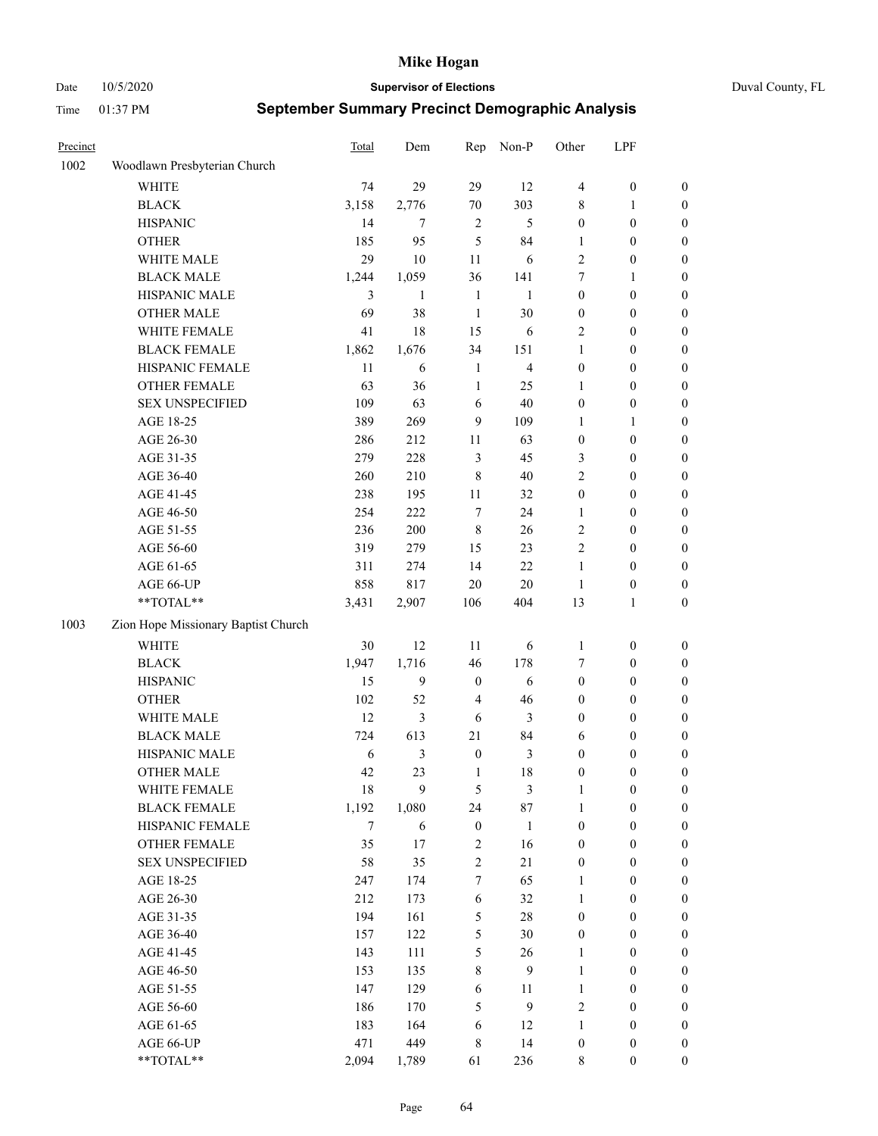Date 10/5/2020 **Supervisor of Elections** Duval County, FL

| Precinct |                                        | Total           | Dem              | Rep                    | Non-P                  | Other                                | LPF                                  |                                  |
|----------|----------------------------------------|-----------------|------------------|------------------------|------------------------|--------------------------------------|--------------------------------------|----------------------------------|
| 1002     | Woodlawn Presbyterian Church           |                 |                  |                        |                        |                                      |                                      |                                  |
|          | <b>WHITE</b>                           | 74              | 29               | 29                     | 12                     | 4                                    | $\boldsymbol{0}$                     | 0                                |
|          | <b>BLACK</b>                           | 3,158           | 2,776            | $70\,$                 | 303                    | 8                                    | 1                                    | $\boldsymbol{0}$                 |
|          | <b>HISPANIC</b>                        | 14              | 7                | $\sqrt{2}$             | 5                      | $\boldsymbol{0}$                     | $\boldsymbol{0}$                     | $\boldsymbol{0}$                 |
|          | <b>OTHER</b>                           | 185             | 95               | 5                      | 84                     | 1                                    | $\boldsymbol{0}$                     | $\boldsymbol{0}$                 |
|          | WHITE MALE                             | 29              | 10               | 11                     | 6                      | 2                                    | $\boldsymbol{0}$                     | $\boldsymbol{0}$                 |
|          | <b>BLACK MALE</b>                      | 1,244           | 1,059            | 36                     | 141                    | 7                                    | $\mathbf{1}$                         | $\boldsymbol{0}$                 |
|          | HISPANIC MALE                          | 3               | $\mathbf{1}$     | $\mathbf{1}$           | $\mathbf{1}$           | $\boldsymbol{0}$                     | $\boldsymbol{0}$                     | $\boldsymbol{0}$                 |
|          | <b>OTHER MALE</b>                      | 69              | 38               | $\mathbf{1}$           | 30                     | $\boldsymbol{0}$                     | $\boldsymbol{0}$                     | $\boldsymbol{0}$                 |
|          | WHITE FEMALE                           | 41              | 18               | 15                     | 6                      | 2                                    | $\boldsymbol{0}$                     | $\boldsymbol{0}$                 |
|          | <b>BLACK FEMALE</b>                    | 1,862           | 1,676            | 34                     | 151                    | $\mathbf{1}$                         | $\boldsymbol{0}$                     | 0                                |
|          | HISPANIC FEMALE                        | 11              | 6                | $\mathbf{1}$           | $\overline{4}$         | $\boldsymbol{0}$                     | $\boldsymbol{0}$                     | $\boldsymbol{0}$                 |
|          | OTHER FEMALE                           | 63              | 36               | $\mathbf{1}$           | 25                     | $\mathbf{1}$                         | $\boldsymbol{0}$                     | $\boldsymbol{0}$                 |
|          | <b>SEX UNSPECIFIED</b>                 | 109             | 63               | $\sqrt{6}$             | 40                     | $\boldsymbol{0}$                     | $\boldsymbol{0}$                     | $\boldsymbol{0}$                 |
|          | AGE 18-25                              | 389             | 269              | 9                      | 109                    | 1                                    | $\mathbf{1}$                         | $\boldsymbol{0}$                 |
|          | AGE 26-30                              | 286             | 212              | 11                     | 63                     | $\boldsymbol{0}$                     | $\boldsymbol{0}$                     | $\boldsymbol{0}$                 |
|          | AGE 31-35                              | 279             | 228              | $\mathfrak{Z}$         | 45                     | 3                                    | $\boldsymbol{0}$                     | $\boldsymbol{0}$                 |
|          | AGE 36-40                              | 260             | 210              | 8                      | 40                     | 2                                    | $\boldsymbol{0}$                     | $\boldsymbol{0}$                 |
|          | AGE 41-45                              | 238             | 195              | $11\,$                 | 32                     | $\boldsymbol{0}$                     | $\boldsymbol{0}$                     | $\boldsymbol{0}$                 |
|          | AGE 46-50                              | 254             | 222              | 7                      | 24                     | 1                                    | $\boldsymbol{0}$                     | $\boldsymbol{0}$                 |
|          | AGE 51-55                              | 236             | 200              | $\,$ 8 $\,$            | 26                     | 2                                    | $\boldsymbol{0}$                     | 0                                |
|          | AGE 56-60                              | 319             | 279              | 15                     | 23                     | 2                                    | $\boldsymbol{0}$                     | $\boldsymbol{0}$                 |
|          | AGE 61-65                              | 311             | 274              | 14                     | 22                     | $\mathbf{1}$                         | $\boldsymbol{0}$                     | $\boldsymbol{0}$                 |
|          | AGE 66-UP                              | 858             | 817              | $20\,$                 | 20                     | $\mathbf{1}$                         | $\boldsymbol{0}$                     | $\boldsymbol{0}$                 |
|          | $**TOTAL**$                            | 3,431           | 2,907            | 106                    | 404                    | 13                                   | $\mathbf{1}$                         | $\boldsymbol{0}$                 |
| 1003     | Zion Hope Missionary Baptist Church    |                 |                  |                        |                        |                                      |                                      |                                  |
|          | <b>WHITE</b>                           | 30              | 12               | 11                     |                        |                                      |                                      |                                  |
|          | <b>BLACK</b>                           | 1,947           | 1,716            | 46                     | 6<br>178               | $\mathbf{1}$<br>7                    | $\boldsymbol{0}$<br>$\boldsymbol{0}$ | $\boldsymbol{0}$                 |
|          |                                        | 15              | $\boldsymbol{9}$ |                        | 6                      | $\boldsymbol{0}$                     | $\boldsymbol{0}$                     | $\boldsymbol{0}$                 |
|          | <b>HISPANIC</b>                        |                 |                  | $\boldsymbol{0}$       |                        |                                      |                                      | $\boldsymbol{0}$                 |
|          | <b>OTHER</b>                           | 102             | 52               | $\overline{4}$         | 46                     | 0                                    | $\boldsymbol{0}$                     | $\boldsymbol{0}$                 |
|          | WHITE MALE                             | 12              | $\mathfrak{Z}$   | 6                      | 3                      | 0                                    | $\boldsymbol{0}$                     | $\boldsymbol{0}$                 |
|          | <b>BLACK MALE</b>                      | 724             | 613              | 21                     | 84                     | 6                                    | $\boldsymbol{0}$                     | $\boldsymbol{0}$                 |
|          | HISPANIC MALE                          | 6               | $\mathfrak{Z}$   | $\boldsymbol{0}$       | 3                      | $\boldsymbol{0}$                     | $\boldsymbol{0}$                     | 0                                |
|          | <b>OTHER MALE</b>                      | 42              | 23               | $\mathbf{1}$           | 18                     | 0                                    | $\boldsymbol{0}$                     | $\boldsymbol{0}$                 |
|          | WHITE FEMALE<br><b>BLACK FEMALE</b>    | 18              | 9                | 5                      | 3                      | 1                                    | $\boldsymbol{0}$                     | $\boldsymbol{0}$                 |
|          | HISPANIC FEMALE                        | 1,192<br>$\tau$ | 1,080            | 24<br>$\boldsymbol{0}$ | 87                     | 1<br>$\boldsymbol{0}$                | $\boldsymbol{0}$<br>$\boldsymbol{0}$ | $\overline{0}$<br>$\overline{0}$ |
|          |                                        |                 | 6                |                        | $\mathbf{1}$           |                                      |                                      |                                  |
|          | OTHER FEMALE<br><b>SEX UNSPECIFIED</b> | 35<br>58        | 17<br>35         | 2<br>$\overline{c}$    | 16<br>21               | $\boldsymbol{0}$<br>0                | $\boldsymbol{0}$<br>$\boldsymbol{0}$ | $\overline{0}$<br>$\overline{0}$ |
|          | AGE 18-25                              |                 |                  |                        | 65                     |                                      | $\boldsymbol{0}$                     | $\overline{0}$                   |
|          | AGE 26-30                              | 247<br>212      | 174              | 7<br>6                 | 32                     | 1                                    |                                      |                                  |
|          |                                        | 194             | 173<br>161       | 5                      | 28                     | 1                                    | $\boldsymbol{0}$                     | 0<br>0                           |
|          | AGE 31-35<br>AGE 36-40                 | 157             | 122              |                        | 30                     | $\boldsymbol{0}$<br>$\boldsymbol{0}$ | $\boldsymbol{0}$<br>$\boldsymbol{0}$ |                                  |
|          | AGE 41-45                              | 143             | 111              | 5<br>5                 | 26                     | $\mathbf{1}$                         | $\boldsymbol{0}$                     | 0<br>0                           |
|          | AGE 46-50                              | 153             |                  |                        | 9                      | $\mathbf{1}$                         | $\boldsymbol{0}$                     | $\boldsymbol{0}$                 |
|          |                                        |                 | 135              | 8                      |                        |                                      |                                      |                                  |
|          | AGE 51-55                              | 147<br>186      | 129              | 6                      | 11<br>$\boldsymbol{9}$ | $\mathbf{1}$<br>2                    | $\boldsymbol{0}$<br>$\boldsymbol{0}$ | $\boldsymbol{0}$                 |
|          | AGE 56-60                              |                 | 170              | 5                      |                        |                                      |                                      | $\boldsymbol{0}$                 |
|          | AGE 61-65                              | 183<br>471      | 164<br>449       | 6                      | 12                     | 1                                    | $\boldsymbol{0}$                     | $\overline{0}$                   |
|          | AGE 66-UP                              |                 |                  | 8                      | 14                     | $\boldsymbol{0}$                     | $\boldsymbol{0}$                     | $\boldsymbol{0}$                 |
|          | **TOTAL**                              | 2,094           | 1,789            | 61                     | 236                    | 8                                    | $\boldsymbol{0}$                     | $\boldsymbol{0}$                 |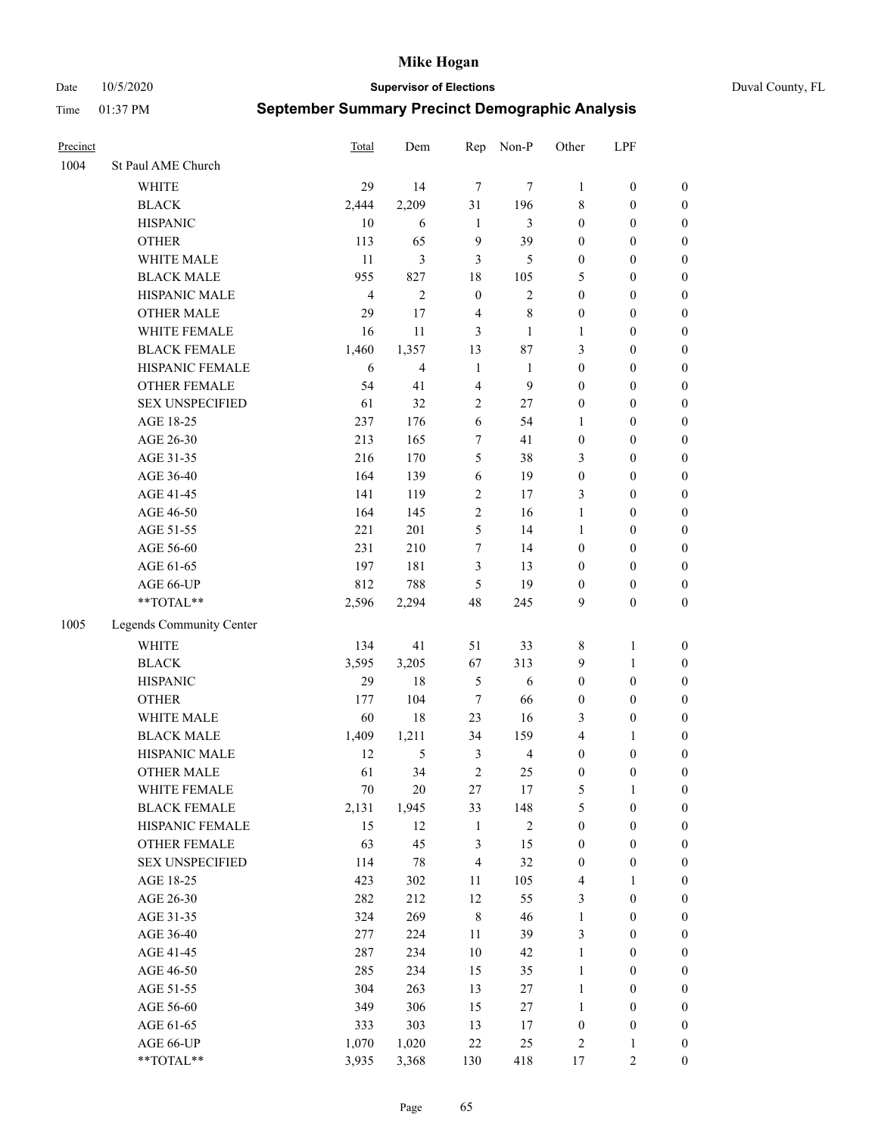Date 10/5/2020 **Supervisor of Elections** Duval County, FL

| Precinct |                          | Total          | Dem            | Rep            | Non-P          | Other            | LPF              |                  |
|----------|--------------------------|----------------|----------------|----------------|----------------|------------------|------------------|------------------|
| 1004     | St Paul AME Church       |                |                |                |                |                  |                  |                  |
|          | <b>WHITE</b>             | 29             | 14             | $\tau$         | 7              | 1                | $\boldsymbol{0}$ | $\boldsymbol{0}$ |
|          | <b>BLACK</b>             | 2,444          | 2,209          | 31             | 196            | 8                | $\boldsymbol{0}$ | $\boldsymbol{0}$ |
|          | <b>HISPANIC</b>          | 10             | 6              | $\mathbf{1}$   | 3              | $\boldsymbol{0}$ | $\boldsymbol{0}$ | $\boldsymbol{0}$ |
|          | <b>OTHER</b>             | 113            | 65             | 9              | 39             | $\boldsymbol{0}$ | $\boldsymbol{0}$ | $\boldsymbol{0}$ |
|          | WHITE MALE               | 11             | 3              | 3              | 5              | $\boldsymbol{0}$ | $\boldsymbol{0}$ | $\boldsymbol{0}$ |
|          | <b>BLACK MALE</b>        | 955            | 827            | 18             | 105            | 5                | $\boldsymbol{0}$ | $\boldsymbol{0}$ |
|          | HISPANIC MALE            | $\overline{4}$ | $\overline{2}$ | $\mathbf{0}$   | $\mathfrak{2}$ | $\boldsymbol{0}$ | $\boldsymbol{0}$ | $\boldsymbol{0}$ |
|          | <b>OTHER MALE</b>        | 29             | 17             | $\overline{4}$ | $\,$ 8 $\,$    | $\boldsymbol{0}$ | $\boldsymbol{0}$ | $\boldsymbol{0}$ |
|          | WHITE FEMALE             | 16             | 11             | 3              | $\mathbf{1}$   | 1                | $\boldsymbol{0}$ | $\boldsymbol{0}$ |
|          | <b>BLACK FEMALE</b>      | 1,460          | 1,357          | 13             | 87             | 3                | $\boldsymbol{0}$ | $\boldsymbol{0}$ |
|          | HISPANIC FEMALE          | 6              | $\overline{4}$ | $\mathbf{1}$   | $\mathbf{1}$   | $\boldsymbol{0}$ | $\boldsymbol{0}$ | 0                |
|          | <b>OTHER FEMALE</b>      | 54             | 41             | $\overline{4}$ | 9              | $\boldsymbol{0}$ | $\boldsymbol{0}$ | $\boldsymbol{0}$ |
|          | <b>SEX UNSPECIFIED</b>   | 61             | 32             | $\mathfrak{2}$ | 27             | $\boldsymbol{0}$ | $\boldsymbol{0}$ | $\boldsymbol{0}$ |
|          | AGE 18-25                | 237            | 176            | 6              | 54             | 1                | $\boldsymbol{0}$ | $\boldsymbol{0}$ |
|          | AGE 26-30                | 213            | 165            | 7              | 41             | $\boldsymbol{0}$ | $\boldsymbol{0}$ | $\boldsymbol{0}$ |
|          | AGE 31-35                | 216            | 170            | 5              | 38             | 3                | $\boldsymbol{0}$ | $\boldsymbol{0}$ |
|          | AGE 36-40                | 164            | 139            | 6              | 19             | $\boldsymbol{0}$ | $\boldsymbol{0}$ | $\boldsymbol{0}$ |
|          | AGE 41-45                | 141            | 119            | $\overline{c}$ | 17             | 3                | $\boldsymbol{0}$ | $\boldsymbol{0}$ |
|          | AGE 46-50                | 164            | 145            | $\overline{c}$ | 16             | $\mathbf{1}$     | $\boldsymbol{0}$ | $\boldsymbol{0}$ |
|          | AGE 51-55                | 221            | 201            | 5              | 14             | $\mathbf{1}$     | $\boldsymbol{0}$ | $\boldsymbol{0}$ |
|          | AGE 56-60                | 231            | 210            | 7              | 14             | $\boldsymbol{0}$ | $\boldsymbol{0}$ | 0                |
|          | AGE 61-65                | 197            | 181            | 3              | 13             | $\boldsymbol{0}$ | $\boldsymbol{0}$ | 0                |
|          | AGE 66-UP                | 812            | 788            | 5              | 19             | $\boldsymbol{0}$ | $\boldsymbol{0}$ | $\boldsymbol{0}$ |
|          | **TOTAL**                | 2,596          | 2,294          | 48             | 245            | 9                | $\boldsymbol{0}$ | $\boldsymbol{0}$ |
| 1005     | Legends Community Center |                |                |                |                |                  |                  |                  |
|          | WHITE                    | 134            | 41             | 51             | 33             | 8                | $\mathbf{1}$     | $\boldsymbol{0}$ |
|          | <b>BLACK</b>             | 3,595          | 3,205          | 67             | 313            | 9                | $\mathbf{1}$     | $\boldsymbol{0}$ |
|          | <b>HISPANIC</b>          | 29             | 18             | 5              | 6              | $\boldsymbol{0}$ | $\boldsymbol{0}$ | $\boldsymbol{0}$ |
|          | <b>OTHER</b>             | 177            | 104            | $\tau$         | 66             | $\boldsymbol{0}$ | $\boldsymbol{0}$ | $\boldsymbol{0}$ |
|          | WHITE MALE               | 60             | $18\,$         | 23             | 16             | 3                | $\boldsymbol{0}$ | $\boldsymbol{0}$ |
|          | <b>BLACK MALE</b>        | 1,409          | 1,211          | 34             | 159            | 4                | 1                | $\boldsymbol{0}$ |
|          | HISPANIC MALE            | 12             | 5              | 3              | $\overline{4}$ | $\boldsymbol{0}$ | $\boldsymbol{0}$ | $\boldsymbol{0}$ |
|          | OTHER MALE               | 61             | 34             | $\overline{2}$ | 25             | $\boldsymbol{0}$ | $\boldsymbol{0}$ | $\boldsymbol{0}$ |
|          | WHITE FEMALE             | 70             | 20             | 27             | 17             | 5                | 1                | 0                |
|          | <b>BLACK FEMALE</b>      | 2,131          | 1,945          | 33             | 148            | 5                | $\boldsymbol{0}$ | $\boldsymbol{0}$ |
|          | HISPANIC FEMALE          | 15             | 12             | $\mathbf{1}$   | $\sqrt{2}$     | $\boldsymbol{0}$ | $\boldsymbol{0}$ | $\boldsymbol{0}$ |
|          | OTHER FEMALE             | 63             | 45             | 3              | 15             | $\boldsymbol{0}$ | $\boldsymbol{0}$ | $\overline{0}$   |
|          | <b>SEX UNSPECIFIED</b>   | 114            | 78             | $\overline{4}$ | 32             | $\boldsymbol{0}$ | $\boldsymbol{0}$ | 0                |
|          | AGE 18-25                | 423            | 302            | $11\,$         | 105            | 4                | $\mathbf{1}$     | 0                |
|          | AGE 26-30                | 282            | 212            | 12             | 55             | 3                | $\boldsymbol{0}$ | 0                |
|          | AGE 31-35                | 324            | 269            | $\,8\,$        | 46             | $\mathbf{1}$     | $\boldsymbol{0}$ | 0                |
|          | AGE 36-40                | 277            | 224            | $11\,$         | 39             | 3                | $\boldsymbol{0}$ | 0                |
|          | AGE 41-45                | 287            | 234            | 10             | 42             | $\mathbf{1}$     | $\boldsymbol{0}$ | 0                |
|          | AGE 46-50                | 285            | 234            | 15             | 35             | $\mathbf{1}$     | $\boldsymbol{0}$ | 0                |
|          | AGE 51-55                | 304            | 263            | 13             | $27\,$         | $\mathbf{1}$     | $\boldsymbol{0}$ | $\boldsymbol{0}$ |
|          | AGE 56-60                | 349            | 306            | 15             | 27             | 1                | $\boldsymbol{0}$ | $\boldsymbol{0}$ |
|          | AGE 61-65                | 333            | 303            | 13             | 17             | $\boldsymbol{0}$ | $\boldsymbol{0}$ | $\boldsymbol{0}$ |
|          | AGE 66-UP                | 1,070          | 1,020          | 22             | 25             | 2                | $\mathbf{1}$     | 0                |
|          | **TOTAL**                | 3,935          | 3,368          | 130            | 418            | 17               | $\mathbf{2}$     | $\boldsymbol{0}$ |
|          |                          |                |                |                |                |                  |                  |                  |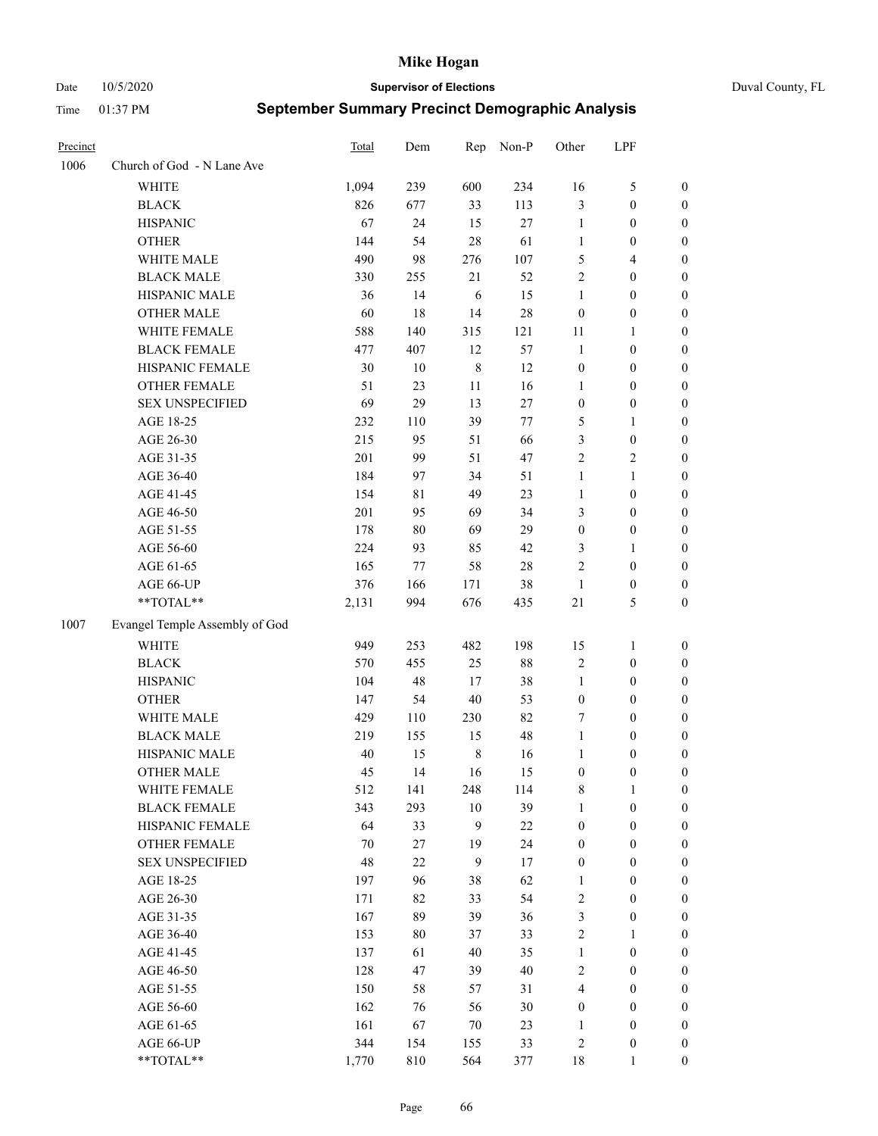Date 10/5/2020 **Supervisor of Elections** Duval County, FL

| Precinct |                                | <b>Total</b> | Dem    | Rep     | Non-P  | Other                   | LPF              |                  |
|----------|--------------------------------|--------------|--------|---------|--------|-------------------------|------------------|------------------|
| 1006     | Church of God - N Lane Ave     |              |        |         |        |                         |                  |                  |
|          | <b>WHITE</b>                   | 1,094        | 239    | 600     | 234    | 16                      | $\mathfrak{S}$   | 0                |
|          | <b>BLACK</b>                   | 826          | 677    | 33      | 113    | 3                       | $\boldsymbol{0}$ | 0                |
|          | <b>HISPANIC</b>                | 67           | 24     | 15      | 27     | $\mathbf{1}$            | $\boldsymbol{0}$ | $\boldsymbol{0}$ |
|          | <b>OTHER</b>                   | 144          | 54     | 28      | 61     | 1                       | $\boldsymbol{0}$ | $\boldsymbol{0}$ |
|          | WHITE MALE                     | 490          | 98     | 276     | 107    | 5                       | $\overline{4}$   | $\boldsymbol{0}$ |
|          | <b>BLACK MALE</b>              | 330          | 255    | 21      | 52     | $\overline{c}$          | $\boldsymbol{0}$ | $\boldsymbol{0}$ |
|          | HISPANIC MALE                  | 36           | 14     | 6       | 15     | $\mathbf{1}$            | $\boldsymbol{0}$ | $\boldsymbol{0}$ |
|          | <b>OTHER MALE</b>              | 60           | 18     | 14      | $28\,$ | $\boldsymbol{0}$        | $\boldsymbol{0}$ | $\boldsymbol{0}$ |
|          | WHITE FEMALE                   | 588          | 140    | 315     | 121    | 11                      | 1                | $\boldsymbol{0}$ |
|          | <b>BLACK FEMALE</b>            | 477          | 407    | 12      | 57     | $\mathbf{1}$            | $\boldsymbol{0}$ | 0                |
|          | HISPANIC FEMALE                | 30           | 10     | $\,8\,$ | 12     | $\boldsymbol{0}$        | $\boldsymbol{0}$ | 0                |
|          | OTHER FEMALE                   | 51           | 23     | 11      | 16     | $\mathbf{1}$            | $\boldsymbol{0}$ | 0                |
|          | <b>SEX UNSPECIFIED</b>         | 69           | 29     | 13      | 27     | $\boldsymbol{0}$        | $\boldsymbol{0}$ | $\boldsymbol{0}$ |
|          | AGE 18-25                      | 232          | 110    | 39      | 77     | 5                       | 1                | $\boldsymbol{0}$ |
|          | AGE 26-30                      | 215          | 95     | 51      | 66     | 3                       | $\boldsymbol{0}$ | $\boldsymbol{0}$ |
|          | AGE 31-35                      | 201          | 99     | 51      | 47     | $\overline{c}$          | $\sqrt{2}$       | $\boldsymbol{0}$ |
|          | AGE 36-40                      | 184          | 97     | 34      | 51     | $\mathbf{1}$            | $\mathbf{1}$     | $\boldsymbol{0}$ |
|          | AGE 41-45                      | 154          | 81     | 49      | 23     | $\mathbf{1}$            | $\boldsymbol{0}$ | $\boldsymbol{0}$ |
|          | AGE 46-50                      | 201          | 95     | 69      | 34     | 3                       | $\boldsymbol{0}$ | $\boldsymbol{0}$ |
|          | AGE 51-55                      | 178          | $80\,$ | 69      | 29     | $\boldsymbol{0}$        | $\boldsymbol{0}$ | 0                |
|          | AGE 56-60                      | 224          | 93     | 85      | 42     | 3                       | 1                | 0                |
|          | AGE 61-65                      | 165          | 77     | 58      | $28\,$ | 2                       | $\boldsymbol{0}$ | 0                |
|          | AGE 66-UP                      | 376          | 166    | 171     | 38     | $\mathbf{1}$            | $\boldsymbol{0}$ | 0                |
|          | **TOTAL**                      | 2,131        | 994    | 676     | 435    | 21                      | $\mathfrak{S}$   | $\boldsymbol{0}$ |
| 1007     | Evangel Temple Assembly of God |              |        |         |        |                         |                  |                  |
|          | <b>WHITE</b>                   | 949          | 253    | 482     | 198    | 15                      | $\mathbf{1}$     | $\boldsymbol{0}$ |
|          | <b>BLACK</b>                   | 570          | 455    | 25      | $88\,$ | 2                       | $\boldsymbol{0}$ | $\boldsymbol{0}$ |
|          | <b>HISPANIC</b>                | 104          | 48     | 17      | 38     | $\mathbf{1}$            | $\boldsymbol{0}$ | $\boldsymbol{0}$ |
|          | <b>OTHER</b>                   | 147          | 54     | 40      | 53     | $\boldsymbol{0}$        | $\boldsymbol{0}$ | $\boldsymbol{0}$ |
|          | WHITE MALE                     | 429          | 110    | 230     | 82     | 7                       | $\boldsymbol{0}$ | $\boldsymbol{0}$ |
|          | <b>BLACK MALE</b>              | 219          | 155    | 15      | 48     | $\mathbf{1}$            | $\boldsymbol{0}$ | $\boldsymbol{0}$ |
|          | HISPANIC MALE                  | 40           | 15     | $\,8\,$ | 16     | 1                       | $\boldsymbol{0}$ | 0                |
|          | <b>OTHER MALE</b>              | 45           | 14     | 16      | 15     | $\boldsymbol{0}$        | $\boldsymbol{0}$ | 0                |
|          | WHITE FEMALE                   | 512          | 141    | 248     | 114    | 8                       | 1                | 0                |
|          | <b>BLACK FEMALE</b>            | 343          | 293    | $10\,$  | 39     | $\mathbf{1}$            | $\boldsymbol{0}$ | $\overline{0}$   |
|          | HISPANIC FEMALE                | 64           | 33     | 9       | $22\,$ | $\boldsymbol{0}$        | $\boldsymbol{0}$ | $\overline{0}$   |
|          | OTHER FEMALE                   | 70           | 27     | 19      | 24     | $\boldsymbol{0}$        | $\boldsymbol{0}$ | $\overline{0}$   |
|          | <b>SEX UNSPECIFIED</b>         | 48           | 22     | 9       | 17     | $\boldsymbol{0}$        | $\boldsymbol{0}$ | 0                |
|          | AGE 18-25                      | 197          | 96     | 38      | 62     | $\mathbf{1}$            | $\boldsymbol{0}$ | $\theta$         |
|          | AGE 26-30                      | 171          | 82     | 33      | 54     | 2                       | $\boldsymbol{0}$ | 0                |
|          | AGE 31-35                      | 167          | 89     | 39      | 36     | 3                       | $\boldsymbol{0}$ | 0                |
|          | AGE 36-40                      | 153          | $80\,$ | 37      | 33     | 2                       | $\mathbf{1}$     | 0                |
|          | AGE 41-45                      | 137          | 61     | 40      | 35     | $\mathbf{1}$            | $\boldsymbol{0}$ | 0                |
|          | AGE 46-50                      | 128          | 47     | 39      | 40     | 2                       | $\boldsymbol{0}$ | 0                |
|          | AGE 51-55                      | 150          | 58     | 57      | 31     | $\overline{\mathbf{4}}$ | $\boldsymbol{0}$ | $\overline{0}$   |
|          | AGE 56-60                      | 162          | 76     | 56      | $30\,$ | $\boldsymbol{0}$        | $\boldsymbol{0}$ | $\overline{0}$   |
|          | AGE 61-65                      | 161          | 67     | 70      | 23     | 1                       | $\boldsymbol{0}$ | $\overline{0}$   |
|          | AGE 66-UP                      | 344          | 154    | 155     | 33     | 2                       | $\boldsymbol{0}$ | 0                |
|          | **TOTAL**                      | 1,770        | 810    | 564     | 377    | 18                      | $\mathbf{1}$     | $\boldsymbol{0}$ |
|          |                                |              |        |         |        |                         |                  |                  |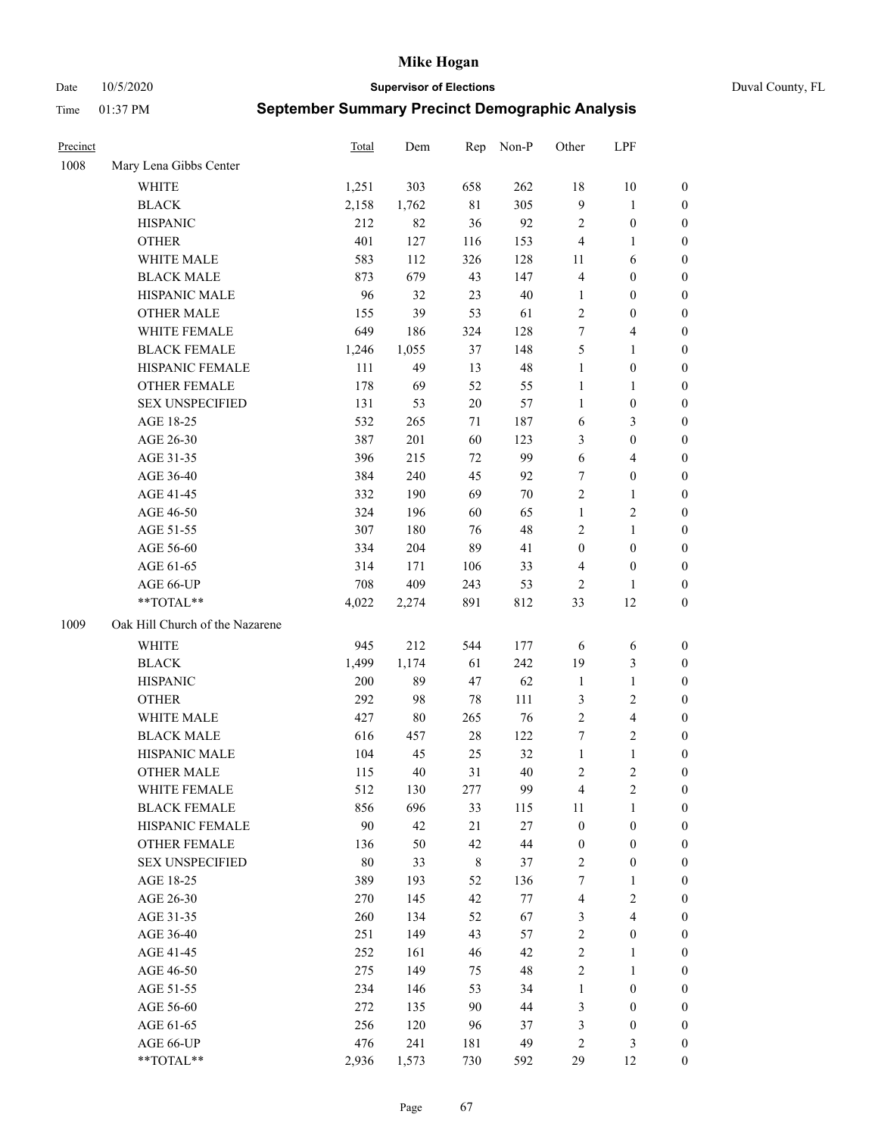Date 10/5/2020 **Supervisor of Elections** Duval County, FL

| Precinct |                                 | Total | Dem    | Rep         | Non-P  | Other                   | LPF                     |                                      |
|----------|---------------------------------|-------|--------|-------------|--------|-------------------------|-------------------------|--------------------------------------|
| 1008     | Mary Lena Gibbs Center          |       |        |             |        |                         |                         |                                      |
|          | <b>WHITE</b>                    | 1,251 | 303    | 658         | 262    | 18                      | $10\,$                  | 0                                    |
|          | <b>BLACK</b>                    | 2,158 | 1,762  | $8\sqrt{1}$ | 305    | 9                       | $\mathbf{1}$            | 0                                    |
|          | <b>HISPANIC</b>                 | 212   | 82     | 36          | 92     | 2                       | $\boldsymbol{0}$        | $\boldsymbol{0}$                     |
|          | <b>OTHER</b>                    | 401   | 127    | 116         | 153    | 4                       | 1                       | $\boldsymbol{0}$                     |
|          | WHITE MALE                      | 583   | 112    | 326         | 128    | 11                      | 6                       | $\boldsymbol{0}$                     |
|          | <b>BLACK MALE</b>               | 873   | 679    | 43          | 147    | 4                       | $\boldsymbol{0}$        | $\boldsymbol{0}$                     |
|          | HISPANIC MALE                   | 96    | 32     | 23          | $40\,$ | $\mathbf{1}$            | $\boldsymbol{0}$        | $\boldsymbol{0}$                     |
|          | <b>OTHER MALE</b>               | 155   | 39     | 53          | 61     | 2                       | $\boldsymbol{0}$        | $\boldsymbol{0}$                     |
|          | WHITE FEMALE                    | 649   | 186    | 324         | 128    | 7                       | $\overline{4}$          | $\boldsymbol{0}$                     |
|          | <b>BLACK FEMALE</b>             | 1,246 | 1,055  | 37          | 148    | 5                       | $\mathbf{1}$            | 0                                    |
|          | HISPANIC FEMALE                 | 111   | 49     | 13          | 48     | $\mathbf{1}$            | $\boldsymbol{0}$        | 0                                    |
|          | <b>OTHER FEMALE</b>             | 178   | 69     | 52          | 55     | $\mathbf{1}$            | $\mathbf{1}$            | 0                                    |
|          | <b>SEX UNSPECIFIED</b>          | 131   | 53     | 20          | 57     | $\mathbf{1}$            | $\boldsymbol{0}$        | $\boldsymbol{0}$                     |
|          | AGE 18-25                       | 532   | 265    | 71          | 187    | 6                       | $\mathfrak{Z}$          | $\boldsymbol{0}$                     |
|          | AGE 26-30                       | 387   | 201    | 60          | 123    | 3                       | $\boldsymbol{0}$        | $\boldsymbol{0}$                     |
|          | AGE 31-35                       | 396   | 215    | 72          | 99     | 6                       | $\overline{4}$          | $\boldsymbol{0}$                     |
|          | AGE 36-40                       | 384   | 240    | 45          | 92     | 7                       | $\boldsymbol{0}$        | $\boldsymbol{0}$                     |
|          | AGE 41-45                       | 332   | 190    | 69          | $70\,$ | 2                       | $\mathbf{1}$            | $\boldsymbol{0}$                     |
|          | AGE 46-50                       | 324   | 196    | 60          | 65     | $\mathbf{1}$            | $\sqrt{2}$              | $\boldsymbol{0}$                     |
|          | AGE 51-55                       | 307   | 180    | 76          | 48     | 2                       | $\mathbf{1}$            | 0                                    |
|          | AGE 56-60                       | 334   | 204    | 89          | 41     | $\boldsymbol{0}$        | $\boldsymbol{0}$        | 0                                    |
|          | AGE 61-65                       | 314   | 171    | 106         | 33     | 4                       | $\boldsymbol{0}$        | 0                                    |
|          | AGE 66-UP                       | 708   | 409    | 243         | 53     | $\overline{2}$          | 1                       | $\boldsymbol{0}$                     |
|          | **TOTAL**                       | 4,022 | 2,274  | 891         | 812    | 33                      | 12                      | $\boldsymbol{0}$                     |
| 1009     | Oak Hill Church of the Nazarene |       |        |             |        |                         |                         |                                      |
|          | <b>WHITE</b>                    | 945   | 212    | 544         | 177    | 6                       |                         | $\boldsymbol{0}$                     |
|          | <b>BLACK</b>                    | 1,499 | 1,174  | 61          | 242    | 19                      | 6<br>$\mathfrak{Z}$     |                                      |
|          | <b>HISPANIC</b>                 | 200   | 89     | 47          | 62     | $\mathbf{1}$            | $\mathbf{1}$            | $\boldsymbol{0}$<br>$\boldsymbol{0}$ |
|          |                                 |       |        |             |        |                         |                         |                                      |
|          | <b>OTHER</b><br>WHITE MALE      | 292   | 98     | 78          | 111    | 3                       | $\sqrt{2}$              | $\boldsymbol{0}$                     |
|          |                                 | 427   | $80\,$ | 265         | 76     | $\mathfrak{2}$          | $\overline{\mathbf{4}}$ | $\boldsymbol{0}$                     |
|          | <b>BLACK MALE</b>               | 616   | 457    | $28\,$      | 122    | 7                       | $\overline{2}$          | $\boldsymbol{0}$                     |
|          | HISPANIC MALE                   | 104   | 45     | 25          | 32     | $\mathbf{1}$            | $\mathbf{1}$            | 0                                    |
|          | <b>OTHER MALE</b>               | 115   | 40     | 31          | 40     | 2                       | $\mathfrak{2}$          | $\boldsymbol{0}$                     |
|          | WHITE FEMALE                    | 512   | 130    | 277         | 99     | 4                       | 2                       | 0                                    |
|          | <b>BLACK FEMALE</b>             | 856   | 696    | 33          | 115    | 11                      | $\mathbf{1}$            | $\boldsymbol{0}$                     |
|          | HISPANIC FEMALE                 | 90    | 42     | 21          | $27\,$ | $\boldsymbol{0}$        | $\boldsymbol{0}$        | $\overline{0}$                       |
|          | <b>OTHER FEMALE</b>             | 136   | 50     | 42          | $44\,$ | $\boldsymbol{0}$        | $\boldsymbol{0}$        | $\overline{0}$                       |
|          | <b>SEX UNSPECIFIED</b>          | 80    | 33     | 8           | 37     | 2                       | $\boldsymbol{0}$        | 0                                    |
|          | AGE 18-25                       | 389   | 193    | 52          | 136    | 7                       | $\mathbf{1}$            | 0                                    |
|          | AGE 26-30                       | 270   | 145    | 42          | 77     | $\overline{\mathbf{4}}$ | $\overline{2}$          | 0                                    |
|          | AGE 31-35                       | 260   | 134    | 52          | 67     | 3                       | $\overline{\mathbf{4}}$ | 0                                    |
|          | AGE 36-40                       | 251   | 149    | 43          | 57     | 2                       | $\boldsymbol{0}$        | 0                                    |
|          | AGE 41-45                       | 252   | 161    | 46          | 42     | $\overline{c}$          | $\mathbf{1}$            | 0                                    |
|          | AGE 46-50                       | 275   | 149    | 75          | 48     | 2                       | $\mathbf{1}$            | 0                                    |
|          | AGE 51-55                       | 234   | 146    | 53          | 34     | $\mathbf{1}$            | $\boldsymbol{0}$        | 0                                    |
|          | AGE 56-60                       | 272   | 135    | 90          | 44     | 3                       | $\boldsymbol{0}$        | 0                                    |
|          | AGE 61-65                       | 256   | 120    | 96          | 37     | 3                       | $\boldsymbol{0}$        | $\overline{0}$                       |
|          | AGE 66-UP                       | 476   | 241    | 181         | 49     | 2                       | $\mathfrak{Z}$          | 0                                    |
|          | **TOTAL**                       | 2,936 | 1,573  | 730         | 592    | 29                      | 12                      | $\boldsymbol{0}$                     |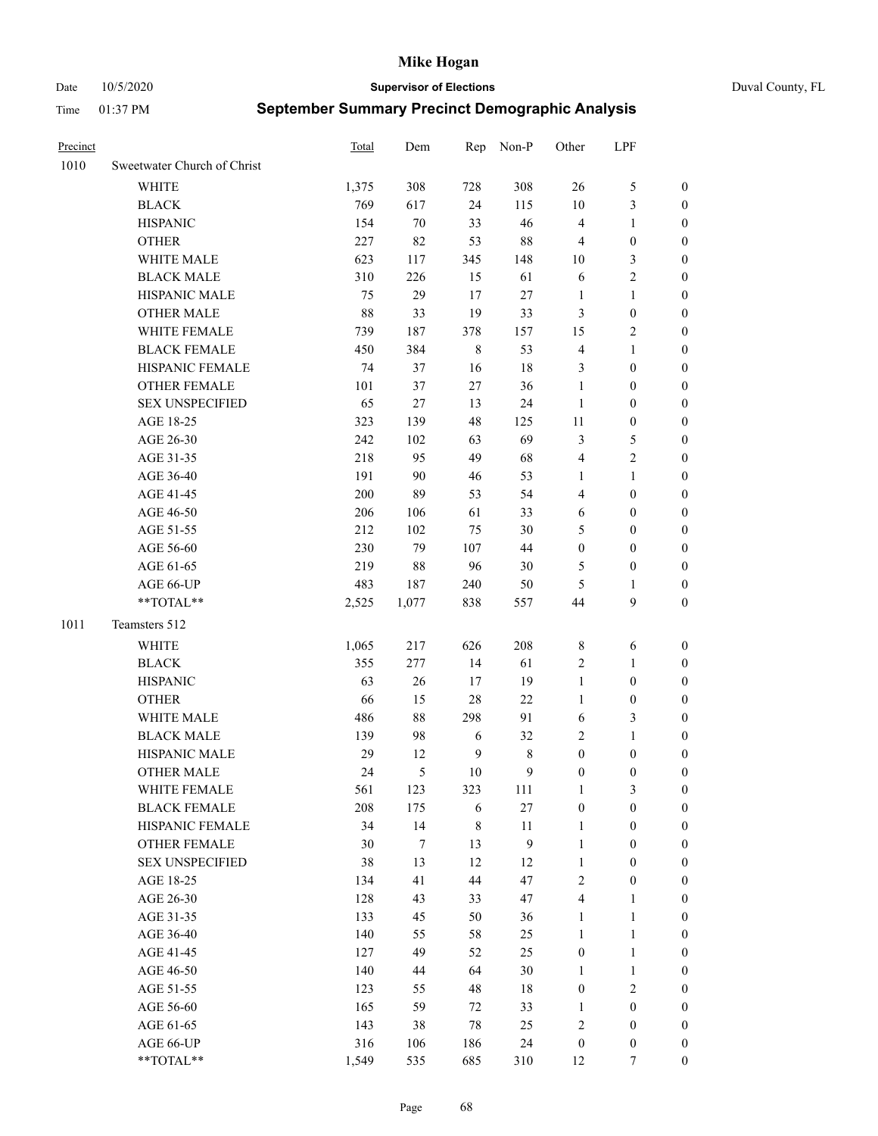Date 10/5/2020 **Supervisor of Elections** Duval County, FL

| Precinct |                                    | Total        | Dem              | Rep          | Non-P            | Other                            | LPF                              |                  |
|----------|------------------------------------|--------------|------------------|--------------|------------------|----------------------------------|----------------------------------|------------------|
| 1010     | Sweetwater Church of Christ        |              |                  |              |                  |                                  |                                  |                  |
|          | <b>WHITE</b>                       | 1,375        | 308              | 728          | 308              | 26                               | $\mathfrak s$                    | 0                |
|          | <b>BLACK</b>                       | 769          | 617              | 24           | 115              | $10\,$                           | $\mathfrak{Z}$                   | 0                |
|          | <b>HISPANIC</b>                    | 154          | 70               | 33           | 46               | $\overline{4}$                   | $\mathbf{1}$                     | $\boldsymbol{0}$ |
|          | <b>OTHER</b>                       | 227          | 82               | 53           | 88               | 4                                | $\boldsymbol{0}$                 | $\boldsymbol{0}$ |
|          | WHITE MALE                         | 623          | 117              | 345          | 148              | 10                               | $\mathfrak{Z}$                   | $\boldsymbol{0}$ |
|          | <b>BLACK MALE</b>                  | 310          | 226              | 15           | 61               | 6                                | $\sqrt{2}$                       | $\boldsymbol{0}$ |
|          | HISPANIC MALE                      | 75           | 29               | 17           | 27               | $\mathbf{1}$                     | $\mathbf{1}$                     | $\boldsymbol{0}$ |
|          | <b>OTHER MALE</b>                  | 88           | 33               | 19           | 33               | 3                                | $\boldsymbol{0}$                 | $\boldsymbol{0}$ |
|          | WHITE FEMALE                       | 739          | 187              | 378          | 157              | 15                               | $\mathfrak{2}$                   | $\overline{0}$   |
|          | <b>BLACK FEMALE</b>                | 450          | 384              | $\,$ 8 $\,$  | 53               | 4                                | $\mathbf{1}$                     | 0                |
|          | HISPANIC FEMALE                    | 74           | 37               | 16           | 18               | 3                                | $\boldsymbol{0}$                 | 0                |
|          | OTHER FEMALE                       | 101          | 37               | 27           | 36               | $\mathbf{1}$                     | $\boldsymbol{0}$                 | 0                |
|          | <b>SEX UNSPECIFIED</b>             | 65           | 27               | 13           | 24               | $\mathbf{1}$                     | $\boldsymbol{0}$                 | $\boldsymbol{0}$ |
|          | AGE 18-25                          | 323          | 139              | 48           | 125              | $11\,$                           | $\boldsymbol{0}$                 | $\boldsymbol{0}$ |
|          | AGE 26-30                          | 242          | 102              | 63           | 69               | 3                                | $\mathfrak s$                    | $\boldsymbol{0}$ |
|          | AGE 31-35                          | 218          | 95               | 49           | 68               | 4                                | $\sqrt{2}$                       | $\boldsymbol{0}$ |
|          | AGE 36-40                          | 191          | 90               | 46           | 53               | 1                                | $\mathbf{1}$                     | $\boldsymbol{0}$ |
|          | AGE 41-45                          | 200          | 89               | 53           | 54               | 4                                | $\boldsymbol{0}$                 | $\boldsymbol{0}$ |
|          | AGE 46-50                          | 206          | 106              | 61           | 33               | 6                                | $\boldsymbol{0}$                 | $\boldsymbol{0}$ |
|          | AGE 51-55                          | 212          | 102              | 75           | 30               | 5                                | $\boldsymbol{0}$                 | $\boldsymbol{0}$ |
|          | AGE 56-60                          | 230          | 79               | 107          | 44               | $\boldsymbol{0}$                 | $\boldsymbol{0}$                 | 0                |
|          | AGE 61-65                          | 219          | 88               | 96           | 30               | 5                                | $\boldsymbol{0}$                 | 0                |
|          | AGE 66-UP                          | 483          | 187              | 240          | 50               | 5                                | 1                                | $\boldsymbol{0}$ |
|          | **TOTAL**                          | 2,525        | 1,077            | 838          | 557              | 44                               | $\boldsymbol{9}$                 | $\boldsymbol{0}$ |
| 1011     | Teamsters 512                      |              |                  |              |                  |                                  |                                  |                  |
|          | <b>WHITE</b>                       |              |                  | 626          | 208              |                                  |                                  |                  |
|          | <b>BLACK</b>                       | 1,065<br>355 | 217<br>277       | 14           | 61               | $\,$ 8 $\,$                      | 6                                | $\boldsymbol{0}$ |
|          | <b>HISPANIC</b>                    | 63           | 26               |              | 19               | 2<br>$\mathbf{1}$                | $\mathbf{1}$<br>$\boldsymbol{0}$ | $\boldsymbol{0}$ |
|          |                                    |              |                  | 17           |                  | $\mathbf{1}$                     |                                  | $\boldsymbol{0}$ |
|          | <b>OTHER</b>                       | 66           | 15               | 28           | 22               |                                  | $\boldsymbol{0}$                 | $\boldsymbol{0}$ |
|          | WHITE MALE<br><b>BLACK MALE</b>    | 486<br>139   | 88<br>98         | 298          | 91               | 6<br>2                           | 3<br>$\mathbf{1}$                | $\boldsymbol{0}$ |
|          |                                    |              |                  | 6            | 32               |                                  |                                  | $\boldsymbol{0}$ |
|          | HISPANIC MALE<br><b>OTHER MALE</b> | 29           | 12<br>5          | $\mathbf{9}$ | $\,$ 8 $\,$      | $\boldsymbol{0}$                 | $\boldsymbol{0}$                 | 0                |
|          |                                    | 24           |                  | 10           | 9                | $\boldsymbol{0}$                 | $\boldsymbol{0}$                 | 0                |
|          | WHITE FEMALE                       | 561          | 123              | 323          | 111              | 1                                | 3                                | 0                |
|          | <b>BLACK FEMALE</b>                | 208          | 175              | 6            | $27\,$           | $\boldsymbol{0}$                 | $\boldsymbol{0}$                 | $\overline{0}$   |
|          | HISPANIC FEMALE                    | 34           | 14               | $\,$ $\,$    | $11\,$           | $\mathbf{1}$                     | $\boldsymbol{0}$                 | $\overline{0}$   |
|          | OTHER FEMALE                       | 30           | $\boldsymbol{7}$ | 13           | $\boldsymbol{9}$ | $\mathbf{1}$                     | $\boldsymbol{0}$                 | $\overline{0}$   |
|          | <b>SEX UNSPECIFIED</b>             | 38           | 13               | 12           | 12               | $\mathbf{1}$                     | $\boldsymbol{0}$                 | 0                |
|          | AGE 18-25                          | 134          | 41               | 44           | 47               | 2                                | $\boldsymbol{0}$                 | 0                |
|          | AGE 26-30                          | 128<br>133   | 43<br>45         | 33<br>50     | 47               | 4                                | $\mathbf{1}$                     | 0<br>0           |
|          | AGE 31-35                          |              |                  |              | 36               | $\mathbf{1}$                     | $\mathbf{1}$                     |                  |
|          | AGE 36-40                          | 140<br>127   | 55<br>49         | 58<br>52     | 25<br>25         | $\mathbf{1}$<br>$\boldsymbol{0}$ | $\mathbf{1}$<br>$\mathbf{1}$     | 0                |
|          | AGE 41-45                          |              |                  |              |                  |                                  |                                  | 0                |
|          | AGE 46-50                          | 140          | 44               | 64           | 30               | 1                                | $\mathbf{1}$                     | 0                |
|          | AGE 51-55                          | 123          | 55               | 48           | 18               | $\boldsymbol{0}$                 | $\sqrt{2}$                       | 0                |
|          | AGE 56-60                          | 165          | 59               | 72           | 33               | 1                                | $\boldsymbol{0}$                 | $\overline{0}$   |
|          | AGE 61-65                          | 143          | 38               | 78           | 25               | $\overline{\mathbf{c}}$          | $\boldsymbol{0}$                 | $\overline{0}$   |
|          | AGE 66-UP                          | 316          | 106              | 186          | 24               | $\boldsymbol{0}$                 | $\boldsymbol{0}$                 | 0                |
|          | **TOTAL**                          | 1,549        | 535              | 685          | 310              | 12                               | 7                                | $\boldsymbol{0}$ |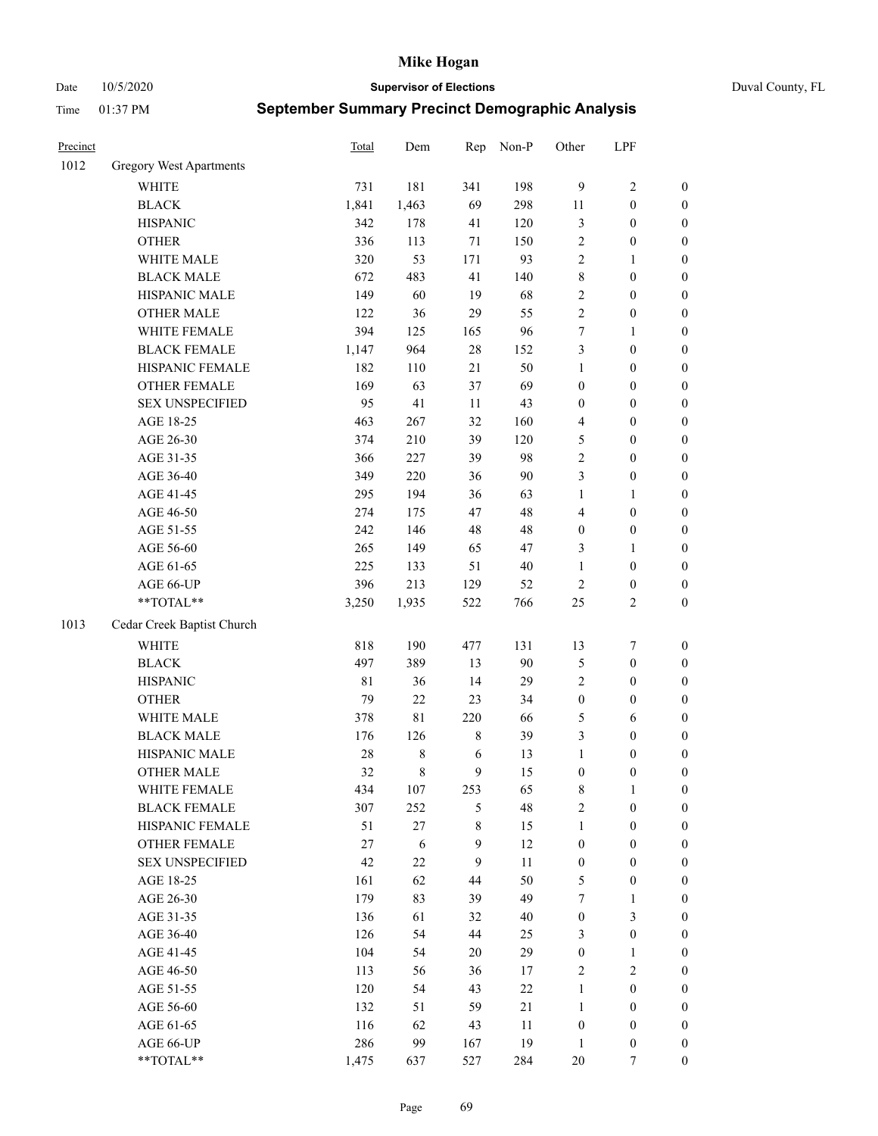Date 10/5/2020 **Supervisor of Elections** Duval County, FL

| Precinct |                                | <b>Total</b> | Dem         | Rep         | Non-P  | Other            | LPF              |                  |
|----------|--------------------------------|--------------|-------------|-------------|--------|------------------|------------------|------------------|
| 1012     | <b>Gregory West Apartments</b> |              |             |             |        |                  |                  |                  |
|          | <b>WHITE</b>                   | 731          | 181         | 341         | 198    | $\overline{9}$   | $\sqrt{2}$       | 0                |
|          | <b>BLACK</b>                   | 1,841        | 1,463       | 69          | 298    | 11               | $\boldsymbol{0}$ | 0                |
|          | <b>HISPANIC</b>                | 342          | 178         | 41          | 120    | 3                | $\boldsymbol{0}$ | $\boldsymbol{0}$ |
|          | <b>OTHER</b>                   | 336          | 113         | $71\,$      | 150    | 2                | $\boldsymbol{0}$ | $\boldsymbol{0}$ |
|          | WHITE MALE                     | 320          | 53          | 171         | 93     | 2                | 1                | $\boldsymbol{0}$ |
|          | <b>BLACK MALE</b>              | 672          | 483         | 41          | 140    | 8                | $\boldsymbol{0}$ | $\boldsymbol{0}$ |
|          | HISPANIC MALE                  | 149          | 60          | 19          | 68     | 2                | $\boldsymbol{0}$ | $\boldsymbol{0}$ |
|          | <b>OTHER MALE</b>              | 122          | 36          | 29          | 55     | $\overline{2}$   | $\boldsymbol{0}$ | $\boldsymbol{0}$ |
|          | WHITE FEMALE                   | 394          | 125         | 165         | 96     | 7                | 1                | $\boldsymbol{0}$ |
|          | <b>BLACK FEMALE</b>            | 1,147        | 964         | $28\,$      | 152    | 3                | $\boldsymbol{0}$ | $\boldsymbol{0}$ |
|          | HISPANIC FEMALE                | 182          | 110         | 21          | 50     | $\mathbf{1}$     | $\boldsymbol{0}$ | $\boldsymbol{0}$ |
|          | <b>OTHER FEMALE</b>            | 169          | 63          | 37          | 69     | $\boldsymbol{0}$ | $\boldsymbol{0}$ | $\boldsymbol{0}$ |
|          | <b>SEX UNSPECIFIED</b>         | 95           | 41          | $11\,$      | 43     | $\boldsymbol{0}$ | $\boldsymbol{0}$ | $\boldsymbol{0}$ |
|          | AGE 18-25                      | 463          | 267         | 32          | 160    | 4                | $\boldsymbol{0}$ | $\boldsymbol{0}$ |
|          | AGE 26-30                      | 374          | 210         | 39          | 120    | 5                | $\boldsymbol{0}$ | $\boldsymbol{0}$ |
|          | AGE 31-35                      | 366          | 227         | 39          | 98     | $\overline{c}$   | $\boldsymbol{0}$ | $\boldsymbol{0}$ |
|          | AGE 36-40                      | 349          | 220         | 36          | 90     | 3                | $\boldsymbol{0}$ | $\boldsymbol{0}$ |
|          | AGE 41-45                      | 295          | 194         | 36          | 63     | $\mathbf{1}$     | $\mathbf{1}$     | $\boldsymbol{0}$ |
|          | AGE 46-50                      | 274          | 175         | 47          | 48     | 4                | $\boldsymbol{0}$ | $\boldsymbol{0}$ |
|          | AGE 51-55                      | 242          | 146         | 48          | 48     | $\boldsymbol{0}$ | $\boldsymbol{0}$ | $\boldsymbol{0}$ |
|          | AGE 56-60                      | 265          | 149         | 65          | 47     | 3                | 1                | 0                |
|          | AGE 61-65                      | 225          | 133         | 51          | $40\,$ | $\mathbf{1}$     | $\boldsymbol{0}$ | $\boldsymbol{0}$ |
|          | AGE 66-UP                      | 396          | 213         | 129         | 52     | $\sqrt{2}$       | $\boldsymbol{0}$ | $\boldsymbol{0}$ |
|          | **TOTAL**                      | 3,250        | 1,935       | 522         | 766    | $25\,$           | $\sqrt{2}$       | $\boldsymbol{0}$ |
| 1013     | Cedar Creek Baptist Church     |              |             |             |        |                  |                  |                  |
|          | <b>WHITE</b>                   | 818          | 190         | 477         | 131    | 13               | $\boldsymbol{7}$ | $\boldsymbol{0}$ |
|          | <b>BLACK</b>                   | 497          | 389         | 13          | 90     | 5                | $\boldsymbol{0}$ | $\boldsymbol{0}$ |
|          | <b>HISPANIC</b>                | 81           | 36          | 14          | 29     | 2                | $\boldsymbol{0}$ | $\boldsymbol{0}$ |
|          | <b>OTHER</b>                   | 79           | 22          | 23          | 34     | $\boldsymbol{0}$ | $\boldsymbol{0}$ | $\boldsymbol{0}$ |
|          | WHITE MALE                     | 378          | $8\sqrt{1}$ | 220         | 66     | 5                | 6                | $\boldsymbol{0}$ |
|          | <b>BLACK MALE</b>              | 176          | 126         | $\,$ 8 $\,$ | 39     | 3                | $\boldsymbol{0}$ | $\boldsymbol{0}$ |
|          | HISPANIC MALE                  | 28           | $8\,$       | 6           | 13     | $\mathbf{1}$     | $\boldsymbol{0}$ | $\boldsymbol{0}$ |
|          | <b>OTHER MALE</b>              | 32           | $\,8\,$     | 9           | 15     | $\boldsymbol{0}$ | $\boldsymbol{0}$ | $\boldsymbol{0}$ |
|          | WHITE FEMALE                   | 434          | 107         | 253         | 65     | 8                | 1                | 0                |
|          | <b>BLACK FEMALE</b>            | 307          | 252         | 5           | 48     | 2                | $\boldsymbol{0}$ | $\overline{0}$   |
|          | HISPANIC FEMALE                | 51           | $27\,$      | 8           | 15     | $\mathbf{1}$     | $\boldsymbol{0}$ | $\overline{0}$   |
|          | OTHER FEMALE                   | 27           | 6           | 9           | 12     | $\boldsymbol{0}$ | $\boldsymbol{0}$ | $\overline{0}$   |
|          | <b>SEX UNSPECIFIED</b>         | 42           | $22\,$      | 9           | 11     | $\boldsymbol{0}$ | $\boldsymbol{0}$ | 0                |
|          | AGE 18-25                      | 161          | 62          | 44          | 50     | 5                | $\boldsymbol{0}$ | 0                |
|          | AGE 26-30                      | 179          | 83          | 39          | 49     | 7                | $\mathbf{1}$     | 0                |
|          | AGE 31-35                      | 136          | 61          | 32          | $40\,$ | $\boldsymbol{0}$ | $\mathfrak{Z}$   | 0                |
|          | AGE 36-40                      | 126          | 54          | 44          | 25     | 3                | $\boldsymbol{0}$ | 0                |
|          | AGE 41-45                      | 104          | 54          | 20          | 29     | $\boldsymbol{0}$ | $\mathbf{1}$     | 0                |
|          | AGE 46-50                      | 113          | 56          | 36          | 17     | 2                | $\sqrt{2}$       | 0                |
|          | AGE 51-55                      | 120          | 54          | 43          | $22\,$ | $\mathbf{1}$     | $\boldsymbol{0}$ | 0                |
|          | AGE 56-60                      | 132          | 51          | 59          | 21     | $\mathbf{1}$     | $\boldsymbol{0}$ | 0                |
|          | AGE 61-65                      | 116          | 62          | 43          | 11     | $\boldsymbol{0}$ | $\boldsymbol{0}$ | 0                |
|          | AGE 66-UP                      | 286          | 99          | 167         | 19     | $\mathbf{1}$     | $\boldsymbol{0}$ | 0                |
|          | **TOTAL**                      | 1,475        | 637         | 527         | 284    | $20\,$           | 7                | $\boldsymbol{0}$ |
|          |                                |              |             |             |        |                  |                  |                  |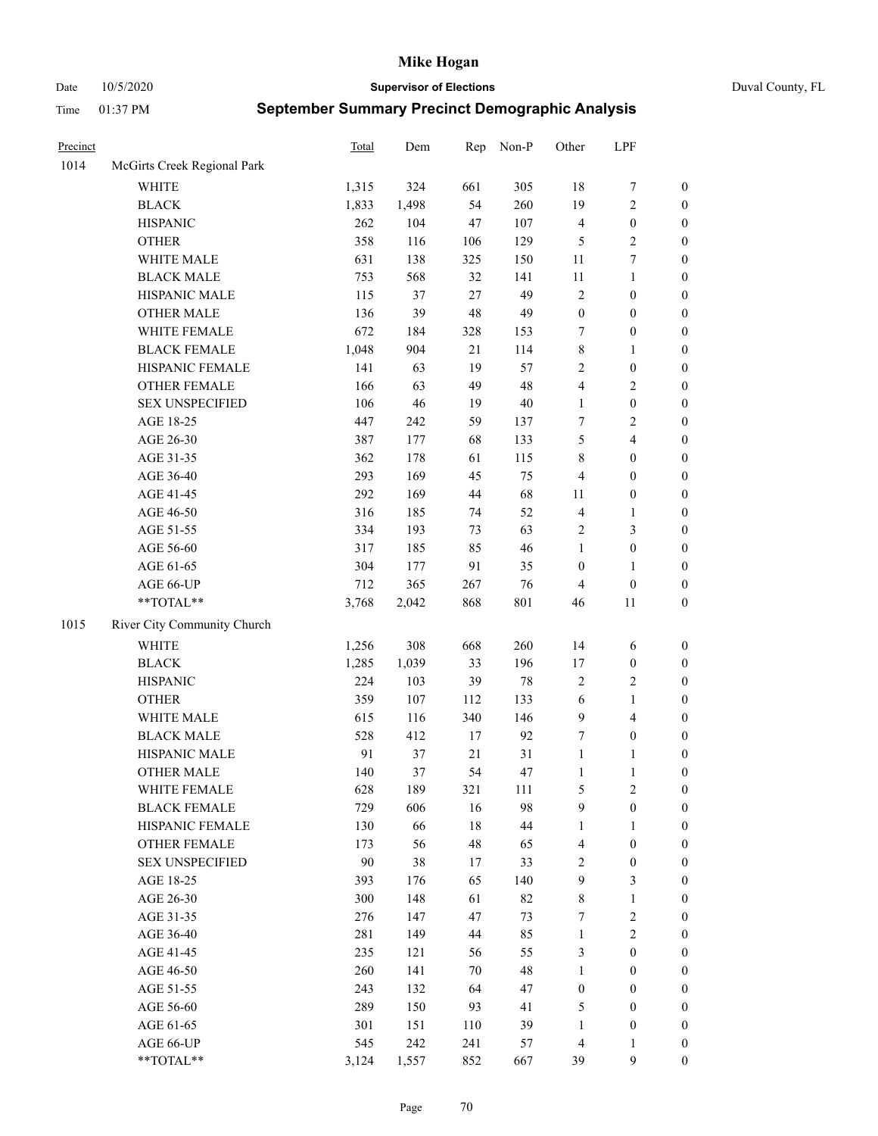Date 10/5/2020 **Supervisor of Elections** Duval County, FL

| Precinct |                             | <b>Total</b> | Dem   | Rep    | Non-P  | Other            | LPF              |                  |
|----------|-----------------------------|--------------|-------|--------|--------|------------------|------------------|------------------|
| 1014     | McGirts Creek Regional Park |              |       |        |        |                  |                  |                  |
|          | <b>WHITE</b>                | 1,315        | 324   | 661    | 305    | $18\,$           | $\boldsymbol{7}$ | 0                |
|          | <b>BLACK</b>                | 1,833        | 1,498 | 54     | 260    | 19               | $\sqrt{2}$       | $\boldsymbol{0}$ |
|          | <b>HISPANIC</b>             | 262          | 104   | 47     | 107    | 4                | $\boldsymbol{0}$ | $\boldsymbol{0}$ |
|          | <b>OTHER</b>                | 358          | 116   | 106    | 129    | 5                | $\sqrt{2}$       | $\boldsymbol{0}$ |
|          | WHITE MALE                  | 631          | 138   | 325    | 150    | 11               | $\boldsymbol{7}$ | $\boldsymbol{0}$ |
|          | <b>BLACK MALE</b>           | 753          | 568   | 32     | 141    | $11\,$           | $\mathbf{1}$     | $\boldsymbol{0}$ |
|          | HISPANIC MALE               | 115          | 37    | $27\,$ | 49     | 2                | $\boldsymbol{0}$ | $\boldsymbol{0}$ |
|          | <b>OTHER MALE</b>           | 136          | 39    | 48     | 49     | $\boldsymbol{0}$ | $\boldsymbol{0}$ | $\boldsymbol{0}$ |
|          | WHITE FEMALE                | 672          | 184   | 328    | 153    | 7                | $\boldsymbol{0}$ | $\boldsymbol{0}$ |
|          | <b>BLACK FEMALE</b>         | 1,048        | 904   | 21     | 114    | 8                | $\mathbf{1}$     | $\boldsymbol{0}$ |
|          | HISPANIC FEMALE             | 141          | 63    | 19     | 57     | $\overline{c}$   | $\boldsymbol{0}$ | $\boldsymbol{0}$ |
|          | <b>OTHER FEMALE</b>         | 166          | 63    | 49     | 48     | 4                | $\sqrt{2}$       | $\boldsymbol{0}$ |
|          | <b>SEX UNSPECIFIED</b>      | 106          | 46    | 19     | $40\,$ | $\mathbf{1}$     | $\boldsymbol{0}$ | $\boldsymbol{0}$ |
|          | AGE 18-25                   | 447          | 242   | 59     | 137    | 7                | $\sqrt{2}$       | $\boldsymbol{0}$ |
|          | AGE 26-30                   | 387          | 177   | 68     | 133    | 5                | $\overline{4}$   | $\boldsymbol{0}$ |
|          | AGE 31-35                   | 362          | 178   | 61     | 115    | 8                | $\boldsymbol{0}$ | $\boldsymbol{0}$ |
|          | AGE 36-40                   | 293          | 169   | 45     | 75     | 4                | $\boldsymbol{0}$ | $\boldsymbol{0}$ |
|          | AGE 41-45                   | 292          | 169   | 44     | 68     | 11               | $\boldsymbol{0}$ | $\boldsymbol{0}$ |
|          | AGE 46-50                   | 316          | 185   | 74     | 52     | 4                | $\mathbf{1}$     | $\boldsymbol{0}$ |
|          | AGE 51-55                   | 334          | 193   | 73     | 63     | 2                | $\mathfrak{Z}$   | $\boldsymbol{0}$ |
|          | AGE 56-60                   | 317          | 185   | 85     | 46     | $\mathbf{1}$     | $\boldsymbol{0}$ | $\boldsymbol{0}$ |
|          | AGE 61-65                   | 304          | 177   | 91     | 35     | $\boldsymbol{0}$ | $\mathbf{1}$     | $\boldsymbol{0}$ |
|          | AGE 66-UP                   | 712          | 365   | 267    | 76     | 4                | $\boldsymbol{0}$ | $\boldsymbol{0}$ |
|          | $**TOTAL**$                 | 3,768        | 2,042 | 868    | 801    | 46               | 11               | $\boldsymbol{0}$ |
| 1015     | River City Community Church |              |       |        |        |                  |                  |                  |
|          | <b>WHITE</b>                | 1,256        | 308   | 668    | 260    | 14               | 6                | $\boldsymbol{0}$ |
|          | <b>BLACK</b>                | 1,285        | 1,039 | 33     | 196    | 17               | $\boldsymbol{0}$ | $\boldsymbol{0}$ |
|          | <b>HISPANIC</b>             | 224          | 103   | 39     | $78\,$ | 2                | $\mathfrak{2}$   | $\boldsymbol{0}$ |
|          | <b>OTHER</b>                | 359          | 107   | 112    | 133    | $\sqrt{6}$       | $\mathbf{1}$     | $\boldsymbol{0}$ |
|          | WHITE MALE                  | 615          | 116   | 340    | 146    | 9                | $\overline{4}$   | $\boldsymbol{0}$ |
|          | <b>BLACK MALE</b>           | 528          | 412   | 17     | 92     | 7                | $\boldsymbol{0}$ | $\boldsymbol{0}$ |
|          | HISPANIC MALE               | 91           | 37    | 21     | 31     | $\mathbf{1}$     | 1                | $\boldsymbol{0}$ |
|          | <b>OTHER MALE</b>           | 140          | 37    | 54     | 47     | $\mathbf{1}$     | $\mathbf{1}$     | $\boldsymbol{0}$ |
|          | WHITE FEMALE                | 628          | 189   | 321    | 111    | 5                | 2                | 0                |
|          | <b>BLACK FEMALE</b>         | 729          | 606   | 16     | 98     | 9                | $\boldsymbol{0}$ | $\overline{0}$   |
|          | HISPANIC FEMALE             | 130          | 66    | 18     | $44\,$ | $\mathbf{1}$     | 1                | $\overline{0}$   |
|          | <b>OTHER FEMALE</b>         | 173          | 56    | 48     | 65     | 4                | $\boldsymbol{0}$ | $\overline{0}$   |
|          | <b>SEX UNSPECIFIED</b>      | $90\,$       | 38    | 17     | 33     | 2                | $\boldsymbol{0}$ | 0                |
|          | AGE 18-25                   | 393          | 176   | 65     | 140    | 9                | $\mathfrak{Z}$   | $\theta$         |
|          | AGE 26-30                   | 300          | 148   | 61     | 82     | 8                | $\mathbf{1}$     | 0                |
|          | AGE 31-35                   | 276          | 147   | 47     | 73     | 7                | $\sqrt{2}$       | 0                |
|          | AGE 36-40                   | 281          | 149   | 44     | 85     | $\mathbf{1}$     | $\sqrt{2}$       | 0                |
|          | AGE 41-45                   | 235          | 121   | 56     | 55     | 3                | $\boldsymbol{0}$ | 0                |
|          | AGE 46-50                   | 260          | 141   | 70     | 48     | $\mathbf{1}$     | $\boldsymbol{0}$ | 0                |
|          | AGE 51-55                   | 243          | 132   | 64     | 47     | $\boldsymbol{0}$ | $\boldsymbol{0}$ | $\overline{0}$   |
|          | AGE 56-60                   | 289          | 150   | 93     | 41     | 5                | $\boldsymbol{0}$ | $\overline{0}$   |
|          | AGE 61-65                   | 301          | 151   | 110    | 39     | 1                | $\boldsymbol{0}$ | $\overline{0}$   |
|          | AGE 66-UP                   | 545          | 242   | 241    | 57     | 4                | $\mathbf{1}$     | 0                |
|          | **TOTAL**                   | 3,124        | 1,557 | 852    | 667    | 39               | 9                | $\boldsymbol{0}$ |
|          |                             |              |       |        |        |                  |                  |                  |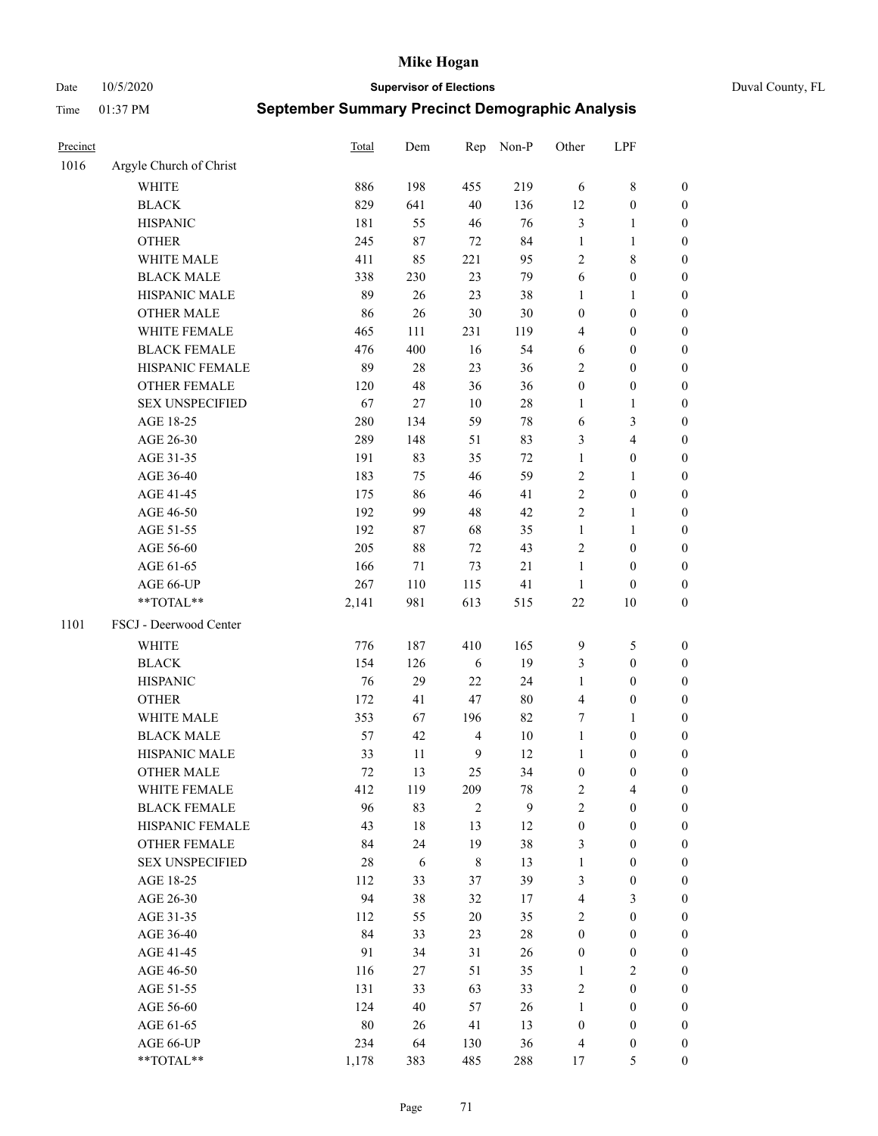Date 10/5/2020 **Supervisor of Elections** Duval County, FL

| Precinct |                                    | <b>Total</b> | Dem    | Rep            | Non-P  | Other            | LPF              |                  |
|----------|------------------------------------|--------------|--------|----------------|--------|------------------|------------------|------------------|
| 1016     | Argyle Church of Christ            |              |        |                |        |                  |                  |                  |
|          | <b>WHITE</b>                       | 886          | 198    | 455            | 219    | 6                | $\,$ 8 $\,$      | 0                |
|          | <b>BLACK</b>                       | 829          | 641    | 40             | 136    | 12               | $\boldsymbol{0}$ | 0                |
|          | <b>HISPANIC</b>                    | 181          | 55     | 46             | 76     | 3                | $\mathbf{1}$     | $\boldsymbol{0}$ |
|          | <b>OTHER</b>                       | 245          | 87     | 72             | 84     | $\mathbf{1}$     | 1                | $\boldsymbol{0}$ |
|          | WHITE MALE                         | 411          | 85     | 221            | 95     | 2                | $\,$ 8 $\,$      | $\boldsymbol{0}$ |
|          | <b>BLACK MALE</b>                  | 338          | 230    | 23             | 79     | 6                | $\boldsymbol{0}$ | $\boldsymbol{0}$ |
|          | HISPANIC MALE                      | 89           | 26     | 23             | 38     | $\mathbf{1}$     | $\mathbf{1}$     | $\boldsymbol{0}$ |
|          | <b>OTHER MALE</b>                  | 86           | 26     | 30             | $30\,$ | $\boldsymbol{0}$ | $\boldsymbol{0}$ | $\boldsymbol{0}$ |
|          | WHITE FEMALE                       | 465          | 111    | 231            | 119    | 4                | $\boldsymbol{0}$ | $\boldsymbol{0}$ |
|          | <b>BLACK FEMALE</b>                | 476          | 400    | 16             | 54     | 6                | $\boldsymbol{0}$ | 0                |
|          | HISPANIC FEMALE                    | 89           | $28\,$ | 23             | 36     | 2                | $\boldsymbol{0}$ | 0                |
|          | <b>OTHER FEMALE</b>                | 120          | 48     | 36             | 36     | $\boldsymbol{0}$ | $\boldsymbol{0}$ | $\boldsymbol{0}$ |
|          | <b>SEX UNSPECIFIED</b>             | 67           | 27     | 10             | $28\,$ | $\mathbf{1}$     | $\mathbf{1}$     | $\boldsymbol{0}$ |
|          | AGE 18-25                          | 280          | 134    | 59             | $78\,$ | 6                | $\mathfrak{Z}$   | $\boldsymbol{0}$ |
|          | AGE 26-30                          | 289          | 148    | 51             | 83     | 3                | $\overline{4}$   | $\boldsymbol{0}$ |
|          | AGE 31-35                          | 191          | 83     | 35             | $72\,$ | $\mathbf{1}$     | $\boldsymbol{0}$ | $\boldsymbol{0}$ |
|          | AGE 36-40                          | 183          | 75     | 46             | 59     | 2                | $\mathbf{1}$     | $\boldsymbol{0}$ |
|          | AGE 41-45                          | 175          | 86     | 46             | 41     | $\overline{2}$   | $\boldsymbol{0}$ | $\boldsymbol{0}$ |
|          | AGE 46-50                          | 192          | 99     | 48             | 42     | $\overline{c}$   | 1                | $\boldsymbol{0}$ |
|          | AGE 51-55                          | 192          | 87     | 68             | 35     | $\mathbf{1}$     | $\mathbf{1}$     | $\boldsymbol{0}$ |
|          | AGE 56-60                          | 205          | 88     | 72             | 43     | $\mathbf{2}$     | $\boldsymbol{0}$ | 0                |
|          | AGE 61-65                          | 166          | 71     | 73             | 21     | $\mathbf{1}$     | $\boldsymbol{0}$ | 0                |
|          | AGE 66-UP                          | 267          | 110    | 115            | 41     | $\mathbf{1}$     | $\boldsymbol{0}$ | $\boldsymbol{0}$ |
|          | **TOTAL**                          | 2,141        | 981    | 613            | 515    | $22\,$           | $10\,$           | $\boldsymbol{0}$ |
| 1101     | FSCJ - Deerwood Center             |              |        |                |        |                  |                  |                  |
|          |                                    |              |        |                |        |                  |                  |                  |
|          | <b>WHITE</b>                       | 776          | 187    | 410            | 165    | 9                | $\mathfrak{S}$   | $\boldsymbol{0}$ |
|          | <b>BLACK</b>                       | 154          | 126    | 6              | 19     | 3                | $\boldsymbol{0}$ | $\boldsymbol{0}$ |
|          | <b>HISPANIC</b>                    | 76           | 29     | 22             | 24     | $\mathbf{1}$     | $\boldsymbol{0}$ | $\boldsymbol{0}$ |
|          | <b>OTHER</b>                       | 172          | 41     | 47             | $80\,$ | 4                | $\boldsymbol{0}$ | $\boldsymbol{0}$ |
|          | WHITE MALE                         | 353          | 67     | 196            | 82     | 7                | $\mathbf{1}$     | $\boldsymbol{0}$ |
|          | <b>BLACK MALE</b>                  | 57           | 42     | $\overline{4}$ | $10\,$ | $\mathbf{1}$     | $\boldsymbol{0}$ | $\boldsymbol{0}$ |
|          | HISPANIC MALE<br><b>OTHER MALE</b> | 33           | 11     | $\overline{9}$ | 12     | 1                | $\boldsymbol{0}$ | 0                |
|          |                                    | 72           | 13     | 25             | 34     | $\boldsymbol{0}$ | $\boldsymbol{0}$ | $\boldsymbol{0}$ |
|          | WHITE FEMALE                       | 412          | 119    | 209            | 78     | 2                | 4                | 0                |
|          | <b>BLACK FEMALE</b>                | 96           | 83     | $\overline{c}$ | 9      | $\overline{c}$   | $\boldsymbol{0}$ | $\overline{0}$   |
|          | HISPANIC FEMALE                    | 43           | $18\,$ | 13             | 12     | $\boldsymbol{0}$ | $\boldsymbol{0}$ | $\overline{0}$   |
|          | OTHER FEMALE                       | 84           | 24     | 19             | 38     | 3                | $\boldsymbol{0}$ | $\overline{0}$   |
|          | <b>SEX UNSPECIFIED</b>             | 28           | 6      | $\,$ 8 $\,$    | 13     | $\mathbf{1}$     | $\boldsymbol{0}$ | 0                |
|          | AGE 18-25                          | 112          | 33     | 37             | 39     | 3                | $\boldsymbol{0}$ | 0                |
|          | AGE 26-30                          | 94           | 38     | 32             | 17     | $\overline{4}$   | $\mathfrak{Z}$   | 0                |
|          | AGE 31-35                          | 112          | 55     | $20\,$         | 35     | $\overline{c}$   | $\boldsymbol{0}$ | 0                |
|          | AGE 36-40                          | 84           | 33     | 23             | $28\,$ | $\boldsymbol{0}$ | $\boldsymbol{0}$ | 0                |
|          | AGE 41-45                          | 91           | 34     | 31             | 26     | $\boldsymbol{0}$ | $\boldsymbol{0}$ | 0                |
|          | AGE 46-50                          | 116          | 27     | 51             | 35     | $\mathbf{1}$     | $\overline{c}$   | 0                |
|          | AGE 51-55                          | 131          | 33     | 63             | 33     | 2                | $\boldsymbol{0}$ | 0                |
|          | AGE 56-60                          | 124          | 40     | 57             | 26     | 1                | $\boldsymbol{0}$ | $\overline{0}$   |
|          | AGE 61-65                          | 80           | 26     | 41             | 13     | $\boldsymbol{0}$ | $\boldsymbol{0}$ | 0                |
|          | AGE 66-UP                          | 234          | 64     | 130            | 36     | 4                | $\boldsymbol{0}$ | 0                |
|          | **TOTAL**                          | 1,178        | 383    | 485            | 288    | 17               | 5                | $\boldsymbol{0}$ |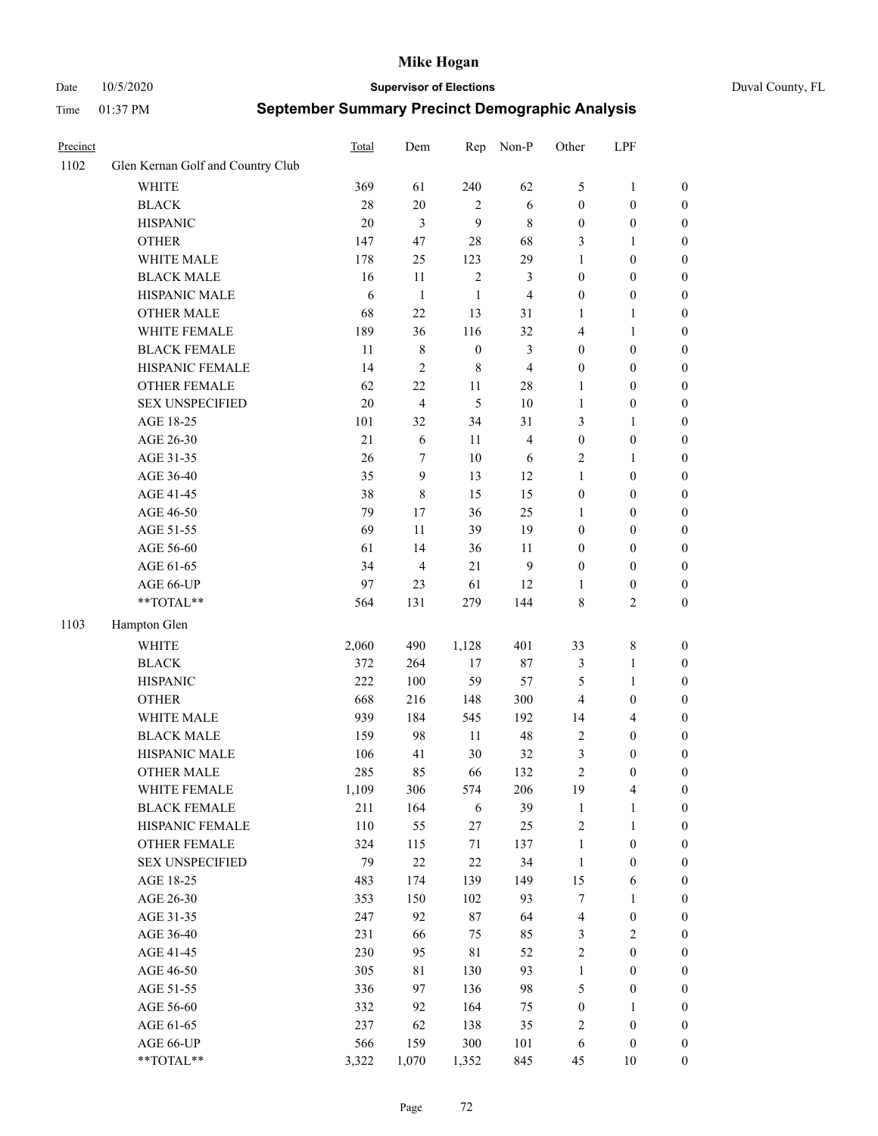#### Date 10/5/2020 **Supervisor of Elections** Duval County, FL

| Precinct |                                   | <b>Total</b> | Dem                     | Rep              | Non-P                   | Other            | LPF              |                  |
|----------|-----------------------------------|--------------|-------------------------|------------------|-------------------------|------------------|------------------|------------------|
| 1102     | Glen Kernan Golf and Country Club |              |                         |                  |                         |                  |                  |                  |
|          | <b>WHITE</b>                      | 369          | 61                      | 240              | 62                      | 5                | $\mathbf{1}$     | 0                |
|          | <b>BLACK</b>                      | $28\,$       | $20\,$                  | 2                | 6                       | $\boldsymbol{0}$ | $\boldsymbol{0}$ | 0                |
|          | <b>HISPANIC</b>                   | 20           | 3                       | 9                | $8\,$                   | $\boldsymbol{0}$ | $\boldsymbol{0}$ | $\boldsymbol{0}$ |
|          | <b>OTHER</b>                      | 147          | 47                      | 28               | 68                      | 3                | 1                | $\boldsymbol{0}$ |
|          | WHITE MALE                        | 178          | 25                      | 123              | 29                      | 1                | $\boldsymbol{0}$ | $\boldsymbol{0}$ |
|          | <b>BLACK MALE</b>                 | 16           | 11                      | $\sqrt{2}$       | 3                       | $\boldsymbol{0}$ | $\boldsymbol{0}$ | $\boldsymbol{0}$ |
|          | HISPANIC MALE                     | 6            | $\mathbf{1}$            | $\mathbf{1}$     | $\overline{\mathbf{4}}$ | $\boldsymbol{0}$ | $\boldsymbol{0}$ | $\boldsymbol{0}$ |
|          | <b>OTHER MALE</b>                 | 68           | 22                      | 13               | 31                      | $\mathbf{1}$     | $\mathbf{1}$     | $\boldsymbol{0}$ |
|          | WHITE FEMALE                      | 189          | 36                      | 116              | 32                      | 4                | $\mathbf{1}$     | $\boldsymbol{0}$ |
|          | <b>BLACK FEMALE</b>               | 11           | $8\,$                   | $\boldsymbol{0}$ | $\mathfrak{Z}$          | $\boldsymbol{0}$ | $\boldsymbol{0}$ | 0                |
|          | HISPANIC FEMALE                   | 14           | $\overline{c}$          | $\,$ 8 $\,$      | $\overline{4}$          | $\boldsymbol{0}$ | $\boldsymbol{0}$ | 0                |
|          | <b>OTHER FEMALE</b>               | 62           | $22\,$                  | 11               | $28\,$                  | $\mathbf{1}$     | $\boldsymbol{0}$ | $\boldsymbol{0}$ |
|          | <b>SEX UNSPECIFIED</b>            | 20           | $\overline{\mathbf{4}}$ | 5                | $10\,$                  | $\mathbf{1}$     | $\boldsymbol{0}$ | $\boldsymbol{0}$ |
|          | AGE 18-25                         | 101          | 32                      | 34               | 31                      | 3                | 1                | $\boldsymbol{0}$ |
|          | AGE 26-30                         | 21           | 6                       | 11               | $\overline{\mathbf{4}}$ | $\boldsymbol{0}$ | $\boldsymbol{0}$ | $\boldsymbol{0}$ |
|          | AGE 31-35                         | 26           | $\boldsymbol{7}$        | 10               | 6                       | $\overline{c}$   | $\mathbf{1}$     | $\boldsymbol{0}$ |
|          | AGE 36-40                         | 35           | 9                       | 13               | 12                      | $\mathbf{1}$     | $\boldsymbol{0}$ | $\boldsymbol{0}$ |
|          | AGE 41-45                         | 38           | $\,8\,$                 | 15               | 15                      | $\boldsymbol{0}$ | $\boldsymbol{0}$ | $\boldsymbol{0}$ |
|          | AGE 46-50                         | 79           | 17                      | 36               | 25                      | $\mathbf{1}$     | $\boldsymbol{0}$ | $\boldsymbol{0}$ |
|          | AGE 51-55                         | 69           | 11                      | 39               | 19                      | $\boldsymbol{0}$ | $\boldsymbol{0}$ | $\boldsymbol{0}$ |
|          | AGE 56-60                         | 61           | 14                      | 36               | 11                      | $\boldsymbol{0}$ | $\boldsymbol{0}$ | 0                |
|          | AGE 61-65                         | 34           | $\overline{4}$          | 21               | 9                       | $\boldsymbol{0}$ | $\boldsymbol{0}$ | 0                |
|          | AGE 66-UP                         | 97           | 23                      | 61               | 12                      | 1                | $\boldsymbol{0}$ | $\boldsymbol{0}$ |
|          | **TOTAL**                         | 564          | 131                     | 279              | 144                     | 8                | $\sqrt{2}$       | $\boldsymbol{0}$ |
| 1103     | Hampton Glen                      |              |                         |                  |                         |                  |                  |                  |
|          | <b>WHITE</b>                      | 2,060        | 490                     | 1,128            | 401                     | 33               | $\,$ $\,$        | $\boldsymbol{0}$ |
|          | <b>BLACK</b>                      | 372          | 264                     | 17               | $87\,$                  | 3                | $\mathbf{1}$     | $\boldsymbol{0}$ |
|          | <b>HISPANIC</b>                   | 222          | 100                     | 59               | 57                      | 5                | $\mathbf{1}$     | $\boldsymbol{0}$ |
|          | <b>OTHER</b>                      | 668          | 216                     | 148              | 300                     | 4                | $\boldsymbol{0}$ | $\boldsymbol{0}$ |
|          | WHITE MALE                        | 939          | 184                     | 545              | 192                     | 14               | $\overline{4}$   | $\boldsymbol{0}$ |
|          | <b>BLACK MALE</b>                 | 159          | 98                      | $11\,$           | 48                      | $\mathfrak{2}$   | $\boldsymbol{0}$ | $\boldsymbol{0}$ |
|          | HISPANIC MALE                     | 106          | 41                      | 30               | $32\,$                  | 3                | $\boldsymbol{0}$ | $\boldsymbol{0}$ |
|          | <b>OTHER MALE</b>                 | 285          | 85                      | 66               | 132                     | $\overline{c}$   | $\boldsymbol{0}$ | $\boldsymbol{0}$ |
|          | WHITE FEMALE                      | 1,109        | 306                     | 574              | 206                     | 19               | 4                | 0                |
|          | <b>BLACK FEMALE</b>               | 211          | 164                     | 6                | 39                      | $\mathbf{1}$     | $\mathbf{1}$     | $\boldsymbol{0}$ |
|          | HISPANIC FEMALE                   | 110          | 55                      | 27               | 25                      | $\overline{c}$   | $\mathbf{1}$     | $\boldsymbol{0}$ |
|          | OTHER FEMALE                      | 324          | 115                     | 71               | 137                     | $\mathbf{1}$     | $\boldsymbol{0}$ | $\overline{0}$   |
|          | <b>SEX UNSPECIFIED</b>            | 79           | $22\,$                  | 22               | 34                      | $\mathbf{1}$     | $\boldsymbol{0}$ | 0                |
|          | AGE 18-25                         | 483          | 174                     | 139              | 149                     | 15               | 6                | 0                |
|          | AGE 26-30                         | 353          | 150                     | 102              | 93                      | 7                | $\mathbf{1}$     | 0                |
|          | AGE 31-35                         | 247          | 92                      | $87\,$           | 64                      | 4                | $\boldsymbol{0}$ | 0                |
|          | AGE 36-40                         | 231          | 66                      | 75               | 85                      | 3                | $\sqrt{2}$       | 0                |
|          | AGE 41-45                         | 230          | 95                      | 81               | 52                      | $\overline{c}$   | $\boldsymbol{0}$ | 0                |
|          | AGE 46-50                         | 305          | 81                      | 130              | 93                      | $\mathbf{1}$     | $\boldsymbol{0}$ | 0                |
|          | AGE 51-55                         | 336          | 97                      | 136              | 98                      | 5                | $\boldsymbol{0}$ | $\boldsymbol{0}$ |
|          | AGE 56-60                         | 332          | 92                      | 164              | 75                      | $\boldsymbol{0}$ | 1                | $\boldsymbol{0}$ |
|          | AGE 61-65                         | 237          | 62                      | 138              | 35                      | 2                | $\boldsymbol{0}$ | $\boldsymbol{0}$ |
|          | AGE 66-UP                         | 566          | 159                     | 300              | 101                     | 6                | $\boldsymbol{0}$ | 0                |
|          | **TOTAL**                         | 3,322        | 1,070                   | 1,352            | 845                     | 45               | 10               | $\boldsymbol{0}$ |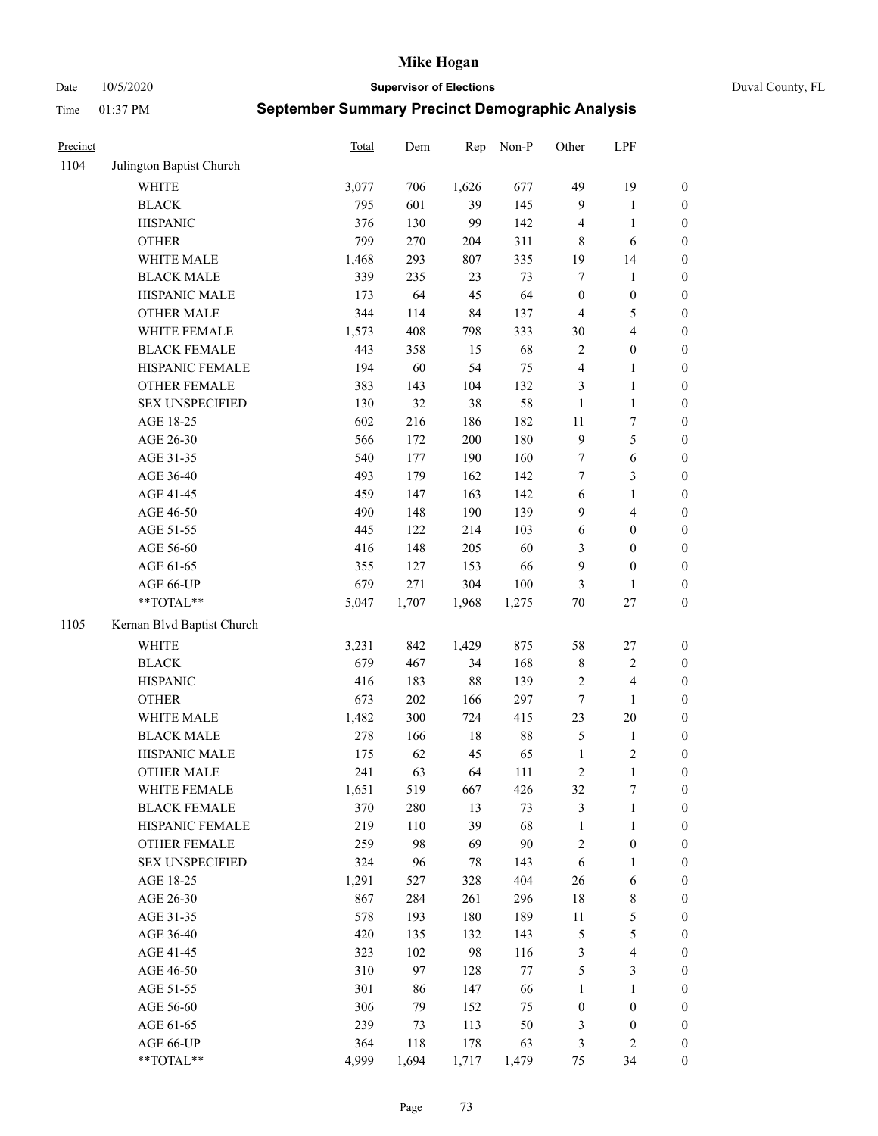Date 10/5/2020 **Supervisor of Elections** Duval County, FL

| Precinct |                            | Total | Dem   | Rep    | Non-P   | Other                   | LPF              |                  |
|----------|----------------------------|-------|-------|--------|---------|-------------------------|------------------|------------------|
| 1104     | Julington Baptist Church   |       |       |        |         |                         |                  |                  |
|          | <b>WHITE</b>               | 3,077 | 706   | 1,626  | 677     | 49                      | 19               | 0                |
|          | <b>BLACK</b>               | 795   | 601   | 39     | 145     | 9                       | $\mathbf{1}$     | 0                |
|          | <b>HISPANIC</b>            | 376   | 130   | 99     | 142     | 4                       | $\mathbf{1}$     | $\boldsymbol{0}$ |
|          | <b>OTHER</b>               | 799   | 270   | 204    | 311     | 8                       | 6                | $\boldsymbol{0}$ |
|          | WHITE MALE                 | 1,468 | 293   | 807    | 335     | 19                      | 14               | $\boldsymbol{0}$ |
|          | <b>BLACK MALE</b>          | 339   | 235   | 23     | 73      | 7                       | 1                | $\boldsymbol{0}$ |
|          | HISPANIC MALE              | 173   | 64    | 45     | 64      | $\boldsymbol{0}$        | $\boldsymbol{0}$ | $\boldsymbol{0}$ |
|          | <b>OTHER MALE</b>          | 344   | 114   | 84     | 137     | $\overline{4}$          | $\mathfrak s$    | $\boldsymbol{0}$ |
|          | WHITE FEMALE               | 1,573 | 408   | 798    | 333     | $30\,$                  | $\overline{4}$   | $\boldsymbol{0}$ |
|          | <b>BLACK FEMALE</b>        | 443   | 358   | 15     | 68      | $\mathbf{2}$            | $\boldsymbol{0}$ | $\boldsymbol{0}$ |
|          | HISPANIC FEMALE            | 194   | 60    | 54     | 75      | 4                       | 1                | $\boldsymbol{0}$ |
|          | OTHER FEMALE               | 383   | 143   | 104    | 132     | 3                       | $\mathbf{1}$     | $\boldsymbol{0}$ |
|          | <b>SEX UNSPECIFIED</b>     | 130   | 32    | 38     | 58      | $\mathbf{1}$            | $\mathbf{1}$     | $\boldsymbol{0}$ |
|          | AGE 18-25                  | 602   | 216   | 186    | 182     | $11\,$                  | $\boldsymbol{7}$ | $\boldsymbol{0}$ |
|          | AGE 26-30                  | 566   | 172   | 200    | 180     | 9                       | 5                | $\boldsymbol{0}$ |
|          | AGE 31-35                  | 540   | 177   | 190    | 160     | 7                       | 6                | $\boldsymbol{0}$ |
|          | AGE 36-40                  | 493   | 179   | 162    | 142     | 7                       | 3                | $\boldsymbol{0}$ |
|          | AGE 41-45                  | 459   | 147   | 163    | 142     | 6                       | $\mathbf{1}$     | $\boldsymbol{0}$ |
|          | AGE 46-50                  | 490   | 148   | 190    | 139     | 9                       | $\overline{4}$   | $\boldsymbol{0}$ |
|          | AGE 51-55                  | 445   | 122   | 214    | 103     | 6                       | $\boldsymbol{0}$ | $\boldsymbol{0}$ |
|          | AGE 56-60                  | 416   | 148   | 205    | 60      | 3                       | $\boldsymbol{0}$ | $\boldsymbol{0}$ |
|          | AGE 61-65                  | 355   | 127   | 153    | 66      | 9                       | $\boldsymbol{0}$ | $\boldsymbol{0}$ |
|          | AGE 66-UP                  | 679   | 271   | 304    | 100     | 3                       | $\mathbf{1}$     | $\boldsymbol{0}$ |
|          | $**TOTAL**$                | 5,047 | 1,707 | 1,968  | 1,275   | $70\,$                  | $27\,$           | $\boldsymbol{0}$ |
| 1105     | Kernan Blvd Baptist Church |       |       |        |         |                         |                  |                  |
|          | <b>WHITE</b>               | 3,231 | 842   | 1,429  | 875     | 58                      | $27\,$           | $\boldsymbol{0}$ |
|          | <b>BLACK</b>               | 679   | 467   | 34     | 168     | 8                       | $\sqrt{2}$       | $\boldsymbol{0}$ |
|          | <b>HISPANIC</b>            | 416   | 183   | 88     | 139     | 2                       | $\overline{4}$   | $\boldsymbol{0}$ |
|          | <b>OTHER</b>               | 673   | 202   | 166    | 297     | $\boldsymbol{7}$        | 1                | $\boldsymbol{0}$ |
|          | WHITE MALE                 | 1,482 | 300   | 724    | 415     | 23                      | 20               | $\boldsymbol{0}$ |
|          | <b>BLACK MALE</b>          | 278   | 166   | $18\,$ | 88      | 5                       | $\mathbf{1}$     | $\boldsymbol{0}$ |
|          | HISPANIC MALE              | 175   | 62    | 45     | 65      | $\mathbf{1}$            | $\sqrt{2}$       | 0                |
|          | <b>OTHER MALE</b>          | 241   | 63    | 64     | 111     | 2                       | $\mathbf{1}$     | $\boldsymbol{0}$ |
|          | WHITE FEMALE               | 1,651 | 519   | 667    | 426     | 32                      | 7                | 0                |
|          | <b>BLACK FEMALE</b>        | 370   | 280   | 13     | 73      | 3                       | $\mathbf{1}$     | $\boldsymbol{0}$ |
|          | HISPANIC FEMALE            | 219   | 110   | 39     | 68      | 1                       | $\mathbf{1}$     | $\overline{0}$   |
|          | OTHER FEMALE               | 259   | 98    | 69     | 90      | $\overline{\mathbf{c}}$ | $\boldsymbol{0}$ | $\overline{0}$   |
|          | <b>SEX UNSPECIFIED</b>     | 324   | 96    | 78     | 143     | 6                       | $\mathbf{1}$     | 0                |
|          | AGE 18-25                  | 1,291 | 527   | 328    | 404     | 26                      | 6                | 0                |
|          | AGE 26-30                  | 867   | 284   | 261    | 296     | 18                      | $\,$ $\,$        | 0                |
|          | AGE 31-35                  | 578   | 193   | 180    | 189     | $11\,$                  | 5                | 0                |
|          | AGE 36-40                  | 420   | 135   | 132    | 143     | 5                       | $\mathfrak s$    | 0                |
|          | AGE 41-45                  | 323   | 102   | 98     | 116     | 3                       | $\overline{4}$   | 0                |
|          | AGE 46-50                  | 310   | 97    | 128    | $77 \,$ | 5                       | $\mathfrak{Z}$   | 0                |
|          | AGE 51-55                  | 301   | 86    | 147    | 66      | 1                       | $\mathbf{1}$     | $\boldsymbol{0}$ |
|          | AGE 56-60                  | 306   | 79    | 152    | 75      | $\boldsymbol{0}$        | $\boldsymbol{0}$ | $\boldsymbol{0}$ |
|          | AGE 61-65                  | 239   | 73    | 113    | 50      | 3                       | $\boldsymbol{0}$ | $\boldsymbol{0}$ |
|          | AGE 66-UP                  | 364   | 118   | 178    | 63      | 3                       | $\mathfrak{2}$   | $\boldsymbol{0}$ |
|          | **TOTAL**                  | 4,999 | 1,694 | 1,717  | 1,479   | 75                      | 34               | $\boldsymbol{0}$ |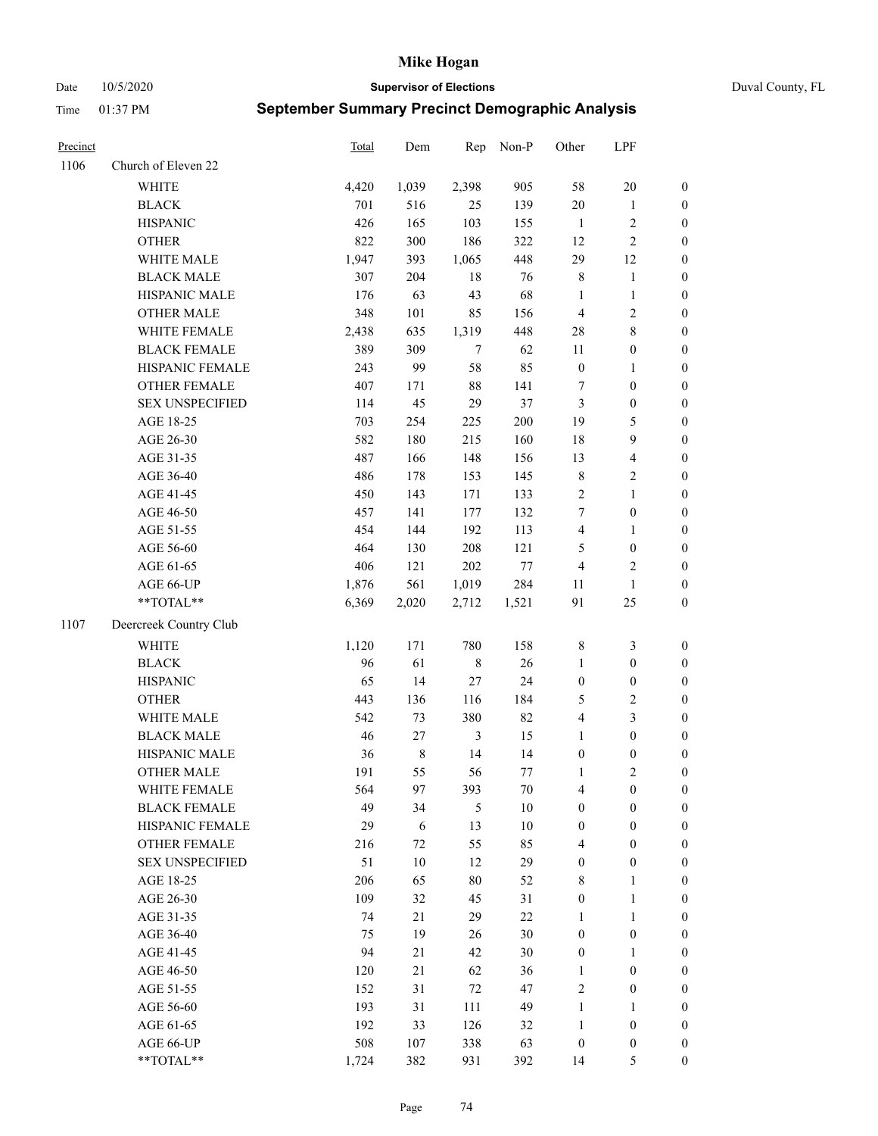Date 10/5/2020 **Supervisor of Elections** Duval County, FL

| Precinct |                        | <b>Total</b> | Dem    | Rep            | Non-P  | Other                   | LPF                     |                  |
|----------|------------------------|--------------|--------|----------------|--------|-------------------------|-------------------------|------------------|
| 1106     | Church of Eleven 22    |              |        |                |        |                         |                         |                  |
|          | <b>WHITE</b>           | 4,420        | 1,039  | 2,398          | 905    | 58                      | $20\,$                  | 0                |
|          | <b>BLACK</b>           | 701          | 516    | 25             | 139    | $20\,$                  | $\mathbf{1}$            | $\boldsymbol{0}$ |
|          | <b>HISPANIC</b>        | 426          | 165    | 103            | 155    | -1                      | $\sqrt{2}$              | $\boldsymbol{0}$ |
|          | <b>OTHER</b>           | 822          | 300    | 186            | 322    | 12                      | $\sqrt{2}$              | $\boldsymbol{0}$ |
|          | WHITE MALE             | 1,947        | 393    | 1,065          | 448    | 29                      | 12                      | $\boldsymbol{0}$ |
|          | <b>BLACK MALE</b>      | 307          | 204    | $18\,$         | 76     | 8                       | $\mathbf{1}$            | $\boldsymbol{0}$ |
|          | HISPANIC MALE          | 176          | 63     | 43             | 68     | $\mathbf{1}$            | $\mathbf{1}$            | $\boldsymbol{0}$ |
|          | <b>OTHER MALE</b>      | 348          | 101    | 85             | 156    | $\overline{4}$          | $\sqrt{2}$              | $\boldsymbol{0}$ |
|          | WHITE FEMALE           | 2,438        | 635    | 1,319          | 448    | $28\,$                  | $\,8\,$                 | $\boldsymbol{0}$ |
|          | <b>BLACK FEMALE</b>    | 389          | 309    | $\tau$         | 62     | 11                      | $\boldsymbol{0}$        | 0                |
|          | HISPANIC FEMALE        | 243          | 99     | 58             | 85     | $\boldsymbol{0}$        | $\mathbf{1}$            | 0                |
|          | OTHER FEMALE           | 407          | 171    | $88\,$         | 141    | 7                       | $\boldsymbol{0}$        | $\boldsymbol{0}$ |
|          | <b>SEX UNSPECIFIED</b> | 114          | 45     | 29             | 37     | 3                       | $\boldsymbol{0}$        | $\boldsymbol{0}$ |
|          | AGE 18-25              | 703          | 254    | 225            | 200    | 19                      | $\mathfrak{S}$          | $\boldsymbol{0}$ |
|          | AGE 26-30              | 582          | 180    | 215            | 160    | 18                      | 9                       | $\boldsymbol{0}$ |
|          | AGE 31-35              | 487          | 166    | 148            | 156    | 13                      | $\overline{\mathbf{4}}$ | $\boldsymbol{0}$ |
|          | AGE 36-40              | 486          | 178    | 153            | 145    | $\,$ 8 $\,$             | $\sqrt{2}$              | $\boldsymbol{0}$ |
|          | AGE 41-45              | 450          | 143    | 171            | 133    | $\sqrt{2}$              | $\mathbf{1}$            | $\boldsymbol{0}$ |
|          | AGE 46-50              | 457          | 141    | 177            | 132    | 7                       | $\boldsymbol{0}$        | $\boldsymbol{0}$ |
|          | AGE 51-55              | 454          | 144    | 192            | 113    | $\overline{\mathbf{4}}$ | $\mathbf{1}$            | $\boldsymbol{0}$ |
|          | AGE 56-60              | 464          | 130    | 208            | 121    | 5                       | $\boldsymbol{0}$        | 0                |
|          | AGE 61-65              | 406          | 121    | 202            | $77\,$ | $\overline{4}$          | $\overline{c}$          | 0                |
|          | AGE 66-UP              | 1,876        | 561    | 1,019          | 284    | 11                      | $\mathbf{1}$            | $\boldsymbol{0}$ |
|          | **TOTAL**              | 6,369        | 2,020  | 2,712          | 1,521  | 91                      | $25\,$                  | $\boldsymbol{0}$ |
| 1107     | Deercreek Country Club |              |        |                |        |                         |                         |                  |
|          | <b>WHITE</b>           | 1,120        | 171    | 780            | 158    | $\,$ 8 $\,$             | $\mathfrak{Z}$          | $\boldsymbol{0}$ |
|          | <b>BLACK</b>           | 96           | 61     | $\,$ 8 $\,$    | 26     | $\mathbf{1}$            | $\boldsymbol{0}$        | $\boldsymbol{0}$ |
|          | <b>HISPANIC</b>        | 65           | 14     | 27             | 24     | $\boldsymbol{0}$        | $\boldsymbol{0}$        | $\boldsymbol{0}$ |
|          | <b>OTHER</b>           | 443          | 136    | 116            | 184    | 5                       | $\sqrt{2}$              | $\boldsymbol{0}$ |
|          | WHITE MALE             | 542          | 73     | 380            | 82     | $\overline{4}$          | $\mathfrak{Z}$          | $\boldsymbol{0}$ |
|          | <b>BLACK MALE</b>      | $46\,$       | 27     | $\mathfrak{Z}$ | 15     | $\mathbf{1}$            | $\boldsymbol{0}$        | $\boldsymbol{0}$ |
|          | HISPANIC MALE          | 36           | $8\,$  | 14             | 14     | $\boldsymbol{0}$        | $\boldsymbol{0}$        | $\boldsymbol{0}$ |
|          | OTHER MALE             | 191          | 55     | 56             | 77     | $\mathbf{1}$            | $\mathbf{2}$            | $\boldsymbol{0}$ |
|          | WHITE FEMALE           | 564          | 97     | 393            | 70     | 4                       | $\boldsymbol{0}$        | 0                |
|          | <b>BLACK FEMALE</b>    | 49           | 34     | 5              | $10\,$ | $\boldsymbol{0}$        | $\boldsymbol{0}$        | $\overline{0}$   |
|          | HISPANIC FEMALE        | 29           | 6      | 13             | $10\,$ | $\boldsymbol{0}$        | $\boldsymbol{0}$        | $\overline{0}$   |
|          | OTHER FEMALE           | 216          | $72\,$ | 55             | 85     | 4                       | $\boldsymbol{0}$        | $\overline{0}$   |
|          | <b>SEX UNSPECIFIED</b> | 51           | 10     | 12             | 29     | $\boldsymbol{0}$        | $\boldsymbol{0}$        | 0                |
|          | AGE 18-25              | 206          | 65     | 80             | 52     | 8                       | $\mathbf{1}$            | 0                |
|          | AGE 26-30              | 109          | 32     | 45             | 31     | $\boldsymbol{0}$        | $\mathbf{1}$            | 0                |
|          | AGE 31-35              | 74           | 21     | 29             | $22\,$ | $\mathbf{1}$            | $\mathbf{1}$            | 0                |
|          | AGE 36-40              | 75           | 19     | 26             | $30\,$ | $\boldsymbol{0}$        | $\boldsymbol{0}$        | 0                |
|          | AGE 41-45              | 94           | 21     | 42             | 30     | $\boldsymbol{0}$        | 1                       | 0                |
|          | AGE 46-50              | 120          | 21     | 62             | 36     | $\mathbf{1}$            | $\boldsymbol{0}$        | 0                |
|          | AGE 51-55              | 152          | 31     | 72             | 47     | 2                       | $\boldsymbol{0}$        | 0                |
|          | AGE 56-60              | 193          | 31     | 111            | 49     | 1                       | 1                       | 0                |
|          | AGE 61-65              | 192          | 33     | 126            | 32     | $\mathbf{1}$            | $\boldsymbol{0}$        | 0                |
|          | AGE 66-UP              | 508          | 107    | 338            | 63     | $\boldsymbol{0}$        | $\boldsymbol{0}$        | 0                |
|          | **TOTAL**              | 1,724        | 382    | 931            | 392    | 14                      | $\mathfrak{S}$          | $\boldsymbol{0}$ |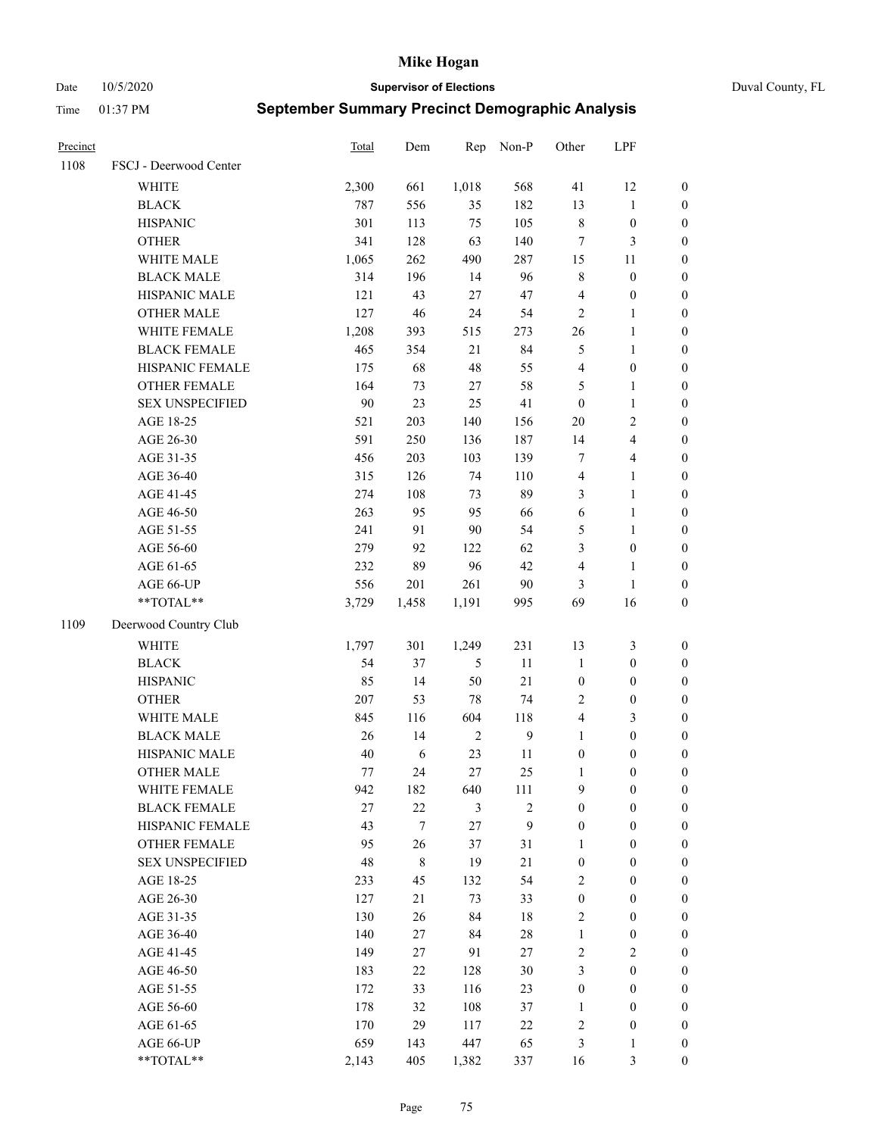Date 10/5/2020 **Supervisor of Elections** Duval County, FL

| Precinct |                        | <b>Total</b> | Dem              | Rep            | Non-P          | Other                   | LPF              |                  |
|----------|------------------------|--------------|------------------|----------------|----------------|-------------------------|------------------|------------------|
| 1108     | FSCJ - Deerwood Center |              |                  |                |                |                         |                  |                  |
|          | <b>WHITE</b>           | 2,300        | 661              | 1,018          | 568            | 41                      | 12               | 0                |
|          | <b>BLACK</b>           | 787          | 556              | 35             | 182            | 13                      | $\mathbf{1}$     | $\boldsymbol{0}$ |
|          | <b>HISPANIC</b>        | 301          | 113              | 75             | 105            | 8                       | $\boldsymbol{0}$ | $\boldsymbol{0}$ |
|          | <b>OTHER</b>           | 341          | 128              | 63             | 140            | 7                       | 3                | $\boldsymbol{0}$ |
|          | WHITE MALE             | 1,065        | 262              | 490            | 287            | 15                      | 11               | $\boldsymbol{0}$ |
|          | <b>BLACK MALE</b>      | 314          | 196              | 14             | 96             | $\,$ $\,$               | $\boldsymbol{0}$ | $\boldsymbol{0}$ |
|          | HISPANIC MALE          | 121          | 43               | 27             | $47\,$         | 4                       | $\boldsymbol{0}$ | $\boldsymbol{0}$ |
|          | <b>OTHER MALE</b>      | 127          | 46               | 24             | 54             | $\mathfrak{2}$          | $\mathbf{1}$     | $\boldsymbol{0}$ |
|          | WHITE FEMALE           | 1,208        | 393              | 515            | 273            | $26\,$                  | $\mathbf{1}$     | $\boldsymbol{0}$ |
|          | <b>BLACK FEMALE</b>    | 465          | 354              | 21             | 84             | 5                       | $\mathbf{1}$     | $\boldsymbol{0}$ |
|          | HISPANIC FEMALE        | 175          | 68               | 48             | 55             | $\overline{\mathbf{4}}$ | $\boldsymbol{0}$ | 0                |
|          | <b>OTHER FEMALE</b>    | 164          | 73               | $27\,$         | 58             | 5                       | $\mathbf{1}$     | $\boldsymbol{0}$ |
|          | <b>SEX UNSPECIFIED</b> | $90\,$       | 23               | 25             | 41             | $\boldsymbol{0}$        | $\mathbf{1}$     | $\boldsymbol{0}$ |
|          | AGE 18-25              | 521          | 203              | 140            | 156            | $20\,$                  | $\sqrt{2}$       | $\boldsymbol{0}$ |
|          | AGE 26-30              | 591          | 250              | 136            | 187            | 14                      | $\overline{4}$   | $\boldsymbol{0}$ |
|          | AGE 31-35              | 456          | 203              | 103            | 139            | $\boldsymbol{7}$        | $\overline{4}$   | $\boldsymbol{0}$ |
|          | AGE 36-40              | 315          | 126              | 74             | 110            | 4                       | $\mathbf{1}$     | $\boldsymbol{0}$ |
|          | AGE 41-45              | 274          | 108              | 73             | 89             | 3                       | $\mathbf{1}$     | $\boldsymbol{0}$ |
|          | AGE 46-50              | 263          | 95               | 95             | 66             | $\sqrt{6}$              | $\mathbf{1}$     | $\boldsymbol{0}$ |
|          | AGE 51-55              | 241          | 91               | $90\,$         | 54             | 5                       | $\mathbf{1}$     | $\boldsymbol{0}$ |
|          | AGE 56-60              | 279          | 92               | 122            | 62             | 3                       | $\boldsymbol{0}$ | 0                |
|          | AGE 61-65              | 232          | 89               | 96             | 42             | 4                       | $\mathbf{1}$     | $\boldsymbol{0}$ |
|          | AGE 66-UP              | 556          | 201              | 261            | $90\,$         | 3                       | $\mathbf{1}$     | $\boldsymbol{0}$ |
|          | $**TOTAL**$            | 3,729        | 1,458            | 1,191          | 995            | 69                      | 16               | $\boldsymbol{0}$ |
| 1109     | Deerwood Country Club  |              |                  |                |                |                         |                  |                  |
|          | <b>WHITE</b>           | 1,797        | 301              | 1,249          | 231            | 13                      | $\mathfrak{Z}$   | $\boldsymbol{0}$ |
|          | <b>BLACK</b>           | 54           | 37               | $\mathfrak{S}$ | 11             | $\mathbf{1}$            | $\boldsymbol{0}$ | $\boldsymbol{0}$ |
|          | <b>HISPANIC</b>        | 85           | 14               | 50             | 21             | $\boldsymbol{0}$        | $\boldsymbol{0}$ | $\boldsymbol{0}$ |
|          | <b>OTHER</b>           | 207          | 53               | 78             | 74             | 2                       | $\boldsymbol{0}$ | $\boldsymbol{0}$ |
|          | WHITE MALE             | 845          | 116              | 604            | 118            | 4                       | 3                | $\boldsymbol{0}$ |
|          | <b>BLACK MALE</b>      | 26           | 14               | $\sqrt{2}$     | 9              | $\mathbf{1}$            | $\boldsymbol{0}$ | $\boldsymbol{0}$ |
|          | HISPANIC MALE          | 40           | $\sqrt{6}$       | 23             | 11             | $\boldsymbol{0}$        | $\boldsymbol{0}$ | $\boldsymbol{0}$ |
|          | <b>OTHER MALE</b>      | 77           | 24               | 27             | 25             | $\mathbf{1}$            | $\boldsymbol{0}$ | $\boldsymbol{0}$ |
|          | WHITE FEMALE           | 942          | 182              | 640            | 111            | 9                       | 0                | 0                |
|          | <b>BLACK FEMALE</b>    | 27           | $22\,$           | 3              | $\overline{2}$ | $\boldsymbol{0}$        | $\boldsymbol{0}$ | $\overline{0}$   |
|          | HISPANIC FEMALE        | 43           | $\boldsymbol{7}$ | 27             | 9              | $\boldsymbol{0}$        | $\boldsymbol{0}$ | $\overline{0}$   |
|          | <b>OTHER FEMALE</b>    | 95           | 26               | 37             | 31             | $\mathbf{1}$            | $\boldsymbol{0}$ | $\overline{0}$   |
|          | <b>SEX UNSPECIFIED</b> | 48           | $\,8\,$          | 19             | 21             | $\boldsymbol{0}$        | $\boldsymbol{0}$ | 0                |
|          | AGE 18-25              | 233          | 45               | 132            | 54             | 2                       | $\boldsymbol{0}$ | $\theta$         |
|          | AGE 26-30              | 127          | 21               | 73             | 33             | $\boldsymbol{0}$        | $\boldsymbol{0}$ | 0                |
|          | AGE 31-35              | 130          | 26               | 84             | $18\,$         | 2                       | $\boldsymbol{0}$ | 0                |
|          | AGE 36-40              | 140          | 27               | 84             | $28\,$         | $\mathbf{1}$            | $\boldsymbol{0}$ | 0                |
|          | AGE 41-45              | 149          | 27               | 91             | 27             | 2                       | $\mathfrak{2}$   | 0                |
|          | AGE 46-50              | 183          | 22               | 128            | $30\,$         | 3                       | $\boldsymbol{0}$ | 0                |
|          | AGE 51-55              | 172          | 33               | 116            | 23             | $\boldsymbol{0}$        | $\boldsymbol{0}$ | $\overline{0}$   |
|          | AGE 56-60              | 178          | 32               | 108            | 37             | 1                       | $\boldsymbol{0}$ | $\overline{0}$   |
|          | AGE 61-65              | 170          | 29               | 117            | $22\,$         | 2                       | $\boldsymbol{0}$ | $\overline{0}$   |
|          | AGE 66-UP              | 659          | 143              | 447            | 65             | 3                       | $\mathbf{1}$     | 0                |
|          | **TOTAL**              | 2,143        | 405              | 1,382          | 337            | 16                      | 3                | $\boldsymbol{0}$ |
|          |                        |              |                  |                |                |                         |                  |                  |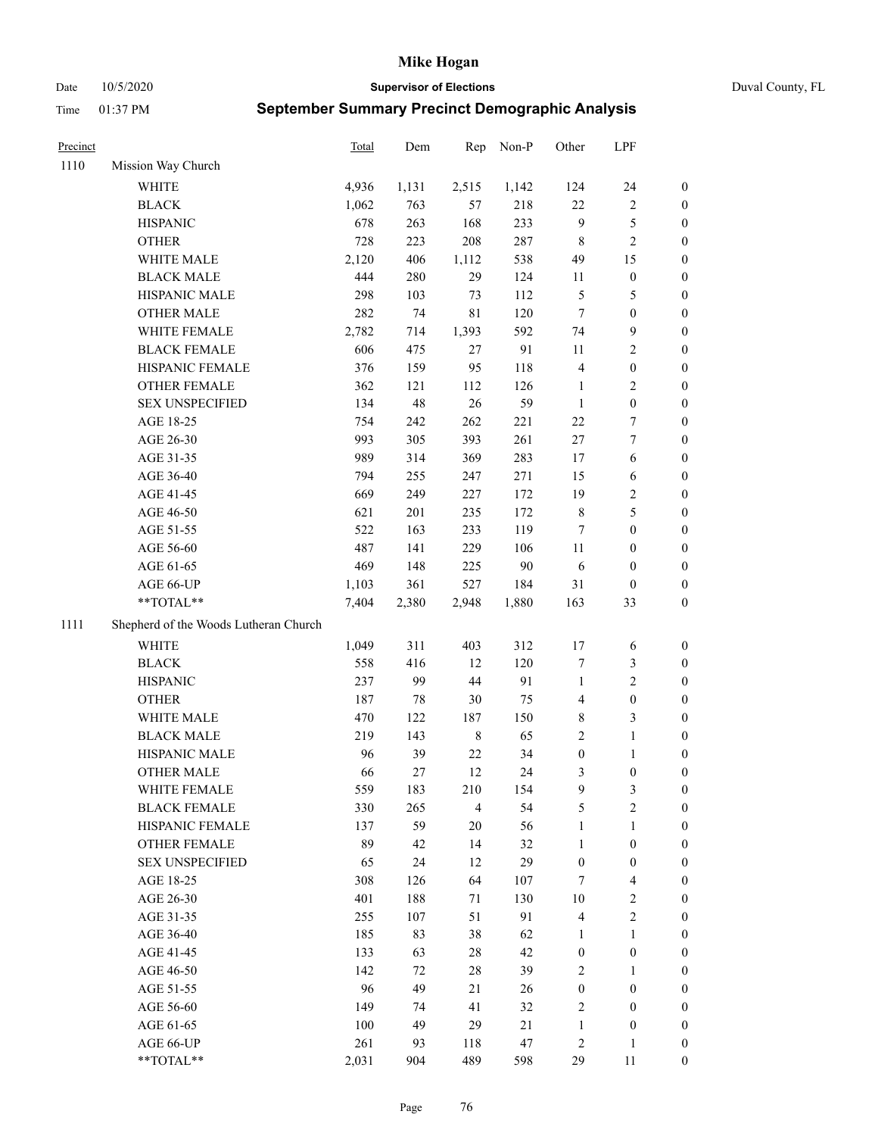Date 10/5/2020 **Supervisor of Elections** Duval County, FL

| Precinct |                                       | <b>Total</b> | Dem   | Rep            | Non-P  | Other            | LPF                     |                  |
|----------|---------------------------------------|--------------|-------|----------------|--------|------------------|-------------------------|------------------|
| 1110     | Mission Way Church                    |              |       |                |        |                  |                         |                  |
|          | <b>WHITE</b>                          | 4,936        | 1,131 | 2,515          | 1,142  | 124              | 24                      | 0                |
|          | <b>BLACK</b>                          | 1,062        | 763   | 57             | 218    | $22\,$           | $\sqrt{2}$              | 0                |
|          | <b>HISPANIC</b>                       | 678          | 263   | 168            | 233    | 9                | $\mathfrak{S}$          | 0                |
|          | <b>OTHER</b>                          | 728          | 223   | 208            | 287    | $\,$ 8 $\,$      | $\sqrt{2}$              | $\boldsymbol{0}$ |
|          | WHITE MALE                            | 2,120        | 406   | 1,112          | 538    | 49               | 15                      | $\boldsymbol{0}$ |
|          | <b>BLACK MALE</b>                     | 444          | 280   | 29             | 124    | 11               | $\boldsymbol{0}$        | $\boldsymbol{0}$ |
|          | HISPANIC MALE                         | 298          | 103   | 73             | 112    | 5                | $\mathfrak{S}$          | $\boldsymbol{0}$ |
|          | <b>OTHER MALE</b>                     | 282          | 74    | $8\sqrt{1}$    | 120    | $\tau$           | $\boldsymbol{0}$        | $\boldsymbol{0}$ |
|          | WHITE FEMALE                          | 2,782        | 714   | 1,393          | 592    | 74               | $\mathbf{9}$            | $\boldsymbol{0}$ |
|          | <b>BLACK FEMALE</b>                   | 606          | 475   | 27             | 91     | 11               | $\sqrt{2}$              | 0                |
|          | HISPANIC FEMALE                       | 376          | 159   | 95             | 118    | $\overline{4}$   | $\boldsymbol{0}$        | 0                |
|          | OTHER FEMALE                          | 362          | 121   | 112            | 126    | $\mathbf{1}$     | $\sqrt{2}$              | 0                |
|          | <b>SEX UNSPECIFIED</b>                | 134          | 48    | 26             | 59     | $\mathbf{1}$     | $\boldsymbol{0}$        | $\boldsymbol{0}$ |
|          | AGE 18-25                             | 754          | 242   | 262            | 221    | 22               | $\boldsymbol{7}$        | $\boldsymbol{0}$ |
|          | AGE 26-30                             | 993          | 305   | 393            | 261    | $27\,$           | $\boldsymbol{7}$        | $\boldsymbol{0}$ |
|          | AGE 31-35                             | 989          | 314   | 369            | 283    | 17               | 6                       | $\boldsymbol{0}$ |
|          | AGE 36-40                             | 794          | 255   | 247            | 271    | 15               | 6                       | $\boldsymbol{0}$ |
|          | AGE 41-45                             | 669          | 249   | 227            | 172    | 19               | $\sqrt{2}$              | $\boldsymbol{0}$ |
|          | AGE 46-50                             | 621          | 201   | 235            | 172    | $\,$ 8 $\,$      | $\mathfrak s$           | $\boldsymbol{0}$ |
|          | AGE 51-55                             | 522          | 163   | 233            | 119    | $\tau$           | $\boldsymbol{0}$        | $\boldsymbol{0}$ |
|          | AGE 56-60                             | 487          | 141   | 229            | 106    | 11               | $\boldsymbol{0}$        | 0                |
|          | AGE 61-65                             | 469          | 148   | 225            | $90\,$ | 6                | $\boldsymbol{0}$        | 0                |
|          | AGE 66-UP                             | 1,103        | 361   | 527            | 184    | 31               | $\boldsymbol{0}$        | $\boldsymbol{0}$ |
|          | $**TOTAL**$                           | 7,404        | 2,380 | 2,948          | 1,880  | 163              | 33                      | $\boldsymbol{0}$ |
| 1111     | Shepherd of the Woods Lutheran Church |              |       |                |        |                  |                         |                  |
|          | <b>WHITE</b>                          | 1,049        | 311   | 403            | 312    | 17               | 6                       | $\boldsymbol{0}$ |
|          | <b>BLACK</b>                          | 558          | 416   | 12             | 120    | 7                | $\mathfrak{Z}$          | $\boldsymbol{0}$ |
|          | <b>HISPANIC</b>                       | 237          | 99    | $44\,$         | 91     | $\mathbf{1}$     | $\mathbf{2}$            | $\boldsymbol{0}$ |
|          | <b>OTHER</b>                          | 187          | 78    | 30             | 75     | 4                | $\boldsymbol{0}$        | $\boldsymbol{0}$ |
|          | WHITE MALE                            | 470          | 122   | 187            | 150    | 8                | $\mathfrak{Z}$          | $\boldsymbol{0}$ |
|          | <b>BLACK MALE</b>                     | 219          | 143   | $\,8\,$        | 65     | $\overline{c}$   | $\mathbf{1}$            | $\boldsymbol{0}$ |
|          | HISPANIC MALE                         | 96           | 39    | $22\,$         | 34     | $\boldsymbol{0}$ | 1                       | 0                |
|          | <b>OTHER MALE</b>                     | 66           | 27    | 12             | 24     | 3                | $\boldsymbol{0}$        | 0                |
|          | WHITE FEMALE                          | 559          | 183   | 210            | 154    | 9                | 3                       | 0                |
|          | <b>BLACK FEMALE</b>                   | 330          | 265   | $\overline{4}$ | 54     | 5                | $\sqrt{2}$              | $\boldsymbol{0}$ |
|          | HISPANIC FEMALE                       | 137          | 59    | $20\,$         | 56     | $\mathbf{1}$     | $\mathbf{1}$            | $\overline{0}$   |
|          | OTHER FEMALE                          | 89           | 42    | 14             | 32     | $\mathbf{1}$     | $\boldsymbol{0}$        | $\overline{0}$   |
|          | <b>SEX UNSPECIFIED</b>                | 65           | 24    | 12             | 29     | $\boldsymbol{0}$ | $\boldsymbol{0}$        | 0                |
|          | AGE 18-25                             | 308          | 126   | 64             | 107    | 7                | $\overline{\mathbf{4}}$ | 0                |
|          | AGE 26-30                             | 401          | 188   | $71\,$         | 130    | $10\,$           | $\sqrt{2}$              | 0                |
|          | AGE 31-35                             | 255          | 107   | 51             | 91     | $\overline{4}$   | $\sqrt{2}$              | 0                |
|          | AGE 36-40                             | 185          | 83    | 38             | 62     | $\mathbf{1}$     | $\mathbf{1}$            | 0                |
|          | AGE 41-45                             | 133          | 63    | 28             | 42     | $\boldsymbol{0}$ | $\boldsymbol{0}$        | 0                |
|          | AGE 46-50                             | 142          | 72    | 28             | 39     | $\overline{c}$   | $\mathbf{1}$            | 0                |
|          | AGE 51-55                             | 96           | 49    | 21             | 26     | $\boldsymbol{0}$ | $\boldsymbol{0}$        | 0                |
|          | AGE 56-60                             | 149          | 74    | 41             | 32     | 2                | $\boldsymbol{0}$        | 0                |
|          | AGE 61-65                             | 100          | 49    | 29             | 21     | $\mathbf{1}$     | $\boldsymbol{0}$        | $\boldsymbol{0}$ |
|          | AGE 66-UP                             | 261          | 93    | 118            | 47     | $\overline{c}$   | $\mathbf{1}$            | 0                |
|          | **TOTAL**                             | 2,031        | 904   | 489            | 598    | 29               | 11                      | $\boldsymbol{0}$ |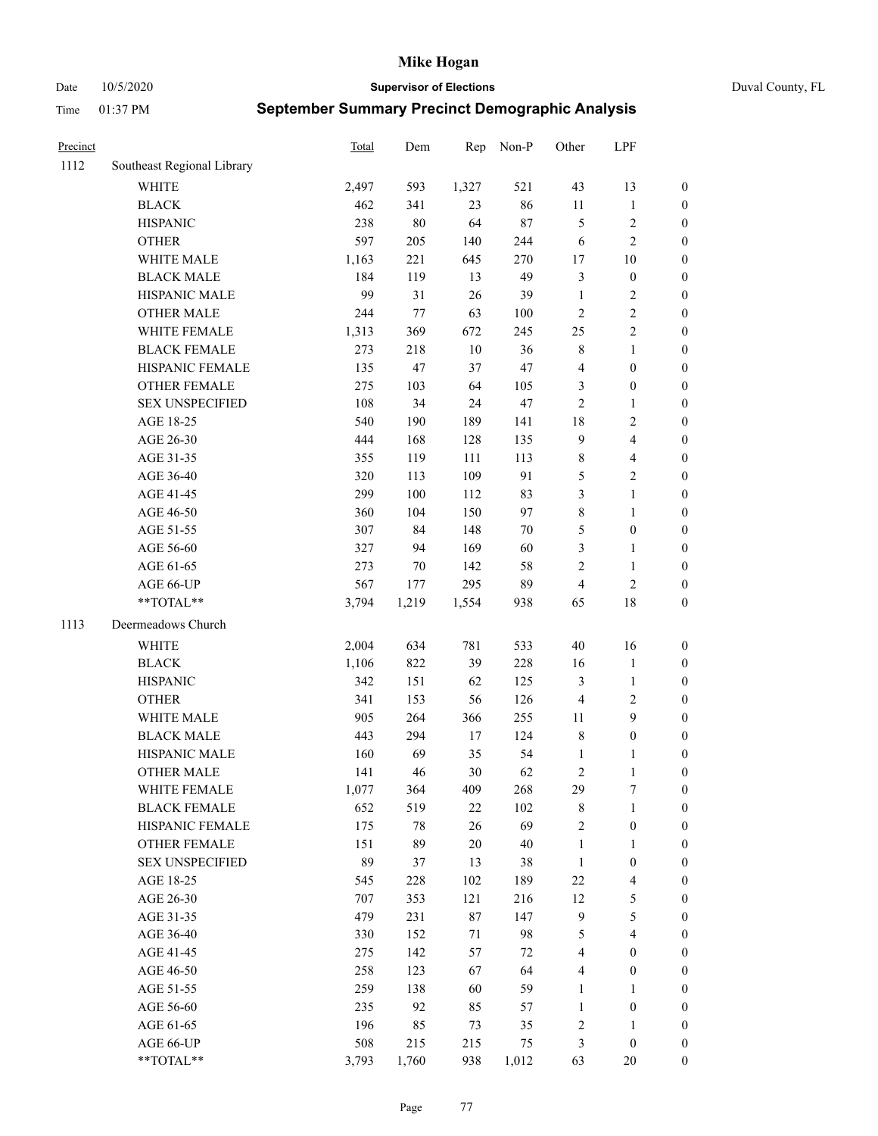Date 10/5/2020 **Supervisor of Elections** Duval County, FL

| Precinct |                            | Total      | Dem       | Rep       | Non-P    | Other               | LPF                              |                     |
|----------|----------------------------|------------|-----------|-----------|----------|---------------------|----------------------------------|---------------------|
| 1112     | Southeast Regional Library |            |           |           |          |                     |                                  |                     |
|          | <b>WHITE</b>               | 2,497      | 593       | 1,327     | 521      | 43                  | 13                               | 0                   |
|          | <b>BLACK</b>               | 462        | 341       | 23        | 86       | $11\,$              | $\mathbf{1}$                     | 0                   |
|          | <b>HISPANIC</b>            | 238        | $80\,$    | 64        | $87\,$   | 5                   | $\sqrt{2}$                       | $\boldsymbol{0}$    |
|          | <b>OTHER</b>               | 597        | 205       | 140       | 244      | 6                   | $\sqrt{2}$                       | $\boldsymbol{0}$    |
|          | WHITE MALE                 | 1,163      | 221       | 645       | 270      | 17                  | $10\,$                           | $\boldsymbol{0}$    |
|          | <b>BLACK MALE</b>          | 184        | 119       | 13        | 49       | 3                   | $\boldsymbol{0}$                 | $\boldsymbol{0}$    |
|          | HISPANIC MALE              | 99         | 31        | 26        | 39       | $\mathbf{1}$        | $\sqrt{2}$                       | $\boldsymbol{0}$    |
|          | <b>OTHER MALE</b>          | 244        | 77        | 63        | $100\,$  | $\mathfrak{2}$      | $\sqrt{2}$                       | $\boldsymbol{0}$    |
|          | WHITE FEMALE               | 1,313      | 369       | 672       | 245      | 25                  | $\sqrt{2}$                       | $\boldsymbol{0}$    |
|          | <b>BLACK FEMALE</b>        | 273        | 218       | 10        | 36       | 8                   | $\mathbf{1}$                     | $\boldsymbol{0}$    |
|          | HISPANIC FEMALE            | 135        | 47        | 37        | 47       | 4                   | $\boldsymbol{0}$                 | 0                   |
|          | OTHER FEMALE               | 275        | 103       | 64        | 105      | 3                   | $\boldsymbol{0}$                 | $\boldsymbol{0}$    |
|          | <b>SEX UNSPECIFIED</b>     | 108        | 34        | 24        | 47       | $\mathfrak{2}$      | $\mathbf{1}$                     | $\boldsymbol{0}$    |
|          | AGE 18-25                  | 540        | 190       | 189       | 141      | 18                  | $\sqrt{2}$                       | $\boldsymbol{0}$    |
|          | AGE 26-30                  | 444        | 168       | 128       | 135      | 9                   | $\overline{\mathbf{4}}$          | $\boldsymbol{0}$    |
|          | AGE 31-35                  | 355        | 119       | 111       | 113      | $\,$ $\,$           | $\overline{\mathbf{4}}$          | $\boldsymbol{0}$    |
|          | AGE 36-40                  | 320        | 113       | 109       | 91       | 5                   | $\sqrt{2}$                       | $\boldsymbol{0}$    |
|          | AGE 41-45                  | 299        | 100       | 112       | 83       | 3                   | $\mathbf{1}$                     | $\boldsymbol{0}$    |
|          | AGE 46-50                  | 360        | 104       | 150       | 97       | $\,$ $\,$           | $\mathbf{1}$                     | $\boldsymbol{0}$    |
|          | AGE 51-55                  | 307        | 84        | 148       | $70\,$   | 5                   | $\boldsymbol{0}$                 | 0                   |
|          | AGE 56-60                  | 327        | 94        | 169       | 60       | 3                   | $\mathbf{1}$                     | 0                   |
|          | AGE 61-65                  | 273        | 70        | 142       | 58       | $\mathbf{2}$        | $\mathbf{1}$                     | 0                   |
|          | AGE 66-UP                  | 567        | 177       | 295       | 89       | $\overline{4}$      | $\sqrt{2}$                       | $\boldsymbol{0}$    |
|          | **TOTAL**                  | 3,794      | 1,219     | 1,554     | 938      | 65                  | $18\,$                           | $\boldsymbol{0}$    |
| 1113     | Deermeadows Church         |            |           |           |          |                     |                                  |                     |
|          | <b>WHITE</b>               | 2,004      | 634       | 781       | 533      | 40                  | 16                               | $\boldsymbol{0}$    |
|          | <b>BLACK</b>               | 1,106      | 822       | 39        | 228      | 16                  | $\mathbf{1}$                     | $\boldsymbol{0}$    |
|          | <b>HISPANIC</b>            | 342        | 151       | 62        | 125      | 3                   | $\mathbf{1}$                     | $\boldsymbol{0}$    |
|          | <b>OTHER</b>               | 341        | 153       | 56        | 126      | 4                   | $\sqrt{2}$                       | $\boldsymbol{0}$    |
|          | WHITE MALE                 | 905        | 264       | 366       | 255      | 11                  | 9                                | $\boldsymbol{0}$    |
|          | <b>BLACK MALE</b>          | 443        | 294       | $17\,$    | 124      | $\,$ 8 $\,$         | $\boldsymbol{0}$                 | $\boldsymbol{0}$    |
|          | HISPANIC MALE              | 160        | 69        | 35        | 54       | 1                   | 1                                | $\boldsymbol{0}$    |
|          | <b>OTHER MALE</b>          | 141        | 46        | 30        | 62       | 2                   | $\mathbf{1}$                     | $\boldsymbol{0}$    |
|          | WHITE FEMALE               | 1,077      | 364       | 409       | 268      | 29                  | 7                                | 0                   |
|          | <b>BLACK FEMALE</b>        | 652        | 519       | 22        | 102      | 8                   | $\mathbf{1}$                     | $\boldsymbol{0}$    |
|          | HISPANIC FEMALE            | 175        | $78\,$    | 26        | 69       | $\sqrt{2}$          | $\boldsymbol{0}$                 | $\overline{0}$      |
|          | OTHER FEMALE               | 151        | 89        | 20        | 40       | $\mathbf{1}$        | $\mathbf{1}$                     | $\overline{0}$      |
|          | <b>SEX UNSPECIFIED</b>     | 89         | 37        | 13        | 38       | $\mathbf{1}$        | $\boldsymbol{0}$                 | 0                   |
|          | AGE 18-25                  | 545        | 228       | 102       | 189      | 22                  | $\overline{\mathbf{4}}$          | 0                   |
|          | AGE 26-30                  | 707        | 353       | 121       | 216      | 12                  | $\mathfrak{S}$                   | 0                   |
|          | AGE 31-35                  | 479        | 231       | 87        | 147      | 9                   | $\mathfrak s$                    | 0                   |
|          | AGE 36-40                  | 330        | 152       | 71        | 98       | 5                   | $\overline{\mathbf{4}}$          | 0                   |
|          | AGE 41-45                  | 275        | 142       | 57        | 72       | $\overline{4}$      | $\boldsymbol{0}$                 | 0                   |
|          | AGE 46-50                  | 258        | 123       | 67        | 64       | 4                   | $\boldsymbol{0}$                 | 0                   |
|          |                            |            |           |           |          |                     |                                  |                     |
|          | AGE 51-55<br>AGE 56-60     | 259<br>235 | 138<br>92 | 60<br>85  | 59<br>57 | 1<br>1              | $\mathbf{1}$<br>$\boldsymbol{0}$ | 0<br>$\overline{0}$ |
|          |                            |            | 85        |           |          |                     |                                  | $\overline{0}$      |
|          | AGE 61-65<br>AGE 66-UP     | 196<br>508 | 215       | 73<br>215 | 35<br>75 | $\overline{c}$<br>3 | 1<br>$\boldsymbol{0}$            | 0                   |
|          | **TOTAL**                  | 3,793      | 1,760     | 938       | 1,012    | 63                  | 20                               | $\boldsymbol{0}$    |
|          |                            |            |           |           |          |                     |                                  |                     |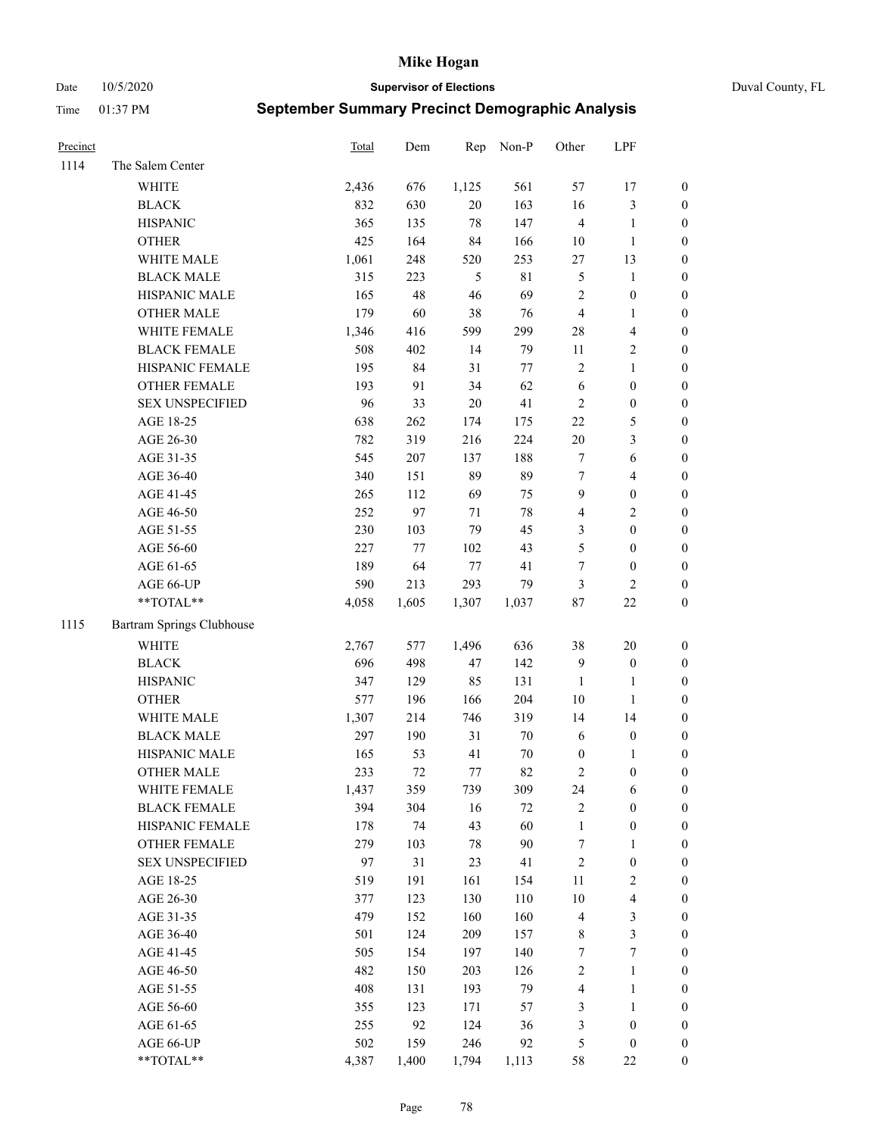Date 10/5/2020 **Supervisor of Elections** Duval County, FL

| Precinct |                           | <b>Total</b> | Dem   | Rep    | Non-P  | Other            | LPF              |                  |
|----------|---------------------------|--------------|-------|--------|--------|------------------|------------------|------------------|
| 1114     | The Salem Center          |              |       |        |        |                  |                  |                  |
|          | WHITE                     | 2,436        | 676   | 1,125  | 561    | 57               | 17               | 0                |
|          | <b>BLACK</b>              | 832          | 630   | 20     | 163    | 16               | $\mathfrak{Z}$   | 0                |
|          | <b>HISPANIC</b>           | 365          | 135   | 78     | 147    | $\overline{4}$   | $\mathbf{1}$     | $\boldsymbol{0}$ |
|          | <b>OTHER</b>              | 425          | 164   | 84     | 166    | $10\,$           | $\mathbf{1}$     | $\boldsymbol{0}$ |
|          | WHITE MALE                | 1,061        | 248   | 520    | 253    | $27\,$           | 13               | $\boldsymbol{0}$ |
|          | <b>BLACK MALE</b>         | 315          | 223   | 5      | 81     | 5                | 1                | $\boldsymbol{0}$ |
|          | HISPANIC MALE             | 165          | 48    | 46     | 69     | 2                | $\boldsymbol{0}$ | $\boldsymbol{0}$ |
|          | <b>OTHER MALE</b>         | 179          | 60    | 38     | 76     | $\overline{4}$   | $\mathbf{1}$     | $\boldsymbol{0}$ |
|          | WHITE FEMALE              | 1,346        | 416   | 599    | 299    | $28\,$           | $\overline{4}$   | $\boldsymbol{0}$ |
|          | <b>BLACK FEMALE</b>       | 508          | 402   | 14     | 79     | 11               | $\sqrt{2}$       | 0                |
|          | HISPANIC FEMALE           | 195          | 84    | 31     | $77\,$ | 2                | $\mathbf{1}$     | 0                |
|          | OTHER FEMALE              | 193          | 91    | 34     | 62     | $\sqrt{6}$       | $\boldsymbol{0}$ | $\boldsymbol{0}$ |
|          | <b>SEX UNSPECIFIED</b>    | 96           | 33    | $20\,$ | 41     | $\sqrt{2}$       | $\boldsymbol{0}$ | $\boldsymbol{0}$ |
|          | AGE 18-25                 | 638          | 262   | 174    | 175    | $22\,$           | $\mathfrak s$    | $\boldsymbol{0}$ |
|          | AGE 26-30                 | 782          | 319   | 216    | 224    | $20\,$           | $\mathfrak{Z}$   | $\boldsymbol{0}$ |
|          | AGE 31-35                 | 545          | 207   | 137    | 188    | 7                | 6                | $\boldsymbol{0}$ |
|          | AGE 36-40                 | 340          | 151   | 89     | 89     | $\tau$           | $\overline{4}$   | $\boldsymbol{0}$ |
|          | AGE 41-45                 | 265          | 112   | 69     | 75     | $\boldsymbol{9}$ | $\boldsymbol{0}$ | $\boldsymbol{0}$ |
|          | AGE 46-50                 | 252          | 97    | $71\,$ | $78\,$ | 4                | $\sqrt{2}$       | $\boldsymbol{0}$ |
|          | AGE 51-55                 | 230          | 103   | 79     | 45     | 3                | $\boldsymbol{0}$ | $\boldsymbol{0}$ |
|          | AGE 56-60                 | 227          | 77    | 102    | 43     | 5                | $\boldsymbol{0}$ | 0                |
|          | AGE 61-65                 | 189          | 64    | $77\,$ | 41     | $\boldsymbol{7}$ | $\boldsymbol{0}$ | 0                |
|          | AGE 66-UP                 | 590          | 213   | 293    | 79     | 3                | $\mathbf{2}$     | $\boldsymbol{0}$ |
|          | $**TOTAL**$               | 4,058        | 1,605 | 1,307  | 1,037  | $87\,$           | $22\,$           | $\boldsymbol{0}$ |
| 1115     | Bartram Springs Clubhouse |              |       |        |        |                  |                  |                  |
|          | <b>WHITE</b>              | 2,767        | 577   | 1,496  | 636    | 38               | 20               | $\boldsymbol{0}$ |
|          | <b>BLACK</b>              | 696          | 498   | 47     | 142    | 9                | $\boldsymbol{0}$ | $\boldsymbol{0}$ |
|          | <b>HISPANIC</b>           | 347          | 129   | 85     | 131    | $\mathbf{1}$     | $\mathbf{1}$     | $\boldsymbol{0}$ |
|          | <b>OTHER</b>              | 577          | 196   | 166    | 204    | $10\,$           | $\mathbf{1}$     | $\boldsymbol{0}$ |
|          | WHITE MALE                | 1,307        | 214   | 746    | 319    | 14               | 14               | $\boldsymbol{0}$ |
|          | <b>BLACK MALE</b>         | 297          | 190   | 31     | $70\,$ | $\sqrt{6}$       | $\boldsymbol{0}$ | $\boldsymbol{0}$ |
|          | HISPANIC MALE             | 165          | 53    | 41     | $70\,$ | $\boldsymbol{0}$ | 1                | 0                |
|          | <b>OTHER MALE</b>         | 233          | 72    | 77     | 82     | 2                | $\boldsymbol{0}$ | $\boldsymbol{0}$ |
|          | WHITE FEMALE              | 1,437        | 359   | 739    | 309    | 24               | 6                | 0                |
|          | <b>BLACK FEMALE</b>       | 394          | 304   | 16     | 72     | 2                | $\boldsymbol{0}$ | $\boldsymbol{0}$ |
|          | HISPANIC FEMALE           | 178          | 74    | 43     | 60     | $\mathbf{1}$     | $\boldsymbol{0}$ | $\overline{0}$   |
|          | <b>OTHER FEMALE</b>       | 279          | 103   | 78     | $90\,$ | 7                | $\mathbf{1}$     | $\overline{0}$   |
|          | <b>SEX UNSPECIFIED</b>    | 97           | 31    | 23     | 41     | $\overline{c}$   | $\boldsymbol{0}$ | 0                |
|          | AGE 18-25                 | 519          | 191   | 161    | 154    | 11               | $\sqrt{2}$       | 0                |
|          | AGE 26-30                 | 377          | 123   | 130    | 110    | $10\,$           | $\overline{4}$   | 0                |
|          | AGE 31-35                 | 479          | 152   | 160    | 160    | 4                | $\mathfrak z$    | 0                |
|          | AGE 36-40                 | 501          | 124   | 209    | 157    | 8                | $\mathfrak{Z}$   | 0                |
|          | AGE 41-45                 | 505          | 154   | 197    | 140    | $\boldsymbol{7}$ | $\boldsymbol{7}$ | 0                |
|          | AGE 46-50                 | 482          | 150   | 203    | 126    | 2                | $\mathbf{1}$     | 0                |
|          | AGE 51-55                 | 408          | 131   | 193    | 79     | 4                | $\mathbf{1}$     | 0                |
|          | AGE 56-60                 | 355          | 123   | 171    | 57     | 3                | $\mathbf{1}$     | 0                |
|          | AGE 61-65                 | 255          | 92    | 124    | 36     | 3                | $\boldsymbol{0}$ | $\boldsymbol{0}$ |
|          | AGE 66-UP                 | 502          | 159   | 246    | 92     | 5                | $\boldsymbol{0}$ | 0                |
|          | **TOTAL**                 | 4,387        | 1,400 | 1,794  | 1,113  | 58               | $22\,$           | $\boldsymbol{0}$ |
|          |                           |              |       |        |        |                  |                  |                  |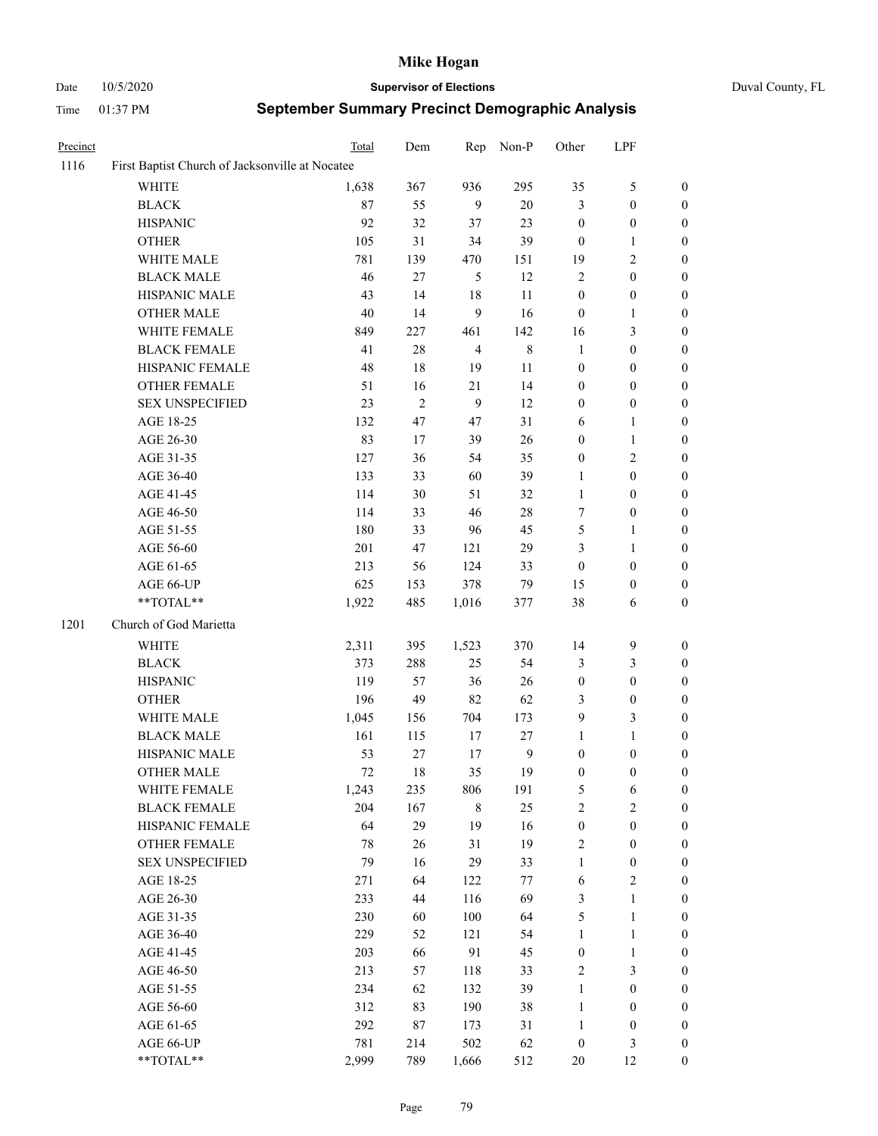# Date 10/5/2020 **Supervisor of Elections** Duval County, FL

| Precinct |                                                 | Total  | Dem        | Rep            | Non-P          | Other            | LPF              |                  |
|----------|-------------------------------------------------|--------|------------|----------------|----------------|------------------|------------------|------------------|
| 1116     | First Baptist Church of Jacksonville at Nocatee |        |            |                |                |                  |                  |                  |
|          | <b>WHITE</b>                                    | 1,638  | 367        | 936            | 295            | 35               | $\mathfrak{S}$   | $\boldsymbol{0}$ |
|          | <b>BLACK</b>                                    | 87     | 55         | 9              | $20\,$         | 3                | $\boldsymbol{0}$ | $\boldsymbol{0}$ |
|          | <b>HISPANIC</b>                                 | 92     | 32         | 37             | 23             | $\boldsymbol{0}$ | $\boldsymbol{0}$ | 0                |
|          | <b>OTHER</b>                                    | 105    | 31         | 34             | 39             | $\boldsymbol{0}$ | $\mathbf{1}$     | $\boldsymbol{0}$ |
|          | WHITE MALE                                      | 781    | 139        | 470            | 151            | 19               | $\sqrt{2}$       | $\boldsymbol{0}$ |
|          | <b>BLACK MALE</b>                               | 46     | 27         | 5              | 12             | $\sqrt{2}$       | $\boldsymbol{0}$ | $\boldsymbol{0}$ |
|          | HISPANIC MALE                                   | 43     | 14         | $18\,$         | 11             | $\boldsymbol{0}$ | $\boldsymbol{0}$ | $\boldsymbol{0}$ |
|          | <b>OTHER MALE</b>                               | 40     | 14         | 9              | 16             | $\boldsymbol{0}$ | 1                | 0                |
|          | WHITE FEMALE                                    | 849    | 227        | 461            | 142            | 16               | $\mathfrak{Z}$   | 0                |
|          | <b>BLACK FEMALE</b>                             | 41     | $28\,$     | $\overline{4}$ | $\,$ 8 $\,$    | $\mathbf{1}$     | $\boldsymbol{0}$ | $\boldsymbol{0}$ |
|          | HISPANIC FEMALE                                 | 48     | $18\,$     | 19             | $11\,$         | $\boldsymbol{0}$ | $\boldsymbol{0}$ | $\boldsymbol{0}$ |
|          | OTHER FEMALE                                    | 51     | 16         | 21             | 14             | $\boldsymbol{0}$ | $\boldsymbol{0}$ | $\boldsymbol{0}$ |
|          | <b>SEX UNSPECIFIED</b>                          | 23     | $\sqrt{2}$ | 9              | 12             | $\boldsymbol{0}$ | $\boldsymbol{0}$ | $\boldsymbol{0}$ |
|          | AGE 18-25                                       | 132    | 47         | 47             | 31             | 6                | $\mathbf{1}$     | $\boldsymbol{0}$ |
|          | AGE 26-30                                       | 83     | $17\,$     | 39             | 26             | $\boldsymbol{0}$ | $\mathbf{1}$     | $\boldsymbol{0}$ |
|          | AGE 31-35                                       | 127    | 36         | 54             | 35             | $\boldsymbol{0}$ | $\mathbf{2}$     | $\boldsymbol{0}$ |
|          | AGE 36-40                                       | 133    | 33         | 60             | 39             | $\mathbf{1}$     | $\boldsymbol{0}$ | $\boldsymbol{0}$ |
|          | AGE 41-45                                       | 114    | 30         | 51             | 32             | $\mathbf{1}$     | $\boldsymbol{0}$ | 0                |
|          | AGE 46-50                                       | 114    | 33         | 46             | $28\,$         | 7                | $\boldsymbol{0}$ | 0                |
|          | AGE 51-55                                       | 180    | 33         | 96             | 45             | 5                | 1                | $\boldsymbol{0}$ |
|          | AGE 56-60                                       | 201    | 47         | 121            | 29             | 3                | $\mathbf{1}$     | $\boldsymbol{0}$ |
|          | AGE 61-65                                       | 213    | 56         | 124            | 33             | $\boldsymbol{0}$ | $\boldsymbol{0}$ | $\boldsymbol{0}$ |
|          | AGE 66-UP                                       | 625    | 153        | 378            | 79             | 15               | $\boldsymbol{0}$ | 0                |
|          | **TOTAL**                                       | 1,922  | 485        | 1,016          | 377            | 38               | 6                | $\boldsymbol{0}$ |
| 1201     | Church of God Marietta                          |        |            |                |                |                  |                  |                  |
|          | <b>WHITE</b>                                    | 2,311  | 395        | 1,523          | 370            | 14               | $\boldsymbol{9}$ | $\boldsymbol{0}$ |
|          | <b>BLACK</b>                                    | 373    | 288        | 25             | 54             | 3                | $\mathfrak{Z}$   | $\boldsymbol{0}$ |
|          | <b>HISPANIC</b>                                 | 119    | 57         | 36             | $26\,$         | $\boldsymbol{0}$ | $\boldsymbol{0}$ | $\boldsymbol{0}$ |
|          | <b>OTHER</b>                                    | 196    | 49         | 82             | 62             | $\mathfrak{Z}$   | $\boldsymbol{0}$ | $\boldsymbol{0}$ |
|          | WHITE MALE                                      | 1,045  | 156        | 704            | 173            | $\boldsymbol{9}$ | $\mathfrak{Z}$   | 0                |
|          | <b>BLACK MALE</b>                               | 161    | 115        | 17             | $27\,$         | $\mathbf{1}$     | $\mathbf{1}$     | 0                |
|          | HISPANIC MALE                                   | 53     | $27\,$     | 17             | $\overline{9}$ | $\boldsymbol{0}$ | $\boldsymbol{0}$ | 0                |
|          | <b>OTHER MALE</b>                               | 72     | $18\,$     | 35             | 19             | $\boldsymbol{0}$ | $\boldsymbol{0}$ | $\boldsymbol{0}$ |
|          | WHITE FEMALE                                    | 1,243  | 235        | 806            | 191            | 5                | 6                | $\boldsymbol{0}$ |
|          | <b>BLACK FEMALE</b>                             | 204    | 167        | $\,8\,$        | 25             | $\sqrt{2}$       | $\sqrt{2}$       | $\overline{0}$   |
|          | HISPANIC FEMALE                                 | 64     | 29         | 19             | 16             | $\boldsymbol{0}$ | $\boldsymbol{0}$ | $\overline{0}$   |
|          | <b>OTHER FEMALE</b>                             | $78\,$ | $26\,$     | $31\,$         | 19             | $\sqrt{2}$       | $\boldsymbol{0}$ | $\theta$         |
|          | <b>SEX UNSPECIFIED</b>                          | 79     | 16         | 29             | 33             | $\mathbf{1}$     | $\boldsymbol{0}$ | 0                |
|          | AGE 18-25                                       | 271    | 64         | 122            | 77             | 6                | $\sqrt{2}$       | 0                |
|          | AGE 26-30                                       | 233    | 44         | 116            | 69             | 3                | $\mathbf{1}$     | 0                |
|          | AGE 31-35                                       | 230    | 60         | 100            | 64             | 5                | $\mathbf{1}$     | 0                |
|          | AGE 36-40                                       | 229    | 52         | 121            | 54             | $\mathbf{1}$     | $\mathbf{1}$     | 0                |
|          | AGE 41-45                                       | 203    | 66         | 91             | 45             | $\boldsymbol{0}$ | $\mathbf{1}$     | 0                |
|          | AGE 46-50                                       | 213    | 57         | 118            | 33             | $\mathfrak{2}$   | $\mathfrak{Z}$   | $\boldsymbol{0}$ |
|          | AGE 51-55                                       | 234    | 62         | 132            | 39             | $\mathbf{1}$     | $\boldsymbol{0}$ | $\overline{0}$   |
|          | AGE 56-60                                       | 312    | 83         | 190            | $38\,$         | $\mathbf{1}$     | $\boldsymbol{0}$ | $\boldsymbol{0}$ |
|          | AGE 61-65                                       | 292    | 87         | 173            | 31             | $\mathbf{1}$     | $\boldsymbol{0}$ | $\overline{0}$   |
|          | AGE 66-UP                                       | 781    | 214        | 502            | 62             | $\boldsymbol{0}$ | 3                | 0                |
|          | **TOTAL**                                       | 2,999  | 789        | 1,666          | 512            | 20               | 12               | $\boldsymbol{0}$ |
|          |                                                 |        |            |                |                |                  |                  |                  |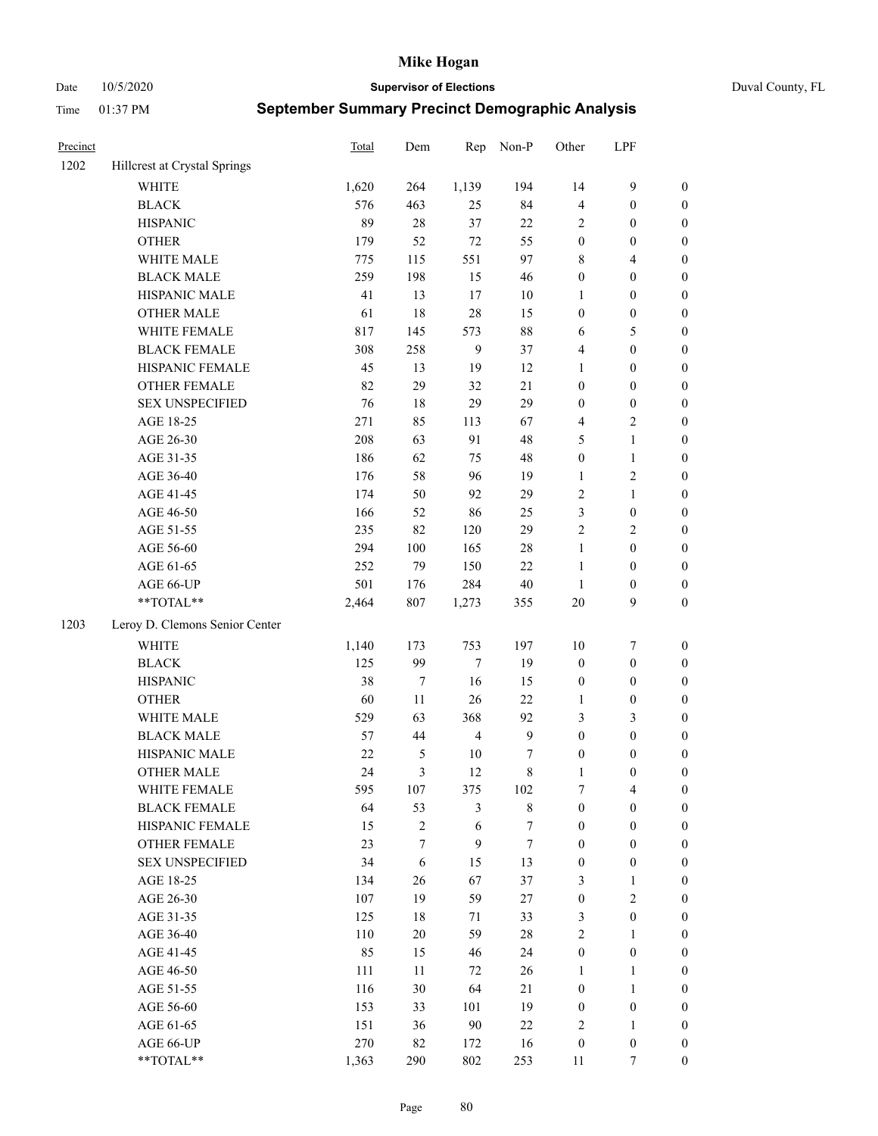Date 10/5/2020 **Supervisor of Elections** Duval County, FL

| Precinct |                                | Total  | Dem              | Rep              | Non-P        | Other            | LPF              |                  |
|----------|--------------------------------|--------|------------------|------------------|--------------|------------------|------------------|------------------|
| 1202     | Hillcrest at Crystal Springs   |        |                  |                  |              |                  |                  |                  |
|          | <b>WHITE</b>                   | 1,620  | 264              | 1,139            | 194          | 14               | $\boldsymbol{9}$ | 0                |
|          | <b>BLACK</b>                   | 576    | 463              | 25               | 84           | 4                | $\boldsymbol{0}$ | $\boldsymbol{0}$ |
|          | <b>HISPANIC</b>                | 89     | $28\,$           | 37               | 22           | 2                | $\boldsymbol{0}$ | $\boldsymbol{0}$ |
|          | <b>OTHER</b>                   | 179    | 52               | $72\,$           | 55           | $\boldsymbol{0}$ | $\boldsymbol{0}$ | $\boldsymbol{0}$ |
|          | WHITE MALE                     | 775    | 115              | 551              | 97           | 8                | $\overline{4}$   | $\boldsymbol{0}$ |
|          | <b>BLACK MALE</b>              | 259    | 198              | 15               | 46           | $\boldsymbol{0}$ | $\boldsymbol{0}$ | $\boldsymbol{0}$ |
|          | HISPANIC MALE                  | 41     | 13               | 17               | $10\,$       | $\mathbf{1}$     | $\boldsymbol{0}$ | $\boldsymbol{0}$ |
|          | <b>OTHER MALE</b>              | 61     | 18               | 28               | 15           | $\boldsymbol{0}$ | $\boldsymbol{0}$ | $\boldsymbol{0}$ |
|          | WHITE FEMALE                   | 817    | 145              | 573              | $88\,$       | 6                | $\mathfrak s$    | $\boldsymbol{0}$ |
|          | <b>BLACK FEMALE</b>            | 308    | 258              | $\overline{9}$   | 37           | 4                | $\boldsymbol{0}$ | $\boldsymbol{0}$ |
|          | HISPANIC FEMALE                | 45     | 13               | 19               | 12           | $\mathbf{1}$     | $\boldsymbol{0}$ | 0                |
|          | <b>OTHER FEMALE</b>            | 82     | 29               | 32               | 21           | $\boldsymbol{0}$ | $\boldsymbol{0}$ | $\boldsymbol{0}$ |
|          | <b>SEX UNSPECIFIED</b>         | 76     | 18               | 29               | 29           | $\boldsymbol{0}$ | $\boldsymbol{0}$ | $\boldsymbol{0}$ |
|          | AGE 18-25                      | 271    | 85               | 113              | 67           | 4                | $\sqrt{2}$       | $\boldsymbol{0}$ |
|          | AGE 26-30                      | 208    | 63               | 91               | 48           | 5                | $\mathbf{1}$     | $\boldsymbol{0}$ |
|          | AGE 31-35                      | 186    | 62               | 75               | 48           | $\boldsymbol{0}$ | $\mathbf{1}$     | $\boldsymbol{0}$ |
|          | AGE 36-40                      | 176    | 58               | 96               | 19           | $\mathbf{1}$     | $\sqrt{2}$       | $\boldsymbol{0}$ |
|          | AGE 41-45                      | 174    | 50               | 92               | 29           | 2                | $\mathbf{1}$     | $\boldsymbol{0}$ |
|          | AGE 46-50                      | 166    | 52               | 86               | 25           | 3                | $\boldsymbol{0}$ | $\boldsymbol{0}$ |
|          | AGE 51-55                      | 235    | 82               | 120              | 29           | $\overline{c}$   | $\sqrt{2}$       | $\boldsymbol{0}$ |
|          | AGE 56-60                      | 294    | 100              | 165              | $28\,$       | $\mathbf{1}$     | $\boldsymbol{0}$ | 0                |
|          | AGE 61-65                      | 252    | 79               | 150              | 22           | $\mathbf{1}$     | $\boldsymbol{0}$ | 0                |
|          | AGE 66-UP                      | 501    | 176              | 284              | $40\,$       | $\mathbf{1}$     | $\boldsymbol{0}$ | $\boldsymbol{0}$ |
|          | **TOTAL**                      | 2,464  | 807              | 1,273            | 355          | $20\,$           | $\boldsymbol{9}$ | $\boldsymbol{0}$ |
| 1203     | Leroy D. Clemons Senior Center |        |                  |                  |              |                  |                  |                  |
|          | <b>WHITE</b>                   | 1,140  | 173              | 753              | 197          | $10\,$           | $\boldsymbol{7}$ | $\boldsymbol{0}$ |
|          | <b>BLACK</b>                   | 125    | 99               | 7                | 19           | $\boldsymbol{0}$ | $\boldsymbol{0}$ | $\boldsymbol{0}$ |
|          | <b>HISPANIC</b>                | 38     | $\boldsymbol{7}$ | 16               | 15           | $\boldsymbol{0}$ | $\boldsymbol{0}$ | $\boldsymbol{0}$ |
|          | <b>OTHER</b>                   | 60     | 11               | 26               | 22           | $\mathbf{1}$     | $\boldsymbol{0}$ | $\boldsymbol{0}$ |
|          | WHITE MALE                     | 529    | 63               | 368              | 92           | 3                | 3                | $\boldsymbol{0}$ |
|          | <b>BLACK MALE</b>              | 57     | 44               | $\overline{4}$   | $\mathbf{9}$ | $\boldsymbol{0}$ | $\boldsymbol{0}$ | $\boldsymbol{0}$ |
|          | HISPANIC MALE                  | $22\,$ | $\mathfrak{S}$   | $10\,$           | 7            | $\boldsymbol{0}$ | $\boldsymbol{0}$ | $\boldsymbol{0}$ |
|          | <b>OTHER MALE</b>              | 24     | 3                | 12               | $\,$ 8 $\,$  | $\mathbf{1}$     | $\boldsymbol{0}$ | $\boldsymbol{0}$ |
|          | WHITE FEMALE                   | 595    | 107              | 375              | 102          | 7                | 4                | 0                |
|          | <b>BLACK FEMALE</b>            | 64     | 53               | 3                | $\,$ 8 $\,$  | $\boldsymbol{0}$ | $\boldsymbol{0}$ | $\overline{0}$   |
|          | HISPANIC FEMALE                | 15     | $\sqrt{2}$       | $\sqrt{6}$       | 7            | $\boldsymbol{0}$ | $\boldsymbol{0}$ | $\overline{0}$   |
|          | <b>OTHER FEMALE</b>            | 23     | 7                | $\boldsymbol{9}$ | $\tau$       | $\boldsymbol{0}$ | $\boldsymbol{0}$ | $\overline{0}$   |
|          | <b>SEX UNSPECIFIED</b>         | 34     | 6                | 15               | 13           | $\boldsymbol{0}$ | $\boldsymbol{0}$ | 0                |
|          | AGE 18-25                      | 134    | 26               | 67               | 37           | 3                | $\mathbf{1}$     | 0                |
|          | AGE 26-30                      | 107    | 19               | 59               | $27\,$       | $\boldsymbol{0}$ | $\mathbf{2}$     | 0                |
|          | AGE 31-35                      | 125    | $18\,$           | 71               | 33           | 3                | $\boldsymbol{0}$ | 0                |
|          | AGE 36-40                      | 110    | $20\,$           | 59               | $28\,$       | 2                | 1                | 0                |
|          | AGE 41-45                      | 85     | 15               | 46               | 24           | $\boldsymbol{0}$ | $\boldsymbol{0}$ | 0                |
|          | AGE 46-50                      | 111    | 11               | 72               | 26           | $\mathbf{1}$     | $\mathbf{1}$     | 0                |
|          | AGE 51-55                      | 116    | $30\,$           | 64               | 21           | $\boldsymbol{0}$ | $\mathbf{1}$     | 0                |
|          | AGE 56-60                      | 153    | 33               | 101              | 19           | $\boldsymbol{0}$ | $\boldsymbol{0}$ | 0                |
|          | AGE 61-65                      | 151    | 36               | 90               | 22           | 2                | $\mathbf{1}$     | 0                |
|          | AGE 66-UP                      | 270    | 82               | 172              | 16           | $\boldsymbol{0}$ | $\boldsymbol{0}$ | 0                |
|          | **TOTAL**                      | 1,363  | 290              | 802              | 253          | 11               | 7                | $\boldsymbol{0}$ |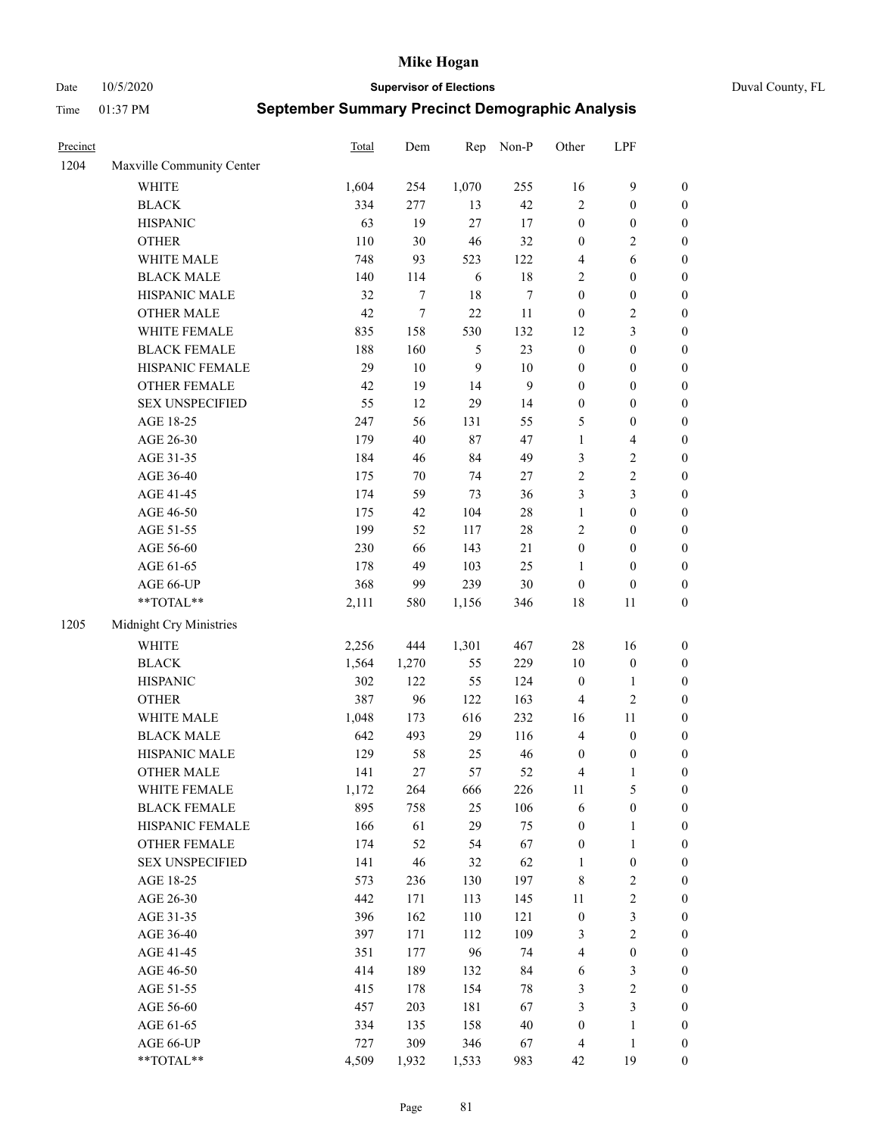Date 10/5/2020 **Supervisor of Elections** Duval County, FL

| Precinct |                           | Total | Dem    | Rep              | Non-P  | Other                   | LPF                     |                  |
|----------|---------------------------|-------|--------|------------------|--------|-------------------------|-------------------------|------------------|
| 1204     | Maxville Community Center |       |        |                  |        |                         |                         |                  |
|          | <b>WHITE</b>              | 1,604 | 254    | 1,070            | 255    | 16                      | $\mathbf{9}$            | 0                |
|          | <b>BLACK</b>              | 334   | 277    | 13               | 42     | $\overline{2}$          | $\boldsymbol{0}$        | $\boldsymbol{0}$ |
|          | <b>HISPANIC</b>           | 63    | 19     | 27               | $17\,$ | $\boldsymbol{0}$        | $\boldsymbol{0}$        | $\boldsymbol{0}$ |
|          | <b>OTHER</b>              | 110   | 30     | 46               | 32     | $\boldsymbol{0}$        | $\sqrt{2}$              | $\boldsymbol{0}$ |
|          | WHITE MALE                | 748   | 93     | 523              | 122    | 4                       | 6                       | $\boldsymbol{0}$ |
|          | <b>BLACK MALE</b>         | 140   | 114    | 6                | $18\,$ | $\overline{c}$          | $\boldsymbol{0}$        | $\boldsymbol{0}$ |
|          | HISPANIC MALE             | 32    | 7      | 18               | $\tau$ | $\boldsymbol{0}$        | $\boldsymbol{0}$        | $\boldsymbol{0}$ |
|          | <b>OTHER MALE</b>         | 42    | $\tau$ | 22               | 11     | $\boldsymbol{0}$        | $\sqrt{2}$              | $\boldsymbol{0}$ |
|          | WHITE FEMALE              | 835   | 158    | 530              | 132    | 12                      | $\mathfrak{Z}$          | $\boldsymbol{0}$ |
|          | <b>BLACK FEMALE</b>       | 188   | 160    | 5                | 23     | $\boldsymbol{0}$        | $\boldsymbol{0}$        | $\boldsymbol{0}$ |
|          | HISPANIC FEMALE           | 29    | 10     | $\boldsymbol{9}$ | $10\,$ | $\boldsymbol{0}$        | $\boldsymbol{0}$        | 0                |
|          | OTHER FEMALE              | 42    | 19     | 14               | 9      | $\boldsymbol{0}$        | $\boldsymbol{0}$        | $\boldsymbol{0}$ |
|          | <b>SEX UNSPECIFIED</b>    | 55    | 12     | 29               | 14     | $\boldsymbol{0}$        | $\boldsymbol{0}$        | $\boldsymbol{0}$ |
|          | AGE 18-25                 | 247   | 56     | 131              | 55     | 5                       | $\boldsymbol{0}$        | $\boldsymbol{0}$ |
|          | AGE 26-30                 | 179   | 40     | 87               | 47     | $\mathbf{1}$            | $\overline{\mathbf{4}}$ | $\boldsymbol{0}$ |
|          | AGE 31-35                 | 184   | 46     | 84               | 49     | 3                       | $\sqrt{2}$              | $\boldsymbol{0}$ |
|          | AGE 36-40                 | 175   | $70\,$ | 74               | 27     | $\sqrt{2}$              | $\sqrt{2}$              | $\boldsymbol{0}$ |
|          | AGE 41-45                 | 174   | 59     | 73               | 36     | 3                       | $\mathfrak{Z}$          | $\boldsymbol{0}$ |
|          | AGE 46-50                 | 175   | 42     | 104              | $28\,$ | $\mathbf{1}$            | $\boldsymbol{0}$        | $\boldsymbol{0}$ |
|          | AGE 51-55                 | 199   | 52     | 117              | $28\,$ | $\sqrt{2}$              | $\boldsymbol{0}$        | $\boldsymbol{0}$ |
|          | AGE 56-60                 | 230   | 66     | 143              | 21     | $\boldsymbol{0}$        | $\boldsymbol{0}$        | 0                |
|          | AGE 61-65                 | 178   | 49     | 103              | 25     | $\mathbf{1}$            | $\boldsymbol{0}$        | 0                |
|          | AGE 66-UP                 | 368   | 99     | 239              | 30     | $\boldsymbol{0}$        | $\boldsymbol{0}$        | $\boldsymbol{0}$ |
|          | **TOTAL**                 | 2,111 | 580    | 1,156            | 346    | 18                      | 11                      | $\boldsymbol{0}$ |
| 1205     | Midnight Cry Ministries   |       |        |                  |        |                         |                         |                  |
|          | <b>WHITE</b>              | 2,256 | 444    | 1,301            | 467    | 28                      | 16                      | $\boldsymbol{0}$ |
|          | <b>BLACK</b>              | 1,564 | 1,270  | 55               | 229    | 10                      | $\boldsymbol{0}$        | $\boldsymbol{0}$ |
|          | <b>HISPANIC</b>           | 302   | 122    | 55               | 124    | $\boldsymbol{0}$        | $\mathbf{1}$            | $\boldsymbol{0}$ |
|          | <b>OTHER</b>              | 387   | 96     | 122              | 163    | 4                       | $\sqrt{2}$              | $\boldsymbol{0}$ |
|          | WHITE MALE                | 1,048 | 173    | 616              | 232    | 16                      | $11\,$                  | $\boldsymbol{0}$ |
|          | <b>BLACK MALE</b>         | 642   | 493    | 29               | 116    | $\overline{4}$          | $\boldsymbol{0}$        | $\boldsymbol{0}$ |
|          | HISPANIC MALE             | 129   | 58     | 25               | 46     | $\boldsymbol{0}$        | $\boldsymbol{0}$        | 0                |
|          | <b>OTHER MALE</b>         | 141   | 27     | 57               | 52     | 4                       | $\mathbf{1}$            | $\boldsymbol{0}$ |
|          | WHITE FEMALE              | 1,172 | 264    | 666              | 226    | 11                      | 5                       | 0                |
|          | <b>BLACK FEMALE</b>       | 895   | 758    | 25               | 106    | 6                       | $\boldsymbol{0}$        | $\boldsymbol{0}$ |
|          | HISPANIC FEMALE           | 166   | 61     | 29               | 75     | $\boldsymbol{0}$        | $\mathbf{1}$            | $\overline{0}$   |
|          | OTHER FEMALE              | 174   | 52     | 54               | 67     | $\boldsymbol{0}$        | $\mathbf{1}$            | $\overline{0}$   |
|          | <b>SEX UNSPECIFIED</b>    | 141   | 46     | 32               | 62     | $\mathbf{1}$            | $\boldsymbol{0}$        | 0                |
|          | AGE 18-25                 | 573   | 236    | 130              | 197    | 8                       | $\sqrt{2}$              | 0                |
|          | AGE 26-30                 | 442   | 171    | 113              | 145    | 11                      | $\sqrt{2}$              | 0                |
|          | AGE 31-35                 | 396   | 162    | 110              | 121    | $\boldsymbol{0}$        | $\mathfrak{Z}$          | 0                |
|          | AGE 36-40                 | 397   | 171    | 112              | 109    | 3                       | $\sqrt{2}$              | 0                |
|          | AGE 41-45                 | 351   | 177    | 96               | 74     | $\overline{\mathbf{4}}$ | $\boldsymbol{0}$        | 0                |
|          | AGE 46-50                 | 414   | 189    | 132              | 84     | 6                       | $\mathfrak{Z}$          | 0                |
|          | AGE 51-55                 | 415   | 178    | 154              | $78\,$ | 3                       | $\sqrt{2}$              | $\overline{0}$   |
|          | AGE 56-60                 | 457   | 203    | 181              | 67     | 3                       | $\mathfrak{Z}$          | $\overline{0}$   |
|          | AGE 61-65                 | 334   | 135    | 158              | 40     | $\boldsymbol{0}$        | $\mathbf{1}$            | $\boldsymbol{0}$ |
|          | AGE 66-UP                 | 727   | 309    | 346              | 67     | $\overline{4}$          | $\mathbf{1}$            | $\boldsymbol{0}$ |
|          | **TOTAL**                 | 4,509 | 1,932  | 1,533            | 983    | 42                      | 19                      | $\boldsymbol{0}$ |
|          |                           |       |        |                  |        |                         |                         |                  |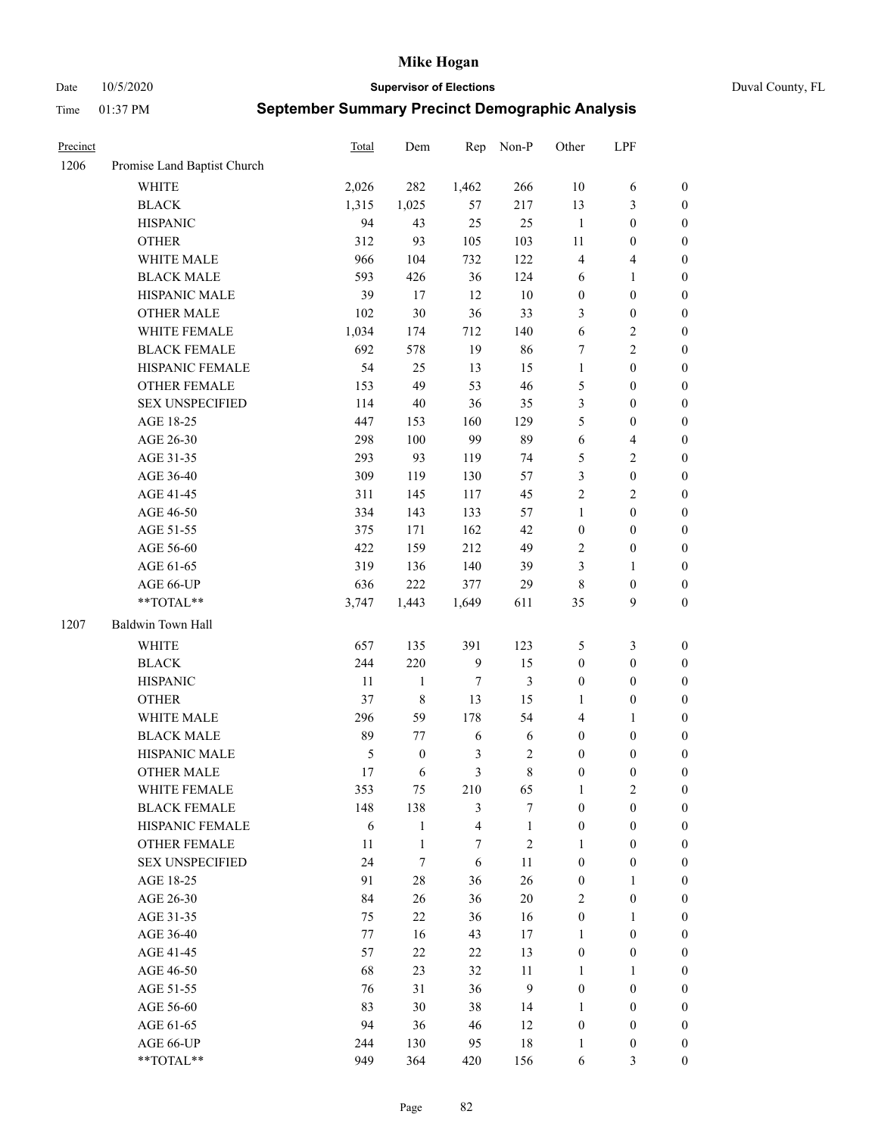Date 10/5/2020 **Supervisor of Elections** Duval County, FL

| Precinct |                             | Total      | Dem              | Rep              | Non-P        | Other            | LPF                     |                  |
|----------|-----------------------------|------------|------------------|------------------|--------------|------------------|-------------------------|------------------|
| 1206     | Promise Land Baptist Church |            |                  |                  |              |                  |                         |                  |
|          | <b>WHITE</b>                | 2,026      | 282              | 1,462            | 266          | 10               | 6                       | 0                |
|          | <b>BLACK</b>                | 1,315      | 1,025            | 57               | 217          | 13               | $\mathfrak{Z}$          | $\boldsymbol{0}$ |
|          | <b>HISPANIC</b>             | 94         | 43               | 25               | 25           | $\mathbf{1}$     | $\boldsymbol{0}$        | $\boldsymbol{0}$ |
|          | <b>OTHER</b>                | 312        | 93               | 105              | 103          | $11\,$           | $\boldsymbol{0}$        | $\boldsymbol{0}$ |
|          | WHITE MALE                  | 966        | 104              | 732              | 122          | 4                | $\overline{\mathbf{4}}$ | $\boldsymbol{0}$ |
|          | <b>BLACK MALE</b>           | 593        | 426              | 36               | 124          | 6                | $\mathbf{1}$            | $\boldsymbol{0}$ |
|          | HISPANIC MALE               | 39         | 17               | 12               | $10\,$       | $\boldsymbol{0}$ | $\boldsymbol{0}$        | $\boldsymbol{0}$ |
|          | <b>OTHER MALE</b>           | 102        | 30               | 36               | 33           | 3                | $\boldsymbol{0}$        | $\boldsymbol{0}$ |
|          | WHITE FEMALE                | 1,034      | 174              | 712              | 140          | 6                | $\sqrt{2}$              | $\boldsymbol{0}$ |
|          | <b>BLACK FEMALE</b>         | 692        | 578              | 19               | 86           | 7                | $\sqrt{2}$              | $\boldsymbol{0}$ |
|          | HISPANIC FEMALE             | 54         | 25               | 13               | 15           | $\mathbf{1}$     | $\boldsymbol{0}$        | $\boldsymbol{0}$ |
|          | <b>OTHER FEMALE</b>         | 153        | 49               | 53               | 46           | 5                | $\boldsymbol{0}$        | $\boldsymbol{0}$ |
|          | <b>SEX UNSPECIFIED</b>      | 114        | $40\,$           | 36               | 35           | 3                | $\boldsymbol{0}$        | $\boldsymbol{0}$ |
|          | AGE 18-25                   | 447        | 153              | 160              | 129          | 5                | $\boldsymbol{0}$        | $\boldsymbol{0}$ |
|          | AGE 26-30                   | 298        | 100              | 99               | 89           | 6                | $\overline{\mathbf{4}}$ | $\boldsymbol{0}$ |
|          | AGE 31-35                   | 293        | 93               | 119              | 74           | 5                | $\sqrt{2}$              | $\boldsymbol{0}$ |
|          | AGE 36-40                   | 309        | 119              | 130              | 57           | 3                | $\boldsymbol{0}$        | $\boldsymbol{0}$ |
|          | AGE 41-45                   | 311        | 145              | 117              | 45           | $\overline{c}$   | $\overline{2}$          | $\boldsymbol{0}$ |
|          | AGE 46-50                   | 334        | 143              | 133              | 57           | $\mathbf{1}$     | $\boldsymbol{0}$        | $\boldsymbol{0}$ |
|          | AGE 51-55                   | 375        | 171              | 162              | 42           | $\boldsymbol{0}$ | $\boldsymbol{0}$        | $\boldsymbol{0}$ |
|          | AGE 56-60                   | 422        | 159              | 212              | 49           | $\sqrt{2}$       | $\boldsymbol{0}$        | 0                |
|          | AGE 61-65                   | 319        | 136              | 140              | 39           | 3                | $\mathbf{1}$            | 0                |
|          | AGE 66-UP                   | 636        | 222              | 377              | 29           | 8                | $\boldsymbol{0}$        | $\boldsymbol{0}$ |
|          | **TOTAL**                   | 3,747      | 1,443            | 1,649            | 611          | 35               | 9                       | $\boldsymbol{0}$ |
| 1207     | Baldwin Town Hall           |            |                  |                  |              |                  |                         |                  |
|          | <b>WHITE</b>                | 657        | 135              | 391              | 123          | 5                | $\mathfrak{Z}$          | $\boldsymbol{0}$ |
|          | <b>BLACK</b>                | 244        | 220              | $\boldsymbol{9}$ | 15           | $\boldsymbol{0}$ | $\boldsymbol{0}$        | $\boldsymbol{0}$ |
|          | <b>HISPANIC</b>             | 11         | $\mathbf{1}$     | $\tau$           | 3            | $\boldsymbol{0}$ | $\boldsymbol{0}$        | $\boldsymbol{0}$ |
|          | <b>OTHER</b>                | 37         | $\,$ $\,$        | 13               | 15           | $\mathbf{1}$     | $\boldsymbol{0}$        | $\boldsymbol{0}$ |
|          | WHITE MALE                  | 296        | 59               | 178              | 54           | $\overline{4}$   | $\mathbf{1}$            | $\boldsymbol{0}$ |
|          | <b>BLACK MALE</b>           | 89         | 77               | 6                | 6            | $\boldsymbol{0}$ | $\boldsymbol{0}$        | $\boldsymbol{0}$ |
|          | HISPANIC MALE               | $\sqrt{5}$ | $\boldsymbol{0}$ | $\mathfrak z$    | $\sqrt{2}$   | $\boldsymbol{0}$ | $\boldsymbol{0}$        | $\boldsymbol{0}$ |
|          | <b>OTHER MALE</b>           | 17         | 6                | 3                | $\,8\,$      | $\boldsymbol{0}$ | $\boldsymbol{0}$        | $\boldsymbol{0}$ |
|          | WHITE FEMALE                | 353        | 75               | 210              | 65           | 1                | 2                       | 0                |
|          | <b>BLACK FEMALE</b>         | 148        | 138              | 3                | $\tau$       | $\boldsymbol{0}$ | $\boldsymbol{0}$        | $\overline{0}$   |
|          | HISPANIC FEMALE             | $\sqrt{6}$ | $\mathbf{1}$     | $\overline{4}$   | $\mathbf{1}$ | $\boldsymbol{0}$ | $\boldsymbol{0}$        | $\overline{0}$   |
|          | OTHER FEMALE                | 11         | $\mathbf{1}$     | $\boldsymbol{7}$ | $\sqrt{2}$   | $\mathbf{1}$     | $\boldsymbol{0}$        | $\overline{0}$   |
|          | <b>SEX UNSPECIFIED</b>      | 24         | $\tau$           | 6                | 11           | $\boldsymbol{0}$ | $\boldsymbol{0}$        | 0                |
|          | AGE 18-25                   | 91         | $28\,$           | 36               | 26           | $\boldsymbol{0}$ | $\mathbf{1}$            | $\theta$         |
|          | AGE 26-30                   | 84         | 26               | 36               | $20\,$       | 2                | $\boldsymbol{0}$        | 0                |
|          | AGE 31-35                   | 75         | 22               | 36               | 16           | $\boldsymbol{0}$ | $\mathbf{1}$            | 0                |
|          | AGE 36-40                   | 77         | 16               | 43               | 17           | $\mathbf{1}$     | $\boldsymbol{0}$        | 0                |
|          | AGE 41-45                   | 57         | 22               | 22               | 13           | $\boldsymbol{0}$ | $\boldsymbol{0}$        | 0                |
|          | AGE 46-50                   | 68         | 23               | 32               | 11           | $\mathbf{1}$     | $\mathbf{1}$            | 0                |
|          | AGE 51-55                   | 76         | 31               | 36               | $\mathbf{9}$ | $\boldsymbol{0}$ | $\boldsymbol{0}$        | $\overline{0}$   |
|          | AGE 56-60                   | 83         | 30               | 38               | 14           | 1                | $\boldsymbol{0}$        | $\overline{0}$   |
|          | AGE 61-65                   | 94         | 36               | 46               | 12           | $\boldsymbol{0}$ | $\boldsymbol{0}$        | $\overline{0}$   |
|          | AGE 66-UP                   | 244        | 130              | 95               | $18\,$       | $\mathbf{1}$     | $\boldsymbol{0}$        | 0                |
|          | **TOTAL**                   | 949        | 364              | 420              | 156          | 6                | $\mathfrak{Z}$          | $\boldsymbol{0}$ |
|          |                             |            |                  |                  |              |                  |                         |                  |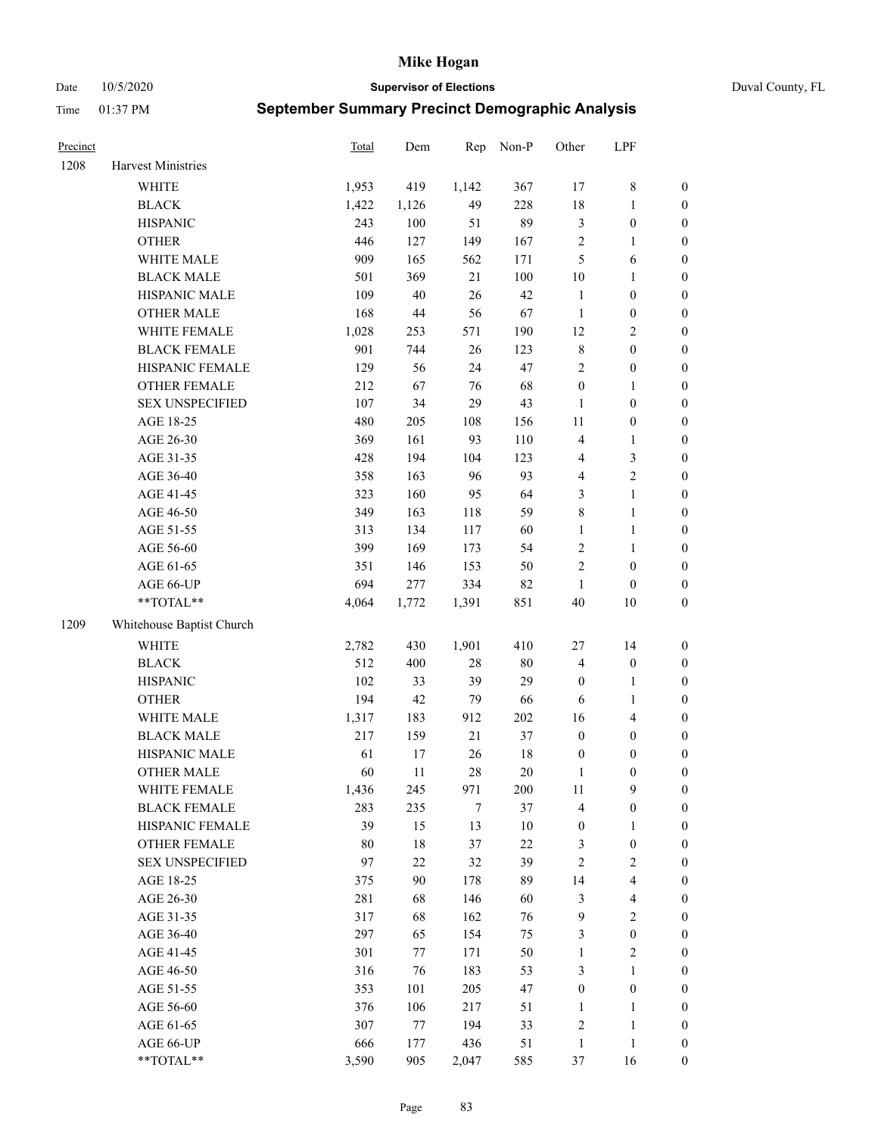Date 10/5/2020 **Supervisor of Elections** Duval County, FL

| Precinct |                           | <b>Total</b> | Dem    | Rep    | Non-P  | Other            | LPF              |                  |
|----------|---------------------------|--------------|--------|--------|--------|------------------|------------------|------------------|
| 1208     | Harvest Ministries        |              |        |        |        |                  |                  |                  |
|          | <b>WHITE</b>              | 1,953        | 419    | 1,142  | 367    | 17               | $\,$ $\,$        | 0                |
|          | <b>BLACK</b>              | 1,422        | 1,126  | 49     | 228    | 18               | $\mathbf{1}$     | 0                |
|          | <b>HISPANIC</b>           | 243          | 100    | 51     | 89     | 3                | $\boldsymbol{0}$ | $\boldsymbol{0}$ |
|          | <b>OTHER</b>              | 446          | 127    | 149    | 167    | 2                | 1                | $\boldsymbol{0}$ |
|          | WHITE MALE                | 909          | 165    | 562    | 171    | 5                | 6                | $\boldsymbol{0}$ |
|          | <b>BLACK MALE</b>         | 501          | 369    | 21     | 100    | $10\,$           | $\mathbf{1}$     | $\boldsymbol{0}$ |
|          | HISPANIC MALE             | 109          | $40\,$ | 26     | 42     | $\mathbf{1}$     | $\boldsymbol{0}$ | $\boldsymbol{0}$ |
|          | <b>OTHER MALE</b>         | 168          | $44\,$ | 56     | 67     | $\mathbf{1}$     | $\boldsymbol{0}$ | $\boldsymbol{0}$ |
|          | WHITE FEMALE              | 1,028        | 253    | 571    | 190    | 12               | $\sqrt{2}$       | $\boldsymbol{0}$ |
|          | <b>BLACK FEMALE</b>       | 901          | 744    | 26     | 123    | 8                | $\boldsymbol{0}$ | $\boldsymbol{0}$ |
|          | HISPANIC FEMALE           | 129          | 56     | 24     | 47     | $\overline{c}$   | $\boldsymbol{0}$ | $\boldsymbol{0}$ |
|          | <b>OTHER FEMALE</b>       | 212          | 67     | 76     | 68     | $\boldsymbol{0}$ | $\mathbf{1}$     | $\boldsymbol{0}$ |
|          | <b>SEX UNSPECIFIED</b>    | 107          | 34     | 29     | 43     | $\mathbf{1}$     | $\boldsymbol{0}$ | $\boldsymbol{0}$ |
|          | AGE 18-25                 | 480          | 205    | 108    | 156    | $11\,$           | $\boldsymbol{0}$ | $\boldsymbol{0}$ |
|          | AGE 26-30                 | 369          | 161    | 93     | 110    | 4                | $\mathbf{1}$     | $\boldsymbol{0}$ |
|          | AGE 31-35                 | 428          | 194    | 104    | 123    | 4                | $\mathfrak{Z}$   | $\boldsymbol{0}$ |
|          | AGE 36-40                 | 358          | 163    | 96     | 93     | 4                | $\sqrt{2}$       | $\boldsymbol{0}$ |
|          | AGE 41-45                 | 323          | 160    | 95     | 64     | 3                | $\mathbf{1}$     | $\boldsymbol{0}$ |
|          | AGE 46-50                 | 349          | 163    | 118    | 59     | 8                | $\mathbf{1}$     | $\boldsymbol{0}$ |
|          | AGE 51-55                 | 313          | 134    | 117    | 60     | $\mathbf{1}$     | $\mathbf{1}$     | 0                |
|          | AGE 56-60                 | 399          | 169    | 173    | 54     | $\overline{c}$   | $\mathbf{1}$     | 0                |
|          | AGE 61-65                 | 351          | 146    | 153    | 50     | $\overline{c}$   | $\boldsymbol{0}$ | $\boldsymbol{0}$ |
|          | AGE 66-UP                 | 694          | 277    | 334    | 82     | $\mathbf{1}$     | $\boldsymbol{0}$ | $\boldsymbol{0}$ |
|          | $**TOTAL**$               | 4,064        | 1,772  | 1,391  | 851    | 40               | 10               | $\boldsymbol{0}$ |
| 1209     | Whitehouse Baptist Church |              |        |        |        |                  |                  |                  |
|          | <b>WHITE</b>              | 2,782        | 430    | 1,901  | 410    | 27               | 14               | $\boldsymbol{0}$ |
|          | <b>BLACK</b>              | 512          | 400    | $28\,$ | $80\,$ | 4                | $\boldsymbol{0}$ | $\boldsymbol{0}$ |
|          | <b>HISPANIC</b>           | 102          | 33     | 39     | 29     | $\boldsymbol{0}$ | $\mathbf{1}$     | $\boldsymbol{0}$ |
|          | <b>OTHER</b>              | 194          | 42     | 79     | 66     | 6                | $\mathbf{1}$     | $\boldsymbol{0}$ |
|          | WHITE MALE                | 1,317        | 183    | 912    | 202    | 16               | $\overline{4}$   | $\boldsymbol{0}$ |
|          | <b>BLACK MALE</b>         | 217          | 159    | 21     | 37     | $\boldsymbol{0}$ | $\boldsymbol{0}$ | $\boldsymbol{0}$ |
|          | HISPANIC MALE             | 61           | 17     | 26     | $18\,$ | $\boldsymbol{0}$ | $\boldsymbol{0}$ | $\boldsymbol{0}$ |
|          | <b>OTHER MALE</b>         | 60           | 11     | 28     | $20\,$ | $\mathbf{1}$     | $\boldsymbol{0}$ | $\boldsymbol{0}$ |
|          | WHITE FEMALE              | 1,436        | 245    | 971    | 200    | 11               | 9                | 0                |
|          | <b>BLACK FEMALE</b>       | 283          | 235    | 7      | 37     | 4                | $\boldsymbol{0}$ | 0                |
|          | HISPANIC FEMALE           | 39           | 15     | 13     | $10\,$ | $\boldsymbol{0}$ | $\mathbf{1}$     | 0                |
|          | OTHER FEMALE              | $80\,$       | $18\,$ | 37     | $22\,$ | 3                | $\boldsymbol{0}$ | 0                |
|          | <b>SEX UNSPECIFIED</b>    | 97           | $22\,$ | 32     | 39     | 2                | $\mathfrak{2}$   | 0                |
|          | AGE 18-25                 | 375          | $90\,$ | 178    | 89     | 14               | $\overline{4}$   | 0                |
|          | AGE 26-30                 | 281          | 68     | 146    | 60     | 3                | $\overline{4}$   | 0                |
|          | AGE 31-35                 | 317          | 68     | 162    | 76     | 9                | $\sqrt{2}$       | 0                |
|          | AGE 36-40                 | 297          | 65     | 154    | 75     | 3                | $\boldsymbol{0}$ | 0                |
|          | AGE 41-45                 | 301          | 77     | 171    | 50     | $\mathbf{1}$     | $\mathfrak{2}$   | 0                |
|          | AGE 46-50                 | 316          | 76     | 183    | 53     | 3                | $\mathbf{1}$     | 0                |
|          | AGE 51-55                 | 353          | 101    | 205    | 47     | $\boldsymbol{0}$ | $\boldsymbol{0}$ | 0                |
|          | AGE 56-60                 | 376          | 106    | 217    | 51     | 1                | $\mathbf{1}$     | 0                |
|          | AGE 61-65                 | 307          | 77     | 194    | 33     | 2                | $\mathbf{1}$     | 0                |
|          | AGE 66-UP                 | 666          | 177    | 436    | 51     | $\mathbf{1}$     | $\mathbf{1}$     | 0                |
|          | **TOTAL**                 | 3,590        | 905    | 2,047  | 585    | 37               | 16               | $\boldsymbol{0}$ |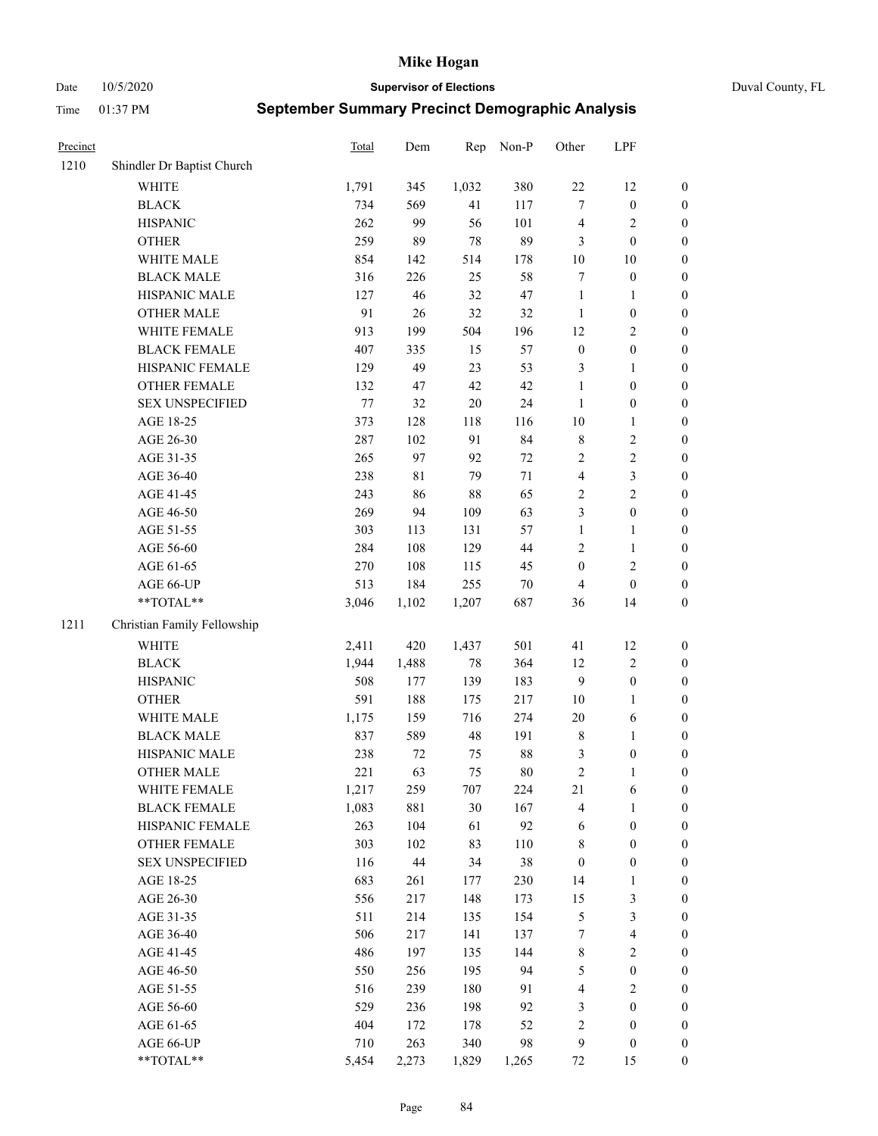Date 10/5/2020 **Supervisor of Elections** Duval County, FL

| Precinct |                             | <b>Total</b> | Dem    | Rep    | Non-P  | Other            | LPF                     |                  |
|----------|-----------------------------|--------------|--------|--------|--------|------------------|-------------------------|------------------|
| 1210     | Shindler Dr Baptist Church  |              |        |        |        |                  |                         |                  |
|          | <b>WHITE</b>                | 1,791        | 345    | 1,032  | 380    | $22\,$           | 12                      | 0                |
|          | <b>BLACK</b>                | 734          | 569    | 41     | 117    | $\tau$           | $\boldsymbol{0}$        | $\boldsymbol{0}$ |
|          | <b>HISPANIC</b>             | 262          | 99     | 56     | 101    | 4                | $\sqrt{2}$              | $\boldsymbol{0}$ |
|          | <b>OTHER</b>                | 259          | 89     | 78     | 89     | 3                | $\boldsymbol{0}$        | $\boldsymbol{0}$ |
|          | WHITE MALE                  | 854          | 142    | 514    | 178    | $10\,$           | $10\,$                  | $\boldsymbol{0}$ |
|          | <b>BLACK MALE</b>           | 316          | 226    | 25     | 58     | 7                | $\boldsymbol{0}$        | $\boldsymbol{0}$ |
|          | HISPANIC MALE               | 127          | 46     | 32     | 47     | $\mathbf{1}$     | $\mathbf{1}$            | $\boldsymbol{0}$ |
|          | <b>OTHER MALE</b>           | 91           | 26     | 32     | 32     | $\mathbf{1}$     | $\boldsymbol{0}$        | $\boldsymbol{0}$ |
|          | WHITE FEMALE                | 913          | 199    | 504    | 196    | 12               | $\overline{2}$          | $\boldsymbol{0}$ |
|          | <b>BLACK FEMALE</b>         | 407          | 335    | 15     | 57     | $\boldsymbol{0}$ | $\boldsymbol{0}$        | $\boldsymbol{0}$ |
|          | HISPANIC FEMALE             | 129          | 49     | 23     | 53     | 3                | $\mathbf{1}$            | $\boldsymbol{0}$ |
|          | OTHER FEMALE                | 132          | 47     | 42     | 42     | $\mathbf{1}$     | $\boldsymbol{0}$        | $\boldsymbol{0}$ |
|          | <b>SEX UNSPECIFIED</b>      | $77 \,$      | 32     | $20\,$ | 24     | $\mathbf{1}$     | $\boldsymbol{0}$        | $\boldsymbol{0}$ |
|          | AGE 18-25                   | 373          | 128    | 118    | 116    | $10\,$           | $\mathbf{1}$            | $\boldsymbol{0}$ |
|          | AGE 26-30                   | 287          | 102    | 91     | 84     | $\,$ 8 $\,$      | $\sqrt{2}$              | $\boldsymbol{0}$ |
|          | AGE 31-35                   | 265          | 97     | 92     | $72\,$ | $\overline{c}$   | $\sqrt{2}$              | $\boldsymbol{0}$ |
|          | AGE 36-40                   | 238          | 81     | 79     | 71     | 4                | $\mathfrak{Z}$          | $\boldsymbol{0}$ |
|          | AGE 41-45                   | 243          | 86     | 88     | 65     | $\overline{c}$   | $\overline{2}$          | $\boldsymbol{0}$ |
|          | AGE 46-50                   | 269          | 94     | 109    | 63     | 3                | $\boldsymbol{0}$        | $\boldsymbol{0}$ |
|          | AGE 51-55                   | 303          | 113    | 131    | 57     | $\mathbf{1}$     | $\mathbf{1}$            | $\boldsymbol{0}$ |
|          | AGE 56-60                   | 284          | 108    | 129    | 44     | $\overline{c}$   | $\mathbf{1}$            | 0                |
|          | AGE 61-65                   | 270          | 108    | 115    | 45     | $\boldsymbol{0}$ | $\sqrt{2}$              | $\boldsymbol{0}$ |
|          | AGE 66-UP                   | 513          | 184    | 255    | $70\,$ | $\overline{4}$   | $\boldsymbol{0}$        | $\boldsymbol{0}$ |
|          | **TOTAL**                   | 3,046        | 1,102  | 1,207  | 687    | 36               | 14                      | $\boldsymbol{0}$ |
| 1211     | Christian Family Fellowship |              |        |        |        |                  |                         |                  |
|          | WHITE                       | 2,411        | 420    | 1,437  | 501    | 41               | 12                      | $\boldsymbol{0}$ |
|          | <b>BLACK</b>                | 1,944        | 1,488  | 78     | 364    | 12               | $\sqrt{2}$              | $\boldsymbol{0}$ |
|          | <b>HISPANIC</b>             | 508          | 177    | 139    | 183    | 9                | $\boldsymbol{0}$        | $\boldsymbol{0}$ |
|          | <b>OTHER</b>                | 591          | 188    | 175    | 217    | $10\,$           | $\mathbf{1}$            | $\boldsymbol{0}$ |
|          | WHITE MALE                  | 1,175        | 159    | 716    | 274    | $20\,$           | $\sqrt{6}$              | $\boldsymbol{0}$ |
|          | <b>BLACK MALE</b>           | 837          | 589    | 48     | 191    | $\,$ 8 $\,$      | $\mathbf{1}$            | $\boldsymbol{0}$ |
|          | HISPANIC MALE               | 238          | 72     | 75     | $88\,$ | 3                | $\boldsymbol{0}$        | $\boldsymbol{0}$ |
|          | OTHER MALE                  | 221          | 63     | 75     | $80\,$ | $\overline{c}$   | $\mathbf{1}$            | $\boldsymbol{0}$ |
|          | WHITE FEMALE                | 1,217        | 259    | 707    | 224    | 21               | 6                       | 0                |
|          | <b>BLACK FEMALE</b>         | 1,083        | 881    | 30     | 167    | 4                | $\mathbf{1}$            | $\boldsymbol{0}$ |
|          | HISPANIC FEMALE             | 263          | 104    | 61     | 92     | 6                | $\boldsymbol{0}$        | $\overline{0}$   |
|          | <b>OTHER FEMALE</b>         | 303          | 102    | 83     | 110    | 8                | $\boldsymbol{0}$        | $\overline{0}$   |
|          | <b>SEX UNSPECIFIED</b>      | 116          | $44\,$ | 34     | 38     | $\boldsymbol{0}$ | $\boldsymbol{0}$        | 0                |
|          | AGE 18-25                   | 683          | 261    | 177    | 230    | 14               | $\mathbf{1}$            | 0                |
|          | AGE 26-30                   | 556          | 217    | 148    | 173    | 15               | $\mathfrak{Z}$          | 0                |
|          | AGE 31-35                   | 511          | 214    | 135    | 154    | 5                | $\mathfrak{Z}$          | 0                |
|          | AGE 36-40                   | 506          | 217    | 141    | 137    | 7                | $\overline{\mathbf{4}}$ | 0                |
|          | AGE 41-45                   | 486          | 197    | 135    | 144    | 8                | $\sqrt{2}$              | 0                |
|          | AGE 46-50                   | 550          | 256    | 195    | 94     | 5                | $\boldsymbol{0}$        | 0                |
|          | AGE 51-55                   | 516          | 239    | 180    | 91     | 4                | $\sqrt{2}$              | 0                |
|          | AGE 56-60                   | 529          | 236    | 198    | 92     | 3                | $\boldsymbol{0}$        | $\boldsymbol{0}$ |
|          | AGE 61-65                   | 404          | 172    | 178    | 52     | 2                | $\boldsymbol{0}$        | $\boldsymbol{0}$ |
|          | AGE 66-UP                   | 710          | 263    | 340    | 98     | 9                | $\boldsymbol{0}$        | 0                |
|          | **TOTAL**                   | 5,454        | 2,273  | 1,829  | 1,265  | 72               | 15                      | $\boldsymbol{0}$ |
|          |                             |              |        |        |        |                  |                         |                  |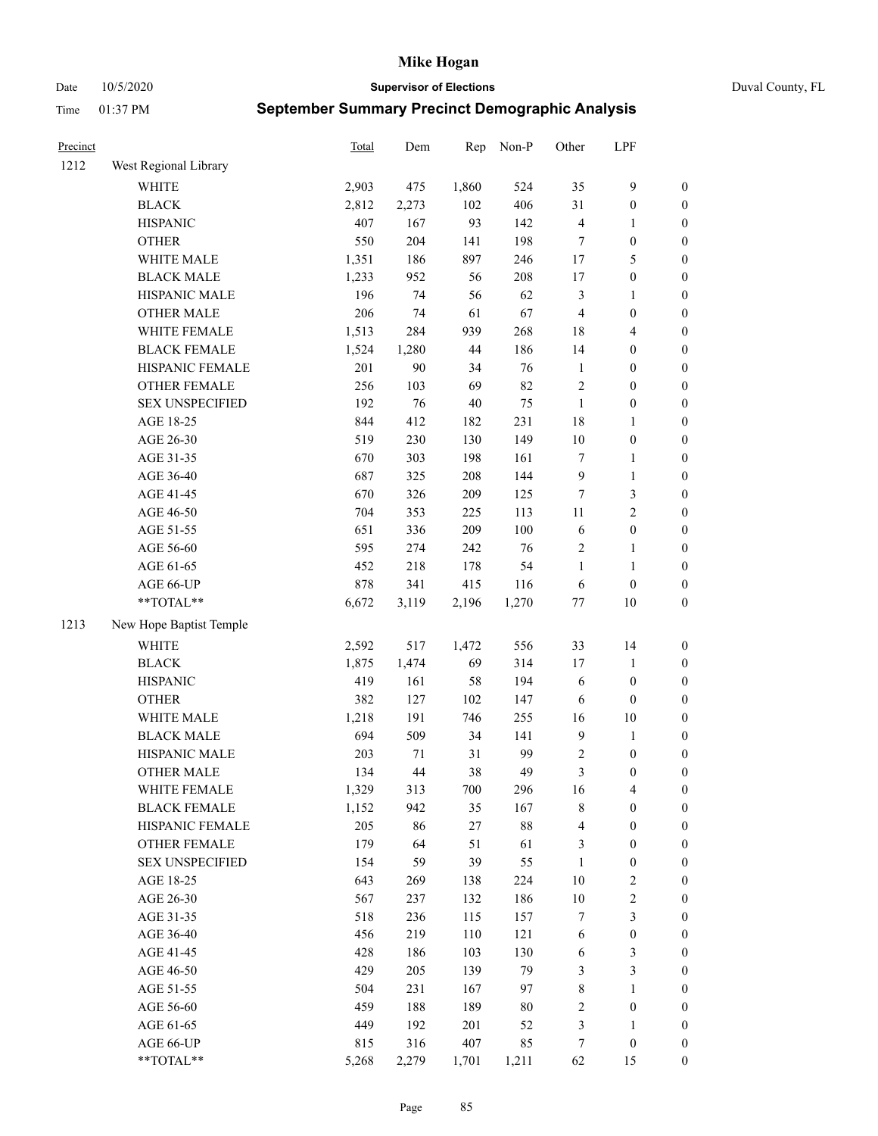Date 10/5/2020 **Supervisor of Elections** Duval County, FL

| Precinct |                         | <b>Total</b> | Dem   | Rep   | Non-P  | Other            | LPF                     |                  |
|----------|-------------------------|--------------|-------|-------|--------|------------------|-------------------------|------------------|
| 1212     | West Regional Library   |              |       |       |        |                  |                         |                  |
|          | <b>WHITE</b>            | 2,903        | 475   | 1,860 | 524    | 35               | $\mathbf{9}$            | 0                |
|          | <b>BLACK</b>            | 2,812        | 2,273 | 102   | 406    | 31               | $\boldsymbol{0}$        | $\boldsymbol{0}$ |
|          | <b>HISPANIC</b>         | 407          | 167   | 93    | 142    | 4                | 1                       | $\boldsymbol{0}$ |
|          | <b>OTHER</b>            | 550          | 204   | 141   | 198    | 7                | $\boldsymbol{0}$        | $\boldsymbol{0}$ |
|          | WHITE MALE              | 1,351        | 186   | 897   | 246    | 17               | 5                       | $\boldsymbol{0}$ |
|          | <b>BLACK MALE</b>       | 1,233        | 952   | 56    | 208    | 17               | $\boldsymbol{0}$        | $\boldsymbol{0}$ |
|          | HISPANIC MALE           | 196          | 74    | 56    | 62     | 3                | $\mathbf{1}$            | $\boldsymbol{0}$ |
|          | <b>OTHER MALE</b>       | 206          | 74    | 61    | 67     | $\overline{4}$   | $\boldsymbol{0}$        | $\boldsymbol{0}$ |
|          | WHITE FEMALE            | 1,513        | 284   | 939   | 268    | 18               | $\overline{\mathbf{4}}$ | $\boldsymbol{0}$ |
|          | <b>BLACK FEMALE</b>     | 1,524        | 1,280 | 44    | 186    | 14               | $\boldsymbol{0}$        | $\boldsymbol{0}$ |
|          | HISPANIC FEMALE         | 201          | 90    | 34    | 76     | $\mathbf{1}$     | $\boldsymbol{0}$        | 0                |
|          | OTHER FEMALE            | 256          | 103   | 69    | 82     | $\sqrt{2}$       | $\boldsymbol{0}$        | $\boldsymbol{0}$ |
|          | <b>SEX UNSPECIFIED</b>  | 192          | 76    | 40    | 75     | $\mathbf{1}$     | $\boldsymbol{0}$        | $\boldsymbol{0}$ |
|          | AGE 18-25               | 844          | 412   | 182   | 231    | 18               | 1                       | $\boldsymbol{0}$ |
|          | AGE 26-30               | 519          | 230   | 130   | 149    | 10               | $\boldsymbol{0}$        | $\boldsymbol{0}$ |
|          | AGE 31-35               | 670          | 303   | 198   | 161    | $\boldsymbol{7}$ | $\mathbf{1}$            | $\boldsymbol{0}$ |
|          | AGE 36-40               | 687          | 325   | 208   | 144    | 9                | $\mathbf{1}$            | $\boldsymbol{0}$ |
|          | AGE 41-45               | 670          | 326   | 209   | 125    | $\tau$           | 3                       | $\boldsymbol{0}$ |
|          | AGE 46-50               | 704          | 353   | 225   | 113    | $11\,$           | $\overline{2}$          | $\boldsymbol{0}$ |
|          | AGE 51-55               | 651          | 336   | 209   | 100    | 6                | $\boldsymbol{0}$        | $\boldsymbol{0}$ |
|          | AGE 56-60               | 595          | 274   | 242   | 76     | $\sqrt{2}$       | $\mathbf{1}$            | 0                |
|          | AGE 61-65               | 452          | 218   | 178   | 54     | $\mathbf{1}$     | $\mathbf{1}$            | 0                |
|          | AGE 66-UP               | 878          | 341   | 415   | 116    | 6                | $\boldsymbol{0}$        | $\boldsymbol{0}$ |
|          | **TOTAL**               | 6,672        | 3,119 | 2,196 | 1,270  | $77 \,$          | $10\,$                  | $\boldsymbol{0}$ |
| 1213     | New Hope Baptist Temple |              |       |       |        |                  |                         |                  |
|          | <b>WHITE</b>            | 2,592        | 517   | 1,472 | 556    | 33               | 14                      | $\boldsymbol{0}$ |
|          | <b>BLACK</b>            | 1,875        | 1,474 | 69    | 314    | 17               | $\mathbf{1}$            | $\boldsymbol{0}$ |
|          | <b>HISPANIC</b>         | 419          | 161   | 58    | 194    | 6                | $\boldsymbol{0}$        | $\boldsymbol{0}$ |
|          | <b>OTHER</b>            | 382          | 127   | 102   | 147    | 6                | $\boldsymbol{0}$        | $\boldsymbol{0}$ |
|          | WHITE MALE              | 1,218        | 191   | 746   | 255    | 16               | $10\,$                  | $\boldsymbol{0}$ |
|          | <b>BLACK MALE</b>       | 694          | 509   | 34    | 141    | $\overline{9}$   | $\mathbf{1}$            | $\boldsymbol{0}$ |
|          | HISPANIC MALE           | 203          | 71    | 31    | 99     | $\sqrt{2}$       | $\boldsymbol{0}$        | $\boldsymbol{0}$ |
|          | <b>OTHER MALE</b>       | 134          | 44    | 38    | 49     | 3                | $\boldsymbol{0}$        | $\boldsymbol{0}$ |
|          | WHITE FEMALE            | 1,329        | 313   | 700   | 296    | 16               | 4                       | 0                |
|          | <b>BLACK FEMALE</b>     | 1,152        | 942   | 35    | 167    | 8                | $\boldsymbol{0}$        | $\boldsymbol{0}$ |
|          | HISPANIC FEMALE         | 205          | 86    | 27    | $88\,$ | 4                | $\boldsymbol{0}$        | $\overline{0}$   |
|          | <b>OTHER FEMALE</b>     | 179          | 64    | 51    | 61     | 3                | $\boldsymbol{0}$        | $\overline{0}$   |
|          | <b>SEX UNSPECIFIED</b>  | 154          | 59    | 39    | 55     | $\mathbf{1}$     | $\boldsymbol{0}$        | 0                |
|          | AGE 18-25               | 643          | 269   | 138   | 224    | $10\,$           | $\sqrt{2}$              | 0                |
|          | AGE 26-30               | 567          | 237   | 132   | 186    | $10\,$           | $\sqrt{2}$              | 0                |
|          | AGE 31-35               | 518          | 236   | 115   | 157    | 7                | $\mathfrak{Z}$          | 0                |
|          | AGE 36-40               | 456          | 219   | 110   | 121    | 6                | $\boldsymbol{0}$        | 0                |
|          | AGE 41-45               | 428          | 186   | 103   | 130    | 6                | 3                       | 0                |
|          | AGE 46-50               | 429          | 205   | 139   | 79     | 3                | $\mathfrak{Z}$          | 0                |
|          | AGE 51-55               | 504          | 231   | 167   | 97     | 8                | $\mathbf{1}$            | 0                |
|          | AGE 56-60               | 459          | 188   | 189   | $80\,$ | 2                | $\boldsymbol{0}$        | 0                |
|          | AGE 61-65               | 449          | 192   | 201   | 52     | 3                | 1                       | $\boldsymbol{0}$ |
|          | AGE 66-UP               | 815          | 316   | 407   | 85     | 7                | $\boldsymbol{0}$        | 0                |
|          | **TOTAL**               | 5,268        | 2,279 | 1,701 | 1,211  | 62               | 15                      | $\boldsymbol{0}$ |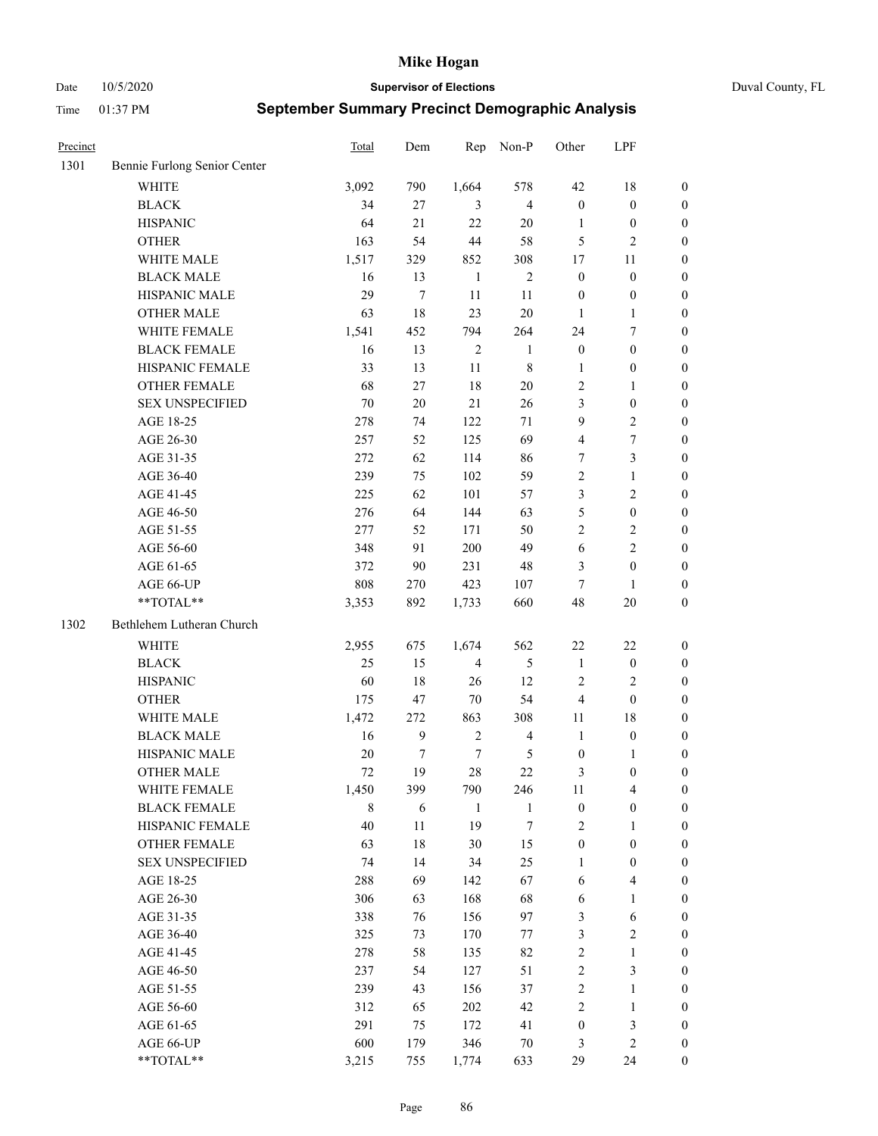Date 10/5/2020 **Supervisor of Elections** Duval County, FL

| Precinct |                              | Total  | Dem    | Rep            | Non-P          | Other            | LPF                     |                  |
|----------|------------------------------|--------|--------|----------------|----------------|------------------|-------------------------|------------------|
| 1301     | Bennie Furlong Senior Center |        |        |                |                |                  |                         |                  |
|          | <b>WHITE</b>                 | 3,092  | 790    | 1,664          | 578            | 42               | 18                      | 0                |
|          | <b>BLACK</b>                 | 34     | 27     | 3              | $\overline{4}$ | $\boldsymbol{0}$ | $\boldsymbol{0}$        | 0                |
|          | <b>HISPANIC</b>              | 64     | 21     | 22             | $20\,$         | $\mathbf{1}$     | $\boldsymbol{0}$        | $\boldsymbol{0}$ |
|          | <b>OTHER</b>                 | 163    | 54     | 44             | 58             | 5                | $\mathbf{2}$            | $\boldsymbol{0}$ |
|          | WHITE MALE                   | 1,517  | 329    | 852            | 308            | 17               | 11                      | $\boldsymbol{0}$ |
|          | <b>BLACK MALE</b>            | 16     | 13     | $\mathbf{1}$   | $\sqrt{2}$     | $\boldsymbol{0}$ | $\boldsymbol{0}$        | $\boldsymbol{0}$ |
|          | HISPANIC MALE                | 29     | $\tau$ | 11             | 11             | $\boldsymbol{0}$ | $\boldsymbol{0}$        | $\boldsymbol{0}$ |
|          | <b>OTHER MALE</b>            | 63     | $18\,$ | 23             | $20\,$         | $\mathbf{1}$     | $\mathbf{1}$            | $\boldsymbol{0}$ |
|          | WHITE FEMALE                 | 1,541  | 452    | 794            | 264            | 24               | $\boldsymbol{7}$        | $\boldsymbol{0}$ |
|          | <b>BLACK FEMALE</b>          | 16     | 13     | $\sqrt{2}$     | $\mathbf{1}$   | $\boldsymbol{0}$ | $\boldsymbol{0}$        | 0                |
|          | HISPANIC FEMALE              | 33     | 13     | 11             | $\,8\,$        | 1                | $\boldsymbol{0}$        | 0                |
|          | OTHER FEMALE                 | 68     | 27     | 18             | $20\,$         | $\mathbf{2}$     | $\mathbf{1}$            | $\boldsymbol{0}$ |
|          | <b>SEX UNSPECIFIED</b>       | 70     | $20\,$ | $21\,$         | 26             | 3                | $\boldsymbol{0}$        | $\boldsymbol{0}$ |
|          | AGE 18-25                    | 278    | 74     | 122            | 71             | 9                | $\sqrt{2}$              | $\boldsymbol{0}$ |
|          | AGE 26-30                    | 257    | 52     | 125            | 69             | 4                | $\boldsymbol{7}$        | $\boldsymbol{0}$ |
|          | AGE 31-35                    | 272    | 62     | 114            | 86             | 7                | $\mathfrak{Z}$          | $\boldsymbol{0}$ |
|          | AGE 36-40                    | 239    | 75     | 102            | 59             | $\sqrt{2}$       | $\mathbf{1}$            | $\boldsymbol{0}$ |
|          | AGE 41-45                    | 225    | 62     | 101            | 57             | 3                | $\overline{2}$          | $\boldsymbol{0}$ |
|          | AGE 46-50                    | 276    | 64     | 144            | 63             | 5                | $\boldsymbol{0}$        | $\boldsymbol{0}$ |
|          | AGE 51-55                    | 277    | 52     | 171            | 50             | $\mathbf{2}$     | $\sqrt{2}$              | $\boldsymbol{0}$ |
|          | AGE 56-60                    | 348    | 91     | 200            | 49             | 6                | $\overline{2}$          | 0                |
|          | AGE 61-65                    | 372    | 90     | 231            | 48             | 3                | $\boldsymbol{0}$        | 0                |
|          | AGE 66-UP                    | 808    | 270    | 423            | 107            | $\tau$           | $\mathbf{1}$            | $\boldsymbol{0}$ |
|          | **TOTAL**                    | 3,353  | 892    | 1,733          | 660            | 48               | $20\,$                  | $\boldsymbol{0}$ |
| 1302     | Bethlehem Lutheran Church    |        |        |                |                |                  |                         |                  |
|          | <b>WHITE</b>                 | 2,955  | 675    | 1,674          | 562            | 22               | $22\,$                  | $\boldsymbol{0}$ |
|          | <b>BLACK</b>                 | 25     | 15     | $\overline{4}$ | $\mathfrak{S}$ | $\mathbf{1}$     | $\boldsymbol{0}$        | $\boldsymbol{0}$ |
|          | <b>HISPANIC</b>              | 60     | 18     | 26             | 12             | $\overline{c}$   | $\mathbf{2}$            | $\boldsymbol{0}$ |
|          | <b>OTHER</b>                 | 175    | 47     | 70             | 54             | 4                | $\boldsymbol{0}$        | $\boldsymbol{0}$ |
|          | WHITE MALE                   | 1,472  | 272    | 863            | 308            | 11               | $18\,$                  | $\boldsymbol{0}$ |
|          | <b>BLACK MALE</b>            | 16     | 9      | $\sqrt{2}$     | $\overline{4}$ | $\mathbf{1}$     | $\boldsymbol{0}$        | $\boldsymbol{0}$ |
|          | HISPANIC MALE                | $20\,$ | $\tau$ | $\tau$         | 5              | $\boldsymbol{0}$ | 1                       | 0                |
|          | <b>OTHER MALE</b>            | 72     | 19     | 28             | 22             | 3                | $\boldsymbol{0}$        | $\boldsymbol{0}$ |
|          | WHITE FEMALE                 | 1,450  | 399    | 790            | 246            | 11               | 4                       | 0                |
|          | <b>BLACK FEMALE</b>          | 8      | 6      | $\mathbf{1}$   | $\mathbf{1}$   | $\boldsymbol{0}$ | $\boldsymbol{0}$        | $\overline{0}$   |
|          | HISPANIC FEMALE              | 40     | 11     | 19             | $\tau$         | $\mathbf{2}$     | 1                       | $\overline{0}$   |
|          | <b>OTHER FEMALE</b>          | 63     | $18\,$ | 30             | 15             | $\boldsymbol{0}$ | $\boldsymbol{0}$        | $\overline{0}$   |
|          | <b>SEX UNSPECIFIED</b>       | 74     | 14     | 34             | 25             | 1                | $\boldsymbol{0}$        | 0                |
|          | AGE 18-25                    | 288    | 69     | 142            | 67             | 6                | $\overline{\mathbf{4}}$ | 0                |
|          | AGE 26-30                    | 306    | 63     | 168            | 68             | 6                | $\mathbf{1}$            | 0                |
|          | AGE 31-35                    | 338    | 76     | 156            | 97             | 3                | 6                       | 0                |
|          | AGE 36-40                    | 325    | 73     | 170            | 77             | 3                | $\sqrt{2}$              | 0                |
|          | AGE 41-45                    | 278    | 58     | 135            | 82             | 2                | $\mathbf{1}$            | 0                |
|          | AGE 46-50                    | 237    | 54     | 127            | 51             | $\sqrt{2}$       | $\mathfrak{Z}$          | 0                |
|          | AGE 51-55                    | 239    | 43     | 156            | 37             | $\sqrt{2}$       | $\mathbf{1}$            | $\overline{0}$   |
|          | AGE 56-60                    | 312    | 65     | 202            | 42             | $\mathfrak{2}$   | $\mathbf{1}$            | $\overline{0}$   |
|          | AGE 61-65                    | 291    | 75     | 172            | 41             | $\boldsymbol{0}$ | $\mathfrak{Z}$          | $\overline{0}$   |
|          | AGE 66-UP                    | 600    | 179    | 346            | $70\,$         | 3                | $\mathfrak{2}$          | $\boldsymbol{0}$ |
|          | **TOTAL**                    | 3,215  | 755    | 1,774          | 633            | 29               | 24                      | $\boldsymbol{0}$ |
|          |                              |        |        |                |                |                  |                         |                  |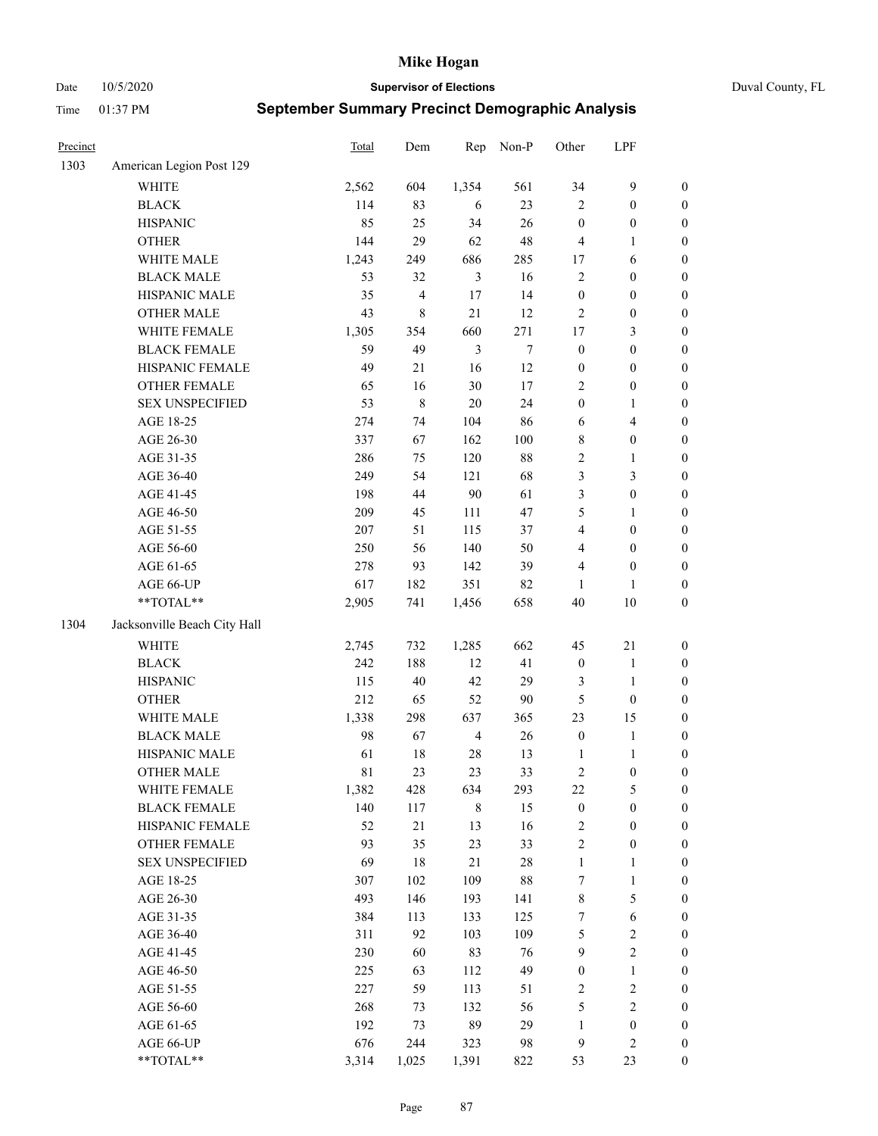Date 10/5/2020 **Supervisor of Elections** Duval County, FL

| Precinct |                              | Total   | Dem                     | Rep            | Non-P  | Other            | LPF                     |                  |
|----------|------------------------------|---------|-------------------------|----------------|--------|------------------|-------------------------|------------------|
| 1303     | American Legion Post 129     |         |                         |                |        |                  |                         |                  |
|          | <b>WHITE</b>                 | 2,562   | 604                     | 1,354          | 561    | 34               | $\mathbf{9}$            | 0                |
|          | <b>BLACK</b>                 | 114     | 83                      | 6              | 23     | $\overline{2}$   | $\boldsymbol{0}$        | 0                |
|          | <b>HISPANIC</b>              | 85      | 25                      | 34             | 26     | $\boldsymbol{0}$ | $\boldsymbol{0}$        | $\boldsymbol{0}$ |
|          | <b>OTHER</b>                 | 144     | 29                      | 62             | 48     | 4                | 1                       | $\boldsymbol{0}$ |
|          | WHITE MALE                   | 1,243   | 249                     | 686            | 285    | 17               | 6                       | $\boldsymbol{0}$ |
|          | <b>BLACK MALE</b>            | 53      | 32                      | $\mathfrak{Z}$ | 16     | $\overline{c}$   | $\boldsymbol{0}$        | $\boldsymbol{0}$ |
|          | HISPANIC MALE                | 35      | $\overline{\mathbf{4}}$ | 17             | 14     | $\boldsymbol{0}$ | $\boldsymbol{0}$        | $\boldsymbol{0}$ |
|          | <b>OTHER MALE</b>            | 43      | 8                       | 21             | 12     | $\mathfrak{2}$   | $\boldsymbol{0}$        | $\boldsymbol{0}$ |
|          | WHITE FEMALE                 | 1,305   | 354                     | 660            | 271    | 17               | $\mathfrak{Z}$          | $\boldsymbol{0}$ |
|          | <b>BLACK FEMALE</b>          | 59      | 49                      | $\mathfrak{Z}$ | $\tau$ | $\boldsymbol{0}$ | $\boldsymbol{0}$        | 0                |
|          | HISPANIC FEMALE              | 49      | $21\,$                  | 16             | 12     | $\boldsymbol{0}$ | $\boldsymbol{0}$        | 0                |
|          | OTHER FEMALE                 | 65      | 16                      | 30             | $17\,$ | $\overline{2}$   | $\boldsymbol{0}$        | $\boldsymbol{0}$ |
|          | <b>SEX UNSPECIFIED</b>       | 53      | 8                       | 20             | 24     | $\boldsymbol{0}$ | $\mathbf{1}$            | $\boldsymbol{0}$ |
|          | AGE 18-25                    | 274     | 74                      | 104            | 86     | 6                | $\overline{\mathbf{4}}$ | $\boldsymbol{0}$ |
|          | AGE 26-30                    | 337     | 67                      | 162            | 100    | 8                | $\boldsymbol{0}$        | $\boldsymbol{0}$ |
|          | AGE 31-35                    | 286     | 75                      | 120            | $88\,$ | $\sqrt{2}$       | $\mathbf{1}$            | $\boldsymbol{0}$ |
|          | AGE 36-40                    | 249     | 54                      | 121            | 68     | 3                | $\mathfrak{Z}$          | $\boldsymbol{0}$ |
|          | AGE 41-45                    | 198     | 44                      | 90             | 61     | 3                | $\boldsymbol{0}$        | $\boldsymbol{0}$ |
|          | AGE 46-50                    | 209     | 45                      | 111            | 47     | 5                | 1                       | $\boldsymbol{0}$ |
|          | AGE 51-55                    | $207\,$ | 51                      | 115            | 37     | $\overline{4}$   | $\boldsymbol{0}$        | $\boldsymbol{0}$ |
|          | AGE 56-60                    | 250     | 56                      | 140            | 50     | 4                | $\boldsymbol{0}$        | 0                |
|          | AGE 61-65                    | 278     | 93                      | 142            | 39     | 4                | $\boldsymbol{0}$        | 0                |
|          | AGE 66-UP                    | 617     | 182                     | 351            | 82     | $\mathbf{1}$     | 1                       | $\boldsymbol{0}$ |
|          | **TOTAL**                    | 2,905   | 741                     | 1,456          | 658    | 40               | $10\,$                  | $\boldsymbol{0}$ |
| 1304     | Jacksonville Beach City Hall |         |                         |                |        |                  |                         |                  |
|          | <b>WHITE</b>                 | 2,745   | 732                     | 1,285          | 662    | 45               | $21\,$                  | $\boldsymbol{0}$ |
|          | <b>BLACK</b>                 | 242     | 188                     | 12             | 41     | $\boldsymbol{0}$ | $\mathbf{1}$            | $\boldsymbol{0}$ |
|          | <b>HISPANIC</b>              | 115     | $40\,$                  | 42             | 29     | 3                | $\mathbf{1}$            | $\boldsymbol{0}$ |
|          | <b>OTHER</b>                 | 212     | 65                      | 52             | 90     | 5                | $\boldsymbol{0}$        | $\boldsymbol{0}$ |
|          | WHITE MALE                   | 1,338   | 298                     | 637            | 365    | 23               | 15                      | $\boldsymbol{0}$ |
|          | <b>BLACK MALE</b>            | 98      | 67                      | $\overline{4}$ | 26     | $\boldsymbol{0}$ | $\mathbf{1}$            | $\boldsymbol{0}$ |
|          | HISPANIC MALE                | 61      | $18\,$                  | 28             | 13     | 1                | 1                       | 0                |
|          | <b>OTHER MALE</b>            | 81      | 23                      | 23             | 33     | 2                | $\boldsymbol{0}$        | $\boldsymbol{0}$ |
|          | WHITE FEMALE                 | 1,382   | 428                     | 634            | 293    | 22               | 5                       | 0                |
|          | <b>BLACK FEMALE</b>          | 140     | 117                     | $\,$ 8 $\,$    | 15     | $\boldsymbol{0}$ | $\boldsymbol{0}$        | $\boldsymbol{0}$ |
|          | HISPANIC FEMALE              | 52      | 21                      | 13             | 16     | $\sqrt{2}$       | $\boldsymbol{0}$        | $\overline{0}$   |
|          | OTHER FEMALE                 | 93      | 35                      | 23             | 33     | $\sqrt{2}$       | $\boldsymbol{0}$        | $\overline{0}$   |
|          | <b>SEX UNSPECIFIED</b>       | 69      | 18                      | $21\,$         | $28\,$ | $\mathbf{1}$     | $\mathbf{1}$            | 0                |
|          | AGE 18-25                    | 307     | 102                     | 109            | $88\,$ | 7                | $\mathbf{1}$            | 0                |
|          | AGE 26-30                    | 493     | 146                     | 193            | 141    | 8                | $\mathfrak{S}$          | 0                |
|          | AGE 31-35                    | 384     | 113                     | 133            | 125    | 7                | $\sqrt{6}$              | 0                |
|          | AGE 36-40                    | 311     | 92                      | 103            | 109    | 5                | $\sqrt{2}$              | 0                |
|          | AGE 41-45                    | 230     | 60                      | 83             | 76     | $\mathbf{9}$     | $\overline{2}$          | 0                |
|          | AGE 46-50                    | 225     | 63                      | 112            | 49     | $\boldsymbol{0}$ | $\mathbf{1}$            | 0                |
|          | AGE 51-55                    | 227     | 59                      | 113            | 51     | 2                | $\sqrt{2}$              | 0                |
|          | AGE 56-60                    | 268     | 73                      | 132            | 56     | 5                | $\sqrt{2}$              | $\overline{0}$   |
|          | AGE 61-65                    | 192     | 73                      | 89             | 29     | $\mathbf{1}$     | $\boldsymbol{0}$        | $\overline{0}$   |
|          | AGE 66-UP                    | 676     | 244                     | 323            | 98     | 9                | $\mathbf{2}$            | $\boldsymbol{0}$ |
|          | **TOTAL**                    | 3,314   | 1,025                   | 1,391          | 822    | 53               | 23                      | $\boldsymbol{0}$ |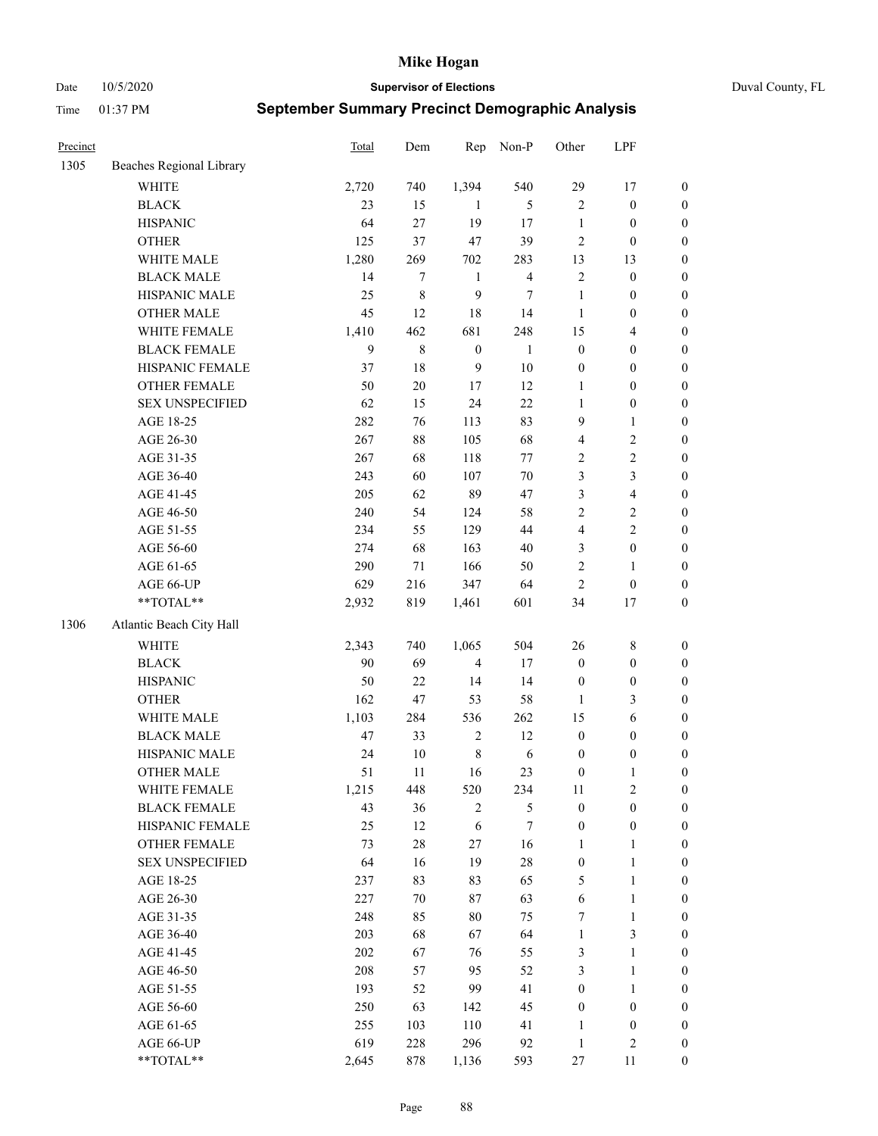Date 10/5/2020 **Supervisor of Elections** Duval County, FL

| Precinct |                          | Total | Dem       | Rep              | Non-P          | Other            | LPF              |                  |
|----------|--------------------------|-------|-----------|------------------|----------------|------------------|------------------|------------------|
| 1305     | Beaches Regional Library |       |           |                  |                |                  |                  |                  |
|          | <b>WHITE</b>             | 2,720 | 740       | 1,394            | 540            | 29               | 17               | 0                |
|          | <b>BLACK</b>             | 23    | 15        | 1                | 5              | $\overline{c}$   | $\boldsymbol{0}$ | $\boldsymbol{0}$ |
|          | <b>HISPANIC</b>          | 64    | 27        | 19               | 17             | $\mathbf{1}$     | $\boldsymbol{0}$ | $\boldsymbol{0}$ |
|          | <b>OTHER</b>             | 125   | 37        | 47               | 39             | 2                | $\boldsymbol{0}$ | $\boldsymbol{0}$ |
|          | WHITE MALE               | 1,280 | 269       | 702              | 283            | 13               | 13               | $\boldsymbol{0}$ |
|          | <b>BLACK MALE</b>        | 14    | $\tau$    | $\mathbf{1}$     | $\overline{4}$ | $\overline{c}$   | $\boldsymbol{0}$ | $\boldsymbol{0}$ |
|          | HISPANIC MALE            | 25    | $\,$ $\,$ | 9                | 7              | $\mathbf{1}$     | $\boldsymbol{0}$ | $\boldsymbol{0}$ |
|          | <b>OTHER MALE</b>        | 45    | 12        | 18               | 14             | $\mathbf{1}$     | $\boldsymbol{0}$ | $\boldsymbol{0}$ |
|          | WHITE FEMALE             | 1,410 | 462       | 681              | 248            | 15               | $\overline{4}$   | $\boldsymbol{0}$ |
|          | <b>BLACK FEMALE</b>      | 9     | $\,$ $\,$ | $\boldsymbol{0}$ | $\mathbf{1}$   | $\boldsymbol{0}$ | $\boldsymbol{0}$ | $\boldsymbol{0}$ |
|          | HISPANIC FEMALE          | 37    | 18        | $\boldsymbol{9}$ | 10             | $\boldsymbol{0}$ | $\boldsymbol{0}$ | $\boldsymbol{0}$ |
|          | OTHER FEMALE             | 50    | 20        | $17\,$           | 12             | $\mathbf{1}$     | $\boldsymbol{0}$ | $\boldsymbol{0}$ |
|          | <b>SEX UNSPECIFIED</b>   | 62    | 15        | 24               | 22             | $\mathbf{1}$     | $\boldsymbol{0}$ | $\boldsymbol{0}$ |
|          | AGE 18-25                | 282   | 76        | 113              | 83             | 9                | $\mathbf{1}$     | $\boldsymbol{0}$ |
|          | AGE 26-30                | 267   | 88        | 105              | 68             | 4                | $\sqrt{2}$       | $\boldsymbol{0}$ |
|          | AGE 31-35                | 267   | 68        | 118              | $77 \,$        | $\overline{c}$   | $\sqrt{2}$       | $\boldsymbol{0}$ |
|          | AGE 36-40                | 243   | 60        | 107              | $70\,$         | 3                | 3                | $\boldsymbol{0}$ |
|          | AGE 41-45                | 205   | 62        | 89               | 47             | 3                | $\overline{4}$   | $\boldsymbol{0}$ |
|          | AGE 46-50                | 240   | 54        | 124              | 58             | $\overline{c}$   | $\sqrt{2}$       | $\boldsymbol{0}$ |
|          | AGE 51-55                | 234   | 55        | 129              | 44             | 4                | $\sqrt{2}$       | $\boldsymbol{0}$ |
|          | AGE 56-60                | 274   | 68        | 163              | 40             | 3                | $\boldsymbol{0}$ | $\boldsymbol{0}$ |
|          | AGE 61-65                | 290   | 71        | 166              | 50             | $\overline{c}$   | 1                | $\boldsymbol{0}$ |
|          | AGE 66-UP                | 629   | 216       | 347              | 64             | $\overline{c}$   | $\boldsymbol{0}$ | $\boldsymbol{0}$ |
|          | $**TOTAL**$              | 2,932 | 819       | 1,461            | 601            | 34               | 17               | $\boldsymbol{0}$ |
| 1306     | Atlantic Beach City Hall |       |           |                  |                |                  |                  |                  |
|          | WHITE                    | 2,343 | 740       | 1,065            | 504            | 26               | $\,$ $\,$        | $\boldsymbol{0}$ |
|          | <b>BLACK</b>             | 90    | 69        | $\overline{4}$   | 17             | $\boldsymbol{0}$ | $\boldsymbol{0}$ | $\boldsymbol{0}$ |
|          | <b>HISPANIC</b>          | 50    | 22        | 14               | 14             | $\boldsymbol{0}$ | $\boldsymbol{0}$ | $\boldsymbol{0}$ |
|          | <b>OTHER</b>             | 162   | 47        | 53               | 58             | $\mathbf{1}$     | 3                | $\boldsymbol{0}$ |
|          | WHITE MALE               | 1,103 | 284       | 536              | 262            | 15               | 6                | $\boldsymbol{0}$ |
|          | <b>BLACK MALE</b>        | 47    | 33        | $\sqrt{2}$       | 12             | $\boldsymbol{0}$ | $\boldsymbol{0}$ | $\boldsymbol{0}$ |
|          | HISPANIC MALE            | 24    | 10        | $\,$ $\,$        | 6              | $\boldsymbol{0}$ | $\boldsymbol{0}$ | $\boldsymbol{0}$ |
|          | <b>OTHER MALE</b>        | 51    | 11        | 16               | 23             | $\boldsymbol{0}$ | 1                | $\boldsymbol{0}$ |
|          | WHITE FEMALE             | 1,215 | 448       | 520              | 234            | 11               | $\overline{c}$   | 0                |
|          | <b>BLACK FEMALE</b>      | 43    | 36        | 2                | 5              | $\boldsymbol{0}$ | $\boldsymbol{0}$ | 0                |
|          | HISPANIC FEMALE          | 25    | 12        | 6                | 7              | $\boldsymbol{0}$ | $\boldsymbol{0}$ | 0                |
|          | OTHER FEMALE             | 73    | $28\,$    | 27               | 16             | 1                | $\mathbf{1}$     | 0                |
|          | <b>SEX UNSPECIFIED</b>   | 64    | 16        | 19               | 28             | $\boldsymbol{0}$ | $\mathbf{1}$     | 0                |
|          | AGE 18-25                | 237   | 83        | 83               | 65             | 5                | $\mathbf{1}$     | 0                |
|          | AGE 26-30                | 227   | $70\,$    | 87               | 63             | 6                | $\mathbf{1}$     | 0                |
|          | AGE 31-35                | 248   | 85        | $80\,$           | 75             | 7                | $\mathbf{1}$     | 0                |
|          | AGE 36-40                | 203   | 68        | 67               | 64             | 1                | $\mathfrak{Z}$   | 0                |
|          | AGE 41-45                | 202   | 67        | 76               | 55             | 3                | $\mathbf{1}$     | 0                |
|          | AGE 46-50                | 208   | 57        | 95               | 52             | 3                | $\mathbf{1}$     | 0                |
|          | AGE 51-55                | 193   | 52        | 99               | 41             | 0                | $\mathbf{1}$     | 0                |
|          | AGE 56-60                | 250   | 63        | 142              | 45             | $\boldsymbol{0}$ | $\boldsymbol{0}$ | 0                |
|          | AGE 61-65                | 255   | 103       | 110              | 41             | 1                | $\boldsymbol{0}$ | 0                |
|          | AGE 66-UP                | 619   | 228       | 296              | 92             | $\mathbf{1}$     | $\mathfrak{2}$   | 0                |
|          | **TOTAL**                | 2,645 | 878       | 1,136            | 593            | 27               | 11               | $\boldsymbol{0}$ |
|          |                          |       |           |                  |                |                  |                  |                  |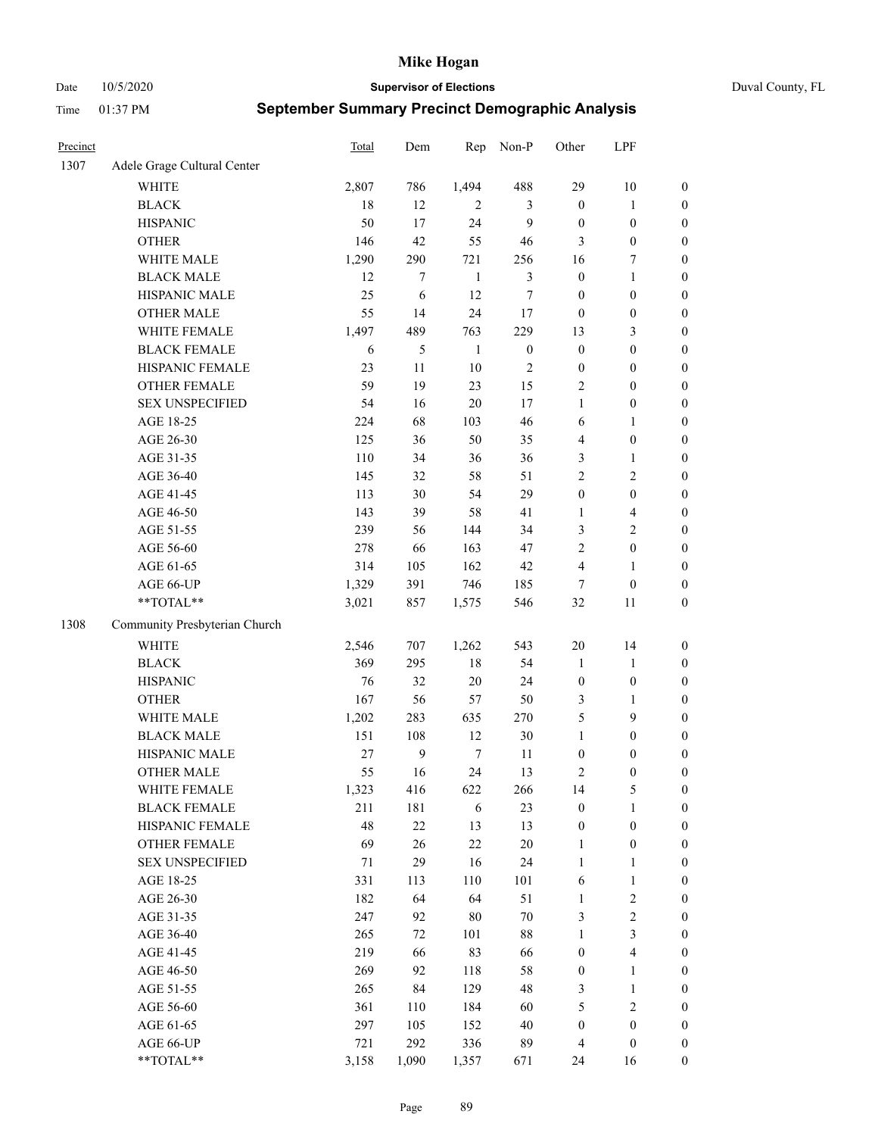Date 10/5/2020 **Supervisor of Elections** Duval County, FL

| Precinct |                               | <b>Total</b> | Dem    | Rep            | Non-P            | Other            | LPF                     |                  |
|----------|-------------------------------|--------------|--------|----------------|------------------|------------------|-------------------------|------------------|
| 1307     | Adele Grage Cultural Center   |              |        |                |                  |                  |                         |                  |
|          | <b>WHITE</b>                  | 2,807        | 786    | 1,494          | 488              | 29               | $10\,$                  | 0                |
|          | <b>BLACK</b>                  | 18           | 12     | $\overline{2}$ | 3                | $\boldsymbol{0}$ | $\mathbf{1}$            | $\boldsymbol{0}$ |
|          | <b>HISPANIC</b>               | 50           | 17     | 24             | 9                | $\boldsymbol{0}$ | $\boldsymbol{0}$        | $\boldsymbol{0}$ |
|          | <b>OTHER</b>                  | 146          | 42     | 55             | 46               | 3                | $\boldsymbol{0}$        | $\boldsymbol{0}$ |
|          | WHITE MALE                    | 1,290        | 290    | 721            | 256              | 16               | 7                       | $\boldsymbol{0}$ |
|          | <b>BLACK MALE</b>             | 12           | $\tau$ | $\mathbf{1}$   | $\mathfrak{Z}$   | $\boldsymbol{0}$ | $\mathbf{1}$            | $\boldsymbol{0}$ |
|          | HISPANIC MALE                 | 25           | 6      | 12             | $\tau$           | $\boldsymbol{0}$ | $\boldsymbol{0}$        | $\boldsymbol{0}$ |
|          | <b>OTHER MALE</b>             | 55           | 14     | 24             | 17               | $\boldsymbol{0}$ | $\boldsymbol{0}$        | $\boldsymbol{0}$ |
|          | WHITE FEMALE                  | 1,497        | 489    | 763            | 229              | 13               | $\mathfrak{Z}$          | $\boldsymbol{0}$ |
|          | <b>BLACK FEMALE</b>           | 6            | 5      | $\mathbf{1}$   | $\boldsymbol{0}$ | $\boldsymbol{0}$ | $\boldsymbol{0}$        | $\boldsymbol{0}$ |
|          | HISPANIC FEMALE               | 23           | 11     | 10             | $\sqrt{2}$       | $\boldsymbol{0}$ | $\boldsymbol{0}$        | 0                |
|          | OTHER FEMALE                  | 59           | 19     | 23             | 15               | $\mathfrak{2}$   | $\boldsymbol{0}$        | $\boldsymbol{0}$ |
|          | <b>SEX UNSPECIFIED</b>        | 54           | 16     | 20             | 17               | $\mathbf{1}$     | $\boldsymbol{0}$        | $\boldsymbol{0}$ |
|          | AGE 18-25                     | 224          | 68     | 103            | 46               | 6                | 1                       | $\boldsymbol{0}$ |
|          | AGE 26-30                     | 125          | 36     | 50             | 35               | 4                | $\boldsymbol{0}$        | $\boldsymbol{0}$ |
|          | AGE 31-35                     | 110          | 34     | 36             | 36               | 3                | $\mathbf{1}$            | $\boldsymbol{0}$ |
|          | AGE 36-40                     | 145          | 32     | 58             | 51               | 2                | $\sqrt{2}$              | $\boldsymbol{0}$ |
|          | AGE 41-45                     | 113          | 30     | 54             | 29               | $\boldsymbol{0}$ | $\boldsymbol{0}$        | $\boldsymbol{0}$ |
|          | AGE 46-50                     | 143          | 39     | 58             | 41               | 1                | $\overline{\mathbf{4}}$ | $\boldsymbol{0}$ |
|          | AGE 51-55                     | 239          | 56     | 144            | 34               | 3                | $\sqrt{2}$              | $\boldsymbol{0}$ |
|          | AGE 56-60                     | 278          | 66     | 163            | 47               | 2                | $\boldsymbol{0}$        | 0                |
|          | AGE 61-65                     | 314          | 105    | 162            | $42\,$           | 4                | $\mathbf{1}$            | 0                |
|          | AGE 66-UP                     | 1,329        | 391    | 746            | 185              | $\tau$           | $\boldsymbol{0}$        | $\boldsymbol{0}$ |
|          | **TOTAL**                     | 3,021        | 857    | 1,575          | 546              | 32               | 11                      | $\boldsymbol{0}$ |
| 1308     | Community Presbyterian Church |              |        |                |                  |                  |                         |                  |
|          | WHITE                         | 2,546        | 707    | 1,262          | 543              | $20\,$           | 14                      | $\boldsymbol{0}$ |
|          | <b>BLACK</b>                  | 369          | 295    | $18\,$         | 54               | $\mathbf{1}$     | $\mathbf{1}$            | $\boldsymbol{0}$ |
|          | <b>HISPANIC</b>               | 76           | 32     | 20             | 24               | $\boldsymbol{0}$ | $\boldsymbol{0}$        | $\boldsymbol{0}$ |
|          | <b>OTHER</b>                  | 167          | 56     | 57             | 50               | 3                | $\mathbf{1}$            | $\boldsymbol{0}$ |
|          | WHITE MALE                    | 1,202        | 283    | 635            | 270              | 5                | 9                       | $\boldsymbol{0}$ |
|          | <b>BLACK MALE</b>             | 151          | 108    | 12             | $30\,$           | $\mathbf{1}$     | $\boldsymbol{0}$        | $\boldsymbol{0}$ |
|          | HISPANIC MALE                 | 27           | 9      | $\tau$         | 11               | $\boldsymbol{0}$ | $\boldsymbol{0}$        | $\boldsymbol{0}$ |
|          | OTHER MALE                    | 55           | 16     | 24             | 13               | 2                | $\boldsymbol{0}$        | $\boldsymbol{0}$ |
|          | WHITE FEMALE                  | 1,323        | 416    | 622            | 266              | 14               | 5                       | 0                |
|          | <b>BLACK FEMALE</b>           | 211          | 181    | 6              | 23               | $\boldsymbol{0}$ | $\mathbf{1}$            | $\boldsymbol{0}$ |
|          | HISPANIC FEMALE               | 48           | $22\,$ | 13             | 13               | $\boldsymbol{0}$ | $\boldsymbol{0}$        | $\overline{0}$   |
|          | <b>OTHER FEMALE</b>           | 69           | 26     | 22             | $20\,$           | $\mathbf{1}$     | $\boldsymbol{0}$        | $\overline{0}$   |
|          | <b>SEX UNSPECIFIED</b>        | 71           | 29     | 16             | 24               | $\mathbf{1}$     | $\mathbf{1}$            | 0                |
|          | AGE 18-25                     | 331          | 113    | 110            | 101              | 6                | $\mathbf{1}$            | 0                |
|          | AGE 26-30                     | 182          | 64     | 64             | 51               | $\mathbf{1}$     | $\sqrt{2}$              | 0                |
|          | AGE 31-35                     | 247          | 92     | 80             | $70\,$           | 3                | $\sqrt{2}$              | 0                |
|          | AGE 36-40                     | 265          | 72     | 101            | $88\,$           | $\mathbf{1}$     | $\mathfrak{Z}$          | 0                |
|          | AGE 41-45                     | 219          | 66     | 83             | 66               | $\boldsymbol{0}$ | $\overline{4}$          | 0                |
|          | AGE 46-50                     | 269          | 92     | 118            | 58               | $\boldsymbol{0}$ | $\mathbf{1}$            | 0                |
|          | AGE 51-55                     | 265          | 84     | 129            | 48               | 3                | $\mathbf{1}$            | 0                |
|          | AGE 56-60                     | 361          | 110    | 184            | 60               | 5                | $\sqrt{2}$              | $\overline{0}$   |
|          | AGE 61-65                     | 297          | 105    | 152            | $40\,$           | $\boldsymbol{0}$ | $\boldsymbol{0}$        | $\boldsymbol{0}$ |
|          | AGE 66-UP                     | 721          | 292    | 336            | 89               | 4                | $\boldsymbol{0}$        | 0                |
|          | **TOTAL**                     | 3,158        | 1,090  | 1,357          | 671              | 24               | 16                      | $\boldsymbol{0}$ |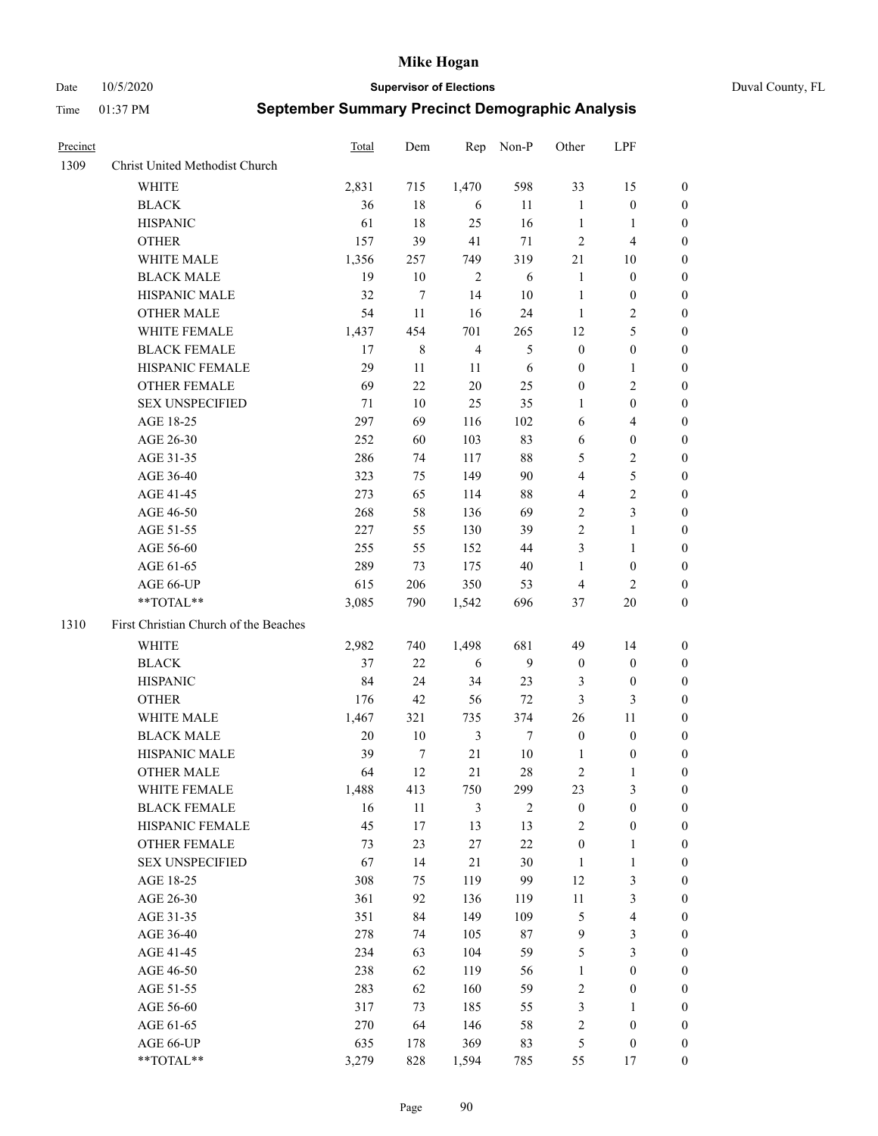Date 10/5/2020 **Supervisor of Elections** Duval County, FL

| Precinct |                                       | <b>Total</b> | Dem         | Rep            | Non-P          | Other            | LPF                     |                  |
|----------|---------------------------------------|--------------|-------------|----------------|----------------|------------------|-------------------------|------------------|
| 1309     | Christ United Methodist Church        |              |             |                |                |                  |                         |                  |
|          | <b>WHITE</b>                          | 2,831        | 715         | 1,470          | 598            | 33               | 15                      | 0                |
|          | <b>BLACK</b>                          | 36           | 18          | 6              | 11             | $\mathbf{1}$     | $\boldsymbol{0}$        | 0                |
|          | <b>HISPANIC</b>                       | 61           | 18          | 25             | 16             | $\mathbf{1}$     | 1                       | 0                |
|          | <b>OTHER</b>                          | 157          | 39          | 41             | 71             | $\mathbf{2}$     | $\overline{\mathbf{4}}$ | $\boldsymbol{0}$ |
|          | WHITE MALE                            | 1,356        | 257         | 749            | 319            | 21               | 10                      | $\boldsymbol{0}$ |
|          | <b>BLACK MALE</b>                     | 19           | 10          | $\sqrt{2}$     | 6              | $\mathbf{1}$     | $\boldsymbol{0}$        | 0                |
|          | HISPANIC MALE                         | 32           | 7           | 14             | 10             | $\mathbf{1}$     | $\boldsymbol{0}$        | 0                |
|          | <b>OTHER MALE</b>                     | 54           | 11          | 16             | 24             | $\mathbf{1}$     | $\overline{2}$          | $\boldsymbol{0}$ |
|          | WHITE FEMALE                          | 1,437        | 454         | 701            | 265            | 12               | 5                       | 0                |
|          | <b>BLACK FEMALE</b>                   | 17           | $\,$ 8 $\,$ | $\overline{4}$ | $\mathfrak{S}$ | $\boldsymbol{0}$ | $\boldsymbol{0}$        | 0                |
|          | HISPANIC FEMALE                       | 29           | 11          | 11             | 6              | 0                | $\mathbf{1}$            | 0                |
|          | OTHER FEMALE                          | 69           | 22          | 20             | 25             | $\boldsymbol{0}$ | $\sqrt{2}$              | 0                |
|          | <b>SEX UNSPECIFIED</b>                | 71           | 10          | 25             | 35             | 1                | $\boldsymbol{0}$        | $\boldsymbol{0}$ |
|          | AGE 18-25                             | 297          | 69          | 116            | 102            | 6                | $\overline{\mathbf{4}}$ | $\boldsymbol{0}$ |
|          | AGE 26-30                             | 252          | 60          | 103            | 83             | 6                | $\boldsymbol{0}$        | $\boldsymbol{0}$ |
|          | AGE 31-35                             | 286          | 74          | 117            | $88\,$         | 5                | $\sqrt{2}$              | $\boldsymbol{0}$ |
|          | AGE 36-40                             | 323          | 75          | 149            | 90             | 4                | $\mathfrak s$           | $\overline{0}$   |
|          | AGE 41-45                             | 273          | 65          | 114            | $88\,$         | $\overline{4}$   | $\overline{2}$          | $\overline{0}$   |
|          | AGE 46-50                             | 268          | 58          | 136            | 69             | 2                | $\mathfrak{Z}$          | $\boldsymbol{0}$ |
|          | AGE 51-55                             | 227          | 55          | 130            | 39             | 2                | $\mathbf{1}$            | 0                |
|          | AGE 56-60                             | 255          | 55          | 152            | 44             | 3                | $\mathbf{1}$            | 0                |
|          | AGE 61-65                             | 289          | 73          | 175            | 40             | 1                | $\boldsymbol{0}$        | 0                |
|          | AGE 66-UP                             | 615          | 206         | 350            | 53             | $\overline{4}$   | $\overline{2}$          | 0                |
|          | **TOTAL**                             | 3,085        | 790         | 1,542          | 696            | 37               | 20                      | $\boldsymbol{0}$ |
| 1310     | First Christian Church of the Beaches |              |             |                |                |                  |                         |                  |
|          | <b>WHITE</b>                          | 2,982        | 740         | 1,498          | 681            | 49               | 14                      | $\boldsymbol{0}$ |
|          | <b>BLACK</b>                          | 37           | $22\,$      | 6              | 9              | $\boldsymbol{0}$ | $\boldsymbol{0}$        | $\boldsymbol{0}$ |
|          | <b>HISPANIC</b>                       | 84           | 24          | 34             | 23             | 3                | $\boldsymbol{0}$        | 0                |
|          | <b>OTHER</b>                          | 176          | 42          | 56             | 72             | 3                | $\mathfrak{Z}$          | $\boldsymbol{0}$ |
|          | WHITE MALE                            | 1,467        | 321         | 735            | 374            | 26               | $11\,$                  | $\boldsymbol{0}$ |
|          | <b>BLACK MALE</b>                     | $20\,$       | $10\,$      | $\mathfrak{Z}$ | $\tau$         | $\boldsymbol{0}$ | $\boldsymbol{0}$        | 0                |
|          | HISPANIC MALE                         | 39           | 7           | 21             | $10\,$         | 1                | $\boldsymbol{0}$        | 0                |
|          | <b>OTHER MALE</b>                     | 64           | 12          | 21             | $28\,$         | 2                | 1                       | 0                |
|          | WHITE FEMALE                          | 1,488        | 413         | 750            | 299            | 23               | 3                       | 0                |
|          | <b>BLACK FEMALE</b>                   | 16           | 11          | $\mathfrak{Z}$ | 2              | $\boldsymbol{0}$ | $\boldsymbol{0}$        | $\boldsymbol{0}$ |
|          | HISPANIC FEMALE                       | 45           | 17          | 13             | 13             | 2                | $\boldsymbol{0}$        | $\overline{0}$   |
|          | OTHER FEMALE                          | 73           | 23          | 27             | $22\,$         | $\boldsymbol{0}$ | $\mathbf{1}$            | $\overline{0}$   |
|          | <b>SEX UNSPECIFIED</b>                | 67           | 14          | 21             | $30\,$         | $\mathbf{1}$     | $\mathbf{1}$            | 0                |
|          | AGE 18-25                             | 308          | 75          | 119            | 99             | 12               | $\mathfrak{Z}$          | 0                |
|          | AGE 26-30                             | 361          | 92          | 136            | 119            | $11\,$           | $\mathfrak{Z}$          | 0                |
|          | AGE 31-35                             | 351          | 84          | 149            | 109            | 5                | $\overline{\mathbf{4}}$ | 0                |
|          | AGE 36-40                             | 278          | 74          | 105            | $87\,$         | 9                | $\mathfrak{Z}$          | 0                |
|          | AGE 41-45                             | 234          | 63          | 104            | 59             | 5                | $\mathfrak{Z}$          | 0                |
|          | AGE 46-50                             | 238          | 62          | 119            | 56             | $\mathbf{1}$     | $\boldsymbol{0}$        | 0                |
|          | AGE 51-55                             | 283          | 62          | 160            | 59             | 2                | $\boldsymbol{0}$        | 0                |
|          | AGE 56-60                             | 317          | 73          | 185            | 55             | 3                | 1                       | 0                |
|          | AGE 61-65                             | 270          | 64          | 146            | 58             | 2                | $\boldsymbol{0}$        | 0                |
|          | AGE 66-UP                             | 635          | 178         | 369            | 83             | 5                | $\boldsymbol{0}$        | 0                |
|          | **TOTAL**                             | 3,279        | 828         | 1,594          | 785            | 55               | 17                      | $\boldsymbol{0}$ |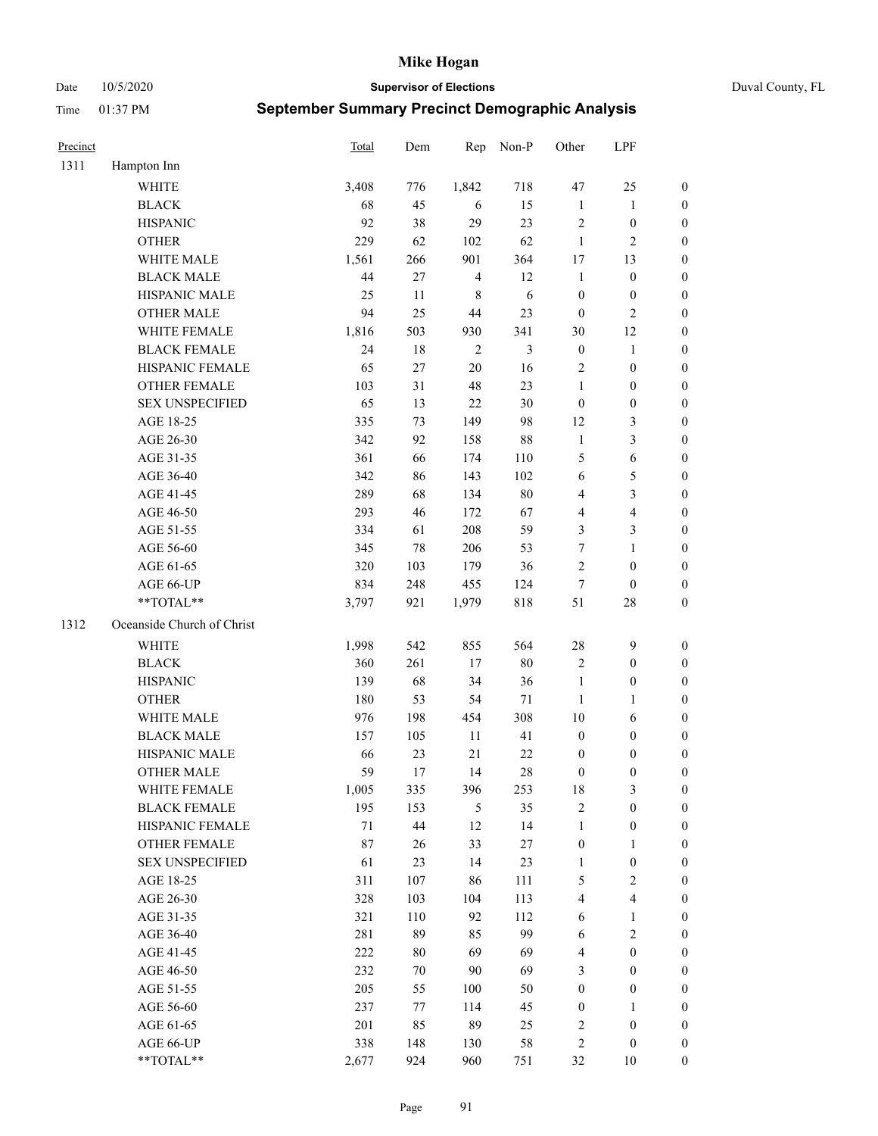Date 10/5/2020 **Supervisor of Elections** Duval County, FL

| Precinct |                            | <b>Total</b> | Dem | Rep            | Non-P          | Other                   | LPF                     |                  |
|----------|----------------------------|--------------|-----|----------------|----------------|-------------------------|-------------------------|------------------|
| 1311     | Hampton Inn                |              |     |                |                |                         |                         |                  |
|          | <b>WHITE</b>               | 3,408        | 776 | 1,842          | 718            | 47                      | 25                      | 0                |
|          | <b>BLACK</b>               | 68           | 45  | 6              | 15             | $\mathbf{1}$            | $\mathbf{1}$            | 0                |
|          | <b>HISPANIC</b>            | 92           | 38  | 29             | 23             | $\mathbf{2}$            | $\boldsymbol{0}$        | $\boldsymbol{0}$ |
|          | <b>OTHER</b>               | 229          | 62  | 102            | 62             | $\mathbf{1}$            | $\mathbf{2}$            | $\boldsymbol{0}$ |
|          | WHITE MALE                 | 1,561        | 266 | 901            | 364            | 17                      | 13                      | $\boldsymbol{0}$ |
|          | <b>BLACK MALE</b>          | 44           | 27  | $\overline{4}$ | 12             | $\mathbf{1}$            | $\boldsymbol{0}$        | $\boldsymbol{0}$ |
|          | HISPANIC MALE              | 25           | 11  | $\,$ 8 $\,$    | 6              | $\boldsymbol{0}$        | $\boldsymbol{0}$        | $\boldsymbol{0}$ |
|          | <b>OTHER MALE</b>          | 94           | 25  | 44             | 23             | $\boldsymbol{0}$        | $\overline{2}$          | $\boldsymbol{0}$ |
|          | WHITE FEMALE               | 1,816        | 503 | 930            | 341            | 30                      | 12                      | $\boldsymbol{0}$ |
|          | <b>BLACK FEMALE</b>        | 24           | 18  | $\sqrt{2}$     | $\mathfrak{Z}$ | $\boldsymbol{0}$        | $\mathbf{1}$            | 0                |
|          | HISPANIC FEMALE            | 65           | 27  | 20             | 16             | $\mathbf{2}$            | $\boldsymbol{0}$        | 0                |
|          | <b>OTHER FEMALE</b>        | 103          | 31  | 48             | 23             | $\mathbf{1}$            | $\boldsymbol{0}$        | $\boldsymbol{0}$ |
|          | <b>SEX UNSPECIFIED</b>     | 65           | 13  | 22             | $30\,$         | $\boldsymbol{0}$        | $\boldsymbol{0}$        | $\boldsymbol{0}$ |
|          | AGE 18-25                  | 335          | 73  | 149            | 98             | 12                      | $\mathfrak{Z}$          | $\boldsymbol{0}$ |
|          | AGE 26-30                  | 342          | 92  | 158            | 88             | $\mathbf{1}$            | $\mathfrak{Z}$          | $\boldsymbol{0}$ |
|          | AGE 31-35                  | 361          | 66  | 174            | 110            | 5                       | 6                       | $\boldsymbol{0}$ |
|          | AGE 36-40                  | 342          | 86  | 143            | 102            | 6                       | $\mathfrak{S}$          | $\boldsymbol{0}$ |
|          | AGE 41-45                  | 289          | 68  | 134            | $80\,$         | $\overline{4}$          | $\mathfrak{Z}$          | $\boldsymbol{0}$ |
|          | AGE 46-50                  | 293          | 46  | 172            | 67             | 4                       | $\overline{\mathbf{4}}$ | $\boldsymbol{0}$ |
|          | AGE 51-55                  | 334          | 61  | 208            | 59             | 3                       | $\mathfrak{Z}$          | $\boldsymbol{0}$ |
|          | AGE 56-60                  | 345          | 78  | 206            | 53             | 7                       | $\mathbf{1}$            | 0                |
|          | AGE 61-65                  | 320          | 103 | 179            | 36             | 2                       | $\boldsymbol{0}$        | 0                |
|          | AGE 66-UP                  | 834          | 248 | 455            | 124            | $\tau$                  | $\boldsymbol{0}$        | $\boldsymbol{0}$ |
|          | **TOTAL**                  | 3,797        | 921 | 1,979          | 818            | 51                      | $28\,$                  | $\boldsymbol{0}$ |
| 1312     | Oceanside Church of Christ |              |     |                |                |                         |                         |                  |
|          | <b>WHITE</b>               | 1,998        | 542 | 855            | 564            | $28\,$                  | $\mathbf{9}$            | $\boldsymbol{0}$ |
|          | <b>BLACK</b>               | 360          | 261 | 17             | $80\,$         | 2                       | $\boldsymbol{0}$        | $\boldsymbol{0}$ |
|          | <b>HISPANIC</b>            | 139          | 68  | 34             | 36             | $\mathbf{1}$            | $\boldsymbol{0}$        | $\boldsymbol{0}$ |
|          | <b>OTHER</b>               | 180          | 53  | 54             | 71             | $\mathbf{1}$            | $\mathbf{1}$            | $\boldsymbol{0}$ |
|          | WHITE MALE                 | 976          | 198 | 454            | 308            | $10\,$                  | 6                       | $\boldsymbol{0}$ |
|          | <b>BLACK MALE</b>          | 157          | 105 | 11             | 41             | $\boldsymbol{0}$        | $\boldsymbol{0}$        | $\boldsymbol{0}$ |
|          | HISPANIC MALE              | 66           | 23  | 21             | $22\,$         | $\boldsymbol{0}$        | $\boldsymbol{0}$        | $\boldsymbol{0}$ |
|          | <b>OTHER MALE</b>          | 59           | 17  | 14             | $28\,$         | $\boldsymbol{0}$        | $\boldsymbol{0}$        | $\boldsymbol{0}$ |
|          | WHITE FEMALE               | 1,005        | 335 | 396            | 253            | 18                      | 3                       | 0                |
|          | <b>BLACK FEMALE</b>        | 195          | 153 | 5              | 35             | 2                       | $\boldsymbol{0}$        | $\overline{0}$   |
|          | HISPANIC FEMALE            | $71\,$       | 44  | 12             | 14             | $\mathbf{1}$            | $\boldsymbol{0}$        | $\overline{0}$   |
|          | <b>OTHER FEMALE</b>        | 87           | 26  | 33             | $27\,$         | $\boldsymbol{0}$        | $\mathbf{1}$            | 0                |
|          | <b>SEX UNSPECIFIED</b>     | 61           | 23  | 14             | 23             | $\mathbf{1}$            | $\boldsymbol{0}$        | 0                |
|          | AGE 18-25                  | 311          | 107 | 86             | 111            | 5                       | $\sqrt{2}$              | 0                |
|          | AGE 26-30                  | 328          | 103 | 104            | 113            | 4                       | $\overline{4}$          | 0                |
|          | AGE 31-35                  | 321          | 110 | 92             | 112            | 6                       | $\mathbf{1}$            | 0                |
|          | AGE 36-40                  | 281          | 89  | 85             | 99             | 6                       | $\sqrt{2}$              | 0                |
|          | AGE 41-45                  | 222          | 80  | 69             | 69             | $\overline{\mathbf{4}}$ | $\boldsymbol{0}$        | 0                |
|          | AGE 46-50                  | 232          | 70  | 90             | 69             | 3                       | $\boldsymbol{0}$        | 0                |
|          | AGE 51-55                  | 205          | 55  | 100            | 50             | $\boldsymbol{0}$        | $\boldsymbol{0}$        | 0                |
|          | AGE 56-60                  | 237          | 77  | 114            | 45             | $\boldsymbol{0}$        | 1                       | 0                |
|          | AGE 61-65                  | 201          | 85  | 89             | 25             | 2                       | $\boldsymbol{0}$        | $\overline{0}$   |
|          | AGE 66-UP                  | 338          | 148 | 130            | 58             | 2                       | $\boldsymbol{0}$        | 0                |
|          | **TOTAL**                  | 2,677        | 924 | 960            | 751            | 32                      | 10                      | $\boldsymbol{0}$ |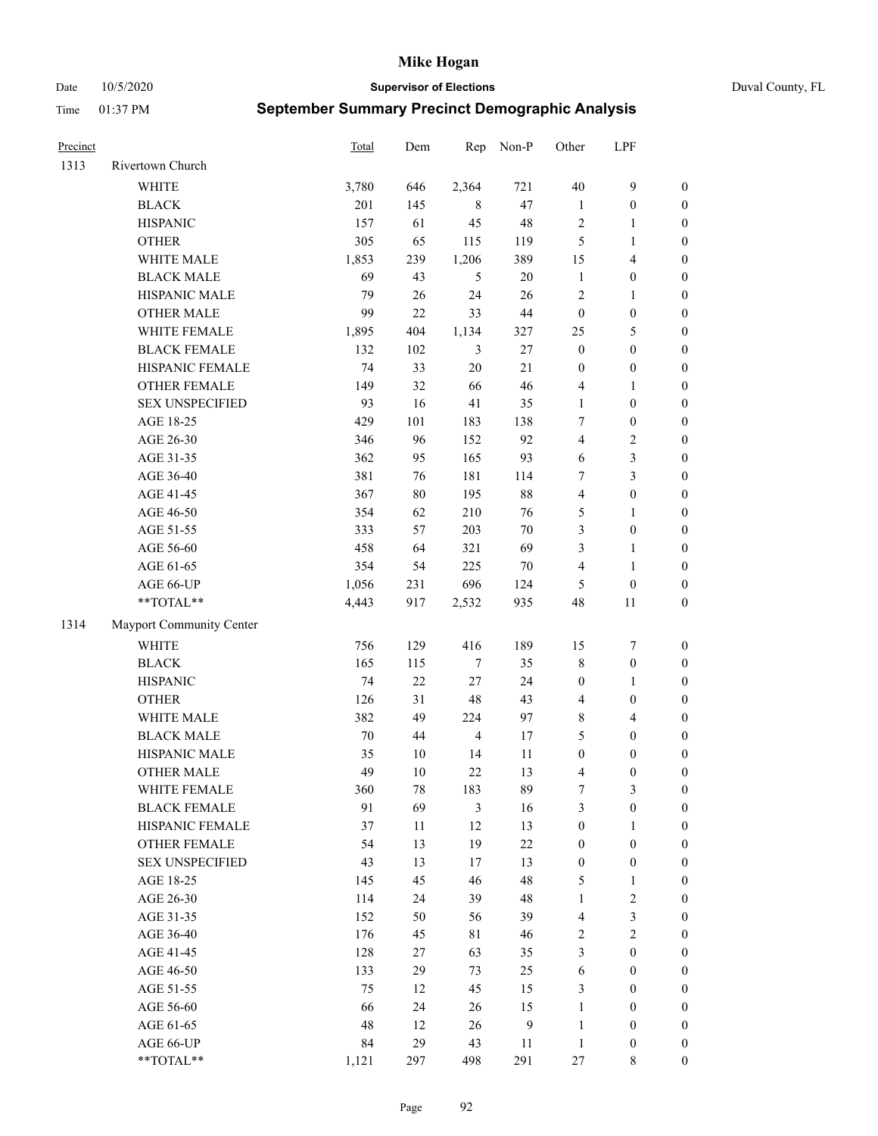Date 10/5/2020 **Supervisor of Elections** Duval County, FL

| Precinct |                          | Total  | Dem    | Rep            | Non-P  | Other            | LPF                     |                  |
|----------|--------------------------|--------|--------|----------------|--------|------------------|-------------------------|------------------|
| 1313     | Rivertown Church         |        |        |                |        |                  |                         |                  |
|          | <b>WHITE</b>             | 3,780  | 646    | 2,364          | 721    | $40\,$           | $\mathbf{9}$            | $\boldsymbol{0}$ |
|          | <b>BLACK</b>             | 201    | 145    | 8              | 47     | $\mathbf{1}$     | $\boldsymbol{0}$        | $\boldsymbol{0}$ |
|          | <b>HISPANIC</b>          | 157    | 61     | 45             | 48     | $\sqrt{2}$       | $\mathbf{1}$            | $\boldsymbol{0}$ |
|          | <b>OTHER</b>             | 305    | 65     | 115            | 119    | 5                | 1                       | $\boldsymbol{0}$ |
|          | WHITE MALE               | 1,853  | 239    | 1,206          | 389    | 15               | $\overline{\mathbf{4}}$ | $\boldsymbol{0}$ |
|          | <b>BLACK MALE</b>        | 69     | 43     | 5              | 20     | $\mathbf{1}$     | $\boldsymbol{0}$        | $\boldsymbol{0}$ |
|          | HISPANIC MALE            | 79     | $26\,$ | 24             | 26     | $\overline{c}$   | $\mathbf{1}$            | $\boldsymbol{0}$ |
|          | <b>OTHER MALE</b>        | 99     | 22     | 33             | $44\,$ | $\boldsymbol{0}$ | $\boldsymbol{0}$        | $\boldsymbol{0}$ |
|          | WHITE FEMALE             | 1,895  | 404    | 1,134          | 327    | 25               | $\mathfrak{S}$          | $\boldsymbol{0}$ |
|          | <b>BLACK FEMALE</b>      | 132    | 102    | 3              | 27     | $\boldsymbol{0}$ | $\boldsymbol{0}$        | $\boldsymbol{0}$ |
|          | HISPANIC FEMALE          | 74     | 33     | 20             | 21     | $\boldsymbol{0}$ | $\boldsymbol{0}$        | 0                |
|          | OTHER FEMALE             | 149    | 32     | 66             | 46     | 4                | $\mathbf{1}$            | $\boldsymbol{0}$ |
|          | <b>SEX UNSPECIFIED</b>   | 93     | 16     | 41             | 35     | $\mathbf{1}$     | $\boldsymbol{0}$        | $\boldsymbol{0}$ |
|          | AGE 18-25                | 429    | 101    | 183            | 138    | 7                | $\boldsymbol{0}$        | $\boldsymbol{0}$ |
|          | AGE 26-30                | 346    | 96     | 152            | 92     | 4                | $\sqrt{2}$              | $\boldsymbol{0}$ |
|          | AGE 31-35                | 362    | 95     | 165            | 93     | 6                | $\mathfrak{Z}$          | $\boldsymbol{0}$ |
|          | AGE 36-40                | 381    | 76     | 181            | 114    | 7                | $\mathfrak{Z}$          | $\boldsymbol{0}$ |
|          | AGE 41-45                | 367    | $80\,$ | 195            | $88\,$ | $\overline{4}$   | $\boldsymbol{0}$        | $\boldsymbol{0}$ |
|          | AGE 46-50                | 354    | 62     | 210            | 76     | 5                | $\mathbf{1}$            | $\boldsymbol{0}$ |
|          | AGE 51-55                | 333    | 57     | 203            | $70\,$ | 3                | $\boldsymbol{0}$        | $\boldsymbol{0}$ |
|          | AGE 56-60                | 458    | 64     | 321            | 69     | 3                | $\mathbf{1}$            | 0                |
|          | AGE 61-65                | 354    | 54     | 225            | 70     | 4                | $\mathbf{1}$            | 0                |
|          | AGE 66-UP                | 1,056  | 231    | 696            | 124    | 5                | $\boldsymbol{0}$        | $\boldsymbol{0}$ |
|          | **TOTAL**                | 4,443  | 917    | 2,532          | 935    | 48               | 11                      | $\boldsymbol{0}$ |
| 1314     | Mayport Community Center |        |        |                |        |                  |                         |                  |
|          | <b>WHITE</b>             | 756    | 129    | 416            | 189    | 15               | $\boldsymbol{7}$        | $\boldsymbol{0}$ |
|          | <b>BLACK</b>             | 165    | 115    | 7              | 35     | $\,$ $\,$        | $\boldsymbol{0}$        | $\boldsymbol{0}$ |
|          | <b>HISPANIC</b>          | 74     | 22     | $27\,$         | 24     | $\boldsymbol{0}$ | $\mathbf{1}$            | $\boldsymbol{0}$ |
|          | <b>OTHER</b>             | 126    | 31     | 48             | 43     | 4                | $\boldsymbol{0}$        | $\boldsymbol{0}$ |
|          | WHITE MALE               | 382    | 49     | 224            | 97     | 8                | $\overline{4}$          | $\boldsymbol{0}$ |
|          | <b>BLACK MALE</b>        | $70\,$ | 44     | $\overline{4}$ | 17     | 5                | $\boldsymbol{0}$        | $\boldsymbol{0}$ |
|          | HISPANIC MALE            | 35     | $10\,$ | 14             | 11     | $\boldsymbol{0}$ | $\boldsymbol{0}$        | $\boldsymbol{0}$ |
|          | <b>OTHER MALE</b>        | 49     | 10     | 22             | 13     | 4                | $\boldsymbol{0}$        | $\boldsymbol{0}$ |
|          | WHITE FEMALE             | 360    | 78     | 183            | 89     | 7                | 3                       | 0                |
|          | <b>BLACK FEMALE</b>      | 91     | 69     | $\mathfrak{Z}$ | 16     | 3                | $\boldsymbol{0}$        | $\boldsymbol{0}$ |
|          | HISPANIC FEMALE          | 37     | 11     | 12             | 13     | $\boldsymbol{0}$ | $\mathbf{1}$            | $\overline{0}$   |
|          | OTHER FEMALE             | 54     | 13     | 19             | $22\,$ | $\boldsymbol{0}$ | $\boldsymbol{0}$        | $\overline{0}$   |
|          | <b>SEX UNSPECIFIED</b>   | 43     | 13     | 17             | 13     | $\boldsymbol{0}$ | $\boldsymbol{0}$        | 0                |
|          | AGE 18-25                | 145    | 45     | 46             | 48     | 5                | $\mathbf{1}$            | 0                |
|          | AGE 26-30                | 114    | 24     | 39             | 48     | $\mathbf{1}$     | $\sqrt{2}$              | 0                |
|          | AGE 31-35                | 152    | 50     | 56             | 39     | 4                | $\mathfrak{Z}$          | 0                |
|          | AGE 36-40                | 176    | 45     | 81             | 46     | 2                | $\sqrt{2}$              | 0                |
|          | AGE 41-45                | 128    | 27     | 63             | 35     | 3                | $\boldsymbol{0}$        | 0                |
|          | AGE 46-50                | 133    | 29     | 73             | 25     | 6                | $\boldsymbol{0}$        | 0                |
|          | AGE 51-55                | 75     | 12     | 45             | 15     | 3                | $\boldsymbol{0}$        | 0                |
|          | AGE 56-60                | 66     | 24     | 26             | 15     | $\mathbf{1}$     | $\boldsymbol{0}$        | 0                |
|          | AGE 61-65                | 48     | 12     | 26             | 9      | $\mathbf{1}$     | $\boldsymbol{0}$        | 0                |
|          | AGE 66-UP                | 84     | 29     | 43             | 11     | $\mathbf{1}$     | $\boldsymbol{0}$        | 0                |
|          | **TOTAL**                | 1,121  | 297    | 498            | 291    | 27               | 8                       | $\boldsymbol{0}$ |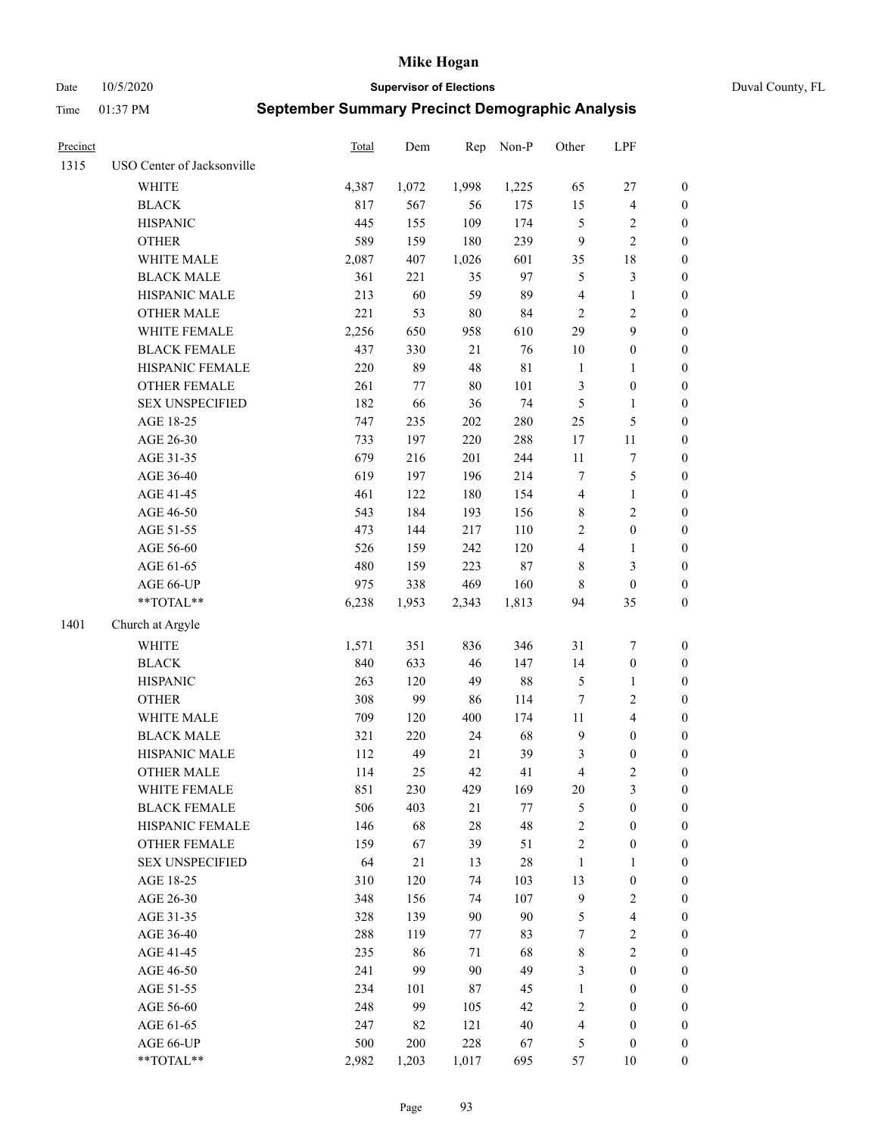Date 10/5/2020 **Supervisor of Elections** Duval County, FL

| Precinct |                            | Total | Dem   | Rep    | Non-P       | Other                   | LPF              |                  |
|----------|----------------------------|-------|-------|--------|-------------|-------------------------|------------------|------------------|
| 1315     | USO Center of Jacksonville |       |       |        |             |                         |                  |                  |
|          | <b>WHITE</b>               | 4,387 | 1,072 | 1,998  | 1,225       | 65                      | $27\,$           | 0                |
|          | <b>BLACK</b>               | 817   | 567   | 56     | 175         | 15                      | $\overline{4}$   | $\boldsymbol{0}$ |
|          | <b>HISPANIC</b>            | 445   | 155   | 109    | 174         | $\mathfrak{S}$          | $\overline{c}$   | $\boldsymbol{0}$ |
|          | <b>OTHER</b>               | 589   | 159   | 180    | 239         | 9                       | $\overline{c}$   | $\boldsymbol{0}$ |
|          | WHITE MALE                 | 2,087 | 407   | 1,026  | 601         | 35                      | 18               | $\boldsymbol{0}$ |
|          | <b>BLACK MALE</b>          | 361   | 221   | 35     | 97          | 5                       | $\mathfrak{Z}$   | $\boldsymbol{0}$ |
|          | HISPANIC MALE              | 213   | 60    | 59     | 89          | 4                       | $\mathbf{1}$     | $\boldsymbol{0}$ |
|          | <b>OTHER MALE</b>          | 221   | 53    | $80\,$ | 84          | $\mathbf{2}$            | $\mathbf{2}$     | $\boldsymbol{0}$ |
|          | WHITE FEMALE               | 2,256 | 650   | 958    | 610         | 29                      | $\boldsymbol{9}$ | $\boldsymbol{0}$ |
|          | <b>BLACK FEMALE</b>        | 437   | 330   | 21     | 76          | $10\,$                  | $\boldsymbol{0}$ | 0                |
|          | HISPANIC FEMALE            | 220   | 89    | 48     | $8\sqrt{1}$ | $\mathbf{1}$            | $\mathbf{1}$     | 0                |
|          | OTHER FEMALE               | 261   | 77    | $80\,$ | 101         | 3                       | $\boldsymbol{0}$ | $\boldsymbol{0}$ |
|          | <b>SEX UNSPECIFIED</b>     | 182   | 66    | 36     | 74          | 5                       | $\mathbf{1}$     | $\boldsymbol{0}$ |
|          | AGE 18-25                  | 747   | 235   | 202    | 280         | $25\,$                  | $\mathfrak s$    | $\boldsymbol{0}$ |
|          | AGE 26-30                  | 733   | 197   | 220    | 288         | 17                      | $11\,$           | $\boldsymbol{0}$ |
|          | AGE 31-35                  | 679   | 216   | 201    | 244         | $11\,$                  | $\sqrt{ }$       | $\boldsymbol{0}$ |
|          | AGE 36-40                  | 619   | 197   | 196    | 214         | $\boldsymbol{7}$        | 5                | $\boldsymbol{0}$ |
|          | AGE 41-45                  | 461   | 122   | 180    | 154         | $\overline{\mathbf{4}}$ | $\mathbf{1}$     | $\boldsymbol{0}$ |
|          | AGE 46-50                  | 543   | 184   | 193    | 156         | $\,$ 8 $\,$             | $\sqrt{2}$       | $\boldsymbol{0}$ |
|          | AGE 51-55                  | 473   | 144   | 217    | 110         | $\overline{c}$          | $\boldsymbol{0}$ | $\boldsymbol{0}$ |
|          | AGE 56-60                  | 526   | 159   | 242    | 120         | $\overline{\mathbf{4}}$ | 1                | 0                |
|          | AGE 61-65                  | 480   | 159   | 223    | $87\,$      | 8                       | $\mathfrak{Z}$   | $\boldsymbol{0}$ |
|          | AGE 66-UP                  | 975   | 338   | 469    | 160         | 8                       | $\boldsymbol{0}$ | $\boldsymbol{0}$ |
|          | $**TOTAL**$                | 6,238 | 1,953 | 2,343  | 1,813       | 94                      | 35               | $\boldsymbol{0}$ |
| 1401     | Church at Argyle           |       |       |        |             |                         |                  |                  |
|          | <b>WHITE</b>               | 1,571 | 351   | 836    | 346         | 31                      | $\boldsymbol{7}$ | $\boldsymbol{0}$ |
|          | <b>BLACK</b>               | 840   | 633   | 46     | 147         | 14                      | $\boldsymbol{0}$ | $\boldsymbol{0}$ |
|          | <b>HISPANIC</b>            | 263   | 120   | 49     | $88\,$      | 5                       | $\mathbf{1}$     | $\boldsymbol{0}$ |
|          | <b>OTHER</b>               | 308   | 99    | 86     | 114         | $\tau$                  | $\sqrt{2}$       | $\boldsymbol{0}$ |
|          | WHITE MALE                 | 709   | 120   | 400    | 174         | $11\,$                  | $\overline{4}$   | $\boldsymbol{0}$ |
|          | <b>BLACK MALE</b>          | 321   | 220   | 24     | 68          | $\mathbf{9}$            | $\boldsymbol{0}$ | $\boldsymbol{0}$ |
|          | HISPANIC MALE              | 112   | 49    | 21     | 39          | 3                       | $\boldsymbol{0}$ | $\boldsymbol{0}$ |
|          | <b>OTHER MALE</b>          | 114   | 25    | 42     | 41          | 4                       | $\mathfrak{2}$   | $\boldsymbol{0}$ |
|          | WHITE FEMALE               | 851   | 230   | 429    | 169         | 20                      | 3                | 0                |
|          | <b>BLACK FEMALE</b>        | 506   | 403   | 21     | 77          | 5                       | $\boldsymbol{0}$ | $\boldsymbol{0}$ |
|          | HISPANIC FEMALE            | 146   | 68    | 28     | 48          | $\overline{c}$          | $\boldsymbol{0}$ | $\overline{0}$   |
|          | <b>OTHER FEMALE</b>        | 159   | 67    | 39     | 51          | 2                       | $\boldsymbol{0}$ | $\overline{0}$   |
|          | <b>SEX UNSPECIFIED</b>     | 64    | 21    | 13     | $28\,$      | $\mathbf{1}$            | $\mathbf{1}$     | 0                |
|          | AGE 18-25                  | 310   | 120   | 74     | 103         | 13                      | $\boldsymbol{0}$ | 0                |
|          | AGE 26-30                  | 348   | 156   | 74     | 107         | 9                       | $\sqrt{2}$       | 0                |
|          | AGE 31-35                  | 328   | 139   | 90     | 90          | 5                       | $\overline{4}$   | 0                |
|          | AGE 36-40                  | 288   | 119   | 77     | 83          | 7                       | $\sqrt{2}$       | 0                |
|          | AGE 41-45                  | 235   | 86    | 71     | 68          | 8                       | $\overline{c}$   | 0                |
|          | AGE 46-50                  | 241   | 99    | 90     | 49          | 3                       | $\boldsymbol{0}$ | 0                |
|          | AGE 51-55                  | 234   | 101   | 87     | 45          | $\mathbf{1}$            | $\boldsymbol{0}$ | 0                |
|          | AGE 56-60                  | 248   | 99    | 105    | 42          | 2                       | $\boldsymbol{0}$ | $\overline{0}$   |
|          | AGE 61-65                  | 247   | 82    | 121    | $40\,$      | 4                       | $\boldsymbol{0}$ | $\overline{0}$   |
|          | AGE 66-UP                  | 500   | 200   | 228    | 67          | 5                       | $\boldsymbol{0}$ | 0                |
|          | **TOTAL**                  | 2,982 | 1,203 | 1,017  | 695         | 57                      | 10               | $\boldsymbol{0}$ |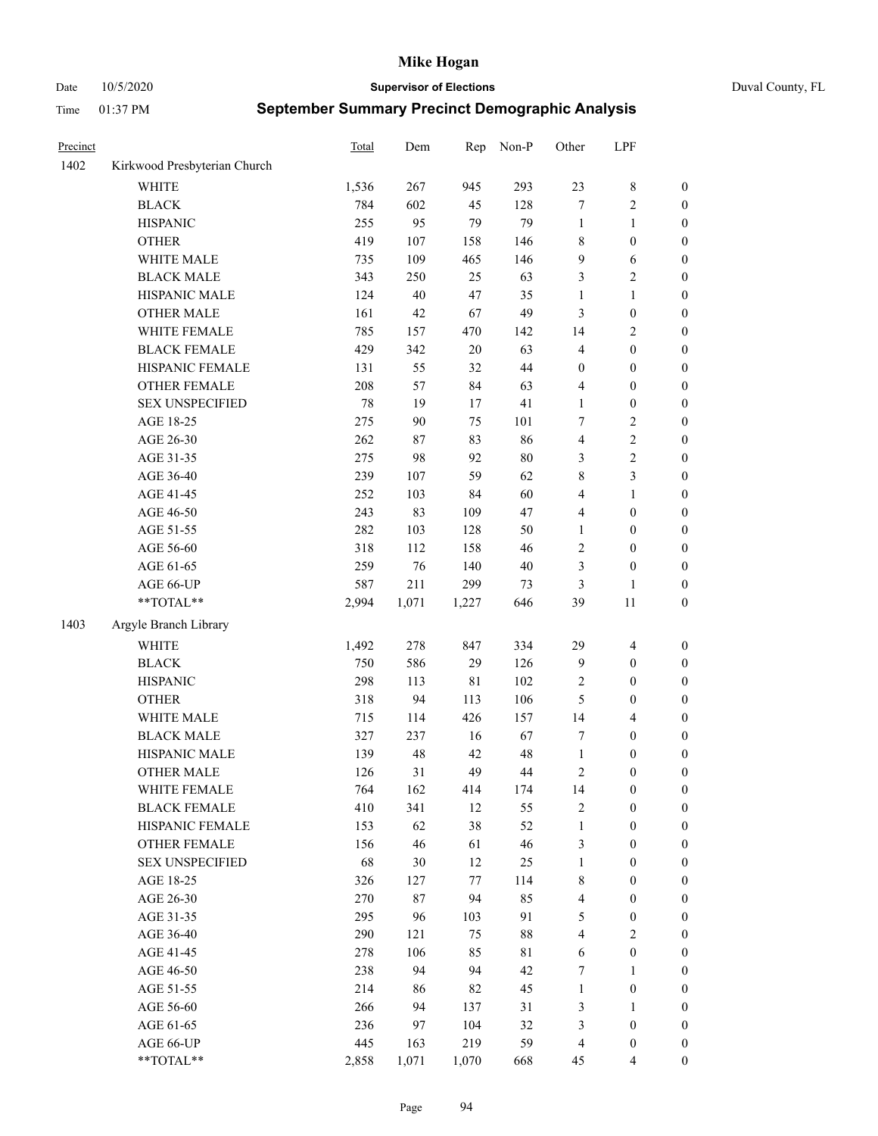Date 10/5/2020 **Supervisor of Elections** Duval County, FL

| Precinct |                              | Total | Dem    | Rep         | Non-P  | Other            | LPF              |                  |
|----------|------------------------------|-------|--------|-------------|--------|------------------|------------------|------------------|
| 1402     | Kirkwood Presbyterian Church |       |        |             |        |                  |                  |                  |
|          | <b>WHITE</b>                 | 1,536 | 267    | 945         | 293    | 23               | $\,$ 8 $\,$      | 0                |
|          | <b>BLACK</b>                 | 784   | 602    | 45          | 128    | $\boldsymbol{7}$ | $\sqrt{2}$       | $\boldsymbol{0}$ |
|          | <b>HISPANIC</b>              | 255   | 95     | 79          | 79     | $\mathbf{1}$     | $\mathbf{1}$     | $\boldsymbol{0}$ |
|          | <b>OTHER</b>                 | 419   | 107    | 158         | 146    | 8                | $\boldsymbol{0}$ | $\boldsymbol{0}$ |
|          | WHITE MALE                   | 735   | 109    | 465         | 146    | 9                | 6                | $\boldsymbol{0}$ |
|          | <b>BLACK MALE</b>            | 343   | 250    | 25          | 63     | 3                | $\sqrt{2}$       | $\boldsymbol{0}$ |
|          | HISPANIC MALE                | 124   | $40\,$ | 47          | 35     | $\mathbf{1}$     | $\mathbf{1}$     | $\boldsymbol{0}$ |
|          | <b>OTHER MALE</b>            | 161   | 42     | 67          | 49     | 3                | $\boldsymbol{0}$ | $\boldsymbol{0}$ |
|          | WHITE FEMALE                 | 785   | 157    | 470         | 142    | 14               | $\sqrt{2}$       | $\boldsymbol{0}$ |
|          | <b>BLACK FEMALE</b>          | 429   | 342    | $20\,$      | 63     | 4                | $\boldsymbol{0}$ | $\boldsymbol{0}$ |
|          | HISPANIC FEMALE              | 131   | 55     | 32          | 44     | $\boldsymbol{0}$ | $\boldsymbol{0}$ | $\boldsymbol{0}$ |
|          | OTHER FEMALE                 | 208   | 57     | 84          | 63     | 4                | $\boldsymbol{0}$ | $\boldsymbol{0}$ |
|          | <b>SEX UNSPECIFIED</b>       | 78    | 19     | 17          | 41     | $\mathbf{1}$     | $\boldsymbol{0}$ | $\boldsymbol{0}$ |
|          | AGE 18-25                    | 275   | 90     | 75          | 101    | 7                | $\sqrt{2}$       | $\boldsymbol{0}$ |
|          | AGE 26-30                    | 262   | 87     | 83          | 86     | 4                | $\sqrt{2}$       | $\boldsymbol{0}$ |
|          | AGE 31-35                    | 275   | 98     | 92          | 80     | 3                | $\sqrt{2}$       | $\boldsymbol{0}$ |
|          | AGE 36-40                    | 239   | 107    | 59          | 62     | 8                | 3                | $\boldsymbol{0}$ |
|          | AGE 41-45                    | 252   | 103    | 84          | 60     | 4                | $\mathbf{1}$     | $\boldsymbol{0}$ |
|          | AGE 46-50                    | 243   | 83     | 109         | 47     | 4                | $\boldsymbol{0}$ | $\boldsymbol{0}$ |
|          | AGE 51-55                    | 282   | 103    | 128         | 50     | 1                | $\boldsymbol{0}$ | $\boldsymbol{0}$ |
|          | AGE 56-60                    | 318   | 112    | 158         | 46     | 2                | $\boldsymbol{0}$ | 0                |
|          | AGE 61-65                    | 259   | 76     | 140         | $40\,$ | 3                | $\boldsymbol{0}$ | $\boldsymbol{0}$ |
|          | AGE 66-UP                    | 587   | 211    | 299         | 73     | 3                | $\mathbf{1}$     | $\boldsymbol{0}$ |
|          | $**TOTAL**$                  | 2,994 | 1,071  | 1,227       | 646    | 39               | 11               | $\boldsymbol{0}$ |
| 1403     | Argyle Branch Library        |       |        |             |        |                  |                  |                  |
|          | <b>WHITE</b>                 | 1,492 | 278    | 847         | 334    | 29               | $\overline{4}$   | $\boldsymbol{0}$ |
|          | <b>BLACK</b>                 | 750   | 586    | 29          | 126    | 9                | $\boldsymbol{0}$ | $\boldsymbol{0}$ |
|          | <b>HISPANIC</b>              | 298   | 113    | $8\sqrt{1}$ | 102    | 2                | $\boldsymbol{0}$ | $\boldsymbol{0}$ |
|          | <b>OTHER</b>                 | 318   | 94     | 113         | 106    | 5                | $\boldsymbol{0}$ | $\boldsymbol{0}$ |
|          | WHITE MALE                   | 715   | 114    | 426         | 157    | 14               | $\overline{4}$   | $\boldsymbol{0}$ |
|          | <b>BLACK MALE</b>            | 327   | 237    | 16          | 67     | 7                | $\boldsymbol{0}$ | $\boldsymbol{0}$ |
|          | HISPANIC MALE                | 139   | 48     | 42          | 48     | $\mathbf{1}$     | $\boldsymbol{0}$ | $\boldsymbol{0}$ |
|          | <b>OTHER MALE</b>            | 126   | 31     | 49          | 44     | 2                | $\boldsymbol{0}$ | $\boldsymbol{0}$ |
|          | WHITE FEMALE                 | 764   | 162    | 414         | 174    | 14               | 0                | 0                |
|          | <b>BLACK FEMALE</b>          | 410   | 341    | 12          | 55     | 2                | $\boldsymbol{0}$ | $\overline{0}$   |
|          | HISPANIC FEMALE              | 153   | 62     | 38          | 52     | 1                | $\boldsymbol{0}$ | $\overline{0}$   |
|          | OTHER FEMALE                 | 156   | 46     | 61          | 46     | 3                | $\boldsymbol{0}$ | $\overline{0}$   |
|          | <b>SEX UNSPECIFIED</b>       | 68    | 30     | 12          | 25     | 1                | $\boldsymbol{0}$ | 0                |
|          | AGE 18-25                    | 326   | 127    | 77          | 114    | 8                | $\boldsymbol{0}$ | $\theta$         |
|          | AGE 26-30                    | 270   | 87     | 94          | 85     | 4                | $\boldsymbol{0}$ | 0                |
|          | AGE 31-35                    | 295   | 96     | 103         | 91     | 5                | $\boldsymbol{0}$ | 0                |
|          | AGE 36-40                    | 290   | 121    | 75          | $88\,$ | 4                | $\sqrt{2}$       | 0                |
|          | AGE 41-45                    | 278   | 106    | 85          | 81     | 6                | $\boldsymbol{0}$ | 0                |
|          | AGE 46-50                    | 238   | 94     | 94          | 42     | 7                | 1                | 0                |
|          | AGE 51-55                    | 214   | 86     | 82          | 45     | $\mathbf{1}$     | $\boldsymbol{0}$ | 0                |
|          | AGE 56-60                    | 266   | 94     | 137         | 31     | 3                | 1                | 0                |
|          | AGE 61-65                    | 236   | 97     | 104         | 32     | 3                | $\boldsymbol{0}$ | 0                |
|          | AGE 66-UP                    | 445   | 163    | 219         | 59     | 4                | $\boldsymbol{0}$ | 0                |
|          | **TOTAL**                    | 2,858 | 1,071  | 1,070       | 668    | 45               | $\overline{4}$   | $\boldsymbol{0}$ |
|          |                              |       |        |             |        |                  |                  |                  |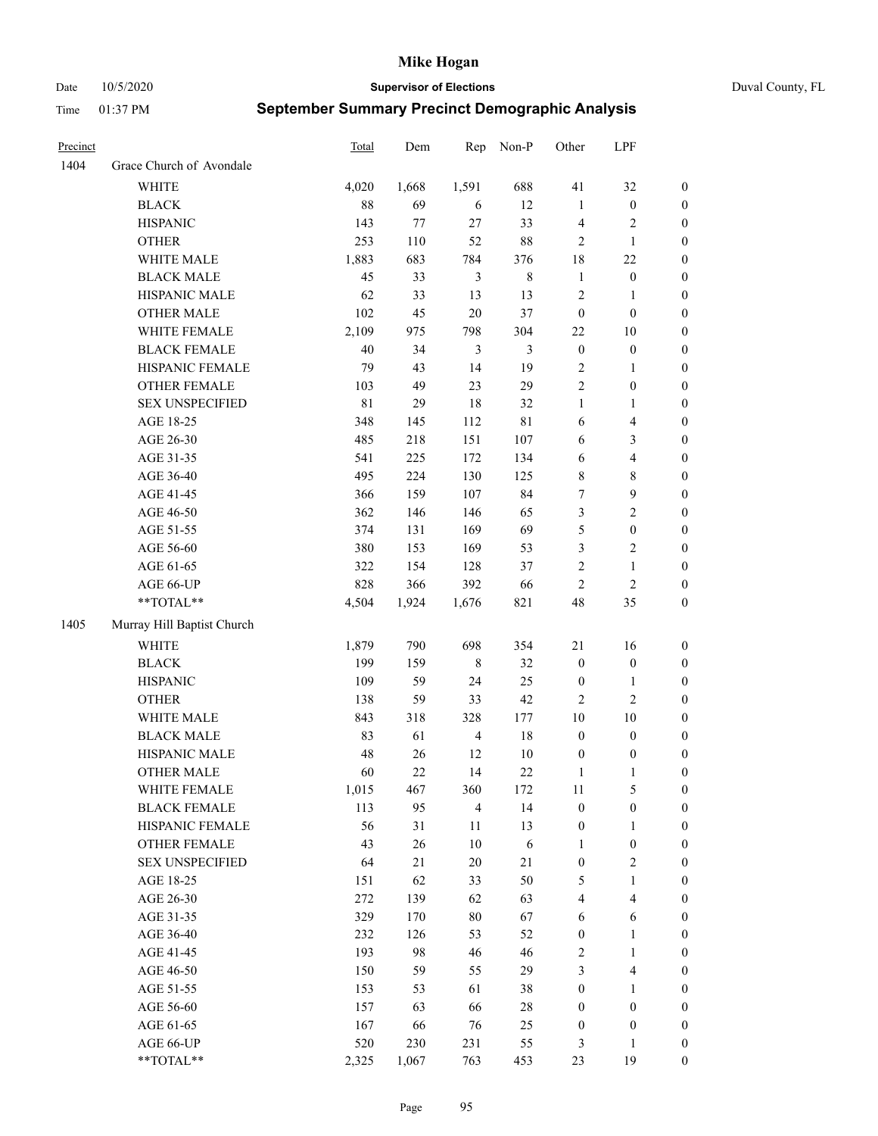Date 10/5/2020 **Supervisor of Elections** Duval County, FL

| Precinct |                            | <b>Total</b> | Dem   | Rep            | Non-P          | Other                 | LPF              |                  |
|----------|----------------------------|--------------|-------|----------------|----------------|-----------------------|------------------|------------------|
| 1404     | Grace Church of Avondale   |              |       |                |                |                       |                  |                  |
|          | <b>WHITE</b>               | 4,020        | 1,668 | 1,591          | 688            | 41                    | 32               | 0                |
|          | <b>BLACK</b>               | $88\,$       | 69    | 6              | 12             | $\mathbf{1}$          | $\boldsymbol{0}$ | 0                |
|          | <b>HISPANIC</b>            | 143          | 77    | 27             | 33             | 4                     | $\sqrt{2}$       | $\boldsymbol{0}$ |
|          | <b>OTHER</b>               | 253          | 110   | 52             | $88\,$         | $\overline{2}$        | $\mathbf{1}$     | $\boldsymbol{0}$ |
|          | WHITE MALE                 | 1,883        | 683   | 784            | 376            | 18                    | $22\,$           | $\boldsymbol{0}$ |
|          | <b>BLACK MALE</b>          | 45           | 33    | $\mathfrak{Z}$ | $\,8\,$        | $\mathbf{1}$          | $\boldsymbol{0}$ | $\boldsymbol{0}$ |
|          | HISPANIC MALE              | 62           | 33    | 13             | 13             | 2                     | $\mathbf{1}$     | $\boldsymbol{0}$ |
|          | <b>OTHER MALE</b>          | 102          | 45    | $20\,$         | 37             | $\boldsymbol{0}$      | $\boldsymbol{0}$ | $\boldsymbol{0}$ |
|          | WHITE FEMALE               | 2,109        | 975   | 798            | 304            | 22                    | 10               | $\boldsymbol{0}$ |
|          | <b>BLACK FEMALE</b>        | 40           | 34    | $\mathfrak{Z}$ | $\mathfrak{Z}$ | $\boldsymbol{0}$      | $\boldsymbol{0}$ | 0                |
|          | HISPANIC FEMALE            | 79           | 43    | 14             | 19             | 2                     | $\mathbf{1}$     | 0                |
|          | OTHER FEMALE               | 103          | 49    | 23             | 29             | $\overline{2}$        | $\boldsymbol{0}$ | $\boldsymbol{0}$ |
|          | <b>SEX UNSPECIFIED</b>     | 81           | 29    | 18             | 32             | $\mathbf{1}$          | $\mathbf{1}$     | $\boldsymbol{0}$ |
|          | AGE 18-25                  | 348          | 145   | 112            | $8\sqrt{1}$    | 6                     | $\overline{4}$   | $\boldsymbol{0}$ |
|          | AGE 26-30                  | 485          | 218   | 151            | 107            | 6                     | $\mathfrak{Z}$   | $\boldsymbol{0}$ |
|          | AGE 31-35                  | 541          | 225   | 172            | 134            | 6                     | $\overline{4}$   | $\boldsymbol{0}$ |
|          | AGE 36-40                  | 495          | 224   | 130            | 125            | 8                     | $\,$ 8 $\,$      | $\boldsymbol{0}$ |
|          | AGE 41-45                  | 366          | 159   | 107            | 84             | 7                     | $\boldsymbol{9}$ | $\boldsymbol{0}$ |
|          | AGE 46-50                  | 362          | 146   | 146            | 65             | 3                     | $\sqrt{2}$       | $\boldsymbol{0}$ |
|          | AGE 51-55                  | 374          | 131   | 169            | 69             | 5                     | $\boldsymbol{0}$ | $\boldsymbol{0}$ |
|          | AGE 56-60                  | 380          | 153   | 169            | 53             | 3                     | $\sqrt{2}$       | 0                |
|          | AGE 61-65                  | 322          | 154   | 128            | 37             | 2                     | $\mathbf{1}$     | 0                |
|          | AGE 66-UP                  | 828          | 366   | 392            | 66             | $\overline{2}$        | $\sqrt{2}$       | $\boldsymbol{0}$ |
|          | $**TOTAL**$                | 4,504        | 1,924 | 1,676          | 821            | 48                    | 35               | $\boldsymbol{0}$ |
| 1405     | Murray Hill Baptist Church |              |       |                |                |                       |                  |                  |
|          | <b>WHITE</b>               | 1,879        | 790   | 698            | 354            | 21                    | 16               | $\boldsymbol{0}$ |
|          | <b>BLACK</b>               | 199          | 159   | $\,$ 8 $\,$    | 32             | $\boldsymbol{0}$      | $\boldsymbol{0}$ | $\boldsymbol{0}$ |
|          | <b>HISPANIC</b>            | 109          | 59    | 24             | 25             | $\boldsymbol{0}$      | $\mathbf{1}$     | $\boldsymbol{0}$ |
|          | <b>OTHER</b>               | 138          | 59    | 33             | 42             | 2                     | $\overline{2}$   | $\boldsymbol{0}$ |
|          | WHITE MALE                 | 843          | 318   | 328            | 177            | $10\,$                | 10               | $\boldsymbol{0}$ |
|          | <b>BLACK MALE</b>          | 83           | 61    | $\overline{4}$ | 18             | $\boldsymbol{0}$      | $\boldsymbol{0}$ | $\boldsymbol{0}$ |
|          | HISPANIC MALE              | 48           | 26    | 12             | $10\,$         | $\boldsymbol{0}$      | $\boldsymbol{0}$ | 0                |
|          | <b>OTHER MALE</b>          | 60           | 22    | 14             | $22\,$         | $\mathbf{1}$          | $\mathbf{1}$     | $\boldsymbol{0}$ |
|          | WHITE FEMALE               | 1,015        | 467   | 360            | 172            | 11                    | 5                | 0                |
|          | <b>BLACK FEMALE</b>        | 113          | 95    | $\overline{4}$ | 14             | $\boldsymbol{0}$      | $\boldsymbol{0}$ | $\boldsymbol{0}$ |
|          | HISPANIC FEMALE            | 56           | 31    | 11             | 13             | $\boldsymbol{0}$      | $\mathbf{1}$     | $\overline{0}$   |
|          | <b>OTHER FEMALE</b>        | 43           | 26    | 10             | $\sqrt{6}$     | $\mathbf{1}$          | $\boldsymbol{0}$ | 0                |
|          | <b>SEX UNSPECIFIED</b>     | 64           | 21    | $20\,$         | $21\,$         | $\boldsymbol{0}$      | $\mathfrak{2}$   | 0                |
|          | AGE 18-25                  | 151          | 62    | 33             | 50             | 5                     | $\mathbf{1}$     | 0                |
|          | AGE 26-30                  | 272          | 139   | 62             | 63             | 4                     | $\overline{4}$   | 0                |
|          | AGE 31-35                  | 329          | 170   | $80\,$         | 67             | 6                     | 6                | 0                |
|          | AGE 36-40                  | 232          | 126   | 53             | 52             |                       | $\mathbf{1}$     |                  |
|          | AGE 41-45                  | 193          | 98    | 46             | 46             | $\boldsymbol{0}$<br>2 | $\mathbf{1}$     | 0                |
|          |                            |              |       |                |                |                       |                  | 0                |
|          | AGE 46-50                  | 150          | 59    | 55             | 29             | 3                     | $\overline{4}$   | 0                |
|          | AGE 51-55                  | 153          | 53    | 61             | 38             | $\boldsymbol{0}$      | $\mathbf{1}$     | 0                |
|          | AGE 56-60                  | 157          | 63    | 66             | 28             | $\boldsymbol{0}$      | $\boldsymbol{0}$ | 0                |
|          | AGE 61-65                  | 167          | 66    | 76             | 25             | $\boldsymbol{0}$      | $\boldsymbol{0}$ | $\overline{0}$   |
|          | AGE 66-UP                  | 520          | 230   | 231            | 55             | 3                     | $\mathbf{1}$     | 0                |
|          | **TOTAL**                  | 2,325        | 1,067 | 763            | 453            | 23                    | 19               | $\boldsymbol{0}$ |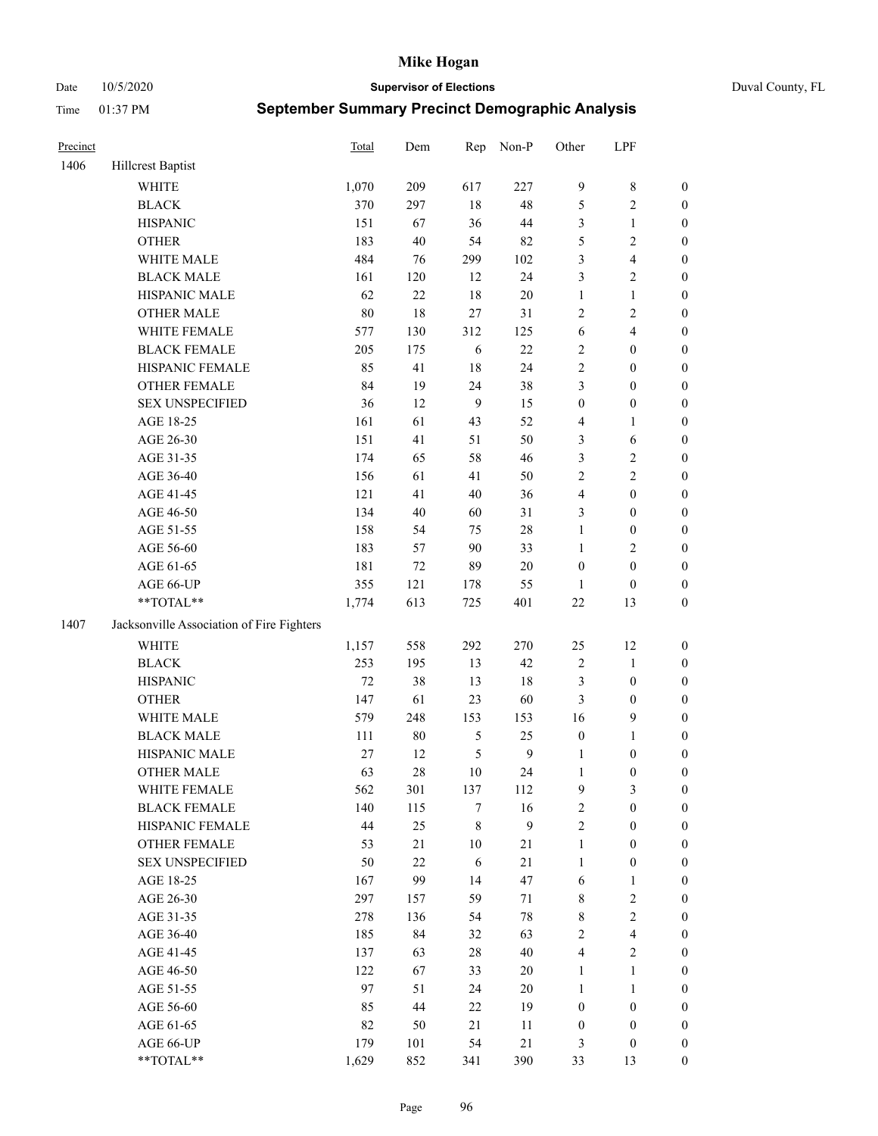### Date 10/5/2020 **Supervisor of Elections** Duval County, FL

| Precinct |                                           | Total | Dem      | Rep         | Non-P            | Other                  | LPF                     |                       |
|----------|-------------------------------------------|-------|----------|-------------|------------------|------------------------|-------------------------|-----------------------|
| 1406     | Hillcrest Baptist                         |       |          |             |                  |                        |                         |                       |
|          | <b>WHITE</b>                              | 1,070 | 209      | 617         | 227              | $\overline{9}$         | $8\,$                   | 0                     |
|          | <b>BLACK</b>                              | 370   | 297      | $18\,$      | 48               | 5                      | $\sqrt{2}$              | $\boldsymbol{0}$      |
|          | <b>HISPANIC</b>                           | 151   | 67       | 36          | $44\,$           | 3                      | $\mathbf{1}$            | $\boldsymbol{0}$      |
|          | <b>OTHER</b>                              | 183   | 40       | 54          | 82               | 5                      | $\sqrt{2}$              | $\boldsymbol{0}$      |
|          | WHITE MALE                                | 484   | 76       | 299         | 102              | 3                      | $\overline{\mathbf{4}}$ | $\boldsymbol{0}$      |
|          | <b>BLACK MALE</b>                         | 161   | 120      | 12          | 24               | 3                      | $\sqrt{2}$              | $\boldsymbol{0}$      |
|          | HISPANIC MALE                             | 62    | 22       | 18          | $20\,$           | $\mathbf{1}$           | $\mathbf{1}$            | $\boldsymbol{0}$      |
|          | <b>OTHER MALE</b>                         | 80    | $18\,$   | 27          | 31               | 2                      | $\overline{2}$          | $\boldsymbol{0}$      |
|          | WHITE FEMALE                              | 577   | 130      | 312         | 125              | $\sqrt{6}$             | $\overline{\mathbf{4}}$ | $\boldsymbol{0}$      |
|          | <b>BLACK FEMALE</b>                       | 205   | 175      | 6           | $22\,$           | 2                      | $\boldsymbol{0}$        | $\boldsymbol{0}$      |
|          | HISPANIC FEMALE                           | 85    | 41       | 18          | 24               | $\overline{c}$         | $\boldsymbol{0}$        | 0                     |
|          | OTHER FEMALE                              | 84    | 19       | 24          | 38               | 3                      | $\boldsymbol{0}$        | $\boldsymbol{0}$      |
|          | <b>SEX UNSPECIFIED</b>                    | 36    | 12       | 9           | 15               | $\boldsymbol{0}$       | $\boldsymbol{0}$        | $\boldsymbol{0}$      |
|          | AGE 18-25                                 | 161   | 61       | 43          | 52               | 4                      | 1                       | $\boldsymbol{0}$      |
|          | AGE 26-30                                 | 151   | 41       | 51          | 50               | 3                      | 6                       | $\boldsymbol{0}$      |
|          | AGE 31-35                                 | 174   | 65       | 58          | 46               | 3                      | $\sqrt{2}$              | $\boldsymbol{0}$      |
|          | AGE 36-40                                 | 156   | 61       | 41          | 50               | $\overline{c}$         | $\sqrt{2}$              | $\boldsymbol{0}$      |
|          | AGE 41-45                                 | 121   | 41       | $40\,$      | 36               | $\overline{4}$         | $\boldsymbol{0}$        | $\boldsymbol{0}$      |
|          | AGE 46-50                                 | 134   | 40       | 60          | 31               | 3                      | $\boldsymbol{0}$        | $\boldsymbol{0}$      |
|          | AGE 51-55                                 | 158   | 54       | 75          | $28\,$           | $\mathbf{1}$           | $\boldsymbol{0}$        | $\boldsymbol{0}$      |
|          | AGE 56-60                                 | 183   |          | 90          | 33               | $\mathbf{1}$           | $\sqrt{2}$              |                       |
|          | AGE 61-65                                 | 181   | 57<br>72 | 89          | $20\,$           | $\boldsymbol{0}$       | $\boldsymbol{0}$        | 0<br>$\boldsymbol{0}$ |
|          |                                           | 355   | 121      |             | 55               |                        |                         |                       |
|          | AGE 66-UP<br>**TOTAL**                    | 1,774 | 613      | 178<br>725  | 401              | $\mathbf{1}$<br>$22\,$ | $\boldsymbol{0}$<br>13  | $\boldsymbol{0}$      |
|          |                                           |       |          |             |                  |                        |                         | $\boldsymbol{0}$      |
| 1407     | Jacksonville Association of Fire Fighters |       |          |             |                  |                        |                         |                       |
|          | <b>WHITE</b>                              | 1,157 | 558      | 292         | 270              | 25                     | 12                      | $\boldsymbol{0}$      |
|          | <b>BLACK</b>                              | 253   | 195      | 13          | 42               | $\sqrt{2}$             | $\mathbf{1}$            | $\boldsymbol{0}$      |
|          | <b>HISPANIC</b>                           | 72    | 38       | 13          | 18               | 3                      | $\boldsymbol{0}$        | $\boldsymbol{0}$      |
|          | <b>OTHER</b>                              | 147   | 61       | 23          | 60               | 3                      | $\boldsymbol{0}$        | $\boldsymbol{0}$      |
|          | WHITE MALE                                | 579   | 248      | 153         | 153              | 16                     | $\mathbf{9}$            | $\boldsymbol{0}$      |
|          | <b>BLACK MALE</b>                         | 111   | $80\,$   | $\sqrt{5}$  | 25               | $\boldsymbol{0}$       | $\mathbf{1}$            | $\boldsymbol{0}$      |
|          | HISPANIC MALE                             | 27    | 12       | 5           | $\boldsymbol{9}$ | 1                      | $\boldsymbol{0}$        | $\boldsymbol{0}$      |
|          | OTHER MALE                                | 63    | $28\,$   | 10          | 24               | $\mathbf{1}$           | $\boldsymbol{0}$        | $\boldsymbol{0}$      |
|          | WHITE FEMALE                              | 562   | 301      | 137         | 112              | 9                      | 3                       | 0                     |
|          | <b>BLACK FEMALE</b>                       | 140   | 115      | 7           | 16               | $\overline{c}$         | $\boldsymbol{0}$        | $\overline{0}$        |
|          | HISPANIC FEMALE                           | 44    | 25       | $\,$ 8 $\,$ | 9                | $\overline{c}$         | $\boldsymbol{0}$        | $\overline{0}$        |
|          | OTHER FEMALE                              | 53    | 21       | $10\,$      | $21\,$           | $\mathbf{1}$           | $\boldsymbol{0}$        | $\overline{0}$        |
|          | <b>SEX UNSPECIFIED</b>                    | 50    | 22       | 6           | 21               | $\mathbf{1}$           | $\boldsymbol{0}$        | 0                     |
|          | AGE 18-25                                 | 167   | 99       | 14          | 47               | 6                      | $\mathbf{1}$            | 0                     |
|          | AGE 26-30                                 | 297   | 157      | 59          | 71               | 8                      | $\sqrt{2}$              | 0                     |
|          | AGE 31-35                                 | 278   | 136      | 54          | $78\,$           | 8                      | $\sqrt{2}$              | 0                     |
|          | AGE 36-40                                 | 185   | 84       | 32          | 63               | 2                      | $\overline{\mathbf{4}}$ | 0                     |
|          | AGE 41-45                                 | 137   | 63       | $28\,$      | $40\,$           | $\overline{4}$         | $\overline{2}$          | 0                     |
|          | AGE 46-50                                 | 122   | 67       | 33          | 20               | $\mathbf{1}$           | $\mathbf{1}$            | 0                     |
|          | AGE 51-55                                 | 97    | 51       | 24          | $20\,$           | $\mathbf{1}$           | $\mathbf{1}$            | 0                     |
|          | AGE 56-60                                 | 85    | 44       | 22          | 19               | $\boldsymbol{0}$       | $\boldsymbol{0}$        | 0                     |
|          | AGE 61-65                                 | 82    | 50       | 21          | 11               | $\boldsymbol{0}$       | $\boldsymbol{0}$        | $\overline{0}$        |
|          | AGE 66-UP                                 | 179   | 101      | 54          | $21\,$           | 3                      | $\boldsymbol{0}$        | 0                     |
|          | **TOTAL**                                 | 1,629 | 852      | 341         | 390              | 33                     | 13                      | $\boldsymbol{0}$      |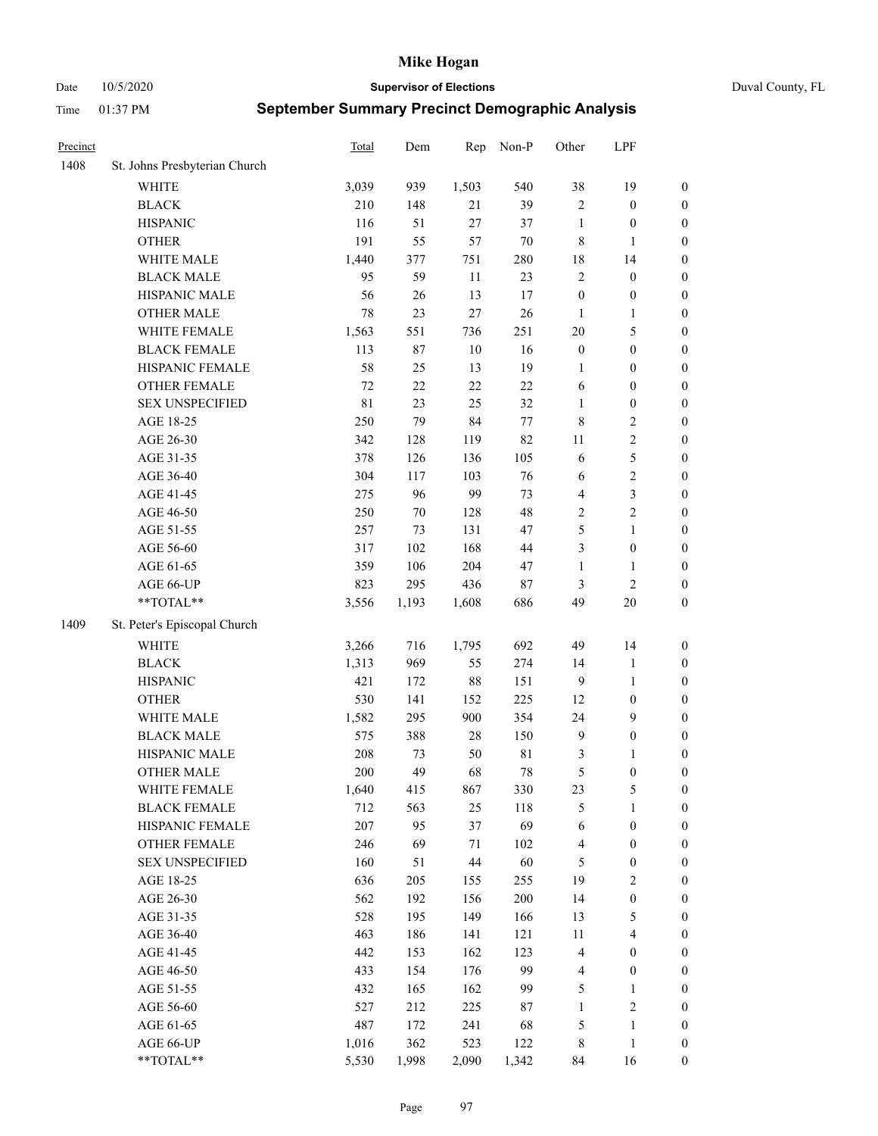Date 10/5/2020 **Supervisor of Elections** Duval County, FL

| Precinct |                               | <b>Total</b> | Dem    | Rep    | Non-P       | Other            | LPF                     |                  |
|----------|-------------------------------|--------------|--------|--------|-------------|------------------|-------------------------|------------------|
| 1408     | St. Johns Presbyterian Church |              |        |        |             |                  |                         |                  |
|          | <b>WHITE</b>                  | 3,039        | 939    | 1,503  | 540         | 38               | 19                      | 0                |
|          | <b>BLACK</b>                  | 210          | 148    | 21     | 39          | $\overline{2}$   | $\boldsymbol{0}$        | 0                |
|          | <b>HISPANIC</b>               | 116          | 51     | 27     | 37          | $\mathbf{1}$     | $\boldsymbol{0}$        | $\boldsymbol{0}$ |
|          | <b>OTHER</b>                  | 191          | 55     | 57     | $70\,$      | 8                | 1                       | $\boldsymbol{0}$ |
|          | WHITE MALE                    | 1,440        | 377    | 751    | 280         | 18               | 14                      | $\boldsymbol{0}$ |
|          | <b>BLACK MALE</b>             | 95           | 59     | 11     | 23          | $\overline{c}$   | $\boldsymbol{0}$        | $\boldsymbol{0}$ |
|          | HISPANIC MALE                 | 56           | 26     | 13     | 17          | $\boldsymbol{0}$ | $\boldsymbol{0}$        | $\boldsymbol{0}$ |
|          | <b>OTHER MALE</b>             | 78           | 23     | 27     | 26          | $\mathbf{1}$     | $\mathbf{1}$            | $\boldsymbol{0}$ |
|          | WHITE FEMALE                  | 1,563        | 551    | 736    | 251         | $20\,$           | $\mathfrak{S}$          | $\boldsymbol{0}$ |
|          | <b>BLACK FEMALE</b>           | 113          | 87     | $10\,$ | 16          | $\boldsymbol{0}$ | $\boldsymbol{0}$        | 0                |
|          | HISPANIC FEMALE               | 58           | 25     | 13     | 19          | 1                | $\boldsymbol{0}$        | 0                |
|          | OTHER FEMALE                  | 72           | $22\,$ | 22     | $22\,$      | 6                | $\boldsymbol{0}$        | $\boldsymbol{0}$ |
|          | <b>SEX UNSPECIFIED</b>        | 81           | 23     | 25     | 32          | $\mathbf{1}$     | $\boldsymbol{0}$        | $\boldsymbol{0}$ |
|          | AGE 18-25                     | 250          | 79     | 84     | $77\,$      | 8                | $\sqrt{2}$              | $\boldsymbol{0}$ |
|          | AGE 26-30                     | 342          | 128    | 119    | 82          | 11               | $\sqrt{2}$              | $\boldsymbol{0}$ |
|          | AGE 31-35                     | 378          | 126    | 136    | 105         | 6                | $\mathfrak s$           | $\boldsymbol{0}$ |
|          | AGE 36-40                     | 304          | 117    | 103    | 76          | 6                | $\sqrt{2}$              | $\boldsymbol{0}$ |
|          | AGE 41-45                     | 275          | 96     | 99     | 73          | $\overline{4}$   | 3                       | $\boldsymbol{0}$ |
|          | AGE 46-50                     | 250          | $70\,$ | 128    | 48          | $\overline{c}$   | $\overline{2}$          | $\boldsymbol{0}$ |
|          | AGE 51-55                     | 257          | 73     | 131    | 47          | 5                | $\mathbf{1}$            | $\boldsymbol{0}$ |
|          | AGE 56-60                     | 317          | 102    | 168    | 44          | 3                | $\boldsymbol{0}$        | 0                |
|          | AGE 61-65                     | 359          | 106    | 204    | 47          | $\mathbf{1}$     | $\mathbf{1}$            | 0                |
|          | AGE 66-UP                     | 823          | 295    | 436    | $87\,$      | 3                | $\sqrt{2}$              | $\boldsymbol{0}$ |
|          | **TOTAL**                     | 3,556        | 1,193  | 1,608  | 686         | 49               | $20\,$                  | $\boldsymbol{0}$ |
| 1409     | St. Peter's Episcopal Church  |              |        |        |             |                  |                         |                  |
|          | <b>WHITE</b>                  | 3,266        | 716    | 1,795  | 692         | 49               | 14                      | $\boldsymbol{0}$ |
|          | <b>BLACK</b>                  | 1,313        | 969    | 55     | 274         | 14               | $\mathbf{1}$            | $\boldsymbol{0}$ |
|          | <b>HISPANIC</b>               | 421          | 172    | 88     | 151         | 9                | $\mathbf{1}$            | $\boldsymbol{0}$ |
|          | <b>OTHER</b>                  | 530          | 141    | 152    | 225         | 12               | $\boldsymbol{0}$        | $\boldsymbol{0}$ |
|          | WHITE MALE                    | 1,582        | 295    | 900    | 354         | 24               | 9                       | $\boldsymbol{0}$ |
|          | <b>BLACK MALE</b>             | 575          | 388    | $28\,$ | 150         | $\overline{9}$   | $\boldsymbol{0}$        | $\boldsymbol{0}$ |
|          | HISPANIC MALE                 | 208          | 73     | 50     | $8\sqrt{1}$ | 3                | 1                       | $\boldsymbol{0}$ |
|          | <b>OTHER MALE</b>             | 200          | 49     | 68     | $78\,$      | 5                | $\boldsymbol{0}$        | $\boldsymbol{0}$ |
|          | WHITE FEMALE                  | 1,640        | 415    | 867    | 330         | 23               | 5                       | 0                |
|          | <b>BLACK FEMALE</b>           | 712          | 563    | 25     | 118         | 5                | $\mathbf{1}$            | $\boldsymbol{0}$ |
|          | HISPANIC FEMALE               | 207          | 95     | 37     | 69          | 6                | $\boldsymbol{0}$        | $\overline{0}$   |
|          | OTHER FEMALE                  | 246          | 69     | 71     | 102         | 4                | $\boldsymbol{0}$        | $\overline{0}$   |
|          | <b>SEX UNSPECIFIED</b>        | 160          | 51     | 44     | 60          | 5                | $\boldsymbol{0}$        | 0                |
|          | AGE 18-25                     | 636          | 205    | 155    | 255         | 19               | $\sqrt{2}$              | $\overline{0}$   |
|          | AGE 26-30                     | 562          | 192    | 156    | 200         | 14               | $\boldsymbol{0}$        | 0                |
|          | AGE 31-35                     | 528          | 195    | 149    | 166         | 13               | $\mathfrak{S}$          | 0                |
|          | AGE 36-40                     | 463          | 186    | 141    | 121         | $11\,$           | $\overline{\mathbf{4}}$ | 0                |
|          | AGE 41-45                     | 442          | 153    | 162    | 123         | 4                | $\boldsymbol{0}$        | 0                |
|          | AGE 46-50                     | 433          | 154    | 176    | 99          | 4                | $\boldsymbol{0}$        | 0                |
|          | AGE 51-55                     | 432          | 165    | 162    | 99          | 5                | $\mathbf{1}$            | $\boldsymbol{0}$ |
|          | AGE 56-60                     | 527          | 212    | 225    | 87          | $\mathbf{1}$     | $\sqrt{2}$              | $\overline{0}$   |
|          | AGE 61-65                     | 487          | 172    | 241    | 68          | 5                | $\mathbf{1}$            | $\boldsymbol{0}$ |
|          | AGE 66-UP                     | 1,016        | 362    | 523    | 122         | 8                | $\mathbf{1}$            | $\boldsymbol{0}$ |
|          | **TOTAL**                     | 5,530        | 1,998  | 2,090  | 1,342       | 84               | 16                      | $\boldsymbol{0}$ |
|          |                               |              |        |        |             |                  |                         |                  |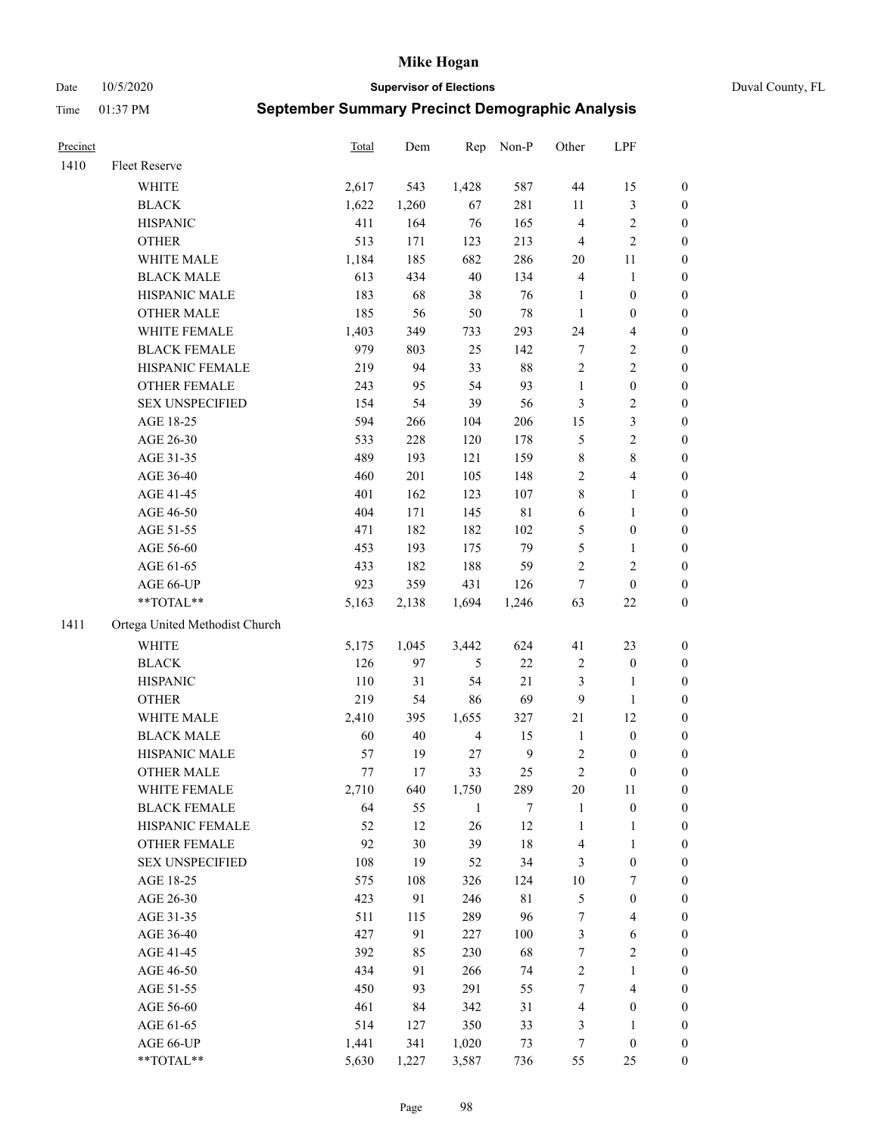Date 10/5/2020 **Supervisor of Elections** Duval County, FL

| Precinct |                                | Total | Dem    | Rep            | Non-P       | Other            | LPF              |                  |
|----------|--------------------------------|-------|--------|----------------|-------------|------------------|------------------|------------------|
| 1410     | Fleet Reserve                  |       |        |                |             |                  |                  |                  |
|          | WHITE                          | 2,617 | 543    | 1,428          | 587         | $44\,$           | 15               | 0                |
|          | <b>BLACK</b>                   | 1,622 | 1,260  | 67             | 281         | 11               | $\mathfrak{Z}$   | 0                |
|          | <b>HISPANIC</b>                | 411   | 164    | 76             | 165         | 4                | $\sqrt{2}$       | $\boldsymbol{0}$ |
|          | <b>OTHER</b>                   | 513   | 171    | 123            | 213         | 4                | $\sqrt{2}$       | $\boldsymbol{0}$ |
|          | WHITE MALE                     | 1,184 | 185    | 682            | 286         | $20\,$           | 11               | $\boldsymbol{0}$ |
|          | <b>BLACK MALE</b>              | 613   | 434    | $40\,$         | 134         | 4                | 1                | $\boldsymbol{0}$ |
|          | HISPANIC MALE                  | 183   | 68     | 38             | 76          | $\mathbf{1}$     | $\boldsymbol{0}$ | $\boldsymbol{0}$ |
|          | <b>OTHER MALE</b>              | 185   | 56     | 50             | $78\,$      | $\mathbf{1}$     | $\boldsymbol{0}$ | $\boldsymbol{0}$ |
|          | WHITE FEMALE                   | 1,403 | 349    | 733            | 293         | 24               | $\overline{4}$   | $\boldsymbol{0}$ |
|          | <b>BLACK FEMALE</b>            | 979   | 803    | 25             | 142         | 7                | $\sqrt{2}$       | 0                |
|          | HISPANIC FEMALE                | 219   | 94     | 33             | $88\,$      | $\sqrt{2}$       | $\sqrt{2}$       | 0                |
|          | OTHER FEMALE                   | 243   | 95     | 54             | 93          | $\mathbf{1}$     | $\boldsymbol{0}$ | 0                |
|          | <b>SEX UNSPECIFIED</b>         | 154   | 54     | 39             | 56          | 3                | $\sqrt{2}$       | $\boldsymbol{0}$ |
|          | AGE 18-25                      | 594   | 266    | 104            | 206         | 15               | $\mathfrak{Z}$   | $\boldsymbol{0}$ |
|          | AGE 26-30                      | 533   | 228    | 120            | 178         | 5                | $\sqrt{2}$       | $\boldsymbol{0}$ |
|          | AGE 31-35                      | 489   | 193    | 121            | 159         | 8                | $\,$ $\,$        | $\boldsymbol{0}$ |
|          | AGE 36-40                      | 460   | 201    | 105            | 148         | $\overline{c}$   | $\overline{4}$   | $\boldsymbol{0}$ |
|          | AGE 41-45                      | 401   | 162    | 123            | 107         | 8                | $\mathbf{1}$     | $\boldsymbol{0}$ |
|          | AGE 46-50                      | 404   | 171    | 145            | $8\sqrt{1}$ | 6                | $\mathbf{1}$     | $\boldsymbol{0}$ |
|          | AGE 51-55                      | 471   | 182    | 182            | 102         | 5                | $\boldsymbol{0}$ | 0                |
|          | AGE 56-60                      | 453   | 193    | 175            | 79          | 5                | 1                | 0                |
|          | AGE 61-65                      | 433   | 182    | 188            | 59          | 2                | $\mathfrak{2}$   | 0                |
|          | AGE 66-UP                      | 923   | 359    | 431            | 126         | $\tau$           | $\boldsymbol{0}$ | $\boldsymbol{0}$ |
|          | $**TOTAL**$                    | 5,163 | 2,138  | 1,694          | 1,246       | 63               | $22\,$           | $\boldsymbol{0}$ |
| 1411     | Ortega United Methodist Church |       |        |                |             |                  |                  |                  |
|          | <b>WHITE</b>                   | 5,175 | 1,045  | 3,442          | 624         | 41               | 23               | $\boldsymbol{0}$ |
|          | <b>BLACK</b>                   | 126   | 97     | $\mathfrak{S}$ | $22\,$      | 2                | $\boldsymbol{0}$ | $\boldsymbol{0}$ |
|          | <b>HISPANIC</b>                | 110   | 31     | 54             | $21\,$      | 3                | $\mathbf{1}$     | $\boldsymbol{0}$ |
|          | <b>OTHER</b>                   | 219   | 54     | 86             | 69          | 9                | $\mathbf{1}$     | $\boldsymbol{0}$ |
|          | WHITE MALE                     | 2,410 | 395    | 1,655          | 327         | 21               | 12               | $\boldsymbol{0}$ |
|          | <b>BLACK MALE</b>              | 60    | $40\,$ | $\overline{4}$ | 15          | $\mathbf{1}$     | $\boldsymbol{0}$ | $\boldsymbol{0}$ |
|          | HISPANIC MALE                  | 57    | 19     | 27             | 9           | 2                | $\boldsymbol{0}$ | 0                |
|          | <b>OTHER MALE</b>              | 77    | 17     | 33             | 25          | $\overline{c}$   | $\boldsymbol{0}$ | $\boldsymbol{0}$ |
|          | WHITE FEMALE                   | 2,710 | 640    | 1,750          | 289         | 20               | 11               | 0                |
|          | <b>BLACK FEMALE</b>            | 64    | 55     | $\mathbf{1}$   | 7           | $\mathbf{1}$     | $\boldsymbol{0}$ | 0                |
|          | HISPANIC FEMALE                | 52    | 12     | 26             | 12          | $\mathbf{1}$     | $\mathbf{1}$     | 0                |
|          | OTHER FEMALE                   | 92    | 30     | 39             | 18          | 4                | $\mathbf{1}$     | 0                |
|          | <b>SEX UNSPECIFIED</b>         | 108   | 19     | 52             | 34          | 3                | $\boldsymbol{0}$ | 0                |
|          | AGE 18-25                      | 575   | 108    | 326            | 124         | $10\,$           | 7                | 0                |
|          | AGE 26-30                      | 423   | 91     | 246            | $8\sqrt{1}$ | 5                | $\boldsymbol{0}$ | 0                |
|          | AGE 31-35                      | 511   | 115    | 289            | 96          | 7                | $\overline{4}$   | 0                |
|          | AGE 36-40                      | 427   | 91     | 227            | 100         | 3                | 6                | 0                |
|          | AGE 41-45                      | 392   | 85     | 230            | 68          | $\boldsymbol{7}$ | $\sqrt{2}$       | 0                |
|          | AGE 46-50                      | 434   | 91     | 266            | 74          | 2                | $\mathbf{1}$     | 0                |
|          | AGE 51-55                      | 450   | 93     | 291            | 55          | $\boldsymbol{7}$ | $\overline{4}$   | 0                |
|          | AGE 56-60                      | 461   | 84     | 342            | 31          | 4                | $\boldsymbol{0}$ | 0                |
|          | AGE 61-65                      | 514   | 127    | 350            | 33          | 3                | 1                | 0                |
|          | AGE 66-UP                      | 1,441 | 341    | 1,020          | 73          | 7                | $\boldsymbol{0}$ | 0                |
|          | **TOTAL**                      | 5,630 | 1,227  | 3,587          | 736         | 55               | 25               | $\boldsymbol{0}$ |
|          |                                |       |        |                |             |                  |                  |                  |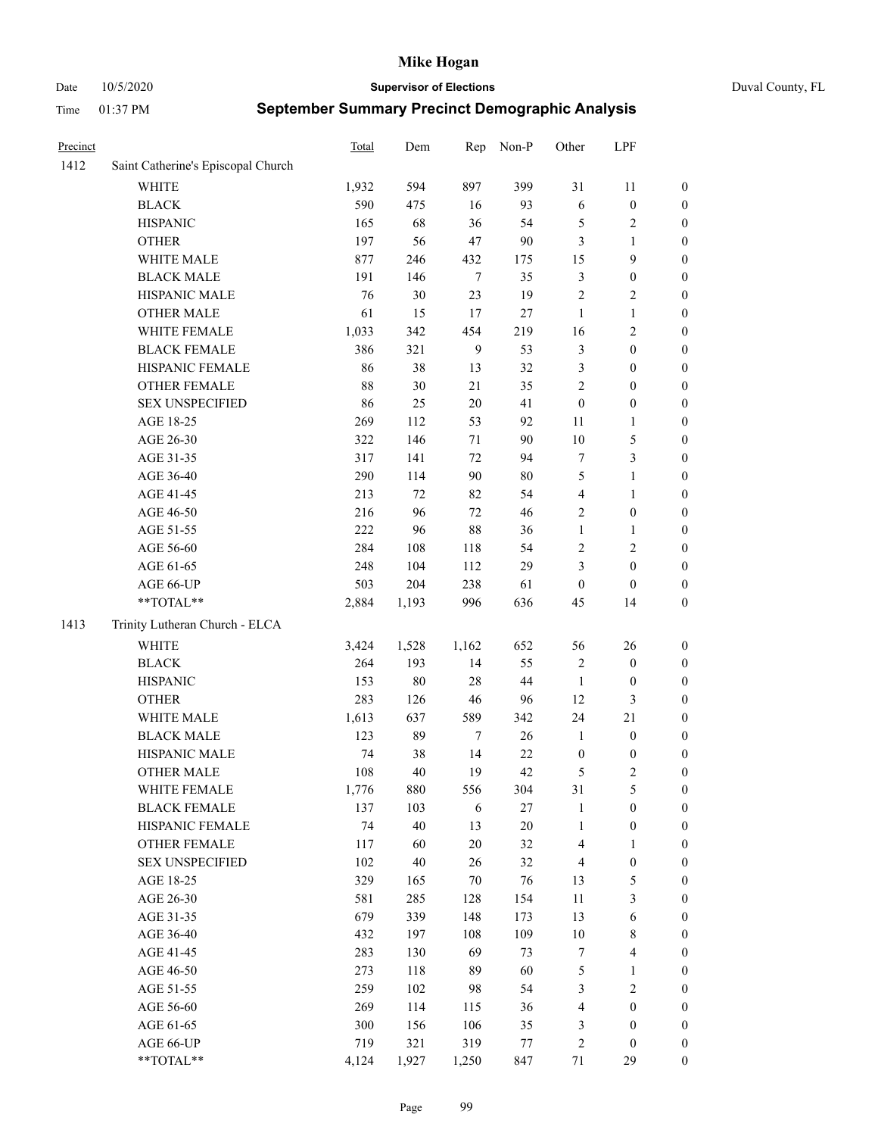Date 10/5/2020 **Supervisor of Elections** Duval County, FL

| Precinct |                                    | <b>Total</b> | Dem   | Rep            | Non-P  | Other            | LPF                     |                  |
|----------|------------------------------------|--------------|-------|----------------|--------|------------------|-------------------------|------------------|
| 1412     | Saint Catherine's Episcopal Church |              |       |                |        |                  |                         |                  |
|          | <b>WHITE</b>                       | 1,932        | 594   | 897            | 399    | 31               | 11                      | 0                |
|          | <b>BLACK</b>                       | 590          | 475   | 16             | 93     | 6                | $\boldsymbol{0}$        | 0                |
|          | <b>HISPANIC</b>                    | 165          | 68    | 36             | 54     | 5                | $\sqrt{2}$              | $\boldsymbol{0}$ |
|          | <b>OTHER</b>                       | 197          | 56    | 47             | 90     | 3                | 1                       | $\boldsymbol{0}$ |
|          | WHITE MALE                         | 877          | 246   | 432            | 175    | 15               | 9                       | $\boldsymbol{0}$ |
|          | <b>BLACK MALE</b>                  | 191          | 146   | $\tau$         | 35     | 3                | $\boldsymbol{0}$        | $\boldsymbol{0}$ |
|          | HISPANIC MALE                      | 76           | 30    | 23             | 19     | $\overline{c}$   | $\sqrt{2}$              | $\boldsymbol{0}$ |
|          | <b>OTHER MALE</b>                  | 61           | 15    | 17             | 27     | $\mathbf{1}$     | $\mathbf{1}$            | $\boldsymbol{0}$ |
|          | WHITE FEMALE                       | 1,033        | 342   | 454            | 219    | 16               | $\overline{2}$          | $\boldsymbol{0}$ |
|          | <b>BLACK FEMALE</b>                | 386          | 321   | $\overline{9}$ | 53     | 3                | $\boldsymbol{0}$        | 0                |
|          | HISPANIC FEMALE                    | 86           | 38    | 13             | 32     | 3                | $\boldsymbol{0}$        | $\boldsymbol{0}$ |
|          | OTHER FEMALE                       | 88           | 30    | 21             | 35     | $\overline{c}$   | $\boldsymbol{0}$        | $\boldsymbol{0}$ |
|          | <b>SEX UNSPECIFIED</b>             | 86           | 25    | 20             | 41     | $\boldsymbol{0}$ | $\boldsymbol{0}$        | $\boldsymbol{0}$ |
|          | AGE 18-25                          | 269          | 112   | 53             | 92     | 11               | 1                       | $\boldsymbol{0}$ |
|          | AGE 26-30                          | 322          | 146   | 71             | 90     | 10               | $\mathfrak{S}$          | $\boldsymbol{0}$ |
|          | AGE 31-35                          | 317          | 141   | 72             | 94     | 7                | 3                       | $\boldsymbol{0}$ |
|          | AGE 36-40                          | 290          | 114   | 90             | $80\,$ | 5                | $\mathbf{1}$            | $\boldsymbol{0}$ |
|          | AGE 41-45                          | 213          | 72    | 82             | 54     | $\overline{4}$   | $\mathbf{1}$            | $\boldsymbol{0}$ |
|          | AGE 46-50                          | 216          | 96    | 72             | 46     | $\overline{c}$   | $\boldsymbol{0}$        | $\boldsymbol{0}$ |
|          | AGE 51-55                          | 222          | 96    | 88             | 36     | $\mathbf{1}$     | $\mathbf{1}$            | 0                |
|          | AGE 56-60                          | 284          | 108   | 118            | 54     | $\overline{c}$   | $\sqrt{2}$              | 0                |
|          | AGE 61-65                          | 248          | 104   | 112            | 29     | 3                | $\boldsymbol{0}$        | $\boldsymbol{0}$ |
|          | AGE 66-UP                          | 503          | 204   | 238            | 61     | $\boldsymbol{0}$ | $\boldsymbol{0}$        | $\boldsymbol{0}$ |
|          | **TOTAL**                          | 2,884        | 1,193 | 996            | 636    | 45               | 14                      | $\boldsymbol{0}$ |
| 1413     | Trinity Lutheran Church - ELCA     |              |       |                |        |                  |                         |                  |
|          | <b>WHITE</b>                       | 3,424        | 1,528 | 1,162          | 652    | 56               | 26                      | $\boldsymbol{0}$ |
|          | <b>BLACK</b>                       | 264          | 193   | 14             | 55     | $\sqrt{2}$       | $\boldsymbol{0}$        | $\boldsymbol{0}$ |
|          | <b>HISPANIC</b>                    | 153          | 80    | 28             | $44\,$ | $\mathbf{1}$     | $\boldsymbol{0}$        | $\boldsymbol{0}$ |
|          | <b>OTHER</b>                       | 283          | 126   | 46             | 96     | 12               | $\mathfrak{Z}$          | $\boldsymbol{0}$ |
|          | WHITE MALE                         | 1,613        | 637   | 589            | 342    | 24               | 21                      | $\boldsymbol{0}$ |
|          | <b>BLACK MALE</b>                  | 123          | 89    | $\tau$         | $26\,$ | $\mathbf{1}$     | $\boldsymbol{0}$        | $\boldsymbol{0}$ |
|          | HISPANIC MALE                      | 74           | 38    | 14             | $22\,$ | $\boldsymbol{0}$ | $\boldsymbol{0}$        | 0                |
|          | <b>OTHER MALE</b>                  | 108          | 40    | 19             | 42     | 5                | $\mathbf{2}$            | $\boldsymbol{0}$ |
|          | WHITE FEMALE                       | 1,776        | 880   | 556            | 304    | 31               | 5                       | 0                |
|          | <b>BLACK FEMALE</b>                | 137          | 103   | 6              | $27\,$ | $\mathbf{1}$     | $\boldsymbol{0}$        | $\boldsymbol{0}$ |
|          | HISPANIC FEMALE                    | 74           | 40    | 13             | $20\,$ | $\mathbf{1}$     | $\boldsymbol{0}$        | $\overline{0}$   |
|          | <b>OTHER FEMALE</b>                | 117          | 60    | 20             | 32     | 4                | $\mathbf{1}$            | $\overline{0}$   |
|          | <b>SEX UNSPECIFIED</b>             | 102          | 40    | 26             | 32     | 4                | $\boldsymbol{0}$        | 0                |
|          | AGE 18-25                          | 329          | 165   | 70             | 76     | 13               | $\mathfrak{S}$          | 0                |
|          | AGE 26-30                          | 581          | 285   | 128            | 154    | $11\,$           | 3                       | 0                |
|          | AGE 31-35                          | 679          | 339   | 148            | 173    | 13               | 6                       | 0                |
|          | AGE 36-40                          | 432          | 197   | 108            | 109    | $10\,$           | $8\,$                   | 0                |
|          | AGE 41-45                          | 283          | 130   | 69             | 73     | 7                | $\overline{\mathbf{4}}$ | 0                |
|          | AGE 46-50                          | 273          | 118   | 89             | 60     | 5                | $\mathbf{1}$            | 0                |
|          | AGE 51-55                          | 259          | 102   | 98             | 54     | 3                | $\sqrt{2}$              | 0                |
|          | AGE 56-60                          | 269          | 114   | 115            | 36     | 4                | $\boldsymbol{0}$        | $\overline{0}$   |
|          | AGE 61-65                          | 300          | 156   | 106            | 35     | 3                | $\boldsymbol{0}$        | $\overline{0}$   |
|          | AGE 66-UP                          | 719          | 321   | 319            | 77     | 2                | $\boldsymbol{0}$        | 0                |
|          | **TOTAL**                          | 4,124        | 1,927 | 1,250          | 847    | 71               | 29                      | $\boldsymbol{0}$ |